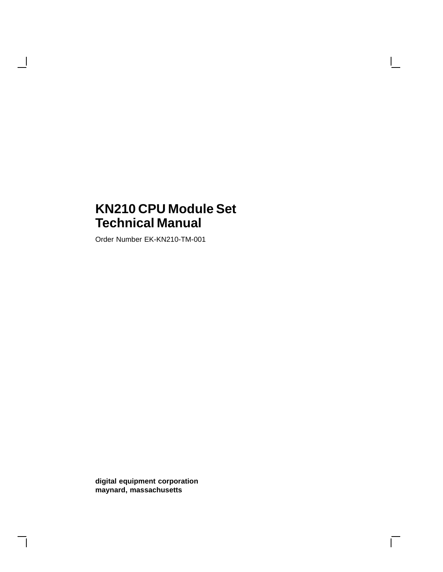# **KN210 CPU Module Set Technical Manual**

Order Number EK-KN210-TM-001

 $\overline{\phantom{a}}$ 

**digital equipment corporation maynard, massachusetts**

 $\overline{\Gamma}$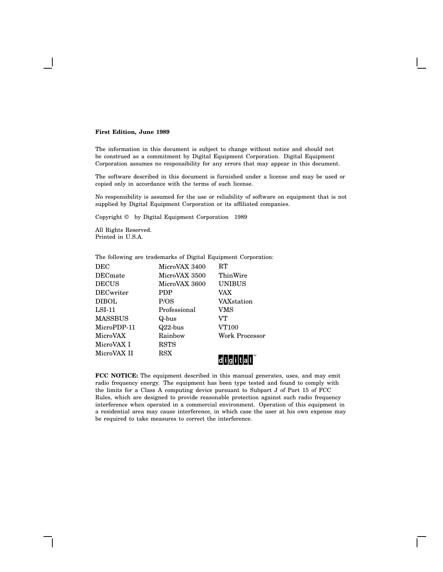#### **First Edition, June 1989**

The information in this document is subject to change without notice and should not be construed as a commitment by Digital Equipment Corporation. Digital Equipment Corporation assumes no responsibility for any errors that may appear in this document.

The software described in this document is furnished under a license and may be used or copied only in accordance with the terms of such license.

No responsibility is assumed for the use or reliability of software on equipment that is not supplied by Digital Equipment Corporation or its affiliated companies.

Copyright © by Digital Equipment Corporation 1989

All Rights Reserved. Printed in U.S.A.

| The following are trademarks of Digital Equipment Corporation: |               |                    |
|----------------------------------------------------------------|---------------|--------------------|
| <b>DEC</b>                                                     | MicroVAX 3400 | RT                 |
| <b>DEC</b> mate                                                | MicroVAX 3500 | ThinWire           |
| <b>DECUS</b>                                                   | MicroVAX 3600 | <b>UNIBUS</b>      |
| <b>DECwriter</b>                                               | <b>PDP</b>    | VAX                |
| <b>DIBOL</b>                                                   | P/OS          | <b>VAX</b> station |
| $LSI-11$                                                       | Professional  | VMS                |
| <b>MASSBUS</b>                                                 | Q-bus         | VТ                 |
| MicroPDP-11                                                    | $Q22$ -bus    | VT100              |
| MicroVAX                                                       | Rainbow       | Work Processor     |
| MicroVAX I                                                     | <b>RSTS</b>   |                    |
| MicroVAX II                                                    | RSX           | TM                 |

**FCC NOTICE:** The equipment described in this manual generates, uses, and may emit radio frequency energy. The equipment has been type tested and found to comply with the limits for a Class A computing device pursuant to Subpart J of Part 15 of FCC Rules, which are designed to provide reasonable protection against such radio frequency interference when operated in a commercial environment. Operation of this equipment in a residential area may cause interference, in which case the user at his own expense may be required to take measures to correct the interference.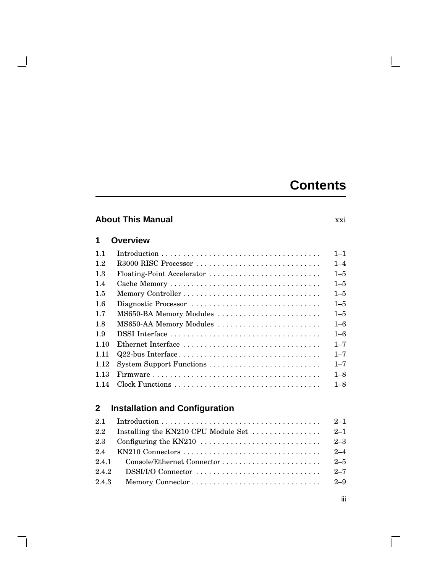# **Contents**

## **About This Manual** xxi

### **1 Overview**

 $\blacksquare$ 

 $\mathsf{l}$ 

| 1.1  |                            | $1 - 1$ |
|------|----------------------------|---------|
| 1.2  | R3000 RISC Processor       | $1 - 4$ |
| 1.3  | Floating-Point Accelerator | $1 - 5$ |
| 1.4  |                            | $1 - 5$ |
| 1.5  |                            | $1 - 5$ |
| 1.6  | Diagnostic Processor       | $1 - 5$ |
| 1.7  | MS650-BA Memory Modules    | $1 - 5$ |
| 1.8  | MS650-AA Memory Modules    | $1 - 6$ |
| 1.9  |                            | $1 - 6$ |
| 1.10 | Ethernet Interface         | $1 - 7$ |
| 1.11 |                            | $1 - 7$ |
| 1.12 |                            | $1 - 7$ |
| 1.13 |                            | $1 - 8$ |
| 1 14 |                            | $1 - 8$ |

# **2 Installation and Configuration**

|       | 2.2 Installing the KN210 CPU Module Set $\dots \dots \dots \dots$ 2-1 |  |
|-------|-----------------------------------------------------------------------|--|
|       |                                                                       |  |
|       |                                                                       |  |
|       |                                                                       |  |
| 2.4.2 |                                                                       |  |
| 2.4.3 |                                                                       |  |
|       |                                                                       |  |

 $\mathbf{L}$ 

iii

 $\overline{\Gamma}$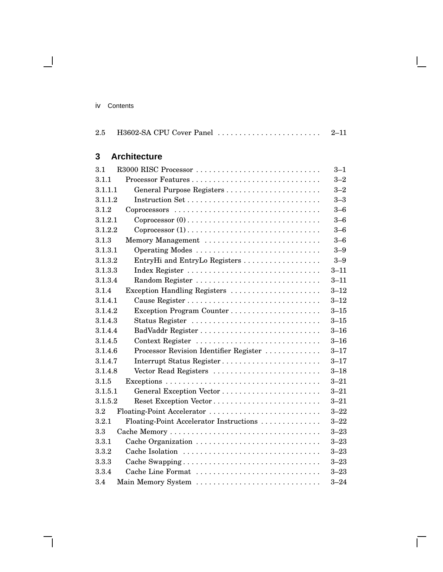|    | Contents |
|----|----------|
| 1V |          |
|    |          |

 $\blacksquare$ 

| H3602-SA CPU Cover Panel<br>2.5       | $2 - 11$ |
|---------------------------------------|----------|
| <b>Architecture</b><br>3              |          |
| R3000 RISC Processor<br>31            | $3 - 1$  |
| Processor Features<br>3.1.1           | $3 - 2$  |
| 3.1.1.1                               | $3 - 2$  |
| 3.1.1.2                               | $3 - 3$  |
| 3.1.2                                 | $3-6$    |
| 3.1.2.1                               | $3 - 6$  |
| 3.1.2.2                               | $3 - 6$  |
| Memory Management<br>3.1.3            | $3 - 6$  |
| Operating Modes<br>3.1.3.1            | $3 - 9$  |
| EntryHi and FutryLe Registers<br>2129 | $9 - Q$  |

 $\mathsf{I}$ 

 $\bar{\Gamma}$ 

| 3. L. L. L |                                         | 3–2      |
|------------|-----------------------------------------|----------|
| 3.1.1.2    |                                         | $3 - 3$  |
| 3.1.2      |                                         | $3 - 6$  |
| 3.1.2.1    |                                         | $3 - 6$  |
| 3.1.2.2    |                                         | $3 - 6$  |
| 3.1.3      | Memory Management                       | $3 - 6$  |
| 3.1.3.1    | Operating Modes                         | $3 - 9$  |
| 3.1.3.2    | EntryHi and EntryLo Registers           | $3 - 9$  |
| 3.1.3.3    |                                         | $3 - 11$ |
| 3.1.3.4    | Random Register                         | $3 - 11$ |
| 3.1.4      | Exception Handling Registers            | $3 - 12$ |
| 3.1.4.1    |                                         | $3 - 12$ |
| 3.1.4.2    | Exception Program Counter               | $3 - 15$ |
| 3.1.4.3    | Status Register                         | $3 - 15$ |
| 3.1.4.4    |                                         | $3 - 16$ |
| 3.1.4.5    | Context Register                        | $3 - 16$ |
| 3.1.4.6    | Processor Revision Identifier Register  | $3 - 17$ |
| 3.1.4.7    | Interrupt Status Register               | $3 - 17$ |
| 3.1.4.8    | Vector Read Registers                   | $3 - 18$ |
| 3.1.5      |                                         | $3 - 21$ |
| 3.1.5.1    |                                         | $3 - 21$ |
| 3.1.5.2    |                                         | $3 - 21$ |
| 3.2        | Floating-Point Accelerator              | $3 - 22$ |
| 3.2.1      | Floating-Point Accelerator Instructions | $3 - 22$ |
| 3.3        |                                         | $3 - 23$ |
| 3.3.1      |                                         | $3 - 23$ |
| 3.3.2      |                                         | $3 - 23$ |
| 3.3.3      | Cache Swapping                          | $3 - 23$ |
| 3.3.4      | Cache Line Format                       | $3 - 23$ |
| 3.4        | Main Memory System                      | $3 - 24$ |
|            |                                         |          |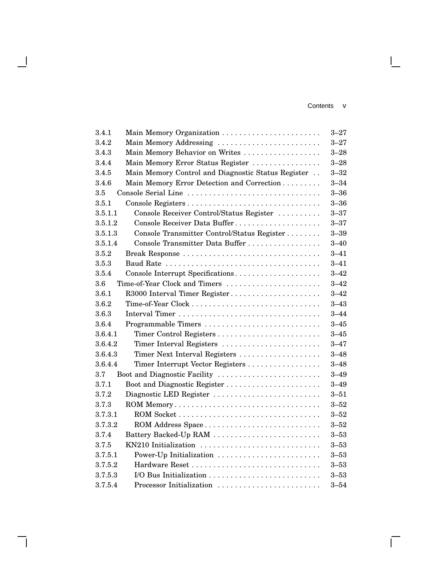#### Contents v

 $\mathbf{L}$ 

 $\overline{\Gamma}$ 

| 3.4.1   | Main Memory Organization                           | $3 - 27$ |
|---------|----------------------------------------------------|----------|
| 3.4.2   | Main Memory Addressing                             | $3 - 27$ |
| 3.4.3   | Main Memory Behavior on Writes                     | $3 - 28$ |
| 3.4.4   | Main Memory Error Status Register                  | $3 - 28$ |
| 3.4.5   | Main Memory Control and Diagnostic Status Register | $3 - 32$ |
| 3.4.6   | Main Memory Error Detection and Correction         | $3 - 34$ |
| 3.5     | Console Serial Line                                | $3 - 36$ |
| 3.5.1   |                                                    | $3 - 36$ |
| 3.5.1.1 | Console Receiver Control/Status Register           | $3 - 37$ |
| 3.5.1.2 | Console Receiver Data Buffer                       | $3 - 37$ |
| 3.5.1.3 | Console Transmitter Control/Status Register        | $3 - 39$ |
| 3.5.1.4 | Console Transmitter Data Buffer                    | $3 - 40$ |
| 3.5.2   | Break Response                                     | $3 - 41$ |
| 3.5.3   |                                                    | $3 - 41$ |
| 3.5.4   | Console Interrupt Specifications                   | $3 - 42$ |
| 3.6     | Time-of-Year Clock and Timers                      | $3 - 42$ |
| 3.6.1   | R3000 Interval Timer Register                      | $3 - 42$ |
| 3.6.2   |                                                    | $3 - 43$ |
| 3.6.3   |                                                    | $3 - 44$ |
| 3.6.4   | Programmable Timers                                | $3 - 45$ |
| 3.6.4.1 | Timer Control Registers                            | $3 - 45$ |
| 3.6.4.2 | Timer Interval Registers                           | $3 - 47$ |
| 3.6.4.3 | Timer Next Interval Registers                      | $3 - 48$ |
| 3.6.4.4 | Timer Interrupt Vector Registers                   | $3 - 48$ |
| 3.7     | Boot and Diagnostic Facility                       | $3 - 49$ |
| 3.7.1   | Boot and Diagnostic Register                       | $3 - 49$ |
| 3.7.2   | Diagnostic LED Register                            | $3 - 51$ |
| 3.7.3   | ROM Memory                                         | $3 - 52$ |
| 3.7.3.1 |                                                    | $3 - 52$ |
| 3.7.3.2 | ROM Address Space                                  | $3 - 52$ |
| 3.7.4   | Battery Backed-Up RAM                              | $3 - 53$ |
| 3.7.5   | KN210 Initialization                               | $3 - 53$ |
| 3.7.5.1 | Power-Up Initialization                            | $3 - 53$ |
| 3.7.5.2 |                                                    | $3 - 53$ |
| 3.7.5.3 |                                                    | $3 - 53$ |
| 3.7.5.4 | Processor Initialization                           | $3 - 54$ |

 $\blacksquare$ 

 $\overline{\phantom{a}}$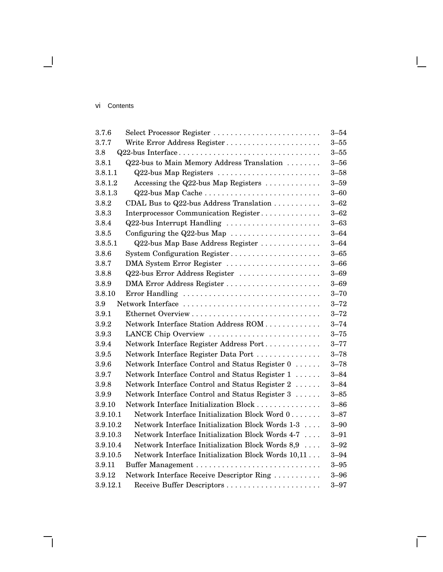#### vi Contents

 $\blacksquare$ 

| 3.7.6    | Select Processor Register                          | $3 - 54$ |
|----------|----------------------------------------------------|----------|
| 3.7.7    | Write Error Address Register                       | $3 - 55$ |
| 3.8      | Q22-bus Interface                                  | $3 - 55$ |
| 3.8.1    | Q22-bus to Main Memory Address Translation         | $3 - 56$ |
| 3.8.1.1  | Q22-bus Map Registers                              | $3 - 58$ |
| 3.8.1.2  | Accessing the Q22-bus Map Registers                | $3 - 59$ |
| 3.8.1.3  | Q22-bus Map Cache                                  | $3 - 60$ |
| 3.8.2    | CDAL Bus to Q22-bus Address Translation            | $3 - 62$ |
| 3.8.3    | Interprocessor Communication Register              | $3 - 62$ |
| 3.8.4    | Q22-bus Interrupt Handling                         | $3 - 63$ |
| 3.8.5    | Configuring the $Q22$ -bus Map                     | $3 - 64$ |
| 3.8.5.1  | Q22-bus Map Base Address Register                  | $3 - 64$ |
| 3.8.6    | System Configuration Register                      | $3 - 65$ |
| 3.8.7    | DMA System Error Register                          | $3 - 66$ |
| 3.8.8    | Q22-bus Error Address Register                     | $3 - 69$ |
| 3.8.9    |                                                    | $3 - 69$ |
| 3.8.10   | Error Handling                                     | $3 - 70$ |
| 3.9      | Network Interface                                  | $3 - 72$ |
| 3.9.1    |                                                    | $3 - 72$ |
| 3.9.2    | Network Interface Station Address ROM              | $3 - 74$ |
| 3.9.3    | LANCE Chip Overview                                | $3 - 75$ |
| 3.9.4    | Network Interface Register Address Port            | $3 - 77$ |
| 3.9.5    | Network Interface Register Data Port               | $3 - 78$ |
| 3.9.6    | Network Interface Control and Status Register 0    | $3 - 78$ |
| 3.9.7    | Network Interface Control and Status Register 1    | $3 - 84$ |
| 3.9.8    | Network Interface Control and Status Register 2    | $3 - 84$ |
| 3.9.9    | Network Interface Control and Status Register 3    | $3 - 85$ |
| 3.9.10   | Network Interface Initialization Block             | $3 - 86$ |
| 3.9.10.1 | Network Interface Initialization Block Word 0      | $3 - 87$ |
| 3.9.10.2 | Network Interface Initialization Block Words 1-3   | $3 - 90$ |
| 3.9.10.3 | Network Interface Initialization Block Words 4-7   | $3 - 91$ |
| 3.9.10.4 | Network Interface Initialization Block Words 8,9   | $3 - 92$ |
| 3.9.10.5 | Network Interface Initialization Block Words 10,11 | $3 - 94$ |
| 3.9.11   |                                                    | $3 - 95$ |
| 3.9.12   | Network Interface Receive Descriptor Ring          | $3 - 96$ |
| 3.9.12.1 | Receive Buffer Descriptors                         | $3 - 97$ |

 $\mathsf{I}$ 

 $\bar{\Gamma}$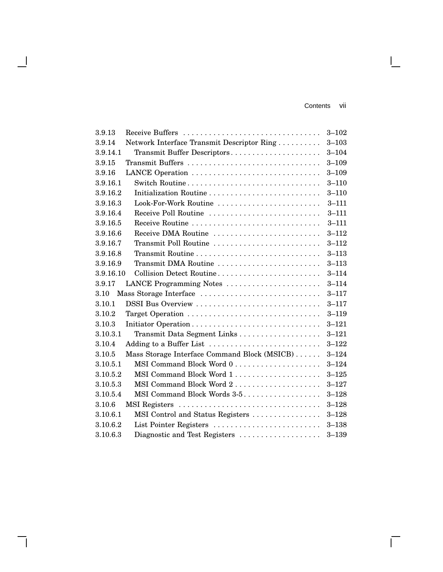Contents vii

 $\mathbf{I}$ 

 $\overline{\Gamma}$ 

| 3.9.13    | Receive Buffers                              | $3 - 102$ |
|-----------|----------------------------------------------|-----------|
| 3.9.14    | Network Interface Transmit Descriptor Ring   | $3 - 103$ |
| 3.9.14.1  | Transmit Buffer Descriptors                  | $3 - 104$ |
| 3.9.15    | Transmit Buffers                             | $3 - 109$ |
| 3.9.16    | LANCE Operation                              | $3 - 109$ |
| 3.9.16.1  | Switch Routine                               | $3 - 110$ |
| 3.9.16.2  |                                              | $3 - 110$ |
| 3.9.16.3  | Look-For-Work Routine                        | $3 - 111$ |
| 3.9.16.4  | Receive Poll Routine                         | $3 - 111$ |
| 3.9.16.5  |                                              | $3 - 111$ |
| 3.9.16.6  | Receive DMA Routine                          | $3 - 112$ |
| 3.9.16.7  | Transmit Poll Routine                        | $3 - 112$ |
| 3.9.16.8  | Transmit Routine                             | $3 - 113$ |
| 3.9.16.9  | Transmit DMA Routine                         | $3 - 113$ |
| 3.9.16.10 | Collision Detect Routine                     | $3 - 114$ |
| 3.9.17    | LANCE Programming Notes                      | $3 - 114$ |
| 3.10      | Mass Storage Interface                       | $3 - 117$ |
| 3.10.1    | DSSI Bus Overview                            | $3 - 117$ |
| 3.10.2    | Target Operation                             | $3 - 119$ |
| 3.10.3    | Initiator Operation                          | $3 - 121$ |
| 3.10.3.1  |                                              | $3 - 121$ |
| 3.10.4    | Adding to a Buffer List                      | $3 - 122$ |
| 3.10.5    | Mass Storage Interface Command Block (MSICB) | $3 - 124$ |
| 3.10.5.1  |                                              | $3 - 124$ |
| 3.10.5.2  | MSI Command Block Word 1                     | $3 - 125$ |
| 3.10.5.3  | MSI Command Block Word 2                     | $3 - 127$ |
| 3.10.5.4  | MSI Command Block Words 3-5.                 | $3 - 128$ |
| 3.10.6    | MSI Registers                                | $3 - 128$ |
| 3.10.6.1  | MSI Control and Status Registers             | $3 - 128$ |
| 3.10.6.2  | List Pointer Registers                       | $3 - 138$ |
| 3.10.6.3  | Diagnostic and Test Registers                | $3 - 139$ |

 $\mathbf{I}$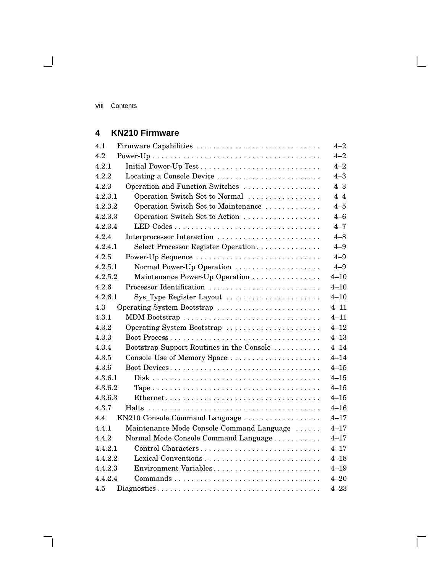$\overline{\phantom{0}}$ 

## **4 KN210 Firmware**

| 4.1     | Firmware Capabilities                     | $4 - 2$  |
|---------|-------------------------------------------|----------|
| 4.2     |                                           | $4 - 2$  |
| 4.2.1   |                                           | $4 - 2$  |
| 4.2.2   | Locating a Console Device                 | $4 - 3$  |
| 4.2.3   | Operation and Function Switches           | $4 - 3$  |
| 4.2.3.1 | Operation Switch Set to Normal            | $4 - 4$  |
| 4.2.3.2 | Operation Switch Set to Maintenance       | $4 - 5$  |
| 4.2.3.3 | Operation Switch Set to Action            | $4 - 6$  |
| 4.2.3.4 |                                           | $4 - 7$  |
| 4.2.4   | Interprocessor Interaction                | $4 - 8$  |
| 4.2.4.1 | Select Processor Register Operation       | $4 - 9$  |
| 4.2.5   | Power-Up Sequence                         | $4 - 9$  |
| 4.2.5.1 | Normal Power-Up Operation                 | $4 - 9$  |
| 4.2.5.2 | Maintenance Power-Up Operation            | $4 - 10$ |
| 4.2.6   | Processor Identification                  | $4 - 10$ |
| 4.2.6.1 | Sys_Type Register Layout                  | $4 - 10$ |
| 4.3     | Operating System Bootstrap                | $4 - 11$ |
| 4.3.1   |                                           | $4 - 11$ |
| 4.3.2   | Operating System Bootstrap                | $4 - 12$ |
| 4.3.3   |                                           | $4 - 13$ |
| 4.3.4   | Bootstrap Support Routines in the Console | $4 - 14$ |
| 4.3.5   | Console Use of Memory Space               | $4 - 14$ |
| 4.3.6   | Boot Devices                              | $4 - 15$ |
| 4.3.6.1 |                                           | $4 - 15$ |
| 4.3.6.2 |                                           | $4 - 15$ |
| 4.3.6.3 |                                           | $4 - 15$ |
| 4.3.7   |                                           | $4 - 16$ |
| 4.4     | KN210 Console Command Language            | $4 - 17$ |
| 4.4.1   | Maintenance Mode Console Command Language | $4 - 17$ |
| 4.4.2   | Normal Mode Console Command Language      | $4 - 17$ |
| 4.4.2.1 | Control Characters                        | $4 - 17$ |
| 4.4.2.2 |                                           | $4 - 18$ |
| 4.4.2.3 | Environment Variables                     | $4 - 19$ |
| 4.4.2.4 |                                           | $4 - 20$ |
| 4.5     |                                           | $4 - 23$ |

 $\bar{\Gamma}$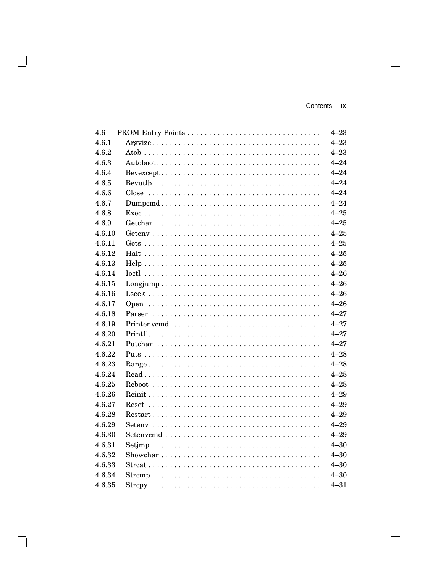$\overline{\Gamma}$ 

| 4.6    |             | $4 - 23$ |
|--------|-------------|----------|
| 4.6.1  |             | $4 - 23$ |
| 4.6.2  |             | $4 - 23$ |
| 4.6.3  |             | $4 - 24$ |
| 4.6.4  |             | $4 - 24$ |
| 4.6.5  |             | $4 - 24$ |
| 4.6.6  |             | $4 - 24$ |
| 4.6.7  |             | $4 - 24$ |
| 4.6.8  |             | $4 - 25$ |
| 4.6.9  |             | $4 - 25$ |
| 4.6.10 |             | $4 - 25$ |
| 4.6.11 |             | $4 - 25$ |
| 4.6.12 |             | $4 - 25$ |
| 4.6.13 |             | $4 - 25$ |
| 4.6.14 |             | $4 - 26$ |
| 4.6.15 |             | $4 - 26$ |
| 4.6.16 |             | $4 - 26$ |
| 4.6.17 |             | $4 - 26$ |
| 4.6.18 |             | $4 - 27$ |
| 4.6.19 | Printenvcmd | $4 - 27$ |
| 4.6.20 |             | $4 - 27$ |
| 4.6.21 |             | $4 - 27$ |
| 4.6.22 |             | $4 - 28$ |
| 4.6.23 |             | $4 - 28$ |
| 4.6.24 |             | $4 - 28$ |
| 4.6.25 |             | $4 - 28$ |
| 4.6.26 |             | $4 - 29$ |
| 4.6.27 |             | $4 - 29$ |
| 4.6.28 |             | $4 - 29$ |
| 4.6.29 |             | $4 - 29$ |
| 4.6.30 |             | $4 - 29$ |
| 4.6.31 |             | $4 - 30$ |
| 4.6.32 |             | $4 - 30$ |
| 4.6.33 |             | $4 - 30$ |
| 4.6.34 | $Strong$    | $4 - 30$ |
| 4.6.35 |             | $4 - 31$ |

H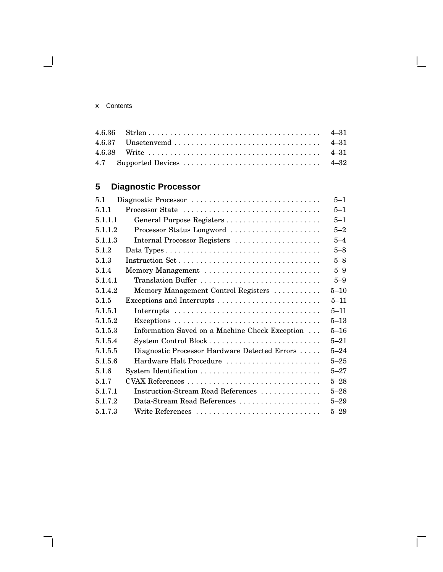#### x Contents

 $\blacksquare$ 

 $\mathbf{I}$ 

 $\bar{\Gamma}$ 

## **5 Diagnostic Processor**

| 5.1     | Diagnostic Processor                           | $5 - 1$  |
|---------|------------------------------------------------|----------|
| 5.1.1   | Processor State                                | $5 - 1$  |
| 5.1.1.1 |                                                | $5 - 1$  |
| 5.1.1.2 | Processor Status Longword                      | $5 - 2$  |
| 5.1.1.3 | Internal Processor Registers                   | $5 - 4$  |
| 5.1.2   |                                                | $5 - 8$  |
| 5.1.3   | Instruction Set                                | $5 - 8$  |
| 5.1.4   | Memory Management                              | $5 - 9$  |
| 5.1.4.1 | Translation Buffer                             | $5 - 9$  |
| 5.1.4.2 | Memory Management Control Registers            | $5 - 10$ |
| 5.1.5   |                                                | $5 - 11$ |
| 5.1.5.1 |                                                | $5 - 11$ |
| 5.1.5.2 |                                                | $5 - 13$ |
| 5.1.5.3 | Information Saved on a Machine Check Exception | $5 - 16$ |
| 5.1.5.4 |                                                | $5 - 21$ |
| 5.1.5.5 | Diagnostic Processor Hardware Detected Errors  | $5 - 24$ |
| 5.1.5.6 | Hardware Halt Procedure                        | $5 - 25$ |
| 5.1.6   |                                                | $5 - 27$ |
| 5.1.7   | CVAX References                                | $5 - 28$ |
| 5.1.7.1 | Instruction-Stream Read References             | $5 - 28$ |
| 5.1.7.2 | Data-Stream Read References                    | $5 - 29$ |
| 5.1.7.3 | Write References                               | $5 - 29$ |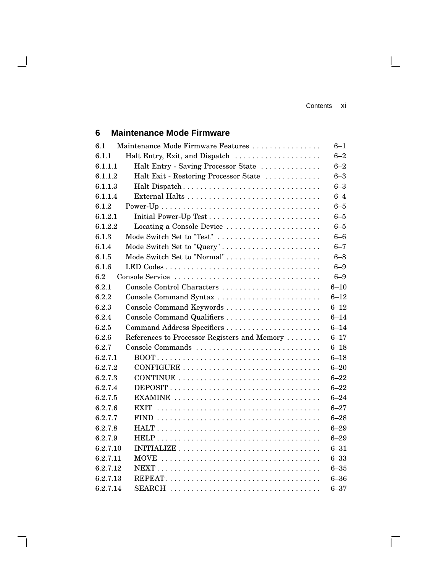$\mathbf{I}$ 

 $\overline{\Gamma}$ 

## **6 Maintenance Mode Firmware**

 $\overline{\phantom{a}}$ 

| 6.1      | Maintenance Mode Firmware Features           | $6 - 1$  |
|----------|----------------------------------------------|----------|
| 6.1.1    | Halt Entry, Exit, and Dispatch               | $6 - 2$  |
| 6.1.1.1  | Halt Entry - Saving Processor State          | $6 - 2$  |
| 6.1.1.2  | Halt Exit - Restoring Processor State        | $6 - 3$  |
| 6.1.1.3  | Halt Dispatch                                | $6 - 3$  |
| 6.1.1.4  |                                              | $6 - 4$  |
| 6.1.2    |                                              | $6 - 5$  |
| 6.1.2.1  |                                              | $6 - 5$  |
| 6.1.2.2  | Locating a Console Device                    | $6 - 5$  |
| 6.1.3    | Mode Switch Set to "Test"                    | $6 - 6$  |
| 6.1.4    | Mode Switch Set to "Query"                   | $6 - 7$  |
| 6.1.5    | Mode Switch Set to "Normal"                  | $6 - 8$  |
| 6.1.6    |                                              | $6 - 9$  |
| 6.2      | Console Service                              | $6 - 9$  |
| 6.2.1    | Console Control Characters                   | $6 - 10$ |
| 6.2.2    | Console Command Syntax                       | $6 - 12$ |
| 6.2.3    |                                              | $6 - 12$ |
| 6.2.4    |                                              | $6 - 14$ |
| 6.2.5    | Command Address Specifiers                   | $6 - 14$ |
| 6.2.6    | References to Processor Registers and Memory | $6 - 17$ |
| 6.2.7    |                                              | $6 - 18$ |
| 6.2.7.1  |                                              | $6 - 18$ |
| 6.2.7.2  |                                              | $6 - 20$ |
| 6.2.7.3  |                                              | $6 - 22$ |
| 6.2.7.4  |                                              | $6 - 22$ |
| 6.2.7.5  | EXAMINE                                      | $6 - 24$ |
| 6.2.7.6  |                                              | $6 - 27$ |
| 6.2.7.7  |                                              | $6 - 28$ |
| 6.2.7.8  |                                              | $6 - 29$ |
| 6.2.7.9  |                                              | $6 - 29$ |
| 6.2.7.10 |                                              | $6 - 31$ |
| 6.2.7.11 |                                              | $6 - 33$ |
| 6.2.7.12 |                                              | $6 - 35$ |
| 6.2.7.13 |                                              | $6 - 36$ |
| 6.2.7.14 | SEARCH                                       | $6 - 37$ |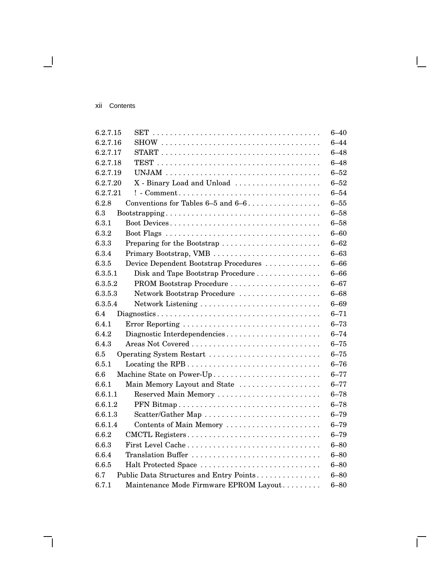#### xii Contents

 $\overline{\phantom{0}}$ 

| 6.2.7.15                                                                                                       | $6 - 40$ |
|----------------------------------------------------------------------------------------------------------------|----------|
| 6.2.7.16                                                                                                       | $6 - 44$ |
| 6.2.7.17<br>$\text{START} \dots \dots \dots \dots \dots \dots \dots \dots \dots \dots \dots \dots \dots \dots$ | $6 - 48$ |
| 6.2.7.18                                                                                                       | $6 - 48$ |
| 6.2.7.19                                                                                                       | $6 - 52$ |
| 6.2.7.20<br>X - Binary Load and Unload                                                                         | $6 - 52$ |
| 6.2.7.21<br>$! - Comment \dots \dots \dots \dots \dots \dots \dots \dots \dots \dots \dots \dots \dots$        | $6 - 54$ |
| 6.2.8<br>Conventions for Tables $6-5$ and $6-6$                                                                | $6 - 55$ |
| 6.3                                                                                                            | $6 - 58$ |
| 6.3.1<br>Boot Devices                                                                                          | $6 - 58$ |
| 6.3.2                                                                                                          | $6 - 60$ |
| 6.3.3<br>Preparing for the Bootstrap                                                                           | $6 - 62$ |
| 6.3.4<br>Primary Bootstrap, VMB                                                                                | $6 - 63$ |
| 6.3.5<br>Device Dependent Bootstrap Procedures                                                                 | $6 - 66$ |
| 6.3.5.1<br>Disk and Tape Bootstrap Procedure                                                                   | $6 - 66$ |
| 6.3.5.2                                                                                                        | $6 - 67$ |
| Network Bootstrap Procedure<br>6.3.5.3                                                                         | $6 - 68$ |
| 6.3.5.4                                                                                                        | $6 - 69$ |
| 6.4                                                                                                            | $6 - 71$ |
| 6.4.1<br>Error Reporting                                                                                       | $6 - 73$ |
| 6.4.2<br>Diagnostic Interdependencies                                                                          | $6 - 74$ |
| 6.4.3                                                                                                          | $6 - 75$ |
| 6.5<br>Operating System Restart                                                                                | $6 - 75$ |
| 6.5.1                                                                                                          | $6 - 76$ |
| 6.6<br>Machine State on Power-Up                                                                               | $6 - 77$ |
| 6.6.1<br>Main Memory Layout and State                                                                          | $6 - 77$ |
| 6.6.1.1<br>Reserved Main Memory                                                                                | $6 - 78$ |
| 6.6.1.2<br>PFN Bitmap                                                                                          | $6 - 78$ |
| 6.6.1.3<br>Scatter/Gather Map                                                                                  | $6 - 79$ |
| 6.6.1.4<br>Contents of Main Memory                                                                             | $6 - 79$ |
| 6.6.2<br>CMCTL Registers                                                                                       | $6 - 79$ |
| 6.6.3<br>First Level Cache                                                                                     | $6 - 80$ |
| 6.6.4<br>Translation Buffer                                                                                    | $6 - 80$ |
| 6.6.5<br>Halt Protected Space                                                                                  | $6 - 80$ |
| 6.7<br>Public Data Structures and Entry Points                                                                 | $6 - 80$ |
| 6.7.1<br>Maintenance Mode Firmware EPROM Layout                                                                | $6 - 80$ |

L

 $\overline{\Gamma}$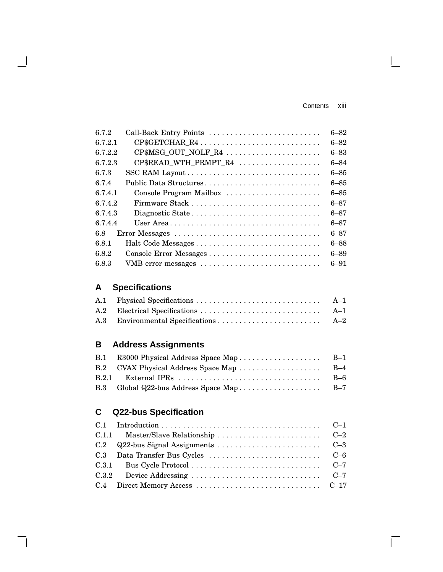Contents xiii

 $\mathbf{I}$ 

 $\Box$ 

| 672     | Call-Back Entry Points                                         | $6 - 82$ |
|---------|----------------------------------------------------------------|----------|
| 6.7.2.1 | CP\$GETCHAR_R4                                                 | $6 - 82$ |
| 6.7.2.2 | $CP$MSG_OUT_NOLF_R4 \dots \dots \dots \dots \dots \dots \dots$ | 6–83     |
| 6.7.2.3 | CP\$READ_WTH_PRMPT_R4                                          | $6 - 84$ |
| 6.7.3   |                                                                | $6 - 85$ |
| 6.7.4   | Public Data Structures                                         | $6 - 85$ |
| 6.7.4.1 | Console Program Mailbox                                        | $6 - 85$ |
| 6.7.4.2 |                                                                | $6 - 87$ |
| 6.743   | Diagnostic State                                               | $6 - 87$ |
| 6.7.4.4 |                                                                | $6 - 87$ |
| 6.8     |                                                                | $6 - 87$ |
| 6.8.1   |                                                                | $6 - 88$ |
| 6.8.2   | Console Error Messages                                         | $6 - 89$ |
| 6.8.3   | VMB error messages                                             | $6 - 91$ |

# **A Specifications**

 $\overline{\phantom{a}}$ 

# **B Address Assignments**

| B.1 R3000 Physical Address Space Map | $B-1$ |
|--------------------------------------|-------|
|                                      |       |
|                                      | $B-6$ |
|                                      |       |
|                                      |       |

# **C Q22-bus Specification**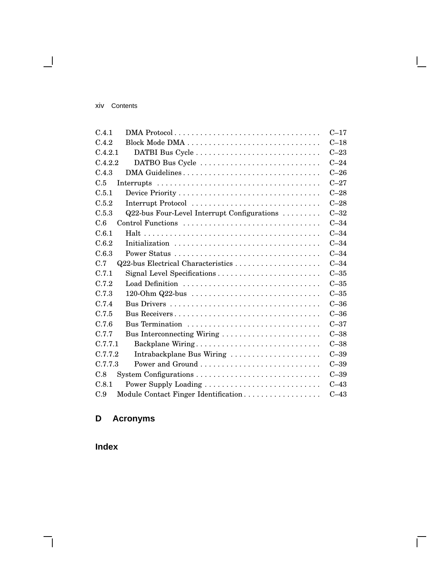#### xiv Contents

 $\blacksquare$ 

| C.4.1<br>DMA Protocol                                | $C-17$   |
|------------------------------------------------------|----------|
| C.4.2                                                | $C-18$   |
| C.4.2.1                                              | $C-23$   |
| C.4.2.2<br>DATBO Bus Cycle                           | $C-24$   |
| C.4.3<br>DMA Guidelines                              | $C-26$   |
| C.5                                                  | $C - 27$ |
| C.5.1                                                | $C-28$   |
| C.5.2<br>Interrupt Protocol                          | $C-28$   |
| C.5.3<br>Q22-bus Four-Level Interrupt Configurations | $C-32$   |
| C.6<br>Control Functions                             | $C-34$   |
| C.6.1                                                | $C-34$   |
| C.6.2<br>Initialization                              | $C-34$   |
| C.6.3                                                | $C-34$   |
| C.7                                                  | $C-34$   |
| C.7.1                                                | $C-35$   |
| C.7.2<br>Load Definition                             | $C-35$   |
| C.7.3<br>$120$ -Ohm Q22-bus                          | $C-35$   |
| C.7.4                                                | $C-36$   |
| C.7.5<br>Bus Receivers                               | $C-36$   |
| C.7.6<br>Bus Termination                             | $C-37$   |
| C.7.7<br>Bus Interconnecting Wiring                  | $C-38$   |
| C.7.7.1<br>Backplane Wiring                          | $C-38$   |
| C.7.7.2<br>Intrabackplane Bus Wiring                 | $C-39$   |
| C.7.7.3                                              | $C-39$   |
| C.8                                                  | $C-39$   |
| C.8.1                                                | $C-43$   |
| C.9<br>Module Contact Finger Identification          | $C-43$   |

 $\mathbf{I}$ 

 $\overline{\Gamma}$ 

# **D Acronyms**

**Index**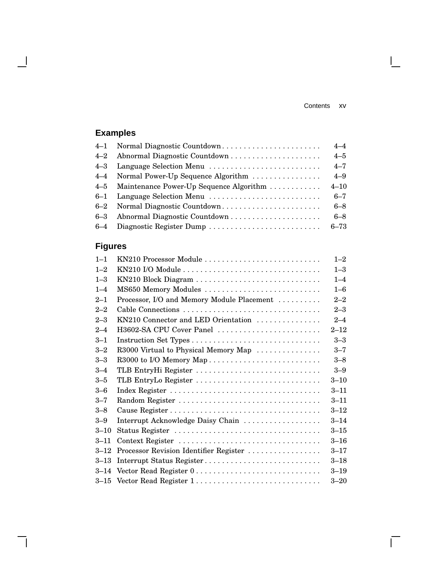$\mathbf{I}$ 

 $\overline{\Gamma}$ 

# **Examples**

 $\overline{\phantom{a}}$ 

 $\mathsf{l}$ 

|                                             | $4 - 4$  |
|---------------------------------------------|----------|
|                                             | $4 - 5$  |
|                                             | $4 - 7$  |
| 4–4 Normal Power-Up Sequence Algorithm      | $4 - 9$  |
| 4–5 Maintenance Power-Up Sequence Algorithm | $4 - 10$ |
| 6-1 Language Selection Menu                 | $6 - 7$  |
| 6–2 Normal Diagnostic Countdown             | $6 - 8$  |
|                                             | $6 - 8$  |
|                                             |          |

# **Figures**

| $1 - 1$  | KN210 Processor Module                     | $1 - 2$  |
|----------|--------------------------------------------|----------|
| $1 - 2$  |                                            | $1 - 3$  |
| $1 - 3$  | KN210 Block Diagram                        | $1 - 4$  |
| $1 - 4$  | MS650 Memory Modules                       | $1 - 6$  |
| $2 - 1$  | Processor, I/O and Memory Module Placement | $2 - 2$  |
| $2 - 2$  |                                            | $2 - 3$  |
| $2 - 3$  | KN210 Connector and LED Orientation        | $2 - 4$  |
| $2 - 4$  | H3602-SA CPU Cover Panel                   | $2 - 12$ |
| $3 - 1$  |                                            | $3 - 3$  |
| $3 - 2$  | R3000 Virtual to Physical Memory Map       | $3 - 7$  |
| $3 - 3$  |                                            | $3 - 8$  |
| $3 - 4$  | TLB EntryHi Register                       | $3 - 9$  |
| $3 - 5$  | TLB EntryLo Register                       | $3 - 10$ |
| $3-6$    |                                            | $3 - 11$ |
| $3 - 7$  |                                            | $3 - 11$ |
| $3 - 8$  |                                            | $3 - 12$ |
| $3 - 9$  | Interrupt Acknowledge Daisy Chain          | $3 - 14$ |
| $3 - 10$ | Status Register                            | $3 - 15$ |
| $3 - 11$ | Context Register                           | $3 - 16$ |
| $3 - 12$ | Processor Revision Identifier Register     | $3 - 17$ |
| $3 - 13$ | Interrupt Status Register                  | $3 - 18$ |
| $3 - 14$ | Vector Read Register 0                     | $3 - 19$ |
|          | 3-15 Vector Read Register 1                | $3 - 20$ |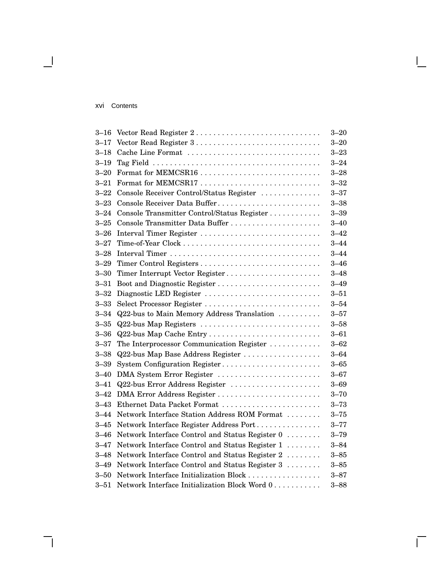#### xvi Contents

 $\overline{\phantom{0}}$ 

| $3 - 16$ | Vector Read Register 2                          | $3 - 20$ |
|----------|-------------------------------------------------|----------|
| $3 - 17$ | Vector Read Register 3                          | $3 - 20$ |
| $3 - 18$ | Cache Line Format                               | $3 - 23$ |
| $3 - 19$ |                                                 | $3 - 24$ |
| $3 - 20$ | Format for MEMCSR16                             | $3 - 28$ |
| $3 - 21$ |                                                 | $3 - 32$ |
| $3 - 22$ | Console Receiver Control/Status Register        | $3 - 37$ |
| $3 - 23$ | Console Receiver Data Buffer                    | $3 - 38$ |
| $3 - 24$ | Console Transmitter Control/Status Register     | $3 - 39$ |
| $3 - 25$ | Console Transmitter Data Buffer                 | $3 - 40$ |
| $3 - 26$ | Interval Timer Register                         | $3 - 42$ |
| $3 - 27$ |                                                 | $3 - 44$ |
| $3 - 28$ |                                                 | $3 - 44$ |
| $3 - 29$ |                                                 | $3 - 46$ |
| $3 - 30$ | Timer Interrupt Vector Register                 | $3 - 48$ |
| $3 - 31$ | Boot and Diagnostic Register                    | $3 - 49$ |
| $3 - 32$ | Diagnostic LED Register                         | $3 - 51$ |
| $3 - 33$ |                                                 | $3 - 54$ |
| $3 - 34$ | Q22-bus to Main Memory Address Translation      | $3 - 57$ |
| $3 - 35$ | Q22-bus Map Registers                           | $3 - 58$ |
| $3 - 36$ | Q22-bus Map Cache Entry                         | $3 - 61$ |
| $3 - 37$ | The Interprocessor Communication Register       | $3 - 62$ |
| $3 - 38$ | Q22-bus Map Base Address Register               | $3 - 64$ |
| $3 - 39$ | System Configuration Register                   | $3 - 65$ |
| $3 - 40$ | DMA System Error Register                       | $3 - 67$ |
| $3 - 41$ | Q22-bus Error Address Register                  | $3 - 69$ |
| $3 - 42$ | DMA Error Address Register                      | $3 - 70$ |
| $3 - 43$ | Ethernet Data Packet Format                     | $3 - 73$ |
| $3 - 44$ | Network Interface Station Address ROM Format    | $3 - 75$ |
| $3 - 45$ | Network Interface Register Address Port         | $3 - 77$ |
| $3 - 46$ | Network Interface Control and Status Register 0 | $3 - 79$ |
| $3 - 47$ | Network Interface Control and Status Register 1 | $3 - 84$ |
| $3 - 48$ | Network Interface Control and Status Register 2 | $3 - 85$ |
| $3 - 49$ | Network Interface Control and Status Register 3 | $3 - 85$ |
| $3 - 50$ | Network Interface Initialization Block          | $3 - 87$ |
| $3 - 51$ | Network Interface Initialization Block Word 0   | $3 - 88$ |
|          |                                                 |          |

 $\mathsf{I}$ 

 $\bar{\Gamma}$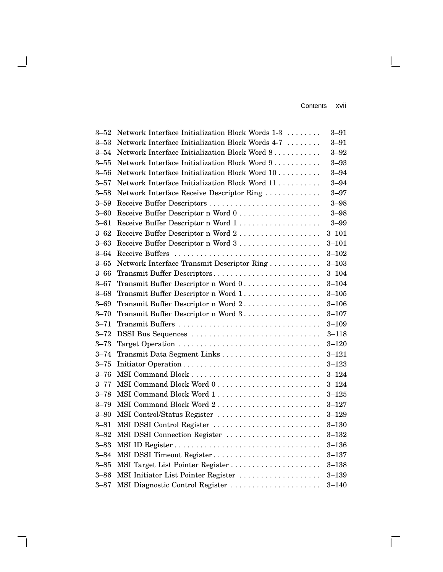Contents xvii

 $\mathbf{I}$ 

 $\overline{\Gamma}$ 

| $3 - 52$ | Network Interface Initialization Block Words 1-3 | $3 - 91$  |
|----------|--------------------------------------------------|-----------|
| $3 - 53$ | Network Interface Initialization Block Words 4-7 | $3 - 91$  |
| $3 - 54$ | Network Interface Initialization Block Word 8    | $3 - 92$  |
| $3 - 55$ | Network Interface Initialization Block Word 9    | $3 - 93$  |
| $3 - 56$ | Network Interface Initialization Block Word 10   | $3 - 94$  |
| $3 - 57$ | Network Interface Initialization Block Word 11   | $3 - 94$  |
| $3 - 58$ | Network Interface Receive Descriptor Ring        | $3 - 97$  |
| $3 - 59$ | Receive Buffer Descriptors                       | $3 - 98$  |
| $3 - 60$ | Receive Buffer Descriptor n Word 0               | $3 - 98$  |
| $3 - 61$ |                                                  | $3 - 99$  |
| $3 - 62$ | Receive Buffer Descriptor n Word 2               | $3 - 101$ |
| $3 - 63$ |                                                  | $3 - 101$ |
| $3 - 64$ |                                                  | $3 - 102$ |
| $3 - 65$ | Network Interface Transmit Descriptor Ring       | $3 - 103$ |
| $3 - 66$ | Transmit Buffer Descriptors                      | $3 - 104$ |
| $3 - 67$ | Transmit Buffer Descriptor n Word 0              | $3 - 104$ |
| $3 - 68$ | Transmit Buffer Descriptor n Word 1.             | $3 - 105$ |
| $3 - 69$ | Transmit Buffer Descriptor n Word 2              | $3 - 106$ |
| $3 - 70$ | Transmit Buffer Descriptor n Word 3              | $3 - 107$ |
| $3 - 71$ | Transmit Buffers                                 | $3 - 109$ |
| $3 - 72$ | DSSI Bus Sequences                               | $3 - 118$ |
| $3 - 73$ |                                                  | $3 - 120$ |
| $3 - 74$ |                                                  | $3 - 121$ |
| $3 - 75$ | Initiator Operation                              | $3 - 123$ |
| $3 - 76$ |                                                  | $3 - 124$ |
| $3 - 77$ |                                                  | $3 - 124$ |
| $3 - 78$ |                                                  | $3 - 125$ |
| $3 - 79$ | MSI Command Block Word 2                         | $3 - 127$ |
| $3 - 80$ | MSI Control/Status Register                      | $3 - 129$ |
| $3 - 81$ | MSI DSSI Control Register                        | $3 - 130$ |
| $3 - 82$ | MSI DSSI Connection Register                     | $3 - 132$ |
| $3 - 83$ |                                                  | $3 - 136$ |
| $3 - 84$ | MSI DSSI Timeout Register                        | $3 - 137$ |
| $3 - 85$ | MSI Target List Pointer Register                 | $3 - 138$ |
| $3 - 86$ | MSI Initiator List Pointer Register              | $3 - 139$ |
| $3 - 87$ | MSI Diagnostic Control Register                  | $3 - 140$ |

 $\overline{\phantom{a}}$ 

 $\mathsf{l}$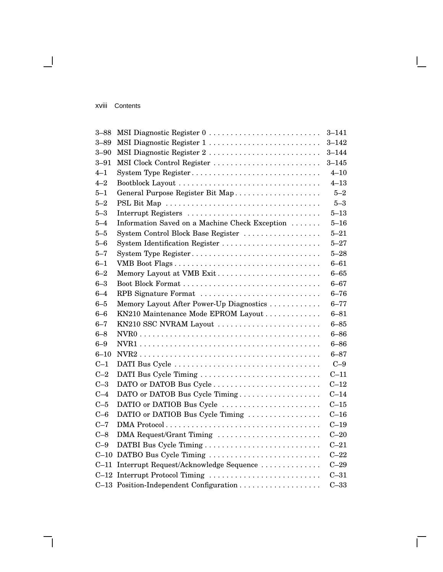#### xviii Contents

 $\overline{\phantom{0}}$ 

| $3 - 88$ | MSI Diagnostic Register 0                      | $3 - 141$ |
|----------|------------------------------------------------|-----------|
| $3 - 89$ | MSI Diagnostic Register 1                      | $3 - 142$ |
| $3 - 90$ | MSI Diagnostic Register 2                      | $3 - 144$ |
| $3 - 91$ | MSI Clock Control Register                     | $3 - 145$ |
| $4 - 1$  | System Type Register                           | $4 - 10$  |
| $4 - 2$  |                                                | $4 - 13$  |
| $5 - 1$  | General Purpose Register Bit Map               | $5 - 2$   |
| $5 - 2$  |                                                | $5 - 3$   |
| $5 - 3$  | Interrupt Registers                            | $5 - 13$  |
| $5 - 4$  | Information Saved on a Machine Check Exception | $5 - 16$  |
| $5 - 5$  | System Control Block Base Register             | $5 - 21$  |
| $5 - 6$  | System Identification Register                 | $5 - 27$  |
| $5 - 7$  | System Type Register                           | $5 - 28$  |
| $6 - 1$  | VMB Boot Flags                                 | $6 - 61$  |
| $6 - 2$  | Memory Layout at VMB Exit                      | $6 - 65$  |
| $6 - 3$  |                                                | $6 - 67$  |
| $6 - 4$  | RPB Signature Format                           | $6 - 76$  |
| $6 - 5$  | Memory Layout After Power-Up Diagnostics       | $6 - 77$  |
| $6 - 6$  | KN210 Maintenance Mode EPROM Layout            | $6 - 81$  |
| $6 - 7$  | KN210 SSC NVRAM Layout                         | $6 - 85$  |
| $6 - 8$  |                                                | $6 - 86$  |
| $6 - 9$  |                                                | $6 - 86$  |
| $6 - 10$ |                                                | $6 - 87$  |
| $C-1$    |                                                | $C-9$     |
| $C-2$    | DATI Bus Cycle Timing                          | $C-11$    |
| $C-3$    | DATO or DATOB Bus Cycle                        | $C-12$    |
| $C-4$    | DATO or DATOB Bus Cycle Timing                 | $C-14$    |
| $C-5$    | DATIO or DATIOB Bus Cycle                      | $C-15$    |
| $C-6$    | DATIO or DATIOB Bus Cycle Timing               | $C-16$    |
| $C-7$    |                                                | $C-19$    |
| $C-8$    | DMA Request/Grant Timing                       | $C-20$    |
| $C-9$    |                                                | $C-21$    |
| $C-10$   | DATBO Bus Cycle Timing                         | $C-22$    |
| $C-11$   | Interrupt Request/Acknowledge Sequence         | $C-29$    |
|          | C-12 Interrupt Protocol Timing                 | $C-31$    |
|          | C-13 Position-Independent Configuration        | $C-33$    |

 $\mathsf{I}$ 

 $\bar{\Gamma}$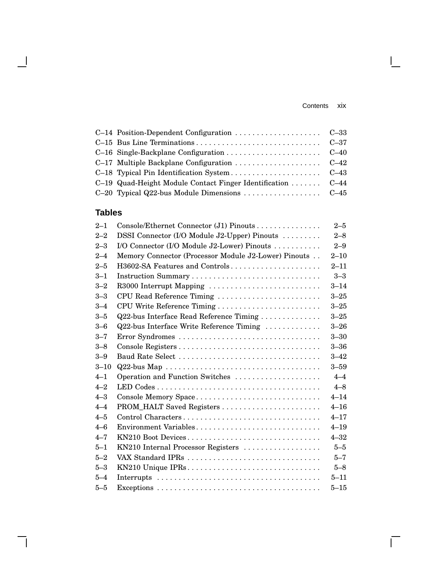#### Contents xix

L

 $\overline{\Gamma}$ 

| C-19 Quad-Height Module Contact Finger Identification C-44 |  |
|------------------------------------------------------------|--|
|                                                            |  |

# **Tables**

 $\overline{\phantom{a}}$ 

 $\mathbf{I}$ 

| $2 - 1$  | Console/Ethernet Connector (J1) Pinouts              | $2 - 5$  |
|----------|------------------------------------------------------|----------|
| $2 - 2$  | DSSI Connector (I/O Module J2-Upper) Pinouts         | $2 - 8$  |
| $2 - 3$  | I/O Connector (I/O Module J2-Lower) Pinouts          | $2 - 9$  |
| $2 - 4$  | Memory Connector (Processor Module J2-Lower) Pinouts | $2 - 10$ |
| $2 - 5$  | H3602-SA Features and Controls                       | $2 - 11$ |
| $3 - 1$  |                                                      | $3 - 3$  |
| $3 - 2$  | R3000 Interrupt Mapping                              | $3 - 14$ |
| $3 - 3$  | CPU Read Reference Timing                            | $3 - 25$ |
| $3 - 4$  | CPU Write Reference Timing                           | $3 - 25$ |
| $3 - 5$  | Q22-bus Interface Read Reference Timing              | $3 - 25$ |
| $3 - 6$  | Q22-bus Interface Write Reference Timing             | $3 - 26$ |
| $3 - 7$  | Error Syndromes                                      | $3 - 30$ |
| $3 - 8$  |                                                      | $3 - 36$ |
| $3 - 9$  |                                                      | $3 - 42$ |
| $3 - 10$ |                                                      | $3 - 59$ |
| $4 - 1$  | Operation and Function Switches                      | $4 - 4$  |
| $4 - 2$  |                                                      | $4 - 8$  |
| $4 - 3$  | Console Memory Space                                 | $4 - 14$ |
| $4 - 4$  |                                                      | $4 - 16$ |
| $4 - 5$  | Control Characters                                   | $4 - 17$ |
| $4 - 6$  | Environment Variables                                | $4 - 19$ |
| $4 - 7$  | KN210 Boot Devices                                   | $4 - 32$ |
| $5 - 1$  | KN210 Internal Processor Registers                   | $5 - 5$  |
| $5 - 2$  |                                                      | $5 - 7$  |
| $5 - 3$  | KN210 Unique IPRs                                    | $5 - 8$  |
| $5 - 4$  |                                                      | $5 - 11$ |
| $5 - 5$  |                                                      | $5 - 15$ |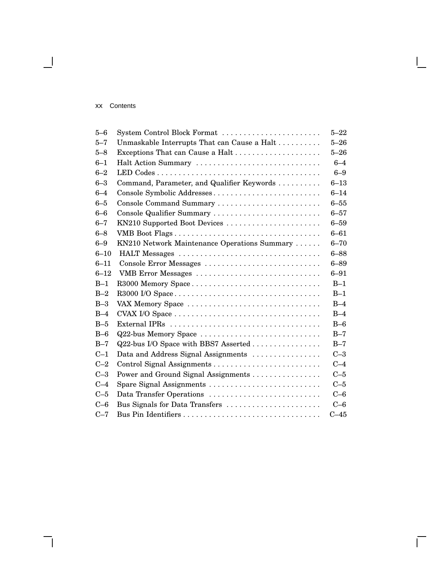#### xx Contents

 $\overline{\phantom{a}}$ 

| $5 - 6$  | System Control Block Format                  | $5 - 22$ |  |
|----------|----------------------------------------------|----------|--|
| $5 - 7$  | Unmaskable Interrupts That can Cause a Halt  | $5 - 26$ |  |
| $5 - 8$  | $5 - 26$                                     |          |  |
| $6 - 1$  | Halt Action Summary                          |          |  |
| $6 - 2$  |                                              | $6 - 9$  |  |
| $6 - 3$  | Command, Parameter, and Qualifier Keywords   | $6 - 13$ |  |
| $6 - 4$  | Console Symbolic Addresses                   | $6 - 14$ |  |
| $6 - 5$  | Console Command Summary                      | $6 - 55$ |  |
| $6 - 6$  | Console Qualifier Summary                    | $6 - 57$ |  |
| $6 - 7$  | KN210 Supported Boot Devices                 | $6 - 59$ |  |
| $6 - 8$  |                                              | $6 - 61$ |  |
| $6 - 9$  | KN210 Network Maintenance Operations Summary | $6 - 70$ |  |
| $6 - 10$ | HALT Messages                                | $6 - 88$ |  |
| $6 - 11$ | Console Error Messages                       | $6 - 89$ |  |
| $6 - 12$ | VMB Error Messages                           | $6 - 91$ |  |
| $B-1$    | R3000 Memory Space                           | $B-1$    |  |
| $B-2$    | R3000 I/O Space                              | $B-1$    |  |
| $B-3$    | VAX Memory Space                             | $B-4$    |  |
| $B-4$    |                                              | $B-4$    |  |
| $B-5$    |                                              | $B-6$    |  |
| $B-6$    | Q22-bus Memory Space                         | $B-7$    |  |
| $B-7$    | Q22-bus I/O Space with BBS7 Asserted         | $B-7$    |  |
| $C-1$    | Data and Address Signal Assignments          | $C-3$    |  |
| $C-2$    |                                              | $C-4$    |  |
| $C-3$    | Power and Ground Signal Assignments          | $C-5$    |  |
| $C-4$    | Spare Signal Assignments                     | $C-5$    |  |
| $C-5$    | Data Transfer Operations                     | $C-6$    |  |
| $C - 6$  | Bus Signals for Data Transfers               | $C-6$    |  |
| $C-7$    |                                              | $C-45$   |  |

 $\bar{\Gamma}$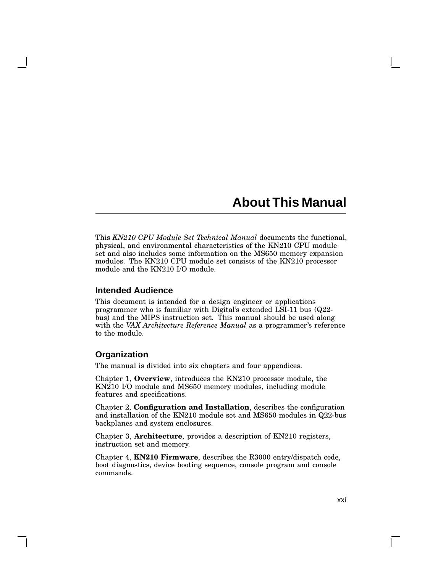# **About This Manual**

This *KN210 CPU Module Set Technical Manual* documents the functional, physical, and environmental characteristics of the KN210 CPU module set and also includes some information on the MS650 memory expansion modules. The KN210 CPU module set consists of the KN210 processor module and the KN210 I/O module.

#### **Intended Audience**

This document is intended for a design engineer or applications programmer who is familiar with Digital's extended LSI-11 bus (Q22 bus) and the MIPS instruction set. This manual should be used along with the *VAX Architecture Reference Manual* as a programmer's reference to the module.

#### **Organization**

The manual is divided into six chapters and four appendices.

Chapter 1, **Overview**, introduces the KN210 processor module, the KN210 I/O module and MS650 memory modules, including module features and specifications.

Chapter 2, **Configuration and Installation**, describes the configuration and installation of the KN210 module set and MS650 modules in Q22-bus backplanes and system enclosures.

Chapter 3, **Architecture**, provides a description of KN210 registers, instruction set and memory.

Chapter 4, **KN210 Firmware**, describes the R3000 entry/dispatch code, boot diagnostics, device booting sequence, console program and console commands.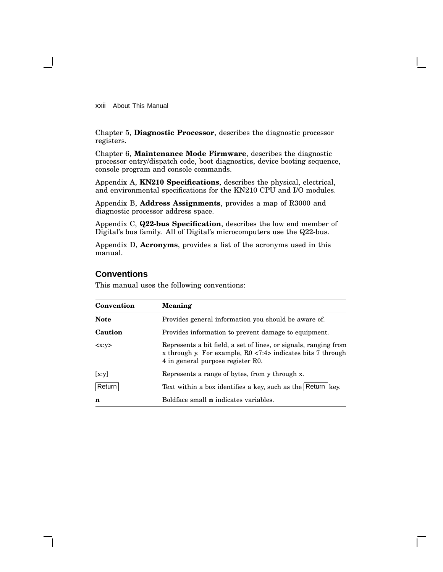xxii About This Manual

Chapter 5, **Diagnostic Processor**, describes the diagnostic processor registers.

Chapter 6, **Maintenance Mode Firmware**, describes the diagnostic processor entry/dispatch code, boot diagnostics, device booting sequence, console program and console commands.

Appendix A, **KN210 Specifications**, describes the physical, electrical, and environmental specifications for the KN210 CPU and I/O modules.

Appendix B, **Address Assignments**, provides a map of R3000 and diagnostic processor address space.

Appendix C, **Q22-bus Specification**, describes the low end member of Digital's bus family. All of Digital's microcomputers use the Q22-bus.

Appendix D, **Acronyms**, provides a list of the acronyms used in this manual.

#### **Conventions**

This manual uses the following conventions:

| Convention  | <b>Meaning</b>                                                                                                                                                         |
|-------------|------------------------------------------------------------------------------------------------------------------------------------------------------------------------|
| <b>Note</b> | Provides general information you should be aware of.                                                                                                                   |
| Caution     | Provides information to prevent damage to equipment.                                                                                                                   |
| < x: v>     | Represents a bit field, a set of lines, or signals, ranging from<br>x through y. For example, $R0$ <7:4> indicates bits 7 through<br>4 in general purpose register R0. |
| [x:y]       | Represents a range of bytes, from y through x.                                                                                                                         |
| Return      | Text within a box identifies a key, such as the Return key.                                                                                                            |
| n           | Boldface small <b>n</b> indicates variables.                                                                                                                           |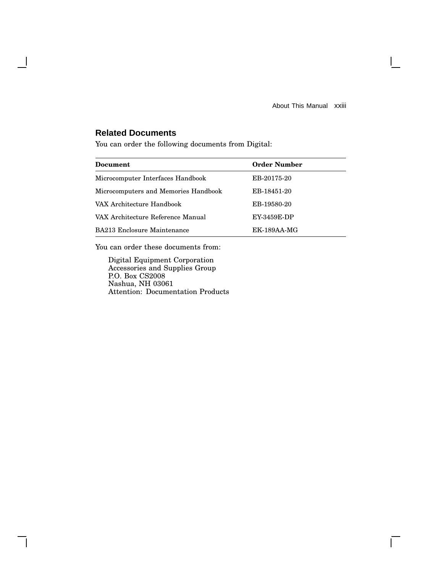About This Manual xxiii

 $\mathbf{L}$ 

### **Related Documents**

 $\mathbf l$ 

You can order the following documents from Digital:

| Document                             | <b>Order Number</b> |  |
|--------------------------------------|---------------------|--|
|                                      |                     |  |
| Microcomputer Interfaces Handbook    | EB-20175-20         |  |
| Microcomputers and Memories Handbook | EB-18451-20         |  |
| VAX Architecture Handbook            | EB-19580-20         |  |
| VAX Architecture Reference Manual    | EY-3459E-DP         |  |
| BA213 Enclosure Maintenance          | $EK-189AA-MG$       |  |

You can order these documents from:

Digital Equipment Corporation Accessories and Supplies Group P.O. Box CS2008 Nashua, NH 03061 Attention: Documentation Products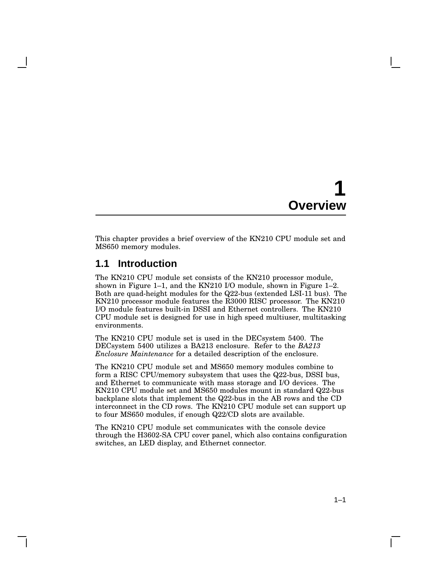# **1 Overview**

This chapter provides a brief overview of the KN210 CPU module set and MS650 memory modules.

### **1.1 Introduction**

The KN210 CPU module set consists of the KN210 processor module, shown in Figure 1–1, and the KN210 I/O module, shown in Figure 1–2. Both are quad-height modules for the Q22-bus (extended LSI-11 bus). The KN210 processor module features the R3000 RISC processor. The KN210 I/O module features built-in DSSI and Ethernet controllers. The KN210 CPU module set is designed for use in high speed multiuser, multitasking environments.

The KN210 CPU module set is used in the DECsystem 5400. The DECsystem 5400 utilizes a BA213 enclosure. Refer to the *BA213 Enclosure Maintenance* for a detailed description of the enclosure.

The KN210 CPU module set and MS650 memory modules combine to form a RISC CPU/memory subsystem that uses the Q22-bus, DSSI bus, and Ethernet to communicate with mass storage and I/O devices. The KN210 CPU module set and MS650 modules mount in standard Q22-bus backplane slots that implement the Q22-bus in the AB rows and the CD interconnect in the CD rows. The KN210 CPU module set can support up to four MS650 modules, if enough Q22/CD slots are available.

The KN210 CPU module set communicates with the console device through the H3602-SA CPU cover panel, which also contains configuration switches, an LED display, and Ethernet connector.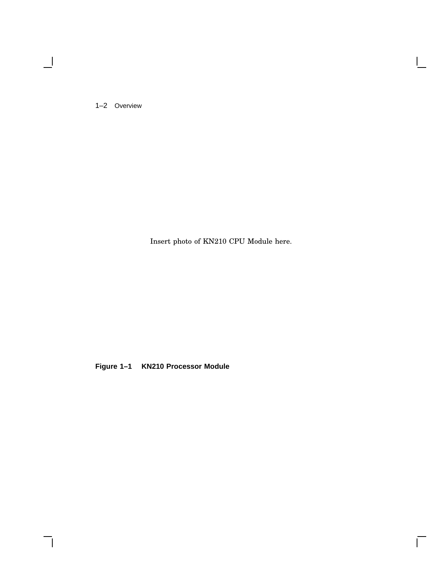1–2 Overview

 $\blacksquare$ 

Insert photo of KN210 CPU Module here.

 $\bar{\Gamma}$ 

**Figure 1–1 KN210 Processor Module**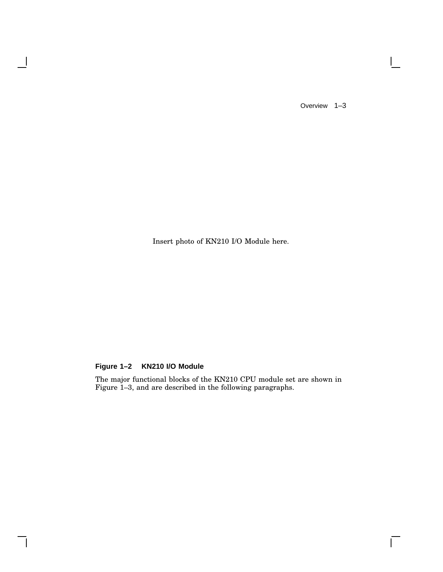Overview 1–3

 $\mathsf{I}$ 

 $\overline{\Gamma}$ 

Insert photo of KN210 I/O Module here.

### **Figure 1–2 KN210 I/O Module**

 $\overline{\phantom{a}}$ 

The major functional blocks of the KN210 CPU module set are shown in Figure 1–3, and are described in the following paragraphs.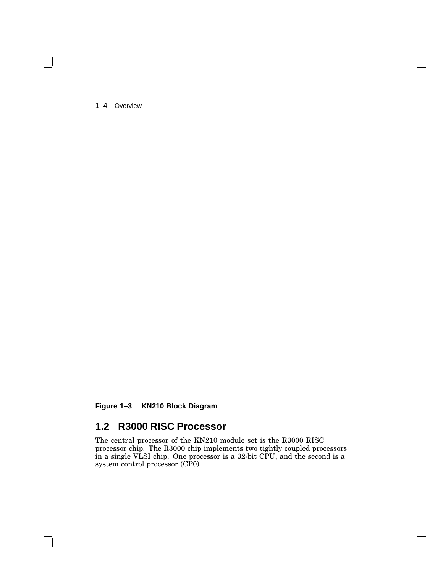1–4 Overview

**Figure 1–3 KN210 Block Diagram**

## **1.2 R3000 RISC Processor**

The central processor of the KN210 module set is the R3000 RISC processor chip. The R3000 chip implements two tightly coupled processors in a single VLSI chip. One processor is a 32-bit CPU, and the second is a system control processor (CP0).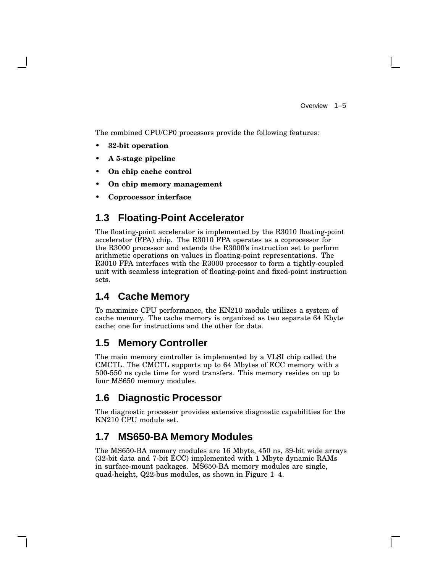Overview 1–5

The combined CPU/CP0 processors provide the following features:

- **32-bit operation**
- **A 5-stage pipeline**
- **On chip cache control**
- **On chip memory management**
- **Coprocessor interface**

## **1.3 Floating-Point Accelerator**

The floating-point accelerator is implemented by the R3010 floating-point accelerator (FPA) chip. The R3010 FPA operates as a coprocessor for the R3000 processor and extends the R3000's instruction set to perform arithmetic operations on values in floating-point representations. The R3010 FPA interfaces with the R3000 processor to form a tightly-coupled unit with seamless integration of floating-point and fixed-point instruction sets.

### **1.4 Cache Memory**

To maximize CPU performance, the KN210 module utilizes a system of cache memory. The cache memory is organized as two separate 64 Kbyte cache; one for instructions and the other for data.

### **1.5 Memory Controller**

The main memory controller is implemented by a VLSI chip called the CMCTL. The CMCTL supports up to 64 Mbytes of ECC memory with a 500-550 ns cycle time for word transfers. This memory resides on up to four MS650 memory modules.

## **1.6 Diagnostic Processor**

The diagnostic processor provides extensive diagnostic capabilities for the KN210 CPU module set.

## **1.7 MS650-BA Memory Modules**

The MS650-BA memory modules are 16 Mbyte, 450 ns, 39-bit wide arrays (32-bit data and 7-bit ECC) implemented with 1 Mbyte dynamic RAMs in surface-mount packages. MS650-BA memory modules are single, quad-height, Q22-bus modules, as shown in Figure 1–4.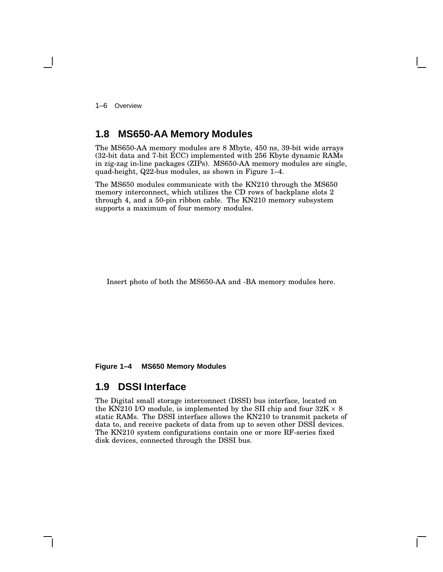1–6 Overview

### **1.8 MS650-AA Memory Modules**

The MS650-AA memory modules are 8 Mbyte, 450 ns, 39-bit wide arrays (32-bit data and 7-bit ECC) implemented with 256 Kbyte dynamic RAMs in zig-zag in-line packages (ZIPs). MS650-AA memory modules are single, quad-height, Q22-bus modules, as shown in Figure 1–4.

The MS650 modules communicate with the KN210 through the MS650 memory interconnect, which utilizes the CD rows of backplane slots 2 through 4, and a 50-pin ribbon cable. The KN210 memory subsystem supports a maximum of four memory modules.

Insert photo of both the MS650-AA and -BA memory modules here.

**Figure 1–4 MS650 Memory Modules**

### **1.9 DSSI Interface**

The Digital small storage interconnect (DSSI) bus interface, located on the KN210 I/O module, is implemented by the SII chip and four  $32\mathrm{K}\times 8$ static RAMs. The DSSI interface allows the KN210 to transmit packets of data to, and receive packets of data from up to seven other DSSI devices. The KN210 system configurations contain one or more RF-series fixed disk devices, connected through the DSSI bus.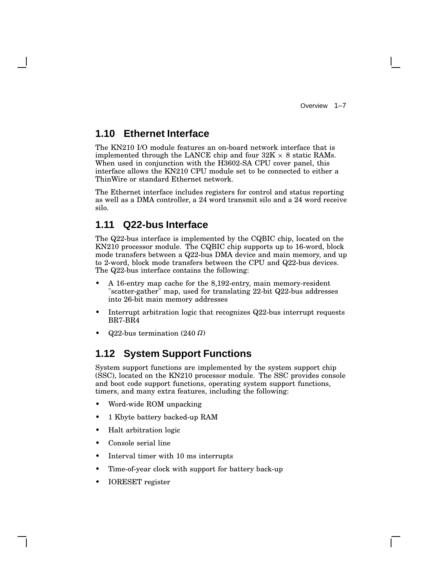### **1.10 Ethernet Interface**

The KN210 I/O module features an on-board network interface that is implemented through the LANCE chip and four  $32K \times 8$  static RAMs. When used in conjunction with the H3602-SA CPU cover panel, this interface allows the KN210 CPU module set to be connected to either a ThinWire or standard Ethernet network.

The Ethernet interface includes registers for control and status reporting as well as a DMA controller, a 24 word transmit silo and a 24 word receive silo.

### **1.11 Q22-bus Interface**

The Q22-bus interface is implemented by the CQBIC chip, located on the KN210 processor module. The CQBIC chip supports up to 16-word, block mode transfers between a Q22-bus DMA device and main memory, and up to 2-word, block mode transfers between the CPU and Q22-bus devices. The Q22-bus interface contains the following:

- A 16-entry map cache for the 8,192-entry, main memory-resident "scatter-gather" map, used for translating 22-bit Q22-bus addresses into 26-bit main memory addresses
- Interrupt arbitration logic that recognizes Q22-bus interrupt requests BR7-BR4
- $Q22$ -bus termination (240  $\Omega$ )

### **1.12 System Support Functions**

System support functions are implemented by the system support chip (SSC), located on the KN210 processor module. The SSC provides console and boot code support functions, operating system support functions, timers, and many extra features, including the following:

- Word-wide ROM unpacking
- 1 Kbyte battery backed-up RAM
- Halt arbitration logic
- Console serial line
- Interval timer with 10 ms interrupts
- Time-of-year clock with support for battery back-up
- IORESET register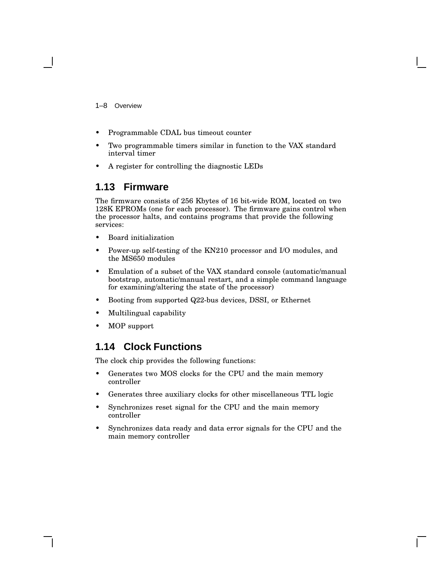1–8 Overview

- Programmable CDAL bus timeout counter
- Two programmable timers similar in function to the VAX standard interval timer
- A register for controlling the diagnostic LEDs

### **1.13 Firmware**

The firmware consists of 256 Kbytes of 16 bit-wide ROM, located on two 128K EPROMs (one for each processor). The firmware gains control when the processor halts, and contains programs that provide the following services:

- Board initialization
- Power-up self-testing of the KN210 processor and I/O modules, and the MS650 modules
- Emulation of a subset of the VAX standard console (automatic/manual bootstrap, automatic/manual restart, and a simple command language for examining/altering the state of the processor)
- Booting from supported Q22-bus devices, DSSI, or Ethernet
- Multilingual capability
- MOP support

## **1.14 Clock Functions**

The clock chip provides the following functions:

- Generates two MOS clocks for the CPU and the main memory controller
- Generates three auxiliary clocks for other miscellaneous TTL logic
- Synchronizes reset signal for the CPU and the main memory controller
- Synchronizes data ready and data error signals for the CPU and the main memory controller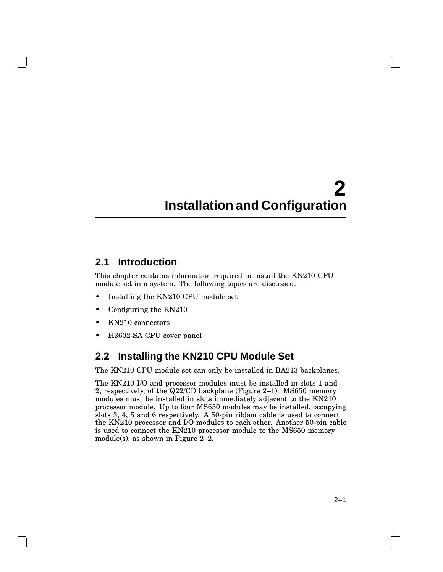# **2 Installation and Configuration**

## **2.1 Introduction**

This chapter contains information required to install the KN210 CPU module set in a system. The following topics are discussed:

- Installing the KN210 CPU module set
- Configuring the KN210
- KN210 connectors
- H3602-SA CPU cover panel

## **2.2 Installing the KN210 CPU Module Set**

The KN210 CPU module set can only be installed in BA213 backplanes.

The KN210 I/O and processor modules must be installed in slots 1 and 2, respectively, of the Q22/CD backplane (Figure 2–1). MS650 memory modules must be installed in slots immediately adjacent to the KN210 processor module. Up to four MS650 modules may be installed, occupying slots 3, 4, 5 and 6 respectively. A 50-pin ribbon cable is used to connect the KN210 processor and I/O modules to each other. Another 50-pin cable is used to connect the KN210 processor module to the MS650 memory module(s), as shown in Figure 2–2.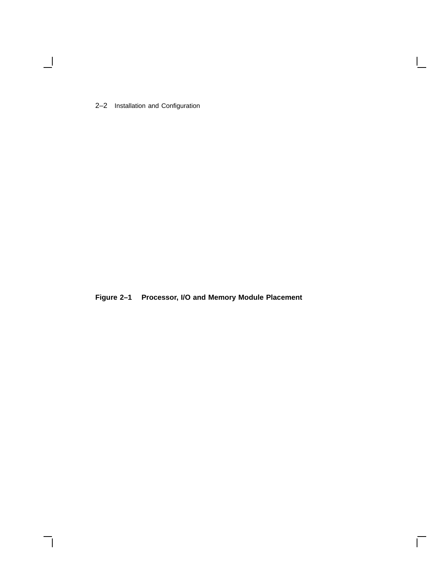2–2 Installation and Configuration

 $\blacksquare$ 

**Figure 2–1 Processor, I/O and Memory Module Placement**

 $\mathsf{I}$ 

 $\overline{\Gamma}$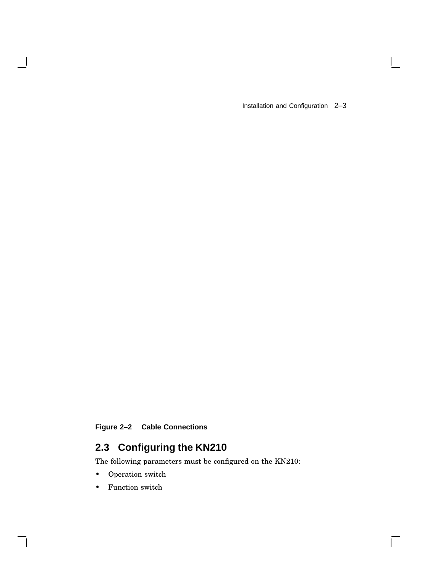Installation and Configuration 2–3

 $\mathbf{I}$ 

 $\overline{\Gamma}$ 

## **Figure 2–2 Cable Connections**

# **2.3 Configuring the KN210**

The following parameters must be configured on the KN210:

• Operation switch

 $\overline{\phantom{a}}$ 

• Function switch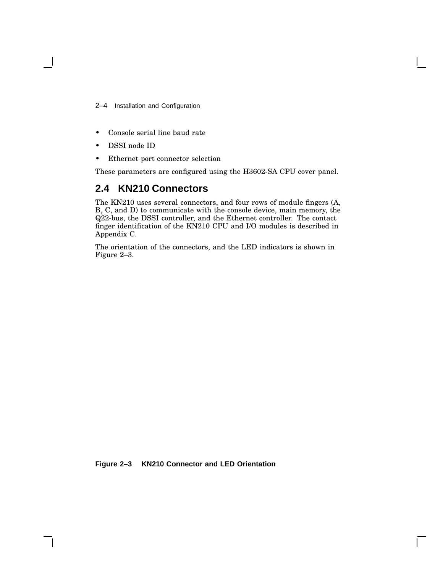2–4 Installation and Configuration

- Console serial line baud rate
- DSSI node ID
- Ethernet port connector selection

These parameters are configured using the H3602-SA CPU cover panel.

### **2.4 KN210 Connectors**

The KN210 uses several connectors, and four rows of module fingers (A, B, C, and D) to communicate with the console device, main memory, the Q22-bus, the DSSI controller, and the Ethernet controller. The contact finger identification of the KN210 CPU and I/O modules is described in Appendix C.

The orientation of the connectors, and the LED indicators is shown in Figure 2–3.

**Figure 2–3 KN210 Connector and LED Orientation**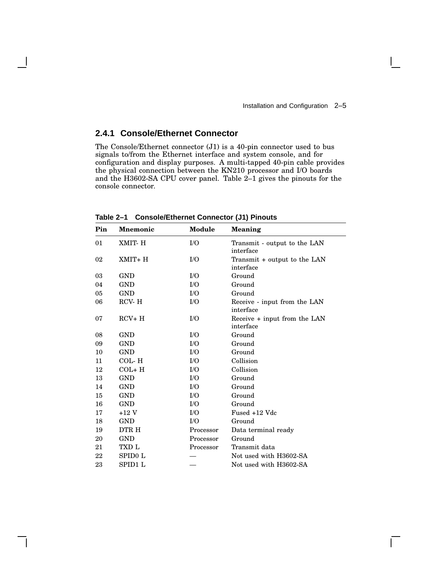$\mathbf{I}$ 

#### **2.4.1 Console/Ethernet Connector**

The Console/Ethernet connector (J1) is a 40-pin connector used to bus signals to/from the Ethernet interface and system console, and for configuration and display purposes. A multi-tapped 40-pin cable provides the physical connection between the KN210 processor and I/O boards and the H3602-SA CPU cover panel. Table 2–1 gives the pinouts for the console connector.

| Pin | <b>Mnemonic</b> | Module    | <b>Meaning</b>                            |
|-----|-----------------|-----------|-------------------------------------------|
| 01  | XMIT- H         | $\rm LO$  | Transmit - output to the LAN<br>interface |
| 02  | $XMIT+H$        | I/O       | Transmit + output to the LAN<br>interface |
| 03  | <b>GND</b>      | $\rm LO$  | Ground                                    |
| 04  | <b>GND</b>      | $\rm LO$  | Ground                                    |
| 05  | <b>GND</b>      | $\rm LO$  | Ground                                    |
| 06  | RCV-H           | I/O       | Receive - input from the LAN<br>interface |
| 07  | $RCV+H$         | I/O       | Receive + input from the LAN<br>interface |
| 08  | <b>GND</b>      | $\rm LO$  | Ground                                    |
| 09  | <b>GND</b>      | I/O       | Ground                                    |
| 10  | GND             | $\rm LO$  | Ground                                    |
| 11  | COL-H           | $\rm LO$  | Collision                                 |
| 12  | $COL + H$       | $\rm LO$  | Collision                                 |
| 13  | GND             | $\rm LO$  | Ground                                    |
| 14  | <b>GND</b>      | I/O       | Ground                                    |
| 15  | <b>GND</b>      | $\rm LO$  | Ground                                    |
| 16  | <b>GND</b>      | $\rm LO$  | Ground                                    |
| 17  | $+12$ V         | $\rm LO$  | Fused +12 Vdc                             |
| 18  | GND             | I/O       | Ground                                    |
| 19  | DTR H           | Processor | Data terminal ready                       |
| 20  | <b>GND</b>      | Processor | Ground                                    |
| 21  | TXD L           | Processor | Transmit data                             |
| 22  | SPID0 L         |           | Not used with H3602-SA                    |
| 23  | SPID1 L         |           | Not used with H3602-SA                    |

**Table 2–1 Console/Ethernet Connector (J1) Pinouts**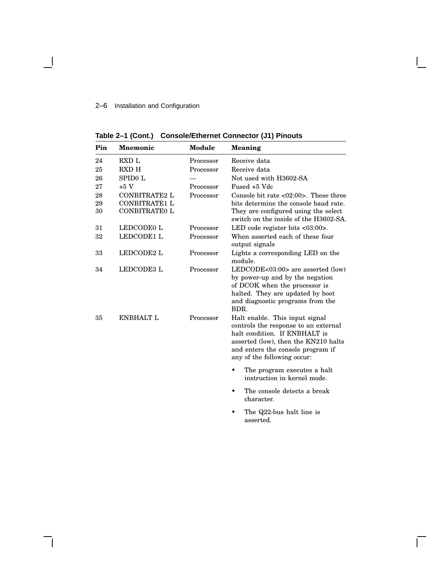# 2–6 Installation and Configuration

 $\overline{\phantom{a}}$ 

**Table 2–1 (Cont.) Console/Ethernet Connector (J1) Pinouts**

| Pin | <b>Mnemonic</b>      | Module    | Meaning                                                                       |
|-----|----------------------|-----------|-------------------------------------------------------------------------------|
| 24  | <b>RXD L</b>         | Processor | Receive data                                                                  |
| 25  | <b>RXD H</b>         | Processor | Receive data                                                                  |
| 26  | SPID0 L              |           | Not used with H3602-SA                                                        |
| 27  | $+5V$                | Processor | Fused +5 Vdc                                                                  |
| 28  | <b>CONBITRATE2 L</b> | Processor | Console bit rate $\langle 02:00 \rangle$ . These three                        |
| 29  | <b>CONBITRATE1 L</b> |           | bits determine the console baud rate.                                         |
| 30  | <b>CONBITRATE0 L</b> |           | They are configured using the select<br>switch on the inside of the H3602-SA. |
| 31  | LEDCODE0 L           | Processor | LED code register bits $\langle 03:00 \rangle$ .                              |
| 32  | LEDCODE1 L           | Processor | When asserted each of these four<br>output signals                            |
| 33  | LEDCODE2 L           | Processor | Lights a corresponding LED on the<br>module.                                  |
| 34  | LEDCODE3 L           | Processor | LEDCODE<03:00> are asserted (low)                                             |
|     |                      |           | by power-up and by the negation                                               |
|     |                      |           | of DCOK when the processor is                                                 |
|     |                      |           | halted. They are updated by boot                                              |
|     |                      |           | and diagnostic programs from the<br>BDR.                                      |
| 35  | <b>ENBHALT L</b>     | Processor | Halt enable. This input signal                                                |
|     |                      |           | controls the response to an external                                          |
|     |                      |           | halt condition. If ENBHALT is                                                 |
|     |                      |           | asserted (low), then the KN210 halts                                          |
|     |                      |           | and enters the console program if                                             |
|     |                      |           | any of the following occur:                                                   |
|     |                      |           | The program executes a halt<br>instruction in kernel mode.                    |
|     |                      |           | The console detects a break                                                   |
|     |                      |           | character.                                                                    |
|     |                      |           | The Q22-bus halt line is<br>asserted.                                         |

Ē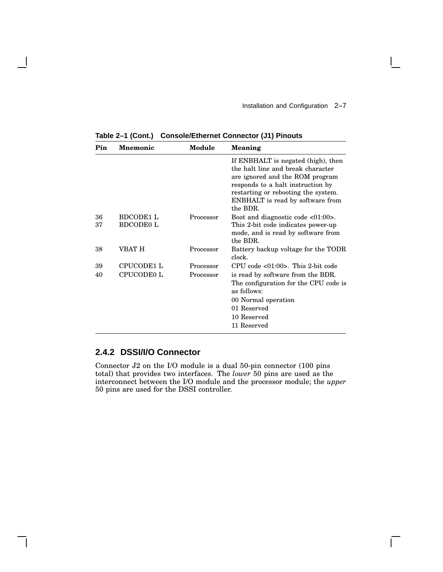$\mathbf{L}$ 

| Pin      | <b>Mnemonic</b>                      | Module    | <b>Meaning</b>                                                                                                                                                                                                                                |
|----------|--------------------------------------|-----------|-----------------------------------------------------------------------------------------------------------------------------------------------------------------------------------------------------------------------------------------------|
|          |                                      |           | If ENBHALT is negated (high), then<br>the halt line and break character<br>are ignored and the ROM program<br>responds to a halt instruction by<br>restarting or rebooting the system.<br><b>ENBHALT</b> is read by software from<br>the BDR. |
| 36<br>37 | <b>BDCODE1 L</b><br><b>BDCODE0 L</b> | Processor | Boot and diagnostic code $<01:00>$ .<br>This 2-bit code indicates power-up<br>mode, and is read by software from<br>the BDR.                                                                                                                  |
| 38       | VBAT H                               | Processor | Battery backup voltage for the TODR<br>clock.                                                                                                                                                                                                 |
| 39       | CPUCODE1 L                           | Processor | CPU code $\langle 01:00 \rangle$ . This 2-bit code                                                                                                                                                                                            |
| 40       | CPUCODE0 L                           | Processor | is read by software from the BDR.<br>The configuration for the CPU code is<br>as follows:<br>00 Normal operation<br>01 Reserved<br>10 Reserved<br>11 Reserved                                                                                 |

**Table 2–1 (Cont.) Console/Ethernet Connector (J1) Pinouts**

# **2.4.2 DSSI/I/O Connector**

Connector J2 on the I/O module is a dual 50-pin connector (100 pins total) that provides two interfaces. The *lower* 50 pins are used as the interconnect between the I/O module and the processor module; the *upper* 50 pins are used for the DSSI controller.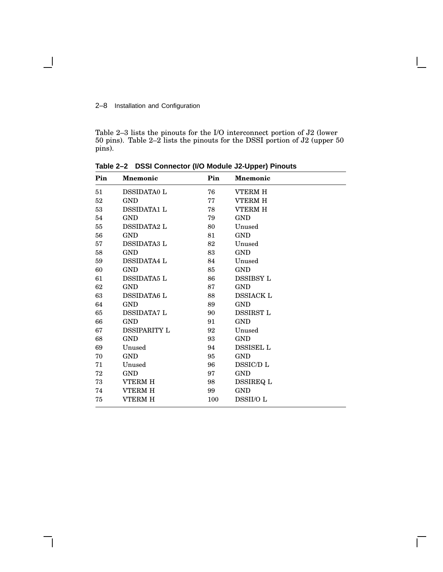#### 2–8 Installation and Configuration

 $\overline{\phantom{a}}$ 

Table 2–3 lists the pinouts for the I/O interconnect portion of J2 (lower pins). Table 2–2 lists the pinouts for the DSSI portion of J2 (upper 50 pins).

| Pin | <b>Mnemonic</b>     | Pin | <b>Mnemonic</b>  |
|-----|---------------------|-----|------------------|
| 51  | <b>DSSIDATA0 L</b>  | 76  | <b>VTERM H</b>   |
| 52  | <b>GND</b>          | 77  | <b>VTERM H</b>   |
| 53  | <b>DSSIDATA1 L</b>  | 78  | <b>VTERM H</b>   |
| 54  | GND                 | 79  | <b>GND</b>       |
| 55  | <b>DSSIDATA2 L</b>  | 80  | Unused           |
| 56  | GND                 | 81  | <b>GND</b>       |
| 57  | <b>DSSIDATA3 L</b>  | 82  | Unused           |
| 58  | <b>GND</b>          | 83  | <b>GND</b>       |
| 59  | <b>DSSIDATA4 L</b>  | 84  | Unused           |
| 60  | GND                 | 85  | <b>GND</b>       |
| 61  | <b>DSSIDATA5 L</b>  | 86  | <b>DSSIBSY L</b> |
| 62  | <b>GND</b>          | 87  | GND              |
| 63  | <b>DSSIDATA6 L</b>  | 88  | <b>DSSIACK L</b> |
| 64  | GND                 | 89  | <b>GND</b>       |
| 65  | <b>DSSIDATA7 L</b>  | 90  | <b>DSSIRST L</b> |
| 66  | GND                 | 91  | <b>GND</b>       |
| 67  | <b>DSSIPARITY L</b> | 92  | Unused           |
| 68  | <b>GND</b>          | 93  | <b>GND</b>       |
| 69  | Unused              | 94  | <b>DSSISEL L</b> |
| 70  | <b>GND</b>          | 95  | <b>GND</b>       |
| 71  | Unused              | 96  | DSSIC/D L        |
| 72  | <b>GND</b>          | 97  | <b>GND</b>       |
| 73  | <b>VTERM H</b>      | 98  | <b>DSSIREQ L</b> |
| 74  | <b>VTERM H</b>      | 99  | <b>GND</b>       |
| 75  | VTERM H             | 100 | <b>DSSII/OL</b>  |

 $\mathbf{I}$ 

**Table 2–2 DSSI Connector (I/O Module J2-Upper) Pinouts**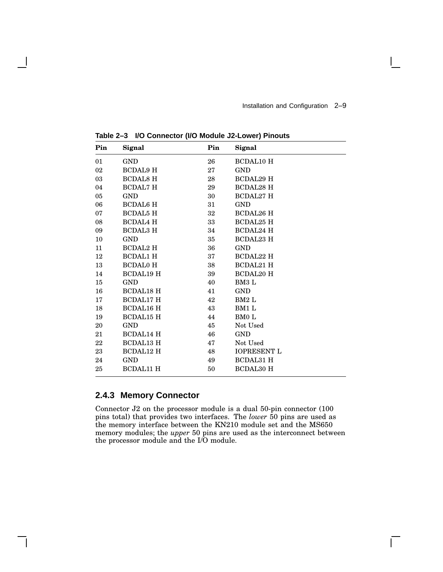$\mathbf{L}$ 

| Pin | Signal           | Pin    | Signal             |
|-----|------------------|--------|--------------------|
| 01  | <b>GND</b>       | 26     | <b>BCDAL10 H</b>   |
| 02  | <b>BCDAL9 H</b>  | 27     | <b>GND</b>         |
| 03  | <b>BCDAL8 H</b>  | 28     | <b>BCDAL29 H</b>   |
| 04  | <b>BCDAL7 H</b>  | 29     | <b>BCDAL28 H</b>   |
| 05  | <b>GND</b>       | 30     | <b>BCDAL27 H</b>   |
| 06  | <b>BCDAL6 H</b>  | 31     | <b>GND</b>         |
| 07  | <b>BCDAL5 H</b>  | $32\,$ | <b>BCDAL26 H</b>   |
| 08  | <b>BCDAL4 H</b>  | $33\,$ | <b>BCDAL25 H</b>   |
| 09  | <b>BCDAL3 H</b>  | 34     | <b>BCDAL24 H</b>   |
| 10  | <b>GND</b>       | 35     | <b>BCDAL23 H</b>   |
| 11  | <b>BCDAL2 H</b>  | 36     | <b>GND</b>         |
| 12  | <b>BCDAL1 H</b>  | 37     | <b>BCDAL22 H</b>   |
| 13  | <b>BCDAL0 H</b>  | 38     | <b>BCDAL21 H</b>   |
| 14  | <b>BCDAL19 H</b> | 39     | <b>BCDAL20 H</b>   |
| 15  | <b>GND</b>       | 40     | BM3 L              |
| 16  | <b>BCDAL18 H</b> | 41     | <b>GND</b>         |
| 17  | <b>BCDAL17 H</b> | 42     | BM2 L              |
| 18  | <b>BCDAL16 H</b> | 43     | BM1 L              |
| 19  | <b>BCDAL15 H</b> | 44     | BM0 L              |
| 20  | <b>GND</b>       | 45     | Not Used           |
| 21  | <b>BCDAL14 H</b> | 46     | <b>GND</b>         |
| 22  | <b>BCDAL13 H</b> | 47     | Not Used           |
| 23  | <b>BCDAL12 H</b> | 48     | <b>IOPRESENT L</b> |
| 24  | <b>GND</b>       | 49     | <b>BCDAL31 H</b>   |
| 25  | <b>BCDAL11 H</b> | 50     | <b>BCDAL30 H</b>   |
|     |                  |        |                    |

**Table 2–3 I/O Connector (I/O Module J2-Lower) Pinouts**

# **2.4.3 Memory Connector**

Connector J2 on the processor module is a dual 50-pin connector (100 pins total) that provides two interfaces. The *lower* 50 pins are used as the memory interface between the KN210 module set and the MS650 memory modules; the *upper* 50 pins are used as the interconnect between the processor module and the I/O module.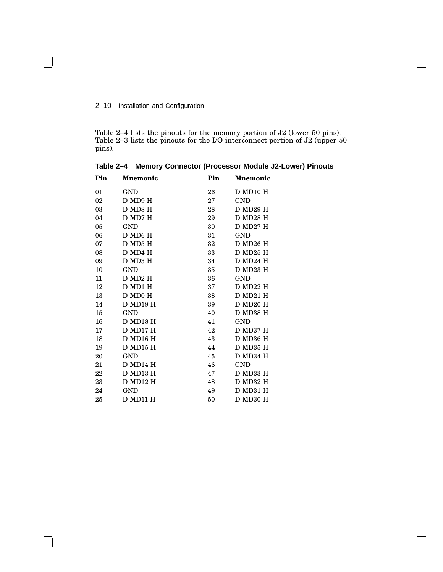#### 2–10 Installation and Configuration

Table 2–4 lists the pinouts for the memory portion of J2 (lower 50 pins). Table 2–3 lists the pinouts for the I/O interconnect portion of J2 (upper 50) pins).

| Pin | <b>Mnemonic</b> | Pin    | <b>Mnemonic</b> |
|-----|-----------------|--------|-----------------|
| 01  | <b>GND</b>      | 26     | D MD10 H        |
| 02  | D MD9 H         | 27     | <b>GND</b>      |
| 03  | D MD8 H         | 28     | D MD29 H        |
| 04  | D MD7 H         | 29     | D MD28 H        |
| 05  | <b>GND</b>      | 30     | D MD27 H        |
| 06  | D MD6 H         | $31\,$ | <b>GND</b>      |
| 07  | D MD5 H         | 32     | D MD26 H        |
| 08  | D MD4 H         | $33\,$ | D MD25 H        |
| 09  | D MD3 H         | 34     | $D$ MD24 H      |
| 10  | <b>GND</b>      | 35     | D MD23 H        |
| 11  | DMD2H           | 36     | <b>GND</b>      |
| 12  | D MD1 H         | $37\,$ | D MD22 H        |
| 13  | D MD0 H         | 38     | D MD21 H        |
| 14  | D MD19 H        | 39     | D MD20 H        |
| 15  | <b>GND</b>      | 40     | D MD38 H        |
| 16  | $\rm D$ MD18 H  | 41     | <b>GND</b>      |
| 17  | D MD17 H        | 42     | D MD37 H        |
| 18  | D MD16 H        | 43     | D MD36 H        |
| 19  | D MD15 H        | 44     | D MD35 H        |
| 20  | <b>GND</b>      | 45     | D MD34 H        |
| 21  | D MD14 H        | 46     | <b>GND</b>      |
| 22  | D MD13 H        | 47     | D MD33 H        |
| 23  | D MD12 H        | 48     | D MD32 H        |
| 24  | <b>GND</b>      | 49     | D MD31 H        |
| 25  | D MD11 H        | 50     | D MD30 H        |

**Table 2–4 Memory Connector (Processor Module J2-Lower) Pinouts**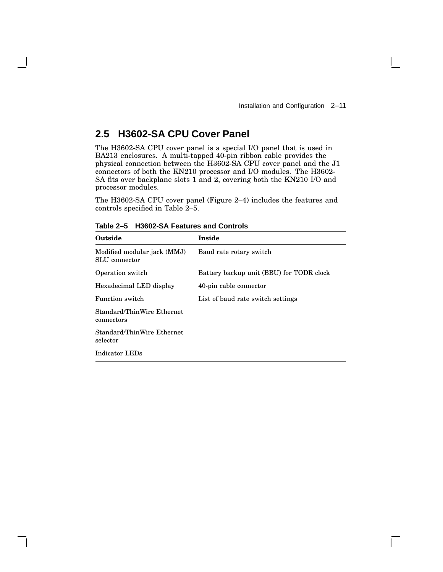$\mathbf{L}$ 

# **2.5 H3602-SA CPU Cover Panel**

The H3602-SA CPU cover panel is a special I/O panel that is used in BA213 enclosures. A multi-tapped 40-pin ribbon cable provides the physical connection between the H3602-SA CPU cover panel and the J1 connectors of both the KN210 processor and I/O modules. The H3602- SA fits over backplane slots 1 and 2, covering both the KN210 I/O and processor modules.

The H3602-SA CPU cover panel (Figure 2–4) includes the features and controls specified in Table 2–5.

| Outside                                      | Inside                                   |
|----------------------------------------------|------------------------------------------|
| Modified modular jack (MMJ)<br>SLU connector | Baud rate rotary switch                  |
| Operation switch                             | Battery backup unit (BBU) for TODR clock |
| Hexadecimal LED display                      | 40-pin cable connector                   |
| Function switch                              | List of baud rate switch settings        |
| Standard/ThinWire Ethernet<br>connectors     |                                          |
| Standard/ThinWire Ethernet<br>selector       |                                          |
| Indicator LEDs                               |                                          |

**Table 2–5 H3602-SA Features and Controls**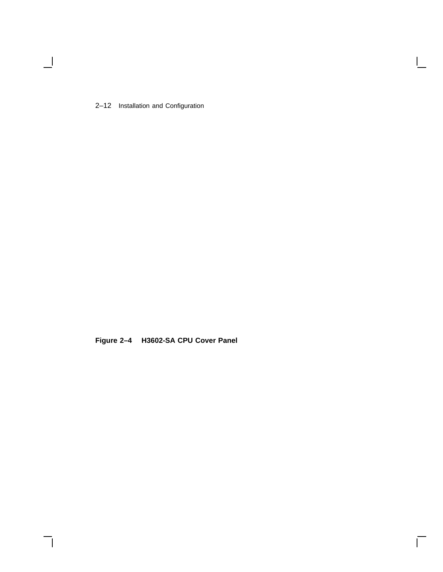2–12 Installation and Configuration

 $\blacksquare$ 

**Figure 2–4 H3602-SA CPU Cover Panel**

 $\bar{\Gamma}$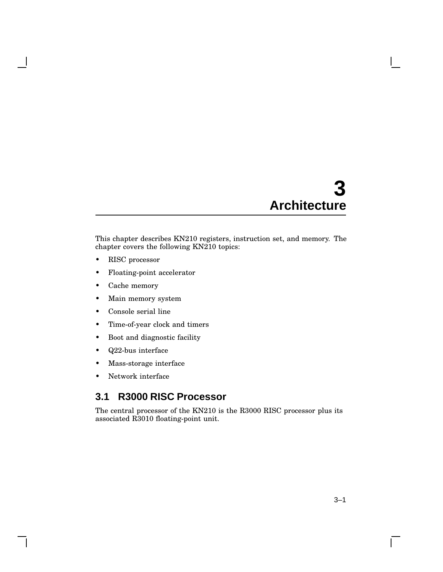# **3 Architecture**

This chapter describes KN210 registers, instruction set, and memory. The chapter covers the following KN210 topics:

- RISC processor
- Floating-point accelerator
- Cache memory
- Main memory system
- Console serial line
- Time-of-year clock and timers
- Boot and diagnostic facility
- Q22-bus interface
- Mass-storage interface
- Network interface

# **3.1 R3000 RISC Processor**

The central processor of the KN210 is the R3000 RISC processor plus its associated R3010 floating-point unit.

 $\mathbf{L}$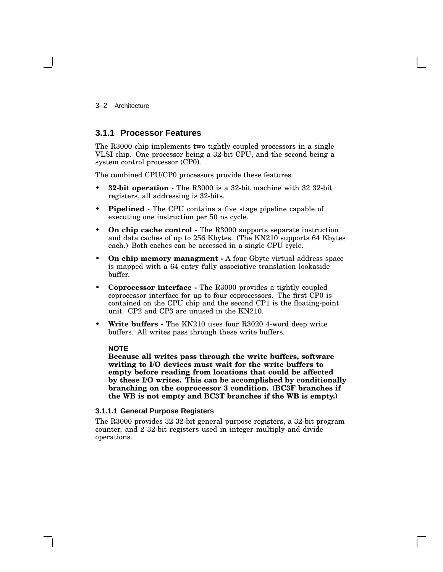3–2 Architecture

# **3.1.1 Processor Features**

The R3000 chip implements two tightly coupled processors in a single VLSI chip. One processor being a 32-bit CPU, and the second being a system control processor (CP0).

The combined CPU/CP0 processors provide these features.

- **32-bit operation -** The R3000 is a 32-bit machine with 32 32-bit registers, all addressing is 32-bits.
- **Pipelined -** The CPU contains a five stage pipeline capable of executing one instruction per 50 ns cycle.
- **On chip cache control -** The R3000 supports separate instruction and data caches of up to 256 Kbytes. (The KN210 supports 64 Kbytes each.) Both caches can be accessed in a single CPU cycle.
- **On chip memory managment -** A four Gbyte virtual address space is mapped with a 64 entry fully associative translation lookaside buffer.
- **Coprocessor interface -** The R3000 provides a tightly coupled coprocessor interface for up to four coprocessors. The first CP0 is contained on the CPU chip and the second CP1 is the floating-point unit. CP2 and CP3 are unused in the KN210.
- **Write buffers -** The KN210 uses four R3020 4-word deep write buffers. All writes pass through these write buffers.

#### **NOTE**

**Because all writes pass through the write buffers, software writing to I/O devices must wait for the write buffers to empty before reading from locations that could be affected by these I/O writes. This can be accomplished by conditionally branching on the coprocessor 3 condition. (BC3F branches if the WB is not empty and BC3T branches if the WB is empty.)**

#### **3.1.1.1 General Purpose Registers**

The R3000 provides 32 32-bit general purpose registers, a 32-bit program counter, and 2 32-bit registers used in integer multiply and divide operations.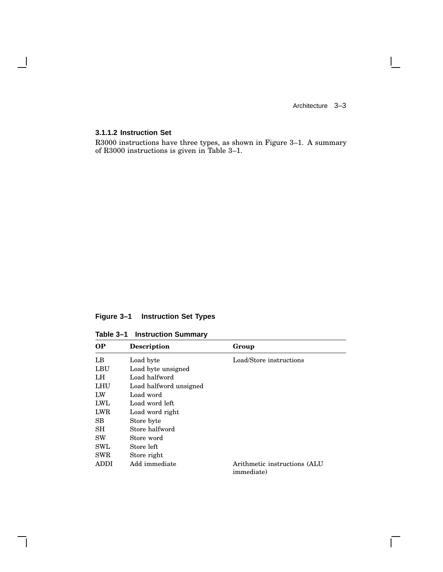$\Box$ 

# **3.1.1.2 Instruction Set**

 $\mathbf{I}$ 

R3000 instructions have three types, as shown in Figure 3–1. A summary of R3000 instructions is given in Table 3–1.

# **Figure 3–1 Instruction Set Types**

**Table 3–1 Instruction Summary**

| <b>OP</b>  | <b>Description</b>     | Group                                               |
|------------|------------------------|-----------------------------------------------------|
| LB         | Load byte              | Load/Store instructions                             |
| LBU        | Load byte unsigned     |                                                     |
| LH         | Load halfword          |                                                     |
| LHU        | Load halfword unsigned |                                                     |
| LW         | Load word              |                                                     |
| LWL        | Load word left         |                                                     |
| <b>LWR</b> | Load word right        |                                                     |
| SВ         | Store byte             |                                                     |
| SH         | Store halfword         |                                                     |
| <b>SW</b>  | Store word             |                                                     |
| <b>SWL</b> | Store left             |                                                     |
| <b>SWR</b> | Store right            |                                                     |
| ADDI       | Add immediate          | Arithmetic instructions (ALU)<br><i>immediate</i> ) |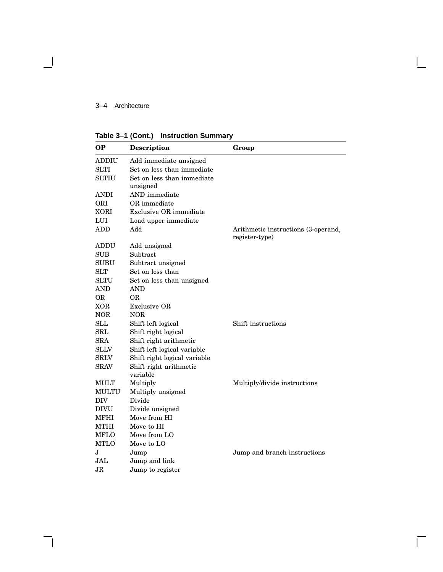## 3–4 Architecture

**Table 3–1 (Cont.) Instruction Summary**

| OР                   | Description                            | Group                                                 |
|----------------------|----------------------------------------|-------------------------------------------------------|
| ADDIU                | Add immediate unsigned                 |                                                       |
| <b>SLTI</b>          | Set on less than immediate             |                                                       |
| <b>SLTIU</b>         | Set on less than immediate<br>unsigned |                                                       |
| ANDI                 | AND immediate                          |                                                       |
| ORI                  | OR immediate                           |                                                       |
| XORI                 | Exclusive OR immediate                 |                                                       |
| LUI                  | Load upper immediate                   |                                                       |
| <b>ADD</b>           | Add                                    | Arithmetic instructions (3-operand,<br>register-type) |
| ADDU                 | Add unsigned                           |                                                       |
| <b>SUB</b>           | Subtract                               |                                                       |
| <b>SUBU</b>          | Subtract unsigned                      |                                                       |
| <b>SLT</b>           | Set on less than                       |                                                       |
| <b>SLTU</b>          | Set on less than unsigned              |                                                       |
| AND                  | AND                                    |                                                       |
| OR                   | OR.                                    |                                                       |
| XOR                  | Exclusive OR                           |                                                       |
| $_{\rm NOR}$         | NOR                                    |                                                       |
| <b>SLL</b>           | Shift left logical                     | Shift instructions                                    |
| $\operatorname{SRL}$ | Shift right logical                    |                                                       |
| <b>SRA</b>           | Shift right arithmetic                 |                                                       |
| $\rm SLLV$           | Shift left logical variable            |                                                       |
| ${\rm SRLV}$         | Shift right logical variable           |                                                       |
| <b>SRAV</b>          | Shift right arithmetic                 |                                                       |
|                      | variable                               |                                                       |
| MULT                 | Multiply                               | Multiply/divide instructions                          |
| MULTU                | Multiply unsigned                      |                                                       |
| DIV                  | Divide                                 |                                                       |
| <b>DIVU</b>          | Divide unsigned                        |                                                       |
| MFHI                 | Move from HI                           |                                                       |
| <b>MTHI</b>          | Move to HI                             |                                                       |
| MFLO                 | Move from LO                           |                                                       |
| <b>MTLO</b>          | Move to LO                             |                                                       |
| $\bf J$              | Jump                                   | Jump and branch instructions                          |
| JAL                  | Jump and link                          |                                                       |
| JR.                  | Jump to register                       |                                                       |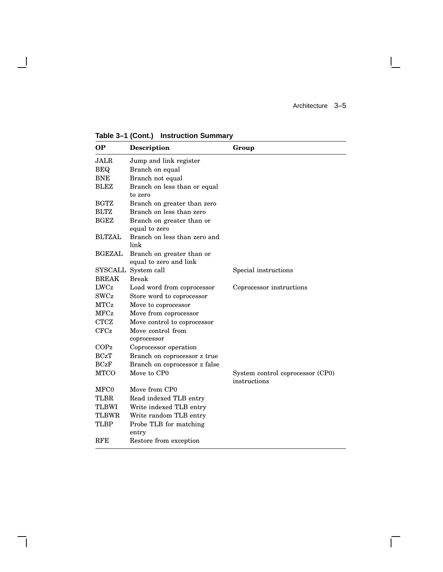$\mathbf{I}$ 

 $\Gamma$ 

**Table 3–1 (Cont.) Instruction Summary**

 $\overline{\phantom{a}}$ 

 $\mathsf{l}$ 

| <b>OP</b>     | <b>Description</b>                                  | Group                                            |
|---------------|-----------------------------------------------------|--------------------------------------------------|
| <b>JALR</b>   | Jump and link register                              |                                                  |
| <b>BEQ</b>    | Branch on equal                                     |                                                  |
| <b>BNE</b>    | Branch not equal                                    |                                                  |
| <b>BLEZ</b>   | Branch on less than or equal<br>to zero             |                                                  |
| <b>BGTZ</b>   | Branch on greater than zero                         |                                                  |
| <b>BLTZ</b>   | Branch on less than zero                            |                                                  |
| <b>BGEZ</b>   | Branch on greater than or<br>equal to zero          |                                                  |
| <b>BLTZAL</b> | Branch on less than zero and<br>link                |                                                  |
| <b>BGEZAL</b> | Branch on greater than or<br>equal to zero and link |                                                  |
| SYSCALL       | System call                                         | Special instructions                             |
| <b>BREAK</b>  | <b>Break</b>                                        |                                                  |
| LWCz          | Load word from coprocessor                          | Coprocessor instructions                         |
| <b>SWCz</b>   | Store word to coprocessor                           |                                                  |
| <b>MTCz</b>   | Move to coprocessor                                 |                                                  |
| <b>MFCz</b>   | Move from coprocessor                               |                                                  |
| <b>CTCZ</b>   | Move control to coprocessor                         |                                                  |
| CFCz          | Move control from<br>coprocessor                    |                                                  |
| COPz          | Coprocessor operation                               |                                                  |
| <b>BCzT</b>   | Branch on coprocessor z true                        |                                                  |
| BCzF          | Branch on coprocessor z false                       |                                                  |
| <b>MTCO</b>   | Move to CP0                                         | System control coprocessor (CP0)<br>instructions |
| MFC0          | Move from CP0                                       |                                                  |
| <b>TLBR</b>   | Read indexed TLB entry                              |                                                  |
| <b>TLBWI</b>  | Write indexed TLB entry                             |                                                  |
| <b>TLBWR</b>  | Write random TLB entry                              |                                                  |
| <b>TLBP</b>   | Probe TLB for matching<br>entry                     |                                                  |
| <b>RFE</b>    | Restore from exception                              |                                                  |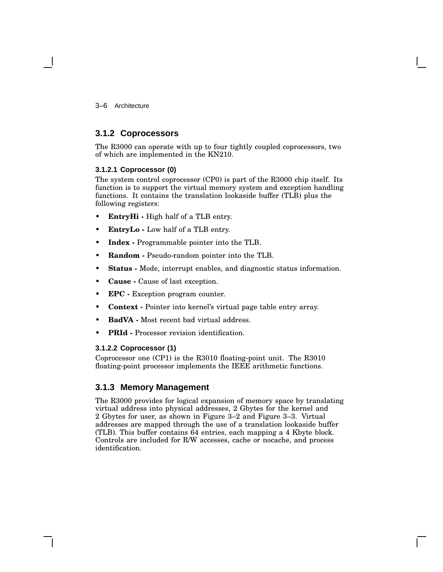3–6 Architecture

# **3.1.2 Coprocessors**

The R3000 can operate with up to four tightly coupled coprocessors, two of which are implemented in the KN210.

### **3.1.2.1 Coprocessor (0)**

The system control coprocessor (CP0) is part of the R3000 chip itself. Its function is to support the virtual memory system and exception handling functions. It contains the translation lookaside buffer (TLB) plus the following registers:

- **EntryHi -** High half of a TLB entry.
- **EntryLo -** Low half of a TLB entry.
- **Index -** Programmable pointer into the TLB.
- **Random -** Pseudo-random pointer into the TLB.
- **Status -** Mode, interrupt enables, and diagnostic status information.
- **Cause -** Cause of last exception.
- **EPC -** Exception program counter.
- **Context -** Pointer into kernel's virtual page table entry array.
- **BadVA -** Most recent bad virtual address.
- **PRId -** Processor revision identification.

#### **3.1.2.2 Coprocessor (1)**

Coprocessor one (CP1) is the R3010 floating-point unit. The R3010 floating-point processor implements the IEEE arithmetic functions.

# **3.1.3 Memory Management**

The R3000 provides for logical expansion of memory space by translating virtual address into physical addresses, 2 Gbytes for the kernel and 2 Gbytes for user, as shown in Figure 3–2 and Figure 3–3. Virtual addresses are mapped through the use of a translation lookaside buffer (TLB). This buffer contains 64 entries, each mapping a 4 Kbyte block. Controls are included for R/W accesses, cache or nocache, and process identification.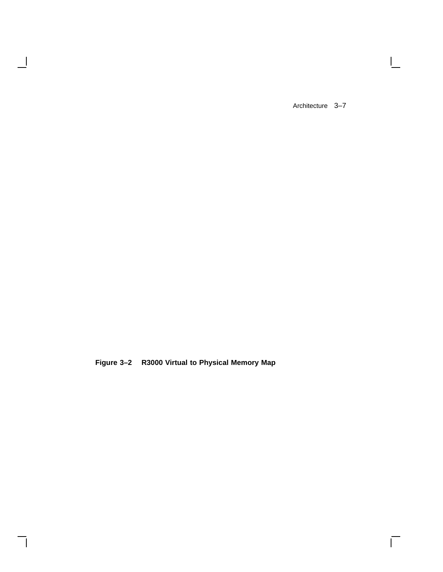$\mathbf{I}$ 

 $\Gamma$ 

**Figure 3–2 R3000 Virtual to Physical Memory Map**

 $\blacksquare$ 

 $\mathsf{l}$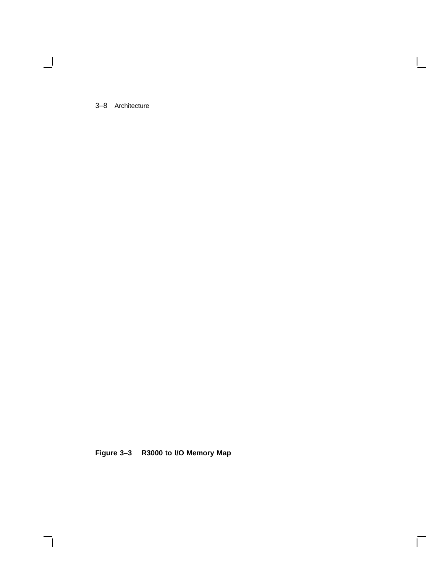3–8 Architecture

 $\overline{\phantom{0}}$ 

**Figure 3–3 R3000 to I/O Memory Map**

Г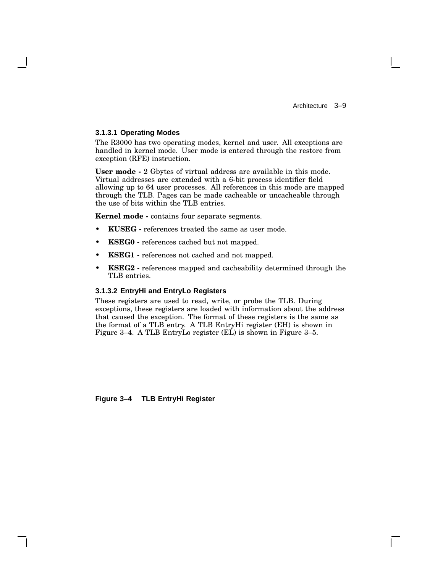#### **3.1.3.1 Operating Modes**

The R3000 has two operating modes, kernel and user. All exceptions are handled in kernel mode. User mode is entered through the restore from exception (RFE) instruction.

**User mode -** 2 Gbytes of virtual address are available in this mode. Virtual addresses are extended with a 6-bit process identifier field allowing up to 64 user processes. All references in this mode are mapped through the TLB. Pages can be made cacheable or uncacheable through the use of bits within the TLB entries.

**Kernel mode -** contains four separate segments.

- **KUSEG -** references treated the same as user mode.
- **KSEG0 -** references cached but not mapped.
- **KSEG1 -** references not cached and not mapped.
- **KSEG2 -** references mapped and cacheability determined through the TLB entries.

#### **3.1.3.2 EntryHi and EntryLo Registers**

These registers are used to read, write, or probe the TLB. During exceptions, these registers are loaded with information about the address that caused the exception. The format of these registers is the same as the format of a TLB entry. A TLB EntryHi register (EH) is shown in Figure 3–4. A TLB EntryLo register (EL) is shown in Figure 3–5.

**Figure 3–4 TLB EntryHi Register**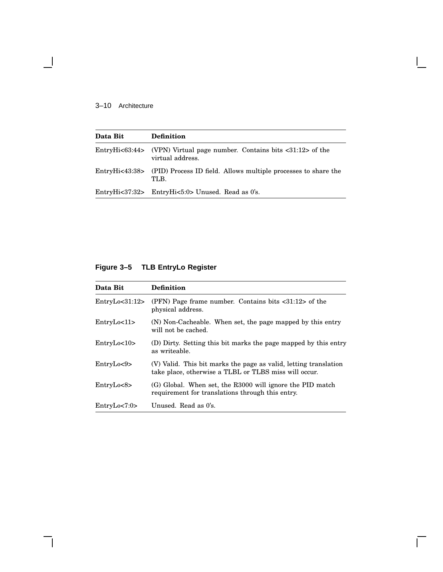# 3–10 Architecture

 $\blacksquare$ 

| Data Bit | <b>Definition</b>                                                                                          |
|----------|------------------------------------------------------------------------------------------------------------|
|          | EntryHi<63:44> (VPN) Virtual page number. Contains bits $\langle 31:12 \rangle$ of the<br>virtual address. |
|          | EntryHi<43:38> (PID) Process ID field. Allows multiple processes to share the<br>TLB.                      |
|          | EntryHi<37:32> EntryHi<5:0> Unused. Read as 0's.                                                           |

# **Figure 3–5 TLB EntryLo Register**

| Data Bit           | <b>Definition</b>                                                                                                         |
|--------------------|---------------------------------------------------------------------------------------------------------------------------|
| EntropyLO < 31:12> | (PFN) Page frame number. Contains bits $\langle 31:12 \rangle$ of the<br>physical address.                                |
| EntropyLo<11       | (N) Non-Cacheable. When set, the page mapped by this entry<br>will not be cached.                                         |
| EntropyLo<10       | (D) Dirty. Setting this bit marks the page mapped by this entry<br>as writeable.                                          |
| EntropyLo < 9      | (V) Valid. This bit marks the page as valid, letting translation<br>take place, otherwise a TLBL or TLBS miss will occur. |
| EntropyLo < 8      | (G) Global. When set, the R3000 will ignore the PID match<br>requirement for translations through this entry.             |
| EntropyLo < 7:0>   | Unused. Read as 0's.                                                                                                      |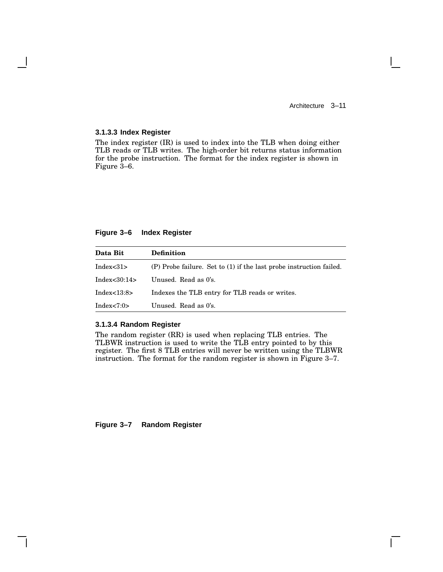$\mathbf{I}$ 

#### **3.1.3.3 Index Register**

The index register (IR) is used to index into the TLB when doing either TLB reads or TLB writes. The high-order bit returns status information for the probe instruction. The format for the index register is shown in Figure 3–6.

#### **Figure 3–6 Index Register**

| Data Bit      | <b>Definition</b>                                                   |
|---------------|---------------------------------------------------------------------|
| Index<31>     | (P) Probe failure. Set to (1) if the last probe instruction failed. |
| Index<30:14>  | Unused. Read as 0's.                                                |
| Index<13:8>   | Indexes the TLB entry for TLB reads or writes.                      |
| Index $<7:0>$ | Unused. Read as 0's.                                                |

#### **3.1.3.4 Random Register**

The random register (RR) is used when replacing TLB entries. The TLBWR instruction is used to write the TLB entry pointed to by this register. The first 8 TLB entries will never be written using the TLBWR instruction. The format for the random register is shown in Figure 3–7.

#### **Figure 3–7 Random Register**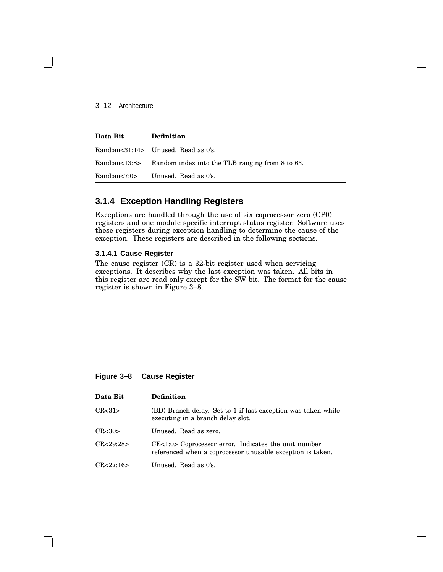#### 3–12 Architecture

| Data Bit | <b>Definition</b>                                                        |
|----------|--------------------------------------------------------------------------|
|          | Random<31:14> Unused. Read as 0's.                                       |
|          | Random<13:8> Random index into the TLB ranging from $8 \text{ to } 63$ . |
|          | Random $\langle 7:0 \rangle$ Unused. Read as 0's.                        |

# **3.1.4 Exception Handling Registers**

Exceptions are handled through the use of six coprocessor zero (CP0) registers and one module specific interrupt status register. Software uses these registers during exception handling to determine the cause of the exception. These registers are described in the following sections.

#### **3.1.4.1 Cause Register**

The cause register (CR) is a 32-bit register used when servicing exceptions. It describes why the last exception was taken. All bits in this register are read only except for the SW bit. The format for the cause register is shown in Figure 3–8.

#### **Figure 3–8 Cause Register**

| Data Bit   | <b>Definition</b>                                                                                                  |
|------------|--------------------------------------------------------------------------------------------------------------------|
| CR < 31    | (BD) Branch delay. Set to 1 if last exception was taken while<br>executing in a branch delay slot.                 |
| CR < 30    | Unused. Read as zero.                                                                                              |
| CR < 29.28 | CE<1:0> Coprocessor error. Indicates the unit number<br>referenced when a coprocessor unusable exception is taken. |
| CR < 27:16 | Unused. Read as 0's.                                                                                               |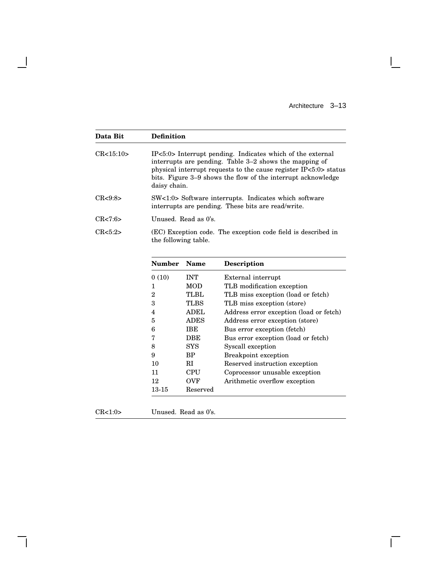$\mathbf{L}$ 

 $\overline{\Gamma}$ 

| Data Bit    | <b>Definition</b>    |                                                                                                                                                                                                                                                                          |                                                               |  |
|-------------|----------------------|--------------------------------------------------------------------------------------------------------------------------------------------------------------------------------------------------------------------------------------------------------------------------|---------------------------------------------------------------|--|
| CR < 15:10> |                      | IP<5:0> Interrupt pending. Indicates which of the external<br>interrupts are pending. Table 3-2 shows the mapping of<br>physical interrupt requests to the cause register IP<5:0> status<br>bits. Figure 3–9 shows the flow of the interrupt acknowledge<br>daisy chain. |                                                               |  |
| CR < 9:8    |                      | SW<1:0> Software interrupts. Indicates which software<br>interrupts are pending. These bits are read/write.                                                                                                                                                              |                                                               |  |
| CR < 7:6    |                      | Unused. Read as 0's.                                                                                                                                                                                                                                                     |                                                               |  |
| CR < 5:2>   | the following table. |                                                                                                                                                                                                                                                                          | (EC) Exception code. The exception code field is described in |  |
|             | <b>Number</b>        | <b>Name</b>                                                                                                                                                                                                                                                              | <b>Description</b>                                            |  |
|             | 0(10)                | <b>INT</b>                                                                                                                                                                                                                                                               | External interrupt                                            |  |
|             | 1                    | <b>MOD</b>                                                                                                                                                                                                                                                               | TLB modification exception                                    |  |
|             | $\overline{2}$       | <b>TLBL</b>                                                                                                                                                                                                                                                              | TLB miss exception (load or fetch)                            |  |
|             | 3                    | <b>TLBS</b>                                                                                                                                                                                                                                                              | TLB miss exception (store)                                    |  |
|             | $\overline{4}$       | <b>ADEL</b>                                                                                                                                                                                                                                                              | Address error exception (load or fetch)                       |  |
|             | 5                    | ADES                                                                                                                                                                                                                                                                     | Address error exception (store)                               |  |
|             | 6                    | <b>IBE</b>                                                                                                                                                                                                                                                               | Bus error exception (fetch)                                   |  |
|             | 7                    | <b>DBE</b>                                                                                                                                                                                                                                                               | Bus error exception (load or fetch)                           |  |
|             | 8                    | <b>SYS</b>                                                                                                                                                                                                                                                               | Syscall exception                                             |  |
|             | 9                    | <b>BP</b>                                                                                                                                                                                                                                                                | <b>Breakpoint exception</b>                                   |  |
|             | 10                   | RI                                                                                                                                                                                                                                                                       | Reserved instruction exception                                |  |
|             |                      |                                                                                                                                                                                                                                                                          |                                                               |  |
|             | 11                   | CPU                                                                                                                                                                                                                                                                      | Coprocessor unusable exception                                |  |
|             | 12                   | <b>OVF</b>                                                                                                                                                                                                                                                               | Arithmetic overflow exception                                 |  |

 $\overline{\phantom{a}}$ 

 $\mathsf{l}$ 

CR<1:0> Unused. Read as 0's.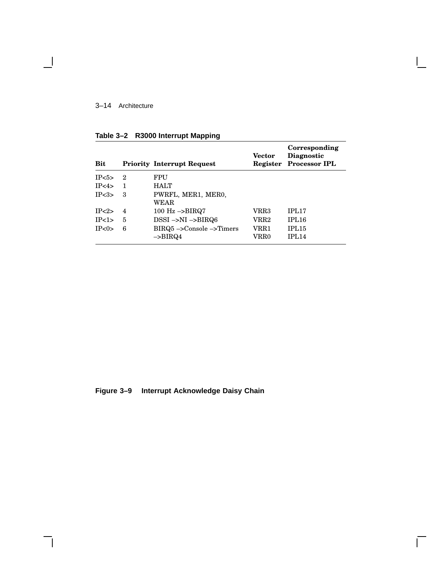## 3–14 Architecture

 $\blacksquare$ 

| <b>Bit</b>          |                | <b>Priority Interrupt Request</b>                 | <b>Vector</b> | Corresponding<br>Diagnostic<br><b>Register Processor IPL</b> |
|---------------------|----------------|---------------------------------------------------|---------------|--------------------------------------------------------------|
| IP <sub>5&gt;</sub> | - 2            | FPU                                               |               |                                                              |
| IP<4>               | 1              | HALT                                              |               |                                                              |
| IP < 3              | 3              | PWRFL, MER1, MER0,<br>WEAR                        |               |                                                              |
| IP < 2              | 4              | 100 $\text{Hz} \rightarrow \text{BIRQ7}$          | VRR3          | IPL <sub>17</sub>                                            |
| IP<1>               | $\overline{5}$ | $DSSI \rightarrow NI \rightarrow BIRQ6$           | VRR2          | IPL <sub>16</sub>                                            |
| IP <sub>0</sub>     | 6              | $BIRQ5 ->Console -> Times$<br>$\rightarrow$ BIRQ4 | VRR1<br>VRR0  | IPL <sub>15</sub><br><b>IPL14</b>                            |

Г

**Table 3–2 R3000 Interrupt Mapping**

**Figure 3–9 Interrupt Acknowledge Daisy Chain**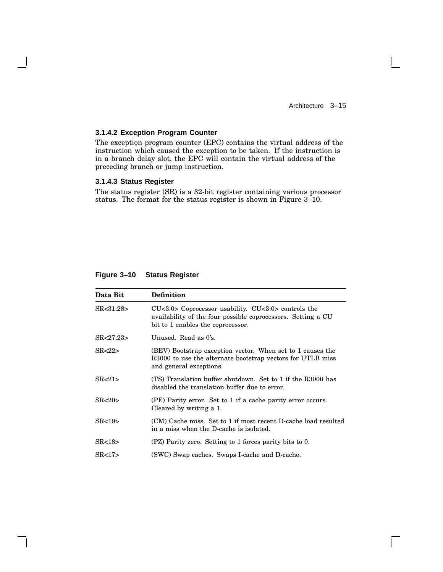$\Box$ 

#### **3.1.4.2 Exception Program Counter**

The exception program counter (EPC) contains the virtual address of the instruction which caused the exception to be taken. If the instruction is in a branch delay slot, the EPC will contain the virtual address of the preceding branch or jump instruction.

#### **3.1.4.3 Status Register**

The status register (SR) is a 32-bit register containing various processor status. The format for the status register is shown in Figure 3–10.

| Data Bit         | <b>Definition</b>                                                                                                                                              |  |
|------------------|----------------------------------------------------------------------------------------------------------------------------------------------------------------|--|
| SR<31:28>        | $CU<3:0$ > Coprocessor usability. $CU<3:0$ > controls the<br>availability of the four possible coprocessors. Setting a CU<br>bit to 1 enables the coprocessor. |  |
| SR < 27:23       | Unused. Read as 0's.                                                                                                                                           |  |
| SR < 22          | (BEV) Bootstrap exception vector. When set to 1 causes the<br>R3000 to use the alternate bootstrap vectors for UTLB miss<br>and general exceptions.            |  |
| SR < 21          | (TS) Translation buffer shutdown. Set to 1 if the R3000 has<br>disabled the translation buffer due to error.                                                   |  |
| SR < 20          | (PE) Parity error. Set to 1 if a cache parity error occurs.<br>Cleared by writing a 1.                                                                         |  |
| SR < 19          | (CM) Cache miss. Set to 1 if most recent D-cache load resulted<br>in a miss when the D-cache is isolated.                                                      |  |
| SR < 18          | (PZ) Parity zero. Setting to 1 forces parity bits to 0.                                                                                                        |  |
| SR <sub>17</sub> | (SWC) Swap caches. Swaps I-cache and D-cache.                                                                                                                  |  |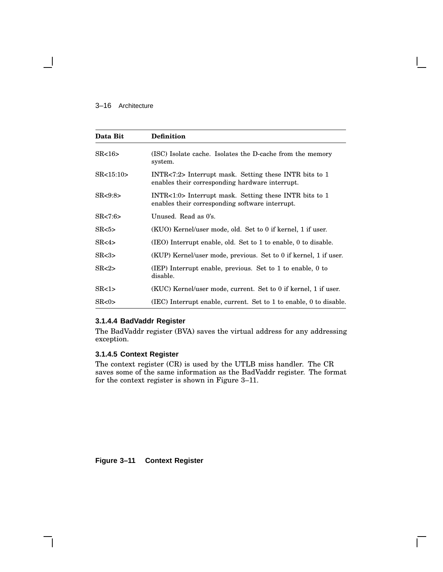#### 3–16 Architecture

| Data Bit    | <b>Definition</b>                                                                                            |
|-------------|--------------------------------------------------------------------------------------------------------------|
| SR < 16     | (ISC) Isolate cache. Isolates the D-cache from the memory<br>system.                                         |
| SR < 15:10> | $INTR < 7:2$ Interrupt mask. Setting these INTR bits to 1<br>enables their corresponding hardware interrupt. |
| SR < 9:8    | INTR<1:0> Interrupt mask. Setting these INTR bits to 1<br>enables their corresponding software interrupt.    |
| SR < 7:6    | Unused. Read as 0's.                                                                                         |
| SR < 5      | (KUO) Kernel/user mode, old. Set to 0 if kernel, 1 if user.                                                  |
| SR < 4      | $(IEO)$ Interrupt enable, old. Set to 1 to enable, 0 to disable.                                             |
| SR < 3      | (KUP) Kernel/user mode, previous. Set to 0 if kernel, 1 if user.                                             |
| SR < 2      | (IEP) Interrupt enable, previous. Set to 1 to enable, 0 to<br>disable.                                       |
| SR < 1      | (KUC) Kernel/user mode, current. Set to 0 if kernel, 1 if user.                                              |
| SR < 0      | (IEC) Interrupt enable, current. Set to 1 to enable, 0 to disable.                                           |

#### **3.1.4.4 BadVaddr Register**

The BadVaddr register (BVA) saves the virtual address for any addressing exception.

# **3.1.4.5 Context Register**

The context register (CR) is used by the UTLB miss handler. The CR saves some of the same information as the BadVaddr register. The format for the context register is shown in Figure 3–11.

**Figure 3–11 Context Register**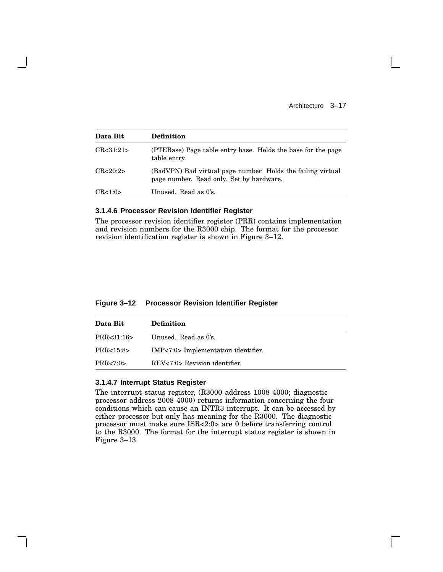| Data Bit   | <b>Definition</b>                                                                                       |
|------------|---------------------------------------------------------------------------------------------------------|
| CR < 31:21 | (PTEBase) Page table entry base. Holds the base for the page<br>table entry.                            |
| CR<20:2>   | (BadVPN) Bad virtual page number. Holds the failing virtual<br>page number. Read only. Set by hardware. |
| CR < 1:0>  | Unused. Read as 0's.                                                                                    |

#### **3.1.4.6 Processor Revision Identifier Register**

The processor revision identifier register (PRR) contains implementation and revision numbers for the R3000 chip. The format for the processor revision identification register is shown in Figure 3–12.

#### **Figure 3–12 Processor Revision Identifier Register**

| Data Bit    | <b>Definition</b>                   |
|-------------|-------------------------------------|
| PRR<31:16>  | Unused. Read as 0's.                |
| PRR < 15:8> | IMP<7:0> Implementation identifier. |
| PRR < 7:0>  | $REV < 7:0$ Revision identifier.    |

#### **3.1.4.7 Interrupt Status Register**

The interrupt status register, (R3000 address 1008 4000; diagnostic processor address 2008 4000) returns information concerning the four conditions which can cause an INTR3 interrupt. It can be accessed by either processor but only has meaning for the R3000. The diagnostic processor must make sure ISR<2:0> are 0 before transferring control to the R3000. The format for the interrupt status register is shown in Figure 3–13.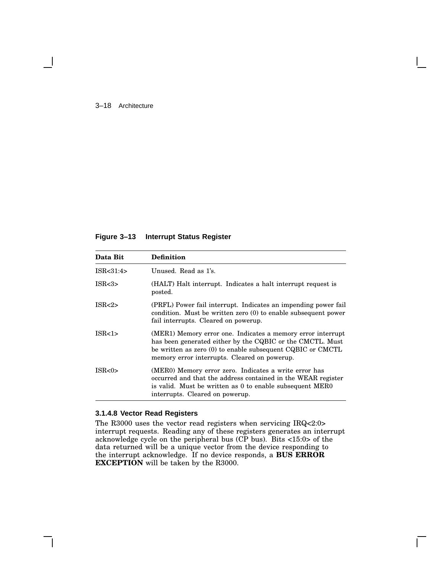#### 3–18 Architecture

#### **Figure 3–13 Interrupt Status Register**

| Data Bit         | <b>Definition</b>                                                                                                                                                                                                                      |
|------------------|----------------------------------------------------------------------------------------------------------------------------------------------------------------------------------------------------------------------------------------|
| ISR < 31:4       | Unused. Read as 1's.                                                                                                                                                                                                                   |
| ISR <sub>3</sub> | (HALT) Halt interrupt. Indicates a halt interrupt request is<br>posted.                                                                                                                                                                |
| ISR < 2          | (PRFL) Power fail interrupt. Indicates an impending power fail<br>condition. Must be written zero $(0)$ to enable subsequent power<br>fail interrupts. Cleared on powerup.                                                             |
| ISR <sub>1</sub> | (MER1) Memory error one. Indicates a memory error interrupt<br>has been generated either by the CQBIC or the CMCTL. Must<br>be written as zero (0) to enable subsequent CQBIC or CMCTL<br>memory error interrupts. Cleared on powerup. |
| ISR < 0          | (MERO) Memory error zero. Indicates a write error has<br>occurred and that the address contained in the WEAR register<br>is valid. Must be written as 0 to enable subsequent MERO<br>interrupts. Cleared on powerup.                   |

#### **3.1.4.8 Vector Read Registers**

The R3000 uses the vector read registers when servicing IRQ<2:0> interrupt requests. Reading any of these registers generates an interrupt acknowledge cycle on the peripheral bus (CP bus). Bits <15:0> of the data returned will be a unique vector from the device responding to the interrupt acknowledge. If no device responds, a **BUS ERROR EXCEPTION** will be taken by the R3000.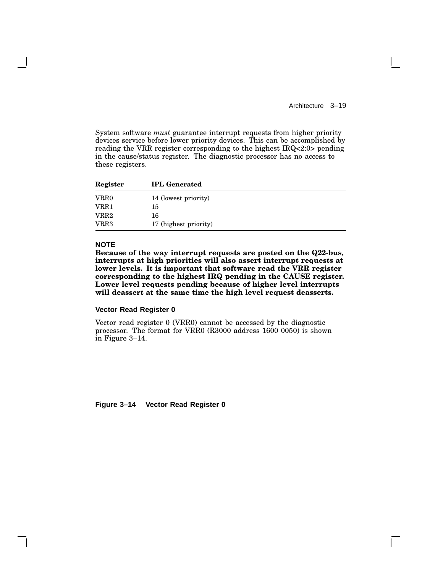System software *must* guarantee interrupt requests from higher priority devices service before lower priority devices. This can be accomplished by reading the VRR register corresponding to the highest IRQ<2:0> pending in the cause/status register. The diagnostic processor has no access to these registers.

| Register | <b>IPL</b> Generated  |
|----------|-----------------------|
| VRR0     | 14 (lowest priority)  |
| VRR1     | 15                    |
| VRR2     | 16                    |
| VRR3     | 17 (highest priority) |

#### **NOTE**

**Because of the way interrupt requests are posted on the Q22-bus, interrupts at high priorities will also assert interrupt requests at lower levels. It is important that software read the VRR register corresponding to the highest IRQ pending in the CAUSE register. Lower level requests pending because of higher level interrupts will deassert at the same time the high level request deasserts.**

#### **Vector Read Register 0**

Vector read register 0 (VRR0) cannot be accessed by the diagnostic processor. The format for VRR0 (R3000 address 1600 0050) is shown in Figure 3–14.

**Figure 3–14 Vector Read Register 0**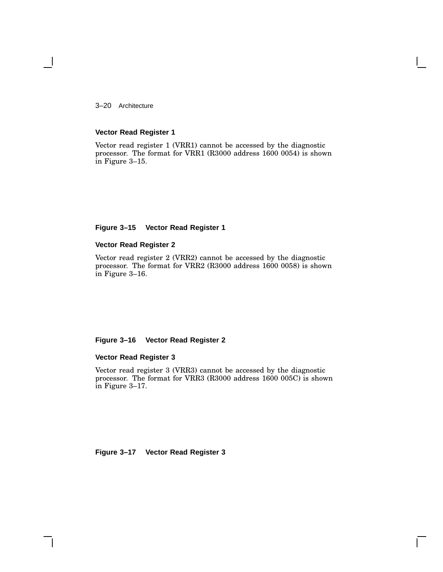3–20 Architecture

#### **Vector Read Register 1**

Vector read register 1 (VRR1) cannot be accessed by the diagnostic processor. The format for VRR1 (R3000 address 1600 0054) is shown in Figure 3–15.

### **Figure 3–15 Vector Read Register 1**

#### **Vector Read Register 2**

Vector read register 2 (VRR2) cannot be accessed by the diagnostic processor. The format for VRR2 (R3000 address 1600 0058) is shown in Figure 3–16.

#### **Figure 3–16 Vector Read Register 2**

## **Vector Read Register 3**

Vector read register 3 (VRR3) cannot be accessed by the diagnostic processor. The format for VRR3 (R3000 address 1600 005C) is shown in Figure 3–17.

**Figure 3–17 Vector Read Register 3**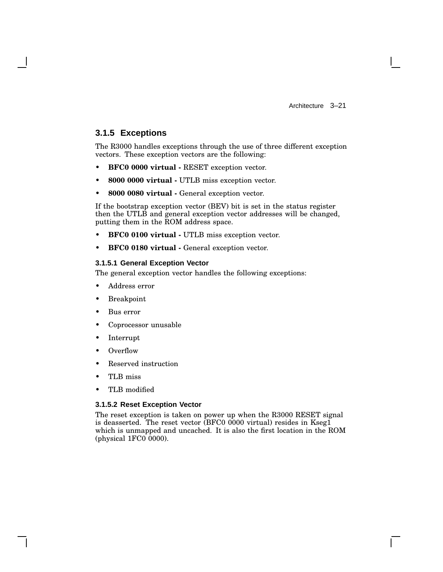# **3.1.5 Exceptions**

The R3000 handles exceptions through the use of three different exception vectors. These exception vectors are the following:

- **BFC0 0000 virtual -** RESET exception vector.
- **8000 0000 virtual -** UTLB miss exception vector.
- **8000 0080 virtual -** General exception vector.

If the bootstrap exception vector (BEV) bit is set in the status register then the UTLB and general exception vector addresses will be changed, putting them in the ROM address space.

- **BFC0 0100 virtual -** UTLB miss exception vector.
- **BFC0 0180 virtual -** General exception vector.

#### **3.1.5.1 General Exception Vector**

The general exception vector handles the following exceptions:

- Address error
- **Breakpoint**
- Bus error
- Coprocessor unusable
- **Interrupt**
- Overflow
- Reserved instruction
- TLB miss
- TLB modified

#### **3.1.5.2 Reset Exception Vector**

The reset exception is taken on power up when the R3000 RESET signal is deasserted. The reset vector (BFC0 0000 virtual) resides in Kseg1 which is unmapped and uncached. It is also the first location in the ROM (physical 1FC0 0000).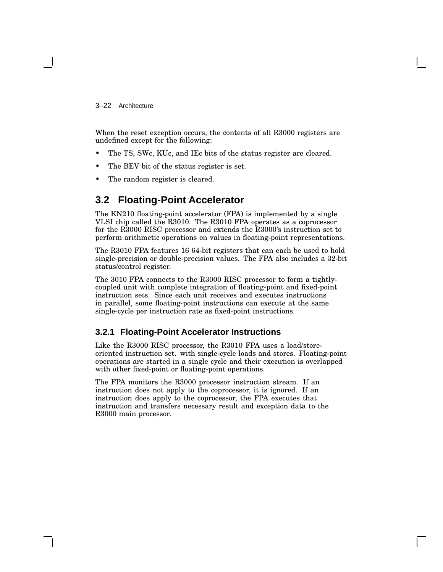#### 3–22 Architecture

When the reset exception occurs, the contents of all R3000 registers are undefined except for the following:

- The TS, SWc, KUc, and IEc bits of the status register are cleared.
- The BEV bit of the status register is set.
- The random register is cleared.

# **3.2 Floating-Point Accelerator**

The KN210 floating-point accelerator (FPA) is implemented by a single VLSI chip called the R3010. The R3010 FPA operates as a coprocessor for the R3000 RISC processor and extends the R3000's instruction set to perform arithmetic operations on values in floating-point representations.

The R3010 FPA features 16 64-bit registers that can each be used to hold single-precision or double-precision values. The FPA also includes a 32-bit status/control register.

The 3010 FPA connects to the R3000 RISC processor to form a tightlycoupled unit with complete integration of floating-point and fixed-point instruction sets. Since each unit receives and executes instructions in parallel, some floating-point instructions can execute at the same single-cycle per instruction rate as fixed-point instructions.

# **3.2.1 Floating-Point Accelerator Instructions**

Like the R3000 RISC processor, the R3010 FPA uses a load/storeoriented instruction set. with single-cycle loads and stores. Floating-point operations are started in a single cycle and their execution is overlapped with other fixed-point or floating-point operations.

The FPA monitors the R3000 processor instruction stream. If an instruction does not apply to the coprocessor, it is ignored. If an instruction does apply to the coprocessor, the FPA executes that instruction and transfers necessary result and exception data to the R3000 main processor.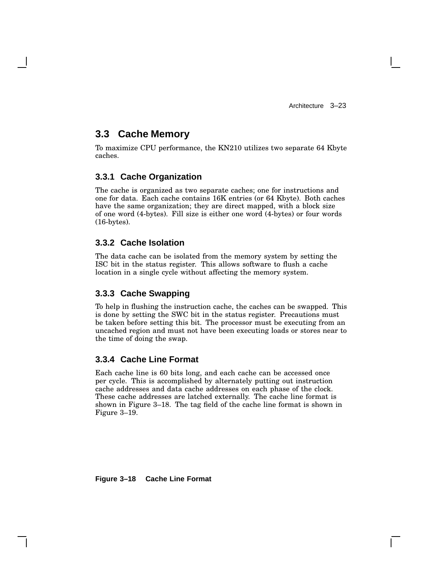# **3.3 Cache Memory**

To maximize CPU performance, the KN210 utilizes two separate 64 Kbyte caches.

## **3.3.1 Cache Organization**

The cache is organized as two separate caches; one for instructions and one for data. Each cache contains 16K entries (or 64 Kbyte). Both caches have the same organization; they are direct mapped, with a block size of one word (4-bytes). Fill size is either one word (4-bytes) or four words (16-bytes).

### **3.3.2 Cache Isolation**

The data cache can be isolated from the memory system by setting the ISC bit in the status register. This allows software to flush a cache location in a single cycle without affecting the memory system.

# **3.3.3 Cache Swapping**

To help in flushing the instruction cache, the caches can be swapped. This is done by setting the SWC bit in the status register. Precautions must be taken before setting this bit. The processor must be executing from an uncached region and must not have been executing loads or stores near to the time of doing the swap.

### **3.3.4 Cache Line Format**

Each cache line is 60 bits long, and each cache can be accessed once per cycle. This is accomplished by alternately putting out instruction cache addresses and data cache addresses on each phase of the clock. These cache addresses are latched externally. The cache line format is shown in Figure 3–18. The tag field of the cache line format is shown in Figure 3–19.

**Figure 3–18 Cache Line Format**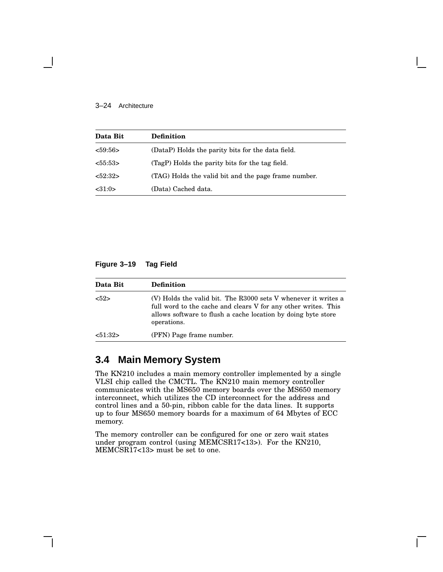#### 3–24 Architecture

| Data Bit | <b>Definition</b>                                    |
|----------|------------------------------------------------------|
| < 59:56  | (DataP) Holds the parity bits for the data field.    |
| 55:53>   | (TagP) Holds the parity bits for the tag field.      |
| < 52:32> | (TAG) Holds the valid bit and the page frame number. |
| < 31:0>  | (Data) Cached data.                                  |

#### **Figure 3–19 Tag Field**

| Data Bit | <b>Definition</b>                                                                                                                                                                                                |
|----------|------------------------------------------------------------------------------------------------------------------------------------------------------------------------------------------------------------------|
| 52>      | (V) Holds the valid bit. The R3000 sets V whenever it writes a<br>full word to the cache and clears V for any other writes. This<br>allows software to flush a cache location by doing byte store<br>operations. |
| 51:32>   | (PFN) Page frame number.                                                                                                                                                                                         |

# **3.4 Main Memory System**

The KN210 includes a main memory controller implemented by a single VLSI chip called the CMCTL. The KN210 main memory controller communicates with the MS650 memory boards over the MS650 memory interconnect, which utilizes the CD interconnect for the address and control lines and a 50-pin, ribbon cable for the data lines. It supports up to four MS650 memory boards for a maximum of 64 Mbytes of ECC memory.

The memory controller can be configured for one or zero wait states under program control (using MEMCSR17<13>). For the KN210, MEMCSR17<13> must be set to one.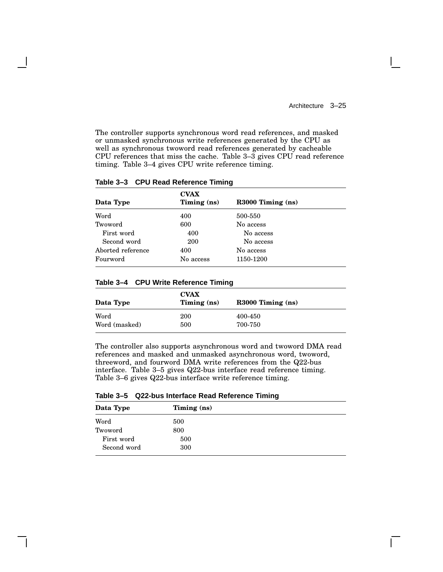The controller supports synchronous word read references, and masked or unmasked synchronous write references generated by the CPU as well as synchronous twoword read references generated by cacheable CPU references that miss the cache. Table 3–3 gives CPU read reference timing. Table 3–4 gives CPU write reference timing.

| Data Type         | <b>CVAX</b><br>Timing (ns) | R3000 Timing (ns) |  |
|-------------------|----------------------------|-------------------|--|
| Word              | 400                        | 500-550           |  |
| Twoword           | 600                        | No access         |  |
| First word        | 400                        | No access         |  |
| Second word       | 200                        | No access         |  |
| Aborted reference | 400                        | No access         |  |
| Fourword          | No access                  | 1150-1200         |  |

#### **Table 3–3 CPU Read Reference Timing**

**Table 3–4 CPU Write Reference Timing**

| Data Type     | <b>CVAX</b><br>Timing $(ns)$ | $R3000$ Timing $(ns)$ |
|---------------|------------------------------|-----------------------|
| Word          | 200                          | 400-450               |
| Word (masked) | 500                          | 700-750               |

The controller also supports asynchronous word and twoword DMA read references and masked and unmasked asynchronous word, twoword, threeword, and fourword DMA write references from the Q22-bus interface. Table 3–5 gives Q22-bus interface read reference timing. Table 3–6 gives Q22-bus interface write reference timing.

**Table 3–5 Q22-bus Interface Read Reference Timing**

| Data Type   | Timing $(ns)$ |  |
|-------------|---------------|--|
| Word        | 500           |  |
| Twoword     | 800           |  |
| First word  | 500           |  |
| Second word | 300           |  |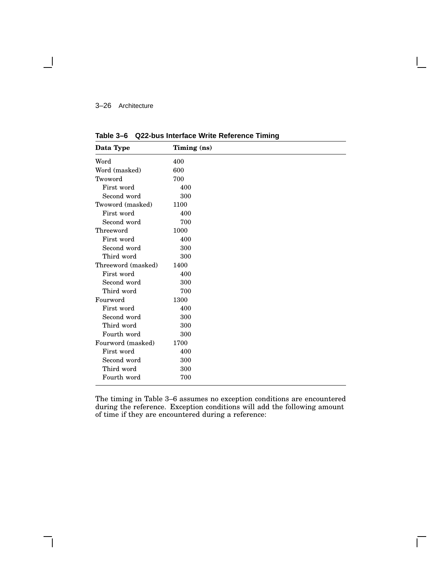#### 3–26 Architecture

| Data Type          | Timing (ns) |  |  |
|--------------------|-------------|--|--|
| Word               | 400         |  |  |
| Word (masked)      | 600         |  |  |
| Twoword            | 700         |  |  |
| First word         | 400         |  |  |
| Second word        | 300         |  |  |
| Twoword (masked)   | 1100        |  |  |
| First word         | 400         |  |  |
| Second word        | 700         |  |  |
| Threeword          | 1000        |  |  |
| First word         | 400         |  |  |
| Second word        | 300         |  |  |
| Third word         | 300         |  |  |
| Threeword (masked) | 1400        |  |  |
| First word         | 400         |  |  |
| Second word        | 300         |  |  |
| Third word         | 700         |  |  |
| Fourword           | 1300        |  |  |
| First word         | 400         |  |  |
| Second word        | 300         |  |  |
| Third word         | 300         |  |  |
| Fourth word        | 300         |  |  |
| Fourword (masked)  | 1700        |  |  |
| First word         | 400         |  |  |
| Second word        | 300         |  |  |
| Third word         | 300         |  |  |
| Fourth word        | 700         |  |  |

**Table 3–6 Q22-bus Interface Write Reference Timing**

The timing in Table 3–6 assumes no exception conditions are encountered during the reference. Exception conditions will add the following amount of time if they are encountered during a reference:

 $\mathsf{L}$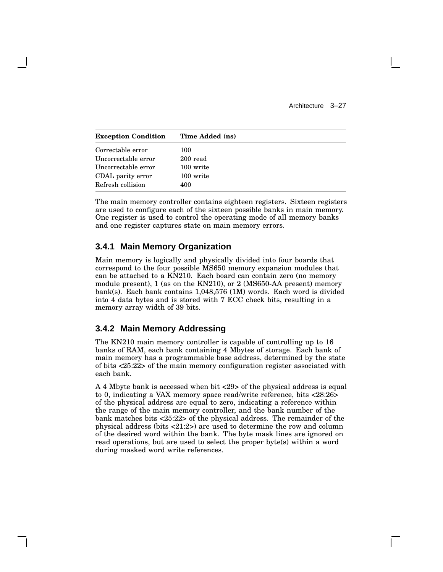| <b>Exception Condition</b> | Time Added (ns) |
|----------------------------|-----------------|
| Correctable error          | 100             |
| Uncorrectable error        | 200 read        |
| Uncorrectable error        | 100 write       |
| CDAL parity error          | 100 write       |
| Refresh collision          | 400             |

The main memory controller contains eighteen registers. Sixteen registers are used to configure each of the sixteen possible banks in main memory. One register is used to control the operating mode of all memory banks and one register captures state on main memory errors.

# **3.4.1 Main Memory Organization**

Main memory is logically and physically divided into four boards that correspond to the four possible MS650 memory expansion modules that can be attached to a KN210. Each board can contain zero (no memory module present), 1 (as on the KN210), or 2 (MS650-AA present) memory bank(s). Each bank contains 1,048,576 (1M) words. Each word is divided into 4 data bytes and is stored with 7 ECC check bits, resulting in a memory array width of 39 bits.

### **3.4.2 Main Memory Addressing**

The KN210 main memory controller is capable of controlling up to 16 banks of RAM, each bank containing 4 Mbytes of storage. Each bank of main memory has a programmable base address, determined by the state of bits <25:22> of the main memory configuration register associated with each bank.

A 4 Mbyte bank is accessed when bit <29> of the physical address is equal to 0, indicating a VAX memory space read/write reference, bits <28:26> of the physical address are equal to zero, indicating a reference within the range of the main memory controller, and the bank number of the bank matches bits <25:22> of the physical address. The remainder of the physical address (bits <21:2>) are used to determine the row and column of the desired word within the bank. The byte mask lines are ignored on read operations, but are used to select the proper byte(s) within a word during masked word write references.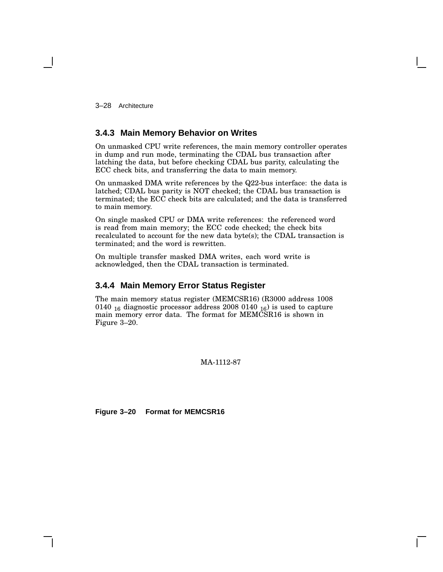3–28 Architecture

# **3.4.3 Main Memory Behavior on Writes**

On unmasked CPU write references, the main memory controller operates in dump and run mode, terminating the CDAL bus transaction after latching the data, but before checking CDAL bus parity, calculating the ECC check bits, and transferring the data to main memory.

On unmasked DMA write references by the Q22-bus interface: the data is latched; CDAL bus parity is NOT checked; the CDAL bus transaction is terminated; the ECC check bits are calculated; and the data is transferred to main memory.

On single masked CPU or DMA write references: the referenced word is read from main memory; the ECC code checked; the check bits recalculated to account for the new data byte(s); the CDAL transaction is terminated; and the word is rewritten.

On multiple transfer masked DMA writes, each word write is acknowledged, then the CDAL transaction is terminated.

## **3.4.4 Main Memory Error Status Register**

The main memory status register (MEMCSR16) (R3000 address 1008 0140  $_{16}$  diagnostic processor address 2008 0140  $_{16}$ ) is used to capture main memory error data. The format for MEMCSR16 is shown in Figure 3–20.

MA-1112-87

**Figure 3–20 Format for MEMCSR16**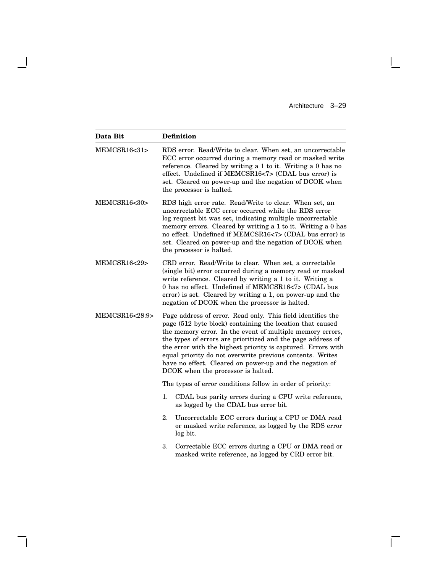$\mathbf{L}$ 

 $\overline{\Gamma}$ 

| Data Bit                  | <b>Definition</b>                                                                                                                                                                                                                                                                                                                                                                                                                                                                  |
|---------------------------|------------------------------------------------------------------------------------------------------------------------------------------------------------------------------------------------------------------------------------------------------------------------------------------------------------------------------------------------------------------------------------------------------------------------------------------------------------------------------------|
| MEMCSR16<31>              | RDS error. Read/Write to clear. When set, an uncorrectable<br>ECC error occurred during a memory read or masked write<br>reference. Cleared by writing a 1 to it. Writing a 0 has no<br>effect. Undefined if MEMCSR16<7> (CDAL bus error) is<br>set. Cleared on power-up and the negation of DCOK when<br>the processor is halted.                                                                                                                                                 |
| MEMCSR16<30>              | RDS high error rate. Read/Write to clear. When set, an<br>uncorrectable ECC error occurred while the RDS error<br>log request bit was set, indicating multiple uncorrectable<br>memory errors. Cleared by writing a 1 to it. Writing a 0 has<br>no effect. Undefined if MEMCSR16<7> (CDAL bus error) is<br>set. Cleared on power-up and the negation of DCOK when<br>the processor is halted.                                                                                      |
| <b>MEMCSR16&lt;29&gt;</b> | CRD error. Read/Write to clear. When set, a correctable<br>(single bit) error occurred during a memory read or masked<br>write reference. Cleared by writing a 1 to it. Writing a<br>0 has no effect. Undefined if MEMCSR16<7> (CDAL bus<br>error) is set. Cleared by writing a 1, on power-up and the<br>negation of DCOK when the processor is halted.                                                                                                                           |
| MEMCSR16<28:9>            | Page address of error. Read only. This field identifies the<br>page (512 byte block) containing the location that caused<br>the memory error. In the event of multiple memory errors,<br>the types of errors are prioritized and the page address of<br>the error with the highest priority is captured. Errors with<br>equal priority do not overwrite previous contents. Writes<br>have no effect. Cleared on power-up and the negation of<br>DCOK when the processor is halted. |
|                           | The types of error conditions follow in order of priority:                                                                                                                                                                                                                                                                                                                                                                                                                         |
|                           | 1.<br>CDAL bus parity errors during a CPU write reference,<br>as logged by the CDAL bus error bit.                                                                                                                                                                                                                                                                                                                                                                                 |
|                           | 2.<br>Uncorrectable ECC errors during a CPU or DMA read<br>or masked write reference, as logged by the RDS error<br>log bit.                                                                                                                                                                                                                                                                                                                                                       |
|                           | Correctable ECC errors during a CPU or DMA read or<br>3.<br>masked write reference, as logged by CRD error bit.                                                                                                                                                                                                                                                                                                                                                                    |

 $\overline{\phantom{a}}$ 

 $\mathsf{l}$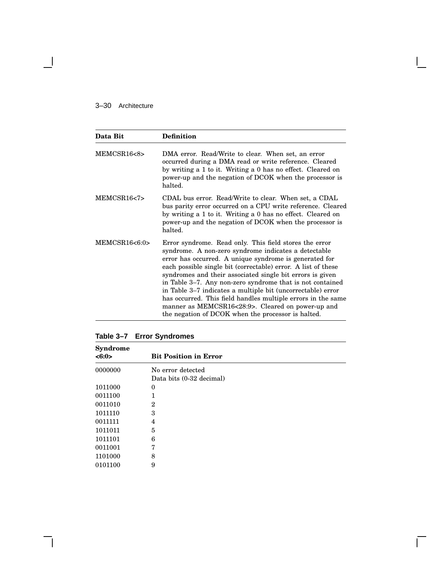## 3–30 Architecture

 $\overline{\phantom{a}}$ 

| Data Bit      | <b>Definition</b>                                                                                                                                                                                                                                                                                                                                                                                                                                                                                                                                                                                             |  |
|---------------|---------------------------------------------------------------------------------------------------------------------------------------------------------------------------------------------------------------------------------------------------------------------------------------------------------------------------------------------------------------------------------------------------------------------------------------------------------------------------------------------------------------------------------------------------------------------------------------------------------------|--|
| MEMCSR16<8>   | DMA error. Read/Write to clear. When set, an error<br>occurred during a DMA read or write reference. Cleared<br>by writing a 1 to it. Writing a 0 has no effect. Cleared on<br>power-up and the negation of DCOK when the processor is<br>halted.                                                                                                                                                                                                                                                                                                                                                             |  |
| MEMCSR16<7>   | CDAL bus error. Read/Write to clear. When set, a CDAL<br>bus parity error occurred on a CPU write reference. Cleared<br>by writing a 1 to it. Writing a 0 has no effect. Cleared on<br>power-up and the negation of DCOK when the processor is<br>halted.                                                                                                                                                                                                                                                                                                                                                     |  |
| MEMCSR16<6:0> | Error syndrome. Read only. This field stores the error<br>syndrome. A non-zero syndrome indicates a detectable<br>error has occurred. A unique syndrome is generated for<br>each possible single bit (correctable) error. A list of these<br>syndromes and their associated single bit errors is given<br>in Table 3–7. Any non-zero syndrome that is not contained<br>in Table 3–7 indicates a multiple bit (uncorrectable) error<br>has occurred. This field handles multiple errors in the same<br>manner as MEMCSR16<28:9>. Cleared on power-up and<br>the negation of DCOK when the processor is halted. |  |

**Table 3–7 Error Syndromes**

| <b>Syndrome</b><br><6:0> | <b>Bit Position in Error</b> |
|--------------------------|------------------------------|
| 0000000                  | No error detected            |
|                          | Data bits (0-32 decimal)     |
| 1011000                  | 0                            |
| 0011100                  | 1                            |
| 0011010                  | $\overline{2}$               |
| 1011110                  | 3                            |
| 0011111                  | 4                            |
| 1011011                  | 5                            |
| 1011101                  | 6                            |
| 0011001                  | 7                            |
| 1101000                  | 8                            |
| 0101100                  | 9                            |

 $\mathsf{L}$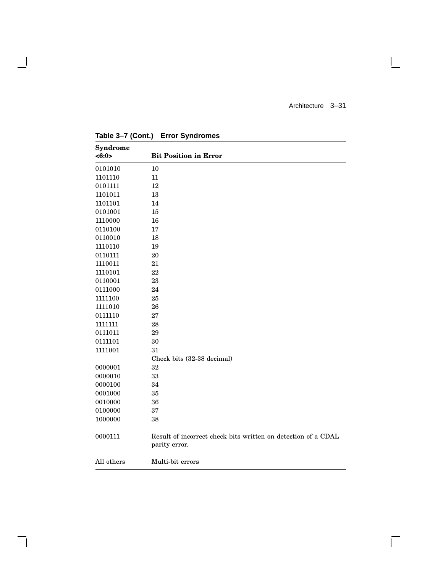$\mathsf{I}$ 

 $\overline{\Gamma}$ 

| <b>Syndrome</b> |                                                                                |
|-----------------|--------------------------------------------------------------------------------|
| <6:0>           | <b>Bit Position in Error</b>                                                   |
| 0101010         | 10                                                                             |
| 1101110         | 11                                                                             |
| 0101111         | 12                                                                             |
| 1101011         | 13                                                                             |
| 1101101         | 14                                                                             |
| 0101001         | 15                                                                             |
| 1110000         | 16                                                                             |
| 0110100         | 17                                                                             |
| 0110010         | 18                                                                             |
| 1110110         | 19                                                                             |
| 0110111         | 20                                                                             |
| 1110011         | 21                                                                             |
| 1110101         | 22                                                                             |
| 0110001         | 23                                                                             |
| 0111000         | 24                                                                             |
| 1111100         | 25                                                                             |
| 1111010         | 26                                                                             |
| 0111110         | 27                                                                             |
| 1111111         | 28                                                                             |
| 0111011         | 29                                                                             |
| 0111101         | 30                                                                             |
| 1111001         | 31                                                                             |
|                 | Check bits (32-38 decimal)                                                     |
| 0000001         | 32                                                                             |
| 0000010         | 33                                                                             |
| 0000100         | 34                                                                             |
| 0001000         | 35                                                                             |
| 0010000         | 36                                                                             |
| 0100000         | 37                                                                             |
| 1000000         | 38                                                                             |
| 0000111         | Result of incorrect check bits written on detection of a CDAL<br>parity error. |
| All others      | Multi-bit errors                                                               |

**Table 3–7 (Cont.) Error Syndromes**

 $\overline{\phantom{a}}$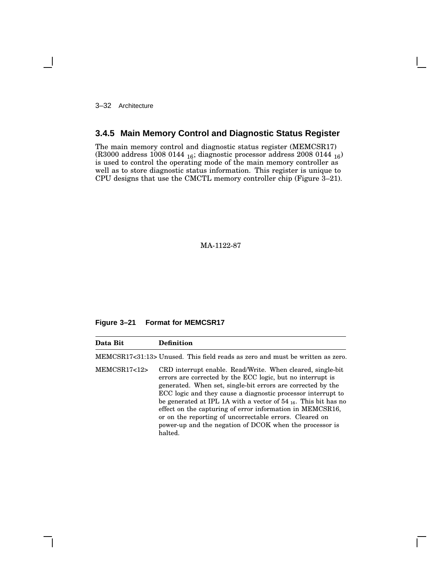3–32 Architecture

# **3.4.5 Main Memory Control and Diagnostic Status Register**

The main memory control and diagnostic status register (MEMCSR17) (R3000 address 1008 0144 <sup>16</sup>; diagnostic processor address 2008 0144 <sup>16</sup>) is used to control the operating mode of the main memory controller as well as to store diagnostic status information. This register is unique to CPU designs that use the CMCTL memory controller chip (Figure 3–21).

MA-1122-87

### **Figure 3–21 Format for MEMCSR17**

| Data Bit    | <b>Definition</b>                                                                                                                                                                                                                                                                                                                                                                                                                                                                                                            |
|-------------|------------------------------------------------------------------------------------------------------------------------------------------------------------------------------------------------------------------------------------------------------------------------------------------------------------------------------------------------------------------------------------------------------------------------------------------------------------------------------------------------------------------------------|
|             | MEMCSR17<31:13> Unused. This field reads as zero and must be written as zero.                                                                                                                                                                                                                                                                                                                                                                                                                                                |
| MEMCSR17<12 | CRD interrupt enable. Read/Write. When cleared, single-bit<br>errors are corrected by the ECC logic, but no interrupt is<br>generated. When set, single-bit errors are corrected by the<br>ECC logic and they cause a diagnostic processor interrupt to<br>be generated at IPL 1A with a vector of $54_{16}$ . This bit has no<br>effect on the capturing of error information in MEMCSR16,<br>or on the reporting of uncorrectable errors. Cleared on<br>power-up and the negation of DCOK when the processor is<br>halted. |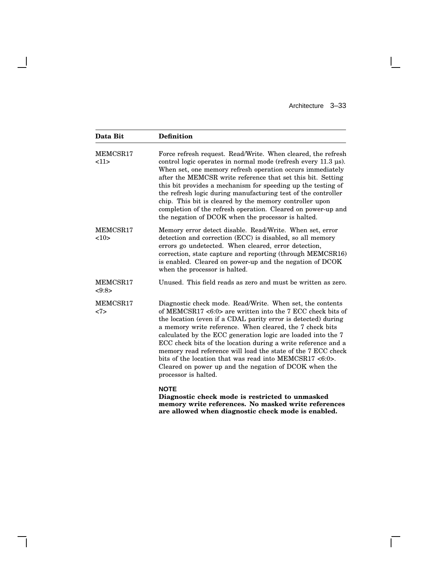$\Box$ 

 $\overline{\Gamma}$ 

| Data Bit          | <b>Definition</b>                                                                                                                                                                                                                                                                                                                                                                                                                                                                                                                                                                                 |  |
|-------------------|---------------------------------------------------------------------------------------------------------------------------------------------------------------------------------------------------------------------------------------------------------------------------------------------------------------------------------------------------------------------------------------------------------------------------------------------------------------------------------------------------------------------------------------------------------------------------------------------------|--|
| MEMCSR17<br>11    | Force refresh request. Read/Write. When cleared, the refresh<br>control logic operates in normal mode (refresh every $11.3 \mu s$ ).<br>When set, one memory refresh operation occurs immediately<br>after the MEMCSR write reference that set this bit. Setting<br>this bit provides a mechanism for speeding up the testing of<br>the refresh logic during manufacturing test of the controller<br>chip. This bit is cleared by the memory controller upon<br>completion of the refresh operation. Cleared on power-up and<br>the negation of DCOK when the processor is halted.                |  |
| MEMCSR17<br>10    | Memory error detect disable. Read/Write. When set, error<br>detection and correction (ECC) is disabled, so all memory<br>errors go undetected. When cleared, error detection,<br>correction, state capture and reporting (through MEMCSR16)<br>is enabled. Cleared on power-up and the negation of DCOK<br>when the processor is halted.                                                                                                                                                                                                                                                          |  |
| MEMCSR17<br><9:8> | Unused. This field reads as zero and must be written as zero.                                                                                                                                                                                                                                                                                                                                                                                                                                                                                                                                     |  |
| MEMCSR17<br><7>   | Diagnostic check mode. Read/Write. When set, the contents<br>of MEMCSR17 <6:0> are written into the 7 ECC check bits of<br>the location (even if a CDAL parity error is detected) during<br>a memory write reference. When cleared, the 7 check bits<br>calculated by the ECC generation logic are loaded into the 7<br>ECC check bits of the location during a write reference and a<br>memory read reference will load the state of the 7 ECC check<br>bits of the location that was read into MEMCSR17 <6:0>.<br>Cleared on power up and the negation of DCOK when the<br>processor is halted. |  |
|                   | <b>NOTE</b><br>Diagnostic check mode is restricted to unmasked                                                                                                                                                                                                                                                                                                                                                                                                                                                                                                                                    |  |

 $\overline{\phantom{a}}$ 

 $\overline{\phantom{a}}$ 

**memory write references. No masked write references are allowed when diagnostic check mode is enabled.**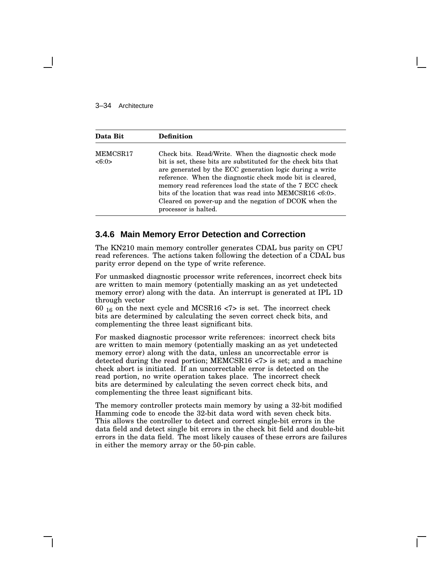#### 3–34 Architecture

| Data Bit          | <b>Definition</b>                                                                                                                                                                                                                                                                                                                                                                                                                                            |
|-------------------|--------------------------------------------------------------------------------------------------------------------------------------------------------------------------------------------------------------------------------------------------------------------------------------------------------------------------------------------------------------------------------------------------------------------------------------------------------------|
| MEMCSR17<br><6:0> | Check bits. Read/Write. When the diagnostic check mode<br>bit is set, these bits are substituted for the check bits that<br>are generated by the ECC generation logic during a write<br>reference. When the diagnostic check mode bit is cleared,<br>memory read references load the state of the 7 ECC check<br>bits of the location that was read into MEMCSR16 $<6:0>$ .<br>Cleared on power-up and the negation of DCOK when the<br>processor is halted. |

## **3.4.6 Main Memory Error Detection and Correction**

The KN210 main memory controller generates CDAL bus parity on CPU read references. The actions taken following the detection of a CDAL bus parity error depend on the type of write reference.

For unmasked diagnostic processor write references, incorrect check bits are written to main memory (potentially masking an as yet undetected memory error) along with the data. An interrupt is generated at IPL 1D through vector

60  $_{16}$  on the next cycle and MCSR16 <7> is set. The incorrect check bits are determined by calculating the seven correct check bits, and complementing the three least significant bits.

For masked diagnostic processor write references: incorrect check bits are written to main memory (potentially masking an as yet undetected memory error) along with the data, unless an uncorrectable error is detected during the read portion; MEMCSR16 <7> is set; and a machine check abort is initiated. If an uncorrectable error is detected on the read portion, no write operation takes place. The incorrect check bits are determined by calculating the seven correct check bits, and complementing the three least significant bits.

The memory controller protects main memory by using a 32-bit modified Hamming code to encode the 32-bit data word with seven check bits. This allows the controller to detect and correct single-bit errors in the data field and detect single bit errors in the check bit field and double-bit errors in the data field. The most likely causes of these errors are failures in either the memory array or the 50-pin cable.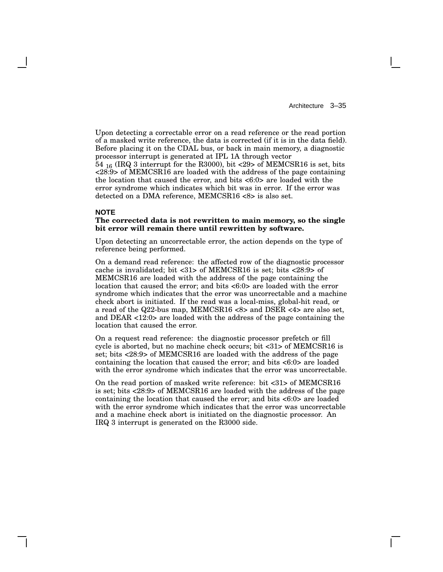Upon detecting a correctable error on a read reference or the read portion of a masked write reference, the data is corrected (if it is in the data field). Before placing it on the CDAL bus, or back in main memory, a diagnostic processor interrupt is generated at IPL 1A through vector

54 <sup>16</sup> (IRQ 3 interrupt for the R3000), bit <29> of MEMCSR16 is set, bits  $\langle 28.9 \rangle$  of MEMCSR16 are loaded with the address of the page containing the location that caused the error, and bits <6:0> are loaded with the error syndrome which indicates which bit was in error. If the error was detected on a DMA reference, MEMCSR16 <8> is also set.

#### **NOTE**

#### **The corrected data is not rewritten to main memory, so the single bit error will remain there until rewritten by software.**

Upon detecting an uncorrectable error, the action depends on the type of reference being performed.

On a demand read reference: the affected row of the diagnostic processor cache is invalidated; bit <31> of MEMCSR16 is set; bits <28:9> of MEMCSR16 are loaded with the address of the page containing the location that caused the error; and bits <6:0> are loaded with the error syndrome which indicates that the error was uncorrectable and a machine check abort is initiated. If the read was a local-miss, global-hit read, or a read of the Q22-bus map, MEMCSR16 <8> and DSER <4> are also set, and DEAR <12:0> are loaded with the address of the page containing the location that caused the error.

On a request read reference: the diagnostic processor prefetch or fill cycle is aborted, but no machine check occurs; bit <31> of MEMCSR16 is set; bits <28:9> of MEMCSR16 are loaded with the address of the page containing the location that caused the error; and bits <6:0> are loaded with the error syndrome which indicates that the error was uncorrectable.

On the read portion of masked write reference: bit <31> of MEMCSR16 is set; bits <28:9> of MEMCSR16 are loaded with the address of the page containing the location that caused the error; and bits <6:0> are loaded with the error syndrome which indicates that the error was uncorrectable and a machine check abort is initiated on the diagnostic processor. An IRQ 3 interrupt is generated on the R3000 side.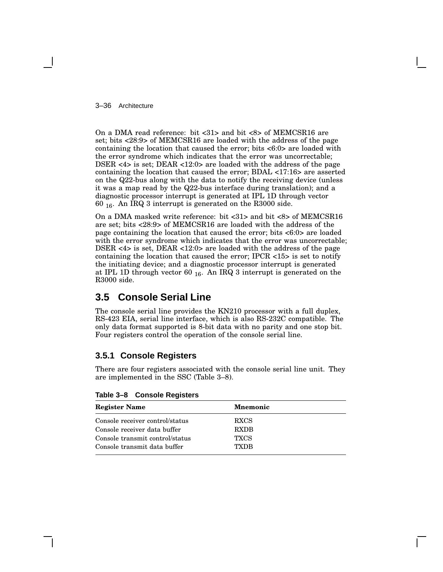3–36 Architecture

On a DMA read reference: bit <31> and bit <8> of MEMCSR16 are set; bits <28:9> of MEMCSR16 are loaded with the address of the page containing the location that caused the error; bits <6:0> are loaded with the error syndrome which indicates that the error was uncorrectable; DSER <4> is set; DEAR <12:0> are loaded with the address of the page containing the location that caused the error; BDAL <17:16> are asserted on the Q22-bus along with the data to notify the receiving device (unless it was a map read by the Q22-bus interface during translation); and a diagnostic processor interrupt is generated at IPL 1D through vector 60 <sup>16</sup>. An IRQ 3 interrupt is generated on the R3000 side.

On a DMA masked write reference: bit <31> and bit <8> of MEMCSR16 are set; bits <28:9> of MEMCSR16 are loaded with the address of the page containing the location that caused the error; bits <6:0> are loaded with the error syndrome which indicates that the error was uncorrectable; DSER <4> is set, DEAR <12:0> are loaded with the address of the page containing the location that caused the error; IPCR <15> is set to notify the initiating device; and a diagnostic processor interrupt is generated at IPL 1D through vector 60  $_{16}$ . An IRQ 3 interrupt is generated on the R3000 side.

# **3.5 Console Serial Line**

The console serial line provides the KN210 processor with a full duplex, RS-423 EIA, serial line interface, which is also RS-232C compatible. The only data format supported is 8-bit data with no parity and one stop bit. Four registers control the operation of the console serial line.

# **3.5.1 Console Registers**

There are four registers associated with the console serial line unit. They are implemented in the SSC (Table 3–8).

| <b>Register Name</b>            | <b>Mnemonic</b> |  |
|---------------------------------|-----------------|--|
| Console receiver control/status | <b>RXCS</b>     |  |
| Console receiver data buffer    | <b>RXDB</b>     |  |
| Console transmit control/status | <b>TXCS</b>     |  |
| Console transmit data buffer    | TYDR            |  |

**Table 3–8 Console Registers**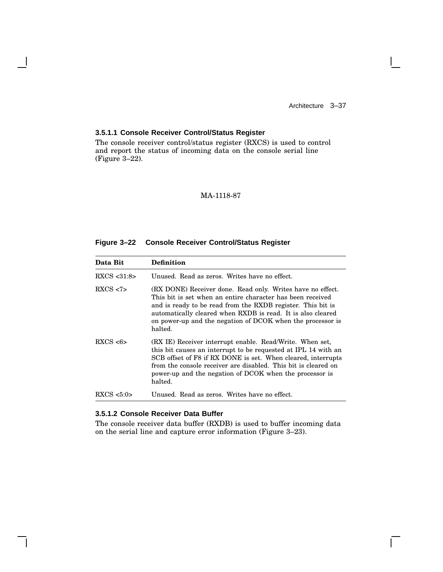$\mathbf{I}$ 

## **3.5.1.1 Console Receiver Control/Status Register**

The console receiver control/status register (RXCS) is used to control and report the status of incoming data on the console serial line (Figure 3–22).

### MA-1118-87

## **Figure 3–22 Console Receiver Control/Status Register**

| Data Bit              | <b>Definition</b>                                                                                                                                                                                                                                                                                                                  |
|-----------------------|------------------------------------------------------------------------------------------------------------------------------------------------------------------------------------------------------------------------------------------------------------------------------------------------------------------------------------|
| $\text{RXCS}$ < 31:8> | Unused. Read as zeros. Writes have no effect.                                                                                                                                                                                                                                                                                      |
| RXCS < 7              | (RX DONE) Receiver done. Read only. Writes have no effect.<br>This bit is set when an entire character has been received<br>and is ready to be read from the RXDB register. This bit is<br>automatically cleared when RXDB is read. It is also cleared<br>on power-up and the negation of DCOK when the processor is<br>halted.    |
| RXCS < 6              | (RX IE) Receiver interrupt enable. Read/Write. When set,<br>this bit causes an interrupt to be requested at IPL 14 with an<br>SCB offset of F8 if RX DONE is set. When cleared, interrupts<br>from the console receiver are disabled. This bit is cleared on<br>power-up and the negation of DCOK when the processor is<br>halted. |
| $\text{RXCS}$ <5:0>   | Unused. Read as zeros. Writes have no effect.                                                                                                                                                                                                                                                                                      |

#### **3.5.1.2 Console Receiver Data Buffer**

The console receiver data buffer (RXDB) is used to buffer incoming data on the serial line and capture error information (Figure 3–23).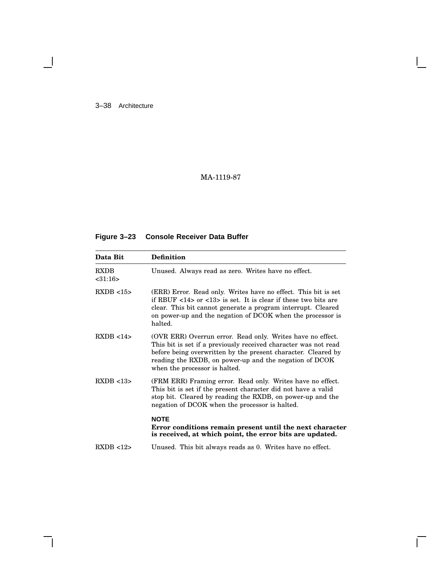3–38 Architecture

 $\overline{\phantom{a}}$ 

# MA-1119-87

# **Figure 3–23 Console Receiver Data Buffer**

| Data Bit               | <b>Definition</b>                                                                                                                                                                                                                                                                                         |
|------------------------|-----------------------------------------------------------------------------------------------------------------------------------------------------------------------------------------------------------------------------------------------------------------------------------------------------------|
| <b>RXDB</b><br>< 31:16 | Unused. Always read as zero. Writes have no effect.                                                                                                                                                                                                                                                       |
| RXDB < 15              | (ERR) Error. Read only. Writes have no effect. This bit is set<br>if RBUF $\langle 14 \rangle$ or $\langle 13 \rangle$ is set. It is clear if these two bits are<br>clear. This bit cannot generate a program interrupt. Cleared<br>on power-up and the negation of DCOK when the processor is<br>halted. |
| RXDB < 14              | (OVR ERR) Overrun error. Read only. Writes have no effect.<br>This bit is set if a previously received character was not read<br>before being overwritten by the present character. Cleared by<br>reading the RXDB, on power-up and the negation of DCOK<br>when the processor is halted.                 |
| RXDB < 13              | (FRM ERR) Framing error. Read only. Writes have no effect.<br>This bit is set if the present character did not have a valid<br>stop bit. Cleared by reading the RXDB, on power-up and the<br>negation of DCOK when the processor is halted.                                                               |
|                        | <b>NOTE</b><br>Error conditions remain present until the next character<br>is received, at which point, the error bits are updated.                                                                                                                                                                       |
| RXDB < 12              | Unused. This bit always reads as 0. Writes have no effect.                                                                                                                                                                                                                                                |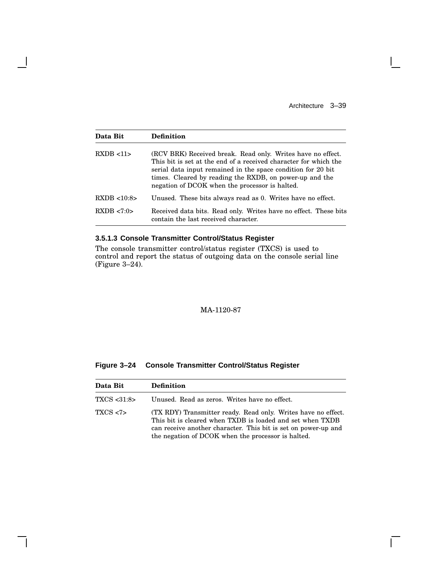$\mathsf{I}$ 

 $\Box$ 

| Data Bit    | <b>Definition</b>                                                                                                                                                                                                                                                                                            |
|-------------|--------------------------------------------------------------------------------------------------------------------------------------------------------------------------------------------------------------------------------------------------------------------------------------------------------------|
| RXDB < 11   | (RCV BRK) Received break. Read only. Writes have no effect.<br>This bit is set at the end of a received character for which the<br>serial data input remained in the space condition for 20 bit<br>times. Cleared by reading the RXDB, on power-up and the<br>negation of DCOK when the processor is halted. |
| RXDB < 10.8 | Unused. These bits always read as 0. Writes have no effect.                                                                                                                                                                                                                                                  |
| RXDB < 7:0> | Received data bits. Read only. Writes have no effect. These bits<br>contain the last received character.                                                                                                                                                                                                     |

**3.5.1.3 Console Transmitter Control/Status Register**

 $\overline{\phantom{a}}$ 

 $\mathsf{l}$ 

The console transmitter control/status register (TXCS) is used to control and report the status of outgoing data on the console serial line (Figure 3–24).

## MA-1120-87

| Figure 3–24 |  |  | <b>Console Transmitter Control/Status Register</b> |  |
|-------------|--|--|----------------------------------------------------|--|
|-------------|--|--|----------------------------------------------------|--|

| Data Bit    | <b>Definition</b>                                                                                                                                                                                                                                  |  |
|-------------|----------------------------------------------------------------------------------------------------------------------------------------------------------------------------------------------------------------------------------------------------|--|
| TXCS <31:8> | Unused. Read as zeros. Writes have no effect.                                                                                                                                                                                                      |  |
| TXCS < 7    | (TX RDY) Transmitter ready. Read only. Writes have no effect.<br>This bit is cleared when TXDB is loaded and set when TXDB<br>can receive another character. This bit is set on power-up and<br>the negation of DCOK when the processor is halted. |  |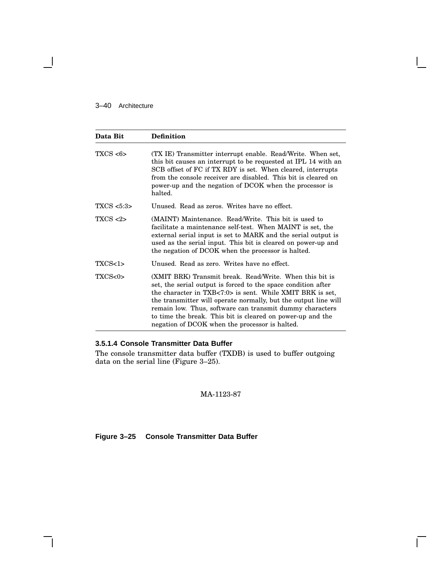### 3–40 Architecture

| Data Bit                                                                                                                                                                                                                                                                                                                                         | <b>Definition</b>                                                                                                                                                                                                                                                                                                                                                                                                                    |  |
|--------------------------------------------------------------------------------------------------------------------------------------------------------------------------------------------------------------------------------------------------------------------------------------------------------------------------------------------------|--------------------------------------------------------------------------------------------------------------------------------------------------------------------------------------------------------------------------------------------------------------------------------------------------------------------------------------------------------------------------------------------------------------------------------------|--|
| TXCS < 6<br>(TX IE) Transmitter interrupt enable. Read/Write. When set,<br>this bit causes an interrupt to be requested at IPL 14 with an<br>SCB offset of FC if TX RDY is set. When cleared, interrupts<br>from the console receiver are disabled. This bit is cleared on<br>power-up and the negation of DCOK when the processor is<br>halted. |                                                                                                                                                                                                                                                                                                                                                                                                                                      |  |
| TXCS < 5:3                                                                                                                                                                                                                                                                                                                                       | Unused. Read as zeros. Writes have no effect.                                                                                                                                                                                                                                                                                                                                                                                        |  |
| TXCS < 2                                                                                                                                                                                                                                                                                                                                         | (MAINT) Maintenance. Read/Write. This bit is used to<br>facilitate a maintenance self-test. When MAINT is set, the<br>external serial input is set to MARK and the serial output is<br>used as the serial input. This bit is cleared on power-up and<br>the negation of DCOK when the processor is halted.                                                                                                                           |  |
| TXCS<1>                                                                                                                                                                                                                                                                                                                                          | Unused. Read as zero. Writes have no effect.                                                                                                                                                                                                                                                                                                                                                                                         |  |
| TXCS <sub>0</sub>                                                                                                                                                                                                                                                                                                                                | (XMIT BRK) Transmit break. Read/Write. When this bit is<br>set, the serial output is forced to the space condition after<br>the character in TXB<7:0> is sent. While XMIT BRK is set,<br>the transmitter will operate normally, but the output line will<br>remain low. Thus, software can transmit dummy characters<br>to time the break. This bit is cleared on power-up and the<br>negation of DCOK when the processor is halted. |  |

### **3.5.1.4 Console Transmitter Data Buffer**

The console transmitter data buffer (TXDB) is used to buffer outgoing data on the serial line (Figure 3–25).

MA-1123-87

## **Figure 3–25 Console Transmitter Data Buffer**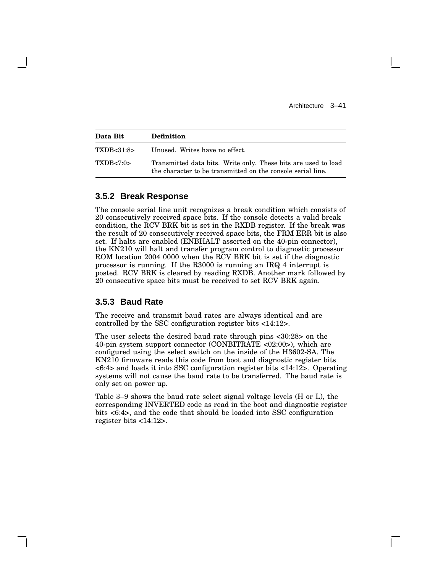| Data Bit    | <b>Definition</b>                                                                                                             |
|-------------|-------------------------------------------------------------------------------------------------------------------------------|
| TXDB<31:8>  | Unused. Writes have no effect.                                                                                                |
| TXDB < 7:0> | Transmitted data bits. Write only. These bits are used to load<br>the character to be transmitted on the console serial line. |

### **3.5.2 Break Response**

The console serial line unit recognizes a break condition which consists of 20 consecutively received space bits. If the console detects a valid break condition, the RCV BRK bit is set in the RXDB register. If the break was the result of 20 consecutively received space bits, the FRM ERR bit is also set. If halts are enabled (ENBHALT asserted on the 40-pin connector), the KN210 will halt and transfer program control to diagnostic processor ROM location 2004 0000 when the RCV BRK bit is set if the diagnostic processor is running. If the R3000 is running an IRQ 4 interrupt is posted. RCV BRK is cleared by reading RXDB. Another mark followed by 20 consecutive space bits must be received to set RCV BRK again.

### **3.5.3 Baud Rate**

The receive and transmit baud rates are always identical and are controlled by the SSC configuration register bits <14:12>.

The user selects the desired baud rate through pins <30:28> on the 40-pin system support connector (CONBITRATE <02:00>), which are configured using the select switch on the inside of the H3602-SA. The KN210 firmware reads this code from boot and diagnostic register bits <6:4> and loads it into SSC configuration register bits <14:12>. Operating systems will not cause the baud rate to be transferred. The baud rate is only set on power up.

Table 3–9 shows the baud rate select signal voltage levels (H or L), the corresponding INVERTED code as read in the boot and diagnostic register bits <6:4>, and the code that should be loaded into SSC configuration register bits <14:12>.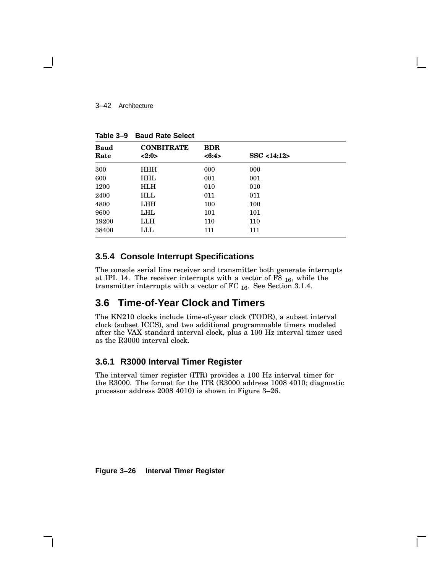#### 3–42 Architecture

| <b>Baud</b> | <b>CONBITRATE</b> | <b>BDR</b> |             |  |
|-------------|-------------------|------------|-------------|--|
| Rate        | <2:0>             | <6:4>      | SSC < 14:12 |  |
| 300         | <b>HHH</b>        | 000        | 000         |  |
| 600         | <b>HHL</b>        | 001        | 001         |  |
| 1200        | <b>HLH</b>        | 010        | 010         |  |
| 2400        | HLL               | 011        | 011         |  |
| 4800        | <b>LHH</b>        | 100        | 100         |  |
| 9600        | LHL               | 101        | 101         |  |
| 19200       | LLH               | 110        | 110         |  |
| 38400       | LLL               | 111        | 111         |  |

**Table 3–9 Baud Rate Select**

# **3.5.4 Console Interrupt Specifications**

The console serial line receiver and transmitter both generate interrupts at IPL 14. The receiver interrupts with a vector of F8 <sup>16</sup>, while the transmitter interrupts with a vector of FC  $_{16}$ . See Section 3.1.4.

# **3.6 Time-of-Year Clock and Timers**

The KN210 clocks include time-of-year clock (TODR), a subset interval clock (subset ICCS), and two additional programmable timers modeled after the VAX standard interval clock, plus a 100 Hz interval timer used as the R3000 interval clock.

# **3.6.1 R3000 Interval Timer Register**

The interval timer register (ITR) provides a 100 Hz interval timer for the R3000. The format for the ITR (R3000 address 1008 4010; diagnostic processor address 2008 4010) is shown in Figure 3–26.

**Figure 3–26 Interval Timer Register**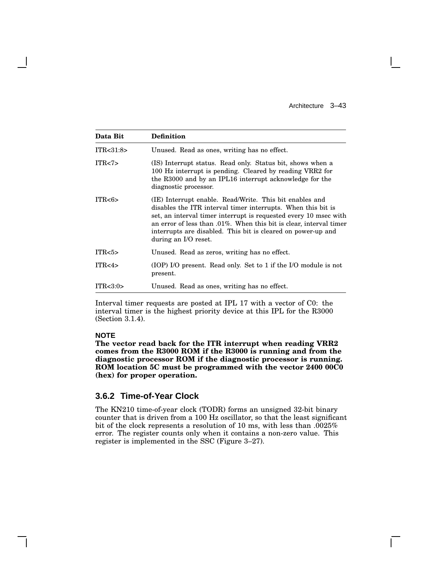| Data Bit         | <b>Definition</b>                                                                                                                                                                                                                                                                                                                                         |
|------------------|-----------------------------------------------------------------------------------------------------------------------------------------------------------------------------------------------------------------------------------------------------------------------------------------------------------------------------------------------------------|
| ITR<31:8>        | Unused. Read as ones, writing has no effect.                                                                                                                                                                                                                                                                                                              |
| ITR < 7          | (IS) Interrupt status. Read only. Status bit, shows when a<br>100 Hz interrupt is pending. Cleared by reading VRR2 for<br>the R3000 and by an IPL16 interrupt acknowledge for the<br>diagnostic processor.                                                                                                                                                |
| ITR<6>           | (IE) Interrupt enable. Read/Write. This bit enables and<br>disables the ITR interval timer interrupts. When this bit is<br>set, an interval timer interrupt is requested every 10 msec with<br>an error of less than .01%. When this bit is clear, interval timer<br>interrupts are disabled. This bit is cleared on power-up and<br>during an I/O reset. |
| ITR <sub>5</sub> | Unused. Read as zeros, writing has no effect.                                                                                                                                                                                                                                                                                                             |
| ITR<4>           | (IOP) I/O present. Read only. Set to 1 if the I/O module is not<br>present.                                                                                                                                                                                                                                                                               |
| ITR < 3:0>       | Unused. Read as ones, writing has no effect.                                                                                                                                                                                                                                                                                                              |

Interval timer requests are posted at IPL 17 with a vector of C0: the interval timer is the highest priority device at this IPL for the R3000 (Section 3.1.4).

### **NOTE**

**The vector read back for the ITR interrupt when reading VRR2 comes from the R3000 ROM if the R3000 is running and from the diagnostic processor ROM if the diagnostic processor is running. ROM location 5C must be programmed with the vector 2400 00C0 (hex) for proper operation.**

### **3.6.2 Time-of-Year Clock**

The KN210 time-of-year clock (TODR) forms an unsigned 32-bit binary counter that is driven from a 100 Hz oscillator, so that the least significant bit of the clock represents a resolution of 10 ms, with less than .0025% error. The register counts only when it contains a non-zero value. This register is implemented in the SSC (Figure 3–27).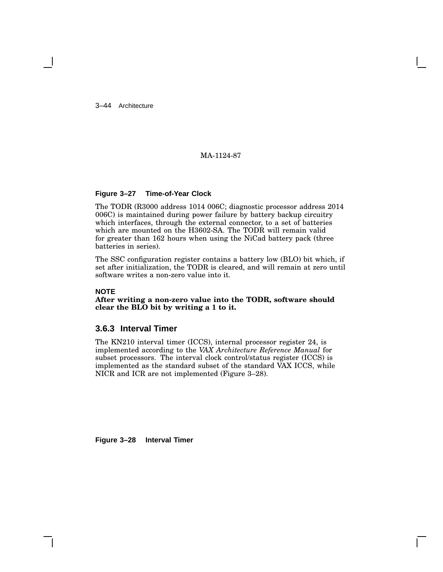3–44 Architecture

## MA-1124-87

#### **Figure 3–27 Time-of-Year Clock**

The TODR (R3000 address 1014 006C; diagnostic processor address 2014 006C) is maintained during power failure by battery backup circuitry which interfaces, through the external connector, to a set of batteries which are mounted on the H3602-SA. The TODR will remain valid for greater than 162 hours when using the NiCad battery pack (three batteries in series).

The SSC configuration register contains a battery low (BLO) bit which, if set after initialization, the TODR is cleared, and will remain at zero until software writes a non-zero value into it.

#### **NOTE**

**After writing a non-zero value into the TODR, software should clear the BLO bit by writing a 1 to it.**

### **3.6.3 Interval Timer**

The KN210 interval timer (ICCS), internal processor register 24, is implemented according to the *VAX Architecture Reference Manual* for subset processors. The interval clock control/status register (ICCS) is implemented as the standard subset of the standard VAX ICCS, while NICR and ICR are not implemented (Figure 3–28).

**Figure 3–28 Interval Timer**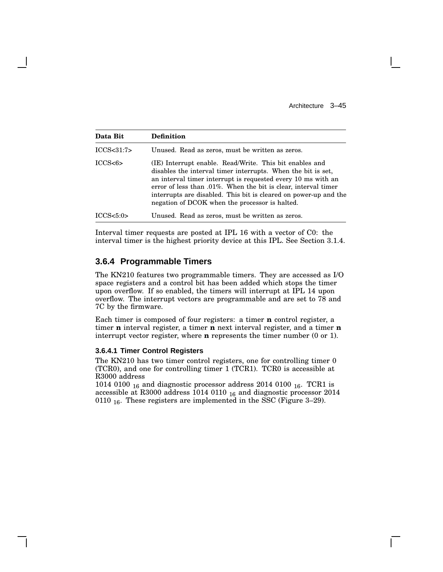| Data Bit                                                                                                                                                                                                                                                                                                                                                                                   | <b>Definition</b>                                |  |  |
|--------------------------------------------------------------------------------------------------------------------------------------------------------------------------------------------------------------------------------------------------------------------------------------------------------------------------------------------------------------------------------------------|--------------------------------------------------|--|--|
| ICCS < 31:7>                                                                                                                                                                                                                                                                                                                                                                               | Unused. Read as zeros, must be written as zeros. |  |  |
| ICCS<6><br>(IE) Interrupt enable. Read/Write. This bit enables and<br>disables the interval timer interrupts. When the bit is set,<br>an interval timer interrupt is requested every 10 ms with an<br>error of less than .01%. When the bit is clear, interval timer<br>interrupts are disabled. This bit is cleared on power-up and the<br>negation of DCOK when the processor is halted. |                                                  |  |  |
| ICCS < 5:0>                                                                                                                                                                                                                                                                                                                                                                                | Unused. Read as zeros, must be written as zeros. |  |  |

Interval timer requests are posted at IPL 16 with a vector of C0: the interval timer is the highest priority device at this IPL. See Section 3.1.4.

# **3.6.4 Programmable Timers**

The KN210 features two programmable timers. They are accessed as I/O space registers and a control bit has been added which stops the timer upon overflow. If so enabled, the timers will interrupt at IPL 14 upon overflow. The interrupt vectors are programmable and are set to 78 and 7C by the firmware.

Each timer is composed of four registers: a timer **n** control register, a timer **n** interval register, a timer **n** next interval register, and a timer **n** interrupt vector register, where **n** represents the timer number (0 or 1).

#### **3.6.4.1 Timer Control Registers**

The KN210 has two timer control registers, one for controlling timer 0 (TCR0), and one for controlling timer 1 (TCR1). TCR0 is accessible at R3000 address

1014 0100  $_{16}$  and diagnostic processor address 2014 0100  $_{16}$ . TCR1 is accessible at R3000 address 1014 0110 <sup>16</sup> and diagnostic processor 2014 0110 <sub>16</sub>. These registers are implemented in the SSC (Figure 3–29).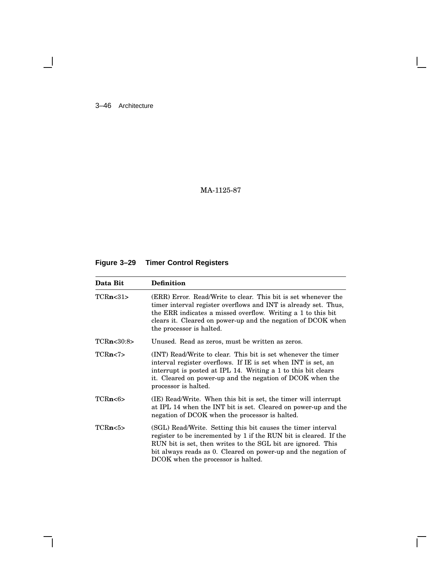3–46 Architecture

 $\blacksquare$ 

MA-1125-87

# **Figure 3–29 Timer Control Registers**

| Data Bit          | <b>Definition</b>                                                                                                                                                                                                                                                                                         |  |  |
|-------------------|-----------------------------------------------------------------------------------------------------------------------------------------------------------------------------------------------------------------------------------------------------------------------------------------------------------|--|--|
| TCRn < 31         | (ERR) Error. Read/Write to clear. This bit is set whenever the<br>timer interval register overflows and INT is already set. Thus,<br>the ERR indicates a missed overflow. Writing a 1 to this bit<br>clears it. Cleared on power-up and the negation of DCOK when<br>the processor is halted.             |  |  |
| TCRn<30:8>        | Unused. Read as zeros, must be written as zeros.                                                                                                                                                                                                                                                          |  |  |
| TCRn < 7          | (INT) Read/Write to clear. This bit is set whenever the timer<br>interval register overflows. If IE is set when INT is set, an<br>interrupt is posted at IPL 14. Writing a 1 to this bit clears<br>it. Cleared on power-up and the negation of DCOK when the<br>processor is halted.                      |  |  |
| TCRn<6>           | (IE) Read/Write. When this bit is set, the timer will interrupt<br>at IPL 14 when the INT bit is set. Cleared on power-up and the<br>negation of DCOK when the processor is halted.                                                                                                                       |  |  |
| TCRn <sub>5</sub> | (SGL) Read/Write. Setting this bit causes the timer interval<br>register to be incremented by 1 if the RUN bit is cleared. If the<br>RUN bit is set, then writes to the SGL bit are ignored. This<br>bit always reads as 0. Cleared on power-up and the negation of<br>DCOK when the processor is halted. |  |  |

Г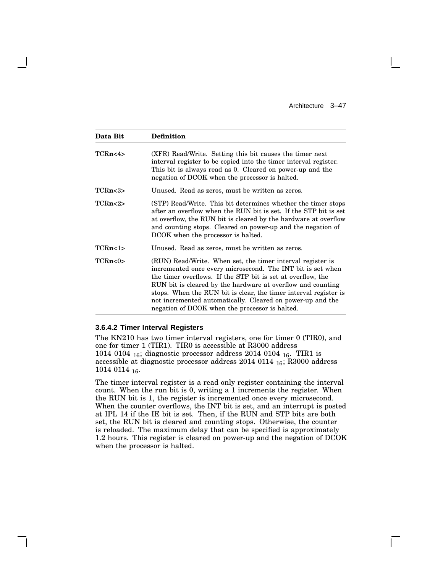$\mathbf{L}$ 

| Data Bit | <b>Definition</b>                                                                                                                                                                                                                                                                                                                                                                                                                           |  |
|----------|---------------------------------------------------------------------------------------------------------------------------------------------------------------------------------------------------------------------------------------------------------------------------------------------------------------------------------------------------------------------------------------------------------------------------------------------|--|
| TCRn<4>  | (XFR) Read/Write. Setting this bit causes the timer next<br>interval register to be copied into the timer interval register.<br>This bit is always read as 0. Cleared on power-up and the<br>negation of DCOK when the processor is halted.                                                                                                                                                                                                 |  |
| TCRn < 3 | Unused. Read as zeros, must be written as zeros.                                                                                                                                                                                                                                                                                                                                                                                            |  |
| TCRn < 2 | (STP) Read/Write. This bit determines whether the timer stops<br>after an overflow when the RUN bit is set. If the STP bit is set<br>at overflow, the RUN bit is cleared by the hardware at overflow<br>and counting stops. Cleared on power-up and the negation of<br>DCOK when the processor is halted.                                                                                                                                   |  |
| TCRn<1>  | Unused. Read as zeros, must be written as zeros.                                                                                                                                                                                                                                                                                                                                                                                            |  |
| TCRn<0>  | (RUN) Read/Write. When set, the timer interval register is<br>incremented once every microsecond. The INT bit is set when<br>the timer overflows. If the STP bit is set at overflow, the<br>RUN bit is cleared by the hardware at overflow and counting<br>stops. When the RUN bit is clear, the timer interval register is<br>not incremented automatically. Cleared on power-up and the<br>negation of DCOK when the processor is halted. |  |

### **3.6.4.2 Timer Interval Registers**

The KN210 has two timer interval registers, one for timer 0 (TIR0), and one for timer 1 (TIR1). TIR0 is accessible at R3000 address 1014 0104 <sup>16</sup>; diagnostic processor address 2014 0104 <sup>16</sup>. TIR1 is accessible at diagnostic processor address 2014 0114 <sup>16</sup>; R3000 address 1014 0114 <sup>16</sup>.

The timer interval register is a read only register containing the interval count. When the run bit is 0, writing a 1 increments the register. When the RUN bit is 1, the register is incremented once every microsecond. When the counter overflows, the INT bit is set, and an interrupt is posted at IPL 14 if the IE bit is set. Then, if the RUN and STP bits are both set, the RUN bit is cleared and counting stops. Otherwise, the counter is reloaded. The maximum delay that can be specified is approximately 1.2 hours. This register is cleared on power-up and the negation of DCOK when the processor is halted.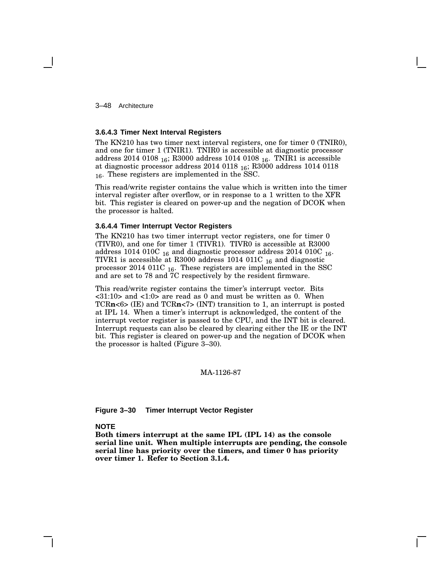3–48 Architecture

#### **3.6.4.3 Timer Next Interval Registers**

The KN210 has two timer next interval registers, one for timer 0 (TNIR0), and one for timer 1 (TNIR1). TNIR0 is accessible at diagnostic processor address 2014 0108  $_{16}$ ; R3000 address 1014 0108  $_{16}$ . TNIR1 is accessible at diagnostic processor address 2014 0118  $_{16}$ ; R3000 address 1014 0118 <sup>16</sup>. These registers are implemented in the SSC.

This read/write register contains the value which is written into the timer interval register after overflow, or in response to a 1 written to the XFR bit. This register is cleared on power-up and the negation of DCOK when the processor is halted.

#### **3.6.4.4 Timer Interrupt Vector Registers**

The KN210 has two timer interrupt vector registers, one for timer 0 (TIVR0), and one for timer 1 (TIVR1). TIVR0 is accessible at R3000 address 1014 010C  $_{16}$  and diagnostic processor address 2014 010C  $_{16}$ . TIVR1 is accessible at R3000 address 1014 011C  $_{16}$  and diagnostic processor 2014 011C <sup>16</sup>. These registers are implemented in the SSC and are set to 78 and 7C respectively by the resident firmware.

This read/write register contains the timer's interrupt vector. Bits <31:10> and <1:0> are read as 0 and must be written as 0. When TCR**n**<6> (IE) and TCR**n**<7> (INT) transition to 1, an interrupt is posted at IPL 14. When a timer's interrupt is acknowledged, the content of the interrupt vector register is passed to the CPU, and the INT bit is cleared. Interrupt requests can also be cleared by clearing either the IE or the INT bit. This register is cleared on power-up and the negation of DCOK when the processor is halted (Figure 3–30).

#### MA-1126-87

#### **Figure 3–30 Timer Interrupt Vector Register**

#### **NOTE**

**Both timers interrupt at the same IPL (IPL 14) as the console serial line unit. When multiple interrupts are pending, the console serial line has priority over the timers, and timer 0 has priority over timer 1. Refer to Section 3.1.4.**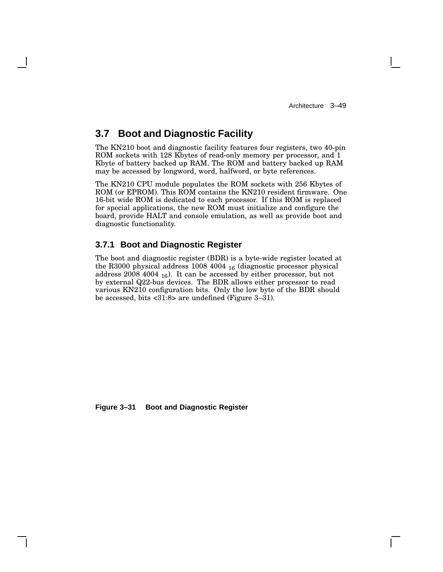# **3.7 Boot and Diagnostic Facility**

The KN210 boot and diagnostic facility features four registers, two 40-pin ROM sockets with 128 Kbytes of read-only memory per processor, and 1 Kbyte of battery backed up RAM. The ROM and battery backed up RAM may be accessed by longword, word, halfword, or byte references.

The KN210 CPU module populates the ROM sockets with 256 Kbytes of ROM (or EPROM). This ROM contains the KN210 resident firmware. One 16-bit wide ROM is dedicated to each processor. If this ROM is replaced for special applications, the new ROM must initialize and configure the board, provide HALT and console emulation, as well as provide boot and diagnostic functionality.

## **3.7.1 Boot and Diagnostic Register**

The boot and diagnostic register (BDR) is a byte-wide register located at the R3000 physical address 1008 4004 <sup>16</sup> (diagnostic processor physical address  $2008\ 4004\ _{16}$ ). It can be accessed by either processor, but not by external Q22-bus devices. The BDR allows either processor to read various KN210 configuration bits. Only the low byte of the BDR should be accessed, bits <31:8> are undefined (Figure 3–31).

**Figure 3–31 Boot and Diagnostic Register**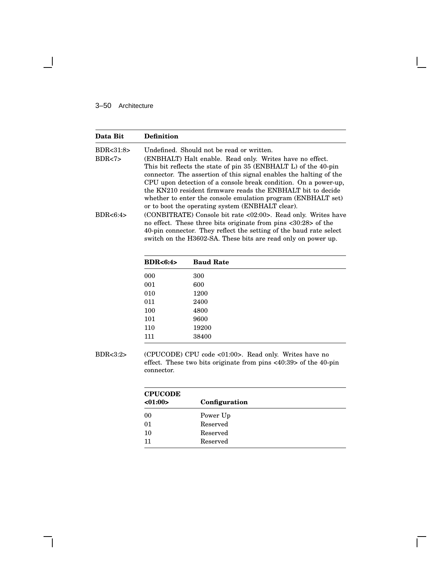## 3–50 Architecture

 $\blacksquare$ 

| Data Bit               | Definition                                                                                                                                                                                                                                                                                                               |
|------------------------|--------------------------------------------------------------------------------------------------------------------------------------------------------------------------------------------------------------------------------------------------------------------------------------------------------------------------|
| BDR < 31:8><br>BDR < 7 | Undefined. Should not be read or written.<br>(ENBHALT) Halt enable. Read only. Writes have no effect.<br>This bit reflects the state of pin 35 (ENBHALT L) of the 40-pin                                                                                                                                                 |
|                        | connector. The assertion of this signal enables the halting of the<br>CPU upon detection of a console break condition. On a power-up,<br>the KN210 resident firmware reads the ENBHALT bit to decide<br>whether to enter the console emulation program (ENBHALT set)<br>or to boot the operating system (ENBHALT clear). |
| BDR < 6:4>             | (CONBITRATE) Console bit rate <02:00>. Read only. Writes have<br>no effect. These three bits originate from pins <30:28> of the<br>40-pin connector. They reflect the setting of the baud rate select<br>switch on the H3602-SA. These bits are read only on power up.                                                   |

| <b>BDR&lt;6:4&gt;</b> | <b>Baud Rate</b> |
|-----------------------|------------------|
| 000                   | 300              |
| 001                   | 600              |
| 010                   | 1200             |
| 011                   | 2400             |
| 100                   | 4800             |
| 101                   | 9600             |
| 110                   | 19200            |
| 111                   | 38400            |

BDR<3:2> (CPUCODE) CPU code <01:00>. Read only. Writes have no effect. These two bits originate from pins <40:39> of the 40-pin connector.

| <b>CPUCODE</b> |               |
|----------------|---------------|
| <01:00>        | Configuration |
| 00             | Power Up      |
| 01             | Reserved      |
| 10             | Reserved      |
| 11             | Reserved      |

 $\bar{\Gamma}$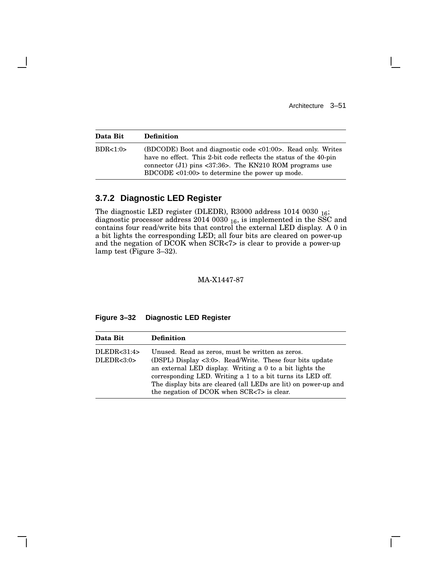$\mathbf{I}$ 

| Data Bit | <b>Definition</b>                                                                                                                                                                                                                                                                     |
|----------|---------------------------------------------------------------------------------------------------------------------------------------------------------------------------------------------------------------------------------------------------------------------------------------|
| BDR<1:0> | $(BDCODE)$ Boot and diagnostic code $\langle 01:00 \rangle$ . Read only. Writes<br>have no effect. This 2-bit code reflects the status of the 40-pin<br>connector (J1) pins $\langle 37:36 \rangle$ . The KN210 ROM programs use<br>$BDCODE < 01:00>$ to determine the power up mode. |

# **3.7.2 Diagnostic LED Register**

The diagnostic LED register (DLEDR), R3000 address 1014 0030 <sup>16</sup>; diagnostic processor address 2014 0030  $_{16}$ , is implemented in the SSC and contains four read/write bits that control the external LED display. A 0 in a bit lights the corresponding LED; all four bits are cleared on power-up and the negation of DCOK when SCR<7> is clear to provide a power-up lamp test (Figure 3–32).

MA-X1447-87

## **Figure 3–32 Diagnostic LED Register**

| Data Bit                      | <b>Definition</b>                                                                                                                                                                                                                                                                                                                                                           |
|-------------------------------|-----------------------------------------------------------------------------------------------------------------------------------------------------------------------------------------------------------------------------------------------------------------------------------------------------------------------------------------------------------------------------|
| DLEDR < 31:4><br>DLEDR < 3:0> | Unused. Read as zeros, must be written as zeros.<br>(DSPL) Display $\langle 3:0 \rangle$ . Read/Write. These four bits update<br>an external LED display. Writing a 0 to a bit lights the<br>corresponding LED. Writing a 1 to a bit turns its LED off.<br>The display bits are cleared (all LEDs are lit) on power-up and<br>the negation of DCOK when $SCR < 7$ is clear. |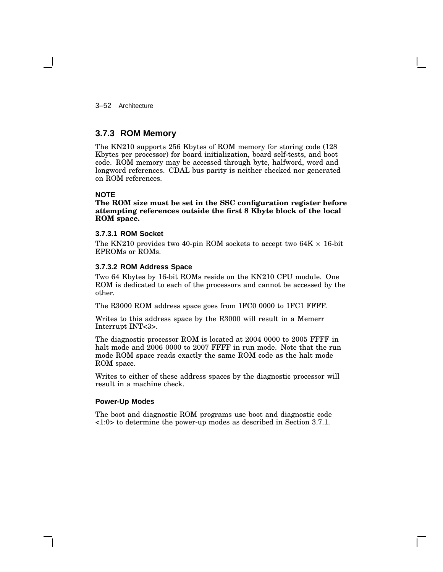3–52 Architecture

## **3.7.3 ROM Memory**

The KN210 supports 256 Kbytes of ROM memory for storing code (128 Kbytes per processor) for board initialization, board self-tests, and boot code. ROM memory may be accessed through byte, halfword, word and longword references. CDAL bus parity is neither checked nor generated on ROM references.

### **NOTE**

**The ROM size must be set in the SSC configuration register before attempting references outside the first 8 Kbyte block of the local ROM space.**

#### **3.7.3.1 ROM Socket**

The KN210 provides two 40-pin ROM sockets to accept two 64K  $\times$  16-bit EPROMs or ROMs.

#### **3.7.3.2 ROM Address Space**

Two 64 Kbytes by 16-bit ROMs reside on the KN210 CPU module. One ROM is dedicated to each of the processors and cannot be accessed by the other.

The R3000 ROM address space goes from 1FC0 0000 to 1FC1 FFFF.

Writes to this address space by the R3000 will result in a Memerr Interrupt INT<3>.

The diagnostic processor ROM is located at 2004 0000 to 2005 FFFF in halt mode and 2006 0000 to 2007 FFFF in run mode. Note that the run mode ROM space reads exactly the same ROM code as the halt mode ROM space.

Writes to either of these address spaces by the diagnostic processor will result in a machine check.

### **Power-Up Modes**

The boot and diagnostic ROM programs use boot and diagnostic code <1:0> to determine the power-up modes as described in Section 3.7.1.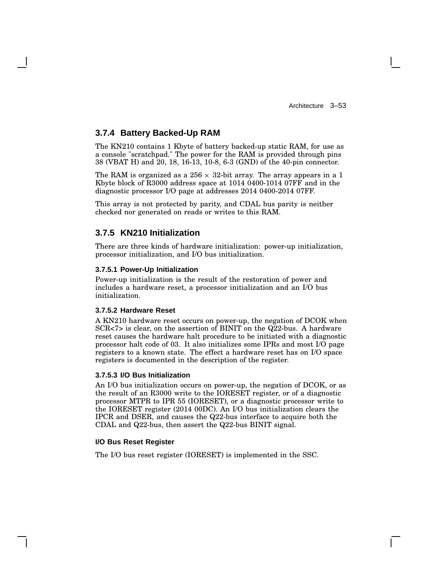# **3.7.4 Battery Backed-Up RAM**

The KN210 contains 1 Kbyte of battery backed-up static RAM, for use as a console "scratchpad." The power for the RAM is provided through pins 38 (VBAT H) and 20, 18, 16-13, 10-8, 6-3 (GND) of the 40-pin connector.

The RAM is organized as a 256  $\times$  32-bit array. The array appears in a 1 Kbyte block of R3000 address space at 1014 0400-1014 07FF and in the diagnostic processor I/O page at addresses 2014 0400-2014 07FF.

This array is not protected by parity, and CDAL bus parity is neither checked nor generated on reads or writes to this RAM.

## **3.7.5 KN210 Initialization**

There are three kinds of hardware initialization: power-up initialization, processor initialization, and I/O bus initialization.

#### **3.7.5.1 Power-Up Initialization**

Power-up initialization is the result of the restoration of power and includes a hardware reset, a processor initialization and an I/O bus initialization.

#### **3.7.5.2 Hardware Reset**

A KN210 hardware reset occurs on power-up, the negation of DCOK when SCR<7> is clear, on the assertion of BINIT on the Q22-bus. A hardware reset causes the hardware halt procedure to be initiated with a diagnostic processor halt code of 03. It also initializes some IPRs and most I/O page registers to a known state. The effect a hardware reset has on I/O space registers is documented in the description of the register.

#### **3.7.5.3 I/O Bus Initialization**

An I/O bus initialization occurs on power-up, the negation of DCOK, or as the result of an R3000 write to the IORESET register, or of a diagnostic processor MTPR to IPR 55 (IORESET), or a diagnostic processor write to the IORESET register (2014 00DC). An I/O bus initialization clears the IPCR and DSER, and causes the Q22-bus interface to acquire both the CDAL and Q22-bus, then assert the Q22-bus BINIT signal.

#### **I/O Bus Reset Register**

The I/O bus reset register (IORESET) is implemented in the SSC.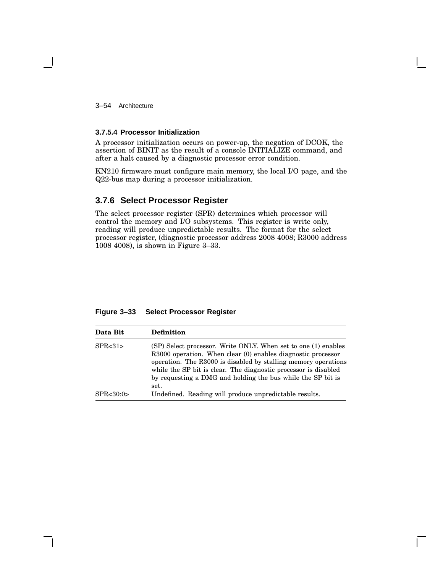3–54 Architecture

#### **3.7.5.4 Processor Initialization**

A processor initialization occurs on power-up, the negation of DCOK, the assertion of BINIT as the result of a console INITIALIZE command, and after a halt caused by a diagnostic processor error condition.

KN210 firmware must configure main memory, the local I/O page, and the Q22-bus map during a processor initialization.

## **3.7.6 Select Processor Register**

The select processor register (SPR) determines which processor will control the memory and I/O subsystems. This register is write only, reading will produce unpredictable results. The format for the select processor register, (diagnostic processor address 2008 4008; R3000 address 1008 4008), is shown in Figure 3–33.

| Data Bit    | <b>Definition</b>                                                                                                                                                                                                                                                                                                                          |
|-------------|--------------------------------------------------------------------------------------------------------------------------------------------------------------------------------------------------------------------------------------------------------------------------------------------------------------------------------------------|
| SPR < 31    | (SP) Select processor. Write ONLY, When set to one (1) enables<br>R3000 operation. When clear (0) enables diagnostic processor<br>operation. The R3000 is disabled by stalling memory operations<br>while the SP bit is clear. The diagnostic processor is disabled<br>by requesting a DMG and holding the bus while the SP bit is<br>set. |
| SPR < 30:0> | Undefined. Reading will produce unpredictable results.                                                                                                                                                                                                                                                                                     |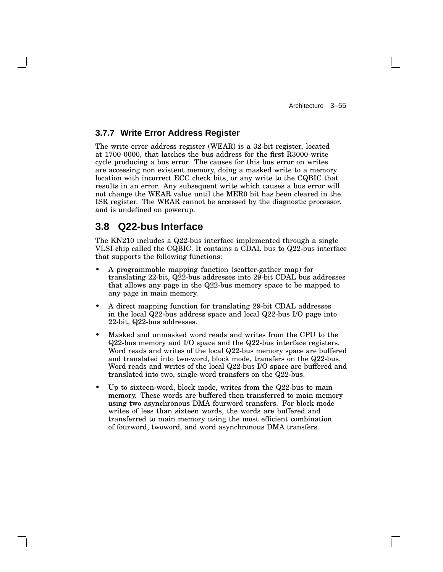# **3.7.7 Write Error Address Register**

The write error address register (WEAR) is a 32-bit register, located at 1700 0000, that latches the bus address for the first R3000 write cycle producing a bus error. The causes for this bus error on writes are accessing non existent memory, doing a masked write to a memory location with incorrect ECC check bits, or any write to the CQBIC that results in an error. Any subsequent write which causes a bus error will not change the WEAR value until the MER0 bit has been cleared in the ISR register. The WEAR cannot be accessed by the diagnostic processor, and is undefined on powerup.

# **3.8 Q22-bus Interface**

The KN210 includes a Q22-bus interface implemented through a single VLSI chip called the CQBIC. It contains a CDAL bus to Q22-bus interface that supports the following functions:

- A programmable mapping function (scatter-gather map) for translating 22-bit, Q22-bus addresses into 29-bit CDAL bus addresses that allows any page in the Q22-bus memory space to be mapped to any page in main memory.
- A direct mapping function for translating 29-bit CDAL addresses in the local Q22-bus address space and local Q22-bus I/O page into 22-bit, Q22-bus addresses.
- Masked and unmasked word reads and writes from the CPU to the Q22-bus memory and I/O space and the Q22-bus interface registers. Word reads and writes of the local Q22-bus memory space are buffered and translated into two-word, block mode, transfers on the Q22-bus. Word reads and writes of the local Q22-bus I/O space are buffered and translated into two, single-word transfers on the Q22-bus.
- Up to sixteen-word, block mode, writes from the Q22-bus to main memory. These words are buffered then transferred to main memory using two asynchronous DMA fourword transfers. For block mode writes of less than sixteen words, the words are buffered and transferred to main memory using the most efficient combination of fourword, twoword, and word asynchronous DMA transfers.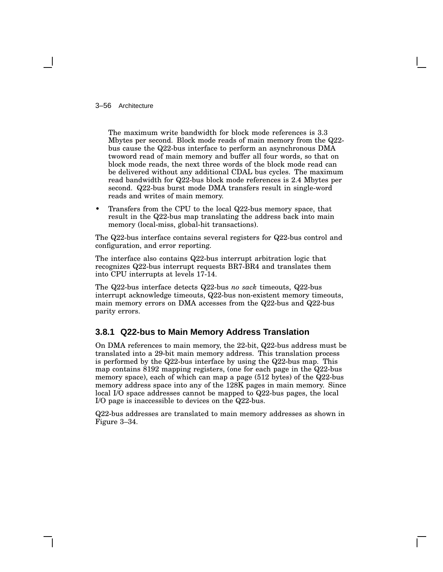3–56 Architecture

The maximum write bandwidth for block mode references is 3.3 Mbytes per second. Block mode reads of main memory from the Q22 bus cause the Q22-bus interface to perform an asynchronous DMA twoword read of main memory and buffer all four words, so that on block mode reads, the next three words of the block mode read can be delivered without any additional CDAL bus cycles. The maximum read bandwidth for Q22-bus block mode references is 2.4 Mbytes per second. Q22-bus burst mode DMA transfers result in single-word reads and writes of main memory.

• Transfers from the CPU to the local Q22-bus memory space, that result in the Q22-bus map translating the address back into main memory (local-miss, global-hit transactions).

The Q22-bus interface contains several registers for Q22-bus control and configuration, and error reporting.

The interface also contains Q22-bus interrupt arbitration logic that recognizes Q22-bus interrupt requests BR7-BR4 and translates them into CPU interrupts at levels 17-14.

The Q22-bus interface detects Q22-bus *no sack* timeouts, Q22-bus interrupt acknowledge timeouts, Q22-bus non-existent memory timeouts, main memory errors on DMA accesses from the Q22-bus and Q22-bus parity errors.

# **3.8.1 Q22-bus to Main Memory Address Translation**

On DMA references to main memory, the 22-bit, Q22-bus address must be translated into a 29-bit main memory address. This translation process is performed by the Q22-bus interface by using the Q22-bus map. This map contains 8192 mapping registers, (one for each page in the Q22-bus memory space), each of which can map a page (512 bytes) of the Q22-bus memory address space into any of the 128K pages in main memory. Since local I/O space addresses cannot be mapped to Q22-bus pages, the local I/O page is inaccessible to devices on the Q22-bus.

Q22-bus addresses are translated to main memory addresses as shown in Figure 3–34.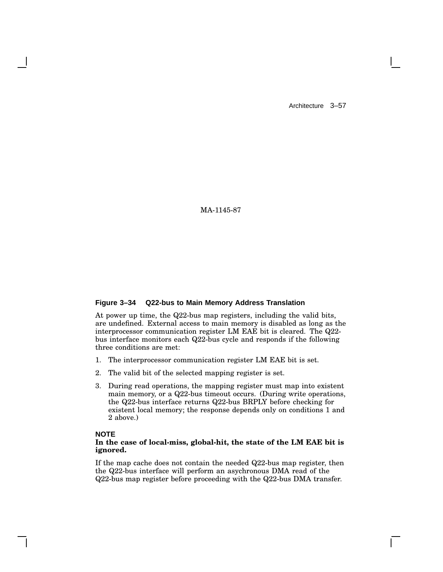MA-1145-87

#### **Figure 3–34 Q22-bus to Main Memory Address Translation**

At power up time, the Q22-bus map registers, including the valid bits, are undefined. External access to main memory is disabled as long as the interprocessor communication register LM EAE bit is cleared. The Q22 bus interface monitors each Q22-bus cycle and responds if the following three conditions are met:

- 1. The interprocessor communication register LM EAE bit is set.
- 2. The valid bit of the selected mapping register is set.
- 3. During read operations, the mapping register must map into existent main memory, or a Q22-bus timeout occurs. (During write operations, the Q22-bus interface returns Q22-bus BRPLY before checking for existent local memory; the response depends only on conditions 1 and 2 above.)

### **NOTE**

#### **In the case of local-miss, global-hit, the state of the LM EAE bit is ignored.**

If the map cache does not contain the needed Q22-bus map register, then the Q22-bus interface will perform an asychronous DMA read of the Q22-bus map register before proceeding with the Q22-bus DMA transfer.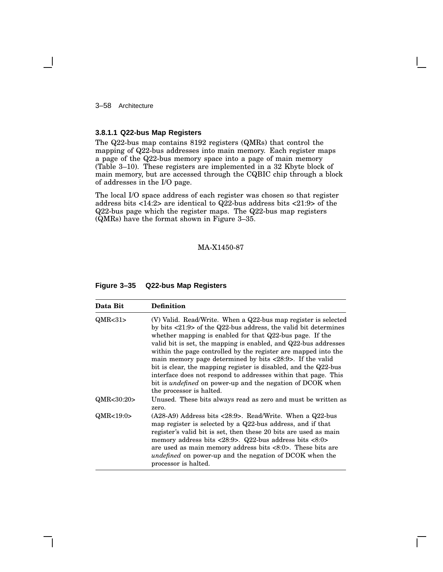3–58 Architecture

#### **3.8.1.1 Q22-bus Map Registers**

The Q22-bus map contains 8192 registers (QMRs) that control the mapping of Q22-bus addresses into main memory. Each register maps a page of the Q22-bus memory space into a page of main memory (Table 3–10). These registers are implemented in a 32 Kbyte block of main memory, but are accessed through the CQBIC chip through a block of addresses in the I/O page.

The local I/O space address of each register was chosen so that register address bits  $\langle 14:2 \rangle$  are identical to Q22-bus address bits  $\langle 21:9 \rangle$  of the Q22-bus page which the register maps. The Q22-bus map registers (QMRs) have the format shown in Figure 3–35.

### MA-X1450-87

| Figure 3-35<br><b>Q22-bus Map Registers</b> |  |
|---------------------------------------------|--|
|---------------------------------------------|--|

| Data Bit   | <b>Definition</b>                                                                                                                                                                                                                                                                                                                                                                                                                                                                                                                                                                                                                                                        |
|------------|--------------------------------------------------------------------------------------------------------------------------------------------------------------------------------------------------------------------------------------------------------------------------------------------------------------------------------------------------------------------------------------------------------------------------------------------------------------------------------------------------------------------------------------------------------------------------------------------------------------------------------------------------------------------------|
| QMR < 31   | (V) Valid. Read/Write. When a Q22-bus map register is selected<br>by bits $\langle 21:9 \rangle$ of the Q22-bus address, the valid bit determines<br>whether mapping is enabled for that $Q22$ -bus page. If the<br>valid bit is set, the mapping is enabled, and Q22-bus addresses<br>within the page controlled by the register are mapped into the<br>main memory page determined by bits $\langle 28:9 \rangle$ . If the valid<br>bit is clear, the mapping register is disabled, and the Q22-bus<br>interface does not respond to addresses within that page. This<br>bit is <i>undefined</i> on power-up and the negation of DCOK when<br>the processor is halted. |
| QMR<30:20> | Unused. These bits always read as zero and must be written as<br>zero.                                                                                                                                                                                                                                                                                                                                                                                                                                                                                                                                                                                                   |
| QMR<19:0>  | $(A28-A9)$ Address bits <28:9>. Read/Write. When a Q22-bus<br>map register is selected by a $Q22$ -bus address, and if that<br>register's valid bit is set, then these 20 bits are used as main<br>memory address bits $\langle 28:9 \rangle$ . Q22-bus address bits $\langle 8:0 \rangle$<br>are used as main memory address bits $\langle 8:0 \rangle$ . These bits are<br><i>undefined</i> on power-up and the negation of DCOK when the<br>processor is halted.                                                                                                                                                                                                      |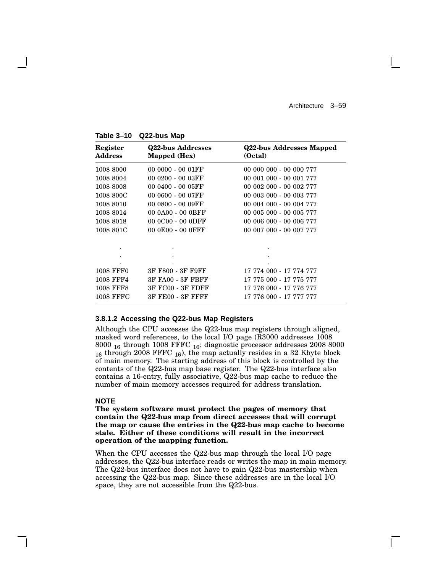| Register<br><b>Address</b> | <b>Q22-bus Addresses</b><br>Mapped (Hex) | Q22-bus Addresses Mapped<br>(Octal) |
|----------------------------|------------------------------------------|-------------------------------------|
| 1008 8000                  | 00 0000 - 00 01FF                        | 00 000 000 - 00 000 777             |
| 1008 8004                  | 00 0200 - 00 03FF                        | 00 001 000 - 00 001 777             |
| 1008 8008                  | 00 0400 - 00 05FF                        | 00 002 000 - 00 002 777             |
| 1008 800C                  | 00 0600 - 00 07FF                        | 00 003 000 - 00 003 777             |
| 1008 8010                  | 00 0800 - 00 09FF                        | 00 004 000 - 00 004 777             |
| 1008 8014                  | 00 0A00 - 00 0BFF                        | 00 005 000 - 00 005 777             |
| 1008 8018                  | 00 0C00 - 00 0DFF                        | 00 006 000 - 00 006 777             |
| 1008 801C                  | 00 0E00 - 00 0FFF                        | 00 007 000 - 00 007 777             |
| ٠                          |                                          |                                     |
|                            |                                          |                                     |
|                            |                                          |                                     |
| <b>1008 FFF0</b>           | 3F F800 - 3F F9FF                        | 17 774 000 - 17 774 777             |
| <b>1008 FFF4</b>           | 3F FA00 - 3F FBFF                        | 17 775 000 - 17 775 777             |
| <b>1008 FFF8</b>           | 3F FC00 - 3F FDFF                        | 17 776 000 - 17 776 777             |
| <b>1008 FFFC</b>           | <b>3F FE00 - 3F FFFF</b>                 | 17 776 000 - 17 777 777             |

**Table 3–10 Q22-bus Map**

#### **3.8.1.2 Accessing the Q22-bus Map Registers**

Although the CPU accesses the Q22-bus map registers through aligned, masked word references, to the local I/O page (R3000 addresses 1008 8000 <sup>16</sup> through 1008 FFFC <sup>16</sup>; diagnostic processor addresses 2008 8000  $16$  through 2008 FFFC  $16$ ), the map actually resides in a 32 Kbyte block of main memory. The starting address of this block is controlled by the contents of the Q22-bus map base register. The Q22-bus interface also contains a 16-entry, fully associative, Q22-bus map cache to reduce the number of main memory accesses required for address translation.

#### **NOTE**

**The system software must protect the pages of memory that contain the Q22-bus map from direct accesses that will corrupt the map or cause the entries in the Q22-bus map cache to become stale. Either of these conditions will result in the incorrect operation of the mapping function.**

When the CPU accesses the Q22-bus map through the local I/O page addresses, the Q22-bus interface reads or writes the map in main memory. The Q22-bus interface does not have to gain Q22-bus mastership when accessing the Q22-bus map. Since these addresses are in the local I/O space, they are not accessible from the Q22-bus.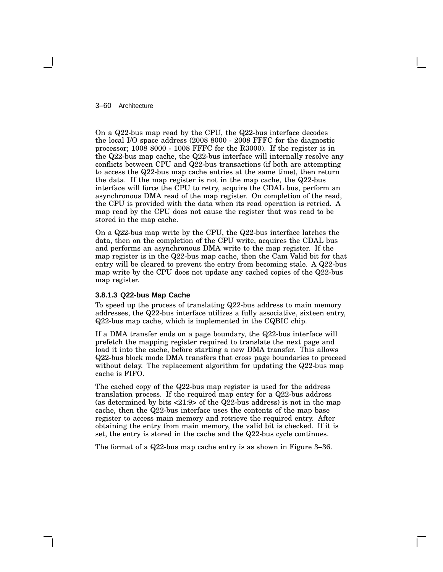#### 3–60 Architecture

On a Q22-bus map read by the CPU, the Q22-bus interface decodes the local I/O space address (2008 8000 - 2008 FFFC for the diagnostic processor; 1008 8000 - 1008 FFFC for the R3000). If the register is in the Q22-bus map cache, the Q22-bus interface will internally resolve any conflicts between CPU and Q22-bus transactions (if both are attempting to access the Q22-bus map cache entries at the same time), then return the data. If the map register is not in the map cache, the Q22-bus interface will force the CPU to retry, acquire the CDAL bus, perform an asynchronous DMA read of the map register. On completion of the read, the CPU is provided with the data when its read operation is retried. A map read by the CPU does not cause the register that was read to be stored in the map cache.

On a Q22-bus map write by the CPU, the Q22-bus interface latches the data, then on the completion of the CPU write, acquires the CDAL bus and performs an asynchronous DMA write to the map register. If the map register is in the Q22-bus map cache, then the Cam Valid bit for that entry will be cleared to prevent the entry from becoming stale. A Q22-bus map write by the CPU does not update any cached copies of the Q22-bus map register.

#### **3.8.1.3 Q22-bus Map Cache**

To speed up the process of translating Q22-bus address to main memory addresses, the Q22-bus interface utilizes a fully associative, sixteen entry, Q22-bus map cache, which is implemented in the CQBIC chip.

If a DMA transfer ends on a page boundary, the Q22-bus interface will prefetch the mapping register required to translate the next page and load it into the cache, before starting a new DMA transfer. This allows Q22-bus block mode DMA transfers that cross page boundaries to proceed without delay. The replacement algorithm for updating the Q22-bus map cache is FIFO.

The cached copy of the Q22-bus map register is used for the address translation process. If the required map entry for a Q22-bus address (as determined by bits  $\langle 21:9 \rangle$  of the Q22-bus address) is not in the map cache, then the Q22-bus interface uses the contents of the map base register to access main memory and retrieve the required entry. After obtaining the entry from main memory, the valid bit is checked. If it is set, the entry is stored in the cache and the Q22-bus cycle continues.

The format of a Q22-bus map cache entry is as shown in Figure 3–36.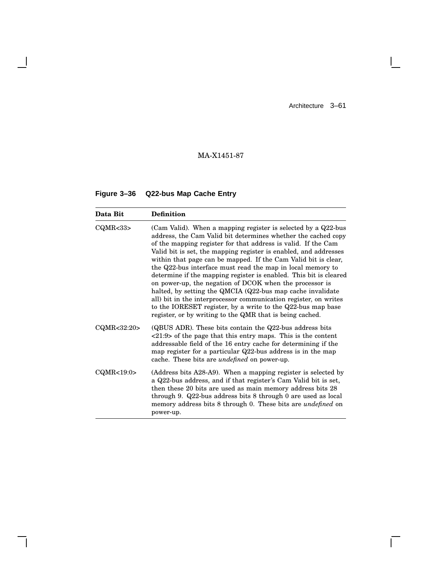$\mathbb{R}^n$ 

 $\overline{\Gamma}$ 

# MA-X1451-87

# **Figure 3–36 Q22-bus Map Cache Entry**

 $\overline{\phantom{a}}$ 

H

| Data Bit           | <b>Definition</b>                                                                                                                                                                                                                                                                                                                                                                                                                                                                                                                                                                                                                                                                                                                                                                                |
|--------------------|--------------------------------------------------------------------------------------------------------------------------------------------------------------------------------------------------------------------------------------------------------------------------------------------------------------------------------------------------------------------------------------------------------------------------------------------------------------------------------------------------------------------------------------------------------------------------------------------------------------------------------------------------------------------------------------------------------------------------------------------------------------------------------------------------|
| CQMR <sub>33</sub> | (Cam Valid). When a mapping register is selected by a Q22-bus<br>address, the Cam Valid bit determines whether the cached copy<br>of the mapping register for that address is valid. If the Cam<br>Valid bit is set, the mapping register is enabled, and addresses<br>within that page can be mapped. If the Cam Valid bit is clear,<br>the Q22-bus interface must read the map in local memory to<br>determine if the mapping register is enabled. This bit is cleared<br>on power-up, the negation of DCOK when the processor is<br>halted, by setting the QMCIA (Q22-bus map cache invalidate<br>all) bit in the interprocessor communication register, on writes<br>to the IORESET register, by a write to the Q22-bus map base<br>register, or by writing to the QMR that is being cached. |
| CQMR<32:20>        | (QBUS ADR). These bits contain the $Q22$ -bus address bits<br>$\langle 21:9 \rangle$ of the page that this entry maps. This is the content<br>addressable field of the 16 entry cache for determining if the<br>map register for a particular $Q22$ -bus address is in the map<br>cache. These bits are <i>undefined</i> on power-up.                                                                                                                                                                                                                                                                                                                                                                                                                                                            |
| CQMR<19:0>         | (Address bits A28-A9). When a mapping register is selected by<br>a Q22-bus address, and if that register's Cam Valid bit is set,<br>then these 20 bits are used as main memory address bits 28<br>through 9. Q22-bus address bits 8 through 0 are used as local<br>memory address bits 8 through 0. These bits are <i>undefined</i> on<br>power-up.                                                                                                                                                                                                                                                                                                                                                                                                                                              |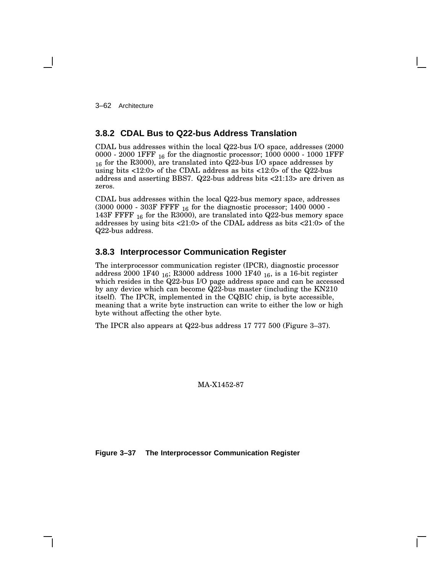3–62 Architecture

## **3.8.2 CDAL Bus to Q22-bus Address Translation**

CDAL bus addresses within the local Q22-bus I/O space, addresses (2000 0000 - 2000 1FFF <sub>16</sub> for the diagnostic processor; 1000 0000 - 1000 1FFF <sup>16</sup> for the R3000), are translated into Q22-bus I/O space addresses by using bits <12:0> of the CDAL address as bits <12:0> of the Q22-bus address and asserting BBS7. Q22-bus address bits <21:13> are driven as zeros.

CDAL bus addresses within the local Q22-bus memory space, addresses  $(3000\ 0000 - 303$  F FFFF  $_{16}$  for the diagnostic processor; 1400 0000 -143F FFFF  $_{16}$  for the R3000), are translated into Q22-bus memory space addresses by using bits <21:0> of the CDAL address as bits <21:0> of the Q22-bus address.

## **3.8.3 Interprocessor Communication Register**

The interprocessor communication register (IPCR), diagnostic processor address 2000 1F40 <sup>16</sup>; R3000 address 1000 1F40 <sup>16</sup>, is a 16-bit register which resides in the Q22-bus I/O page address space and can be accessed by any device which can become Q22-bus master (including the KN210 itself). The IPCR, implemented in the CQBIC chip, is byte accessible, meaning that a write byte instruction can write to either the low or high byte without affecting the other byte.

The IPCR also appears at Q22-bus address 17 777 500 (Figure 3–37).

MA-X1452-87

**Figure 3–37 The Interprocessor Communication Register**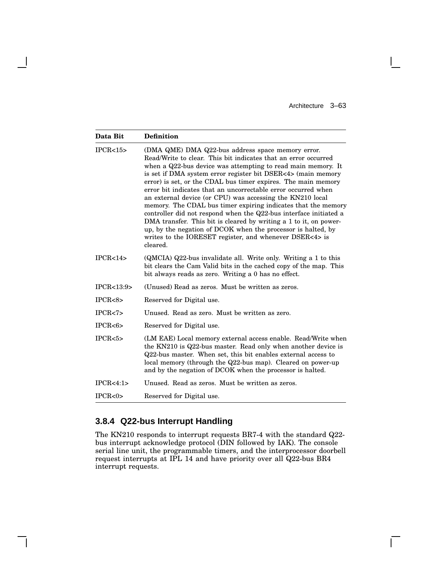$\overline{\Gamma}$ 

| Data Bit                                                                                                                                                                                                                                                                                                                                                                                                                                                                                                                                                                                                                                                                                                                                                                                                          | <b>Definition</b>                                                                                                                                                                                                                                                                                                           |
|-------------------------------------------------------------------------------------------------------------------------------------------------------------------------------------------------------------------------------------------------------------------------------------------------------------------------------------------------------------------------------------------------------------------------------------------------------------------------------------------------------------------------------------------------------------------------------------------------------------------------------------------------------------------------------------------------------------------------------------------------------------------------------------------------------------------|-----------------------------------------------------------------------------------------------------------------------------------------------------------------------------------------------------------------------------------------------------------------------------------------------------------------------------|
| IPCR < 15<br>(DMA QME) DMA Q22-bus address space memory error.<br>Read/Write to clear. This bit indicates that an error occurred<br>when a Q22-bus device was attempting to read main memory. It<br>is set if DMA system error register bit DSER<4> (main memory<br>error) is set, or the CDAL bus timer expires. The main memory<br>error bit indicates that an uncorrectable error occurred when<br>an external device (or CPU) was accessing the KN210 local<br>memory. The CDAL bus timer expiring indicates that the memory<br>controller did not respond when the Q22-bus interface initiated a<br>DMA transfer. This bit is cleared by writing a 1 to it, on power-<br>up, by the negation of DCOK when the processor is halted, by<br>writes to the IORESET register, and whenever DSER<4> is<br>cleared. |                                                                                                                                                                                                                                                                                                                             |
| IPCR < 14                                                                                                                                                                                                                                                                                                                                                                                                                                                                                                                                                                                                                                                                                                                                                                                                         | (QMCIA) Q22-bus invalidate all. Write only. Writing a 1 to this<br>bit clears the Cam Valid bits in the cached copy of the map. This<br>bit always reads as zero. Writing a 0 has no effect.                                                                                                                                |
| IPCR < 13:9>                                                                                                                                                                                                                                                                                                                                                                                                                                                                                                                                                                                                                                                                                                                                                                                                      | (Unused) Read as zeros. Must be written as zeros.                                                                                                                                                                                                                                                                           |
| IPCR < 8                                                                                                                                                                                                                                                                                                                                                                                                                                                                                                                                                                                                                                                                                                                                                                                                          | Reserved for Digital use.                                                                                                                                                                                                                                                                                                   |
| IPCR < 7                                                                                                                                                                                                                                                                                                                                                                                                                                                                                                                                                                                                                                                                                                                                                                                                          | Unused. Read as zero. Must be written as zero.                                                                                                                                                                                                                                                                              |
| IPCR < 6                                                                                                                                                                                                                                                                                                                                                                                                                                                                                                                                                                                                                                                                                                                                                                                                          | Reserved for Digital use.                                                                                                                                                                                                                                                                                                   |
| IPCR < 5                                                                                                                                                                                                                                                                                                                                                                                                                                                                                                                                                                                                                                                                                                                                                                                                          | (LM EAE) Local memory external access enable. Read/Write when<br>the KN210 is Q22-bus master. Read only when another device is<br>Q22-bus master. When set, this bit enables external access to<br>local memory (through the Q22-bus map). Cleared on power-up<br>and by the negation of DCOK when the processor is halted. |
| IPCR < 4:1>                                                                                                                                                                                                                                                                                                                                                                                                                                                                                                                                                                                                                                                                                                                                                                                                       | Unused. Read as zeros. Must be written as zeros.                                                                                                                                                                                                                                                                            |
| IPCR < 0                                                                                                                                                                                                                                                                                                                                                                                                                                                                                                                                                                                                                                                                                                                                                                                                          | Reserved for Digital use.                                                                                                                                                                                                                                                                                                   |

# **3.8.4 Q22-bus Interrupt Handling**

The KN210 responds to interrupt requests BR7-4 with the standard Q22 bus interrupt acknowledge protocol (DIN followed by IAK). The console serial line unit, the programmable timers, and the interprocessor doorbell request interrupts at IPL 14 and have priority over all Q22-bus BR4 interrupt requests.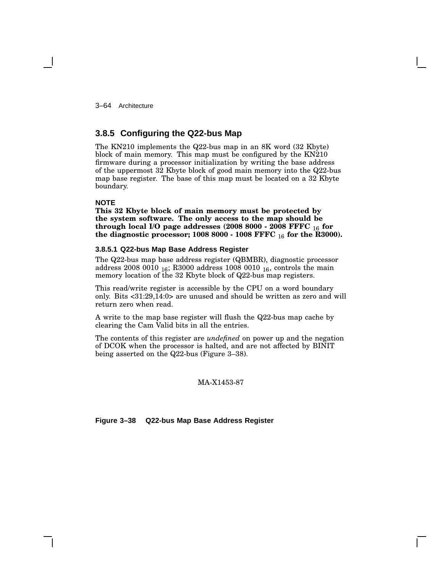3–64 Architecture

# **3.8.5 Configuring the Q22-bus Map**

The KN210 implements the Q22-bus map in an 8K word (32 Kbyte) block of main memory. This map must be configured by the KN210 firmware during a processor initialization by writing the base address of the uppermost 32 Kbyte block of good main memory into the Q22-bus map base register. The base of this map must be located on a 32 Kbyte boundary.

### **NOTE**

**This 32 Kbyte block of main memory must be protected by the system software. The only access to the map should be through local I/O page addresses (2008 8000 - 2008 FFFC** 16 **for the diagnostic processor; 1008 8000 - 1008 FFFC** 16 **for the R3000).**

### **3.8.5.1 Q22-bus Map Base Address Register**

The Q22-bus map base address register (QBMBR), diagnostic processor address 2008 0010 <sup>16</sup>; R3000 address 1008 0010 <sup>16</sup>, controls the main memory location of the 32 Kbyte block of Q22-bus map registers.

This read/write register is accessible by the CPU on a word boundary only. Bits <31:29,14:0> are unused and should be written as zero and will return zero when read.

A write to the map base register will flush the Q22-bus map cache by clearing the Cam Valid bits in all the entries.

The contents of this register are *undefined* on power up and the negation of DCOK when the processor is halted, and are not affected by BINIT being asserted on the Q22-bus (Figure 3–38).

#### MA-X1453-87

**Figure 3–38 Q22-bus Map Base Address Register**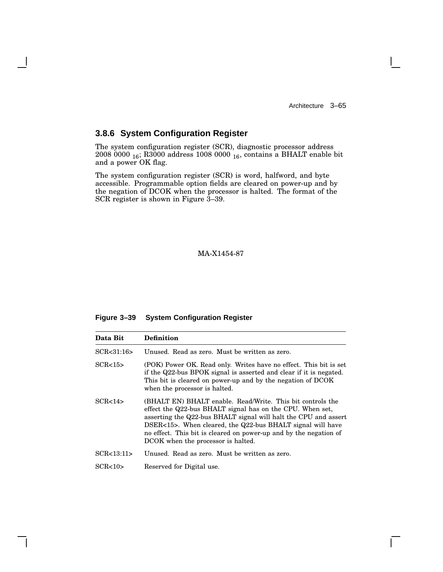$\mathbf{I}$ 

# **3.8.6 System Configuration Register**

The system configuration register (SCR), diagnostic processor address 2008 0000  $_{16}$ ; R3000 address 1008 0000  $_{16}$ , contains a BHALT enable bit and a power OK flag.

The system configuration register (SCR) is word, halfword, and byte accessible. Programmable option fields are cleared on power-up and by the negation of DCOK when the processor is halted. The format of the SCR register is shown in Figure 3–39.

MA-X1454-87

## **Figure 3–39 System Configuration Register**

| Data Bit          | <b>Definition</b>                                                                                                                                                                                                                                                                                                                                                   |
|-------------------|---------------------------------------------------------------------------------------------------------------------------------------------------------------------------------------------------------------------------------------------------------------------------------------------------------------------------------------------------------------------|
| SCR < 31:16       | Unused. Read as zero. Must be written as zero.                                                                                                                                                                                                                                                                                                                      |
| SCR <sub>15</sub> | (POK) Power OK. Read only. Writes have no effect. This bit is set<br>if the Q22-bus BPOK signal is asserted and clear if it is negated.<br>This bit is cleared on power-up and by the negation of DCOK<br>when the processor is halted.                                                                                                                             |
| SCR<14            | (BHALT EN) BHALT enable. Read/Write. This bit controls the<br>effect the Q22-bus BHALT signal has on the CPU. When set,<br>asserting the Q22-bus BHALT signal will halt the CPU and assert<br>DSER<15>. When cleared, the Q22-bus BHALT signal will have<br>no effect. This bit is cleared on power-up and by the negation of<br>DCOK when the processor is halted. |
| SCR < 13:11       | Unused. Read as zero. Must be written as zero.                                                                                                                                                                                                                                                                                                                      |
| SCR < 10          | Reserved for Digital use.                                                                                                                                                                                                                                                                                                                                           |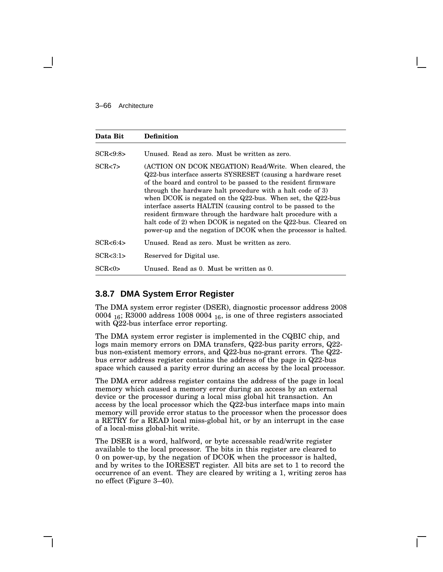#### 3–66 Architecture

| Data Bit   | <b>Definition</b>                                                                                                                                                                                                                                                                                                                                                                                                                                                                                                                                                                            |
|------------|----------------------------------------------------------------------------------------------------------------------------------------------------------------------------------------------------------------------------------------------------------------------------------------------------------------------------------------------------------------------------------------------------------------------------------------------------------------------------------------------------------------------------------------------------------------------------------------------|
| SCR<9:8>   | Unused. Read as zero. Must be written as zero.                                                                                                                                                                                                                                                                                                                                                                                                                                                                                                                                               |
| SCR < 7    | (ACTION ON DCOK NEGATION) Read/Write. When cleared, the<br>Q22-bus interface asserts SYSRESET (causing a hardware reset<br>of the board and control to be passed to the resident firmware<br>through the hardware halt procedure with a halt code of 3)<br>when DCOK is negated on the Q22-bus. When set, the Q22-bus<br>interface asserts HALTIN (causing control to be passed to the<br>resident firmware through the hardware halt procedure with a<br>halt code of 2) when DCOK is negated on the Q22-bus. Cleared on<br>power-up and the negation of DCOK when the processor is halted. |
| SCR < 6:4  | Unused. Read as zero. Must be written as zero.                                                                                                                                                                                                                                                                                                                                                                                                                                                                                                                                               |
| SCR < 3:1> | Reserved for Digital use.                                                                                                                                                                                                                                                                                                                                                                                                                                                                                                                                                                    |
| SCR < 0    | Unused. Read as 0. Must be written as 0.                                                                                                                                                                                                                                                                                                                                                                                                                                                                                                                                                     |

## **3.8.7 DMA System Error Register**

The DMA system error register (DSER), diagnostic processor address 2008 0004  $_{16}$ ; R3000 address 1008 0004  $_{16}$ , is one of three registers associated with Q22-bus interface error reporting.

The DMA system error register is implemented in the CQBIC chip, and logs main memory errors on DMA transfers, Q22-bus parity errors, Q22 bus non-existent memory errors, and Q22-bus no-grant errors. The Q22 bus error address register contains the address of the page in Q22-bus space which caused a parity error during an access by the local processor.

The DMA error address register contains the address of the page in local memory which caused a memory error during an access by an external device or the processor during a local miss global hit transaction. An access by the local processor which the Q22-bus interface maps into main memory will provide error status to the processor when the processor does a RETRY for a READ local miss-global hit, or by an interrupt in the case of a local-miss global-hit write.

The DSER is a word, halfword, or byte accessable read/write register available to the local processor. The bits in this register are cleared to 0 on power-up, by the negation of DCOK when the processor is halted, and by writes to the IORESET register. All bits are set to 1 to record the occurrence of an event. They are cleared by writing a 1, writing zeros has no effect (Figure 3–40).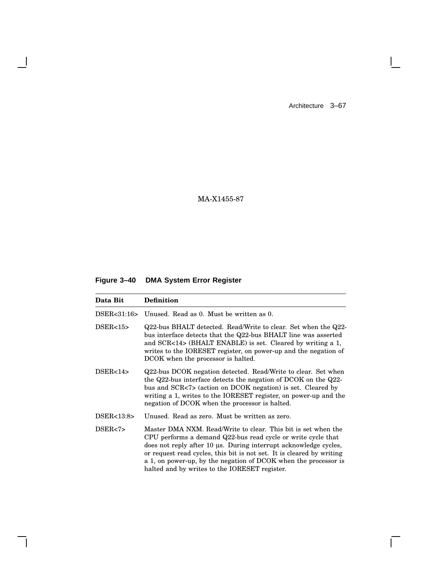$\mathbf{L}$ 

 $\overline{\Gamma}$ 

MA-X1455-87

# **Figure 3–40 DMA System Error Register**

 $\overline{\phantom{a}}$ 

 $\mathsf{l}$ 

| Data Bit    | <b>Definition</b>                                                                                                                                                                                                                                                                                                                                                                              |
|-------------|------------------------------------------------------------------------------------------------------------------------------------------------------------------------------------------------------------------------------------------------------------------------------------------------------------------------------------------------------------------------------------------------|
| DSER<31:16> | Unused. Read as 0. Must be written as 0.                                                                                                                                                                                                                                                                                                                                                       |
| DSER<15>    | Q22-bus BHALT detected. Read/Write to clear. Set when the Q22-<br>bus interface detects that the Q22-bus BHALT line was asserted<br>and SCR<14> (BHALT ENABLE) is set. Cleared by writing a 1,<br>writes to the IORESET register, on power-up and the negation of<br>DCOK when the processor is halted.                                                                                        |
| DSER<14>    | Q22-bus DCOK negation detected. Read/Write to clear. Set when<br>the Q22-bus interface detects the negation of DCOK on the Q22-<br>bus and SCR<7> (action on DCOK negation) is set. Cleared by<br>writing a 1, writes to the IORESET register, on power-up and the<br>negation of DCOK when the processor is halted.                                                                           |
| DSER<13:8>  | Unused. Read as zero. Must be written as zero.                                                                                                                                                                                                                                                                                                                                                 |
| DSER<7>     | Master DMA NXM. Read/Write to clear. This bit is set when the<br>CPU performs a demand Q22-bus read cycle or write cycle that<br>does not reply after 10 us. During interrupt acknowledge cycles,<br>or request read cycles, this bit is not set. It is cleared by writing<br>a 1, on power-up, by the negation of DCOK when the processor is<br>halted and by writes to the IORESET register. |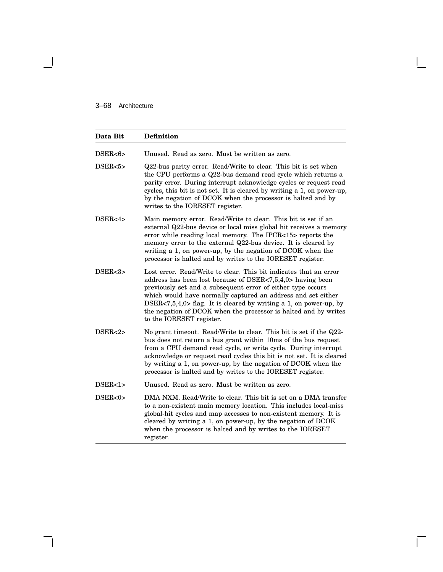$\overline{\phantom{a}}$ 

| Data Bit          | <b>Definition</b>                                                                                                                                                                                                                                                                                                                                                                                                                  |
|-------------------|------------------------------------------------------------------------------------------------------------------------------------------------------------------------------------------------------------------------------------------------------------------------------------------------------------------------------------------------------------------------------------------------------------------------------------|
| DSER<6>           | Unused. Read as zero. Must be written as zero.                                                                                                                                                                                                                                                                                                                                                                                     |
| DSER<5>           | Q22-bus parity error. Read/Write to clear. This bit is set when<br>the CPU performs a Q22-bus demand read cycle which returns a<br>parity error. During interrupt acknowledge cycles or request read<br>cycles, this bit is not set. It is cleared by writing a 1, on power-up,<br>by the negation of DCOK when the processor is halted and by<br>writes to the IORESET register.                                                  |
| DSER<4 $>$        | Main memory error. Read/Write to clear. This bit is set if an<br>external Q22-bus device or local miss global hit receives a memory<br>error while reading local memory. The IPCR<15> reports the<br>memory error to the external Q22-bus device. It is cleared by<br>writing a 1, on power-up, by the negation of DCOK when the<br>processor is halted and by writes to the IORESET register.                                     |
| DSER<3>           | Lost error. Read/Write to clear. This bit indicates that an error<br>address has been lost because of DSER<7,5,4,0> having been<br>previously set and a subsequent error of either type occurs<br>which would have normally captured an address and set either<br>DSER<7,5,4,0> flag. It is cleared by writing a 1, on power-up, by<br>the negation of DCOK when the processor is halted and by writes<br>to the IORESET register. |
| DSER <sub>2</sub> | No grant timeout. Read/Write to clear. This bit is set if the Q22-<br>bus does not return a bus grant within 10ms of the bus request<br>from a CPU demand read cycle, or write cycle. During interrupt<br>acknowledge or request read cycles this bit is not set. It is cleared<br>by writing a 1, on power-up, by the negation of DCOK when the<br>processor is halted and by writes to the IORESET register.                     |
| DSER<1>           | Unused. Read as zero. Must be written as zero.                                                                                                                                                                                                                                                                                                                                                                                     |
| DSER<0>           | DMA NXM. Read/Write to clear. This bit is set on a DMA transfer<br>to a non-existent main memory location. This includes local-miss<br>global-hit cycles and map accesses to non-existent memory. It is<br>cleared by writing a 1, on power-up, by the negation of DCOK<br>when the processor is halted and by writes to the IORESET<br>register.                                                                                  |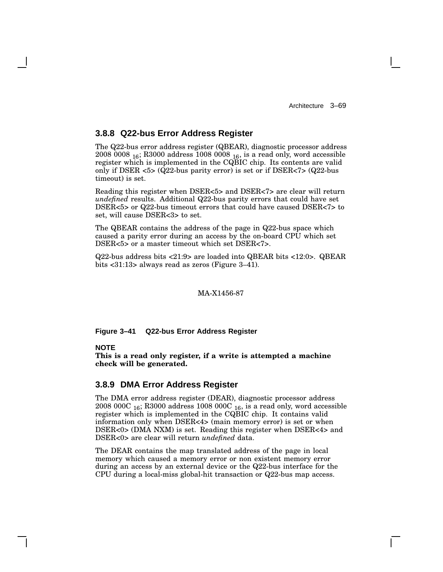## **3.8.8 Q22-bus Error Address Register**

The Q22-bus error address register (QBEAR), diagnostic processor address 2008 0008 <sup>16</sup>; R3000 address 1008 0008 <sup>16</sup>, is a read only, word accessible register which is implemented in the CQBIC chip. Its contents are valid only if DSER <5> (Q22-bus parity error) is set or if DSER<7> (Q22-bus timeout) is set.

Reading this register when DSER<5> and DSER<7> are clear will return *undefined* results. Additional Q22-bus parity errors that could have set DSER<5> or Q22-bus timeout errors that could have caused DSER<7> to set, will cause DSER<3> to set.

The QBEAR contains the address of the page in Q22-bus space which caused a parity error during an access by the on-board CPU which set DSER<5> or a master timeout which set DSER<7>.

Q22-bus address bits <21:9> are loaded into QBEAR bits <12:0>. QBEAR bits <31:13> always read as zeros (Figure 3–41).

### MA-X1456-87

**Figure 3–41 Q22-bus Error Address Register**

### **NOTE**

**This is a read only register, if a write is attempted a machine check will be generated.**

## **3.8.9 DMA Error Address Register**

The DMA error address register (DEAR), diagnostic processor address 2008 000C  $_{16}$ ; R3000 address 1008 000C  $_{16}$ , is a read only, word accessible register which is implemented in the CQBIC chip. It contains valid information only when DSER<4> (main memory error) is set or when DSER<0> (DMA NXM) is set. Reading this register when DSER<4> and DSER<0> are clear will return *undefined* data.

The DEAR contains the map translated address of the page in local memory which caused a memory error or non existent memory error during an access by an external device or the Q22-bus interface for the CPU during a local-miss global-hit transaction or Q22-bus map access.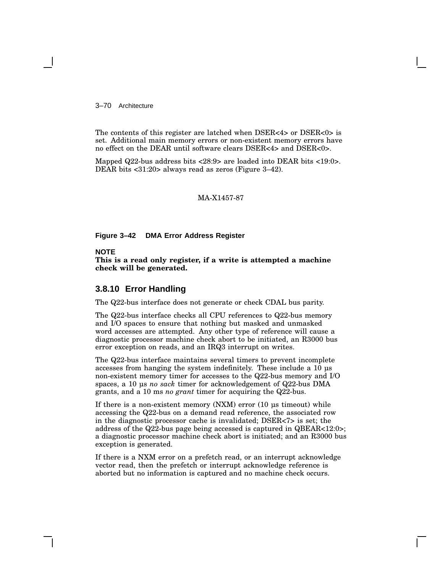3–70 Architecture

The contents of this register are latched when DSER<4> or DSER<0> is set. Additional main memory errors or non-existent memory errors have no effect on the DEAR until software clears DSER<4> and DSER<0>.

Mapped Q22-bus address bits <28:9> are loaded into DEAR bits <19:0>. DEAR bits <31:20> always read as zeros (Figure 3–42).

MA-X1457-87

### **Figure 3–42 DMA Error Address Register**

## **NOTE**

**This is a read only register, if a write is attempted a machine check will be generated.**

## **3.8.10 Error Handling**

The Q22-bus interface does not generate or check CDAL bus parity.

The Q22-bus interface checks all CPU references to Q22-bus memory and I/O spaces to ensure that nothing but masked and unmasked word accesses are attempted. Any other type of reference will cause a diagnostic processor machine check abort to be initiated, an R3000 bus error exception on reads, and an IRQ3 interrupt on writes.

The Q22-bus interface maintains several timers to prevent incomplete accesses from hanging the system indefinitely. These include a 10 µs non-existent memory timer for accesses to the Q22-bus memory and I/O spaces, a 10 µs *no sack* timer for acknowledgement of Q22-bus DMA grants, and a 10 ms *no grant* timer for acquiring the Q22-bus.

If there is a non-existent memory (NXM) error (10 µs timeout) while accessing the Q22-bus on a demand read reference, the associated row in the diagnostic processor cache is invalidated; DSER<7> is set; the address of the Q22-bus page being accessed is captured in QBEAR<12:0>; a diagnostic processor machine check abort is initiated; and an R3000 bus exception is generated.

If there is a NXM error on a prefetch read, or an interrupt acknowledge vector read, then the prefetch or interrupt acknowledge reference is aborted but no information is captured and no machine check occurs.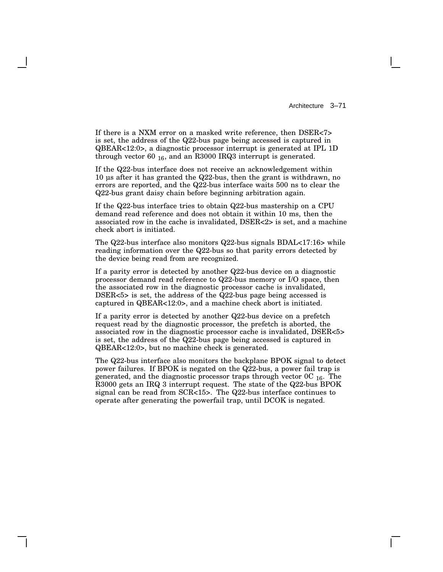If there is a NXM error on a masked write reference, then DSER<7> is set, the address of the Q22-bus page being accessed is captured in QBEAR<12:0>, a diagnostic processor interrupt is generated at IPL 1D through vector 60  $_{16}$ , and an R3000 IRQ3 interrupt is generated.

If the Q22-bus interface does not receive an acknowledgement within 10 µs after it has granted the Q22-bus, then the grant is withdrawn, no errors are reported, and the Q22-bus interface waits 500 ns to clear the Q22-bus grant daisy chain before beginning arbitration again.

If the Q22-bus interface tries to obtain Q22-bus mastership on a CPU demand read reference and does not obtain it within 10 ms, then the associated row in the cache is invalidated, DSER<2> is set, and a machine check abort is initiated.

The Q22-bus interface also monitors Q22-bus signals BDAL<17:16> while reading information over the Q22-bus so that parity errors detected by the device being read from are recognized.

If a parity error is detected by another Q22-bus device on a diagnostic processor demand read reference to Q22-bus memory or I/O space, then the associated row in the diagnostic processor cache is invalidated, DSER<5> is set, the address of the Q22-bus page being accessed is captured in QBEAR<12:0>, and a machine check abort is initiated.

If a parity error is detected by another Q22-bus device on a prefetch request read by the diagnostic processor, the prefetch is aborted, the associated row in the diagnostic processor cache is invalidated, DSER<5> is set, the address of the Q22-bus page being accessed is captured in QBEAR<12:0>, but no machine check is generated.

The Q22-bus interface also monitors the backplane BPOK signal to detect power failures. If BPOK is negated on the Q22-bus, a power fail trap is generated, and the diagnostic processor traps through vector  $0C_{16}$ . The R3000 gets an IRQ 3 interrupt request. The state of the Q22-bus BPOK signal can be read from SCR<15>. The Q22-bus interface continues to operate after generating the powerfail trap, until DCOK is negated.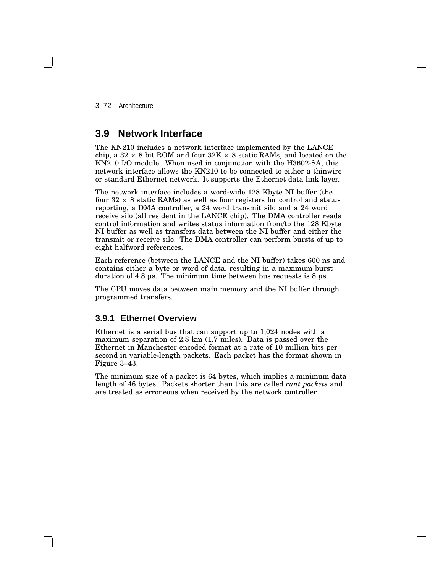3–72 Architecture

# **3.9 Network Interface**

The KN210 includes a network interface implemented by the LANCE chip, a  $32 \times 8$  bit ROM and four  $32\text{K} \times 8$  static RAMs, and located on the KN210 I/O module. When used in conjunction with the H3602-SA, this network interface allows the KN210 to be connected to either a thinwire or standard Ethernet network. It supports the Ethernet data link layer.

The network interface includes a word-wide 128 Kbyte NI buffer (the four  $32 \times 8$  static RAMs) as well as four registers for control and status reporting, a DMA controller, a 24 word transmit silo and a 24 word receive silo (all resident in the LANCE chip). The DMA controller reads control information and writes status information from/to the 128 Kbyte NI buffer as well as transfers data between the NI buffer and either the transmit or receive silo. The DMA controller can perform bursts of up to eight halfword references.

Each reference (between the LANCE and the NI buffer) takes 600 ns and contains either a byte or word of data, resulting in a maximum burst duration of 4.8 µs. The minimum time between bus requests is 8 µs.

The CPU moves data between main memory and the NI buffer through programmed transfers.

## **3.9.1 Ethernet Overview**

Ethernet is a serial bus that can support up to 1,024 nodes with a maximum separation of 2.8 km (1.7 miles). Data is passed over the Ethernet in Manchester encoded format at a rate of 10 million bits per second in variable-length packets. Each packet has the format shown in Figure 3–43.

The minimum size of a packet is 64 bytes, which implies a minimum data length of 46 bytes. Packets shorter than this are called *runt packets* and are treated as erroneous when received by the network controller.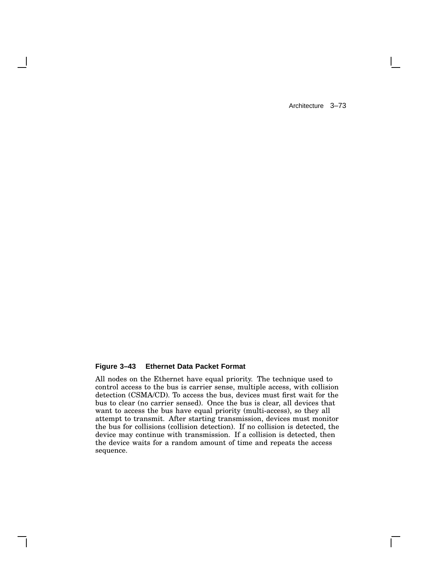$\mathbf{L}$ 

## **Figure 3–43 Ethernet Data Packet Format**

All nodes on the Ethernet have equal priority. The technique used to control access to the bus is carrier sense, multiple access, with collision detection (CSMA/CD). To access the bus, devices must first wait for the bus to clear (no carrier sensed). Once the bus is clear, all devices that want to access the bus have equal priority (multi-access), so they all attempt to transmit. After starting transmission, devices must monitor the bus for collisions (collision detection). If no collision is detected, the device may continue with transmission. If a collision is detected, then the device waits for a random amount of time and repeats the access sequence.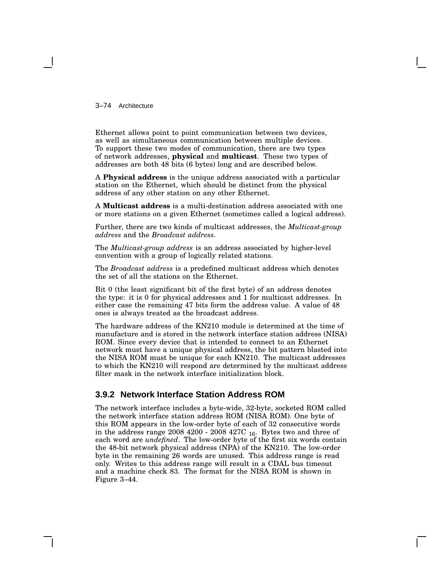3–74 Architecture

Ethernet allows point to point communication between two devices, as well as simultaneous communication between multiple devices. To support these two modes of communication, there are two types of network addresses, **physical** and **multicast**. These two types of addresses are both 48 bits (6 bytes) long and are described below.

A **Physical address** is the unique address associated with a particular station on the Ethernet, which should be distinct from the physical address of any other station on any other Ethernet.

A **Multicast address** is a multi-destination address associated with one or more stations on a given Ethernet (sometimes called a logical address).

Further, there are two kinds of multicast addresses, the *Multicast-group address* and the *Broadcast address*.

The *Multicast-group address* is an address associated by higher-level convention with a group of logically related stations.

The *Broadcast address* is a predefined multicast address which denotes the set of all the stations on the Ethernet.

Bit 0 (the least significant bit of the first byte) of an address denotes the type: it is 0 for physical addresses and 1 for multicast addresses. In either case the remaining 47 bits form the address value. A value of 48 ones is always treated as the broadcast address.

The hardware address of the KN210 module is determined at the time of manufacture and is stored in the network interface station address (NISA) ROM. Since every device that is intended to connect to an Ethernet network must have a unique physical address, the bit pattern blasted into the NISA ROM must be unique for each KN210. The multicast addresses to which the KN210 will respond are determined by the multicast address filter mask in the network interface initialization block.

## **3.9.2 Network Interface Station Address ROM**

The network interface includes a byte-wide, 32-byte, socketed ROM called the network interface station address ROM (NISA ROM). One byte of this ROM appears in the low-order byte of each of 32 consecutive words in the address range 2008 4200 - 2008 427C  $_{16}$ . Bytes two and three of each word are *undefined*. The low-order byte of the first six words contain the 48-bit network physical address (NPA) of the KN210. The low-order byte in the remaining 26 words are unused. This address range is read only. Writes to this address range will result in a CDAL bus timeout and a machine check 83. The format for the NISA ROM is shown in Figure 3–44.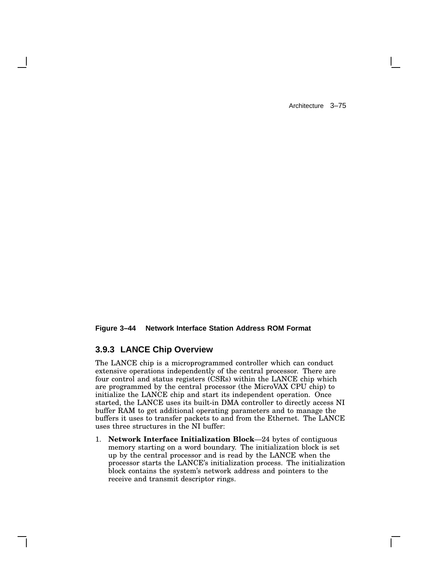### **Figure 3–44 Network Interface Station Address ROM Format**

# **3.9.3 LANCE Chip Overview**

The LANCE chip is a microprogrammed controller which can conduct extensive operations independently of the central processor. There are four control and status registers (CSRs) within the LANCE chip which are programmed by the central processor (the MicroVAX CPU chip) to initialize the LANCE chip and start its independent operation. Once started, the LANCE uses its built-in DMA controller to directly access NI buffer RAM to get additional operating parameters and to manage the buffers it uses to transfer packets to and from the Ethernet. The LANCE uses three structures in the NI buffer:

1. **Network Interface Initialization Block**—24 bytes of contiguous memory starting on a word boundary. The initialization block is set up by the central processor and is read by the LANCE when the processor starts the LANCE's initialization process. The initialization block contains the system's network address and pointers to the receive and transmit descriptor rings.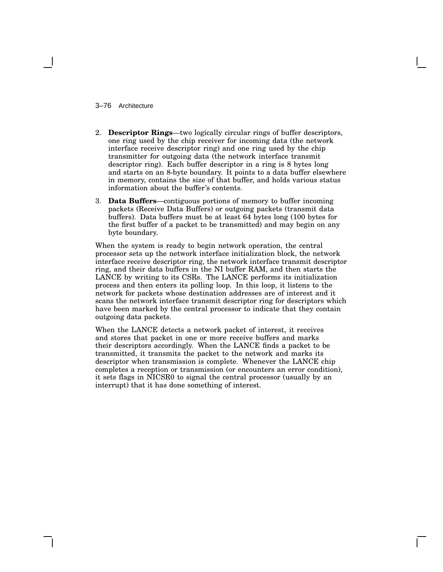### 3–76 Architecture

- 2. **Descriptor Rings**—two logically circular rings of buffer descriptors, one ring used by the chip receiver for incoming data (the network interface receive descriptor ring) and one ring used by the chip transmitter for outgoing data (the network interface transmit descriptor ring). Each buffer descriptor in a ring is 8 bytes long and starts on an 8-byte boundary. It points to a data buffer elsewhere in memory, contains the size of that buffer, and holds various status information about the buffer's contents.
- 3. **Data Buffers**—contiguous portions of memory to buffer incoming packets (Receive Data Buffers) or outgoing packets (transmit data buffers). Data buffers must be at least 64 bytes long (100 bytes for the first buffer of a packet to be transmitted) and may begin on any byte boundary.

When the system is ready to begin network operation, the central processor sets up the network interface initialization block, the network interface receive descriptor ring, the network interface transmit descriptor ring, and their data buffers in the NI buffer RAM, and then starts the LANCE by writing to its CSRs. The LANCE performs its initialization process and then enters its polling loop. In this loop, it listens to the network for packets whose destination addresses are of interest and it scans the network interface transmit descriptor ring for descriptors which have been marked by the central processor to indicate that they contain outgoing data packets.

When the LANCE detects a network packet of interest, it receives and stores that packet in one or more receive buffers and marks their descriptors accordingly. When the LANCE finds a packet to be transmitted, it transmits the packet to the network and marks its descriptor when transmission is complete. Whenever the LANCE chip completes a reception or transmission (or encounters an error condition), it sets flags in NICSR0 to signal the central processor (usually by an interrupt) that it has done something of interest.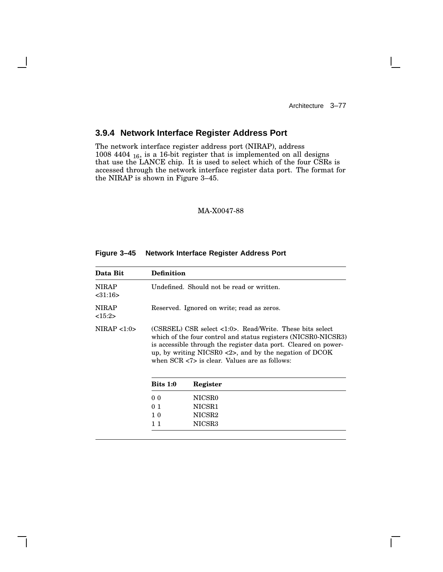$\mathbf{L}$ 

# **3.9.4 Network Interface Register Address Port**

The network interface register address port (NIRAP), address 1008 4404  $_{16}$ , is a 16-bit register that is implemented on all designs that use the LANCE chip. It is used to select which of the four CSRs is accessed through the network interface register data port. The format for the NIRAP is shown in Figure 3–45.

## MA-X0047-88

### **Figure 3–45 Network Interface Register Address Port**

| Data Bit                 | <b>Definition</b> |                                                                                                                                                                                                                                                                                                                                                  |
|--------------------------|-------------------|--------------------------------------------------------------------------------------------------------------------------------------------------------------------------------------------------------------------------------------------------------------------------------------------------------------------------------------------------|
| <b>NIRAP</b><br>< 31:16> |                   | Undefined. Should not be read or written.                                                                                                                                                                                                                                                                                                        |
| <b>NIRAP</b><br><15:2>   |                   | Reserved. Ignored on write; read as zeros.                                                                                                                                                                                                                                                                                                       |
| NIRAP < 1:0>             |                   | $(CSRSEL)$ $CSR$ select $\langle 1:0 \rangle$ . Read/Write. These bits select<br>which of the four control and status registers (NICSR0-NICSR3)<br>is accessible through the register data port. Cleared on power-<br>up, by writing NICSR0 $\langle 2 \rangle$ , and by the negation of DCOK<br>when $SCR < 7$ is clear. Values are as follows: |
|                          | <b>Bits 1:0</b>   | Register                                                                                                                                                                                                                                                                                                                                         |
|                          | 0 <sub>0</sub>    | NICSR0                                                                                                                                                                                                                                                                                                                                           |
|                          | 0 <sub>1</sub>    | NICSR1                                                                                                                                                                                                                                                                                                                                           |
|                          | 1 <sub>0</sub>    | NICSR2                                                                                                                                                                                                                                                                                                                                           |
|                          | 11                | NICSR3                                                                                                                                                                                                                                                                                                                                           |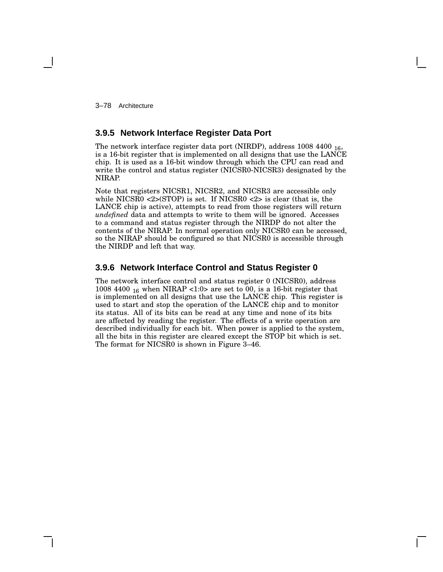3–78 Architecture

# **3.9.5 Network Interface Register Data Port**

The network interface register data port (NIRDP), address 1008 4400 16, is a 16-bit register that is implemented on all designs that use the LANCE chip. It is used as a 16-bit window through which the CPU can read and write the control and status register (NICSR0-NICSR3) designated by the NIRAP.

Note that registers NICSR1, NICSR2, and NICSR3 are accessible only while NICSR0  $\langle 2 \rangle$ (STOP) is set. If NICSR0  $\langle 2 \rangle$  is clear (that is, the LANCE chip is active), attempts to read from those registers will return *undefined* data and attempts to write to them will be ignored. Accesses to a command and status register through the NIRDP do not alter the contents of the NIRAP. In normal operation only NICSR0 can be accessed, so the NIRAP should be configured so that NICSR0 is accessible through the NIRDP and left that way.

## **3.9.6 Network Interface Control and Status Register 0**

The network interface control and status register 0 (NICSR0), address 1008 4400  $_{16}$  when NIRAP <1:0> are set to 00, is a 16-bit register that is implemented on all designs that use the LANCE chip. This register is used to start and stop the operation of the LANCE chip and to monitor its status. All of its bits can be read at any time and none of its bits are affected by reading the register. The effects of a write operation are described individually for each bit. When power is applied to the system, all the bits in this register are cleared except the STOP bit which is set. The format for NICSR0 is shown in Figure 3–46.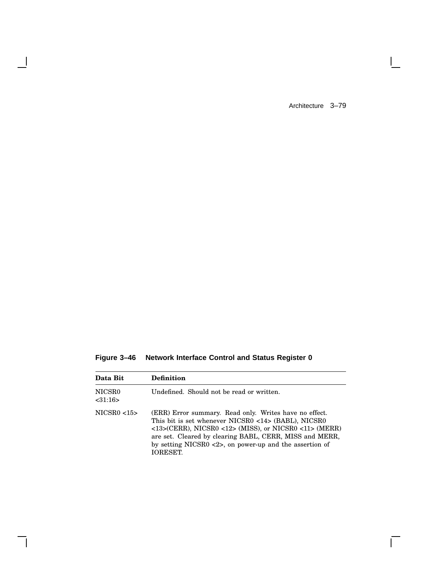$\Box$ 

 $\overline{\Gamma}$ 

**Figure 3–46 Network Interface Control and Status Register 0**

 $\blacksquare$ 

 $\mathbf{I}$ 

| Data Bit           | <b>Definition</b>                                                                                                                                                                                                                                                                                                                        |
|--------------------|------------------------------------------------------------------------------------------------------------------------------------------------------------------------------------------------------------------------------------------------------------------------------------------------------------------------------------------|
| NICSR0<br>< 31:16> | Undefined. Should not be read or written.                                                                                                                                                                                                                                                                                                |
| NICSR0 < 15        | (ERR) Error summary. Read only. Writes have no effect.<br>This bit is set whenever NICSR0 <14> (BABL), NICSR0<br>$\langle$ 13>(CERR), NICSR0 <12> (MISS), or NICSR0 <11> (MERR)<br>are set. Cleared by clearing BABL, CERR, MISS and MERR,<br>by setting NICSR0 $\langle 2 \rangle$ , on power-up and the assertion of<br><b>IORESET</b> |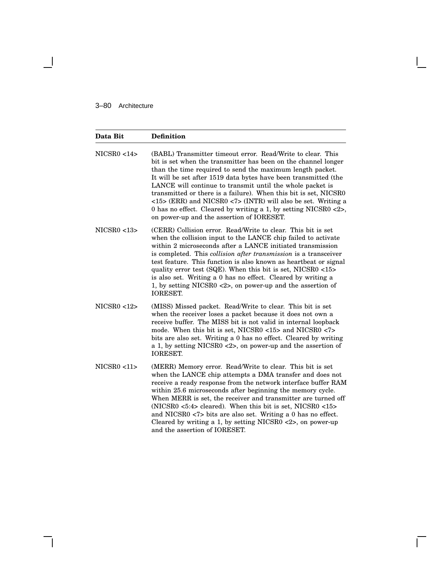## 3–80 Architecture

 $\overline{\phantom{a}}$ 

| Data Bit    | <b>Definition</b>                                                                                                                                                                                                                                                                                                                                                                                                                                                                                                                                                                                                   |
|-------------|---------------------------------------------------------------------------------------------------------------------------------------------------------------------------------------------------------------------------------------------------------------------------------------------------------------------------------------------------------------------------------------------------------------------------------------------------------------------------------------------------------------------------------------------------------------------------------------------------------------------|
| NICSR0 < 14 | (BABL) Transmitter timeout error. Read/Write to clear. This<br>bit is set when the transmitter has been on the channel longer<br>than the time required to send the maximum length packet.<br>It will be set after 1519 data bytes have been transmitted (the<br>LANCE will continue to transmit until the whole packet is<br>transmitted or there is a failure). When this bit is set, NICSR0<br>$\langle$ = 15> (ERR) and NICSR0 $\langle$ 7> (INTR) will also be set. Writing a<br>0 has no effect. Cleared by writing a 1, by setting NICSR0 $\langle 2 \rangle$ ,<br>on power-up and the assertion of IORESET. |
| NICSR0 < 13 | (CERR) Collision error. Read/Write to clear. This bit is set<br>when the collision input to the LANCE chip failed to activate<br>within 2 microseconds after a LANCE initiated transmission<br>is completed. This collision after transmission is a transceiver<br>test feature. This function is also known as heartbeat or signal<br>quality error test (SQE). When this bit is set, NICSR0 <15><br>is also set. Writing a 0 has no effect. Cleared by writing a<br>1, by setting NICSR0 $\langle 2 \rangle$ , on power-up and the assertion of<br><b>IORESET.</b>                                                |
| NICSR0 < 12 | (MISS) Missed packet. Read/Write to clear. This bit is set<br>when the receiver loses a packet because it does not own a<br>receive buffer. The MISS bit is not valid in internal loopback<br>mode. When this bit is set, NICSR0 <15> and NICSR0 <7><br>bits are also set. Writing a 0 has no effect. Cleared by writing<br>a 1, by setting NICSR0 <2>, on power-up and the assertion of<br><b>IORESET.</b>                                                                                                                                                                                                         |
| NICSR0 < 11 | (MERR) Memory error. Read/Write to clear. This bit is set<br>when the LANCE chip attempts a DMA transfer and does not<br>receive a ready response from the network interface buffer RAM<br>within 25.6 microseconds after beginning the memory cycle.<br>When MERR is set, the receiver and transmitter are turned off<br>(NICSR0 $<5:4>$ cleared). When this bit is set, NICSR0 $<15>$<br>and NICSR0 <7> bits are also set. Writing a 0 has no effect.<br>Cleared by writing a 1, by setting NICSR0 $\langle 2 \rangle$ , on power-up<br>and the assertion of IORESET.                                             |

 $\mathsf{I}$ 

 $\bar{\Gamma}$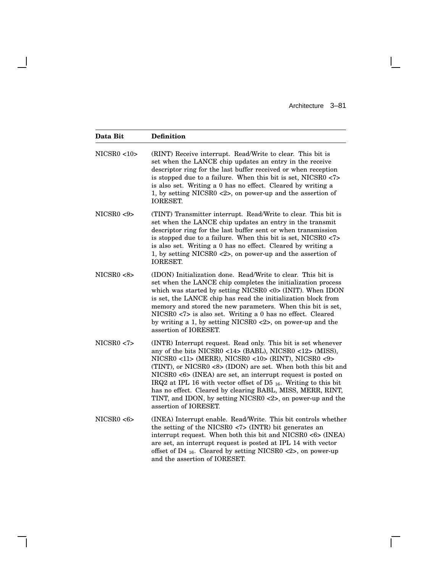$\mathbf{L}$ 

 $\overline{\Gamma}$ 

| Data Bit     | <b>Definition</b>                                                                                                                                                                                                                                                                                                                                                                                                                                                                                                                            |
|--------------|----------------------------------------------------------------------------------------------------------------------------------------------------------------------------------------------------------------------------------------------------------------------------------------------------------------------------------------------------------------------------------------------------------------------------------------------------------------------------------------------------------------------------------------------|
| NICSR0 < 10  | (RINT) Receive interrupt. Read/Write to clear. This bit is<br>set when the LANCE chip updates an entry in the receive<br>descriptor ring for the last buffer received or when reception<br>is stopped due to a failure. When this bit is set, NICSR0 <7><br>is also set. Writing a 0 has no effect. Cleared by writing a<br>1, by setting NICSR0 $\langle 2 \rangle$ , on power-up and the assertion of<br>IORESET.                                                                                                                          |
| NICSR0 < 9   | (TINT) Transmitter interrupt. Read/Write to clear. This bit is<br>set when the LANCE chip updates an entry in the transmit<br>descriptor ring for the last buffer sent or when transmission<br>is stopped due to a failure. When this bit is set, NICSR0 <7><br>is also set. Writing a 0 has no effect. Cleared by writing a<br>1, by setting NICSR0 $<2$ , on power-up and the assertion of<br><b>IORESET.</b>                                                                                                                              |
| NICSR0 < 8 > | (IDON) Initialization done. Read/Write to clear. This bit is<br>set when the LANCE chip completes the initialization process<br>which was started by setting NICSR0 < $0$ > (INIT). When IDON<br>is set, the LANCE chip has read the initialization block from<br>memory and stored the new parameters. When this bit is set,<br>NICSR0 <7> is also set. Writing a 0 has no effect. Cleared<br>by writing a 1, by setting NICSR0 <2>, on power-up and the<br>assertion of IORESET.                                                           |
| NICSR0 < 7   | (INTR) Interrupt request. Read only. This bit is set whenever<br>any of the bits NICSR0 <14> (BABL), NICSR0 <12> (MISS),<br>NICSR0 <11> (MERR), NICSR0 <10> (RINT), NICSR0 <9><br>(TINT), or NICSR0 <8> (IDON) are set. When both this bit and<br>NICSR0 <6> (INEA) are set, an interrupt request is posted on<br>IRQ2 at IPL 16 with vector offset of D5 $_{16}$ . Writing to this bit<br>has no effect. Cleared by clearing BABL, MISS, MERR, RINT,<br>TINT, and IDON, by setting NICSR0 <2>, on power-up and the<br>assertion of IORESET. |
| NICSR0 < 6   | (INEA) Interrupt enable. Read/Write. This bit controls whether<br>the setting of the NICSR0 $<$ 7> (INTR) bit generates an<br>interrupt request. When both this bit and NICSR0 <6> (INEA)<br>are set, an interrupt request is posted at IPL 14 with vector<br>offset of D4 $_{16}$ . Cleared by setting NICSR0 <2>, on power-up<br>and the assertion of IORESET.                                                                                                                                                                             |

 $\overline{\phantom{a}}$ 

 $\mathsf{l}$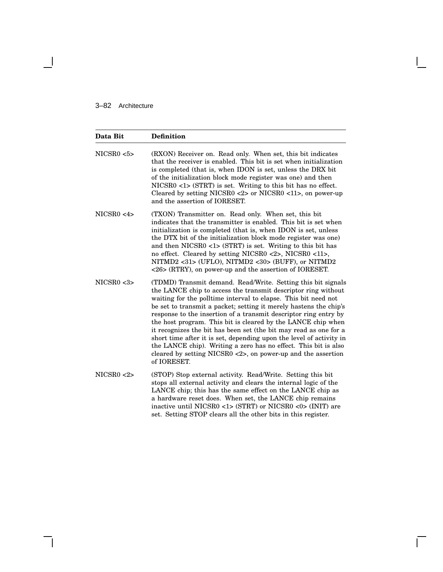## 3–82 Architecture

 $\blacksquare$ 

| Data Bit   | <b>Definition</b>                                                                                                                                                                                                                                                                                                                                                                                                                                                                                                                                                                                                                                                                                                       |
|------------|-------------------------------------------------------------------------------------------------------------------------------------------------------------------------------------------------------------------------------------------------------------------------------------------------------------------------------------------------------------------------------------------------------------------------------------------------------------------------------------------------------------------------------------------------------------------------------------------------------------------------------------------------------------------------------------------------------------------------|
| NICSR0 < 5 | (RXON) Receiver on. Read only. When set, this bit indicates<br>that the receiver is enabled. This bit is set when initialization<br>is completed (that is, when IDON is set, unless the DRX bit<br>of the initialization block mode register was one) and then<br>NICSR0 <1> (STRT) is set. Writing to this bit has no effect.<br>Cleared by setting NICSR0 <2> or NICSR0 <11>, on power-up<br>and the assertion of IORESET.                                                                                                                                                                                                                                                                                            |
| NICSR0 < 4 | (TXON) Transmitter on. Read only. When set, this bit<br>indicates that the transmitter is enabled. This bit is set when<br>initialization is completed (that is, when IDON is set, unless<br>the DTX bit of the initialization block mode register was one)<br>and then NICSR0 <1> (STRT) is set. Writing to this bit has<br>no effect. Cleared by setting NICSR0 <2>, NICSR0 <11>,<br>NITMD2 <31> (UFLO), NITMD2 <30> (BUFF), or NITMD2<br><26> (RTRY), on power-up and the assertion of IORESET.                                                                                                                                                                                                                      |
| NICSR0 < 3 | (TDMD) Transmit demand. Read/Write. Setting this bit signals<br>the LANCE chip to access the transmit descriptor ring without<br>waiting for the polltime interval to elapse. This bit need not<br>be set to transmit a packet; setting it merely hastens the chip's<br>response to the insertion of a transmit descriptor ring entry by<br>the host program. This bit is cleared by the LANCE chip when<br>it recognizes the bit has been set (the bit may read as one for a<br>short time after it is set, depending upon the level of activity in<br>the LANCE chip). Writing a zero has no effect. This bit is also<br>cleared by setting NICSR0 $\langle 2 \rangle$ , on power-up and the assertion<br>of IORESET. |
| NICSR0 < 2 | (STOP) Stop external activity. Read/Write. Setting this bit<br>stops all external activity and clears the internal logic of the<br>LANCE chip; this has the same effect on the LANCE chip as<br>a hardware reset does. When set, the LANCE chip remains<br>inactive until NICSR0 <1> (STRT) or NICSR0 <0> (INIT) are<br>set. Setting STOP clears all the other bits in this register.                                                                                                                                                                                                                                                                                                                                   |

Ē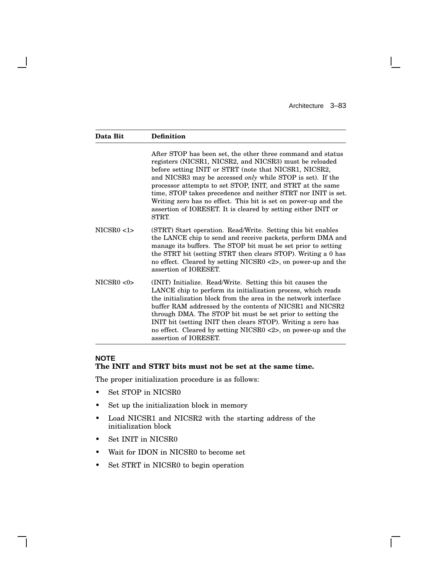$\mathbf{L}$ 

| Data Bit   | <b>Definition</b>                                                                                                                                                                                                                                                                                                                                                                                                                                                                                                                 |
|------------|-----------------------------------------------------------------------------------------------------------------------------------------------------------------------------------------------------------------------------------------------------------------------------------------------------------------------------------------------------------------------------------------------------------------------------------------------------------------------------------------------------------------------------------|
|            | After STOP has been set, the other three command and status<br>registers (NICSR1, NICSR2, and NICSR3) must be reloaded<br>before setting INIT or STRT (note that NICSR1, NICSR2,<br>and NICSR3 may be accessed <i>only</i> while STOP is set). If the<br>processor attempts to set STOP, INIT, and STRT at the same<br>time, STOP takes precedence and neither STRT nor INIT is set.<br>Writing zero has no effect. This bit is set on power-up and the<br>assertion of IORESET. It is cleared by setting either INIT or<br>STRT. |
| NICSR0 < 1 | (STRT) Start operation. Read/Write. Setting this bit enables<br>the LANCE chip to send and receive packets, perform DMA and<br>manage its buffers. The STOP bit must be set prior to setting<br>the STRT bit (setting STRT then clears STOP). Writing a 0 has<br>no effect. Cleared by setting NICSR0 <2>, on power-up and the<br>assertion of IORESET.                                                                                                                                                                           |
| NICSR0 < 0 | (INIT) Initialize. Read/Write. Setting this bit causes the<br>LANCE chip to perform its initialization process, which reads<br>the initialization block from the area in the network interface<br>buffer RAM addressed by the contents of NICSR1 and NICSR2<br>through DMA. The STOP bit must be set prior to setting the<br>INIT bit (setting INIT then clears STOP). Writing a zero has<br>no effect. Cleared by setting NICSR0 <2>, on power-up and the<br>assertion of IORESET.                                               |

## **NOTE The INIT and STRT bits must not be set at the same time.**

The proper initialization procedure is as follows:

• Set STOP in NICSR0

 $\overline{\phantom{a}}$ 

- Set up the initialization block in memory
- Load NICSR1 and NICSR2 with the starting address of the initialization block
- Set INIT in NICSR0
- Wait for IDON in NICSR0 to become set
- Set STRT in NICSR0 to begin operation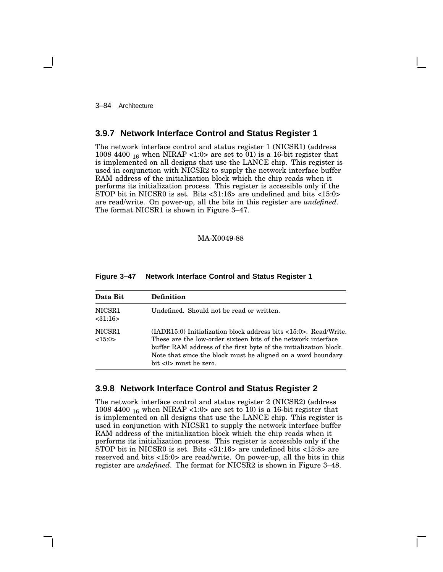3–84 Architecture

## **3.9.7 Network Interface Control and Status Register 1**

The network interface control and status register 1 (NICSR1) (address 1008 4400  $_{16}$  when NIRAP <1:0> are set to 01) is a 16-bit register that is implemented on all designs that use the LANCE chip. This register is used in conjunction with NICSR2 to supply the network interface buffer RAM address of the initialization block which the chip reads when it performs its initialization process. This register is accessible only if the STOP bit in NICSR0 is set. Bits <31:16> are undefined and bits <15:0> are read/write. On power-up, all the bits in this register are *undefined*. The format NICSR1 is shown in Figure 3–47.

### MA-X0049-88

| Data Bit           | <b>Definition</b>                                                                                                                                                                                                                                                                                                                  |
|--------------------|------------------------------------------------------------------------------------------------------------------------------------------------------------------------------------------------------------------------------------------------------------------------------------------------------------------------------------|
| NICSR1<br>< 31:16> | Undefined. Should not be read or written.                                                                                                                                                                                                                                                                                          |
| NICSR1<br><15:0>   | $(LADR15:0)$ Initialization block address bits $\langle 15:0 \rangle$ . Read/Write.<br>These are the low-order sixteen bits of the network interface<br>buffer RAM address of the first byte of the initialization block.<br>Note that since the block must be aligned on a word boundary<br>bit $\langle 0 \rangle$ must be zero. |

#### **Figure 3–47 Network Interface Control and Status Register 1**

## **3.9.8 Network Interface Control and Status Register 2**

The network interface control and status register 2 (NICSR2) (address 1008 4400  $_{16}$  when NIRAP <1:0> are set to 10) is a 16-bit register that is implemented on all designs that use the LANCE chip. This register is used in conjunction with NICSR1 to supply the network interface buffer RAM address of the initialization block which the chip reads when it performs its initialization process. This register is accessible only if the STOP bit in NICSR0 is set. Bits <31:16> are undefined bits <15:8> are reserved and bits <15:0> are read/write. On power-up, all the bits in this register are *undefined*. The format for NICSR2 is shown in Figure 3–48.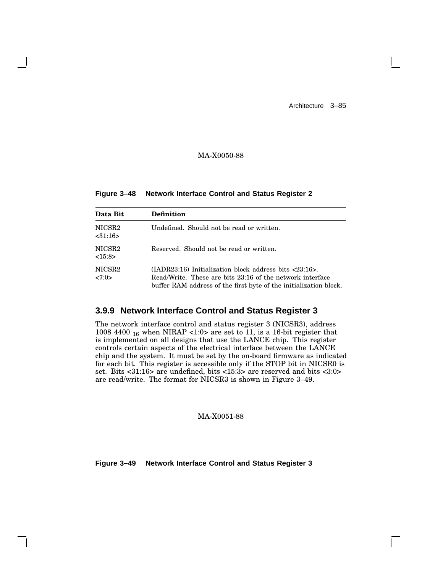## MA-X0050-88

**Figure 3–48 Network Interface Control and Status Register 2**

| Data Bit                     | Definition                                                                                                                                                                                                |
|------------------------------|-----------------------------------------------------------------------------------------------------------------------------------------------------------------------------------------------------------|
| NICSR2<br>< 31:16>           | Undefined. Should not be read or written.                                                                                                                                                                 |
| NICSR <sub>2</sub><br><15:8> | Reserved. Should not be read or written.                                                                                                                                                                  |
| NICSR <sub>2</sub><br>27:0>  | (IADR23:16) Initialization block address bits $\langle 23:16 \rangle$ .<br>Read/Write. These are bits 23:16 of the network interface<br>buffer RAM address of the first byte of the initialization block. |

# **3.9.9 Network Interface Control and Status Register 3**

The network interface control and status register 3 (NICSR3), address 1008 4400  $_{16}$  when NIRAP <1:0> are set to 11, is a 16-bit register that is implemented on all designs that use the LANCE chip. This register controls certain aspects of the electrical interface between the LANCE chip and the system. It must be set by the on-board firmware as indicated for each bit. This register is accessible only if the STOP bit in NICSR0 is set. Bits <31:16> are undefined, bits <15:3> are reserved and bits <3:0> are read/write. The format for NICSR3 is shown in Figure 3–49.

MA-X0051-88

**Figure 3–49 Network Interface Control and Status Register 3**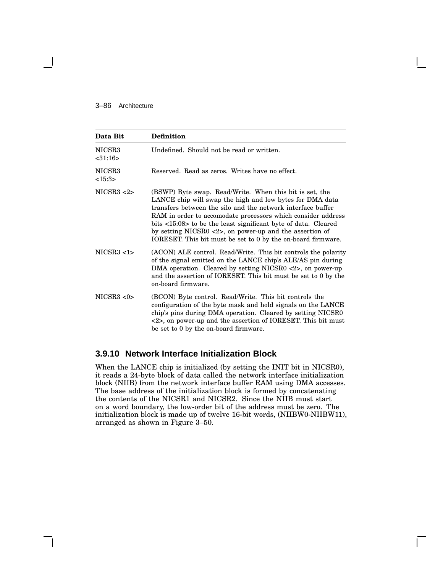#### 3–86 Architecture

| Data Bit             | <b>Definition</b>                                                                                                                                                                                                                                                                                                                                                                                                                                                |
|----------------------|------------------------------------------------------------------------------------------------------------------------------------------------------------------------------------------------------------------------------------------------------------------------------------------------------------------------------------------------------------------------------------------------------------------------------------------------------------------|
| NICSR3<br>$<$ 31:16> | Undefined. Should not be read or written.                                                                                                                                                                                                                                                                                                                                                                                                                        |
| NICSR3<br><15:3>     | Reserved. Read as zeros. Writes have no effect.                                                                                                                                                                                                                                                                                                                                                                                                                  |
| NICSR3 < 2           | (BSWP) Byte swap. Read/Write. When this bit is set, the<br>LANCE chip will swap the high and low bytes for DMA data<br>transfers between the silo and the network interface buffer<br>RAM in order to accomodate processors which consider address<br>bits <15:08> to be the least significant byte of data. Cleared<br>by setting NICSR0 $\langle 2 \rangle$ , on power-up and the assertion of<br>IORESET. This bit must be set to 0 by the on-board firmware. |
| NICSR3 < 1           | (ACON) ALE control. Read/Write. This bit controls the polarity<br>of the signal emitted on the LANCE chip's ALE/AS pin during<br>DMA operation. Cleared by setting NICSR0 $\langle 2 \rangle$ , on power-up<br>and the assertion of IORESET. This bit must be set to 0 by the<br>on-board firmware.                                                                                                                                                              |
| NICSR3 < 0           | (BCON) Byte control. Read/Write. This bit controls the<br>configuration of the byte mask and hold signals on the LANCE<br>chip's pins during DMA operation. Cleared by setting NICSR0<br><2>, on power-up and the assertion of IORESET. This bit must<br>be set to 0 by the on-board firmware.                                                                                                                                                                   |

## **3.9.10 Network Interface Initialization Block**

When the LANCE chip is initialized (by setting the INIT bit in NICSR0), it reads a 24-byte block of data called the network interface initialization block (NIIB) from the network interface buffer RAM using DMA accesses. The base address of the initialization block is formed by concatenating the contents of the NICSR1 and NICSR2. Since the NIIB must start on a word boundary, the low-order bit of the address must be zero. The initialization block is made up of twelve 16-bit words, (NIIBW0-NIIBW11), arranged as shown in Figure 3–50.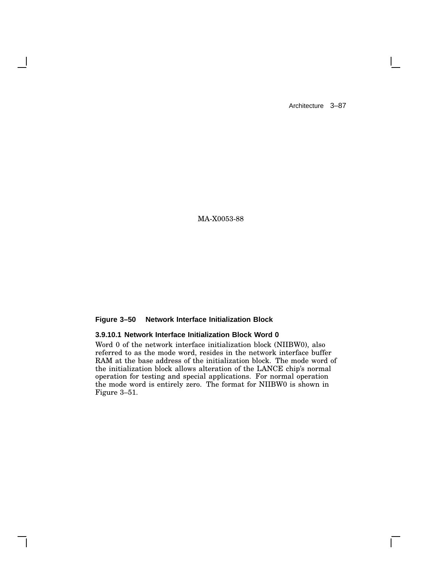$\mathbf{I}$ 

MA-X0053-88

## **Figure 3–50 Network Interface Initialization Block**

## **3.9.10.1 Network Interface Initialization Block Word 0**

Word 0 of the network interface initialization block (NIIBW0), also referred to as the mode word, resides in the network interface buffer RAM at the base address of the initialization block. The mode word of the initialization block allows alteration of the LANCE chip's normal operation for testing and special applications. For normal operation the mode word is entirely zero. The format for NIIBW0 is shown in Figure 3–51.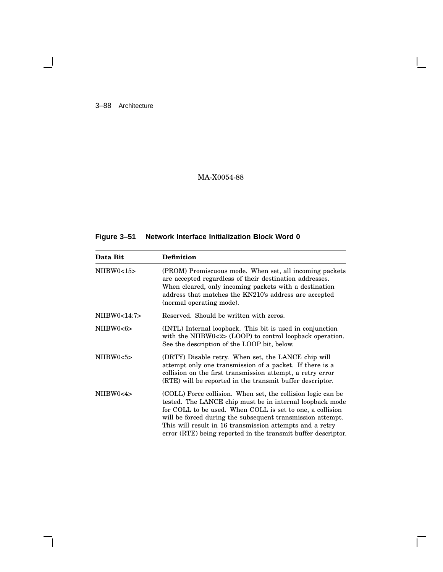3–88 Architecture

 $\blacksquare$ 

# MA-X0054-88

# **Figure 3–51 Network Interface Initialization Block Word 0**

| Data Bit     | <b>Definition</b>                                                                                                                                                                                                                                                                                                                                                                |
|--------------|----------------------------------------------------------------------------------------------------------------------------------------------------------------------------------------------------------------------------------------------------------------------------------------------------------------------------------------------------------------------------------|
| NIIBW0<15    | (PROM) Promiscuous mode. When set, all incoming packets<br>are accepted regardless of their destination addresses.<br>When cleared, only incoming packets with a destination<br>address that matches the KN210's address are accepted<br>(normal operating mode).                                                                                                                |
| NIIBW0<14:7> | Reserved. Should be written with zeros.                                                                                                                                                                                                                                                                                                                                          |
| NIIBW0<6>    | (INTL) Internal loopback. This bit is used in conjunction<br>with the NIIBW0 $\langle 2 \rangle$ (LOOP) to control loopback operation.<br>See the description of the LOOP bit, below.                                                                                                                                                                                            |
| NIIBW0<5>    | (DRTY) Disable retry. When set, the LANCE chip will<br>attempt only one transmission of a packet. If there is a<br>collision on the first transmission attempt, a retry error<br>(RTE) will be reported in the transmit buffer descriptor.                                                                                                                                       |
| NIIBW0<4>    | (COLL) Force collision. When set, the collision logic can be<br>tested. The LANCE chip must be in internal loopback mode<br>for COLL to be used. When COLL is set to one, a collision<br>will be forced during the subsequent transmission attempt.<br>This will result in 16 transmission attempts and a retry<br>error (RTE) being reported in the transmit buffer descriptor. |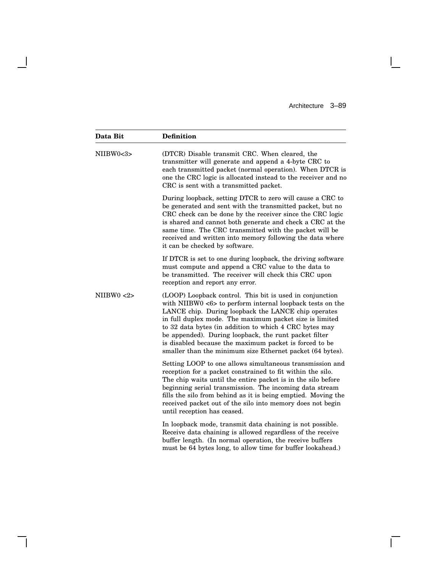$\mathbf{L}$ 

 $\overline{\Gamma}$ 

| Data Bit   | <b>Definition</b>                                                                                                                                                                                                                                                                                                                                                                                                                                                                    |
|------------|--------------------------------------------------------------------------------------------------------------------------------------------------------------------------------------------------------------------------------------------------------------------------------------------------------------------------------------------------------------------------------------------------------------------------------------------------------------------------------------|
| NIIBW0<3>  | (DTCR) Disable transmit CRC. When cleared, the<br>transmitter will generate and append a 4-byte CRC to<br>each transmitted packet (normal operation). When DTCR is<br>one the CRC logic is allocated instead to the receiver and no<br>CRC is sent with a transmitted packet.                                                                                                                                                                                                        |
|            | During loopback, setting DTCR to zero will cause a CRC to<br>be generated and sent with the transmitted packet, but no<br>CRC check can be done by the receiver since the CRC logic<br>is shared and cannot both generate and check a CRC at the<br>same time. The CRC transmitted with the packet will be<br>received and written into memory following the data where<br>it can be checked by software.                                                                            |
|            | If DTCR is set to one during loopback, the driving software<br>must compute and append a CRC value to the data to<br>be transmitted. The receiver will check this CRC upon<br>reception and report any error.                                                                                                                                                                                                                                                                        |
| NIIBW0 < 2 | (LOOP) Loopback control. This bit is used in conjunction<br>with NIIBW0 $\lt6$ to perform internal loopback tests on the<br>LANCE chip. During loopback the LANCE chip operates<br>in full duplex mode. The maximum packet size is limited<br>to 32 data bytes (in addition to which 4 CRC bytes may<br>be appended). During loopback, the runt packet filter<br>is disabled because the maximum packet is forced to be<br>smaller than the minimum size Ethernet packet (64 bytes). |
|            | Setting LOOP to one allows simultaneous transmission and<br>reception for a packet constrained to fit within the silo.<br>The chip waits until the entire packet is in the silo before<br>beginning serial transmission. The incoming data stream<br>fills the silo from behind as it is being emptied. Moving the<br>received packet out of the silo into memory does not begin<br>until reception has ceased.                                                                      |
|            | In loopback mode, transmit data chaining is not possible.<br>Receive data chaining is allowed regardless of the receive<br>buffer length. (In normal operation, the receive buffers<br>must be 64 bytes long, to allow time for buffer lookahead.)                                                                                                                                                                                                                                   |

 $\overline{\phantom{a}}$ 

 $\mathsf{l}$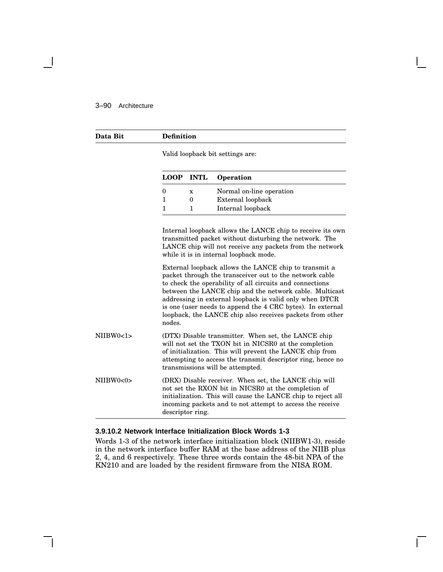## 3–90 Architecture

| Data Bit  | <b>Definition</b> |                                  |                                                                                                                                                                                                                                                                                                                                                                                                                               |
|-----------|-------------------|----------------------------------|-------------------------------------------------------------------------------------------------------------------------------------------------------------------------------------------------------------------------------------------------------------------------------------------------------------------------------------------------------------------------------------------------------------------------------|
|           |                   | Valid loopback bit settings are: |                                                                                                                                                                                                                                                                                                                                                                                                                               |
|           | <b>LOOP</b>       | <b>INTL</b>                      | Operation                                                                                                                                                                                                                                                                                                                                                                                                                     |
|           | $\boldsymbol{0}$  | X                                | Normal on-line operation                                                                                                                                                                                                                                                                                                                                                                                                      |
|           | $\mathbf{1}$      | $\Omega$                         | External loopback                                                                                                                                                                                                                                                                                                                                                                                                             |
|           | 1                 | 1                                | Internal loopback                                                                                                                                                                                                                                                                                                                                                                                                             |
|           |                   |                                  | Internal loopback allows the LANCE chip to receive its own<br>transmitted packet without disturbing the network. The<br>LANCE chip will not receive any packets from the network<br>while it is in internal loopback mode.                                                                                                                                                                                                    |
|           | nodes.            |                                  | External loopback allows the LANCE chip to transmit a<br>packet through the transceiver out to the network cable<br>to check the operability of all circuits and connections<br>between the LANCE chip and the network cable. Multicast<br>addressing in external loopback is valid only when DTCR<br>is one (user needs to append the 4 CRC bytes). In external<br>loopback, the LANCE chip also receives packets from other |
| NIIBW0<1> |                   |                                  | (DTX) Disable transmitter. When set, the LANCE chip<br>will not set the TXON bit in NICSR0 at the completion<br>of initialization. This will prevent the LANCE chip from<br>attempting to access the transmit descriptor ring, hence no<br>transmissions will be attempted.                                                                                                                                                   |
| NIIBW0<0> | descriptor ring.  |                                  | (DRX) Disable receiver. When set, the LANCE chip will<br>not set the RXON bit in NICSR0 at the completion of<br>initialization. This will cause the LANCE chip to reject all<br>incoming packets and to not attempt to access the receive                                                                                                                                                                                     |

### **3.9.10.2 Network Interface Initialization Block Words 1-3**

Words 1-3 of the network interface initialization block (NIIBW1-3), reside in the network interface buffer RAM at the base address of the NIIB plus 2, 4, and 6 respectively. These three words contain the 48-bit NPA of the KN210 and are loaded by the resident firmware from the NISA ROM.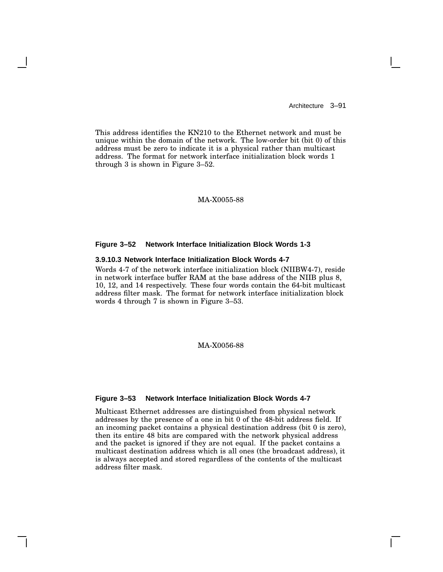This address identifies the KN210 to the Ethernet network and must be unique within the domain of the network. The low-order bit (bit 0) of this address must be zero to indicate it is a physical rather than multicast address. The format for network interface initialization block words 1 through 3 is shown in Figure 3–52.

### MA-X0055-88

### **Figure 3–52 Network Interface Initialization Block Words 1-3**

### **3.9.10.3 Network Interface Initialization Block Words 4-7**

Words 4-7 of the network interface initialization block (NIIBW4-7), reside in network interface buffer RAM at the base address of the NIIB plus 8, 10, 12, and 14 respectively. These four words contain the 64-bit multicast address filter mask. The format for network interface initialization block words 4 through 7 is shown in Figure 3–53.

### MA-X0056-88

#### **Figure 3–53 Network Interface Initialization Block Words 4-7**

Multicast Ethernet addresses are distinguished from physical network addresses by the presence of a one in bit 0 of the 48-bit address field. If an incoming packet contains a physical destination address (bit 0 is zero), then its entire 48 bits are compared with the network physical address and the packet is ignored if they are not equal. If the packet contains a multicast destination address which is all ones (the broadcast address), it is always accepted and stored regardless of the contents of the multicast address filter mask.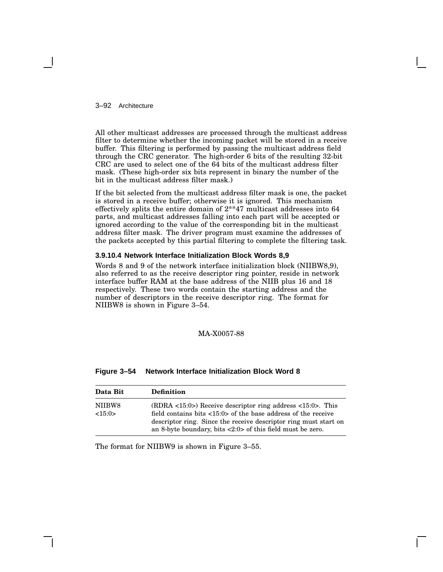3–92 Architecture

All other multicast addresses are processed through the multicast address filter to determine whether the incoming packet will be stored in a receive buffer. This filtering is performed by passing the multicast address field through the CRC generator. The high-order 6 bits of the resulting 32-bit CRC are used to select one of the 64 bits of the multicast address filter mask. (These high-order six bits represent in binary the number of the bit in the multicast address filter mask.)

If the bit selected from the multicast address filter mask is one, the packet is stored in a receive buffer; otherwise it is ignored. This mechanism effectively splits the entire domain of 2\*\*47 multicast addresses into 64 parts, and multicast addresses falling into each part will be accepted or ignored according to the value of the corresponding bit in the multicast address filter mask. The driver program must examine the addresses of the packets accepted by this partial filtering to complete the filtering task.

#### **3.9.10.4 Network Interface Initialization Block Words 8,9**

Words 8 and 9 of the network interface initialization block (NIIBW8,9), also referred to as the receive descriptor ring pointer, reside in network interface buffer RAM at the base address of the NIIB plus 16 and 18 respectively. These two words contain the starting address and the number of descriptors in the receive descriptor ring. The format for NIIBW8 is shown in Figure 3–54.

### MA-X0057-88

| Data Bit         | <b>Definition</b>                                                                                                                                                                                                                                                                                 |
|------------------|---------------------------------------------------------------------------------------------------------------------------------------------------------------------------------------------------------------------------------------------------------------------------------------------------|
| NIIBW8<br><15:0> | $(RDRA < 15:0)$ Receive descriptor ring address $<15:0$ . This<br>field contains bits $\langle 15:0 \rangle$ of the base address of the receive<br>descriptor ring. Since the receive descriptor ring must start on<br>an 8-byte boundary, bits $\langle 2:0 \rangle$ of this field must be zero. |

**Figure 3–54 Network Interface Initialization Block Word 8**

The format for NIIBW9 is shown in Figure 3–55.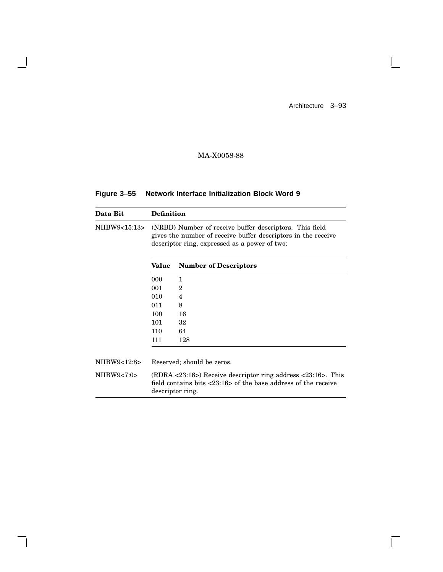$\mathbf{L}$ 

 $\overline{\Gamma}$ 

# MA-X0058-88

| Figure 3-55 Network Interface Initialization Block Word 9 |
|-----------------------------------------------------------|
|-----------------------------------------------------------|

 $\overline{\phantom{a}}$ 

H

| Data Bit      | <b>Definition</b> |                                                                                                                                                                           |
|---------------|-------------------|---------------------------------------------------------------------------------------------------------------------------------------------------------------------------|
| NIIBW9<15:13> |                   | (NRBD) Number of receive buffer descriptors. This field<br>gives the number of receive buffer descriptors in the receive<br>descriptor ring, expressed as a power of two: |
|               | Value             | <b>Number of Descriptors</b>                                                                                                                                              |
|               | 000               | 1                                                                                                                                                                         |
|               | 001               | 2                                                                                                                                                                         |
|               | 010               | 4                                                                                                                                                                         |
|               | 011               | 8                                                                                                                                                                         |
|               | 100               | 16                                                                                                                                                                        |
|               | 101               | 32                                                                                                                                                                        |
|               | 110               | 64                                                                                                                                                                        |
|               | 111               | 128                                                                                                                                                                       |
| NIIBW9<12:8>  |                   | Reserved; should be zeros.                                                                                                                                                |
| NIIBW9<7:0>   |                   | $(RDRA < 23:16)$ Receive descriptor ring address $< 23:16$ . This<br>field contains bits $\langle 23:16 \rangle$ of the base address of the receive<br>descriptor ring.   |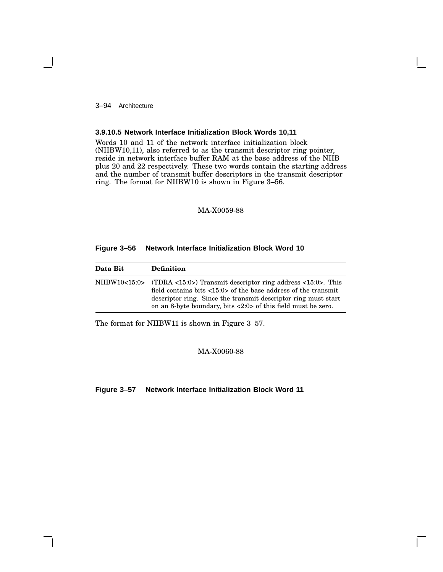3–94 Architecture

### **3.9.10.5 Network Interface Initialization Block Words 10,11**

Words 10 and 11 of the network interface initialization block (NIIBW10,11), also referred to as the transmit descriptor ring pointer, reside in network interface buffer RAM at the base address of the NIIB plus 20 and 22 respectively. These two words contain the starting address and the number of transmit buffer descriptors in the transmit descriptor ring. The format for NIIBW10 is shown in Figure 3–56.

## MA-X0059-88

### **Figure 3–56 Network Interface Initialization Block Word 10**

| Data Bit | <b>Definition</b>                                                                                                                                                                                                                                                                                              |
|----------|----------------------------------------------------------------------------------------------------------------------------------------------------------------------------------------------------------------------------------------------------------------------------------------------------------------|
|          | NIIBW10<15:0> (TDRA <15:0>) Transmit descriptor ring address <15:0>. This<br>field contains bits $\langle 15:0 \rangle$ of the base address of the transmit<br>descriptor ring. Since the transmit descriptor ring must start<br>on an 8-byte boundary, bits $\langle 2:0 \rangle$ of this field must be zero. |

The format for NIIBW11 is shown in Figure 3–57.

## MA-X0060-88

**Figure 3–57 Network Interface Initialization Block Word 11**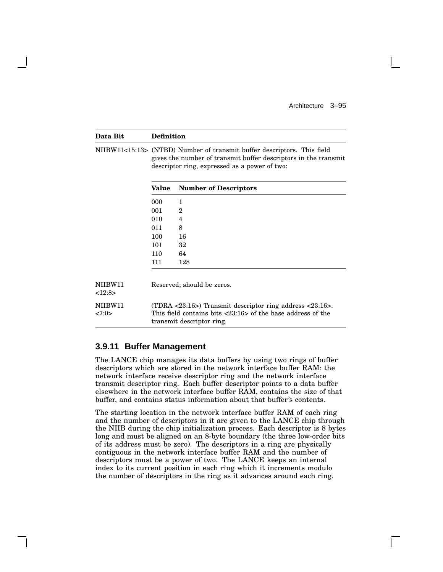| Data Bit          | <b>Definition</b> |                                                                                                                                                                                                        |  |
|-------------------|-------------------|--------------------------------------------------------------------------------------------------------------------------------------------------------------------------------------------------------|--|
|                   |                   | NIIBW11<15:13> (NTBD) Number of transmit buffer descriptors. This field<br>gives the number of transmit buffer descriptors in the transmit<br>descriptor ring, expressed as a power of two:            |  |
|                   | Value             | <b>Number of Descriptors</b>                                                                                                                                                                           |  |
|                   | 000               | 1                                                                                                                                                                                                      |  |
|                   | 001               | $\overline{2}$                                                                                                                                                                                         |  |
|                   | 010               | 4                                                                                                                                                                                                      |  |
|                   | 011               | 8                                                                                                                                                                                                      |  |
|                   | 100               | 16                                                                                                                                                                                                     |  |
|                   | 101               | 32                                                                                                                                                                                                     |  |
|                   | 110               | 64                                                                                                                                                                                                     |  |
|                   | 111               | 128                                                                                                                                                                                                    |  |
| NIIBW11<br><12:8> |                   | Reserved; should be zeros.                                                                                                                                                                             |  |
| NIIBW11<br>27:0>  |                   | (TDRA $\langle 23:16 \rangle$ ) Transmit descriptor ring address $\langle 23:16 \rangle$ .<br>This field contains bits $\langle 23:16 \rangle$ of the base address of the<br>transmit descriptor ring. |  |

## **3.9.11 Buffer Management**

The LANCE chip manages its data buffers by using two rings of buffer descriptors which are stored in the network interface buffer RAM: the network interface receive descriptor ring and the network interface transmit descriptor ring. Each buffer descriptor points to a data buffer elsewhere in the network interface buffer RAM, contains the size of that buffer, and contains status information about that buffer's contents.

The starting location in the network interface buffer RAM of each ring and the number of descriptors in it are given to the LANCE chip through the NIIB during the chip initialization process. Each descriptor is 8 bytes long and must be aligned on an 8-byte boundary (the three low-order bits of its address must be zero). The descriptors in a ring are physically contiguous in the network interface buffer RAM and the number of descriptors must be a power of two. The LANCE keeps an internal index to its current position in each ring which it increments modulo the number of descriptors in the ring as it advances around each ring.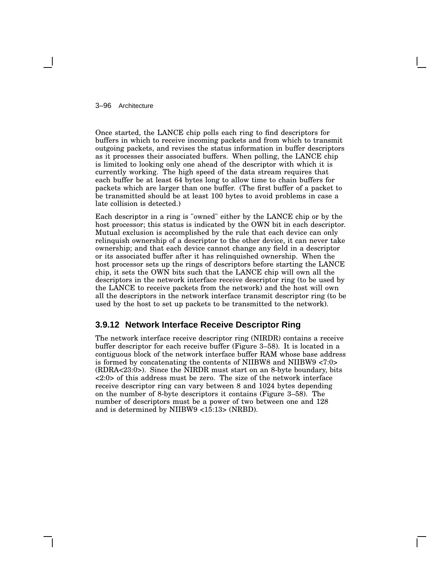### 3–96 Architecture

Once started, the LANCE chip polls each ring to find descriptors for buffers in which to receive incoming packets and from which to transmit outgoing packets, and revises the status information in buffer descriptors as it processes their associated buffers. When polling, the LANCE chip is limited to looking only one ahead of the descriptor with which it is currently working. The high speed of the data stream requires that each buffer be at least 64 bytes long to allow time to chain buffers for packets which are larger than one buffer. (The first buffer of a packet to be transmitted should be at least 100 bytes to avoid problems in case a late collision is detected.)

Each descriptor in a ring is "owned" either by the LANCE chip or by the host processor; this status is indicated by the OWN bit in each descriptor. Mutual exclusion is accomplished by the rule that each device can only relinquish ownership of a descriptor to the other device, it can never take ownership; and that each device cannot change any field in a descriptor or its associated buffer after it has relinquished ownership. When the host processor sets up the rings of descriptors before starting the LANCE chip, it sets the OWN bits such that the LANCE chip will own all the descriptors in the network interface receive descriptor ring (to be used by the LANCE to receive packets from the network) and the host will own all the descriptors in the network interface transmit descriptor ring (to be used by the host to set up packets to be transmitted to the network).

## **3.9.12 Network Interface Receive Descriptor Ring**

The network interface receive descriptor ring (NIRDR) contains a receive buffer descriptor for each receive buffer (Figure 3–58). It is located in a contiguous block of the network interface buffer RAM whose base address is formed by concatenating the contents of NIIBW8 and NIIBW9 <7:0> (RDRA<23:0>). Since the NIRDR must start on an 8-byte boundary, bits <2:0> of this address must be zero. The size of the network interface receive descriptor ring can vary between 8 and 1024 bytes depending on the number of 8-byte descriptors it contains (Figure 3–58). The number of descriptors must be a power of two between one and 128 and is determined by NIIBW9 <15:13> (NRBD).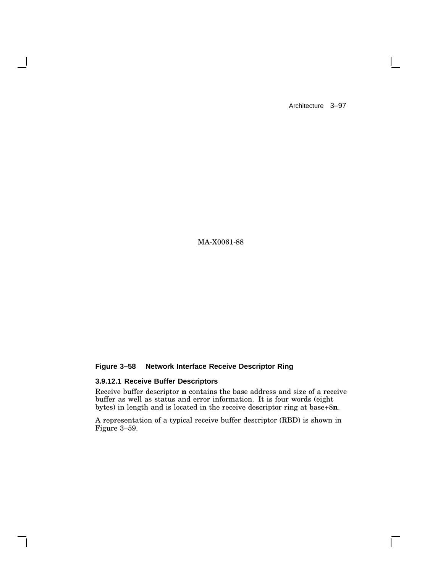$\Box$ 

MA-X0061-88

## **Figure 3–58 Network Interface Receive Descriptor Ring**

## **3.9.12.1 Receive Buffer Descriptors**

 $\overline{\phantom{a}}$ 

Receive buffer descriptor **n** contains the base address and size of a receive buffer as well as status and error information. It is four words (eight bytes) in length and is located in the receive descriptor ring at base+8**n**.

A representation of a typical receive buffer descriptor (RBD) is shown in Figure 3–59.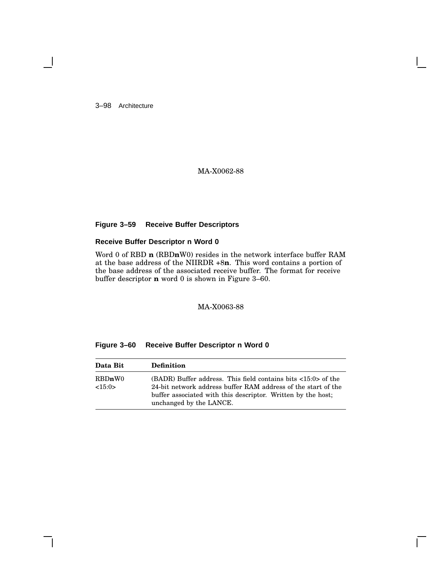3–98 Architecture

## MA-X0062-88

## **Figure 3–59 Receive Buffer Descriptors**

## **Receive Buffer Descriptor n Word 0**

Word 0 of RBD **n** (RBD**n**W0) resides in the network interface buffer RAM at the base address of the NIIRDR +8**n**. This word contains a portion of the base address of the associated receive buffer. The format for receive buffer descriptor **n** word 0 is shown in Figure 3–60.

MA-X0063-88

| Data Bit         | <b>Definition</b>                                                                                                                                                                                                                           |
|------------------|---------------------------------------------------------------------------------------------------------------------------------------------------------------------------------------------------------------------------------------------|
| RBDnW0<br><15:0> | $(BADR)$ Buffer address. This field contains bits $\langle 15:0 \rangle$ of the<br>24-bit network address buffer RAM address of the start of the<br>buffer associated with this descriptor. Written by the host;<br>unchanged by the LANCE. |

### **Figure 3–60 Receive Buffer Descriptor n Word 0**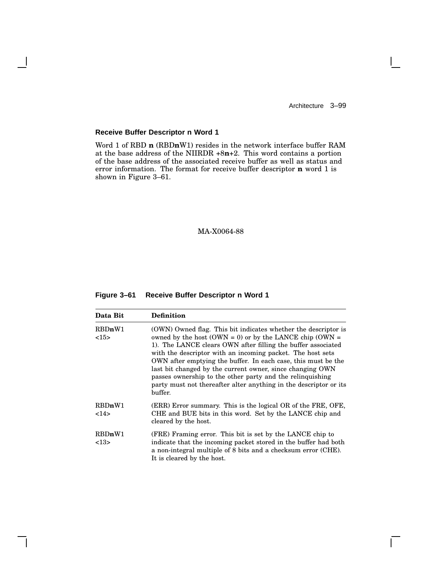$\mathbf{L}$ 

## **Receive Buffer Descriptor n Word 1**

 $\overline{\phantom{a}}$ 

Word 1 of RBD **n** (RBD**n**W1) resides in the network interface buffer RAM at the base address of the NIIRDR +8**n**+2. This word contains a portion of the base address of the associated receive buffer as well as status and error information. The format for receive buffer descriptor **n** word 1 is shown in Figure 3–61.

## MA-X0064-88

### **Figure 3–61 Receive Buffer Descriptor n Word 1**

| Data Bit       | <b>Definition</b>                                                                                                                                                                                                                                                                                                                                                                                                                                                                                                                  |
|----------------|------------------------------------------------------------------------------------------------------------------------------------------------------------------------------------------------------------------------------------------------------------------------------------------------------------------------------------------------------------------------------------------------------------------------------------------------------------------------------------------------------------------------------------|
| RBDnW1<br><15> | (OWN) Owned flag. This bit indicates whether the descriptor is<br>owned by the host (OWN = 0) or by the LANCE chip (OWN =<br>1). The LANCE clears OWN after filling the buffer associated<br>with the descriptor with an incoming packet. The host sets<br>OWN after emptying the buffer. In each case, this must be the<br>last bit changed by the current owner, since changing OWN<br>passes ownership to the other party and the relinquishing<br>party must not thereafter alter anything in the descriptor or its<br>buffer. |
| RBDnW1<br>14>  | (ERR) Error summary. This is the logical OR of the FRE, OFE,<br>CHE and BUE bits in this word. Set by the LANCE chip and<br>cleared by the host.                                                                                                                                                                                                                                                                                                                                                                                   |
| RBDnW1<br><13> | (FRE) Framing error. This bit is set by the LANCE chip to<br>indicate that the incoming packet stored in the buffer had both<br>a non-integral multiple of 8 bits and a checksum error (CHE).<br>It is cleared by the host.                                                                                                                                                                                                                                                                                                        |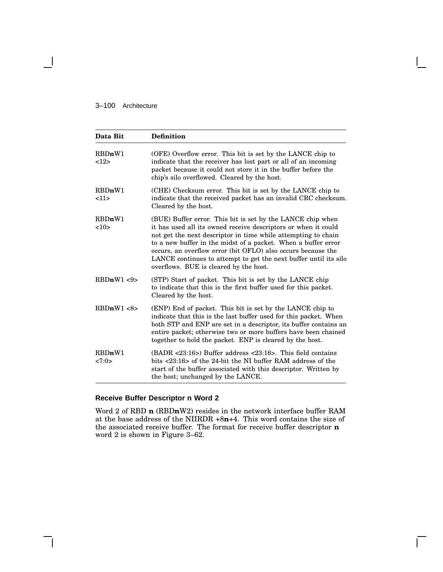## 3–100 Architecture

 $\blacksquare$ 

| Data Bit        | <b>Definition</b>                                                                                                                                                                                                                                                                                                                                                                                                                            |
|-----------------|----------------------------------------------------------------------------------------------------------------------------------------------------------------------------------------------------------------------------------------------------------------------------------------------------------------------------------------------------------------------------------------------------------------------------------------------|
| RBDnW1<br>12    | (OFE) Overflow error. This bit is set by the LANCE chip to<br>indicate that the receiver has lost part or all of an incoming<br>packet because it could not store it in the buffer before the<br>chip's silo overflowed. Cleared by the host.                                                                                                                                                                                                |
| RBDnW1<br>11    | (CHE) Checksum error. This bit is set by the LANCE chip to<br>indicate that the received packet has an invalid CRC checksum.<br>Cleared by the host.                                                                                                                                                                                                                                                                                         |
| RBDnW1<br><10>  | (BUE) Buffer error. This bit is set by the LANCE chip when<br>it has used all its owned receive descriptors or when it could<br>not get the next descriptor in time while attempting to chain<br>to a new buffer in the midst of a packet. When a buffer error<br>occurs, an overflow error (bit OFLO) also occurs because the<br>LANCE continues to attempt to get the next buffer until its silo<br>overflows. BUE is cleared by the host. |
| RBDnW1 < 9      | (STP) Start of packet. This bit is set by the LANCE chip<br>to indicate that this is the first buffer used for this packet.<br>Cleared by the host.                                                                                                                                                                                                                                                                                          |
| RBDnW1 < 8      | (ENP) End of packet. This bit is set by the LANCE chip to<br>indicate that this is the last buffer used for this packet. When<br>both STP and ENP are set in a descriptor, its buffer contains an<br>entire packet; otherwise two or more buffers have been chained<br>together to hold the packet. ENP is cleared by the host.                                                                                                              |
| RBDnW1<br>27:0> | $(BADR < 23:16)$ Buffer address $< 23:16$ . This field contains<br>bits <23:16> of the 24-bit the NI buffer RAM address of the<br>start of the buffer associated with this descriptor. Written by<br>the host; unchanged by the LANCE.                                                                                                                                                                                                       |

## **Receive Buffer Descriptor n Word 2**

Word 2 of RBD **n** (RBD**n**W2) resides in the network interface buffer RAM at the base address of the NIIRDR +8**n**+4. This word contains the size of the associated receive buffer. The format for receive buffer descriptor **n** word 2 is shown in Figure 3–62.

 $\mathbf{L}$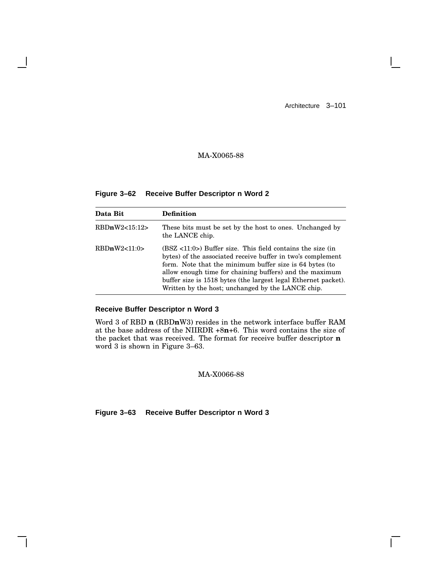$\Box$ 

# MA-X0065-88

**Figure 3–62 Receive Buffer Descriptor n Word 2**

| Data Bit      | <b>Definition</b>                                                                                                                                                                                                                                                                                                                                                        |
|---------------|--------------------------------------------------------------------------------------------------------------------------------------------------------------------------------------------------------------------------------------------------------------------------------------------------------------------------------------------------------------------------|
| RBDnW2<15:12> | These bits must be set by the host to ones. Unchanged by<br>the LANCE chip.                                                                                                                                                                                                                                                                                              |
| RBDnW2<11:0>  | $(BSZ < 11:0)$ Buffer size. This field contains the size (in<br>bytes) of the associated receive buffer in two's complement<br>form. Note that the minimum buffer size is 64 bytes (to<br>allow enough time for chaining buffers) and the maximum<br>buffer size is 1518 bytes (the largest legal Ethernet packet).<br>Written by the host; unchanged by the LANCE chip. |

## **Receive Buffer Descriptor n Word 3**

Word 3 of RBD **n** (RBD**n**W3) resides in the network interface buffer RAM at the base address of the NIIRDR +8**n**+6. This word contains the size of the packet that was received. The format for receive buffer descriptor **n** word 3 is shown in Figure 3–63.

MA-X0066-88

**Figure 3–63 Receive Buffer Descriptor n Word 3**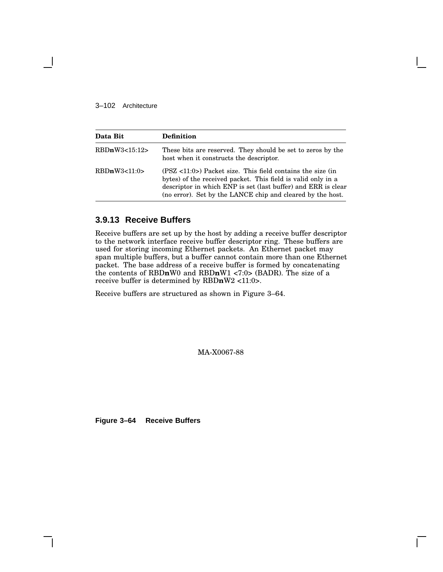### 3–102 Architecture

| Data Bit      | <b>Definition</b>                                                                                                                                                                                                                                           |
|---------------|-------------------------------------------------------------------------------------------------------------------------------------------------------------------------------------------------------------------------------------------------------------|
| RBDnW3<15:12> | These bits are reserved. They should be set to zeros by the<br>host when it constructs the descriptor.                                                                                                                                                      |
| RBDnW3<11:0>  | $(PSZ < 11:0)$ Packet size. This field contains the size (in<br>bytes) of the received packet. This field is valid only in a<br>descriptor in which ENP is set (last buffer) and ERR is clear<br>(no error). Set by the LANCE chip and cleared by the host. |

# **3.9.13 Receive Buffers**

Receive buffers are set up by the host by adding a receive buffer descriptor to the network interface receive buffer descriptor ring. These buffers are used for storing incoming Ethernet packets. An Ethernet packet may span multiple buffers, but a buffer cannot contain more than one Ethernet packet. The base address of a receive buffer is formed by concatenating the contents of RBD**n**W0 and RBD**n**W1 <7:0> (BADR). The size of a receive buffer is determined by RBD**n**W2 <11:0>.

Receive buffers are structured as shown in Figure 3–64.

MA-X0067-88

**Figure 3–64 Receive Buffers**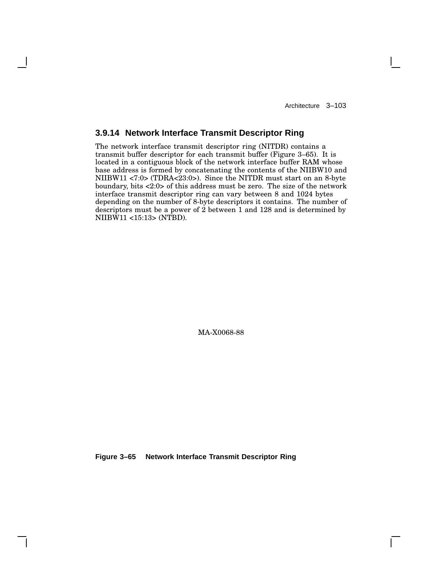## **3.9.14 Network Interface Transmit Descriptor Ring**

The network interface transmit descriptor ring (NITDR) contains a transmit buffer descriptor for each transmit buffer (Figure 3–65). It is located in a contiguous block of the network interface buffer RAM whose base address is formed by concatenating the contents of the NIIBW10 and NIIBW11 <7:0> (TDRA<23:0>). Since the NITDR must start on an 8-byte boundary, bits <2:0> of this address must be zero. The size of the network interface transmit descriptor ring can vary between 8 and 1024 bytes depending on the number of 8-byte descriptors it contains. The number of descriptors must be a power of 2 between 1 and 128 and is determined by NIIBW11 <15:13> (NTBD).

MA-X0068-88

**Figure 3–65 Network Interface Transmit Descriptor Ring**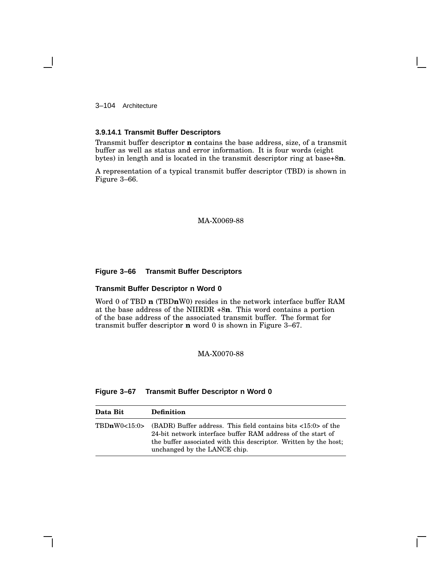3–104 Architecture

#### **3.9.14.1 Transmit Buffer Descriptors**

Transmit buffer descriptor **n** contains the base address, size, of a transmit buffer as well as status and error information. It is four words (eight bytes) in length and is located in the transmit descriptor ring at base+8**n**.

A representation of a typical transmit buffer descriptor (TBD) is shown in Figure 3–66.

#### MA-X0069-88

### **Figure 3–66 Transmit Buffer Descriptors**

#### **Transmit Buffer Descriptor n Word 0**

Word 0 of TBD **n** (TBD**n**W0) resides in the network interface buffer RAM at the base address of the NIIRDR +8**n**. This word contains a portion of the base address of the associated transmit buffer. The format for transmit buffer descriptor **n** word 0 is shown in Figure 3–67.

## MA-X0070-88

### **Figure 3–67 Transmit Buffer Descriptor n Word 0**

| Data Bit | <b>Definition</b>                                                                                                                                                                                                                                             |
|----------|---------------------------------------------------------------------------------------------------------------------------------------------------------------------------------------------------------------------------------------------------------------|
|          | TBDnW0<15:0> (BADR) Buffer address. This field contains bits $\langle 15:0 \rangle$ of the<br>24-bit network interface buffer RAM address of the start of<br>the buffer associated with this descriptor. Written by the host;<br>unchanged by the LANCE chip. |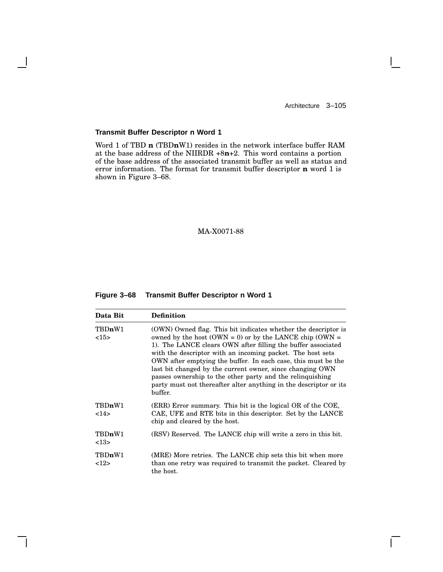$\mathbf{L}$ 

### **Transmit Buffer Descriptor n Word 1**

 $\overline{\phantom{a}}$ 

Word 1 of TBD **n** (TBD**n**W1) resides in the network interface buffer RAM at the base address of the NIIRDR +8**n**+2. This word contains a portion of the base address of the associated transmit buffer as well as status and error information. The format for transmit buffer descriptor **n** word 1 is shown in Figure 3–68.

### MA-X0071-88

#### **Figure 3–68 Transmit Buffer Descriptor n Word 1**

| Data Bit       | <b>Definition</b>                                                                                                                                                                                                                                                                                                                                                                                                                                                                                                                  |
|----------------|------------------------------------------------------------------------------------------------------------------------------------------------------------------------------------------------------------------------------------------------------------------------------------------------------------------------------------------------------------------------------------------------------------------------------------------------------------------------------------------------------------------------------------|
| TBDnW1<br><15> | (OWN) Owned flag. This bit indicates whether the descriptor is<br>owned by the host (OWN = 0) or by the LANCE chip (OWN =<br>1). The LANCE clears OWN after filling the buffer associated<br>with the descriptor with an incoming packet. The host sets<br>OWN after emptying the buffer. In each case, this must be the<br>last bit changed by the current owner, since changing OWN<br>passes ownership to the other party and the relinguishing<br>party must not thereafter alter anything in the descriptor or its<br>buffer. |
| TBDnW1<br>14   | (ERR) Error summary. This bit is the logical OR of the COE,<br>CAE, UFE and RTE bits in this descriptor. Set by the LANCE<br>chip and cleared by the host.                                                                                                                                                                                                                                                                                                                                                                         |
| TBDnW1<br><13> | (RSV) Reserved. The LANCE chip will write a zero in this bit.                                                                                                                                                                                                                                                                                                                                                                                                                                                                      |
| TBDnW1<br><12> | (MRE) More retries. The LANCE chip sets this bit when more<br>than one retry was required to transmit the packet. Cleared by<br>the host.                                                                                                                                                                                                                                                                                                                                                                                          |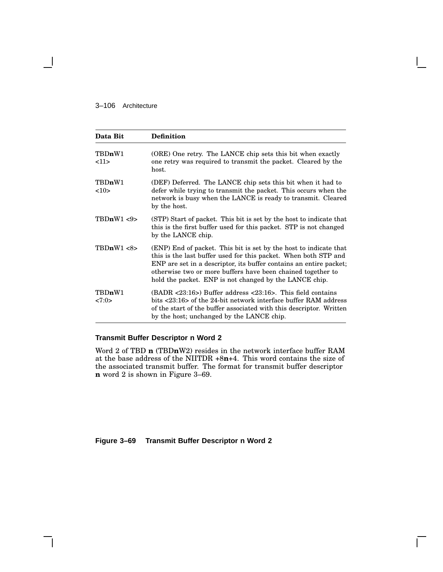### 3–106 Architecture

| Data Bit        | <b>Definition</b>                                                                                                                                                                                                                                                                                                                   |
|-----------------|-------------------------------------------------------------------------------------------------------------------------------------------------------------------------------------------------------------------------------------------------------------------------------------------------------------------------------------|
| TBDnW1<br><11>  | (ORE) One retry. The LANCE chip sets this bit when exactly<br>one retry was required to transmit the packet. Cleared by the<br>host.                                                                                                                                                                                                |
| TBDnW1<br>10    | (DEF) Deferred. The LANCE chip sets this bit when it had to<br>defer while trying to transmit the packet. This occurs when the<br>network is busy when the LANCE is ready to transmit. Cleared<br>by the host.                                                                                                                      |
| TBDnW1 < 9      | (STP) Start of packet. This bit is set by the host to indicate that<br>this is the first buffer used for this packet. STP is not changed<br>by the LANCE chip.                                                                                                                                                                      |
| TBDnW1 < 8      | (ENP) End of packet. This bit is set by the host to indicate that<br>this is the last buffer used for this packet. When both STP and<br>ENP are set in a descriptor, its buffer contains an entire packet;<br>otherwise two or more buffers have been chained together to<br>hold the packet. ENP is not changed by the LANCE chip. |
| TBDnW1<br><7:0> | $(BADR < 23:16)$ Buffer address $\langle 23:16 \rangle$ . This field contains<br>bits $\langle 23:16 \rangle$ of the 24-bit network interface buffer RAM address<br>of the start of the buffer associated with this descriptor. Written<br>by the host; unchanged by the LANCE chip.                                                |

## **Transmit Buffer Descriptor n Word 2**

Word 2 of TBD **n** (TBD**n**W2) resides in the network interface buffer RAM at the base address of the NIITDR +8**n**+4. This word contains the size of the associated transmit buffer. The format for transmit buffer descriptor **n** word 2 is shown in Figure 3–69.

**Figure 3–69 Transmit Buffer Descriptor n Word 2**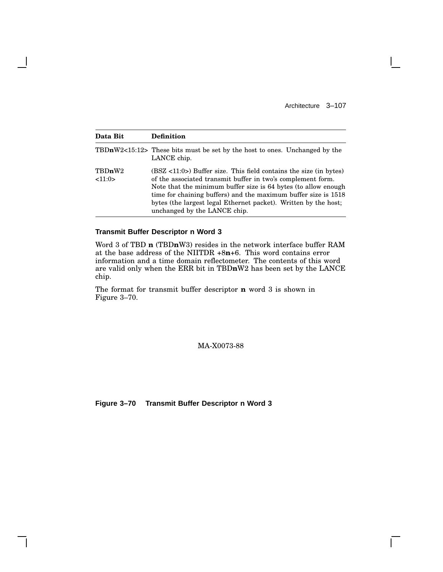Г

| Data Bit         | <b>Definition</b>                                                                                                                                                                                                                                                                                                                                                          |
|------------------|----------------------------------------------------------------------------------------------------------------------------------------------------------------------------------------------------------------------------------------------------------------------------------------------------------------------------------------------------------------------------|
|                  | TBDnW2<15:12> These bits must be set by the host to ones. Unchanged by the<br>LANCE chip.                                                                                                                                                                                                                                                                                  |
| TBDnW2<br><11:0> | $(BSZ < 11:0>)$ Buffer size. This field contains the size (in bytes)<br>of the associated transmit buffer in two's complement form.<br>Note that the minimum buffer size is 64 bytes (to allow enough<br>time for chaining buffers) and the maximum buffer size is 1518<br>bytes (the largest legal Ethernet packet). Written by the host;<br>unchanged by the LANCE chip. |

### **Transmit Buffer Descriptor n Word 3**

 $\mathsf{l}$ 

Word 3 of TBD **n** (TBD**n**W3) resides in the network interface buffer RAM at the base address of the NIITDR +8**n**+6. This word contains error information and a time domain reflectometer. The contents of this word are valid only when the ERR bit in TBD**n**W2 has been set by the LANCE chip.

The format for transmit buffer descriptor **n** word 3 is shown in Figure 3–70.

### MA-X0073-88

**Figure 3–70 Transmit Buffer Descriptor n Word 3**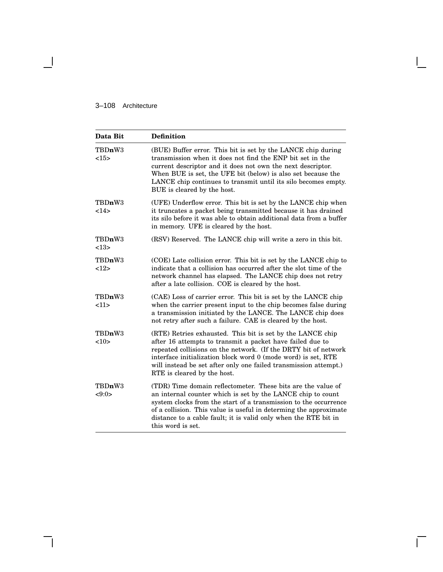## 3–108 Architecture

 $\overline{\phantom{0}}$ 

| Data Bit        | <b>Definition</b>                                                                                                                                                                                                                                                                                                                                              |
|-----------------|----------------------------------------------------------------------------------------------------------------------------------------------------------------------------------------------------------------------------------------------------------------------------------------------------------------------------------------------------------------|
| TBDnW3<br><15>  | (BUE) Buffer error. This bit is set by the LANCE chip during<br>transmission when it does not find the ENP bit set in the<br>current descriptor and it does not own the next descriptor.<br>When BUE is set, the UFE bit (below) is also set because the<br>LANCE chip continues to transmit until its silo becomes empty.<br>BUE is cleared by the host.      |
| TBDnW3<br>$14$  | (UFE) Underflow error. This bit is set by the LANCE chip when<br>it truncates a packet being transmitted because it has drained<br>its silo before it was able to obtain additional data from a buffer<br>in memory. UFE is cleared by the host.                                                                                                               |
| TBDnW3<br><13>  | (RSV) Reserved. The LANCE chip will write a zero in this bit.                                                                                                                                                                                                                                                                                                  |
| TBDnW3<br>12    | (COE) Late collision error. This bit is set by the LANCE chip to<br>indicate that a collision has occurred after the slot time of the<br>network channel has elapsed. The LANCE chip does not retry<br>after a late collision. COE is cleared by the host.                                                                                                     |
| TBDnW3<br><11>  | (CAE) Loss of carrier error. This bit is set by the LANCE chip<br>when the carrier present input to the chip becomes false during<br>a transmission initiated by the LANCE. The LANCE chip does<br>not retry after such a failure. CAE is cleared by the host.                                                                                                 |
| TBDnW3<br><10>  | (RTE) Retries exhausted. This bit is set by the LANCE chip<br>after 16 attempts to transmit a packet have failed due to<br>repeated collisions on the network. (If the DRTY bit of network<br>interface initialization block word 0 (mode word) is set, RTE<br>will instead be set after only one failed transmission attempt.)<br>RTE is cleared by the host. |
| TBDnW3<br><9:0> | (TDR) Time domain reflectometer. These bits are the value of<br>an internal counter which is set by the LANCE chip to count<br>system clocks from the start of a transmission to the occurrence<br>of a collision. This value is useful in determing the approximate<br>distance to a cable fault; it is valid only when the RTE bit in<br>this word is set.   |

Г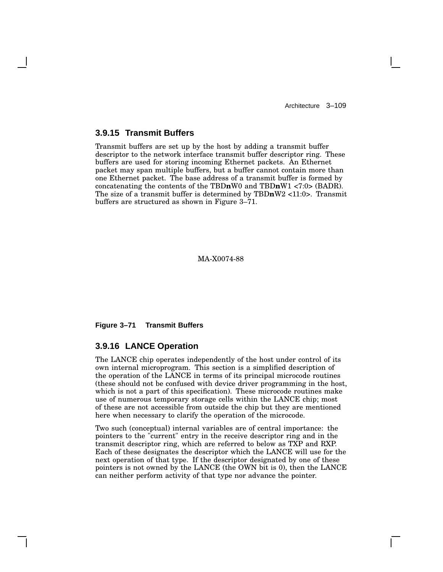# **3.9.15 Transmit Buffers**

Transmit buffers are set up by the host by adding a transmit buffer descriptor to the network interface transmit buffer descriptor ring. These buffers are used for storing incoming Ethernet packets. An Ethernet packet may span multiple buffers, but a buffer cannot contain more than one Ethernet packet. The base address of a transmit buffer is formed by concatenating the contents of the TBD**n**W0 and TBD**n**W1 <7:0> (BADR). The size of a transmit buffer is determined by TBD**n**W2 <11:0>. Transmit buffers are structured as shown in Figure 3–71.

#### MA-X0074-88

**Figure 3–71 Transmit Buffers**

### **3.9.16 LANCE Operation**

The LANCE chip operates independently of the host under control of its own internal microprogram. This section is a simplified description of the operation of the LANCE in terms of its principal microcode routines (these should not be confused with device driver programming in the host, which is not a part of this specification). These microcode routines make use of numerous temporary storage cells within the LANCE chip; most of these are not accessible from outside the chip but they are mentioned here when necessary to clarify the operation of the microcode.

Two such (conceptual) internal variables are of central importance: the pointers to the "current" entry in the receive descriptor ring and in the transmit descriptor ring, which are referred to below as TXP and RXP. Each of these designates the descriptor which the LANCE will use for the next operation of that type. If the descriptor designated by one of these pointers is not owned by the LANCE (the OWN bit is 0), then the LANCE can neither perform activity of that type nor advance the pointer.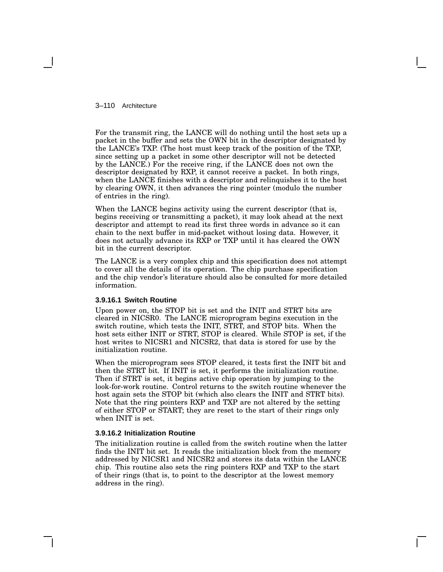3–110 Architecture

For the transmit ring, the LANCE will do nothing until the host sets up a packet in the buffer and sets the OWN bit in the descriptor designated by the LANCE's TXP. (The host must keep track of the position of the TXP, since setting up a packet in some other descriptor will not be detected by the LANCE.) For the receive ring, if the LANCE does not own the descriptor designated by RXP, it cannot receive a packet. In both rings, when the LANCE finishes with a descriptor and relinquishes it to the host by clearing OWN, it then advances the ring pointer (modulo the number of entries in the ring).

When the LANCE begins activity using the current descriptor (that is, begins receiving or transmitting a packet), it may look ahead at the next descriptor and attempt to read its first three words in advance so it can chain to the next buffer in mid-packet without losing data. However, it does not actually advance its RXP or TXP until it has cleared the OWN bit in the current descriptor.

The LANCE is a very complex chip and this specification does not attempt to cover all the details of its operation. The chip purchase specification and the chip vendor's literature should also be consulted for more detailed information.

#### **3.9.16.1 Switch Routine**

Upon power on, the STOP bit is set and the INIT and STRT bits are cleared in NICSR0. The LANCE microprogram begins execution in the switch routine, which tests the INIT, STRT, and STOP bits. When the host sets either INIT or STRT, STOP is cleared. While STOP is set, if the host writes to NICSR1 and NICSR2, that data is stored for use by the initialization routine.

When the microprogram sees STOP cleared, it tests first the INIT bit and then the STRT bit. If INIT is set, it performs the initialization routine. Then if STRT is set, it begins active chip operation by jumping to the look-for-work routine. Control returns to the switch routine whenever the host again sets the STOP bit (which also clears the INIT and STRT bits). Note that the ring pointers RXP and TXP are not altered by the setting of either STOP or START; they are reset to the start of their rings only when INIT is set.

### **3.9.16.2 Initialization Routine**

The initialization routine is called from the switch routine when the latter finds the INIT bit set. It reads the initialization block from the memory addressed by NICSR1 and NICSR2 and stores its data within the LANCE chip. This routine also sets the ring pointers RXP and TXP to the start of their rings (that is, to point to the descriptor at the lowest memory address in the ring).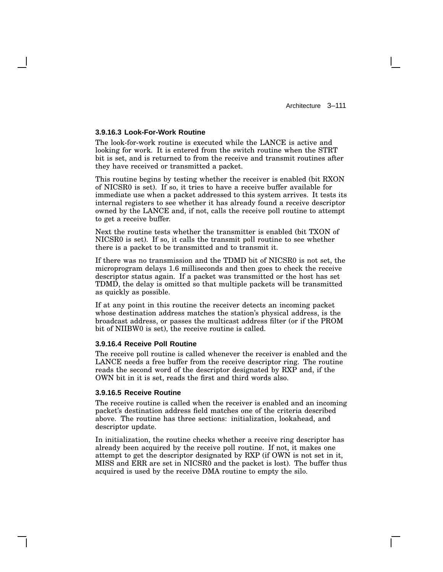#### **3.9.16.3 Look-For-Work Routine**

The look-for-work routine is executed while the LANCE is active and looking for work. It is entered from the switch routine when the STRT bit is set, and is returned to from the receive and transmit routines after they have received or transmitted a packet.

This routine begins by testing whether the receiver is enabled (bit RXON of NICSR0 is set). If so, it tries to have a receive buffer available for immediate use when a packet addressed to this system arrives. It tests its internal registers to see whether it has already found a receive descriptor owned by the LANCE and, if not, calls the receive poll routine to attempt to get a receive buffer.

Next the routine tests whether the transmitter is enabled (bit TXON of NICSR0 is set). If so, it calls the transmit poll routine to see whether there is a packet to be transmitted and to transmit it.

If there was no transmission and the TDMD bit of NICSR0 is not set, the microprogram delays 1.6 milliseconds and then goes to check the receive descriptor status again. If a packet was transmitted or the host has set TDMD, the delay is omitted so that multiple packets will be transmitted as quickly as possible.

If at any point in this routine the receiver detects an incoming packet whose destination address matches the station's physical address, is the broadcast address, or passes the multicast address filter (or if the PROM bit of NIIBW0 is set), the receive routine is called.

#### **3.9.16.4 Receive Poll Routine**

The receive poll routine is called whenever the receiver is enabled and the LANCE needs a free buffer from the receive descriptor ring. The routine reads the second word of the descriptor designated by RXP and, if the OWN bit in it is set, reads the first and third words also.

#### **3.9.16.5 Receive Routine**

The receive routine is called when the receiver is enabled and an incoming packet's destination address field matches one of the criteria described above. The routine has three sections: initialization, lookahead, and descriptor update.

In initialization, the routine checks whether a receive ring descriptor has already been acquired by the receive poll routine. If not, it makes one attempt to get the descriptor designated by RXP (if OWN is not set in it, MISS and ERR are set in NICSR0 and the packet is lost). The buffer thus acquired is used by the receive DMA routine to empty the silo.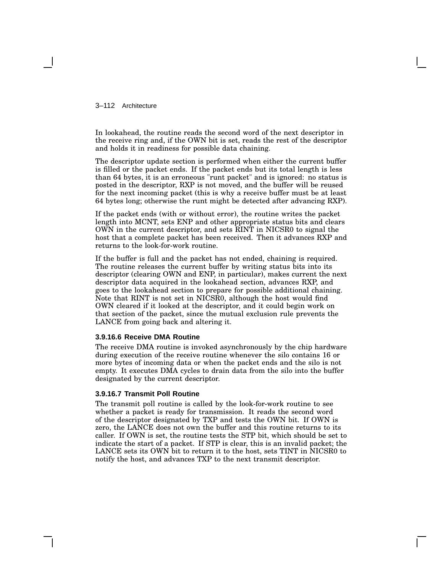3–112 Architecture

In lookahead, the routine reads the second word of the next descriptor in the receive ring and, if the OWN bit is set, reads the rest of the descriptor and holds it in readiness for possible data chaining.

The descriptor update section is performed when either the current buffer is filled or the packet ends. If the packet ends but its total length is less than 64 bytes, it is an erroneous "runt packet" and is ignored: no status is posted in the descriptor, RXP is not moved, and the buffer will be reused for the next incoming packet (this is why a receive buffer must be at least 64 bytes long; otherwise the runt might be detected after advancing RXP).

If the packet ends (with or without error), the routine writes the packet length into MCNT, sets ENP and other appropriate status bits and clears OWN in the current descriptor, and sets RINT in NICSR0 to signal the host that a complete packet has been received. Then it advances RXP and returns to the look-for-work routine.

If the buffer is full and the packet has not ended, chaining is required. The routine releases the current buffer by writing status bits into its descriptor (clearing OWN and ENP, in particular), makes current the next descriptor data acquired in the lookahead section, advances RXP, and goes to the lookahead section to prepare for possible additional chaining. Note that RINT is not set in NICSR0, although the host would find OWN cleared if it looked at the descriptor, and it could begin work on that section of the packet, since the mutual exclusion rule prevents the LANCE from going back and altering it.

#### **3.9.16.6 Receive DMA Routine**

The receive DMA routine is invoked asynchronously by the chip hardware during execution of the receive routine whenever the silo contains 16 or more bytes of incoming data or when the packet ends and the silo is not empty. It executes DMA cycles to drain data from the silo into the buffer designated by the current descriptor.

### **3.9.16.7 Transmit Poll Routine**

The transmit poll routine is called by the look-for-work routine to see whether a packet is ready for transmission. It reads the second word of the descriptor designated by TXP and tests the OWN bit. If OWN is zero, the LANCE does not own the buffer and this routine returns to its caller. If OWN is set, the routine tests the STP bit, which should be set to indicate the start of a packet. If STP is clear, this is an invalid packet; the LANCE sets its OWN bit to return it to the host, sets TINT in NICSR0 to notify the host, and advances TXP to the next transmit descriptor.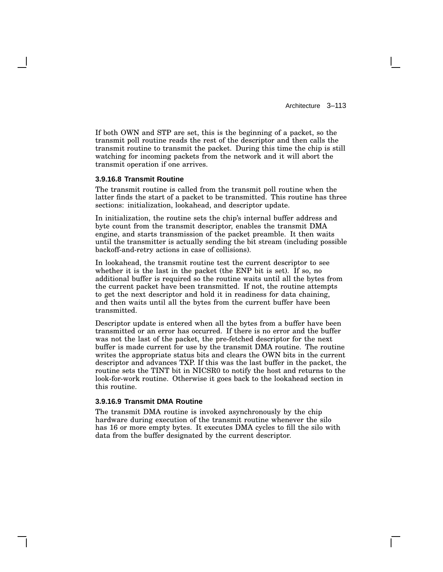If both OWN and STP are set, this is the beginning of a packet, so the transmit poll routine reads the rest of the descriptor and then calls the transmit routine to transmit the packet. During this time the chip is still watching for incoming packets from the network and it will abort the transmit operation if one arrives.

### **3.9.16.8 Transmit Routine**

The transmit routine is called from the transmit poll routine when the latter finds the start of a packet to be transmitted. This routine has three sections: initialization, lookahead, and descriptor update.

In initialization, the routine sets the chip's internal buffer address and byte count from the transmit descriptor, enables the transmit DMA engine, and starts transmission of the packet preamble. It then waits until the transmitter is actually sending the bit stream (including possible backoff-and-retry actions in case of collisions).

In lookahead, the transmit routine test the current descriptor to see whether it is the last in the packet (the ENP bit is set). If so, no additional buffer is required so the routine waits until all the bytes from the current packet have been transmitted. If not, the routine attempts to get the next descriptor and hold it in readiness for data chaining, and then waits until all the bytes from the current buffer have been transmitted.

Descriptor update is entered when all the bytes from a buffer have been transmitted or an error has occurred. If there is no error and the buffer was not the last of the packet, the pre-fetched descriptor for the next buffer is made current for use by the transmit DMA routine. The routine writes the appropriate status bits and clears the OWN bits in the current descriptor and advances TXP. If this was the last buffer in the packet, the routine sets the TINT bit in NICSR0 to notify the host and returns to the look-for-work routine. Otherwise it goes back to the lookahead section in this routine.

#### **3.9.16.9 Transmit DMA Routine**

The transmit DMA routine is invoked asynchronously by the chip hardware during execution of the transmit routine whenever the silo has 16 or more empty bytes. It executes DMA cycles to fill the silo with data from the buffer designated by the current descriptor.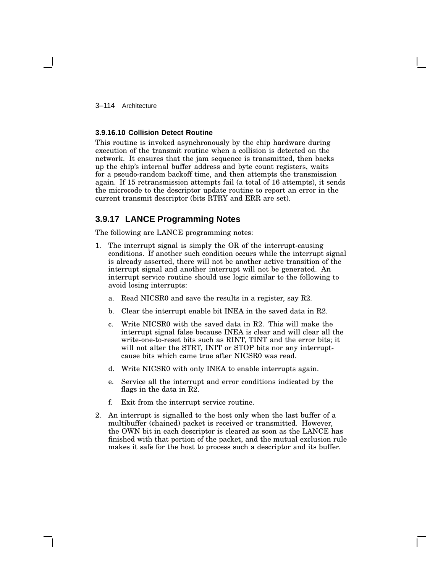3–114 Architecture

#### **3.9.16.10 Collision Detect Routine**

This routine is invoked asynchronously by the chip hardware during execution of the transmit routine when a collision is detected on the network. It ensures that the jam sequence is transmitted, then backs up the chip's internal buffer address and byte count registers, waits for a pseudo-random backoff time, and then attempts the transmission again. If 15 retransmission attempts fail (a total of 16 attempts), it sends the microcode to the descriptor update routine to report an error in the current transmit descriptor (bits RTRY and ERR are set).

## **3.9.17 LANCE Programming Notes**

The following are LANCE programming notes:

- 1. The interrupt signal is simply the OR of the interrupt-causing conditions. If another such condition occurs while the interrupt signal is already asserted, there will not be another active transition of the interrupt signal and another interrupt will not be generated. An interrupt service routine should use logic similar to the following to avoid losing interrupts:
	- a. Read NICSR0 and save the results in a register, say R2.
	- b. Clear the interrupt enable bit INEA in the saved data in R2.
	- c. Write NICSR0 with the saved data in R2. This will make the interrupt signal false because INEA is clear and will clear all the write-one-to-reset bits such as RINT, TINT and the error bits; it will not alter the STRT, INIT or STOP bits nor any interruptcause bits which came true after NICSR0 was read.
	- d. Write NICSR0 with only INEA to enable interrupts again.
	- e. Service all the interrupt and error conditions indicated by the flags in the data in R2.
	- f. Exit from the interrupt service routine.
- 2. An interrupt is signalled to the host only when the last buffer of a multibuffer (chained) packet is received or transmitted. However, the OWN bit in each descriptor is cleared as soon as the LANCE has finished with that portion of the packet, and the mutual exclusion rule makes it safe for the host to process such a descriptor and its buffer.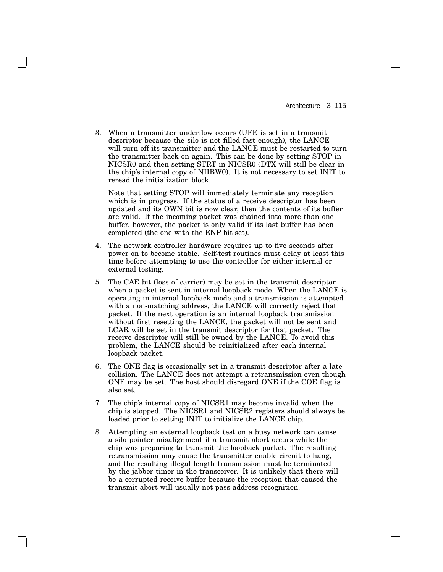3. When a transmitter underflow occurs (UFE is set in a transmit descriptor because the silo is not filled fast enough), the LANCE will turn off its transmitter and the LANCE must be restarted to turn the transmitter back on again. This can be done by setting STOP in NICSR0 and then setting STRT in NICSR0 (DTX will still be clear in the chip's internal copy of NIIBW0). It is not necessary to set INIT to reread the initialization block.

Note that setting STOP will immediately terminate any reception which is in progress. If the status of a receive descriptor has been updated and its OWN bit is now clear, then the contents of its buffer are valid. If the incoming packet was chained into more than one buffer, however, the packet is only valid if its last buffer has been completed (the one with the ENP bit set).

- 4. The network controller hardware requires up to five seconds after power on to become stable. Self-test routines must delay at least this time before attempting to use the controller for either internal or external testing.
- 5. The CAE bit (loss of carrier) may be set in the transmit descriptor when a packet is sent in internal loopback mode. When the LANCE is operating in internal loopback mode and a transmission is attempted with a non-matching address, the LANCE will correctly reject that packet. If the next operation is an internal loopback transmission without first resetting the LANCE, the packet will not be sent and LCAR will be set in the transmit descriptor for that packet. The receive descriptor will still be owned by the LANCE. To avoid this problem, the LANCE should be reinitialized after each internal loopback packet.
- 6. The ONE flag is occasionally set in a transmit descriptor after a late collision. The LANCE does not attempt a retransmission even though ONE may be set. The host should disregard ONE if the COE flag is also set.
- 7. The chip's internal copy of NICSR1 may become invalid when the chip is stopped. The NICSR1 and NICSR2 registers should always be loaded prior to setting INIT to initialize the LANCE chip.
- 8. Attempting an external loopback test on a busy network can cause a silo pointer misalignment if a transmit abort occurs while the chip was preparing to transmit the loopback packet. The resulting retransmission may cause the transmitter enable circuit to hang, and the resulting illegal length transmission must be terminated by the jabber timer in the transceiver. It is unlikely that there will be a corrupted receive buffer because the reception that caused the transmit abort will usually not pass address recognition.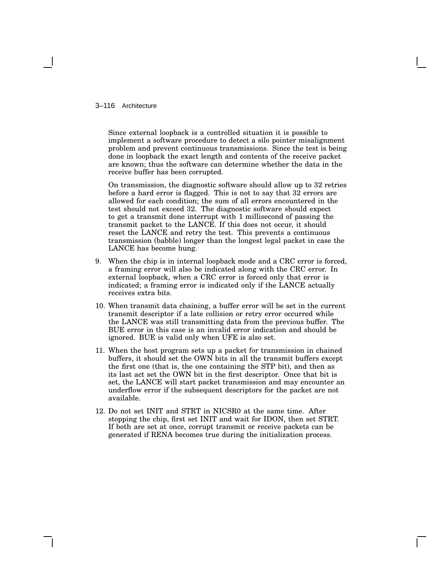#### 3–116 Architecture

Since external loopback is a controlled situation it is possible to implement a software procedure to detect a silo pointer misalignment problem and prevent continuous transmissions. Since the test is being done in loopback the exact length and contents of the receive packet are known; thus the software can determine whether the data in the receive buffer has been corrupted.

On transmission, the diagnostic software should allow up to 32 retries before a hard error is flagged. This is not to say that 32 errors are allowed for each condition; the sum of all errors encountered in the test should not exceed 32. The diagnostic software should expect to get a transmit done interrupt with 1 millisecond of passing the transmit packet to the LANCE. If this does not occur, it should reset the LANCE and retry the test. This prevents a continuous transmission (babble) longer than the longest legal packet in case the LANCE has become hung.

- 9. When the chip is in internal loopback mode and a CRC error is forced, a framing error will also be indicated along with the CRC error. In external loopback, when a CRC error is forced only that error is indicated; a framing error is indicated only if the LANCE actually receives extra bits.
- 10. When transmit data chaining, a buffer error will be set in the current transmit descriptor if a late collision or retry error occurred while the LANCE was still transmitting data from the previous buffer. The BUE error in this case is an invalid error indication and should be ignored. BUE is valid only when UFE is also set.
- 11. When the host program sets up a packet for transmission in chained buffers, it should set the OWN bits in all the transmit buffers except the first one (that is, the one containing the STP bit), and then as its last act set the OWN bit in the first descriptor. Once that bit is set, the LANCE will start packet transmission and may encounter an underflow error if the subsequent descriptors for the packet are not available.
- 12. Do not set INIT and STRT in NICSR0 at the same time. After stopping the chip, first set INIT and wait for IDON, then set STRT. If both are set at once, corrupt transmit or receive packets can be generated if RENA becomes true during the initialization process.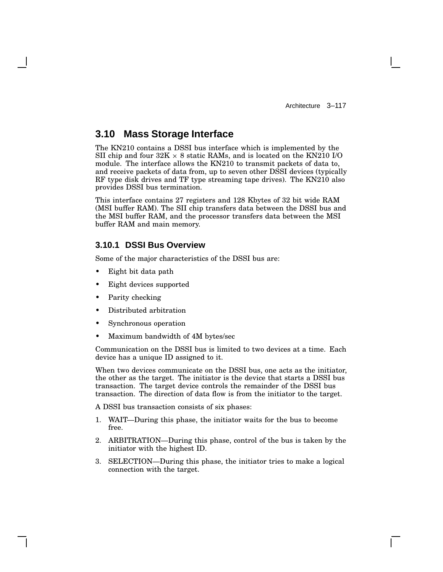# **3.10 Mass Storage Interface**

The KN210 contains a DSSI bus interface which is implemented by the SII chip and four  $32K \times 8$  static RAMs, and is located on the KN210 I/O module. The interface allows the KN210 to transmit packets of data to, and receive packets of data from, up to seven other DSSI devices (typically RF type disk drives and TF type streaming tape drives). The KN210 also provides DSSI bus termination.

This interface contains 27 registers and 128 Kbytes of 32 bit wide RAM (MSI buffer RAM). The SII chip transfers data between the DSSI bus and the MSI buffer RAM, and the processor transfers data between the MSI buffer RAM and main memory.

## **3.10.1 DSSI Bus Overview**

Some of the major characteristics of the DSSI bus are:

- Eight bit data path
- Eight devices supported
- Parity checking
- Distributed arbitration
- Synchronous operation
- Maximum bandwidth of 4M bytes/sec

Communication on the DSSI bus is limited to two devices at a time. Each device has a unique ID assigned to it.

When two devices communicate on the DSSI bus, one acts as the initiator, the other as the target. The initiator is the device that starts a DSSI bus transaction. The target device controls the remainder of the DSSI bus transaction. The direction of data flow is from the initiator to the target.

A DSSI bus transaction consists of six phases:

- 1. WAIT—During this phase, the initiator waits for the bus to become free.
- 2. ARBITRATION—During this phase, control of the bus is taken by the initiator with the highest ID.
- 3. SELECTION—During this phase, the initiator tries to make a logical connection with the target.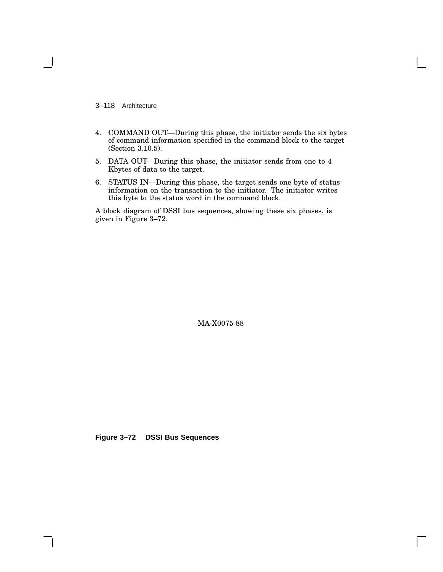3–118 Architecture

- 4. COMMAND OUT—During this phase, the initiator sends the six bytes of command information specified in the command block to the target (Section 3.10.5).
- 5. DATA OUT—During this phase, the initiator sends from one to 4 Kbytes of data to the target.
- 6. STATUS IN—During this phase, the target sends one byte of status information on the transaction to the initiator. The initiator writes this byte to the status word in the command block.

A block diagram of DSSI bus sequences, showing these six phases, is given in Figure 3–72.

MA-X0075-88

**Figure 3–72 DSSI Bus Sequences**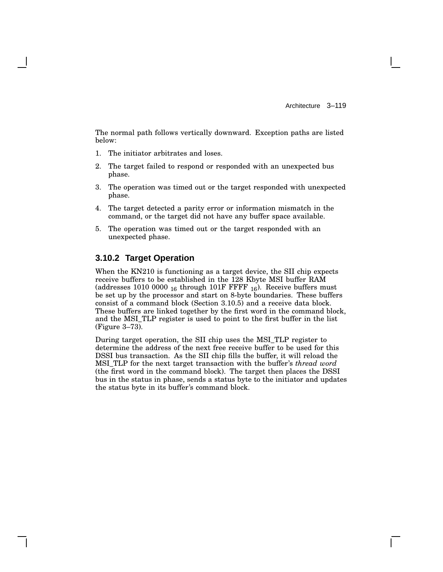The normal path follows vertically downward. Exception paths are listed below:

- 1. The initiator arbitrates and loses.
- 2. The target failed to respond or responded with an unexpected bus phase.
- 3. The operation was timed out or the target responded with unexpected phase.
- 4. The target detected a parity error or information mismatch in the command, or the target did not have any buffer space available.
- 5. The operation was timed out or the target responded with an unexpected phase.

## **3.10.2 Target Operation**

When the KN210 is functioning as a target device, the SII chip expects receive buffers to be established in the 128 Kbyte MSI buffer RAM (addresses 1010 0000  $_{16}$  through 101F FFFF  $_{16}$ ). Receive buffers must be set up by the processor and start on 8-byte boundaries. These buffers consist of a command block (Section 3.10.5) and a receive data block. These buffers are linked together by the first word in the command block, and the MSI\_TLP register is used to point to the first buffer in the list (Figure 3–73).

During target operation, the SII chip uses the MSI\_TLP register to determine the address of the next free receive buffer to be used for this DSSI bus transaction. As the SII chip fills the buffer, it will reload the MSI\_TLP for the next target transaction with the buffer's *thread word* (the first word in the command block). The target then places the DSSI bus in the status in phase, sends a status byte to the initiator and updates the status byte in its buffer's command block.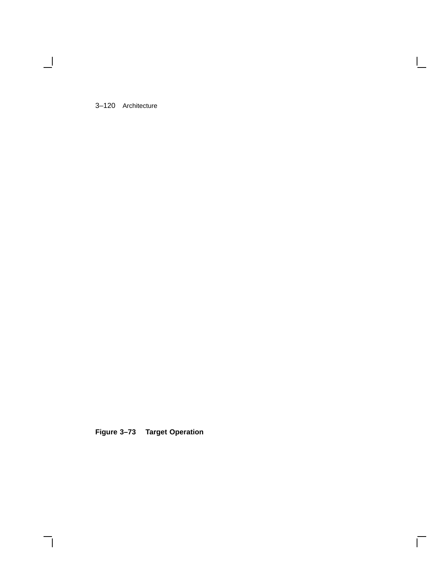3–120 Architecture

 $\blacksquare$ 

**Figure 3–73 Target Operation**

 $\bar{\Gamma}$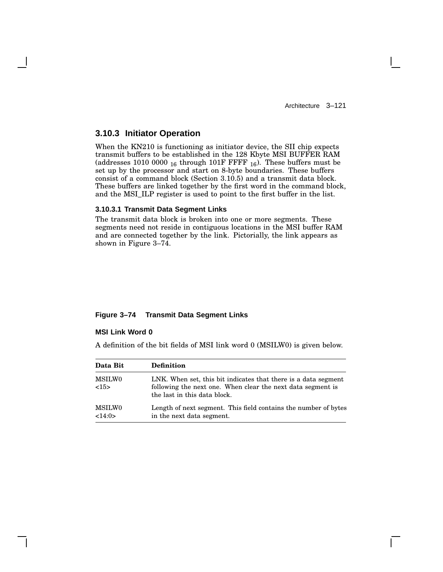## **3.10.3 Initiator Operation**

When the KN210 is functioning as initiator device, the SII chip expects transmit buffers to be established in the 128 Kbyte MSI BUFFER RAM (addresses 1010 0000  $_{16}$  through 101F FFFF  $_{16}$ ). These buffers must be set up by the processor and start on 8-byte boundaries. These buffers consist of a command block (Section 3.10.5) and a transmit data block. These buffers are linked together by the first word in the command block, and the MSI\_ILP register is used to point to the first buffer in the list.

#### **3.10.3.1 Transmit Data Segment Links**

The transmit data block is broken into one or more segments. These segments need not reside in contiguous locations in the MSI buffer RAM and are connected together by the link. Pictorially, the link appears as shown in Figure 3–74.

### **Figure 3–74 Transmit Data Segment Links**

### **MSI Link Word 0**

A definition of the bit fields of MSI link word 0 (MSILW0) is given below.

| Data Bit                | <b>Definition</b>                                                                                                                                             |
|-------------------------|---------------------------------------------------------------------------------------------------------------------------------------------------------------|
| <b>MSILWO</b><br><15>   | LNK. When set, this bit indicates that there is a data segment<br>following the next one. When clear the next data segment is<br>the last in this data block. |
| <b>MSILWO</b><br><14:0> | Length of next segment. This field contains the number of bytes<br>in the next data segment.                                                                  |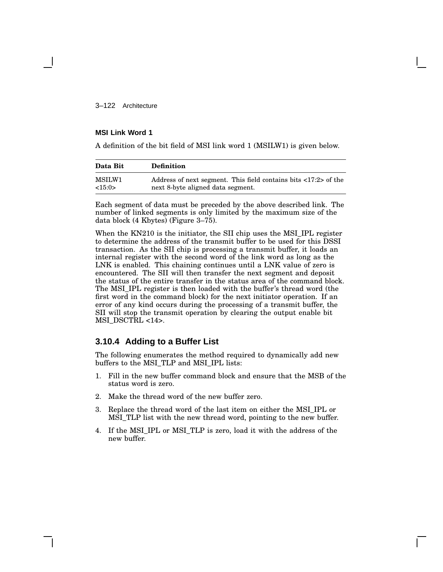3–122 Architecture

### **MSI Link Word 1**

A definition of the bit field of MSI link word 1 (MSILW1) is given below.

| Data Bit | <b>Definition</b>                                                               |
|----------|---------------------------------------------------------------------------------|
| MSILW1   | Address of next segment. This field contains bits $\langle 17:2 \rangle$ of the |
| <15:0>   | next 8-byte aligned data segment.                                               |

Each segment of data must be preceded by the above described link. The number of linked segments is only limited by the maximum size of the data block (4 Kbytes) (Figure 3–75).

When the KN210 is the initiator, the SII chip uses the MSI\_IPL register to determine the address of the transmit buffer to be used for this DSSI transaction. As the SII chip is processing a transmit buffer, it loads an internal register with the second word of the link word as long as the LNK is enabled. This chaining continues until a LNK value of zero is encountered. The SII will then transfer the next segment and deposit the status of the entire transfer in the status area of the command block. The MSI\_IPL register is then loaded with the buffer's thread word (the first word in the command block) for the next initiator operation. If an error of any kind occurs during the processing of a transmit buffer, the SII will stop the transmit operation by clearing the output enable bit MSI\_DSCTRL <14>.

## **3.10.4 Adding to a Buffer List**

The following enumerates the method required to dynamically add new buffers to the MSI\_TLP and MSI\_IPL lists:

- 1. Fill in the new buffer command block and ensure that the MSB of the status word is zero.
- 2. Make the thread word of the new buffer zero.
- 3. Replace the thread word of the last item on either the MSI\_IPL or MSI\_TLP list with the new thread word, pointing to the new buffer.
- 4. If the MSI\_IPL or MSI\_TLP is zero, load it with the address of the new buffer.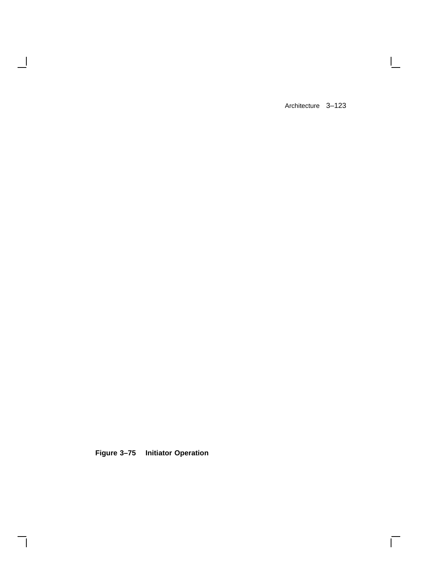$\mathbf{I}$ 

 $\overline{\Gamma}$ 

**Figure 3–75 Initiator Operation**

 $\overline{\phantom{a}}$ 

H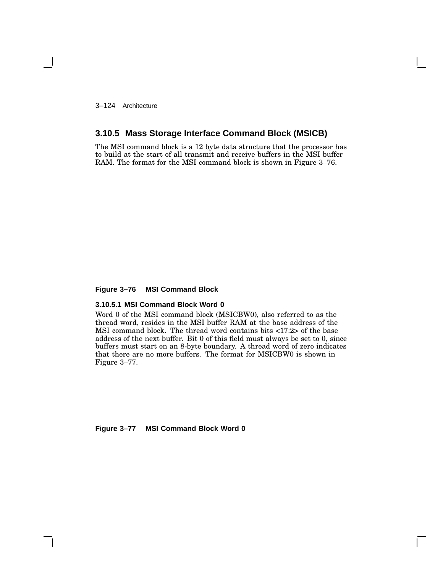3–124 Architecture

## **3.10.5 Mass Storage Interface Command Block (MSICB)**

The MSI command block is a 12 byte data structure that the processor has to build at the start of all transmit and receive buffers in the MSI buffer RAM. The format for the MSI command block is shown in Figure 3–76.

#### **Figure 3–76 MSI Command Block**

### **3.10.5.1 MSI Command Block Word 0**

Word 0 of the MSI command block (MSICBW0), also referred to as the thread word, resides in the MSI buffer RAM at the base address of the MSI command block. The thread word contains bits <17:2> of the base address of the next buffer. Bit 0 of this field must always be set to 0, since buffers must start on an 8-byte boundary. A thread word of zero indicates that there are no more buffers. The format for MSICBW0 is shown in Figure 3–77.

**Figure 3–77 MSI Command Block Word 0**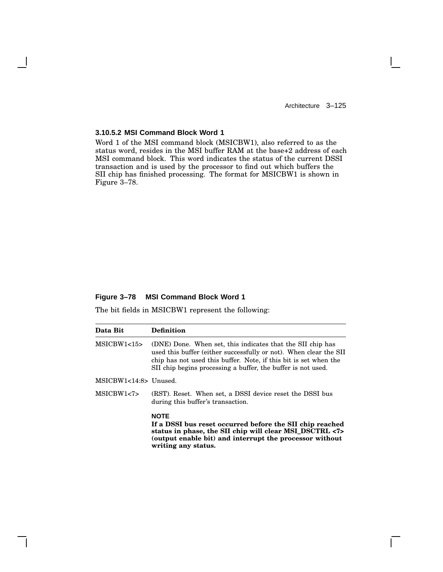$\mathbf{L}$ 

### **3.10.5.2 MSI Command Block Word 1**

Word 1 of the MSI command block (MSICBW1), also referred to as the status word, resides in the MSI buffer RAM at the base+2 address of each MSI command block. This word indicates the status of the current DSSI transaction and is used by the processor to find out which buffers the SII chip has finished processing. The format for MSICBW1 is shown in Figure 3–78.

### **Figure 3–78 MSI Command Block Word 1**

The bit fields in MSICBW1 represent the following:

| Data Bit              | <b>Definition</b>                                                                                                                                                                                                                                                   |
|-----------------------|---------------------------------------------------------------------------------------------------------------------------------------------------------------------------------------------------------------------------------------------------------------------|
| MSICBW1<15            | (DNE) Done. When set, this indicates that the SII chip has<br>used this buffer (either successfully or not). When clear the SII<br>chip has not used this buffer. Note, if this bit is set when the<br>SII chip begins processing a buffer, the buffer is not used. |
| MSICBW1<14:8> Unused. |                                                                                                                                                                                                                                                                     |
| MSICBW1<7>            | (RST). Reset. When set, a DSSI device reset the DSSI bus<br>during this buffer's transaction.                                                                                                                                                                       |
|                       | <b>NOTE</b><br>If a DSSI bus reset occurred before the SII chip reached<br>status in phase, the SII chip will clear MSI_DSCTRL <7><br>(output enable bit) and interrupt the processor without<br>writing any status.                                                |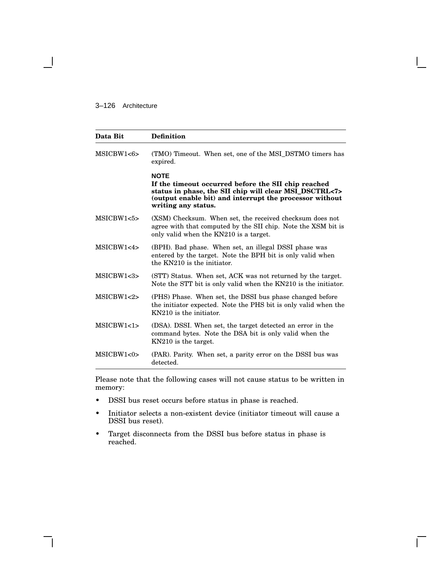### 3–126 Architecture

| Data Bit   | <b>Definition</b>                                                                                                                                                                                              |
|------------|----------------------------------------------------------------------------------------------------------------------------------------------------------------------------------------------------------------|
| MSICBW1<6> | (TMO) Timeout. When set, one of the MSI_DSTMO timers has<br>expired.                                                                                                                                           |
|            | <b>NOTE</b><br>If the timeout occurred before the SII chip reached<br>status in phase, the SII chip will clear MSI_DSCTRL<7><br>(output enable bit) and interrupt the processor without<br>writing any status. |
| MSICBW1<5> | (XSM) Checksum. When set, the received checksum does not<br>agree with that computed by the SII chip. Note the XSM bit is<br>only valid when the KN210 is a target.                                            |
| MSICBW1<4> | (BPH). Bad phase. When set, an illegal DSSI phase was<br>entered by the target. Note the BPH bit is only valid when<br>the KN210 is the initiator.                                                             |
| MSICBW1<3> | (STT) Status. When set, ACK was not returned by the target.<br>Note the STT bit is only valid when the KN210 is the initiator.                                                                                 |
| MSICBW1<2> | (PHS) Phase. When set, the DSSI bus phase changed before<br>the initiator expected. Note the PHS bit is only valid when the<br>KN210 is the initiator.                                                         |
| MSICBW1<1> | (DSA). DSSI. When set, the target detected an error in the<br>command bytes. Note the DSA bit is only valid when the<br>KN210 is the target.                                                                   |
| MSICBW1<0> | (PAR). Parity. When set, a parity error on the DSSI bus was<br>detected.                                                                                                                                       |

Please note that the following cases will not cause status to be written in memory:

- DSSI bus reset occurs before status in phase is reached.
- Initiator selects a non-existent device (initiator timeout will cause a DSSI bus reset).
- Target disconnects from the DSSI bus before status in phase is reached.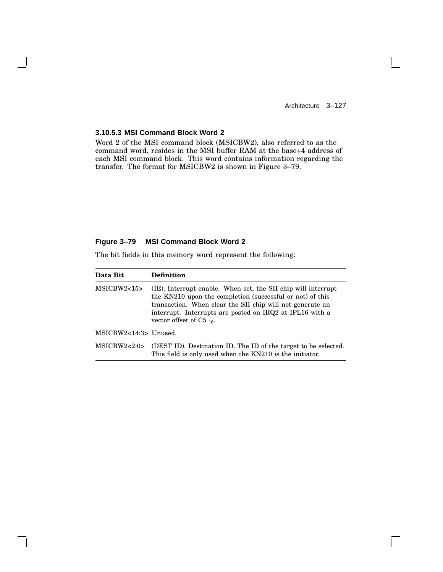$\mathbf{I}$ 

### **3.10.5.3 MSI Command Block Word 2**

Word 2 of the MSI command block (MSICBW2), also referred to as the command word, resides in the MSI buffer RAM at the base+4 address of each MSI command block. This word contains information regarding the transfer. The format for MSICBW2 is shown in Figure 3–79.

#### **Figure 3–79 MSI Command Block Word 2**

The bit fields in this memory word represent the following:

| Data Bit                | <b>Definition</b>                                                                                                                                                                                                                                                                   |
|-------------------------|-------------------------------------------------------------------------------------------------------------------------------------------------------------------------------------------------------------------------------------------------------------------------------------|
| MSICBW2<15              | (IE). Interrupt enable. When set, the SII chip will interrupt<br>the KN210 upon the completion (successful or not) of this<br>transaction. When clear the SII chip will not generate an<br>interrupt. Interrupts are posted on IRQ2 at IPL16 with a<br>vector offset of $C5_{16}$ . |
| $MSICBW2<14:3>$ Unused. |                                                                                                                                                                                                                                                                                     |
| MSICBW2<2:0>            | (DEST ID). Destination ID. The ID of the target to be selected.<br>This field is only used when the KN210 is the initiator.                                                                                                                                                         |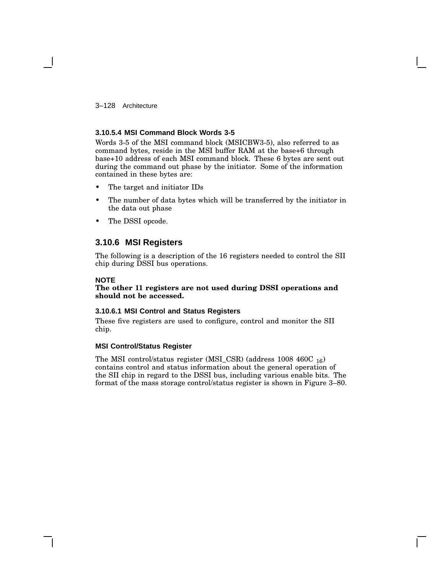3–128 Architecture

### **3.10.5.4 MSI Command Block Words 3-5**

Words 3-5 of the MSI command block (MSICBW3-5), also referred to as command bytes, reside in the MSI buffer RAM at the base+6 through base+10 address of each MSI command block. These 6 bytes are sent out during the command out phase by the initiator. Some of the information contained in these bytes are:

- The target and initiator IDs
- The number of data bytes which will be transferred by the initiator in the data out phase
- The DSSI opcode.

## **3.10.6 MSI Registers**

The following is a description of the 16 registers needed to control the SII chip during DSSI bus operations.

### **NOTE**

### **The other 11 registers are not used during DSSI operations and should not be accessed.**

### **3.10.6.1 MSI Control and Status Registers**

These five registers are used to configure, control and monitor the SII chip.

### **MSI Control/Status Register**

The MSI control/status register (MSI\_CSR) (address 1008 460C <sup>16</sup>) contains control and status information about the general operation of the SII chip in regard to the DSSI bus, including various enable bits. The format of the mass storage control/status register is shown in Figure 3–80.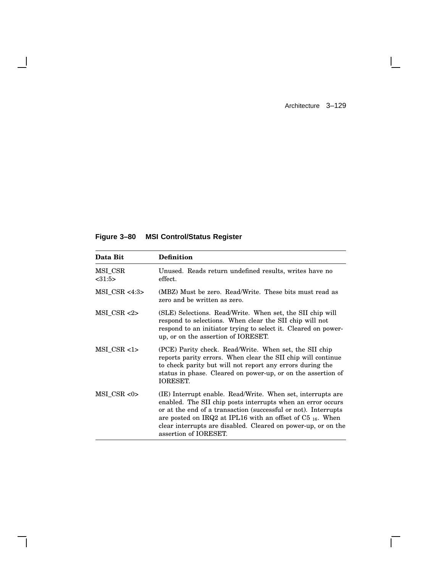$\mathbf{I}$ 

 $\Box$ 

**Figure 3–80 MSI Control/Status Register**

 $\mathbf{I}$ 

 $\mathbf l$ 

| Data Bit           | <b>Definition</b>                                                                                                                                                                                                                                                                                                                                                    |
|--------------------|----------------------------------------------------------------------------------------------------------------------------------------------------------------------------------------------------------------------------------------------------------------------------------------------------------------------------------------------------------------------|
| MSI_CSR<br>< 31:5> | Unused. Reads return undefined results, writes have no<br>effect.                                                                                                                                                                                                                                                                                                    |
| $MSI$ CSR <4:3>    | (MBZ) Must be zero. Read/Write. These bits must read as<br>zero and be written as zero.                                                                                                                                                                                                                                                                              |
| $MSI$ CSR $<2>$    | (SLE) Selections. Read/Write. When set, the SII chip will<br>respond to selections. When clear the SII chip will not<br>respond to an initiator trying to select it. Cleared on power-<br>up, or on the assertion of IORESET.                                                                                                                                        |
| $MSI_CSR <1>$      | (PCE) Parity check. Read/Write. When set, the SII chip<br>reports parity errors. When clear the SII chip will continue<br>to check parity but will not report any errors during the<br>status in phase. Cleared on power-up, or on the assertion of<br><b>IORESET.</b>                                                                                               |
| $MSI$ CSR <0>      | (IE) Interrupt enable. Read/Write. When set, interrupts are<br>enabled. The SII chip posts interrupts when an error occurs<br>or at the end of a transaction (successful or not). Interrupts<br>are posted on IRQ2 at IPL16 with an offset of $C_{5}$ <sub>16</sub> . When<br>clear interrupts are disabled. Cleared on power-up, or on the<br>assertion of IORESET. |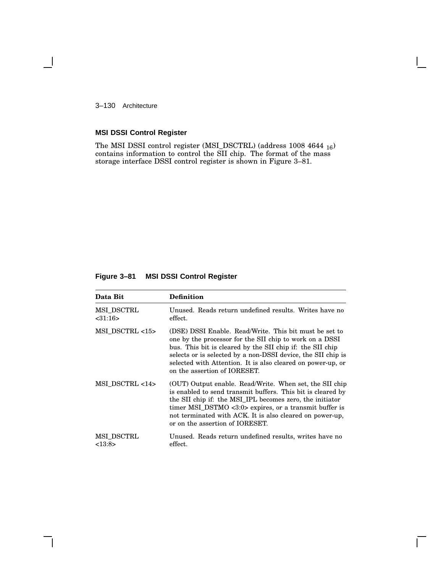3–130 Architecture

1

# **MSI DSSI Control Register**

The MSI DSSI control register (MSI\_DSCTRL) (address 1008 4644 <sup>16</sup>) contains information to control the SII chip. The format of the mass storage interface DSSI control register is shown in Figure 3–81.

## **Figure 3–81 MSI DSSI Control Register**

| Data Bit              | <b>Definition</b>                                                                                                                                                                                                                                                                                                                             |
|-----------------------|-----------------------------------------------------------------------------------------------------------------------------------------------------------------------------------------------------------------------------------------------------------------------------------------------------------------------------------------------|
| MSI DSCTRL<br>< 31:16 | Unused. Reads return undefined results. Writes have no<br>effect.                                                                                                                                                                                                                                                                             |
| MSI DSCTRL <15>       | (DSE) DSSI Enable. Read/Write. This bit must be set to<br>one by the processor for the SII chip to work on a DSSI<br>bus. This bit is cleared by the SII chip if: the SII chip<br>selects or is selected by a non-DSSI device, the SII chip is<br>selected with Attention. It is also cleared on power-up, or<br>on the assertion of IORESET. |
| MSI DSCTRL <14>       | (OUT) Output enable. Read/Write. When set, the SII chip<br>is enabled to send transmit buffers. This bit is cleared by<br>the SII chip if: the MSI IPL becomes zero, the initiator<br>timer MSI_DSTMO <3:0> expires, or a transmit buffer is<br>not terminated with ACK. It is also cleared on power-up,<br>or on the assertion of IORESET.   |
| MSI DSCTRL<br><13:8>  | Unused. Reads return undefined results, writes have no<br>effect.                                                                                                                                                                                                                                                                             |

 $\mathsf{I}$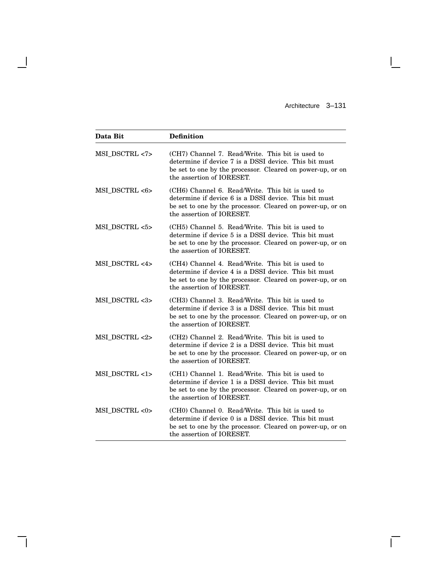$\mathbf{L}$ 

 $\overline{\Gamma}$ 

| Data Bit       | <b>Definition</b>                                                                                                                                                                                    |
|----------------|------------------------------------------------------------------------------------------------------------------------------------------------------------------------------------------------------|
| MSI_DSCTRL <7> | (CH7) Channel 7. Read/Write. This bit is used to<br>determine if device 7 is a DSSI device. This bit must<br>be set to one by the processor. Cleared on power-up, or on<br>the assertion of IORESET. |
| MSI_DSCTRL <6> | (CH6) Channel 6. Read/Write. This bit is used to<br>determine if device 6 is a DSSI device. This bit must<br>be set to one by the processor. Cleared on power-up, or on<br>the assertion of IORESET. |
| MSI DSCTRL <5> | (CH5) Channel 5. Read/Write. This bit is used to<br>determine if device 5 is a DSSI device. This bit must<br>be set to one by the processor. Cleared on power-up, or on<br>the assertion of IORESET. |
| MSI_DSCTRL <4> | (CH4) Channel 4. Read/Write. This bit is used to<br>determine if device 4 is a DSSI device. This bit must<br>be set to one by the processor. Cleared on power-up, or on<br>the assertion of IORESET. |
| MSI DSCTRL <3> | (CH3) Channel 3. Read/Write. This bit is used to<br>determine if device 3 is a DSSI device. This bit must<br>be set to one by the processor. Cleared on power-up, or on<br>the assertion of IORESET. |
| MSI_DSCTRL <2> | (CH2) Channel 2. Read/Write. This bit is used to<br>determine if device 2 is a DSSI device. This bit must<br>be set to one by the processor. Cleared on power-up, or on<br>the assertion of IORESET. |
| MSI DSCTRL <1> | (CH1) Channel 1. Read/Write. This bit is used to<br>determine if device 1 is a DSSI device. This bit must<br>be set to one by the processor. Cleared on power-up, or on<br>the assertion of IORESET. |
| MSI DSCTRL <0> | (CH0) Channel 0. Read/Write. This bit is used to<br>determine if device 0 is a DSSI device. This bit must<br>be set to one by the processor. Cleared on power-up, or on<br>the assertion of IORESET. |

 $\overline{\phantom{a}}$ 

 $\mathsf{l}$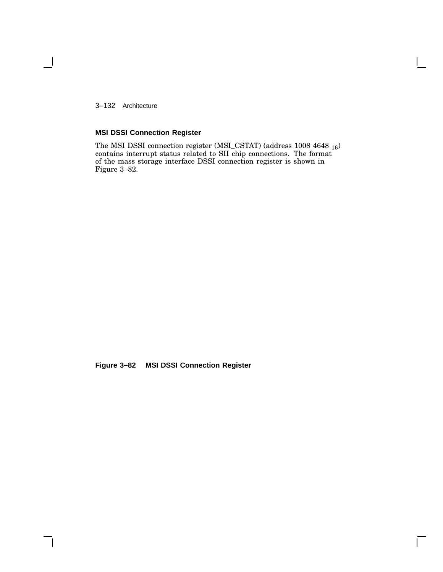3–132 Architecture

1

# **MSI DSSI Connection Register**

The MSI DSSI connection register (MSI\_CSTAT) (address  $1008\ 4648\ _{16})$ contains interrupt status related to SII chip connections. The format of the mass storage interface DSSI connection register is shown in Figure 3–82.

 $\mathsf{I}$ 

**Figure 3–82 MSI DSSI Connection Register**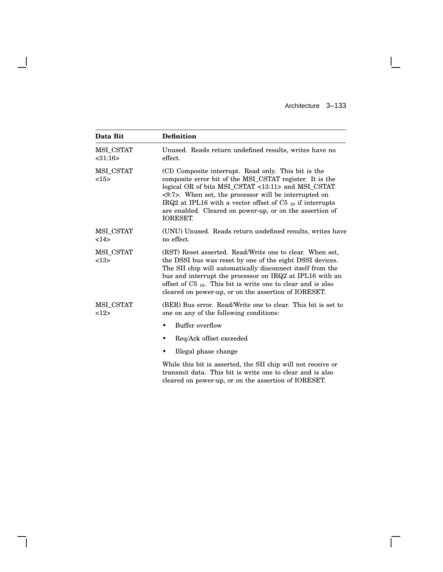$\mathbf{L}$ 

 $\overline{\Gamma}$ 

| Data Bit                   | <b>Definition</b>                                                                                                                                                                                                                                                                                                                                                                            |
|----------------------------|----------------------------------------------------------------------------------------------------------------------------------------------------------------------------------------------------------------------------------------------------------------------------------------------------------------------------------------------------------------------------------------------|
| MSI_CSTAT<br>$<$ 31:16 $>$ | Unused. Reads return undefined results, writes have no<br>effect.                                                                                                                                                                                                                                                                                                                            |
| MSI_CSTAT<br><15>          | (CI) Composite interrupt. Read only. This bit is the<br>composite error bit of the MSI_CSTAT register. It is the<br>logical OR of bits MSI_CSTAT <13:11> and MSI_CSTAT<br>$\langle 9:7 \rangle$ . When set, the processor will be interrupted on<br>IRQ2 at IPL16 with a vector offset of C5 16 if interrupts<br>are enabled. Cleared on power-up, or on the assertion of<br><b>IORESET.</b> |
| MSI CSTAT<br>14>           | (UNU) Unused. Reads return undefined results, writes have<br>no effect.                                                                                                                                                                                                                                                                                                                      |
| MSI CSTAT<br><13>          | (RST) Reset asserted. Read/Write one to clear. When set,<br>the DSSI bus was reset by one of the eight DSSI devices.<br>The SII chip will automatically disconnect itself from the<br>bus and interrupt the processor on IRQ2 at IPL16 with an<br>offset of $C5_{16}$ . This bit is write one to clear and is also<br>cleared on power-up, or on the assertion of IORESET.                   |
| MSI CSTAT<br>12            | (BER) Bus error. Read/Write one to clear. This bit is set to<br>one on any of the following conditions:                                                                                                                                                                                                                                                                                      |
|                            | Buffer overflow<br>٠                                                                                                                                                                                                                                                                                                                                                                         |
|                            | Req/Ack offset exceeded<br>٠                                                                                                                                                                                                                                                                                                                                                                 |
|                            | Illegal phase change                                                                                                                                                                                                                                                                                                                                                                         |
|                            | While this bit is asserted, the SII chip will not receive or<br>المراجع والمتحدث والمستحيل والمتحدث والمستحدث والمتحل المتحل والمستحدث والمستحدث والمستحدث                                                                                                                                                                                                                                   |

 $\overline{\phantom{a}}$ 

 $\mathsf{l}$ 

transmit data. This bit is write one to clear and is also cleared on power-up, or on the assertion of IORESET.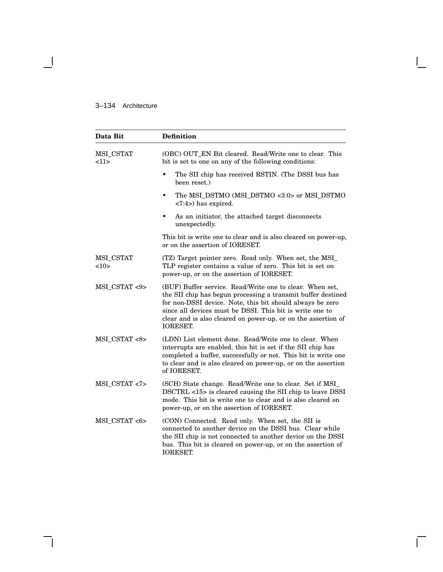## 3–134 Architecture

 $\overline{\phantom{0}}$ 

| Data Bit               | <b>Definition</b>                                                                                                                                                                                                                                                                                                                     |
|------------------------|---------------------------------------------------------------------------------------------------------------------------------------------------------------------------------------------------------------------------------------------------------------------------------------------------------------------------------------|
| MSI_CSTAT<br><11>      | (OBC) OUT_EN Bit cleared. Read/Write one to clear. This<br>bit is set to one on any of the following conditions:                                                                                                                                                                                                                      |
|                        | The SII chip has received RSTIN. (The DSSI bus has<br>been reset.)                                                                                                                                                                                                                                                                    |
|                        | The MSI_DSTMO (MSI_DSTMO <3:0> or MSI_DSTMO<br>$\bullet$<br>$\langle 7:4\rangle$ has expired.                                                                                                                                                                                                                                         |
|                        | As an initiator, the attached target disconnects<br>٠<br>unexpectedly.                                                                                                                                                                                                                                                                |
|                        | This bit is write one to clear and is also cleared on power-up,<br>or on the assertion of IORESET.                                                                                                                                                                                                                                    |
| MSI_CSTAT<br>${<}10$ > | (TZ) Target pointer zero. Read only. When set, the MSI_<br>TLP register contains a value of zero. This bit is set on<br>power-up, or on the assertion of IORESET.                                                                                                                                                                     |
| MSI_CSTAT <9>          | (BUF) Buffer service. Read/Write one to clear. When set,<br>the SII chip has begun processing a transmit buffer destined<br>for non-DSSI device. Note, this bit should always be zero<br>since all devices must be DSSI. This bit is write one to<br>clear and is also cleared on power-up, or on the assertion of<br><b>IORESET.</b> |
| MSI_CSTAT <8>          | (LDN) List element done. Read/Write one to clear. When<br>interrupts are enabled, this bit is set if the SII chip has<br>completed a buffer, successfully or not. This bit is write one<br>to clear and is also cleared on power-up, or on the assertion<br>of IORESET.                                                               |
| MSI_CSTAT <7>          | (SCH) State change. Read/Write one to clear. Set if MSI_<br>DSCTRL <15> is cleared causing the SII chip to leave DSSI<br>mode. This bit is write one to clear and is also cleared on<br>power-up, or on the assertion of IORESET.                                                                                                     |
| MSI_CSTAT <6>          | (CON) Connected. Read only. When set, the SII is<br>connected to another device on the DSSI bus. Clear while<br>the SII chip is not connected to another device on the DSSI<br>bus. This bit is cleared on power-up, or on the assertion of<br><b>IORESET.</b>                                                                        |

 $\mathsf{I}$ 

 $\bar{\Gamma}$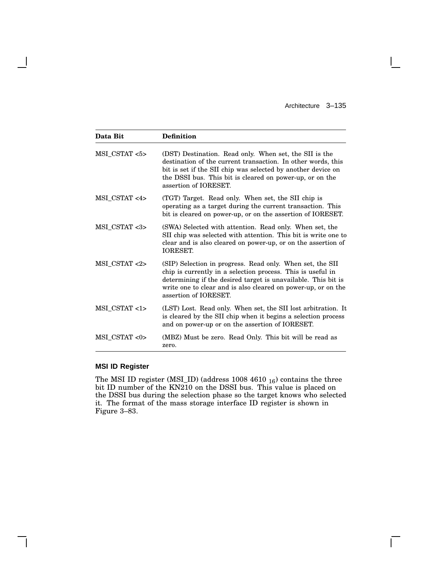$\overline{\Gamma}$ 

| Data Bit      | <b>Definition</b>                                                                                                                                                                                                                                                                   |
|---------------|-------------------------------------------------------------------------------------------------------------------------------------------------------------------------------------------------------------------------------------------------------------------------------------|
| MSI_CSTAT <5> | (DST) Destination. Read only. When set, the SII is the<br>destination of the current transaction. In other words, this<br>bit is set if the SII chip was selected by another device on<br>the DSSI bus. This bit is cleared on power-up, or on the<br>assertion of IORESET.         |
| MSI_CSTAT <4> | (TGT) Target. Read only. When set, the SII chip is<br>operating as a target during the current transaction. This<br>bit is cleared on power-up, or on the assertion of IORESET.                                                                                                     |
| MSI_CSTAT <3> | (SWA) Selected with attention. Read only. When set, the<br>SII chip was selected with attention. This bit is write one to<br>clear and is also cleared on power-up, or on the assertion of<br><b>IORESET.</b>                                                                       |
| MSI CSTAT <2> | (SIP) Selection in progress. Read only. When set, the SII<br>chip is currently in a selection process. This is useful in<br>determining if the desired target is unavailable. This bit is<br>write one to clear and is also cleared on power-up, or on the<br>assertion of IORESET. |
| MSI_CSTAT <1> | (LST) Lost. Read only. When set, the SII lost arbitration. It<br>is cleared by the SII chip when it begins a selection process<br>and on power-up or on the assertion of IORESET.                                                                                                   |
| MSI CSTAT <0> | (MBZ) Must be zero. Read Only. This bit will be read as<br>zero.                                                                                                                                                                                                                    |

## **MSI ID Register**

 $\mathsf{l}$ 

The MSI ID register (MSI\_ID) (address  $1008\ 4610\ _{16}$ ) contains the three bit ID number of the KN210 on the DSSI bus. This value is placed on the DSSI bus during the selection phase so the target knows who selected it. The format of the mass storage interface ID register is shown in Figure 3–83.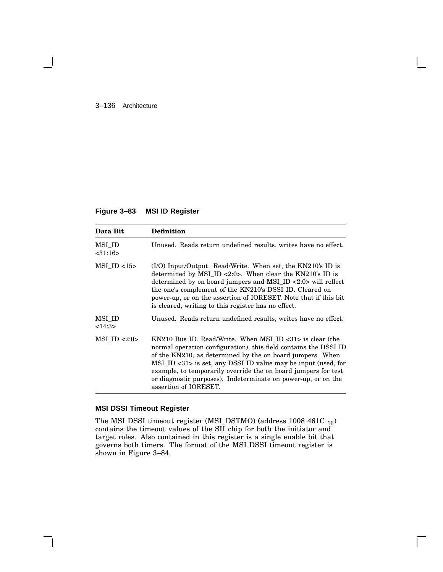#### 3–136 Architecture

### **Figure 3–83 MSI ID Register**

| Data Bit                | <b>Definition</b>                                                                                                                                                                                                                                                                                                                                                                                                                      |
|-------------------------|----------------------------------------------------------------------------------------------------------------------------------------------------------------------------------------------------------------------------------------------------------------------------------------------------------------------------------------------------------------------------------------------------------------------------------------|
| MSI ID<br>$<$ 31:16 $>$ | Unused. Reads return undefined results, writes have no effect.                                                                                                                                                                                                                                                                                                                                                                         |
| $MSI$ ID $<15$          | $(1/O)$ Input/Output. Read/Write. When set, the KN210's ID is<br>determined by MSI ID <2:0>. When clear the $KN210$ 's ID is<br>determined by on board jumpers and MSI_ID <2:0> will reflect<br>the one's complement of the KN210's DSSI ID. Cleared on<br>power-up, or on the assertion of IORESET. Note that if this bit<br>is cleared, writing to this register has no effect.                                                      |
| MSI ID<br><14:3>        | Unused. Reads return undefined results, writes have no effect.                                                                                                                                                                                                                                                                                                                                                                         |
| $MSI$ ID $<2:0>$        | KN210 Bus ID. Read/Write. When MSI ID $\langle 31 \rangle$ is clear (the<br>normal operation configuration), this field contains the DSSI ID<br>of the KN210, as determined by the on board jumpers. When<br>MSI_ID <31> is set, any DSSI ID value may be input (used, for<br>example, to temporarily override the on board jumpers for test<br>or diagnostic purposes). Indeterminate on power-up, or on the<br>assertion of IORESET. |

## **MSI DSSI Timeout Register**

The MSI DSSI timeout register (MSI\_DSTMO) (address 1008 461C <sup>16</sup>) contains the timeout values of the SII chip for both the initiator and target roles. Also contained in this register is a single enable bit that governs both timers. The format of the MSI DSSI timeout register is shown in Figure 3–84.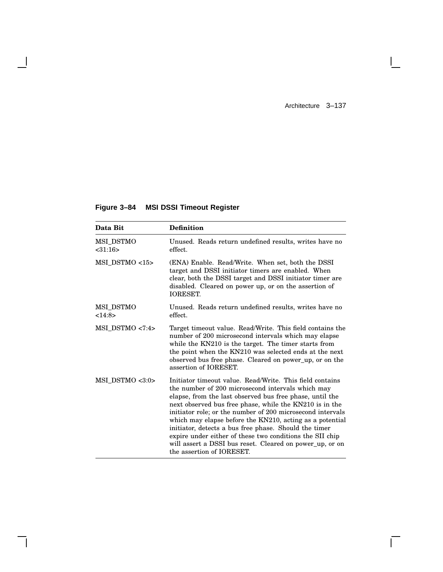$\mathbf{I}$ 

 $\overline{\Gamma}$ 

# **Figure 3–84 MSI DSSI Timeout Register**

 $\overline{\phantom{a}}$ 

H

| Data Bit                   | <b>Definition</b>                                                                                                                                                                                                                                                                                                                                                                                                                                                                                                                                                            |
|----------------------------|------------------------------------------------------------------------------------------------------------------------------------------------------------------------------------------------------------------------------------------------------------------------------------------------------------------------------------------------------------------------------------------------------------------------------------------------------------------------------------------------------------------------------------------------------------------------------|
| MSI_DSTMO<br>$<$ 31:16 $>$ | Unused. Reads return undefined results, writes have no<br>effect.                                                                                                                                                                                                                                                                                                                                                                                                                                                                                                            |
| MSI DSTMO <15>             | (ENA) Enable. Read/Write. When set, both the DSSI<br>target and DSSI initiator timers are enabled. When<br>clear, both the DSSI target and DSSI initiator timer are<br>disabled. Cleared on power up, or on the assertion of<br><b>IORESET.</b>                                                                                                                                                                                                                                                                                                                              |
| MSI DSTMO<br><14:8>        | Unused. Reads return undefined results, writes have no<br>effect.                                                                                                                                                                                                                                                                                                                                                                                                                                                                                                            |
| $MSI$ DSTMO $<7:4>$        | Target timeout value. Read/Write. This field contains the<br>number of 200 microsecond intervals which may elapse<br>while the KN210 is the target. The timer starts from<br>the point when the KN210 was selected ends at the next<br>observed bus free phase. Cleared on power up, or on the<br>assertion of <b>IORESET</b> .                                                                                                                                                                                                                                              |
| $MSI$ DSTMO $<3:0>$        | Initiator timeout value. Read/Write. This field contains<br>the number of 200 microsecond intervals which may<br>elapse, from the last observed bus free phase, until the<br>next observed bus free phase, while the KN210 is in the<br>initiator role; or the number of 200 microsecond intervals<br>which may elapse before the KN210, acting as a potential<br>initiator, detects a bus free phase. Should the timer<br>expire under either of these two conditions the SII chip<br>will assert a DSSI bus reset. Cleared on power up, or on<br>the assertion of IORESET. |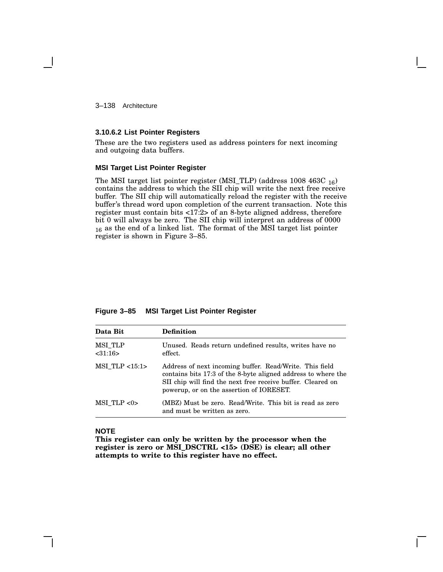3–138 Architecture

#### **3.10.6.2 List Pointer Registers**

These are the two registers used as address pointers for next incoming and outgoing data buffers.

#### **MSI Target List Pointer Register**

The MSI target list pointer register (MSI\_TLP) (address  $1008\;463C_{16}$ ) contains the address to which the SII chip will write the next free receive buffer. The SII chip will automatically reload the register with the receive buffer's thread word upon completion of the current transaction. Note this register must contain bits <17:2> of an 8-byte aligned address, therefore bit 0 will always be zero. The SII chip will interpret an address of 0000 <sup>16</sup> as the end of a linked list. The format of the MSI target list pointer register is shown in Figure 3–85.

| Data Bit                 | <b>Definition</b>                                                                                                                                                                                                                   |
|--------------------------|-------------------------------------------------------------------------------------------------------------------------------------------------------------------------------------------------------------------------------------|
| MSI TLP<br>$<$ 31:16 $>$ | Unused. Reads return undefined results, writes have no<br>effect.                                                                                                                                                                   |
| $MSI$ TLP $<15:1>$       | Address of next incoming buffer. Read/Write. This field<br>contains bits 17:3 of the 8-byte aligned address to where the<br>SII chip will find the next free receive buffer. Cleared on<br>powerup, or on the assertion of IORESET. |
| $MSI$ TLP $<0>$          | (MBZ) Must be zero. Read/Write. This bit is read as zero<br>and must be written as zero.                                                                                                                                            |

**Figure 3–85 MSI Target List Pointer Register**

#### **NOTE**

**This register can only be written by the processor when the register is zero or MSI\_DSCTRL <15> (DSE) is clear; all other attempts to write to this register have no effect.**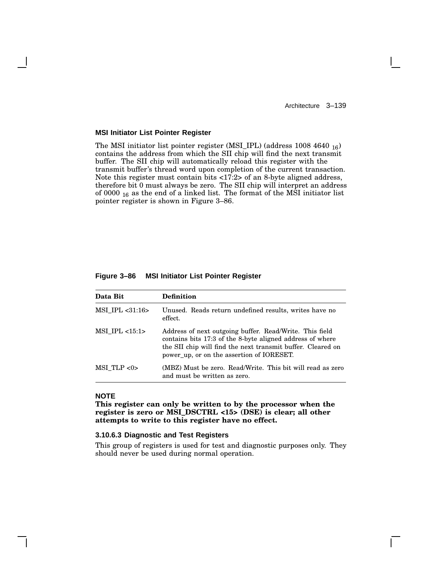Architecture 3–139

#### **MSI Initiator List Pointer Register**

The MSI initiator list pointer register (MSI\_IPL) (address 1008 4640 <sup>16</sup>) contains the address from which the SII chip will find the next transmit buffer. The SII chip will automatically reload this register with the transmit buffer's thread word upon completion of the current transaction. Note this register must contain bits <17:2> of an 8-byte aligned address, therefore bit 0 must always be zero. The SII chip will interpret an address of 0000  $_{16}$  as the end of a linked list. The format of the MSI initiator list pointer register is shown in Figure 3–86.

#### **Figure 3–86 MSI Initiator List Pointer Register**

| Data Bit            | <b>Definition</b>                                                                                                                                                                                                                |  |
|---------------------|----------------------------------------------------------------------------------------------------------------------------------------------------------------------------------------------------------------------------------|--|
| $MSI$ IPL $<31:16>$ | Unused. Reads return undefined results, writes have no<br>effect.                                                                                                                                                                |  |
| $MSI$ IPL $<15:1>$  | Address of next outgoing buffer. Read/Write. This field<br>contains bits 17:3 of the 8-byte aligned address of where<br>the SII chip will find the next transmit buffer. Cleared on<br>power up, or on the assertion of IORESET. |  |
| $MSI$ TLP $<0>$     | (MBZ) Must be zero. Read/Write. This bit will read as zero<br>and must be written as zero.                                                                                                                                       |  |

#### **NOTE**

**This register can only be written to by the processor when the register is zero or MSI\_DSCTRL <15> (DSE) is clear; all other attempts to write to this register have no effect.**

#### **3.10.6.3 Diagnostic and Test Registers**

This group of registers is used for test and diagnostic purposes only. They should never be used during normal operation.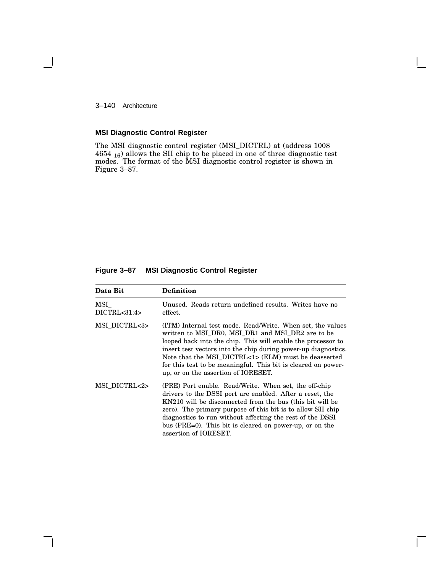3–140 Architecture

1

### **MSI Diagnostic Control Register**

The MSI diagnostic control register (MSI\_DICTRL) at (address 1008 4654 <sup>16</sup>) allows the SII chip to be placed in one of three diagnostic test modes. The format of the MSI diagnostic control register is shown in Figure 3–87.

### **Figure 3–87 MSI Diagnostic Control Register**

| Data Bit              | Definition                                                                                                                                                                                                                                                                                                                                                                                                        |  |
|-----------------------|-------------------------------------------------------------------------------------------------------------------------------------------------------------------------------------------------------------------------------------------------------------------------------------------------------------------------------------------------------------------------------------------------------------------|--|
| MSI<br>DICTRL < 31:4> | Unused. Reads return undefined results. Writes have no<br>effect.                                                                                                                                                                                                                                                                                                                                                 |  |
| MSI DICTRL<3>         | (ITM) Internal test mode. Read/Write. When set, the values<br>written to MSI_DR0, MSI_DR1 and MSI_DR2 are to be<br>looped back into the chip. This will enable the processor to<br>insert test vectors into the chip during power-up diagnostics.<br>Note that the MSI DICTRL<1> (ELM) must be deasserted<br>for this test to be meaningful. This bit is cleared on power-<br>up, or on the assertion of IORESET. |  |
| MSI DICTRL<2>         | (PRE) Port enable. Read/Write. When set, the off-chip<br>drivers to the DSSI port are enabled. After a reset, the<br>KN210 will be disconnected from the bus (this bit will be<br>zero). The primary purpose of this bit is to allow SII chip<br>diagnostics to run without affecting the rest of the DSSI<br>bus ( $PRE=0$ ). This bit is cleared on power-up, or on the<br>assertion of IORESET.                |  |

 $\mathbf{L}$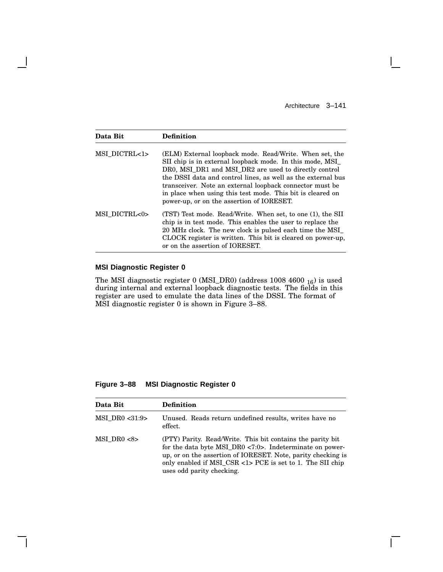Architecture 3–141

 $\overline{\Gamma}$ 

| Data Bit      | Definition                                                                                                                                                                                                                                                                                                                                                                                                           |
|---------------|----------------------------------------------------------------------------------------------------------------------------------------------------------------------------------------------------------------------------------------------------------------------------------------------------------------------------------------------------------------------------------------------------------------------|
| MSI DICTRL<1> | (ELM) External loopback mode. Read/Write. When set, the<br>SII chip is in external loopback mode. In this mode, MSI_<br>DRO, MSI DR1 and MSI DR2 are used to directly control<br>the DSSI data and control lines, as well as the external bus<br>transceiver. Note an external loopback connector must be<br>in place when using this test mode. This bit is cleared on<br>power-up, or on the assertion of IORESET. |
| MSI DICTRL<0> | (TST) Test mode. Read/Write. When set, to one (1), the SII<br>chip is in test mode. This enables the user to replace the<br>20 MHz clock. The new clock is pulsed each time the MSI<br>CLOCK register is written. This bit is cleared on power-up.<br>or on the assertion of IORESET.                                                                                                                                |

### **MSI Diagnostic Register 0**

The MSI diagnostic register 0 (MSI\_DR0) (address  $1008\ 4600\ \substack{16}$ ) is used during internal and external loopback diagnostic tests. The fields in this register are used to emulate the data lines of the DSSI. The format of MSI diagnostic register 0 is shown in Figure 3–88.

**Figure 3–88 MSI Diagnostic Register 0**

| Data Bit        | <b>Definition</b>                                                                                                                                                                                                                                                                |
|-----------------|----------------------------------------------------------------------------------------------------------------------------------------------------------------------------------------------------------------------------------------------------------------------------------|
| MSI DR0 <31:9>  | Unused. Reads return undefined results, writes have no<br>effect.                                                                                                                                                                                                                |
| $MSI$ DR0 $<8>$ | (PTY) Parity. Read/Write. This bit contains the parity bit<br>for the data byte MSI_DR0 <7:0>. Indeterminate on power-<br>up, or on the assertion of IORESET. Note, parity checking is<br>only enabled if MSI_CSR <1> PCE is set to 1. The SII chip<br>uses odd parity checking. |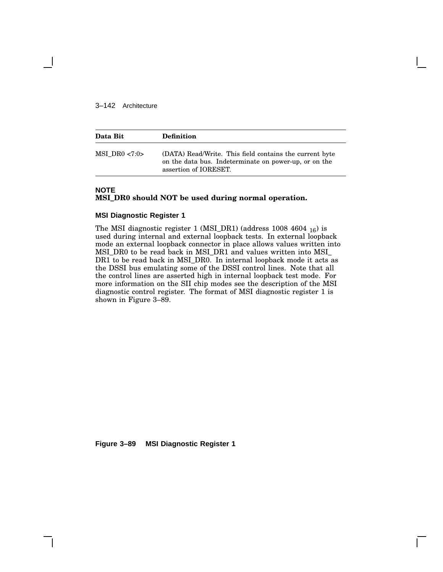#### 3–142 Architecture

| Data Bit            | <b>Definition</b>                                                                                                                         |
|---------------------|-------------------------------------------------------------------------------------------------------------------------------------------|
| $MSI$ DR0 $\lt 7:0$ | (DATA) Read/Write. This field contains the current byte<br>on the data bus. Indeterminate on power-up, or on the<br>assertion of IORESET. |

### **NOTE**

#### **MSI\_DR0 should NOT be used during normal operation.**

#### **MSI Diagnostic Register 1**

The MSI diagnostic register 1 (MSI\_DR1) (address 1008 4604 <sup>16</sup>) is used during internal and external loopback tests. In external loopback mode an external loopback connector in place allows values written into MSI\_DR0 to be read back in MSI\_DR1 and values written into MSI\_ DR1 to be read back in MSI\_DR0. In internal loopback mode it acts as the DSSI bus emulating some of the DSSI control lines. Note that all the control lines are asserted high in internal loopback test mode. For more information on the SII chip modes see the description of the MSI diagnostic control register. The format of MSI diagnostic register 1 is shown in Figure 3–89.

**Figure 3–89 MSI Diagnostic Register 1**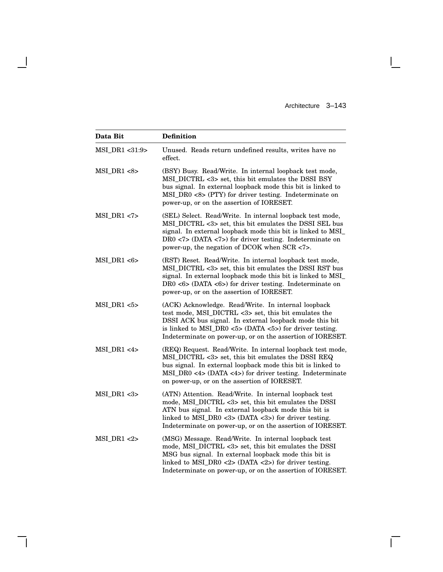Architecture 3–143

 $\mathbf{I}$ 

 $\overline{\Gamma}$ 

| Data Bit       | <b>Definition</b>                                                                                                                                                                                                                                                                                                 |  |
|----------------|-------------------------------------------------------------------------------------------------------------------------------------------------------------------------------------------------------------------------------------------------------------------------------------------------------------------|--|
| MSI DR1 <31:9> | Unused. Reads return undefined results, writes have no<br>effect.                                                                                                                                                                                                                                                 |  |
| MSI DR1 < 8 >  | (BSY) Busy. Read/Write. In internal loopback test mode,<br>MSI_DICTRL <3> set, this bit emulates the DSSI BSY<br>bus signal. In external loopback mode this bit is linked to<br>MSI_DR0 <8> (PTY) for driver testing. Indeterminate on<br>power-up, or on the assertion of IORESET.                               |  |
| $MSI_DRI < 7$  | (SEL) Select. Read/Write. In internal loopback test mode,<br>MSI_DICTRL <3> set, this bit emulates the DSSI SEL bus<br>signal. In external loopback mode this bit is linked to MSI_<br>$DR0$ <7> (DATA <7>) for driver testing. Indeterminate on<br>power-up, the negation of DCOK when SCR <7>.                  |  |
| $MSI_DR1 < 6$  | (RST) Reset. Read/Write. In internal loopback test mode,<br>MSI_DICTRL <3> set, this bit emulates the DSSI RST bus<br>signal. In external loopback mode this bit is linked to MSI_<br>$DR0$ <6> (DATA <6>) for driver testing. Indeterminate on<br>power-up, or on the assertion of IORESET.                      |  |
| $MSI_DRI < 5$  | (ACK) Acknowledge. Read/Write. In internal loopback<br>test mode, MSI_DICTRL <3> set, this bit emulates the<br>DSSI ACK bus signal. In external loopback mode this bit<br>is linked to $MSI_DRO \text{ <5}$ (DATA $\text{<5}$ ) for driver testing.<br>Indeterminate on power-up, or on the assertion of IORESET. |  |
| MSI DR1 < 4    | (REQ) Request. Read/Write. In internal loopback test mode,<br>MSI_DICTRL <3> set, this bit emulates the DSSI REQ<br>bus signal. In external loopback mode this bit is linked to<br>$MSI_DRO \leq 4$ (DATA $\leq 4$ ) for driver testing. Indeterminate<br>on power-up, or on the assertion of IORESET.            |  |
| $MSI_DRI < 3$  | (ATN) Attention. Read/Write. In internal loopback test<br>mode, MSI_DICTRL <3> set, this bit emulates the DSSI<br>ATN bus signal. In external loopback mode this bit is<br>linked to MSI_DR0 <3> (DATA <3>) for driver testing.<br>Indeterminate on power-up, or on the assertion of IORESET.                     |  |
| $MSI_DRI < 2$  | (MSG) Message. Read/Write. In internal loopback test<br>mode, MSI_DICTRL <3> set, this bit emulates the DSSI<br>MSG bus signal. In external loopback mode this bit is<br>linked to MSI_DR0 <2> (DATA <2>) for driver testing.<br>Indeterminate on power-up, or on the assertion of IORESET.                       |  |

 $\overline{\phantom{a}}$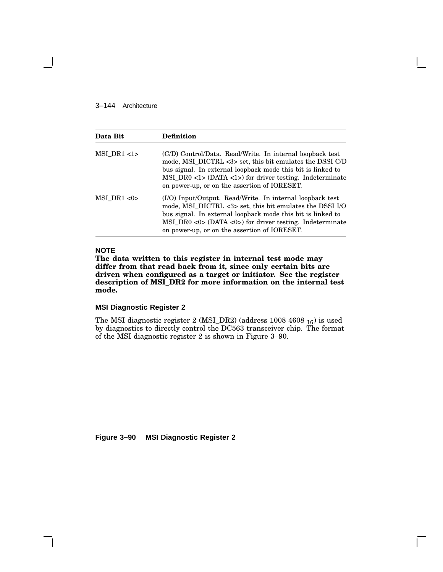#### 3–144 Architecture

| Data Bit      | Definition                                                                                                                                                                                                                                                                                                                 |
|---------------|----------------------------------------------------------------------------------------------------------------------------------------------------------------------------------------------------------------------------------------------------------------------------------------------------------------------------|
| $MSI_DRI <1>$ | (C/D) Control/Data. Read/Write. In internal loopback test<br>mode, MSI_DICTRL <3> set, this bit emulates the DSSI C/D<br>bus signal. In external loopback mode this bit is linked to<br>$MSI_DRO \langle 1 > (DATA \langle 1 > \rangle)$ for driver testing. Indeterminate<br>on power-up, or on the assertion of IORESET. |
| MSI DR1 < 0   | (I/O) Input/Output. Read/Write. In internal loopback test<br>mode, MSI_DICTRL <3> set, this bit emulates the DSSI I/O<br>bus signal. In external loopback mode this bit is linked to<br>MSI DR0 < $0$ > (DATA < $0$ >) for driver testing. Indeterminate<br>on power-up, or on the assertion of IORESET.                   |

### **NOTE**

**The data written to this register in internal test mode may differ from that read back from it, since only certain bits are driven when configured as a target or initiator. See the register description of MSI\_DR2 for more information on the internal test mode.**

### **MSI Diagnostic Register 2**

The MSI diagnostic register 2 (MSI\_DR2) (address  $1008\;4608\;_{16}$ ) is used by diagnostics to directly control the DC563 transceiver chip. The format of the MSI diagnostic register 2 is shown in Figure 3–90.

**Figure 3–90 MSI Diagnostic Register 2**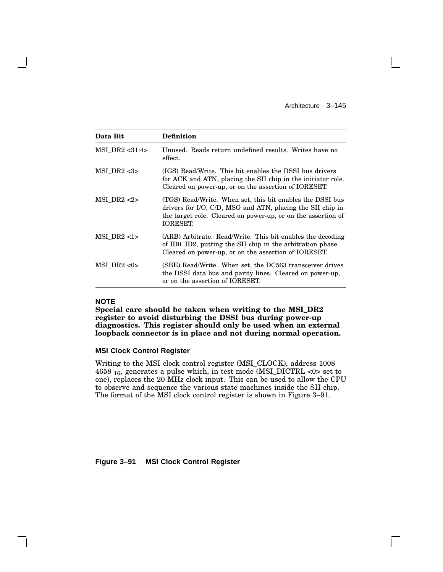Architecture 3–145

 $\mathbf{I}$ 

| Data Bit           | <b>Definition</b>                                                                                                                                                                                          |
|--------------------|------------------------------------------------------------------------------------------------------------------------------------------------------------------------------------------------------------|
| $MSI$ DR2 $<31:4>$ | Unused. Reads return undefined results. Writes have no<br>effect.                                                                                                                                          |
| MSI DR2 < 3        | (IGS) Read/Write. This bit enables the DSSI bus drivers<br>for ACK and ATN, placing the SII chip in the initiator role.<br>Cleared on power-up, or on the assertion of IORESET.                            |
| MSI DR2 < 2        | (TGS) Read/Write. When set, this bit enables the DSSI bus<br>drivers for I/O, C/D, MSG and ATN, placing the SII chip in<br>the target role. Cleared on power-up, or on the assertion of<br><b>IORESET.</b> |
| $MSI$ DR2 <1>      | (ARB) Arbitrate. Read/Write. This bit enables the decoding<br>of ID0ID2, putting the SII chip in the arbitration phase.<br>Cleared on power-up, or on the assertion of IORESET.                            |
| $MSI$ DR2 <0>      | (SBE) Read/Write. When set, the DC563 transceiver drives<br>the DSSI data bus and parity lines. Cleared on power-up,<br>or on the assertion of IORESET.                                                    |

### **NOTE**

**Special care should be taken when writing to the MSI\_DR2 register to avoid disturbing the DSSI bus during power-up diagnostics. This register should only be used when an external loopback connector is in place and not during normal operation.**

#### **MSI Clock Control Register**

Writing to the MSI clock control register (MSI\_CLOCK), address 1008 4658  $_{16}$ , generates a pulse which, in test mode (MSI\_DICTRL <0> set to one), replaces the 20 MHz clock input. This can be used to allow the CPU to observe and sequence the various state machines inside the SII chip. The format of the MSI clock control register is shown in Figure 3–91.

**Figure 3–91 MSI Clock Control Register**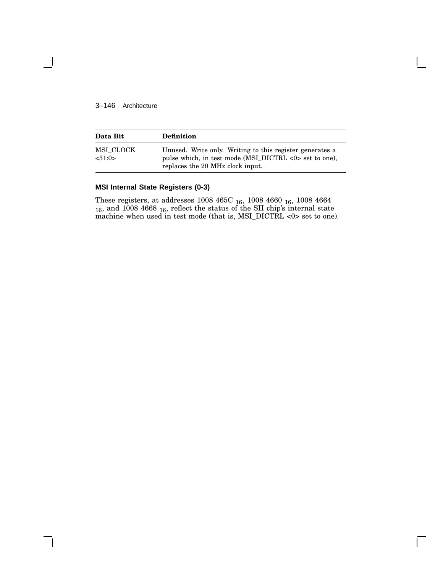#### 3–146 Architecture

| Data Bit             | <b>Definition</b>                                                                                                                                      |
|----------------------|--------------------------------------------------------------------------------------------------------------------------------------------------------|
| MSI CLOCK<br>< 31:0> | Unused. Write only. Writing to this register generates a<br>pulse which, in test mode (MSI_DICTRL <0> set to one),<br>replaces the 20 MHz clock input. |

### **MSI Internal State Registers (0-3)**

These registers, at addresses  $1008\ 465 \mathrm{C}_{\ 16},\ 1008\ 4660\ \mathrm{_{16}},\ 1008\ 4664$  $_{16}$ , and 1008 4668  $_{16}$ , reflect the status of the SII chip's internal state machine when used in test mode (that is, MSI\_DICTRL <0> set to one).

 $\mathbf{L}$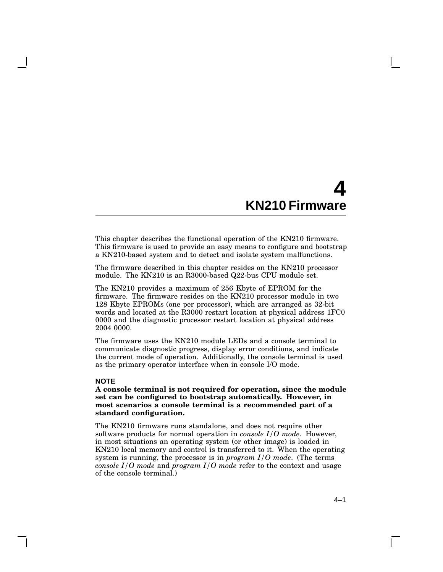This chapter describes the functional operation of the KN210 firmware. This firmware is used to provide an easy means to configure and bootstrap a KN210-based system and to detect and isolate system malfunctions.

The firmware described in this chapter resides on the KN210 processor module. The KN210 is an R3000-based Q22-bus CPU module set.

The KN210 provides a maximum of 256 Kbyte of EPROM for the firmware. The firmware resides on the KN210 processor module in two 128 Kbyte EPROMs (one per processor), which are arranged as 32-bit words and located at the R3000 restart location at physical address 1FC0 0000 and the diagnostic processor restart location at physical address 2004 0000.

The firmware uses the KN210 module LEDs and a console terminal to communicate diagnostic progress, display error conditions, and indicate the current mode of operation. Additionally, the console terminal is used as the primary operator interface when in console I/O mode.

#### **NOTE**

**A console terminal is not required for operation, since the module set can be configured to bootstrap automatically. However, in most scenarios a console terminal is a recommended part of a standard configuration.**

The KN210 firmware runs standalone, and does not require other software products for normal operation in *console I/O mode*. However, in most situations an operating system (or other image) is loaded in KN210 local memory and control is transferred to it. When the operating system is running, the processor is in *program I/O mode*. (The terms *console I/O mode* and *program I/O mode* refer to the context and usage of the console terminal.)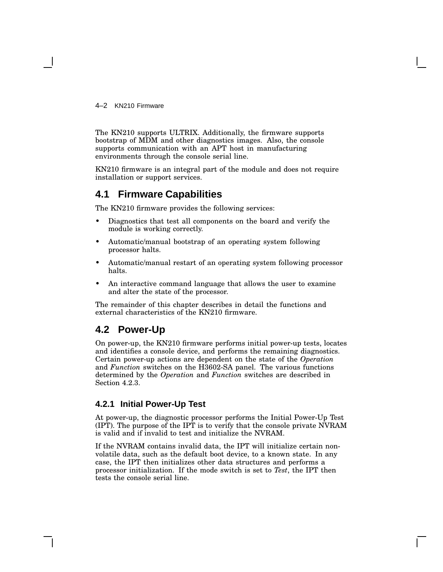4–2 KN210 Firmware

The KN210 supports ULTRIX. Additionally, the firmware supports bootstrap of MDM and other diagnostics images. Also, the console supports communication with an APT host in manufacturing environments through the console serial line.

KN210 firmware is an integral part of the module and does not require installation or support services.

# **4.1 Firmware Capabilities**

The KN210 firmware provides the following services:

- Diagnostics that test all components on the board and verify the module is working correctly.
- Automatic/manual bootstrap of an operating system following processor halts.
- Automatic/manual restart of an operating system following processor halts.
- An interactive command language that allows the user to examine and alter the state of the processor.

The remainder of this chapter describes in detail the functions and external characteristics of the KN210 firmware.

## **4.2 Power-Up**

On power-up, the KN210 firmware performs initial power-up tests, locates and identifies a console device, and performs the remaining diagnostics. Certain power-up actions are dependent on the state of the *Operation* and *Function* switches on the H3602-SA panel. The various functions determined by the *Operation* and *Function* switches are described in Section 4.2.3.

### **4.2.1 Initial Power-Up Test**

At power-up, the diagnostic processor performs the Initial Power-Up Test (IPT). The purpose of the IPT is to verify that the console private NVRAM is valid and if invalid to test and initialize the NVRAM.

If the NVRAM contains invalid data, the IPT will initialize certain nonvolatile data, such as the default boot device, to a known state. In any case, the IPT then initializes other data structures and performs a processor initialization. If the mode switch is set to *Test*, the IPT then tests the console serial line.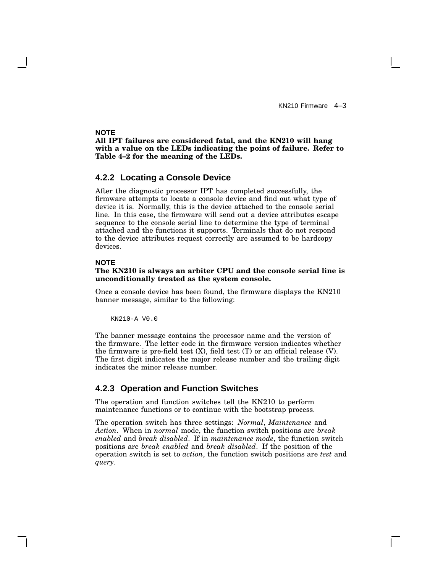#### **NOTE**

**All IPT failures are considered fatal, and the KN210 will hang with a value on the LEDs indicating the point of failure. Refer to Table 4–2 for the meaning of the LEDs.**

#### **4.2.2 Locating a Console Device**

After the diagnostic processor IPT has completed successfully, the firmware attempts to locate a console device and find out what type of device it is. Normally, this is the device attached to the console serial line. In this case, the firmware will send out a device attributes escape sequence to the console serial line to determine the type of terminal attached and the functions it supports. Terminals that do not respond to the device attributes request correctly are assumed to be hardcopy devices.

#### **NOTE**

#### **The KN210 is always an arbiter CPU and the console serial line is unconditionally treated as the system console.**

Once a console device has been found, the firmware displays the KN210 banner message, similar to the following:

KN210-A V0.0

The banner message contains the processor name and the version of the firmware. The letter code in the firmware version indicates whether the firmware is pre-field test  $(X)$ , field test  $(T)$  or an official release  $(V)$ . The first digit indicates the major release number and the trailing digit indicates the minor release number.

### **4.2.3 Operation and Function Switches**

The operation and function switches tell the KN210 to perform maintenance functions or to continue with the bootstrap process.

The operation switch has three settings: *Normal*, *Maintenance* and *Action*. When in *normal* mode, the function switch positions are *break enabled* and *break disabled*. If in *maintenance mode*, the function switch positions are *break enabled* and *break disabled*. If the position of the operation switch is set to *action*, the function switch positions are *test* and *query*.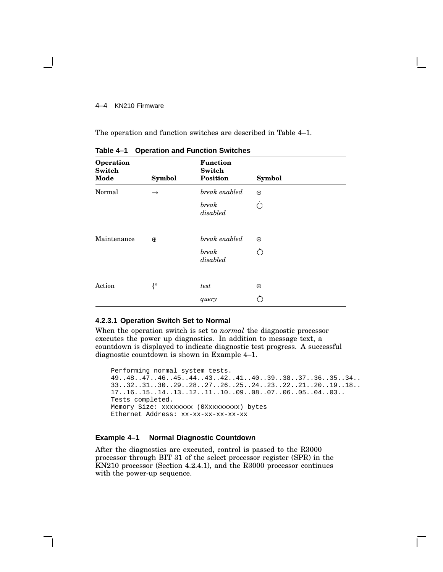#### 4–4 KN210 Firmware

The operation and function switches are described in Table 4–1.

| Operation<br><b>Switch</b><br>Mode | <b>Symbol</b> | <b>Function</b><br>Switch<br><b>Position</b> | <b>Symbol</b> |  |
|------------------------------------|---------------|----------------------------------------------|---------------|--|
| Normal                             | $\rightarrow$ | break enabled                                | $\odot$       |  |
|                                    |               | break<br>disabled                            | ∩             |  |
| Maintenance                        | $\oplus$      | break enabled                                | $\odot$       |  |
|                                    |               | break<br>disabled                            | ∩             |  |
|                                    |               |                                              |               |  |
| Action                             | {°            | test                                         | $\odot$       |  |
|                                    |               | query                                        | ◠             |  |

**Table 4–1 Operation and Function Switches**

#### **4.2.3.1 Operation Switch Set to Normal**

When the operation switch is set to *normal* the diagnostic processor executes the power up diagnostics. In addition to message text, a countdown is displayed to indicate diagnostic test progress. A successful diagnostic countdown is shown in Example 4–1.

Performing normal system tests. 49..48..47..46..45..44..43..42..41..40..39..38..37..36..35..34.. 33..32..31..30..29..28..27..26..25..24..23..22..21..20..19..18.. 17..16..15..14..13..12..11..10..09..08..07..06..05..04..03.. Tests completed. Memory Size: xxxxxxxx (0Xxxxxxxxx) bytes Ethernet Address: xx-xx-xx-xx-xx-xx

#### **Example 4–1 Normal Diagnostic Countdown**

After the diagnostics are executed, control is passed to the R3000 processor through BIT 31 of the select processor register (SPR) in the KN210 processor (Section 4.2.4.1), and the R3000 processor continues with the power-up sequence.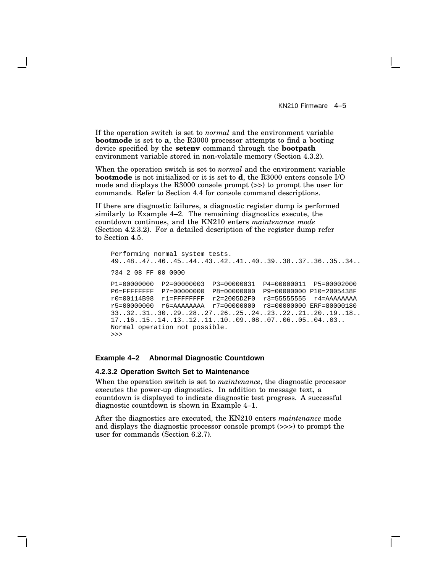If the operation switch is set to *normal* and the environment variable **bootmode** is set to **a**, the R3000 processor attempts to find a booting device specified by the **setenv** command through the **bootpath** environment variable stored in non-volatile memory (Section 4.3.2).

When the operation switch is set to *normal* and the environment variable **bootmode** is not initialized or it is set to **d**, the R3000 enters console I/O mode and displays the R3000 console prompt (>>) to prompt the user for commands. Refer to Section 4.4 for console command descriptions.

If there are diagnostic failures, a diagnostic register dump is performed similarly to Example 4–2. The remaining diagnostics execute, the countdown continues, and the KN210 enters *maintenance mode* (Section 4.2.3.2). For a detailed description of the register dump refer to Section 4.5.

```
Performing normal system tests.
49..48..47..46..45..44..43..42..41..40..39..38..37..36..35..34..
?34 2 08 FF 00 0000
P1=00000000 P2=00000003 P3=00000031 P4=00000011 P5=00002000
P6=FFFFFFFF P7=00000000 P8=00000000 P9=00000000 P10=2005438F
r0=00114B98 r1=FFFFFFFF r2=2005D2F0 r3=55555555 r4=AAAAAAAA
r5=00000000 r6=AAAAAAAA r7=00000000 r8=00000000 ERF=80000180
33..32..31..30..29..28..27..26..25..24..23..22..21..20..19..18..
17..16..15..14..13..12..11..10..09..08..07..06..05..04..03..
Normal operation not possible.
>>>
```
#### **Example 4–2 Abnormal Diagnostic Countdown**

#### **4.2.3.2 Operation Switch Set to Maintenance**

When the operation switch is set to *maintenance*, the diagnostic processor executes the power-up diagnostics. In addition to message text, a countdown is displayed to indicate diagnostic test progress. A successful diagnostic countdown is shown in Example 4–1.

After the diagnostics are executed, the KN210 enters *maintenance* mode and displays the diagnostic processor console prompt (>>>) to prompt the user for commands (Section 6.2.7).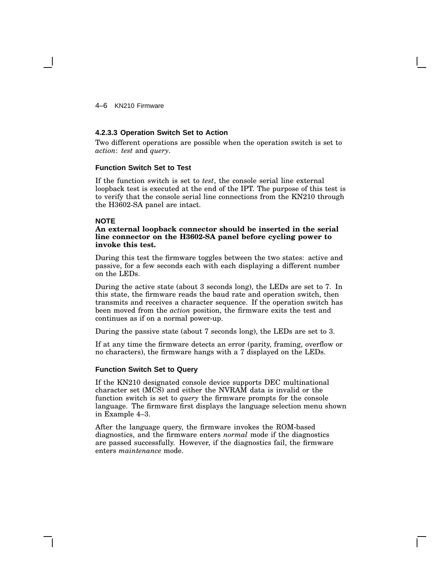4–6 KN210 Firmware

#### **4.2.3.3 Operation Switch Set to Action**

Two different operations are possible when the operation switch is set to *action*: *test* and *query*.

#### **Function Switch Set to Test**

If the function switch is set to *test*, the console serial line external loopback test is executed at the end of the IPT. The purpose of this test is to verify that the console serial line connections from the KN210 through the H3602-SA panel are intact.

#### **NOTE**

#### **An external loopback connector should be inserted in the serial line connector on the H3602-SA panel before cycling power to invoke this test.**

During this test the firmware toggles between the two states: active and passive, for a few seconds each with each displaying a different number on the LEDs.

During the active state (about 3 seconds long), the LEDs are set to 7. In this state, the firmware reads the baud rate and operation switch, then transmits and receives a character sequence. If the operation switch has been moved from the *action* position, the firmware exits the test and continues as if on a normal power-up.

During the passive state (about 7 seconds long), the LEDs are set to 3.

If at any time the firmware detects an error (parity, framing, overflow or no characters), the firmware hangs with a 7 displayed on the LEDs.

#### **Function Switch Set to Query**

If the KN210 designated console device supports DEC multinational character set (MCS) and either the NVRAM data is invalid or the function switch is set to *query* the firmware prompts for the console language. The firmware first displays the language selection menu shown in Example 4–3.

After the language query, the firmware invokes the ROM-based diagnostics, and the firmware enters *normal* mode if the diagnostics are passed successfully. However, if the diagnostics fail, the firmware enters *maintenance* mode.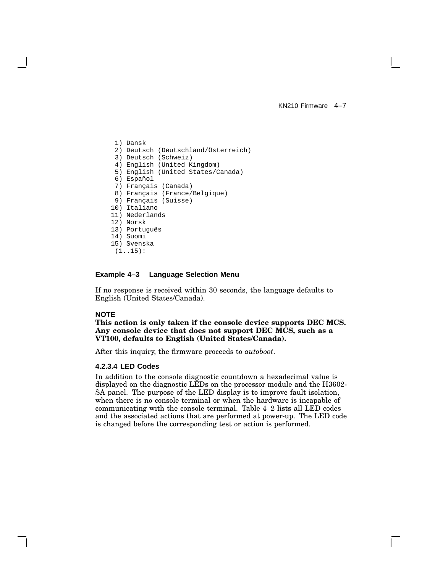1) Dansk 2) Deutsch (Deutschland/Österreich) 3) Deutsch (Schweiz) 4) English (United Kingdom) 5) English (United States/Canada) 6) Español 7) Français (Canada) 8) Français (France/Belgique) 9) Français (Suisse) 10) Italiano 11) Nederlands 12) Norsk 13) Português 14) Suomi 15) Svenska (1..15):

#### **Example 4–3 Language Selection Menu**

If no response is received within 30 seconds, the language defaults to English (United States/Canada).

#### **NOTE**

**This action is only taken if the console device supports DEC MCS. Any console device that does not support DEC MCS, such as a VT100, defaults to English (United States/Canada).**

After this inquiry, the firmware proceeds to *autoboot*.

#### **4.2.3.4 LED Codes**

In addition to the console diagnostic countdown a hexadecimal value is displayed on the diagnostic LEDs on the processor module and the H3602- SA panel. The purpose of the LED display is to improve fault isolation, when there is no console terminal or when the hardware is incapable of communicating with the console terminal. Table 4–2 lists all LED codes and the associated actions that are performed at power-up. The LED code is changed before the corresponding test or action is performed.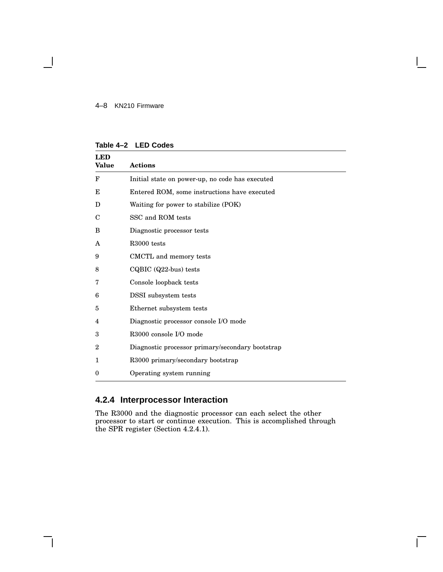#### 4–8 KN210 Firmware

 $\overline{\phantom{0}}$ 

| LED<br>Value | <b>Actions</b>                                   |
|--------------|--------------------------------------------------|
| F            | Initial state on power-up, no code has executed  |
| E            | Entered ROM, some instructions have executed     |
| D            | Waiting for power to stabilize (POK)             |
| C            | SSC and ROM tests                                |
| в            | Diagnostic processor tests                       |
| A            | R <sub>3000</sub> tests                          |
| 9            | CMCTL and memory tests                           |
| 8            | CQBIC (Q22-bus) tests                            |
| 7            | Console loopback tests                           |
| 6            | <b>DSSI</b> subsystem tests                      |
| 5            | Ethernet subsystem tests                         |
| 4            | Diagnostic processor console I/O mode            |
| 3            | R3000 console I/O mode                           |
| 2            | Diagnostic processor primary/secondary bootstrap |
| 1            | R3000 primary/secondary bootstrap                |
| 0            | Operating system running                         |

#### **Table 4–2 LED Codes**

# **4.2.4 Interprocessor Interaction**

The R3000 and the diagnostic processor can each select the other processor to start or continue execution. This is accomplished through the SPR register (Section 4.2.4.1).

 $\overline{\Gamma}$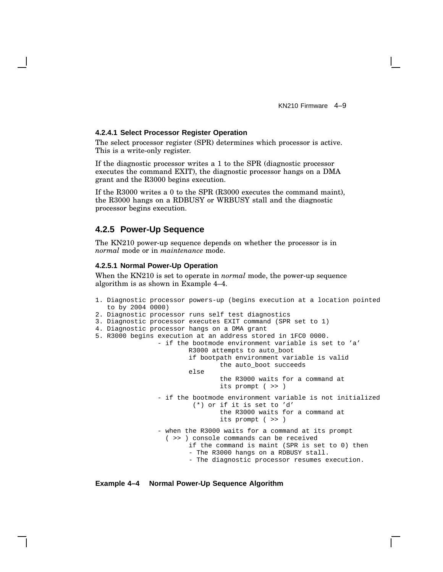#### **4.2.4.1 Select Processor Register Operation**

The select processor register (SPR) determines which processor is active. This is a write-only register.

If the diagnostic processor writes a 1 to the SPR (diagnostic processor executes the command EXIT), the diagnostic processor hangs on a DMA grant and the R3000 begins execution.

If the R3000 writes a 0 to the SPR (R3000 executes the command maint), the R3000 hangs on a RDBUSY or WRBUSY stall and the diagnostic processor begins execution.

#### **4.2.5 Power-Up Sequence**

The KN210 power-up sequence depends on whether the processor is in *normal* mode or in *maintenance* mode.

#### **4.2.5.1 Normal Power-Up Operation**

When the KN210 is set to operate in *normal* mode, the power-up sequence algorithm is as shown in Example 4–4.

```
1. Diagnostic processor powers-up (begins execution at a location pointed
  to by 2004 0000)
2. Diagnostic processor runs self test diagnostics
3. Diagnostic processor executes EXIT command (SPR set to 1)
4. Diagnostic processor hangs on a DMA grant
5. R3000 begins execution at an address stored in 1FC0 0000.
                - if the bootmode environment variable is set to 'a'
                        R3000 attempts to auto_boot
                        if bootpath environment variable is valid
                                the auto_boot succeeds
                        else
                                the R3000 waits for a command at
                                its prompt ( >> )
                - if the bootmode environment variable is not initialized
                         (*) or if it is set to 'd'
                                the R3000 waits for a command at
                                its prompt ( >> )
                - when the R3000 waits for a command at its prompt
                  ( >> ) console commands can be received
                        if the command is maint (SPR is set to 0) then
                        - The R3000 hangs on a RDBUSY stall.
                        - The diagnostic processor resumes execution.
```
#### **Example 4–4 Normal Power-Up Sequence Algorithm**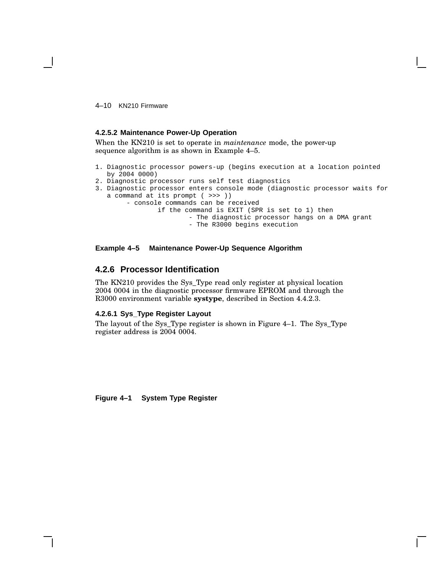4–10 KN210 Firmware

#### **4.2.5.2 Maintenance Power-Up Operation**

When the KN210 is set to operate in *maintenance* mode, the power-up sequence algorithm is as shown in Example 4–5.

- 1. Diagnostic processor powers-up (begins execution at a location pointed by 2004 0000)
- 2. Diagnostic processor runs self test diagnostics
- 3. Diagnostic processor enters console mode (diagnostic processor waits for a command at its prompt ( >>> ))
	- console commands can be received if the command is EXIT (SPR is set to 1) then - The diagnostic processor hangs on a DMA grant - The R3000 begins execution

#### **Example 4–5 Maintenance Power-Up Sequence Algorithm**

### **4.2.6 Processor Identification**

The KN210 provides the Sys\_Type read only register at physical location 2004 0004 in the diagnostic processor firmware EPROM and through the R3000 environment variable **systype**, described in Section 4.4.2.3.

#### **4.2.6.1 Sys\_Type Register Layout**

The layout of the Sys\_Type register is shown in Figure 4–1. The Sys\_Type register address is 2004 0004.

**Figure 4–1 System Type Register**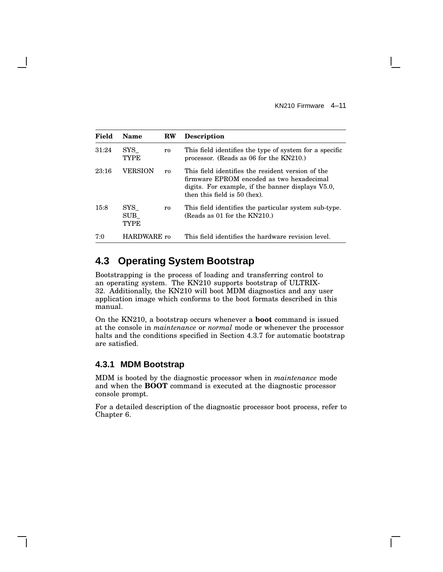| Field | Name                                      | <b>RW</b>      | <b>Description</b>                                                                                                                                                                  |
|-------|-------------------------------------------|----------------|-------------------------------------------------------------------------------------------------------------------------------------------------------------------------------------|
| 31:24 | $_{\rm{SYS}}$<br>TYPE                     | ro             | This field identifies the type of system for a specific<br>processor. (Reads as 06 for the KN210.)                                                                                  |
| 23:16 | VERSION                                   | r <sub>0</sub> | This field identifies the resident version of the<br>firmware EPROM encoded as two hexadecimal<br>digits. For example, if the banner displays V5.0,<br>then this field is 50 (hex). |
| 15:8  | $_{\rm{SYS}}$<br>$\rm SUB$<br><b>TYPE</b> | ro             | This field identifies the particular system sub-type.<br>(Reads as 01 for the $KN210$ .)                                                                                            |
| 7:0   | HARDWARE ro                               |                | This field identifies the hardware revision level.                                                                                                                                  |

# **4.3 Operating System Bootstrap**

Bootstrapping is the process of loading and transferring control to an operating system. The KN210 supports bootstrap of ULTRIX-32. Additionally, the KN210 will boot MDM diagnostics and any user application image which conforms to the boot formats described in this manual.

On the KN210, a bootstrap occurs whenever a **boot** command is issued at the console in *maintenance* or *normal* mode or whenever the processor halts and the conditions specified in Section 4.3.7 for automatic bootstrap are satisfied.

### **4.3.1 MDM Bootstrap**

MDM is booted by the diagnostic processor when in *maintenance* mode and when the **BOOT** command is executed at the diagnostic processor console prompt.

For a detailed description of the diagnostic processor boot process, refer to Chapter 6.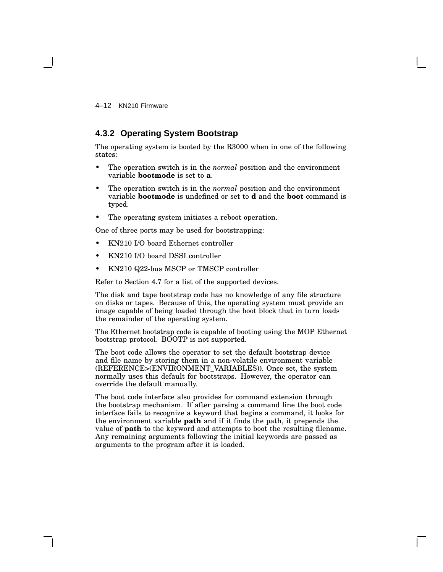4–12 KN210 Firmware

### **4.3.2 Operating System Bootstrap**

The operating system is booted by the R3000 when in one of the following states:

- The operation switch is in the *normal* position and the environment variable **bootmode** is set to **a**.
- The operation switch is in the *normal* position and the environment variable **bootmode** is undefined or set to **d** and the **boot** command is typed.
- The operating system initiates a reboot operation.

One of three ports may be used for bootstrapping:

- KN210 I/O board Ethernet controller
- KN210 I/O board DSSI controller
- KN210 Q22-bus MSCP or TMSCP controller

Refer to Section 4.7 for a list of the supported devices.

The disk and tape bootstrap code has no knowledge of any file structure on disks or tapes. Because of this, the operating system must provide an image capable of being loaded through the boot block that in turn loads the remainder of the operating system.

The Ethernet bootstrap code is capable of booting using the MOP Ethernet bootstrap protocol. BOOTP is not supported.

The boot code allows the operator to set the default bootstrap device and file name by storing them in a non-volatile environment variable (REFERENCE>(ENVIRONMENT\_VARIABLES)). Once set, the system normally uses this default for bootstraps. However, the operator can override the default manually.

The boot code interface also provides for command extension through the bootstrap mechanism. If after parsing a command line the boot code interface fails to recognize a keyword that begins a command, it looks for the environment variable **path** and if it finds the path, it prepends the value of **path** to the keyword and attempts to boot the resulting filename. Any remaining arguments following the initial keywords are passed as arguments to the program after it is loaded.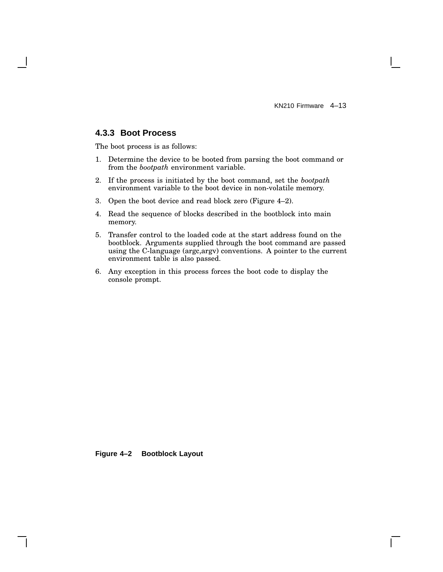### **4.3.3 Boot Process**

The boot process is as follows:

- 1. Determine the device to be booted from parsing the boot command or from the *bootpath* environment variable.
- 2. If the process is initiated by the boot command, set the *bootpath* environment variable to the boot device in non-volatile memory.
- 3. Open the boot device and read block zero (Figure 4–2).
- 4. Read the sequence of blocks described in the bootblock into main memory.
- 5. Transfer control to the loaded code at the start address found on the bootblock. Arguments supplied through the boot command are passed using the C-language (argc,argv) conventions. A pointer to the current environment table is also passed.
- 6. Any exception in this process forces the boot code to display the console prompt.

**Figure 4–2 Bootblock Layout**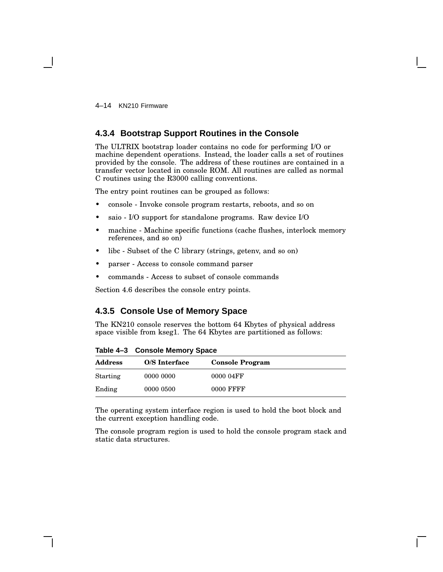4–14 KN210 Firmware

### **4.3.4 Bootstrap Support Routines in the Console**

The ULTRIX bootstrap loader contains no code for performing I/O or machine dependent operations. Instead, the loader calls a set of routines provided by the console. The address of these routines are contained in a transfer vector located in console ROM. All routines are called as normal C routines using the R3000 calling conventions.

The entry point routines can be grouped as follows:

- console Invoke console program restarts, reboots, and so on
- saio I/O support for standalone programs. Raw device I/O
- machine Machine specific functions (cache flushes, interlock memory references, and so on)
- libc Subset of the C library (strings, getenv, and so on)
- parser Access to console command parser
- commands Access to subset of console commands

Section 4.6 describes the console entry points.

### **4.3.5 Console Use of Memory Space**

The KN210 console reserves the bottom 64 Kbytes of physical address space visible from kseg1. The 64 Kbytes are partitioned as follows:

| <b>Address</b> | O/S Interface | <b>Console Program</b> |  |
|----------------|---------------|------------------------|--|
| Starting       | 0000 0000     | 0000 04FF              |  |
| Ending         | 0000 0500     | 0000 FFFF              |  |

**Table 4–3 Console Memory Space**

The operating system interface region is used to hold the boot block and the current exception handling code.

The console program region is used to hold the console program stack and static data structures.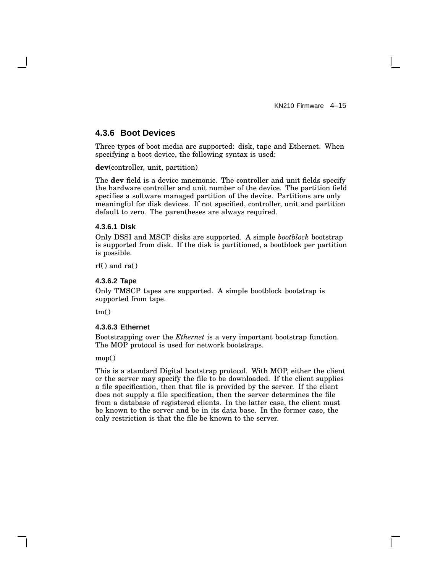### **4.3.6 Boot Devices**

Three types of boot media are supported: disk, tape and Ethernet. When specifying a boot device, the following syntax is used:

**dev**(controller, unit, partition)

The **dev** field is a device mnemonic. The controller and unit fields specify the hardware controller and unit number of the device. The partition field specifies a software managed partition of the device. Partitions are only meaningful for disk devices. If not specified, controller, unit and partition default to zero. The parentheses are always required.

#### **4.3.6.1 Disk**

Only DSSI and MSCP disks are supported. A simple *bootblock* bootstrap is supported from disk. If the disk is partitioned, a bootblock per partition is possible.

rf() and ra()

#### **4.3.6.2 Tape**

Only TMSCP tapes are supported. A simple bootblock bootstrap is supported from tape.

 $tm()$ 

#### **4.3.6.3 Ethernet**

Bootstrapping over the *Ethernet* is a very important bootstrap function. The MOP protocol is used for network bootstraps.

mop()

This is a standard Digital bootstrap protocol. With MOP, either the client or the server may specify the file to be downloaded. If the client supplies a file specification, then that file is provided by the server. If the client does not supply a file specification, then the server determines the file from a database of registered clients. In the latter case, the client must be known to the server and be in its data base. In the former case, the only restriction is that the file be known to the server.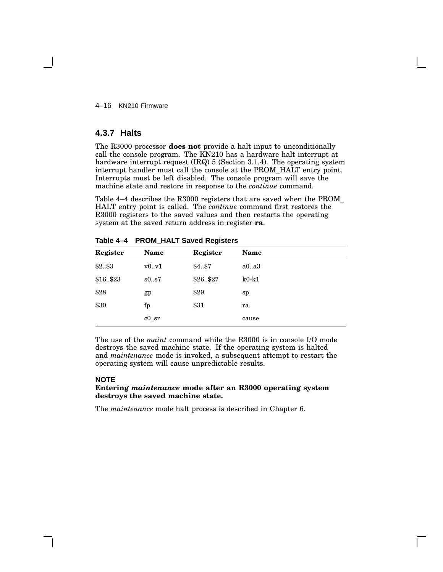4–16 KN210 Firmware

### **4.3.7 Halts**

The R3000 processor **does not** provide a halt input to unconditionally call the console program. The KN210 has a hardware halt interrupt at hardware interrupt request (IRQ) 5 (Section 3.1.4). The operating system interrupt handler must call the console at the PROM\_HALT entry point. Interrupts must be left disabled. The console program will save the machine state and restore in response to the *continue* command.

Table 4–4 describes the R3000 registers that are saved when the PROM\_ HALT entry point is called. The *continue* command first restores the R3000 registers to the saved values and then restarts the operating system at the saved return address in register **ra**.

|          |          | . <u>.</u> |         |  |
|----------|----------|------------|---------|--|
| Register | Name     | Register   | Name    |  |
| \$2\$3   | v0.v1    | \$457      | a0a3    |  |
| \$16\$23 | s0.057   | \$26\$27   | $k0-k1$ |  |
| \$28     | gp       | \$29       | sp      |  |
| \$30     | fp       | \$31       | ra      |  |
|          | $c0$ _sr |            | cause   |  |

**Table 4–4 PROM\_HALT Saved Registers**

The use of the *maint* command while the R3000 is in console I/O mode destroys the saved machine state. If the operating system is halted and *maintenance* mode is invoked, a subsequent attempt to restart the operating system will cause unpredictable results.

#### **NOTE**

#### **Entering** *maintenance* **mode after an R3000 operating system destroys the saved machine state.**

The *maintenance* mode halt process is described in Chapter 6.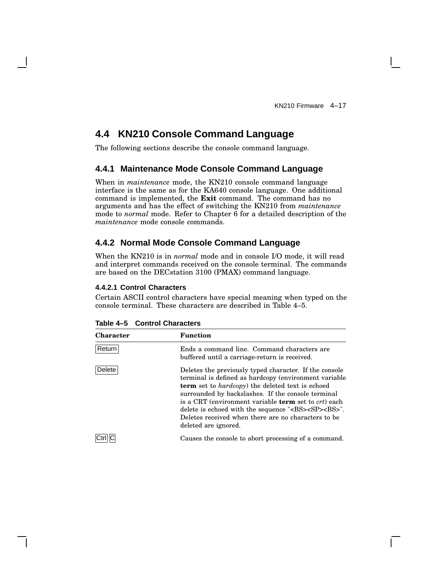# **4.4 KN210 Console Command Language**

The following sections describe the console command language.

### **4.4.1 Maintenance Mode Console Command Language**

When in *maintenance* mode, the KN210 console command language interface is the same as for the KA640 console language. One additional command is implemented, the **Exit** command. The command has no arguments and has the effect of switching the KN210 from *maintenance* mode to *normal* mode. Refer to Chapter 6 for a detailed description of the *maintenance* mode console commands.

### **4.4.2 Normal Mode Console Command Language**

When the KN210 is in *normal* mode and in console I/O mode, it will read and interpret commands received on the console terminal. The commands are based on the DECstation 3100 (PMAX) command language.

#### **4.4.2.1 Control Characters**

Certain ASCII control characters have special meaning when typed on the console terminal. These characters are described in Table 4–5.

| <b>Character</b> | <b>Function</b>                                                                                                                                                                                                                                                                                                                                                                                                                                                        |
|------------------|------------------------------------------------------------------------------------------------------------------------------------------------------------------------------------------------------------------------------------------------------------------------------------------------------------------------------------------------------------------------------------------------------------------------------------------------------------------------|
| Return           | Ends a command line. Command characters are<br>buffered until a carriage-return is received.                                                                                                                                                                                                                                                                                                                                                                           |
| <b>Delete</b>    | Deletes the previously typed character. If the console<br>terminal is defined as hardcopy (environment variable<br><b>term</b> set to <i>hardcopy</i> ) the deleted text is echoed<br>surrounded by backslashes. If the console terminal<br>is a CRT (environment variable <b>term</b> set to <i>crt</i> ) each<br>delete is echoed with the sequence " <bs><sp><bs>".<br/>Deletes received when there are no characters to be<br/>deleted are ignored.</bs></sp></bs> |
|                  | Causes the console to abort processing of a command.                                                                                                                                                                                                                                                                                                                                                                                                                   |

**Table 4–5 Control Characters**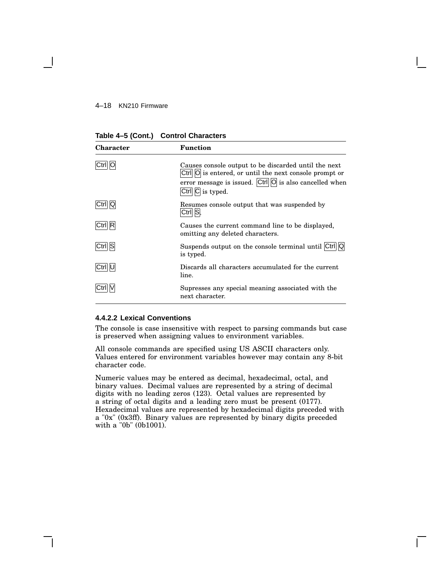#### 4–18 KN210 Firmware

| <b>Character</b> | Function                                                                                                                                                                                                                    |
|------------------|-----------------------------------------------------------------------------------------------------------------------------------------------------------------------------------------------------------------------------|
|                  | Causes console output to be discarded until the next<br>$Ctrl  O $ is entered, or until the next console prompt or<br>error message is issued. $\overline{C}$ trl $\overline{O}$ is also cancelled when<br>Ctrl C is typed. |
|                  | Resumes console output that was suspended by<br>Ctril ISI.                                                                                                                                                                  |
| Ctrll R          | Causes the current command line to be displayed,<br>omitting any deleted characters.                                                                                                                                        |
| Ctrl S           | Suspends output on the console terminal until Ctrl   Q<br>is typed.                                                                                                                                                         |
|                  | Discards all characters accumulated for the current<br>line.                                                                                                                                                                |
|                  | Supresses any special meaning associated with the<br>next character.                                                                                                                                                        |

#### **4.4.2.2 Lexical Conventions**

The console is case insensitive with respect to parsing commands but case is preserved when assigning values to environment variables.

All console commands are specified using US ASCII characters only. Values entered for environment variables however may contain any 8-bit character code.

Numeric values may be entered as decimal, hexadecimal, octal, and binary values. Decimal values are represented by a string of decimal digits with no leading zeros (123). Octal values are represented by a string of octal digits and a leading zero must be present (0177). Hexadecimal values are represented by hexadecimal digits preceded with a "0x" (0x3ff). Binary values are represented by binary digits preceded with a "0b" (0b1001).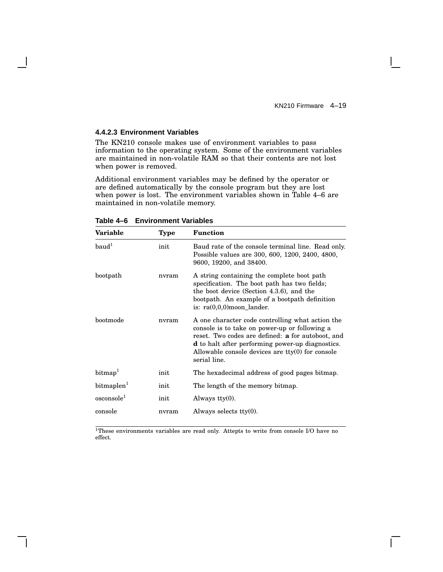#### **4.4.2.3 Environment Variables**

The KN210 console makes use of environment variables to pass information to the operating system. Some of the environment variables are maintained in non-volatile RAM so that their contents are not lost when power is removed.

Additional environment variables may be defined by the operator or are defined automatically by the console program but they are lost when power is lost. The environment variables shown in Table 4–6 are maintained in non-volatile memory.

| Variable               | Type  | <b>Function</b>                                                                                                                                                                                                                                                                                |
|------------------------|-------|------------------------------------------------------------------------------------------------------------------------------------------------------------------------------------------------------------------------------------------------------------------------------------------------|
| baud <sup>1</sup>      | init  | Baud rate of the console terminal line. Read only.<br>Possible values are 300, 600, 1200, 2400, 4800,<br>9600, 19200, and 38400.                                                                                                                                                               |
| bootpath               | nvram | A string containing the complete boot path<br>specification. The boot path has two fields;<br>the boot device (Section 4.3.6), and the<br>bootpath. An example of a bootpath definition<br>is: $ra(0,0,0)$ moon lander.                                                                        |
| bootmode               | nvram | A one character code controlling what action the<br>console is to take on power-up or following a<br>reset. Two codes are defined: <b>a</b> for autoboot, and<br><b>d</b> to halt after performing power-up diagnostics.<br>Allowable console devices are $tty(0)$ for console<br>serial line. |
| $\text{bitmap}^1$      | init  | The hexadecimal address of good pages bitmap.                                                                                                                                                                                                                                                  |
| bitmaplen <sup>1</sup> | init  | The length of the memory bitmap.                                                                                                                                                                                                                                                               |
| oscosole <sup>1</sup>  | init  | Always $\text{tty}(0)$ .                                                                                                                                                                                                                                                                       |
| console                | nvram | Always selects $tty(0)$ .                                                                                                                                                                                                                                                                      |

**Table 4–6 Environment Variables**

<sup>1</sup>These environments variables are read only. Attepts to write from console I/O have no effect.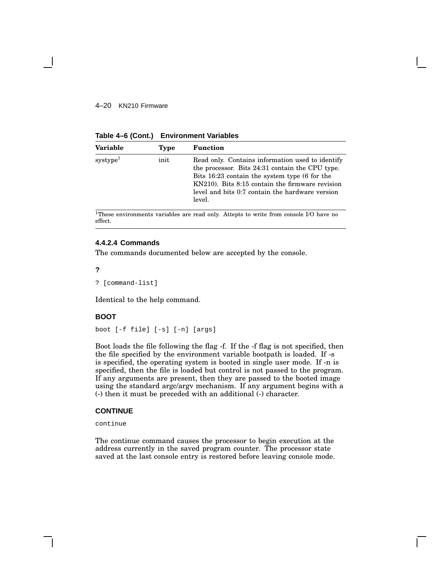#### 4–20 KN210 Firmware

**Table 4–6 (Cont.) Environment Variables**

| <b>Variable</b>      | <b>Type</b> | <b>Function</b>                                                                                                                                                                                                                                                      |
|----------------------|-------------|----------------------------------------------------------------------------------------------------------------------------------------------------------------------------------------------------------------------------------------------------------------------|
| systype <sup>1</sup> | init        | Read only. Contains information used to identify<br>the processor. Bits 24:31 contain the CPU type.<br>Bits 16:23 contain the system type (6 for the<br>KN210). Bits 8:15 contain the firmware revision<br>level and bits 0:7 contain the hardware version<br>level. |

 $^1\!$  These environments variables are read only. Attepts to write from console I/O have no effect.

#### **4.4.2.4 Commands**

The commands documented below are accepted by the console.

#### **?**

? [command-list]

Identical to the help command.

#### **BOOT**

```
boot [-f file] [-s] [-n] [args]
```
Boot loads the file following the flag -f. If the -f flag is not specified, then the file specified by the environment variable bootpath is loaded. If -s is specified, the operating system is booted in single user mode. If -n is specified, then the file is loaded but control is not passed to the program. If any arguments are present, then they are passed to the booted image using the standard argc/argv mechanism. If any argument begins with a (-) then it must be preceded with an additional (-) character.

#### **CONTINUE**

continue

The continue command causes the processor to begin execution at the address currently in the saved program counter. The processor state saved at the last console entry is restored before leaving console mode.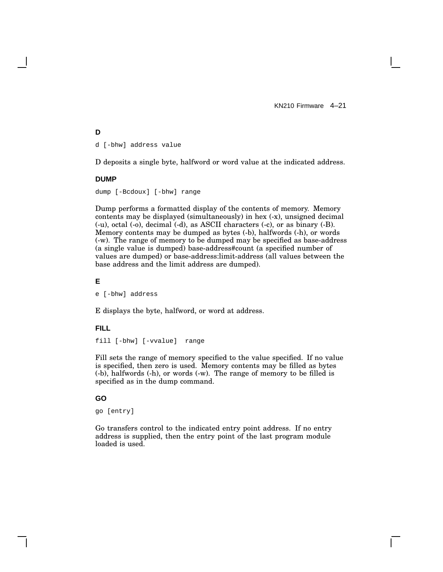#### **D**

d [-bhw] address value

D deposits a single byte, halfword or word value at the indicated address.

#### **DUMP**

dump [-Bcdoux] [-bhw] range

Dump performs a formatted display of the contents of memory. Memory contents may be displayed (simultaneously) in hex (-x), unsigned decimal (-u), octal (-o), decimal (-d), as ASCII characters (-c), or as binary (-B). Memory contents may be dumped as bytes (-b), halfwords (-h), or words (-w). The range of memory to be dumped may be specified as base-address (a single value is dumped) base-address#count (a specified number of values are dumped) or base-address:limit-address (all values between the base address and the limit address are dumped).

#### **E**

e [-bhw] address

E displays the byte, halfword, or word at address.

#### **FILL**

fill [-bhw] [-vvalue] range

Fill sets the range of memory specified to the value specified. If no value is specified, then zero is used. Memory contents may be filled as bytes (-b), halfwords (-h), or words (-w). The range of memory to be filled is specified as in the dump command.

#### **GO**

go [entry]

Go transfers control to the indicated entry point address. If no entry address is supplied, then the entry point of the last program module loaded is used.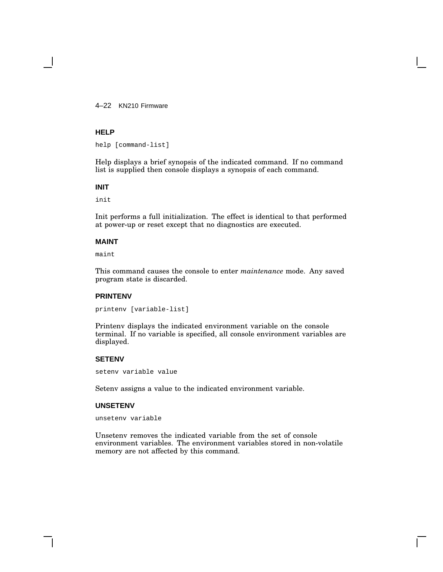4–22 KN210 Firmware

#### **HELP**

help [command-list]

Help displays a brief synopsis of the indicated command. If no command list is supplied then console displays a synopsis of each command.

#### **INIT**

init

Init performs a full initialization. The effect is identical to that performed at power-up or reset except that no diagnostics are executed.

#### **MAINT**

maint

This command causes the console to enter *maintenance* mode. Any saved program state is discarded.

#### **PRINTENV**

printenv [variable-list]

Printenv displays the indicated environment variable on the console terminal. If no variable is specified, all console environment variables are displayed.

#### **SETENV**

setenv variable value

Setenv assigns a value to the indicated environment variable.

#### **UNSETENV**

unsetenv variable

Unsetenv removes the indicated variable from the set of console environment variables. The environment variables stored in non-volatile memory are not affected by this command.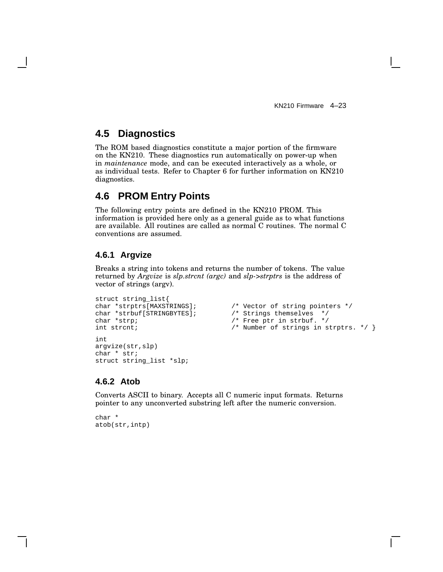# **4.5 Diagnostics**

The ROM based diagnostics constitute a major portion of the firmware on the KN210. These diagnostics run automatically on power-up when in *maintenance* mode, and can be executed interactively as a whole, or as individual tests. Refer to Chapter 6 for further information on KN210 diagnostics.

# **4.6 PROM Entry Points**

The following entry points are defined in the KN210 PROM. This information is provided here only as a general guide as to what functions are available. All routines are called as normal C routines. The normal C conventions are assumed.

### **4.6.1 Argvize**

Breaks a string into tokens and returns the number of tokens. The value returned by *Argvize* is *slp.strcnt (argc)* and *slp->strptrs* is the address of vector of strings (argv).

```
struct string_list{
char *strptrs[MAXSTRINGS]; \qquad /* Vector of string pointers */<br>char *strbuf[STRINGBYTES]; \qquad /* Strings themselves */
char *strbuf[STRINGBYTES]; /* Strings themselves */
char *strp; \sqrt{a} /* Free ptr in strbuf. */
int strcnt; \left\langle \begin{array}{cc} \bullet & \bullet \end{array} \right. \left\langle \begin{array}{c} \star \end{array} \right. Number of strings in strptrs. \left. \begin{array}{c} \star \end{array} \right\rangleint
argvize(str,slp)
char * str;
struct string_list *slp;
```
### **4.6.2 Atob**

Converts ASCII to binary. Accepts all C numeric input formats. Returns pointer to any unconverted substring left after the numeric conversion.

char \* atob(str,intp)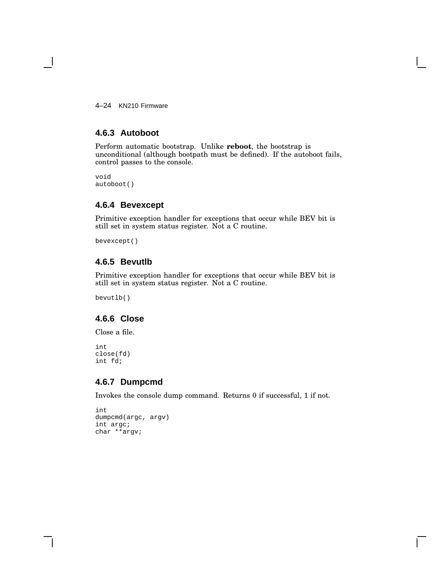4–24 KN210 Firmware

### **4.6.3 Autoboot**

Perform automatic bootstrap. Unlike **reboot**, the bootstrap is unconditional (although bootpath must be defined). If the autoboot fails, control passes to the console.

void autoboot()

# **4.6.4 Bevexcept**

Primitive exception handler for exceptions that occur while BEV bit is still set in system status register. Not a C routine.

bevexcept()

### **4.6.5 Bevutlb**

Primitive exception handler for exceptions that occur while BEV bit is still set in system status register. Not a C routine.

bevutlb()

### **4.6.6 Close**

Close a file.

```
int
close(fd)
int fd;
```
### **4.6.7 Dumpcmd**

Invokes the console dump command. Returns 0 if successful, 1 if not.

```
int
dumpcmd(argc, argv)
int argc;
char **argv;
```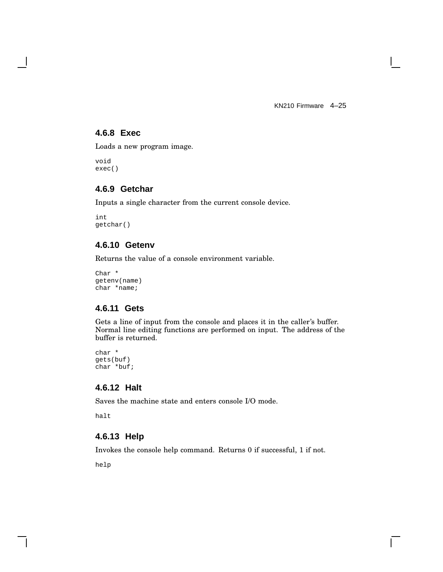$\mathbf{L}$ 

### **4.6.8 Exec**

Loads a new program image.

void exec()

 $\mathsf{l}$ 

### **4.6.9 Getchar**

Inputs a single character from the current console device.

int getchar()

### **4.6.10 Getenv**

Returns the value of a console environment variable.

Char \* getenv(name) char \*name;

### **4.6.11 Gets**

Gets a line of input from the console and places it in the caller's buffer. Normal line editing functions are performed on input. The address of the buffer is returned.

char \* gets(buf) char \*buf;

### **4.6.12 Halt**

Saves the machine state and enters console I/O mode.

halt

### **4.6.13 Help**

Invokes the console help command. Returns 0 if successful, 1 if not.

help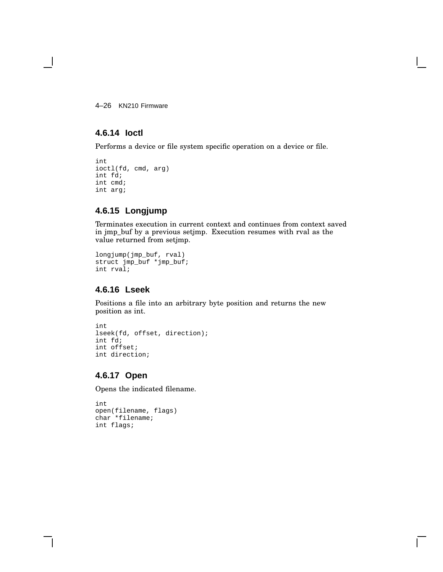4–26 KN210 Firmware

### **4.6.14 Ioctl**

Performs a device or file system specific operation on a device or file.

```
int
ioctl(fd, cmd, arg)
int fd;
int cmd;
int arg;
```
### **4.6.15 Longjump**

Terminates execution in current context and continues from context saved in jmp\_buf by a previous setjmp. Execution resumes with rval as the value returned from setjmp.

```
longjump(jmp_buf, rval)
struct jmp_buf *jmp_buf;
int rval;
```
### **4.6.16 Lseek**

Positions a file into an arbitrary byte position and returns the new position as int.

```
int
lseek(fd, offset, direction);
int fd;
int offset;
int direction;
```
### **4.6.17 Open**

Opens the indicated filename.

```
int
open(filename, flags)
char *filename;
int flags;
```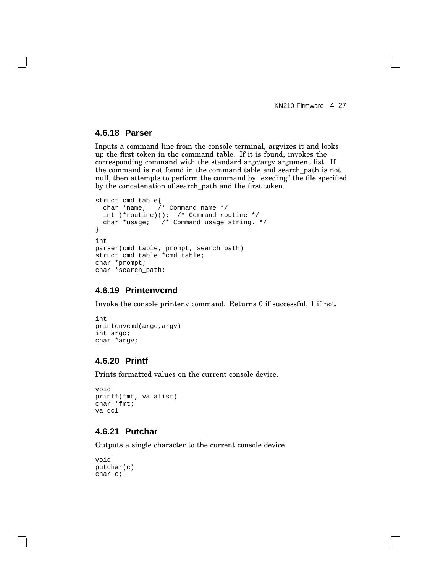### **4.6.18 Parser**

Inputs a command line from the console terminal, argvizes it and looks up the first token in the command table. If it is found, invokes the corresponding command with the standard argc/argv argument list. If the command is not found in the command table and search\_path is not null, then attempts to perform the command by "exec'ing" the file specified by the concatenation of search\_path and the first token.

```
struct cmd_table{<br>char *name; /
               /* Command name */int (*routine)(); /* Command routine */
  char *usage; /* Command usage string. */
}
int
parser(cmd_table, prompt, search_path)
struct cmd table *cmd table;
char *prompt;
char *search_path;
```
#### **4.6.19 Printenvcmd**

Invoke the console printenv command. Returns 0 if successful, 1 if not.

```
int
printenvcmd(argc,argv)
int argc;
char *argv;
```
### **4.6.20 Printf**

Prints formatted values on the current console device.

```
void
printf(fmt, va_alist)
char *fmt;
va_dcl
```
### **4.6.21 Putchar**

Outputs a single character to the current console device.

```
void
putchar(c)
char c;
```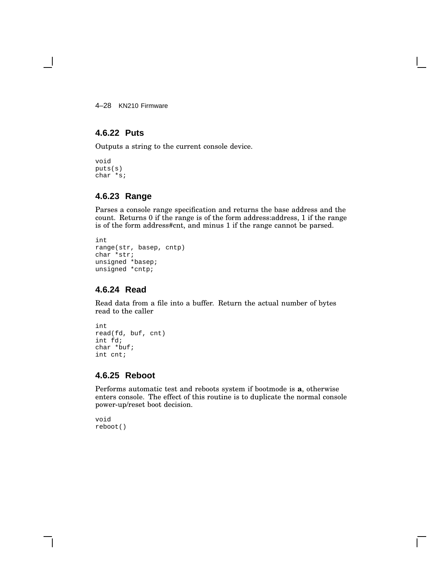4–28 KN210 Firmware

# **4.6.22 Puts**

Outputs a string to the current console device.

void puts(s) char \*s;

# **4.6.23 Range**

Parses a console range specification and returns the base address and the count. Returns 0 if the range is of the form address:address, 1 if the range is of the form address#cnt, and minus 1 if the range cannot be parsed.

```
int
range(str, basep, cntp)
char *str;
unsigned *basep;
unsigned *cntp;
```
# **4.6.24 Read**

Read data from a file into a buffer. Return the actual number of bytes read to the caller

```
int
read(fd, buf, cnt)
int fd;
char *buf;
int cnt;
```
# **4.6.25 Reboot**

Performs automatic test and reboots system if bootmode is **a**, otherwise enters console. The effect of this routine is to duplicate the normal console power-up/reset boot decision.

void reboot()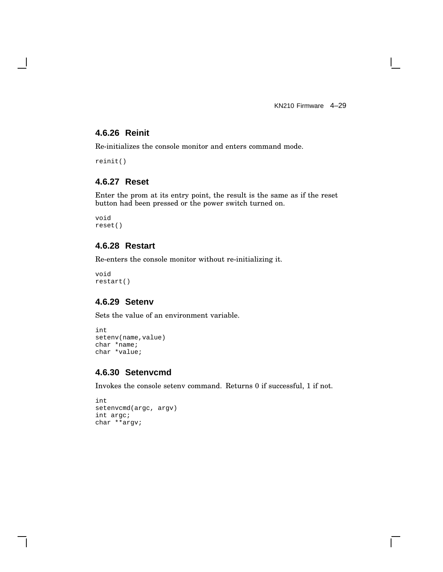KN210 Firmware 4–29

 $\mathbf{I}$ 

# **4.6.26 Reinit**

Re-initializes the console monitor and enters command mode.

reinit()

# **4.6.27 Reset**

Enter the prom at its entry point, the result is the same as if the reset button had been pressed or the power switch turned on.

void reset()

# **4.6.28 Restart**

Re-enters the console monitor without re-initializing it.

void restart()

# **4.6.29 Setenv**

Sets the value of an environment variable.

```
int
setenv(name, value)
char *name;
char *value;
```
# **4.6.30 Setenvcmd**

Invokes the console setenv command. Returns 0 if successful, 1 if not.

```
int
setenvcmd(argc, argv)
int argc;
char **argv;
```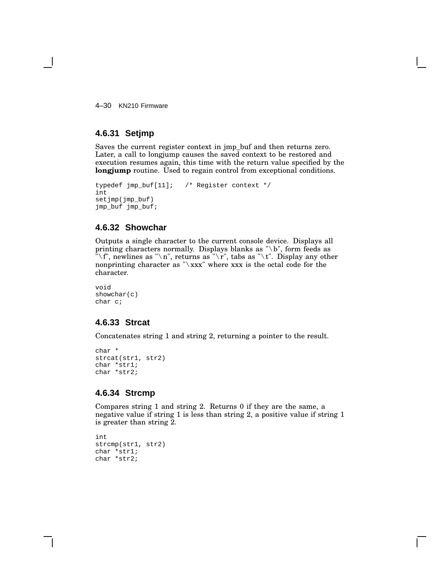4–30 KN210 Firmware

# **4.6.31 Setjmp**

Saves the current register context in jmp\_buf and then returns zero. Later, a call to longjump causes the saved context to be restored and execution resumes again, this time with the return value specified by the **longjump** routine. Used to regain control from exceptional conditions.

```
typedef jmp_buf[11]; /* Register context */
int
setjmp(jmp_buf)
jmp_buf jmp_buf;
```
# **4.6.32 Showchar**

Outputs a single character to the current console device. Displays all printing characters normally. Displays blanks as "\b", form feeds as "\f", newlines as "\n", returns as "\r", tabs as "\t". Display any other nonprinting character as " $\x$ xxx" where xxx is the octal code for the character.

```
void
showchar(c)
char c;
```
# **4.6.33 Strcat**

Concatenates string 1 and string 2, returning a pointer to the result.

```
char *
strcat(str1, str2)
char *str1;
char *str2;
```
# **4.6.34 Strcmp**

Compares string 1 and string 2. Returns 0 if they are the same, a negative value if string 1 is less than string 2, a positive value if string 1 is greater than string 2.

```
int
strcmp(str1, str2)
char *str1;
char *str2;
```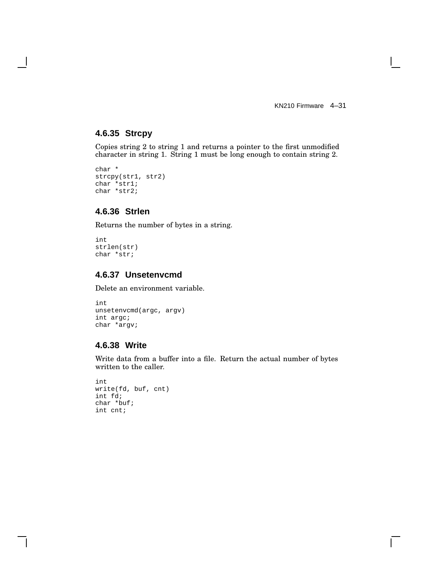KN210 Firmware 4–31

 $\mathbf{I}$ 

# **4.6.35 Strcpy**

Copies string 2 to string 1 and returns a pointer to the first unmodified character in string 1. String 1 must be long enough to contain string 2.

```
char *
strcpy(str1, str2)
char *str1;
char *str2;
```
# **4.6.36 Strlen**

Returns the number of bytes in a string.

```
int
strlen(str)
char *str;
```
# **4.6.37 Unsetenvcmd**

Delete an environment variable.

```
int
unsetenvcmd(argc, argv)
int argc;
char *argv;
```
# **4.6.38 Write**

Write data from a buffer into a file. Return the actual number of bytes written to the caller.

```
int
write(fd, buf, cnt)
int fd;
char *buf;
int cnt;
```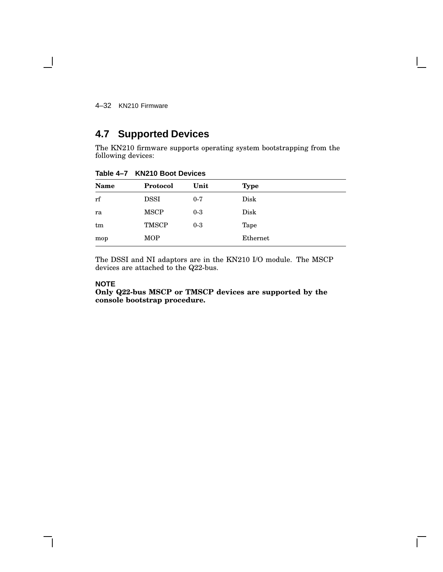4–32 KN210 Firmware

 $\blacksquare$ 

# **4.7 Supported Devices**

The KN210 firmware supports operating system bootstrapping from the following devices:

| <b>Name</b> | Protocol     | Unit    | <b>Type</b> |  |
|-------------|--------------|---------|-------------|--|
| rf          | <b>DSSI</b>  | $0 - 7$ | Disk        |  |
| ra          | <b>MSCP</b>  | $0-3$   | Disk        |  |
| tm          | <b>TMSCP</b> | $0-3$   | Tape        |  |
| mop         | <b>MOP</b>   |         | Ethernet    |  |

**Table 4–7 KN210 Boot Devices**

The DSSI and NI adaptors are in the KN210 I/O module. The MSCP devices are attached to the Q22-bus.

### **NOTE**

**Only Q22-bus MSCP or TMSCP devices are supported by the console bootstrap procedure.**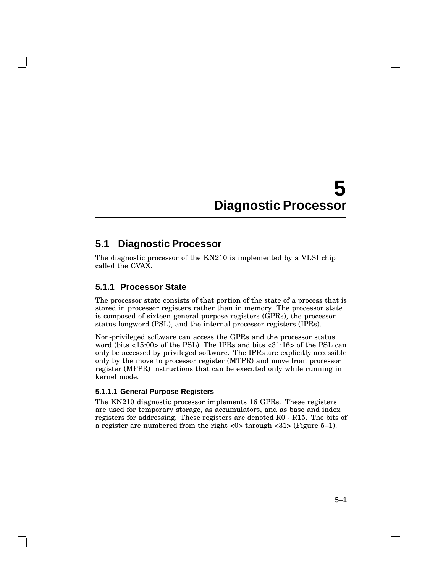# **5 Diagnostic Processor**

# **5.1 Diagnostic Processor**

The diagnostic processor of the KN210 is implemented by a VLSI chip called the CVAX.

# **5.1.1 Processor State**

The processor state consists of that portion of the state of a process that is stored in processor registers rather than in memory. The processor state is composed of sixteen general purpose registers (GPRs), the processor status longword (PSL), and the internal processor registers (IPRs).

Non-privileged software can access the GPRs and the processor status word (bits <15:00> of the PSL). The IPRs and bits <31:16> of the PSL can only be accessed by privileged software. The IPRs are explicitly accessible only by the move to processor register (MTPR) and move from processor register (MFPR) instructions that can be executed only while running in kernel mode.

### **5.1.1.1 General Purpose Registers**

The KN210 diagnostic processor implements 16 GPRs. These registers are used for temporary storage, as accumulators, and as base and index registers for addressing. These registers are denoted R0 - R15. The bits of a register are numbered from the right <0> through <31> (Figure 5–1).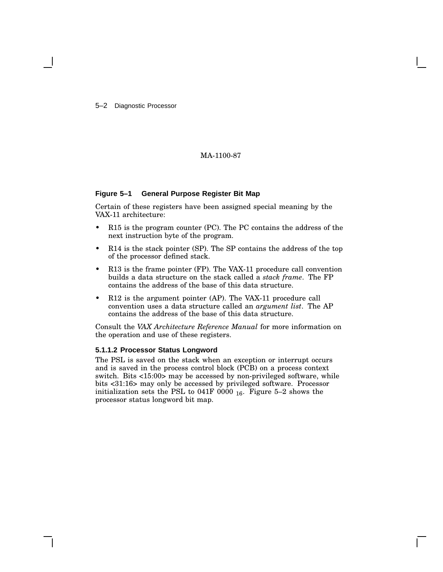5–2 Diagnostic Processor

### MA-1100-87

### **Figure 5–1 General Purpose Register Bit Map**

Certain of these registers have been assigned special meaning by the VAX-11 architecture:

- R15 is the program counter (PC). The PC contains the address of the next instruction byte of the program.
- R14 is the stack pointer (SP). The SP contains the address of the top of the processor defined stack.
- R13 is the frame pointer (FP). The VAX-11 procedure call convention builds a data structure on the stack called a *stack frame*. The FP contains the address of the base of this data structure.
- R12 is the argument pointer (AP). The VAX-11 procedure call convention uses a data structure called an *argument list*. The AP contains the address of the base of this data structure.

Consult the *VAX Architecture Reference Manual* for more information on the operation and use of these registers.

### **5.1.1.2 Processor Status Longword**

The PSL is saved on the stack when an exception or interrupt occurs and is saved in the process control block (PCB) on a process context switch. Bits <15:00> may be accessed by non-privileged software, while bits <31:16> may only be accessed by privileged software. Processor initialization sets the PSL to 041F 0000  $_{16}$ . Figure 5–2 shows the processor status longword bit map.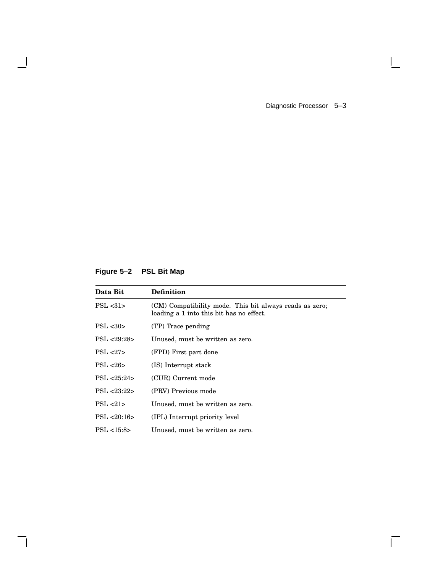Diagnostic Processor 5–3

 $\mathbf{I}$ 

 $\overline{\Gamma}$ 

# **Figure 5–2 PSL Bit Map**

 $\overline{\phantom{a}}$ 

H

| Data Bit          | <b>Definition</b>                                                                                   |
|-------------------|-----------------------------------------------------------------------------------------------------|
| PSL < 31          | (CM) Compatibility mode. This bit always reads as zero;<br>loading a 1 into this bit has no effect. |
| PSL <sub>30</sub> | (TP) Trace pending                                                                                  |
| PSL < 29:28       | Unused, must be written as zero.                                                                    |
| PSL < 27          | (FPD) First part done                                                                               |
| PSL < 26          | (IS) Interrupt stack                                                                                |
| PSL < 25:24       | (CUR) Current mode                                                                                  |
| PSL <23:22>       | (PRV) Previous mode                                                                                 |
| PSL < 21          | Unused, must be written as zero.                                                                    |
| PSL < 20:16       | (IPL) Interrupt priority level                                                                      |
| PSL < 15:8>       | Unused, must be written as zero.                                                                    |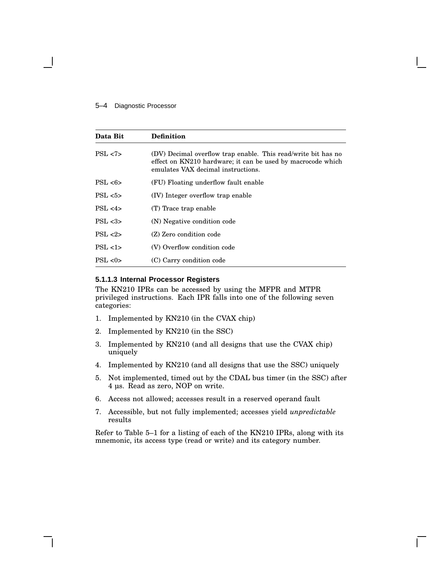### 5–4 Diagnostic Processor

| Data Bit         | <b>Definition</b>                                                                                                                                                  |
|------------------|--------------------------------------------------------------------------------------------------------------------------------------------------------------------|
| PSL < 7          | (DV) Decimal overflow trap enable. This read/write bit has no<br>effect on KN210 hardware; it can be used by macrocode which<br>emulates VAX decimal instructions. |
| PSL < 6          | (FU) Floating underflow fault enable                                                                                                                               |
| PSL < 5          | (IV) Integer overflow trap enable                                                                                                                                  |
| PSL < 4          | (T) Trace trap enable                                                                                                                                              |
| PSL <sub>3</sub> | (N) Negative condition code                                                                                                                                        |
| PSL < 2          | (Z) Zero condition code                                                                                                                                            |
| PSL < 1          | (V) Overflow condition code                                                                                                                                        |
| PSL < 0>         | (C) Carry condition code                                                                                                                                           |

### **5.1.1.3 Internal Processor Registers**

The KN210 IPRs can be accessed by using the MFPR and MTPR privileged instructions. Each IPR falls into one of the following seven categories:

- 1. Implemented by KN210 (in the CVAX chip)
- 2. Implemented by KN210 (in the SSC)
- 3. Implemented by KN210 (and all designs that use the CVAX chip) uniquely
- 4. Implemented by KN210 (and all designs that use the SSC) uniquely
- 5. Not implemented, timed out by the CDAL bus timer (in the SSC) after 4 µs. Read as zero, NOP on write.
- 6. Access not allowed; accesses result in a reserved operand fault
- 7. Accessible, but not fully implemented; accesses yield *unpredictable* results

Refer to Table 5–1 for a listing of each of the KN210 IPRs, along with its mnemonic, its access type (read or write) and its category number.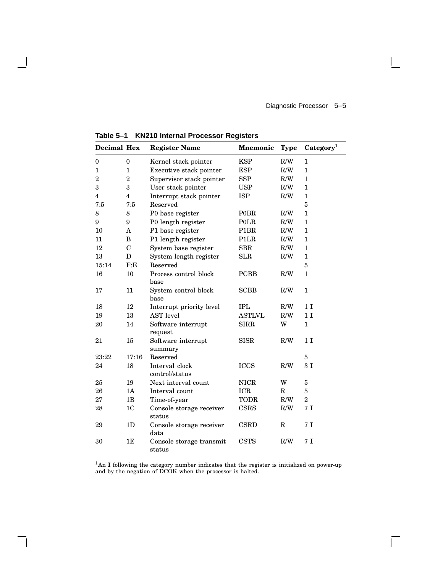Diagnostic Processor 5–5

 $\overline{\Gamma}$ 

| <b>Decimal Hex</b> |                         | <b>Register Name</b>               | <b>Mnemonic</b>   | <b>Type</b>             | Category <sup>1</sup> |
|--------------------|-------------------------|------------------------------------|-------------------|-------------------------|-----------------------|
| 0                  | $\boldsymbol{0}$        | Kernel stack pointer               | <b>KSP</b>        | R/W                     | 1                     |
| 1                  | $\mathbf{1}$            | Executive stack pointer            | <b>ESP</b>        | R/W                     | $\mathbf{1}$          |
| $\overline{2}$     | $\boldsymbol{2}$        | Supervisor stack pointer           | <b>SSP</b>        | R/W                     | $\mathbf{1}$          |
| 3                  | 3                       | User stack pointer                 | <b>USP</b>        | $\rm R/W$               | $\mathbf{1}$          |
| 4                  | $\overline{\mathbf{4}}$ | Interrupt stack pointer            | <b>ISP</b>        | R/W                     | $\mathbf{1}$          |
| 7:5                | 7:5                     | Reserved                           |                   |                         | $\bf 5$               |
| 8                  | 8                       | P0 base register                   | <b>POBR</b>       | $\rm R/W$               | $\mathbf{1}$          |
| 9                  | 9                       | P0 length register                 | POLR              | R/W                     | $\mathbf{1}$          |
| 10                 | A                       | P1 base register                   | P <sub>1</sub> BR | $\rm R/W$               | $\mathbf{1}$          |
| 11                 | B                       | P1 length register                 | P1LR              | $\mathbf{R}/\mathbf{W}$ | $\mathbf{1}$          |
| 12                 | $\mathbf C$             | System base register               | <b>SBR</b>        | R/W                     | $\mathbf{1}$          |
| 13                 | D                       | System length register             | SLR               | R/W                     | $\mathbf{1}$          |
| 15:14              | F:E                     | Reserved                           |                   |                         | $\bf 5$               |
| 16                 | 10                      | Process control block<br>base      | <b>PCBB</b>       | R/W                     | $\mathbf{1}$          |
| 17                 | 11                      | System control block<br>base       | <b>SCBB</b>       | R/W                     | $\mathbf{1}$          |
| 18                 | 12                      | Interrupt priority level           | <b>IPL</b>        | R/W                     | 1 <sub>I</sub>        |
| 19                 | 13                      | <b>AST</b> level                   | <b>ASTLVL</b>     | R/W                     | 1 <sub>I</sub>        |
| 20                 | 14                      | Software interrupt<br>request      | <b>SIRR</b>       | W                       | $\mathbf{1}$          |
| 21                 | 15                      | Software interrupt<br>summary      | <b>SISR</b>       | R/W                     | 1 <sub>I</sub>        |
| 23:22              | 17:16                   | Reserved                           |                   |                         | $\bf 5$               |
| 24                 | 18                      | Interval clock<br>control/status   | <b>ICCS</b>       | R/W                     | 3I                    |
| 25                 | 19                      | Next interval count                | <b>NICR</b>       | W                       | $\bf 5$               |
| 26                 | 1A                      | Interval count                     | <b>ICR</b>        | $\mathbf R$             | $\bf 5$               |
| 27                 | 1B                      | Time-of-year                       | <b>TODR</b>       | R/W                     | $\boldsymbol{2}$      |
| 28                 | 1 <sub>C</sub>          | Console storage receiver<br>status | CSRS              | R/W                     | 7I                    |
| 29                 | 1 <sub>D</sub>          | Console storage receiver<br>data   | <b>CSRD</b>       | $\mathbf R$             | 7 <sub>I</sub>        |
| 30                 | 1E                      | Console storage transmit<br>status | <b>CSTS</b>       | R/W                     | 7 <sub>I</sub>        |

**Table 5–1 KN210 Internal Processor Registers**

<sup>1</sup>An I following the category number indicates that the register is initialized on power-up and by the negation of DCOK when the processor is halted.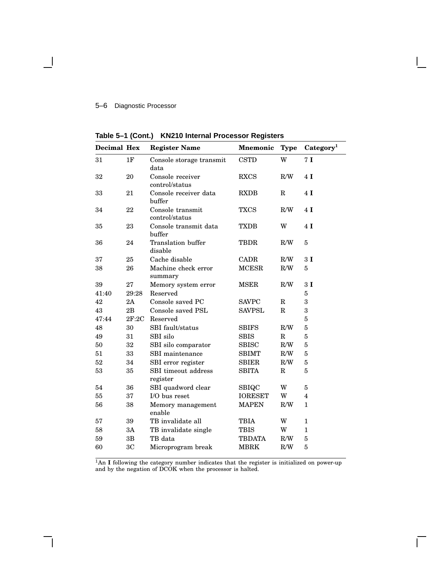# 5–6 Diagnostic Processor

| Decimal Hex |                | <b>Register Name</b>               | <b>Mnemonic</b> | <b>Type</b> | Category <sup>1</sup> |
|-------------|----------------|------------------------------------|-----------------|-------------|-----------------------|
| 31          | 1F             | Console storage transmit<br>data   | <b>CSTD</b>     | W           | 7 <sub>I</sub>        |
| 32          | 20             | Console receiver<br>control/status | <b>RXCS</b>     | R/W         | 4I                    |
| 33          | 21             | Console receiver data<br>buffer    | <b>RXDB</b>     | R           | 4I                    |
| 34          | 22             | Console transmit<br>control/status | <b>TXCS</b>     | R/W         | 4I                    |
| 35          | 23             | Console transmit data<br>buffer    | <b>TXDB</b>     | W           | 4I                    |
| 36          | 24             | Translation buffer<br>disable      | <b>TBDR</b>     | R/W         | 5                     |
| 37          | 25             | Cache disable                      | <b>CADR</b>     | R/W         | 3I                    |
| 38          | 26             | Machine check error<br>summary     | <b>MCESR</b>    | R/W         | 5                     |
| 39          | 27             | Memory system error                | <b>MSER</b>     | R/W         | 3I                    |
| 41:40       | 29:28          | Reserved                           |                 |             | 5                     |
| 42          | 2A             | Console saved PC                   | <b>SAVPC</b>    | $\mathbf R$ | 3                     |
| 43          | 2B             | Console saved PSL                  | <b>SAVPSL</b>   | R           | 3                     |
| 47:44       | 2F:2C          | Reserved                           |                 |             | 5                     |
| 48          | 30             | SBI fault/status                   | SBIFS           | R/W         | 5                     |
| 49          | 31             | SBI silo                           | <b>SBIS</b>     | $\mathbf R$ | 5                     |
| 50          | 32             | SBI silo comparator                | <b>SBISC</b>    | R/W         | 5                     |
| 51          | 33             | SBI maintenance                    | <b>SBIMT</b>    | R/W         | 5                     |
| 52          | 34             | SBI error register                 | <b>SBIER</b>    | R/W         | $\overline{5}$        |
| 53          | 35             | SBI timeout address<br>register    | <b>SBITA</b>    | $\mathbf R$ | 5                     |
| 54          | 36             | SBI quadword clear                 | SBIQC           | W           | 5                     |
| 55          | 37             | I/O bus reset                      | <b>IORESET</b>  | W           | 4                     |
| 56          | 38             | Memory management<br>enable        | <b>MAPEN</b>    | R/W         | 1                     |
| 57          | 39             | TB invalidate all                  | <b>TBIA</b>     | W           | $\mathbf{1}$          |
| 58          | 3A             | TB invalidate single               | <b>TBIS</b>     | W           | $\mathbf{1}$          |
| 59          | 3B             | TB data                            | <b>TBDATA</b>   | $\rm R/W$   | 5                     |
| 60          | 3 <sub>C</sub> | Microprogram break                 | <b>MBRK</b>     | R/W         | 5                     |

**Table 5–1 (Cont.) KN210 Internal Processor Registers**

<sup>1</sup>An I following the category number indicates that the register is initialized on power-up and by the negation of DCOK when the processor is halted.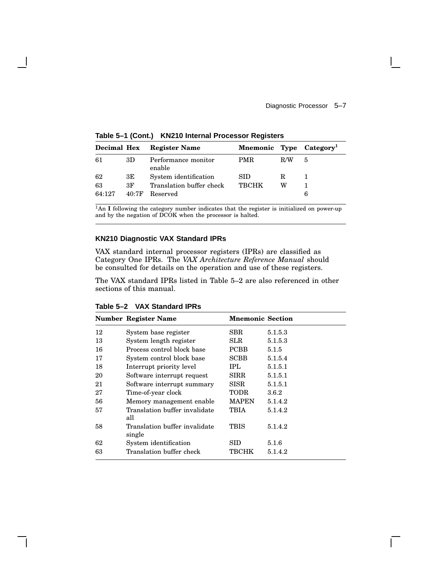| <b>Decimal Hex</b> |       | <b>Register Name</b>          | Mnemonic Type Category |     |   |
|--------------------|-------|-------------------------------|------------------------|-----|---|
| 61                 | 3D    | Performance monitor<br>enable | <b>PMR</b>             | R/W | 5 |
| 62                 | ЗE    | System identification         | SID.                   | R   |   |
| 63                 | 3F    | Translation buffer check      | <b>TRCHK</b>           | w   |   |
| 64:127             | 40.7F | Reserved                      |                        |     | 6 |

**Table 5–1 (Cont.) KN210 Internal Processor Registers**

<sup>1</sup>An **I** following the category number indicates that the register is initialized on power-up and by the negation of DCOK when the processor is halted.

## **KN210 Diagnostic VAX Standard IPRs**

VAX standard internal processor registers (IPRs) are classified as Category One IPRs. The *VAX Architecture Reference Manual* should be consulted for details on the operation and use of these registers.

The VAX standard IPRs listed in Table 5–2 are also referenced in other sections of this manual.

|    | <b>Number Register Name</b>             | <b>Mnemonic Section</b> |         |
|----|-----------------------------------------|-------------------------|---------|
| 12 | System base register                    | $_{\rm SBR}$            | 5.1.5.3 |
| 13 | System length register                  | SLR                     | 5.1.5.3 |
| 16 | Process control block base              | <b>PCBB</b>             | 5.1.5   |
| 17 | System control block base               | <b>SCBB</b>             | 5.1.5.4 |
| 18 | Interrupt priority level                | IPL                     | 5.1.5.1 |
| 20 | Software interrupt request              | SIRR                    | 5.1.5.1 |
| 21 | Software interrupt summary              | <b>SISR</b>             | 5.1.5.1 |
| 27 | Time-of-year clock                      | TODR                    | 3.6.2   |
| 56 | Memory management enable                | <b>MAPEN</b>            | 5.1.4.2 |
| 57 | Translation buffer invalidate<br>all    | TBIA                    | 5.1.4.2 |
| 58 | Translation buffer invalidate<br>single | TBIS                    | 5.1.4.2 |
| 62 | System identification                   | SID                     | 5.1.6   |
| 63 | Translation buffer check                | твснк                   | 5.1.4.2 |

**Table 5–2 VAX Standard IPRs**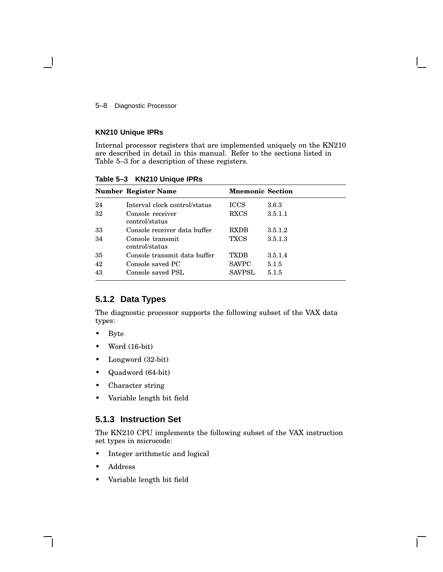5–8 Diagnostic Processor

### **KN210 Unique IPRs**

Internal processor registers that are implemented uniquely on the KN210 are described in detail in this manual. Refer to the sections listed in Table 5–3 for a description of these registers.

|    | Number Register Name               | <b>Mnemonic Section</b> |         |
|----|------------------------------------|-------------------------|---------|
| 24 | Interval clock control/status      | <b>ICCS</b>             | 3.6.3   |
| 32 | Console receiver<br>control/status | <b>RXCS</b>             | 3.5.1.1 |
| 33 | Console receiver data buffer       | <b>RXDB</b>             | 3.5.1.2 |
| 34 | Console transmit<br>control/status | <b>TXCS</b>             | 3.5.1.3 |
| 35 | Console transmit data buffer       | TXDB                    | 3.5.1.4 |
| 42 | Console saved PC                   | <b>SAVPC</b>            | 5.1.5   |
| 43 | Console saved PSL                  | <b>SAVPSL</b>           | 5.1.5   |

**Table 5–3 KN210 Unique IPRs**

# **5.1.2 Data Types**

The diagnostic processor supports the following subset of the VAX data types:

- Byte
- Word (16-bit)
- Longword (32-bit)
- Quadword (64-bit)
- Character string
- Variable length bit field

# **5.1.3 Instruction Set**

The KN210 CPU implements the following subset of the VAX instruction set types in microcode:

- Integer arithmetic and logical
- Address
- Variable length bit field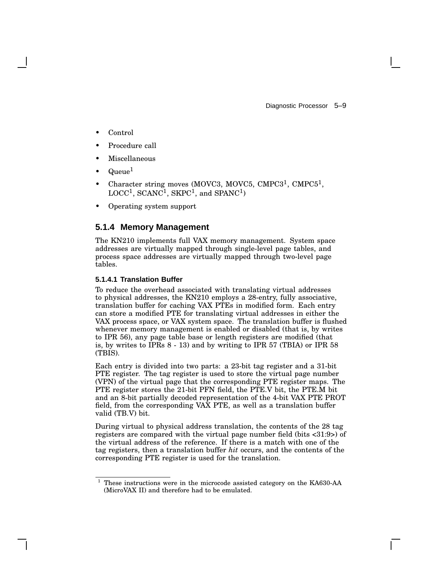Diagnostic Processor 5–9

- Control
- Procedure call
- **Miscellaneous**
- $\rm Queue^1$
- Character string moves (MOVC3, MOVC5, CMPC3<sup>1</sup>, CMPC5<sup>1</sup>,  $\mathrm{LOCC}^{1}, \, \mathrm{SCANC}^{1}, \, \mathrm{SKPC}^{1}, \, \mathrm{and} \, \, \mathrm{SPANC}^{1})$
- Operating system support

# **5.1.4 Memory Management**

The KN210 implements full VAX memory management. System space addresses are virtually mapped through single-level page tables, and process space addresses are virtually mapped through two-level page tables.

### **5.1.4.1 Translation Buffer**

To reduce the overhead associated with translating virtual addresses to physical addresses, the KN210 employs a 28-entry, fully associative, translation buffer for caching VAX PTEs in modified form. Each entry can store a modified PTE for translating virtual addresses in either the VAX process space, or VAX system space. The translation buffer is flushed whenever memory management is enabled or disabled (that is, by writes to IPR 56), any page table base or length registers are modified (that is, by writes to IPRs 8 - 13) and by writing to IPR 57 (TBIA) or IPR 58 (TBIS).

Each entry is divided into two parts: a 23-bit tag register and a 31-bit PTE register. The tag register is used to store the virtual page number (VPN) of the virtual page that the corresponding PTE register maps. The PTE register stores the 21-bit PFN field, the PTE.V bit, the PTE.M bit and an 8-bit partially decoded representation of the 4-bit VAX PTE PROT field, from the corresponding VAX PTE, as well as a translation buffer valid (TB.V) bit.

During virtual to physical address translation, the contents of the 28 tag registers are compared with the virtual page number field (bits <31:9>) of the virtual address of the reference. If there is a match with one of the tag registers, then a translation buffer *hit* occurs, and the contents of the corresponding PTE register is used for the translation.

<sup>1</sup> These instructions were in the microcode assisted category on the KA630-AA (MicroVAX II) and therefore had to be emulated.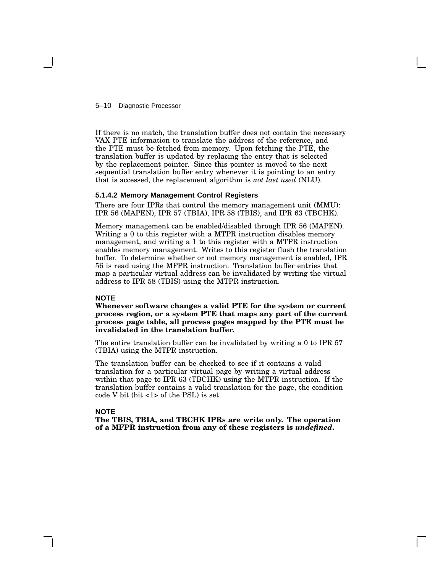5–10 Diagnostic Processor

If there is no match, the translation buffer does not contain the necessary VAX PTE information to translate the address of the reference, and the PTE must be fetched from memory. Upon fetching the PTE, the translation buffer is updated by replacing the entry that is selected by the replacement pointer. Since this pointer is moved to the next sequential translation buffer entry whenever it is pointing to an entry that is accessed, the replacement algorithm is *not last used* (NLU).

### **5.1.4.2 Memory Management Control Registers**

There are four IPRs that control the memory management unit (MMU): IPR 56 (MAPEN), IPR 57 (TBIA), IPR 58 (TBIS), and IPR 63 (TBCHK).

Memory management can be enabled/disabled through IPR 56 (MAPEN). Writing a 0 to this register with a MTPR instruction disables memory management, and writing a 1 to this register with a MTPR instruction enables memory management. Writes to this register flush the translation buffer. To determine whether or not memory management is enabled, IPR 56 is read using the MFPR instruction. Translation buffer entries that map a particular virtual address can be invalidated by writing the virtual address to IPR 58 (TBIS) using the MTPR instruction.

### **NOTE**

**Whenever software changes a valid PTE for the system or current process region, or a system PTE that maps any part of the current process page table, all process pages mapped by the PTE must be invalidated in the translation buffer.**

The entire translation buffer can be invalidated by writing a 0 to IPR 57 (TBIA) using the MTPR instruction.

The translation buffer can be checked to see if it contains a valid translation for a particular virtual page by writing a virtual address within that page to IPR 63 (TBCHK) using the MTPR instruction. If the translation buffer contains a valid translation for the page, the condition code V bit (bit <1> of the PSL) is set.

### **NOTE**

**The TBIS, TBIA, and TBCHK IPRs are write only. The operation of a MFPR instruction from any of these registers is** *undefined***.**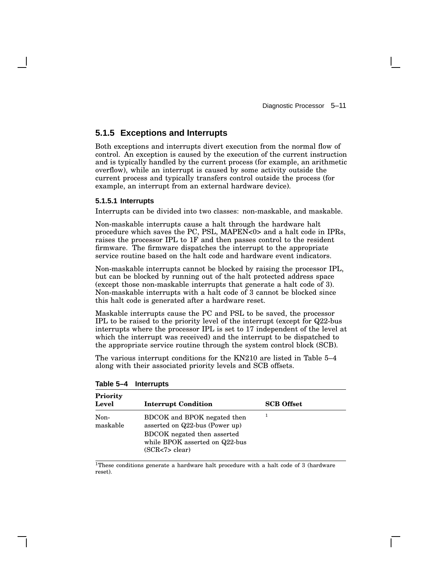# **5.1.5 Exceptions and Interrupts**

Both exceptions and interrupts divert execution from the normal flow of control. An exception is caused by the execution of the current instruction and is typically handled by the current process (for example, an arithmetic overflow), while an interrupt is caused by some activity outside the current process and typically transfers control outside the process (for example, an interrupt from an external hardware device).

### **5.1.5.1 Interrupts**

Interrupts can be divided into two classes: non-maskable, and maskable.

Non-maskable interrupts cause a halt through the hardware halt procedure which saves the PC, PSL, MAPEN<0> and a halt code in IPRs, raises the processor IPL to 1F and then passes control to the resident firmware. The firmware dispatches the interrupt to the appropriate service routine based on the halt code and hardware event indicators.

Non-maskable interrupts cannot be blocked by raising the processor IPL, but can be blocked by running out of the halt protected address space (except those non-maskable interrupts that generate a halt code of 3). Non-maskable interrupts with a halt code of 3 cannot be blocked since this halt code is generated after a hardware reset.

Maskable interrupts cause the PC and PSL to be saved, the processor IPL to be raised to the priority level of the interrupt (except for Q22-bus interrupts where the processor IPL is set to 17 independent of the level at which the interrupt was received) and the interrupt to be dispatched to the appropriate service routine through the system control block (SCB).

The various interrupt conditions for the KN210 are listed in Table 5–4 along with their associated priority levels and SCB offsets.

| Priority<br>Level | <b>Interrupt Condition</b>                                                                                                                          | <b>SCB</b> Offset |
|-------------------|-----------------------------------------------------------------------------------------------------------------------------------------------------|-------------------|
| Non-<br>maskable  | BDCOK and BPOK negated then<br>asserted on Q22-bus (Power up)<br>BDCOK negated then asserted<br>while BPOK asserted on Q22-bus<br>(SCR < 7 > clear) |                   |

**Table 5–4 Interrupts**

<sup>1</sup>These conditions generate a hardware halt procedure with a halt code of 3 (hardware reset).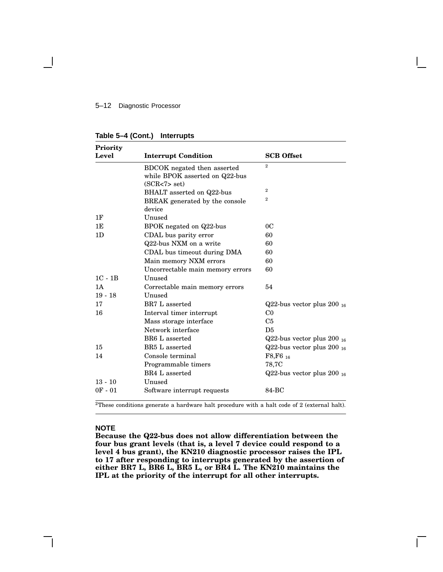### 5–12 Diagnostic Processor

| Table 5-4 (Cont.)<br><b>Interrupts</b> |
|----------------------------------------|
|----------------------------------------|

| Priority       |                                                                                  |                                |
|----------------|----------------------------------------------------------------------------------|--------------------------------|
| Level          | <b>Interrupt Condition</b>                                                       | <b>SCB</b> Offset              |
|                | BDCOK negated then asserted<br>while BPOK asserted on Q22-bus<br>(SCR < 7 > set) | $\overline{2}$                 |
|                | BHALT asserted on Q22-bus                                                        | $\mathbf{2}$                   |
|                | BREAK generated by the console<br>device                                         | $\overline{2}$                 |
| 1F             | Unused                                                                           |                                |
| 1E             | BPOK negated on Q22-bus                                                          | 0C                             |
| 1 <sub>D</sub> | CDAL bus parity error                                                            | 60                             |
|                | Q22-bus NXM on a write                                                           | 60                             |
|                | CDAL bus timeout during DMA                                                      | 60                             |
|                | Main memory NXM errors                                                           | 60                             |
|                | Uncorrectable main memory errors                                                 | 60                             |
| $1C - 1B$      | Unused                                                                           |                                |
| 1A             | Correctable main memory errors                                                   | 54                             |
| $19 - 18$      | Unused                                                                           |                                |
| 17             | BR7 L asserted                                                                   | Q22-bus vector plus $200_{16}$ |
| 16             | Interval timer interrupt                                                         | C <sub>0</sub>                 |
|                | Mass storage interface                                                           | C <sub>5</sub>                 |
|                | Network interface                                                                | D5                             |
|                | BR6 L asserted                                                                   | Q22-bus vector plus $200_{16}$ |
| 15             | BR5 L asserted                                                                   | Q22-bus vector plus $200_{16}$ |
| 14             | Console terminal                                                                 | $F8.F6_{16}$                   |
|                | Programmable timers                                                              | 78,7C                          |
|                | BR4 L asserted                                                                   | Q22-bus vector plus $200_{16}$ |
| $13 - 10$      | Unused                                                                           |                                |
| $0F - 01$      | Software interrupt requests                                                      | 84-BC                          |

<sup>2</sup>These conditions generate a hardware halt procedure with a halt code of 2 (external halt).

#### **NOTE**

**Because the Q22-bus does not allow differentiation between the four bus grant levels (that is, a level 7 device could respond to a level 4 bus grant), the KN210 diagnostic processor raises the IPL to 17 after responding to interrupts generated by the assertion of either BR7 L, BR6 L, BR5 L, or BR4 L. The KN210 maintains the IPL at the priority of the interrupt for all other interrupts.**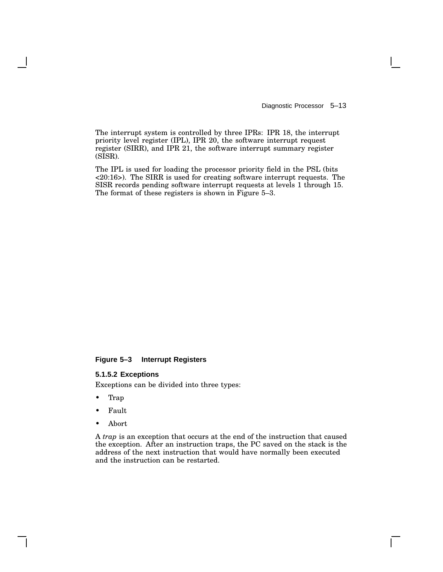Diagnostic Processor 5–13

The interrupt system is controlled by three IPRs: IPR 18, the interrupt priority level register (IPL), IPR 20, the software interrupt request register (SIRR), and IPR 21, the software interrupt summary register (SISR).

The IPL is used for loading the processor priority field in the PSL (bits <20:16>). The SIRR is used for creating software interrupt requests. The SISR records pending software interrupt requests at levels 1 through 15. The format of these registers is shown in Figure 5–3.

### **Figure 5–3 Interrupt Registers**

### **5.1.5.2 Exceptions**

Exceptions can be divided into three types:

- Trap
- Fault
- Abort

A *trap* is an exception that occurs at the end of the instruction that caused the exception. After an instruction traps, the PC saved on the stack is the address of the next instruction that would have normally been executed and the instruction can be restarted.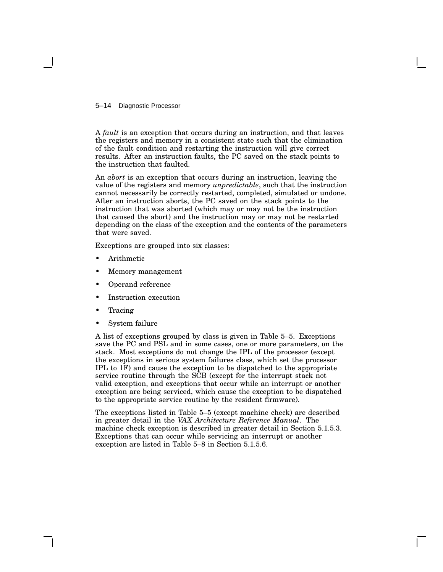#### 5–14 Diagnostic Processor

A *fault* is an exception that occurs during an instruction, and that leaves the registers and memory in a consistent state such that the elimination of the fault condition and restarting the instruction will give correct results. After an instruction faults, the PC saved on the stack points to the instruction that faulted.

An *abort* is an exception that occurs during an instruction, leaving the value of the registers and memory *unpredictable*, such that the instruction cannot necessarily be correctly restarted, completed, simulated or undone. After an instruction aborts, the PC saved on the stack points to the instruction that was aborted (which may or may not be the instruction that caused the abort) and the instruction may or may not be restarted depending on the class of the exception and the contents of the parameters that were saved.

Exceptions are grouped into six classes:

- Arithmetic
- Memory management
- Operand reference
- Instruction execution
- **Tracing**
- System failure

A list of exceptions grouped by class is given in Table 5–5. Exceptions save the PC and PSL and in some cases, one or more parameters, on the stack. Most exceptions do not change the IPL of the processor (except the exceptions in serious system failures class, which set the processor IPL to 1F) and cause the exception to be dispatched to the appropriate service routine through the SCB (except for the interrupt stack not valid exception, and exceptions that occur while an interrupt or another exception are being serviced, which cause the exception to be dispatched to the appropriate service routine by the resident firmware).

The exceptions listed in Table 5–5 (except machine check) are described in greater detail in the *VAX Architecture Reference Manual*. The machine check exception is described in greater detail in Section 5.1.5.3. Exceptions that can occur while servicing an interrupt or another exception are listed in Table 5–8 in Section 5.1.5.6.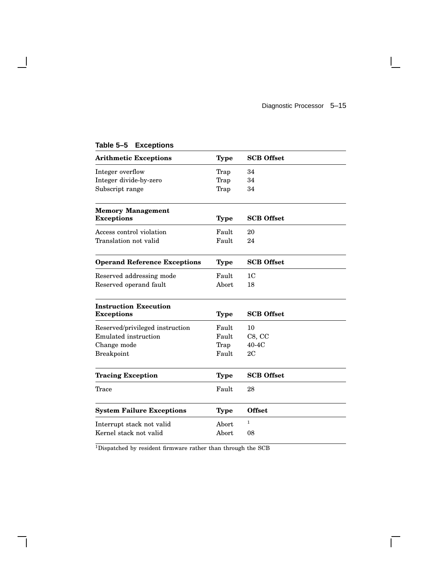$\mathbf{L}$ 

| <b>Arithmetic Exceptions</b>        | <b>Type</b> | <b>SCB</b> Offset |
|-------------------------------------|-------------|-------------------|
| Integer overflow                    | Trap        | 34                |
| Integer divide-by-zero              | Trap        | 34                |
| Subscript range                     | Trap        | 34                |
| <b>Memory Management</b>            |             |                   |
| <b>Exceptions</b>                   | <b>Type</b> | <b>SCB</b> Offset |
| Access control violation            | Fault       | 20                |
| Translation not valid               | Fault       | 24                |
| <b>Operand Reference Exceptions</b> | <b>Type</b> | <b>SCB</b> Offset |
| Reserved addressing mode            | Fault       | 1 <sub>C</sub>    |
| Reserved operand fault              | Abort       | 18                |
| <b>Instruction Execution</b>        |             |                   |
| <b>Exceptions</b>                   | <b>Type</b> | <b>SCB</b> Offset |
| Reserved/privileged instruction     | Fault       | 10                |
| <b>Emulated</b> instruction         | Fault       | C8, C             |
| Change mode                         | Trap        | $40-4C$           |
| <b>Breakpoint</b>                   | Fault       | 2C                |
| <b>Tracing Exception</b>            | <b>Type</b> | <b>SCB</b> Offset |
| Trace                               | Fault       | 28                |
| <b>System Failure Exceptions</b>    | <b>Type</b> | <b>Offset</b>     |
| Interrupt stack not valid           | Abort       | $\mathbf{1}$      |
| Kernel stack not valid              | Abort       | 08                |
|                                     |             |                   |

# **Table 5–5 Exceptions**

 $\mathbf{I}$ 

 $\overline{\rm ^1D}$  is<br>patched by resident firmware rather than through the SCB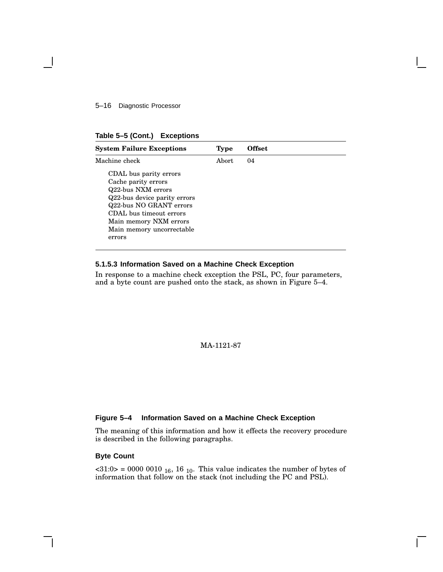5–16 Diagnostic Processor

|  | Table 5-5 (Cont.) |  | <b>Exceptions</b> |
|--|-------------------|--|-------------------|
|--|-------------------|--|-------------------|

| <b>System Failure Exceptions</b>                                                                                                                                                                                           | Type   | Offset |  |
|----------------------------------------------------------------------------------------------------------------------------------------------------------------------------------------------------------------------------|--------|--------|--|
| Machine check                                                                                                                                                                                                              | Abort. | 04     |  |
| CDAL bus parity errors<br>Cache parity errors<br>Q22-bus NXM errors<br>Q22-bus device parity errors<br>Q22-bus NO GRANT errors<br>CDAL bus timeout errors<br>Main memory NXM errors<br>Main memory uncorrectable<br>errors |        |        |  |

### **5.1.5.3 Information Saved on a Machine Check Exception**

In response to a machine check exception the PSL, PC, four parameters, and a byte count are pushed onto the stack, as shown in Figure 5–4.

MA-1121-87

### **Figure 5–4 Information Saved on a Machine Check Exception**

The meaning of this information and how it effects the recovery procedure is described in the following paragraphs.

### **Byte Count**

 $\langle 31:0 \rangle$  = 0000 0010 <sub>16</sub>, 16 <sub>10</sub>. This value indicates the number of bytes of information that follow on the stack (not including the PC and PSL).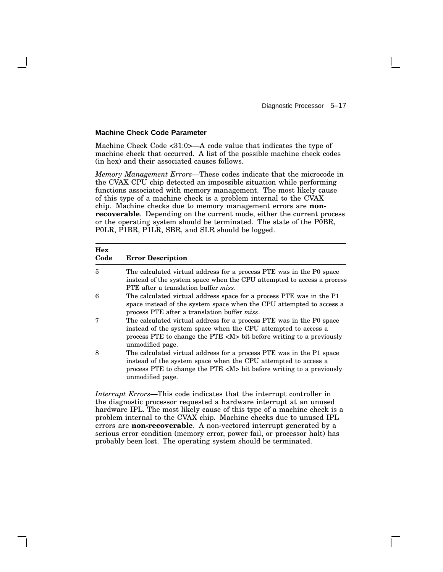### **Machine Check Code Parameter**

Machine Check Code <31:0>—A code value that indicates the type of machine check that occurred. A list of the possible machine check codes (in hex) and their associated causes follows.

*Memory Management Errors*—These codes indicate that the microcode in the CVAX CPU chip detected an impossible situation while performing functions associated with memory management. The most likely cause of this type of a machine check is a problem internal to the CVAX chip. Machine checks due to memory management errors are **nonrecoverable**. Depending on the current mode, either the current process or the operating system should be terminated. The state of the P0BR, P0LR, P1BR, P1LR, SBR, and SLR should be logged.

| <b>Hex</b><br>Code | <b>Error Description</b>                                                                                                                                                                                                                |
|--------------------|-----------------------------------------------------------------------------------------------------------------------------------------------------------------------------------------------------------------------------------------|
| 5                  | The calculated virtual address for a process PTE was in the P0 space<br>instead of the system space when the CPU attempted to access a process<br>PTE after a translation buffer <i>miss</i> .                                          |
| 6                  | The calculated virtual address space for a process PTE was in the P1<br>space instead of the system space when the CPU attempted to access a<br>process PTE after a translation buffer miss.                                            |
| 7                  | The calculated virtual address for a process PTE was in the P0 space<br>instead of the system space when the CPU attempted to access a<br>process PTE to change the PTE <m> bit before writing to a previously<br/>unmodified page.</m> |
| 8                  | The calculated virtual address for a process PTE was in the P1 space<br>instead of the system space when the CPU attempted to access a<br>process PTE to change the PTE <m> bit before writing to a previously<br/>unmodified page.</m> |

*Interrupt Errors*—This code indicates that the interrupt controller in the diagnostic processor requested a hardware interrupt at an unused hardware IPL. The most likely cause of this type of a machine check is a problem internal to the CVAX chip. Machine checks due to unused IPL errors are **non-recoverable**. A non-vectored interrupt generated by a serious error condition (memory error, power fail, or processor halt) has probably been lost. The operating system should be terminated.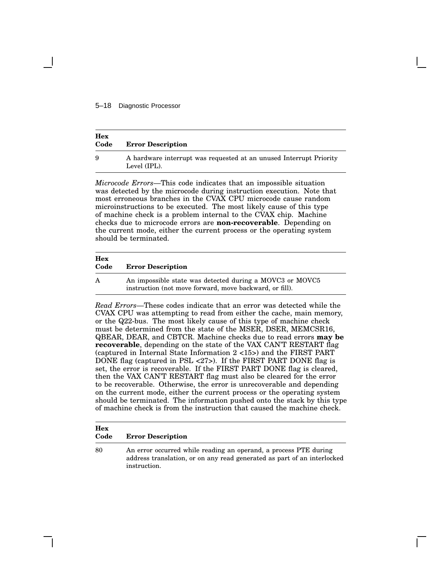### 5–18 Diagnostic Processor

| Hex<br>Code | <b>Error Description</b>                                                           |
|-------------|------------------------------------------------------------------------------------|
| 9           | A hardware interrupt was requested at an unused Interrupt Priority<br>Level (IPL). |

*Microcode Errors*—This code indicates that an impossible situation was detected by the microcode during instruction execution. Note that most erroneous branches in the CVAX CPU microcode cause random microinstructions to be executed. The most likely cause of this type of machine check is a problem internal to the CVAX chip. Machine checks due to microcode errors are **non-recoverable**. Depending on the current mode, either the current process or the operating system should be terminated.

#### **Hex**

#### **Code Error Description**

instruction.

| А | An impossible state was detected during a MOVC3 or MOVC5 |
|---|----------------------------------------------------------|
|   | instruction (not move forward, move backward, or fill).  |

*Read Errors*—These codes indicate that an error was detected while the CVAX CPU was attempting to read from either the cache, main memory, or the Q22-bus. The most likely cause of this type of machine check must be determined from the state of the MSER, DSER, MEMCSR16, QBEAR, DEAR, and CBTCR. Machine checks due to read errors **may be recoverable**, depending on the state of the VAX CAN'T RESTART flag (captured in Internal State Information 2 <15>) and the FIRST PART DONE flag (captured in PSL <27>). If the FIRST PART DONE flag is set, the error is recoverable. If the FIRST PART DONE flag is cleared, then the VAX CAN'T RESTART flag must also be cleared for the error to be recoverable. Otherwise, the error is unrecoverable and depending on the current mode, either the current process or the operating system should be terminated. The information pushed onto the stack by this type of machine check is from the instruction that caused the machine check.

# **Hex Code Error Description** 80 An error occurred while reading an operand, a process PTE during address translation, or on any read generated as part of an interlocked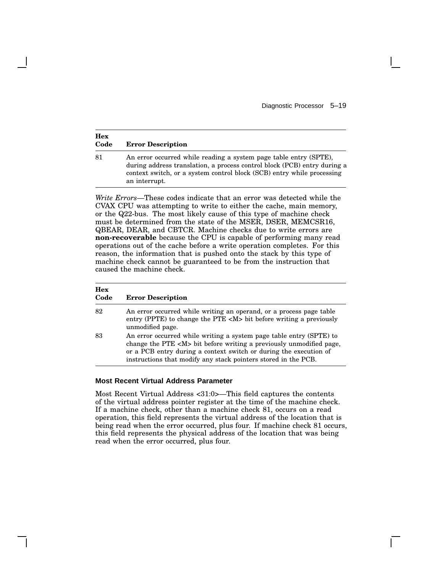| <b>Hex</b><br>Code | <b>Error Description</b>                                                                                                                                                                                                                 |
|--------------------|------------------------------------------------------------------------------------------------------------------------------------------------------------------------------------------------------------------------------------------|
| 81                 | An error occurred while reading a system page table entry (SPTE),<br>during address translation, a process control block (PCB) entry during a<br>context switch, or a system control block (SCB) entry while processing<br>an interrupt. |

*Write Errors*—These codes indicate that an error was detected while the CVAX CPU was attempting to write to either the cache, main memory, or the Q22-bus. The most likely cause of this type of machine check must be determined from the state of the MSER, DSER, MEMCSR16, QBEAR, DEAR, and CBTCR. Machine checks due to write errors are **non-recoverable** because the CPU is capable of performing many read operations out of the cache before a write operation completes. For this reason, the information that is pushed onto the stack by this type of machine check cannot be guaranteed to be from the instruction that caused the machine check.

| Hex<br>Code | <b>Error Description</b>                                                                                                                                                                                                                                                                |
|-------------|-----------------------------------------------------------------------------------------------------------------------------------------------------------------------------------------------------------------------------------------------------------------------------------------|
| 82          | An error occurred while writing an operand, or a process page table<br>entry (PPTE) to change the PTE <m> bit before writing a previously<br/>unmodified page.</m>                                                                                                                      |
| 83          | An error occurred while writing a system page table entry (SPTE) to<br>change the PTE <m> bit before writing a previously unmodified page,<br/>or a PCB entry during a context switch or during the execution of<br/>instructions that modify any stack pointers stored in the PCB.</m> |

### **Most Recent Virtual Address Parameter**

Most Recent Virtual Address <31:0>—This field captures the contents of the virtual address pointer register at the time of the machine check. If a machine check, other than a machine check 81, occurs on a read operation, this field represents the virtual address of the location that is being read when the error occurred, plus four. If machine check 81 occurs, this field represents the physical address of the location that was being read when the error occurred, plus four.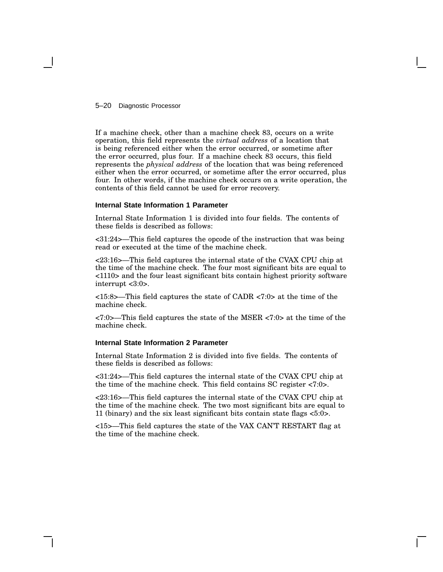### 5–20 Diagnostic Processor

If a machine check, other than a machine check 83, occurs on a write operation, this field represents the *virtual address* of a location that is being referenced either when the error occurred, or sometime after the error occurred, plus four. If a machine check 83 occurs, this field represents the *physical address* of the location that was being referenced either when the error occurred, or sometime after the error occurred, plus four. In other words, if the machine check occurs on a write operation, the contents of this field cannot be used for error recovery.

### **Internal State Information 1 Parameter**

Internal State Information 1 is divided into four fields. The contents of these fields is described as follows:

<31:24>—This field captures the opcode of the instruction that was being read or executed at the time of the machine check.

<23:16>—This field captures the internal state of the CVAX CPU chip at the time of the machine check. The four most significant bits are equal to <1110> and the four least significant bits contain highest priority software interrupt <3:0>.

<15:8>—This field captures the state of CADR <7:0> at the time of the machine check.

<7:0>—This field captures the state of the MSER <7:0> at the time of the machine check.

### **Internal State Information 2 Parameter**

Internal State Information 2 is divided into five fields. The contents of these fields is described as follows:

<31:24>—This field captures the internal state of the CVAX CPU chip at the time of the machine check. This field contains SC register <7:0>.

<23:16>—This field captures the internal state of the CVAX CPU chip at the time of the machine check. The two most significant bits are equal to 11 (binary) and the six least significant bits contain state flags  $\langle 5:0 \rangle$ .

<15>—This field captures the state of the VAX CAN'T RESTART flag at the time of the machine check.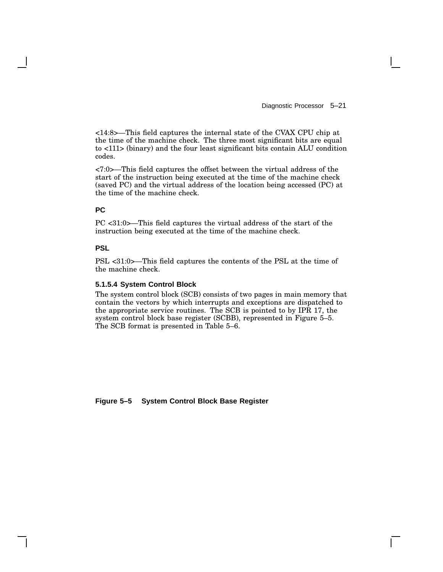Diagnostic Processor 5–21

<14:8>—This field captures the internal state of the CVAX CPU chip at the time of the machine check. The three most significant bits are equal to <111> (binary) and the four least significant bits contain ALU condition codes.

<7:0>—This field captures the offset between the virtual address of the start of the instruction being executed at the time of the machine check (saved PC) and the virtual address of the location being accessed (PC) at the time of the machine check.

# **PC**

PC <31:0>—This field captures the virtual address of the start of the instruction being executed at the time of the machine check.

### **PSL**

PSL <31:0>—This field captures the contents of the PSL at the time of the machine check.

### **5.1.5.4 System Control Block**

The system control block (SCB) consists of two pages in main memory that contain the vectors by which interrupts and exceptions are dispatched to the appropriate service routines. The SCB is pointed to by IPR 17, the system control block base register (SCBB), represented in Figure 5–5. The SCB format is presented in Table 5–6.

**Figure 5–5 System Control Block Base Register**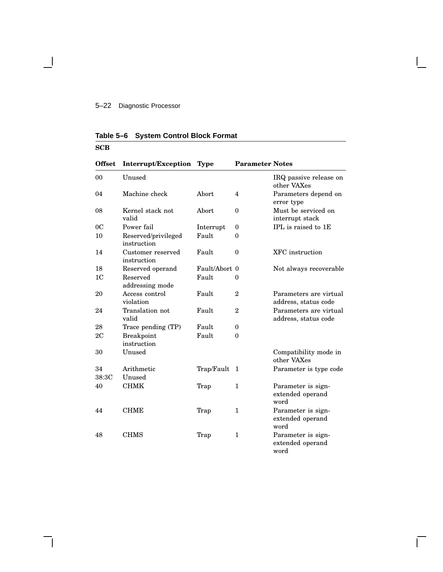**Table 5–6 System Control Block Format**

#### **SCB Offset Interrupt/Exception Type Parameter Notes** 00 Unused IRQ passive release on other VAXes 04 Machine check Abort 4 Parameters depend on error type 08 Kernel stack not valid Abort 0 Must be serviced on interrupt stack 0C Power fail Interrupt 0 IPL is raised to 1E 10 Reserved/privileged instruction Fault 0 14 Customer reserved instruction Fault 0 XFC instruction 18 Reserved operand Fault/Abort 0 Not always recoverable 1C Reserved addressing mode Fault 0 20 Access control violation Fault 2 Parameters are virtual address, status code 24 Translation not valid Fault 2 Parameters are virtual address, status code 28 Trace pending (TP) Fault 0 2C Breakpoint instruction Fault 0 30 Unused Compatibility mode in other VAXes 34 Arithmetic Trap/Fault 1 Parameter is type code 38:3C Unused 40 CHMK Trap 1 Parameter is signextended operand word 44 CHME Trap 1 Parameter is signextended operand word 48 CHMS Trap 1 Parameter is signextended operand word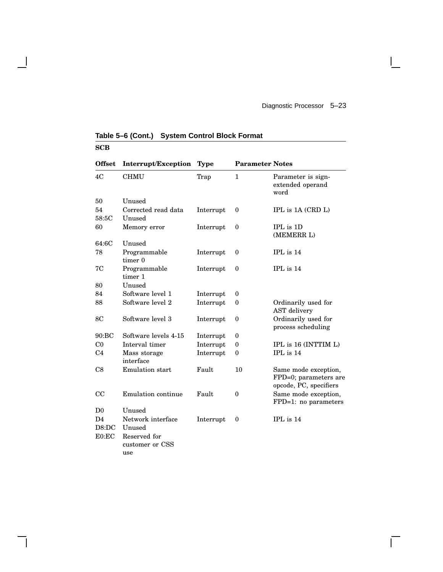### **SCB Offset Interrupt/Exception Type Parameter Notes** 4C CHMU Trap 1 Parameter is signextended operand word 50 Unused 54 Corrected read data Interrupt 0 IPL is 1A (CRD L) 58:5C Unused 60 Memory error Interrupt 0 IPL is 1D (MEMERR L) 64:6C Unused 78 Programmable timer 0 Interrupt 0 IPL is 14 7C Programmable timer 1 Interrupt 0 IPL is 14 80 Unused 84 Software level 1 Interrupt 0 88 Software level 2 Interrupt 0 Ordinarily used for AST delivery 8C Software level 3 Interrupt 0 Ordinarily used for process scheduling 90:BC Software levels 4-15 Interrupt 0 C0 Interval timer Interrupt 0 IPL is 16 (INTTIM L) C4 Mass storage interface Interrupt 0 IPL is 14 C8 Emulation start Fault 10 Same mode exception, FPD=0; parameters are opcode, PC, specifiers CC Emulation continue Fault 0 Same mode exception, FPD=1: no parameters D0 Unused D4 Network interface Interrupt 0 IPL is 14 D8:DC Unused E0:EC Reserved for customer or CSS use

### **Table 5–6 (Cont.) System Control Block Format**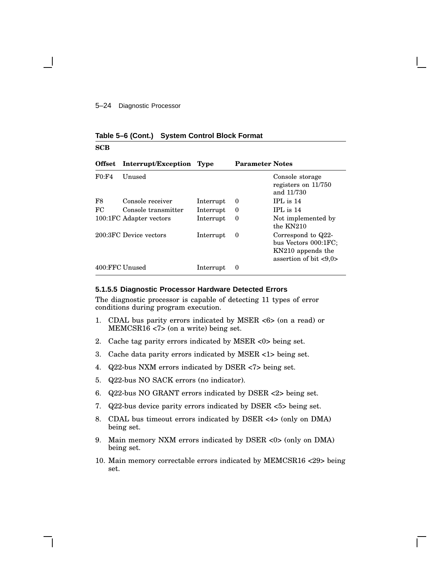### **Table 5–6 (Cont.) System Control Block Format**

### **SCB**

| <b>Offset</b>  | Interrupt/Exception Type |           | <b>Parameter Notes</b> |                                                                                                           |
|----------------|--------------------------|-----------|------------------------|-----------------------------------------------------------------------------------------------------------|
| F0:FA          | <b>Unused</b>            |           |                        | Console storage<br>registers on $11/750$<br>and 11/730                                                    |
| F <sub>8</sub> | Console receiver         | Interrupt | 0                      | $IPL$ is $14$                                                                                             |
| FC.            | Console transmitter      | Interrupt | 0                      | $IPL$ is $14$                                                                                             |
|                | 100:1FC Adapter vectors  | Interrupt | 0                      | Not implemented by<br>the $KN210$                                                                         |
|                | 200:3FC Device vectors   | Interrupt | 0                      | Correspond to Q22-<br>bus Vectors 000:1FC;<br>KN210 appends the<br>assertion of bit $\langle 9,0 \rangle$ |
| 400:FFC Unused |                          | Interrupt | 0                      |                                                                                                           |

### **5.1.5.5 Diagnostic Processor Hardware Detected Errors**

The diagnostic processor is capable of detecting 11 types of error conditions during program execution.

- 1. CDAL bus parity errors indicated by MSER <6> (on a read) or MEMCSR16 <7> (on a write) being set.
- 2. Cache tag parity errors indicated by MSER <0> being set.
- 3. Cache data parity errors indicated by MSER <1> being set.
- 4. Q22-bus NXM errors indicated by DSER <7> being set.
- 5. Q22-bus NO SACK errors (no indicator).
- 6. Q22-bus NO GRANT errors indicated by DSER <2> being set.
- 7. Q22-bus device parity errors indicated by DSER <5> being set.
- 8. CDAL bus timeout errors indicated by DSER <4> (only on DMA) being set.
- 9. Main memory NXM errors indicated by DSER <0> (only on DMA) being set.
- 10. Main memory correctable errors indicated by MEMCSR16 <29> being set.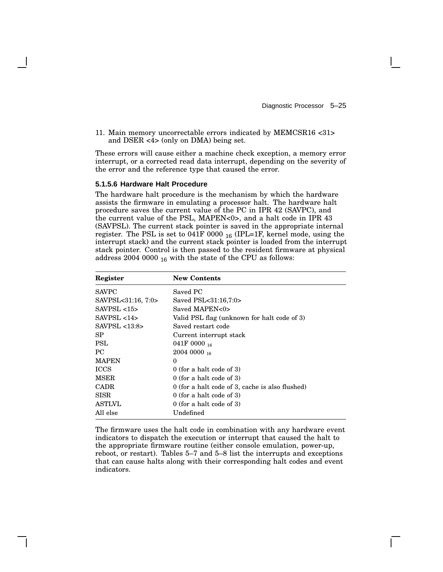11. Main memory uncorrectable errors indicated by MEMCSR16 <31> and DSER <4> (only on DMA) being set.

These errors will cause either a machine check exception, a memory error interrupt, or a corrected read data interrupt, depending on the severity of the error and the reference type that caused the error.

#### **5.1.5.6 Hardware Halt Procedure**

The hardware halt procedure is the mechanism by which the hardware assists the firmware in emulating a processor halt. The hardware halt procedure saves the current value of the PC in IPR 42 (SAVPC), and the current value of the PSL, MAPEN<0>, and a halt code in IPR 43 (SAVPSL). The current stack pointer is saved in the appropriate internal register. The PSL is set to 041F 0000  $_{16}$  (IPL=1F, kernel mode, using the interrupt stack) and the current stack pointer is loaded from the interrupt stack pointer. Control is then passed to the resident firmware at physical address 2004 0000  $_{16}$  with the state of the CPU as follows:

| Register           | <b>New Contents</b>                               |
|--------------------|---------------------------------------------------|
| <b>SAVPC</b>       | Saved PC                                          |
| SAVPSL<31:16, 7:0> | Saved PSL<31:16,7:0>                              |
| SAVPSL < 15        | Saved MAPEN<0>                                    |
| SAVPSL < 14        | Valid PSL flag (unknown for halt code of 3)       |
| $SAVPSL 13:8>$     | Saved restart code                                |
| SP.                | Current interrupt stack                           |
| PSL                | 041F 0000 $_{16}$                                 |
| PC.                | $20040000$ 16                                     |
| <b>MAPEN</b>       | $\theta$                                          |
| <b>ICCS</b>        | $0$ (for a halt code of 3)                        |
| <b>MSER</b>        | $0$ (for a halt code of 3)                        |
| <b>CADR</b>        | $0$ (for a halt code of 3, cache is also flushed) |
| <b>SISR</b>        | $0$ (for a halt code of 3)                        |
| <b>ASTLVL</b>      | $0$ (for a halt code of 3)                        |
| All else           | Undefined                                         |

The firmware uses the halt code in combination with any hardware event indicators to dispatch the execution or interrupt that caused the halt to the appropriate firmware routine (either console emulation, power-up, reboot, or restart). Tables 5–7 and 5–8 list the interrupts and exceptions that can cause halts along with their corresponding halt codes and event indicators.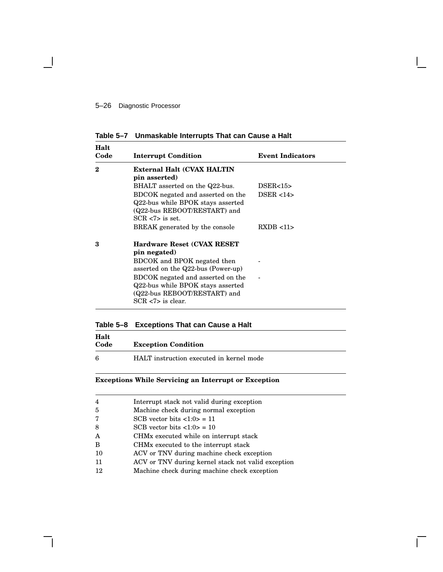**Table 5–7 Unmaskable Interrupts That can Cause a Halt**

| Halt<br>Code | <b>Interrupt Condition</b>                                                                                                    | <b>Event Indicators</b> |
|--------------|-------------------------------------------------------------------------------------------------------------------------------|-------------------------|
| 2            | External Halt (CVAX HALTIN<br>pin asserted)                                                                                   |                         |
|              | BHALT asserted on the Q22-bus.                                                                                                | DSER<15>                |
|              | BDCOK negated and asserted on the<br>Q22-bus while BPOK stays asserted<br>(Q22-bus REBOOT/RESTART) and<br>$SCR < 7$ is set.   | DSER < 14               |
|              | BREAK generated by the console                                                                                                | RXDB < 11               |
| 3            | <b>Hardware Reset (CVAX RESET)</b><br>pin negated)                                                                            |                         |
|              | BDCOK and BPOK negated then<br>asserted on the Q22-bus (Power-up)                                                             |                         |
|              | BDCOK negated and asserted on the<br>Q22-bus while BPOK stays asserted<br>(Q22-bus REBOOT/RESTART) and<br>$SCR < 7$ is clear. |                         |

# **Table 5–8 Exceptions That can Cause a Halt**

| Halt<br>Code | <b>Exception Condition</b>               |
|--------------|------------------------------------------|
| 6            | HALT instruction executed in kernel mode |

# **Exceptions While Servicing an Interrupt or Exception**

| $\overline{4}$ | Interrupt stack not valid during exception         |
|----------------|----------------------------------------------------|
| $\overline{5}$ | Machine check during normal exception              |
| 7              | SCB vector bits $\langle 1:0 \rangle = 11$         |
| 8              | SCB vector bits $\langle 1:0 \rangle = 10$         |
| A              | CHM <sub>x</sub> executed while on interrupt stack |
| B              | CHM <sub>x</sub> executed to the interrupt stack   |
| 10             | ACV or TNV during machine check exception          |
| 11             | ACV or TNV during kernel stack not valid exception |
| 12             | Machine check during machine check exception       |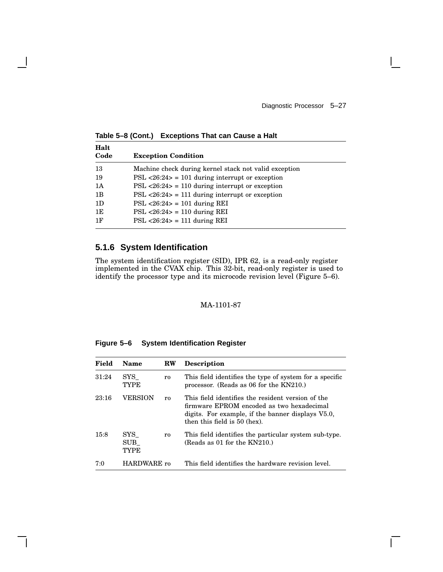**Halt Code Exception Condition** 13 Machine check during kernel stack not valid exception 19 PSL <26:24> = 101 during interrupt or exception 1A PSL <26:24> = 110 during interrupt or exception 1B PSL <26:24> = 111 during interrupt or exception 1D PSL <26:24> = 101 during REI 1E PSL <26:24> = 110 during REI 1F PSL <26:24> = 111 during REI

**Table 5–8 (Cont.) Exceptions That can Cause a Halt**

# **5.1.6 System Identification**

The system identification register (SID), IPR 62, is a read-only register implemented in the CVAX chip. This 32-bit, read-only register is used to identify the processor type and its microcode revision level (Figure 5–6).

### MA-1101-87

| Figure 5-6<br><b>System Identification Register</b> |  |
|-----------------------------------------------------|--|
|-----------------------------------------------------|--|

| Field | Name                               | <b>RW</b>      | <b>Description</b>                                                                                                                                                                  |
|-------|------------------------------------|----------------|-------------------------------------------------------------------------------------------------------------------------------------------------------------------------------------|
| 31:24 | $_{\rm{SYS}}$<br>TYPE              | r0             | This field identifies the type of system for a specific<br>processor. (Reads as $06$ for the KN210.)                                                                                |
| 23:16 | <b>VERSION</b>                     | r <sub>0</sub> | This field identifies the resident version of the<br>firmware EPROM encoded as two hexadecimal<br>digits. For example, if the banner displays V5.0,<br>then this field is 50 (hex). |
| 15:8  | $_{\rm{SYS}}$<br>$\rm SUB$<br>TYPE | r0             | This field identifies the particular system sub-type.<br>(Reads as 01 for the $KN210$ .)                                                                                            |
| 7:0   | HARDWARE ro                        |                | This field identifies the hardware revision level.                                                                                                                                  |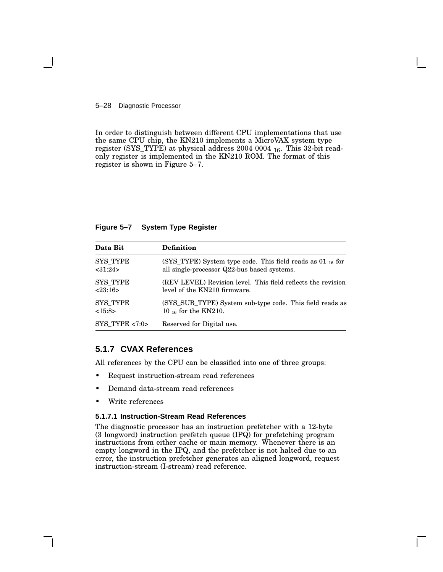### 5–28 Diagnostic Processor

In order to distinguish between different CPU implementations that use the same CPU chip, the KN210 implements a MicroVAX system type register (SYS\_TYPE) at physical address 2004 0004 <sup>16</sup>. This 32-bit readonly register is implemented in the KN210 ROM. The format of this register is shown in Figure 5–7.

### **Figure 5–7 System Type Register**

| Data Bit         | <b>Definition</b>                                              |
|------------------|----------------------------------------------------------------|
| <b>SYS TYPE</b>  | (SYS_TYPE) System type code. This field reads as $01_{16}$ for |
| <31:24>          | all single-processor Q22-bus based systems.                    |
| <b>SYS TYPE</b>  | (REV LEVEL) Revision level. This field reflects the revision   |
| 23:16            | level of the KN210 firmware.                                   |
| <b>SYS TYPE</b>  | (SYS_SUB_TYPE) System sub-type code. This field reads as       |
| <15:8>           | 10 $_{16}$ for the KN210.                                      |
| SYS TYPE $<7:0>$ | Reserved for Digital use.                                      |

# **5.1.7 CVAX References**

All references by the CPU can be classified into one of three groups:

- Request instruction-stream read references
- Demand data-stream read references
- Write references

### **5.1.7.1 Instruction-Stream Read References**

The diagnostic processor has an instruction prefetcher with a 12-byte (3 longword) instruction prefetch queue (IPQ) for prefetching program instructions from either cache or main memory. Whenever there is an empty longword in the IPQ, and the prefetcher is not halted due to an error, the instruction prefetcher generates an aligned longword, request instruction-stream (I-stream) read reference.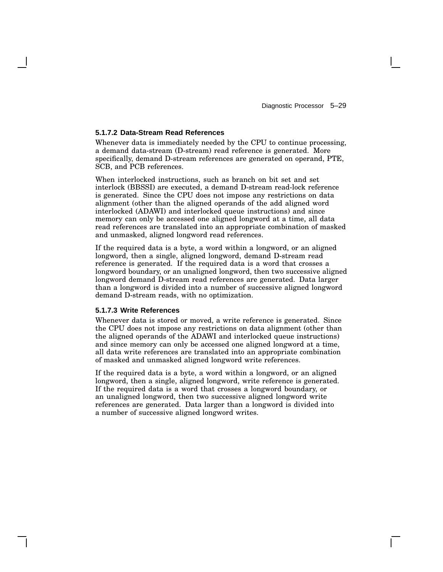### **5.1.7.2 Data-Stream Read References**

Whenever data is immediately needed by the CPU to continue processing, a demand data-stream (D-stream) read reference is generated. More specifically, demand D-stream references are generated on operand, PTE, SCB, and PCB references.

When interlocked instructions, such as branch on bit set and set interlock (BBSSI) are executed, a demand D-stream read-lock reference is generated. Since the CPU does not impose any restrictions on data alignment (other than the aligned operands of the add aligned word interlocked (ADAWI) and interlocked queue instructions) and since memory can only be accessed one aligned longword at a time, all data read references are translated into an appropriate combination of masked and unmasked, aligned longword read references.

If the required data is a byte, a word within a longword, or an aligned longword, then a single, aligned longword, demand D-stream read reference is generated. If the required data is a word that crosses a longword boundary, or an unaligned longword, then two successive aligned longword demand D-stream read references are generated. Data larger than a longword is divided into a number of successive aligned longword demand D-stream reads, with no optimization.

### **5.1.7.3 Write References**

Whenever data is stored or moved, a write reference is generated. Since the CPU does not impose any restrictions on data alignment (other than the aligned operands of the ADAWI and interlocked queue instructions) and since memory can only be accessed one aligned longword at a time, all data write references are translated into an appropriate combination of masked and unmasked aligned longword write references.

If the required data is a byte, a word within a longword, or an aligned longword, then a single, aligned longword, write reference is generated. If the required data is a word that crosses a longword boundary, or an unaligned longword, then two successive aligned longword write references are generated. Data larger than a longword is divided into a number of successive aligned longword writes.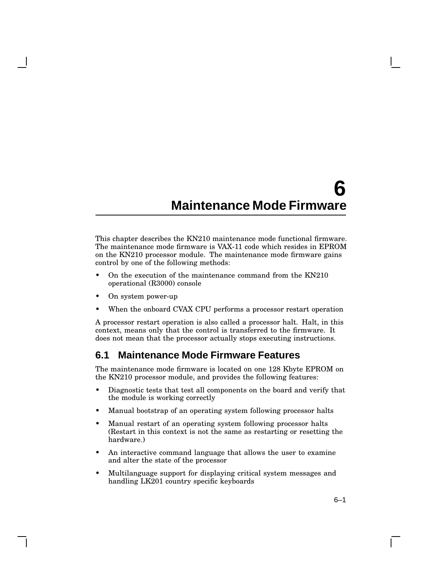# **6 Maintenance Mode Firmware**

This chapter describes the KN210 maintenance mode functional firmware. The maintenance mode firmware is VAX-11 code which resides in EPROM on the KN210 processor module. The maintenance mode firmware gains control by one of the following methods:

- On the execution of the maintenance command from the KN210 operational (R3000) console
- On system power-up
- When the onboard CVAX CPU performs a processor restart operation

A processor restart operation is also called a processor halt. Halt, in this context, means only that the control is transferred to the firmware. It does not mean that the processor actually stops executing instructions.

# **6.1 Maintenance Mode Firmware Features**

The maintenance mode firmware is located on one 128 Kbyte EPROM on the KN210 processor module, and provides the following features:

- Diagnostic tests that test all components on the board and verify that the module is working correctly
- Manual bootstrap of an operating system following processor halts
- Manual restart of an operating system following processor halts (Restart in this context is not the same as restarting or resetting the hardware.)
- An interactive command language that allows the user to examine and alter the state of the processor
- Multilanguage support for displaying critical system messages and handling LK201 country specific keyboards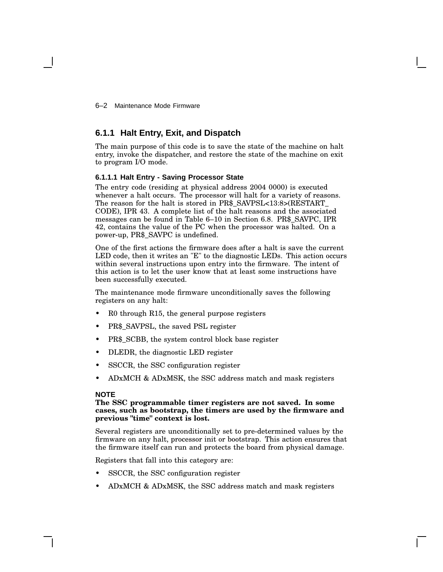6–2 Maintenance Mode Firmware

# **6.1.1 Halt Entry, Exit, and Dispatch**

The main purpose of this code is to save the state of the machine on halt entry, invoke the dispatcher, and restore the state of the machine on exit to program I/O mode.

### **6.1.1.1 Halt Entry - Saving Processor State**

The entry code (residing at physical address 2004 0000) is executed whenever a halt occurs. The processor will halt for a variety of reasons. The reason for the halt is stored in PR\$\_SAVPSL<13:8>(RESTART\_ CODE), IPR 43. A complete list of the halt reasons and the associated messages can be found in Table 6–10 in Section 6.8. PR\$\_SAVPC, IPR 42, contains the value of the PC when the processor was halted. On a power-up, PR\$\_SAVPC is undefined.

One of the first actions the firmware does after a halt is save the current LED code, then it writes an "E" to the diagnostic LEDs. This action occurs within several instructions upon entry into the firmware. The intent of this action is to let the user know that at least some instructions have been successfully executed.

The maintenance mode firmware unconditionally saves the following registers on any halt:

- R0 through R15, the general purpose registers
- PR\$\_SAVPSL, the saved PSL register
- PR\$ SCBB, the system control block base register
- DLEDR, the diagnostic LED register
- SSCCR, the SSC configuration register
- ADxMCH & ADxMSK, the SSC address match and mask registers

### **NOTE**

### **The SSC programmable timer registers are not saved. In some cases, such as bootstrap, the timers are used by the firmware and previous "time" context is lost.**

Several registers are unconditionally set to pre-determined values by the firmware on any halt, processor init or bootstrap. This action ensures that the firmware itself can run and protects the board from physical damage.

Registers that fall into this category are:

- SSCCR, the SSC configuration register
- ADxMCH & ADxMSK, the SSC address match and mask registers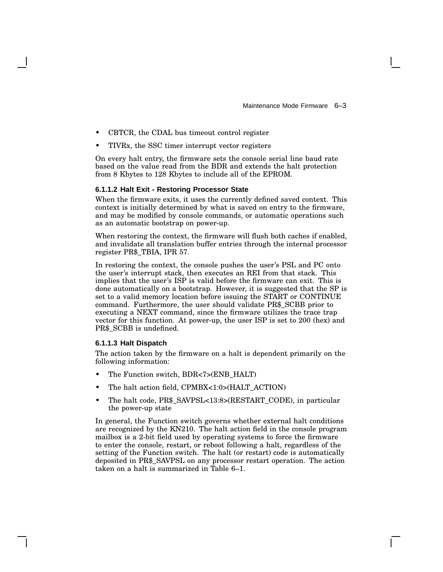- CBTCR, the CDAL bus timeout control register
- TIVRx, the SSC timer interrupt vector registers

On every halt entry, the firmware sets the console serial line baud rate based on the value read from the BDR and extends the halt protection from 8 Kbytes to 128 Kbytes to include all of the EPROM.

#### **6.1.1.2 Halt Exit - Restoring Processor State**

When the firmware exits, it uses the currently defined saved context. This context is initially determined by what is saved on entry to the firmware, and may be modified by console commands, or automatic operations such as an automatic bootstrap on power-up.

When restoring the context, the firmware will flush both caches if enabled, and invalidate all translation buffer entries through the internal processor register PR\$\_TBIA, IPR 57.

In restoring the context, the console pushes the user's PSL and PC onto the user's interrupt stack, then executes an REI from that stack. This implies that the user's ISP is valid before the firmware can exit. This is done automatically on a bootstrap. However, it is suggested that the SP is set to a valid memory location before issuing the START or CONTINUE command. Furthermore, the user should validate PR\$\_SCBB prior to executing a NEXT command, since the firmware utilizes the trace trap vector for this function. At power-up, the user ISP is set to 200 (hex) and PR\$\_SCBB is undefined.

### **6.1.1.3 Halt Dispatch**

The action taken by the firmware on a halt is dependent primarily on the following information:

- The Function switch, BDR<7>(ENB\_HALT)
- The halt action field, CPMBX<1:0>(HALT\_ACTION)
- The halt code, PR\$\_SAVPSL<13:8>(RESTART\_CODE), in particular the power-up state

In general, the Function switch governs whether external halt conditions are recognized by the KN210. The halt action field in the console program mailbox is a 2-bit field used by operating systems to force the firmware to enter the console, restart, or reboot following a halt, regardless of the setting of the Function switch. The halt (or restart) code is automatically deposited in PR\$\_SAVPSL on any processor restart operation. The action taken on a halt is summarized in Table 6–1.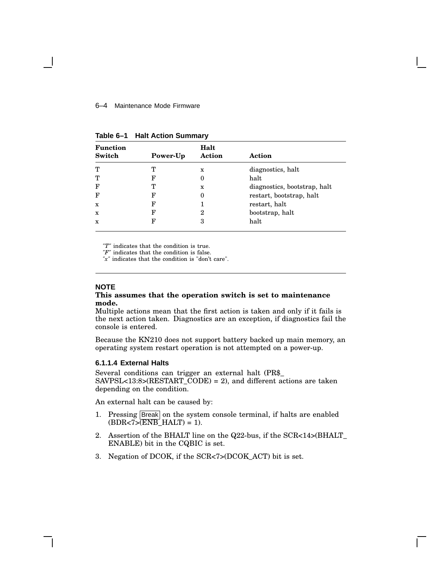#### 6–4 Maintenance Mode Firmware

| <b>Function</b><br>Switch |          | Halt<br>Action |                              |
|---------------------------|----------|----------------|------------------------------|
|                           | Power-Up |                | Action                       |
| т                         | т        | x              | diagnostics, halt            |
| т                         | F        | 0              | halt                         |
| F                         |          | X              | diagnostics, bootstrap, halt |
| F                         | F        | 0              | restart, bootstrap, halt     |
| $\mathbf{x}$              | F        |                | restart, halt                |
| $\mathbf{x}$              | F        | 2              | bootstrap, halt              |
| $\mathbf x$               | F        | 3              | halt                         |

**Table 6–1 Halt Action Summary**

*"T"* indicates that the condition is true.

*"F"* indicates that the condition is false.

*"x"* indicates that the condition is "don't care".

## **NOTE**

### **This assumes that the operation switch is set to maintenance mode.**

Multiple actions mean that the first action is taken and only if it fails is the next action taken. Diagnostics are an exception, if diagnostics fail the console is entered.

Because the KN210 does not support battery backed up main memory, an operating system restart operation is not attempted on a power-up.

### **6.1.1.4 External Halts**

Several conditions can trigger an external halt (PR\$\_ SAVPSL<13:8>(RESTART\_CODE) = 2), and different actions are taken depending on the condition.

An external halt can be caused by:

- 1. Pressing Break on the system console terminal, if halts are enabled  $(BDR < 7 > (ENB_HALT) = 1).$
- 2. Assertion of the BHALT line on the Q22-bus, if the SCR<14>(BHALT\_ ENABLE) bit in the CQBIC is set.
- 3. Negation of DCOK, if the SCR<7>(DCOK\_ACT) bit is set.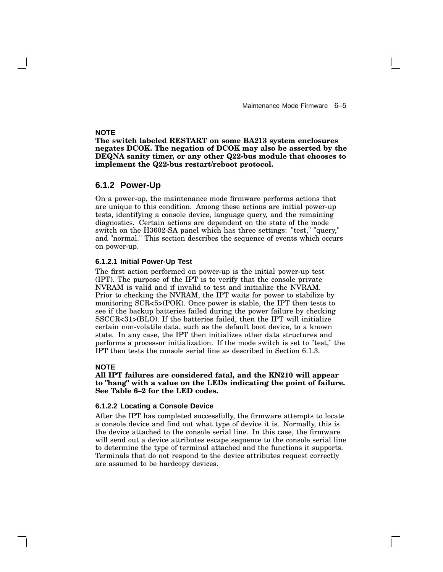Maintenance Mode Firmware 6–5

### **NOTE**

**The switch labeled RESTART on some BA213 system enclosures negates DCOK. The negation of DCOK may also be asserted by the DEQNA sanity timer, or any other Q22-bus module that chooses to implement the Q22-bus restart/reboot protocol.**

### **6.1.2 Power-Up**

On a power-up, the maintenance mode firmware performs actions that are unique to this condition. Among these actions are initial power-up tests, identifying a console device, language query, and the remaining diagnostics. Certain actions are dependent on the state of the mode switch on the H3602-SA panel which has three settings: "test," "query," and "normal." This section describes the sequence of events which occurs on power-up.

### **6.1.2.1 Initial Power-Up Test**

The first action performed on power-up is the initial power-up test (IPT). The purpose of the IPT is to verify that the console private NVRAM is valid and if invalid to test and initialize the NVRAM. Prior to checking the NVRAM, the IPT waits for power to stabilize by monitoring SCR<5>(POK). Once power is stable, the IPT then tests to see if the backup batteries failed during the power failure by checking SSCCR<31>(BLO). If the batteries failed, then the IPT will initialize certain non-volatile data, such as the default boot device, to a known state. In any case, the IPT then initializes other data structures and performs a processor initialization. If the mode switch is set to "test," the IPT then tests the console serial line as described in Section 6.1.3.

#### **NOTE**

**All IPT failures are considered fatal, and the KN210 will appear to "hang" with a value on the LEDs indicating the point of failure. See Table 6–2 for the LED codes.**

#### **6.1.2.2 Locating a Console Device**

After the IPT has completed successfully, the firmware attempts to locate a console device and find out what type of device it is. Normally, this is the device attached to the console serial line. In this case, the firmware will send out a device attributes escape sequence to the console serial line to determine the type of terminal attached and the functions it supports. Terminals that do not respond to the device attributes request correctly are assumed to be hardcopy devices.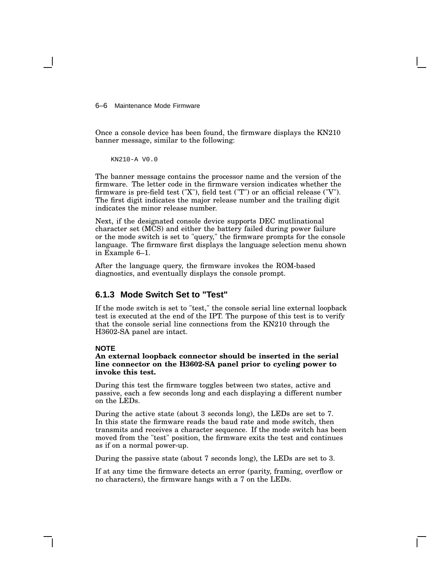6–6 Maintenance Mode Firmware

Once a console device has been found, the firmware displays the KN210 banner message, similar to the following:

KN210-A V0.0

The banner message contains the processor name and the version of the firmware. The letter code in the firmware version indicates whether the firmware is pre-field test ("X"), field test ("T") or an official release ("V"). The first digit indicates the major release number and the trailing digit indicates the minor release number.

Next, if the designated console device supports DEC mutlinational character set (MCS) and either the battery failed during power failure or the mode switch is set to "query," the firmware prompts for the console language. The firmware first displays the language selection menu shown in Example 6–1.

After the language query, the firmware invokes the ROM-based diagnostics, and eventually displays the console prompt.

# **6.1.3 Mode Switch Set to "Test"**

If the mode switch is set to "test," the console serial line external loopback test is executed at the end of the IPT. The purpose of this test is to verify that the console serial line connections from the KN210 through the H3602-SA panel are intact.

#### **NOTE**

**An external loopback connector should be inserted in the serial line connector on the H3602-SA panel prior to cycling power to invoke this test.**

During this test the firmware toggles between two states, active and passive, each a few seconds long and each displaying a different number on the LEDs.

During the active state (about 3 seconds long), the LEDs are set to 7. In this state the firmware reads the baud rate and mode switch, then transmits and receives a character sequence. If the mode switch has been moved from the "test" position, the firmware exits the test and continues as if on a normal power-up.

During the passive state (about 7 seconds long), the LEDs are set to 3.

If at any time the firmware detects an error (parity, framing, overflow or no characters), the firmware hangs with a 7 on the LEDs.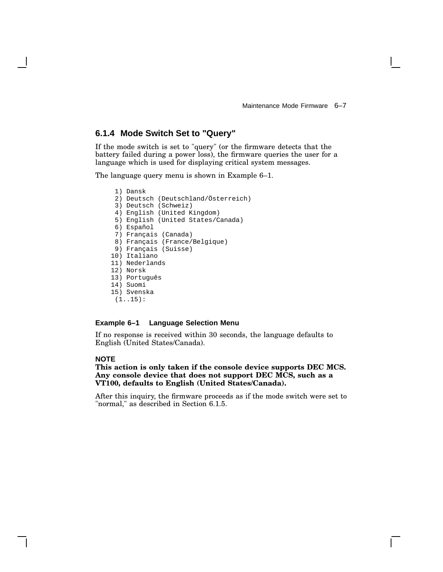# **6.1.4 Mode Switch Set to "Query"**

If the mode switch is set to "query" (or the firmware detects that the battery failed during a power loss), the firmware queries the user for a language which is used for displaying critical system messages.

The language query menu is shown in Example 6–1.

- 1) Dansk 2) Deutsch (Deutschland/Österreich) 3) Deutsch (Schweiz) 4) English (United Kingdom) 5) English (United States/Canada) 6) Español 7) Français (Canada) 8) Français (France/Belgique) 9) Français (Suisse) 10) Italiano 11) Nederlands 12) Norsk 13) Português 14) Suomi
- 15) Svenska
- (1..15):

### **Example 6–1 Language Selection Menu**

If no response is received within 30 seconds, the language defaults to English (United States/Canada).

## **NOTE**

### **This action is only taken if the console device supports DEC MCS. Any console device that does not support DEC MCS, such as a VT100, defaults to English (United States/Canada).**

After this inquiry, the firmware proceeds as if the mode switch were set to "normal," as described in Section 6.1.5.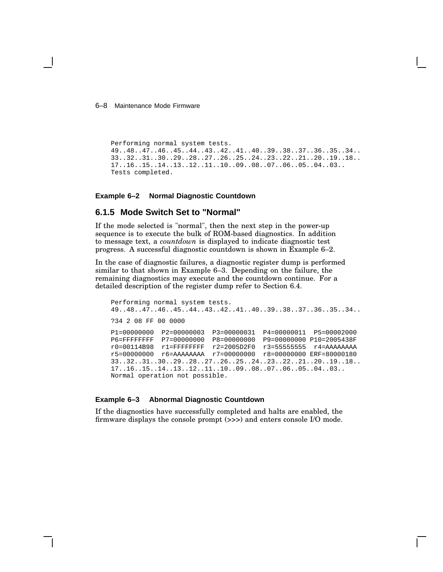### 6–8 Maintenance Mode Firmware

```
Performing normal system tests.
49..48..47..46..45..44..43..42..41..40..39..38..37..36..35..34..
33..32..31..30..29..28..27..26..25..24..23..22..21..20..19..18..
17..16..15..14..13..12..11..10..09..08..07..06..05..04..03..
Tests completed.
```
### **Example 6–2 Normal Diagnostic Countdown**

## **6.1.5 Mode Switch Set to "Normal"**

If the mode selected is "normal", then the next step in the power-up sequence is to execute the bulk of ROM-based diagnostics. In addition to message text, a *countdown* is displayed to indicate diagnostic test progress. A successful diagnostic countdown is shown in Example 6–2.

In the case of diagnostic failures, a diagnostic register dump is performed similar to that shown in Example 6–3. Depending on the failure, the remaining diagnostics may execute and the countdown continue. For a detailed description of the register dump refer to Section 6.4.

```
Performing normal system tests.
49..48..47..46..45..44..43..42..41..40..39..38..37..36..35..34..
?34 2 08 FF 00 0000
P1=00000000 P2=00000003 P3=00000031 P4=00000011 P5=00002000
P6=FFFFFFFF P7=00000000 P8=00000000 P9=00000000 P10=2005438F
r0=00114B98 r1=FFFFFFFF r2=2005D2F0 r3=55555555 r4=AAAAAAAA
r5=00000000 r6=AAAAAAAA r7=00000000 r8=00000000 ERF=80000180
33..32..31..30..29..28..27..26..25..24..23..22..21..20..19..18..
17..16..15..14..13..12..11..10..09..08..07..06..05..04..03..
Normal operation not possible.
```
#### **Example 6–3 Abnormal Diagnostic Countdown**

If the diagnostics have successfully completed and halts are enabled, the firmware displays the console prompt (>>>) and enters console I/O mode.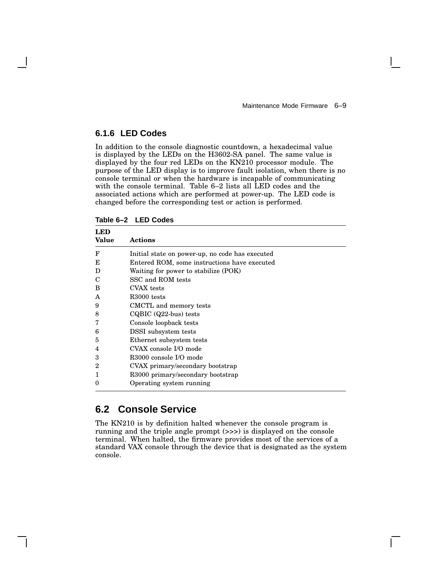# **6.1.6 LED Codes**

In addition to the console diagnostic countdown, a hexadecimal value is displayed by the LEDs on the H3602-SA panel. The same value is displayed by the four red LEDs on the KN210 processor module. The purpose of the LED display is to improve fault isolation, when there is no console terminal or when the hardware is incapable of communicating with the console terminal. Table 6–2 lists all LED codes and the associated actions which are performed at power-up. The LED code is changed before the corresponding test or action is performed.

| LED<br><b>Value</b> | Actions                                         |
|---------------------|-------------------------------------------------|
| F                   | Initial state on power-up, no code has executed |
| E                   | Entered ROM, some instructions have executed    |
| D                   | Waiting for power to stabilize (POK)            |
| C                   | SSC and ROM tests                               |
| В                   | CVAX tests                                      |
| A                   | R <sub>3000</sub> tests                         |
| 9                   | CMCTL and memory tests                          |
| 8                   | $CQBIC$ $(Q22-bus)$ tests                       |
| 7                   | Console loopback tests                          |
| 6                   | DSSI subsystem tests                            |
| 5                   | Ethernet subsystem tests                        |
| 4                   | CVAX console I/O mode                           |
| 3                   | R3000 console I/O mode                          |
| 2                   | CVAX primary/secondary bootstrap                |
| 1                   | R3000 primary/secondary bootstrap               |
|                     | Operating system running                        |

**Table 6–2 LED Codes**

# **6.2 Console Service**

The KN210 is by definition halted whenever the console program is running and the triple angle prompt (>>>) is displayed on the console terminal. When halted, the firmware provides most of the services of a standard VAX console through the device that is designated as the system console.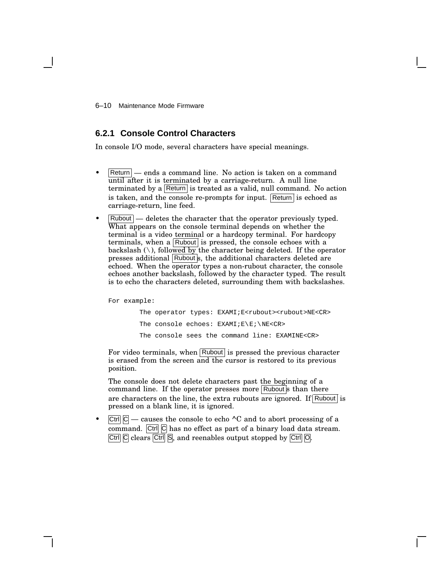6–10 Maintenance Mode Firmware

# **6.2.1 Console Control Characters**

In console I/O mode, several characters have special meanings.

- $\vert$ Return $\vert$  ends a command line. No action is taken on a command until after it is terminated by a carriage-return. A null line terminated by a Return is treated as a valid, null command. No action is taken, and the console re-prompts for input. Return is echoed as carriage-return, line feed.
- $\vert$  Rubout  $\vert$  deletes the character that the operator previously typed. What appears on the console terminal depends on whether the terminal is a video terminal or a hardcopy terminal. For hardcopy terminals, when a Rubout is pressed, the console echoes with a backslash  $(\cdot)$ , followed by the character being deleted. If the operator presses additional Rubouts, the additional characters deleted are echoed. When the operator types a non-rubout character, the console echoes another backslash, followed by the character typed. The result is to echo the characters deleted, surrounding them with backslashes.

For example:

```
The operator types: EXAMI; E<rubout><rubout>NE<CR>
The console echoes: EXAMI;E\E;\NE<CR>
The console sees the command line: EXAMINE<CR>
```
For video terminals, when  $\vert$  Rubout $\vert$  is pressed the previous character is erased from the screen and the cursor is restored to its previous position.

The console does not delete characters past the beginning of a command line. If the operator presses more  $\boxed{\mathsf{Rubout}}$  than there are characters on the line, the extra rubouts are ignored. If Rubout is pressed on a blank line, it is ignored.

 $|C^{\text{tr}}|$   $|C|$  — causes the console to echo  $\wedge$ C and to abort processing of a command.  $\overline{C}$ trl  $\overline{C}$  has no effect as part of a binary load data stream.  $\overline{C}$ trl $\overline{C}$  clears  $\overline{C}$ trl $\overline{S}$ , and reenables output stopped by  $\overline{C}$ trl $\overline{O}$ .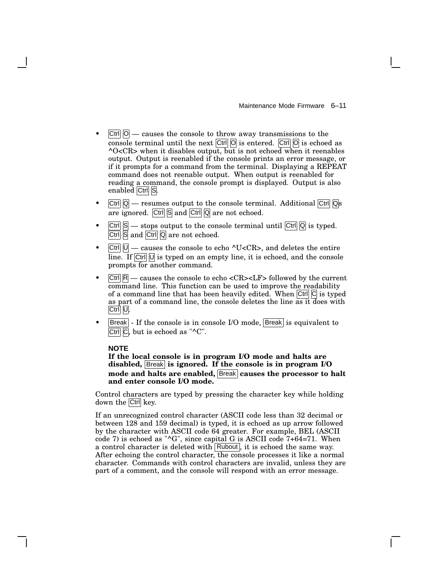- $|\text{Ctrl}|$   $|O|$  causes the console to throw away transmissions to the console terminal until the next  $\overline{C}$ trl  $\overline{O}$  is entered.  $\overline{C}$ trl  $\overline{O}$  is echoed as  $\sim$ O<CR> when it disables output, but is not echoed when it reenables output. Output is reenabled if the console prints an error message, or if it prompts for a command from the terminal. Displaying a REPEAT command does not reenable output. When output is reenabled for reading a command, the console prompt is displayed. Output is also enabled Ctrl S.
- $|\text{Ctrl}|$   $|Q|$  resumes output to the console terminal. Additional  $|\text{Ctrl}|$   $|Q|$ s are ignored.  $\boxed{\text{Ctrl}}$   $\boxed{\text{S}}$  and  $\boxed{\text{Ctrl}}$   $\boxed{\text{Q}}$  are not echoed.
- $\boxed{\text{Ctrl}}$   $\boxed{\text{S}}$  stops output to the console terminal until  $\boxed{\text{Ctrl}}$   $\boxed{\text{Q}}$  is typed.  $\boxed{\text{Ctrl}}$   $\boxed{\text{S}}$  and  $\boxed{\text{Ctrl}}$   $\boxed{\text{Q}}$  are not echoed.
- $|\text{Ctrl}| \cup \text{– causes the console to echo } \text{'}U < CR$ , and deletes the entire line. If  $|C^{\text{tr}}|$   $|U|$  is typed on an empty line, it is echoed, and the console prompts for another command.
- $|Ctrl | R|$  causes the console to echo <CR><LF> followed by the current command line. This function can be used to improve the readability of a command line that has been heavily edited. When  $|Ctrl| C |$  is typed as part of a command line, the console deletes the line as it does with Ctrl U.
- |Break| If the console is in console I/O mode, Break| is equivalent to Ctrl  $\overline{C}$ , but is echoed as " $\overline{C}$ ".

#### **NOTE**

**If the local console is in program I/O mode and halts are disabled,** Break **is ignored. If the console is in program I/O mode and halts are enabled,** Break **causes the processor to halt and enter console I/O mode.**

Control characters are typed by pressing the character key while holding down the Ctrl key.

If an unrecognized control character (ASCII code less than 32 decimal or between 128 and 159 decimal) is typed, it is echoed as up arrow followed by the character with ASCII code 64 greater. For example, BEL (ASCII code 7) is echoed as " $\text{G}$ ", since capital G is ASCII code 7+64=71. When a control character is deleted with  $\sqrt{\text{Rubout}}$ , it is echoed the same way. After echoing the control character, the console processes it like a normal character. Commands with control characters are invalid, unless they are part of a comment, and the console will respond with an error message.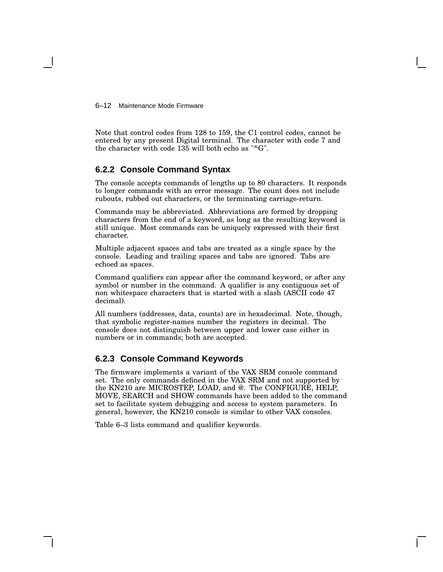6–12 Maintenance Mode Firmware

Note that control codes from 128 to 159, the C1 control codes, cannot be entered by any present Digital terminal. The character with code 7 and the character with code 135 will both echo as "^G".

# **6.2.2 Console Command Syntax**

The console accepts commands of lengths up to 80 characters. It responds to longer commands with an error message. The count does not include rubouts, rubbed out characters, or the terminating carriage-return.

Commands may be abbreviated. Abbreviations are formed by dropping characters from the end of a keyword, as long as the resulting keyword is still unique. Most commands can be uniquely expressed with their first character.

Multiple adjacent spaces and tabs are treated as a single space by the console. Leading and trailing spaces and tabs are ignored. Tabs are echoed as spaces.

Command qualifiers can appear after the command keyword, or after any symbol or number in the command. A qualifier is any contiguous set of non whitespace characters that is started with a slash (ASCII code 47 decimal).

All numbers (addresses, data, counts) are in hexadecimal. Note, though, that symbolic register-names number the registers in decimal. The console does not distinguish between upper and lower case either in numbers or in commands; both are accepted.

# **6.2.3 Console Command Keywords**

The firmware implements a variant of the VAX SRM console command set. The only commands defined in the VAX SRM and not supported by the KN210 are MICROSTEP, LOAD, and @. The CONFIGURE, HELP, MOVE, SEARCH and SHOW commands have been added to the command set to facilitate system debugging and access to system parameters. In general, however, the KN210 console is similar to other VAX consoles.

Table 6–3 lists command and qualifier keywords.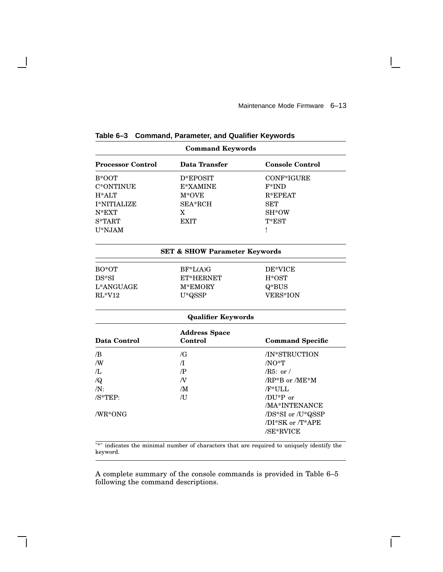$\overline{\Gamma}$ 

| <b>Command Keywords</b>  |                                          |                         |  |
|--------------------------|------------------------------------------|-------------------------|--|
| <b>Processor Control</b> | Data Transfer                            | <b>Console Control</b>  |  |
| B*OOT                    | D*EPOSIT                                 | CONF*IGURE              |  |
| C*ONTINUE                | E*XAMINE                                 | $F*IND$                 |  |
| $H^*ALT$                 | $M*OVE$                                  | $R*EPEAT$               |  |
| <b>I*NITIALIZE</b>       | SEA*RCH                                  | <b>SET</b>              |  |
| $N*EXT$                  | X                                        | SH*OW                   |  |
| S*TART                   | <b>EXIT</b>                              | $T*EST$                 |  |
| U*NJAM                   |                                          | Ţ                       |  |
|                          | <b>SET &amp; SHOW Parameter Keywords</b> |                         |  |
| $BO*OT$                  | $BF^*L(A)G$                              | DE*VICE                 |  |
| $DS*SI$                  | ET*HERNET                                | $H*OST$                 |  |
| L*ANGUAGE                | M*EMORY                                  | $Q*BUS$                 |  |
| $RL*V12$                 | $U^*QSSP$                                | <b>VERS*ION</b>         |  |
|                          | <b>Qualifier Keywords</b>                |                         |  |
|                          | <b>Address Space</b>                     |                         |  |
| Data Control             | Control                                  | <b>Command Specific</b> |  |
| /B                       | $\sqrt{G}$                               | /IN*STRUCTION           |  |
| /W                       | $\pi$                                    | $/NO$ *T                |  |
| /L                       | $\mathbb{P}$                             | $/R5:$ or $/$           |  |
| $\sqrt{Q}$               | $\overline{N}$                           | $/RP*B$ or $/ME*M$      |  |
| $/N$ :                   | /M                                       | /F*ULL                  |  |
| /S*TEP:                  | $\overline{J}$                           | /DU*P or                |  |
|                          |                                          | /MA*INTENANCE           |  |
| /WR*ONG                  |                                          | /DS*SI or /U*QSSP       |  |
|                          |                                          | /DI*SK or /T*APE        |  |
|                          |                                          | /SE*RVICE               |  |

**Table 6–3 Command, Parameter, and Qualifier Keywords**

 $\overline{\phantom{a}}$ 

"\*" indicates the minimal number of characters that are required to uniquely identify the keyword.

A complete summary of the console commands is provided in Table 6–5 following the command descriptions.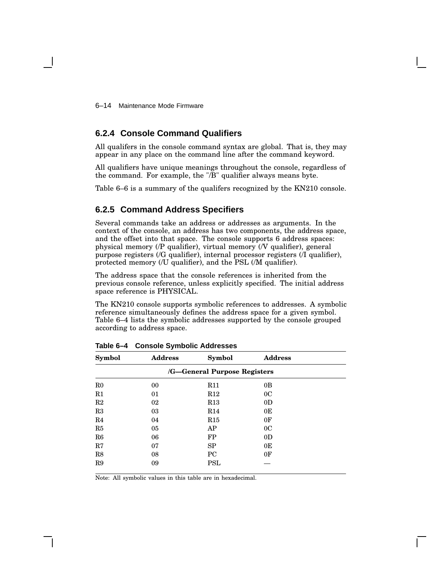6–14 Maintenance Mode Firmware

# **6.2.4 Console Command Qualifiers**

All qualifers in the console command syntax are global. That is, they may appear in any place on the command line after the command keyword.

All qualifiers have unique meanings throughout the console, regardless of the command. For example, the "/B" qualifier always means byte.

Table 6–6 is a summary of the qualifers recognized by the KN210 console.

# **6.2.5 Command Address Specifiers**

Several commands take an address or addresses as arguments. In the context of the console, an address has two components, the address space, and the offset into that space. The console supports 6 address spaces: physical memory (/P qualifier), virtual memory (/V qualifier), general purpose registers (/G qualifier), internal processor registers (/I qualifier), protected memory (/U qualifier), and the PSL (/M qualifier).

The address space that the console references is inherited from the previous console reference, unless explicitly specified. The initial address space reference is PHYSICAL.

The KN210 console supports symbolic references to addresses. A symbolic reference simultaneously defines the address space for a given symbol. Table 6–4 lists the symbolic addresses supported by the console grouped according to address space.

| <b>Symbol</b>  | <b>Address</b> | <b>Symbol</b>                | <b>Address</b> |  |
|----------------|----------------|------------------------------|----------------|--|
|                |                | /G-General Purpose Registers |                |  |
| $_{\rm R0}$    | 00             | R11                          | 0 <sub>B</sub> |  |
| R <sub>1</sub> | 01             | R12                          | 0 <sup>C</sup> |  |
| R2             | 02             | R13                          | 0 <sub>D</sub> |  |
| R3             | 03             | R14                          | 0E             |  |
| R <sub>4</sub> | 04             | R15                          | 0F             |  |
| R5             | 05             | AP                           | 0 <sup>C</sup> |  |
| R6             | 06             | FP                           | 0 <sub>D</sub> |  |
| R7             | 07             | SP                           | 0E             |  |
| R8             | 08             | <b>PC</b>                    | 0 <sub>F</sub> |  |
| R9             | 09             | <b>PSL</b>                   |                |  |

**Table 6–4 Console Symbolic Addresses**

Note: All symbolic values in this table are in hexadecimal.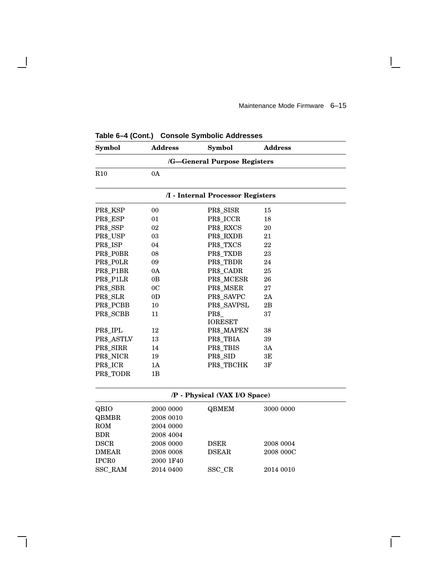$\mathbf{I}$ 

 $\Box$ 

| Symbol                       | <b>Address</b> | <b>Symbol</b>                     | <b>Address</b> |  |
|------------------------------|----------------|-----------------------------------|----------------|--|
| /G-General Purpose Registers |                |                                   |                |  |
| R10                          | 0A             |                                   |                |  |
|                              |                | /I - Internal Processor Registers |                |  |
| PR\$_KSP                     | 00             | PR\$_SISR                         | 15             |  |
| PR\$_ESP                     | 01             | PR\$_ICCR                         | 18             |  |
| PR\$_SSP                     | 02             | PR\$_RXCS                         | 20             |  |
| PR\$_USP                     | 03             | PR\$_RXDB                         | 21             |  |
| PR\$_ISP                     | 04             | PR\$_TXCS                         | 22             |  |
| PR\$_P0BR                    | 08             | PR\$_TXDB                         | 23             |  |
| PR\$_P0LR                    | 09             | PR\$_TBDR                         | 24             |  |
| PR\$ P1BR                    | 0A             | PR\$_CADR                         | 25             |  |
| PR\$_P1LR                    | 0B             | PR\$_MCESR                        | 26             |  |
| PR\$_SBR                     | 0 <sup>C</sup> | PR\$_MSER                         | 27             |  |
| PR\$_SLR                     | 0 <sub>D</sub> | PR\$_SAVPC                        | 2A             |  |
| PR\$_PCBB                    | 10             | PR\$_SAVPSL                       | 2B             |  |
| PR\$_SCBB                    | 11             | PR\$<br><b>IORESET</b>            | 37             |  |
| PR\$_IPL                     | 12             | PR\$_MAPEN                        | 38             |  |
| PR\$_ASTLV                   | 13             | PR\$_TBIA                         | 39             |  |
| PR\$_SIRR                    | 14             | PR\$_TBIS                         | 3A             |  |
| PR\$_NICR                    | 19             | PR\$_SID                          | 3E             |  |
| PR\$_ICR                     | 1A             | PR\$_TBCHK                        | 3F             |  |
| PR\$_TODR                    | 1B             |                                   |                |  |
|                              |                |                                   |                |  |
|                              |                | /P - Physical (VAX I/O Space)     |                |  |
| QBIO                         | 2000 0000      | <b>QBMEM</b>                      | 3000 0000      |  |
| <b>QBMBR</b>                 | 2008 0010      |                                   |                |  |
| <b>ROM</b>                   | 2004 0000      |                                   |                |  |
| <b>BDR</b>                   | 2008 4004      |                                   |                |  |
| <b>DSCR</b>                  | 2008 0000      | <b>DSER</b>                       | 2008 0004      |  |
| <b>DMEAR</b>                 | 2008 0008      | <b>DSEAR</b>                      | 2008 000C      |  |
| IPCR <sub>0</sub>            | 2000 1F40      |                                   |                |  |
| SSC_RAM                      | 2014 0400      | SSC_CR                            | 2014 0010      |  |

**Table 6–4 (Cont.) Console Symbolic Addresses**

 $\overline{\phantom{a}}$ 

 $\mathsf{l}$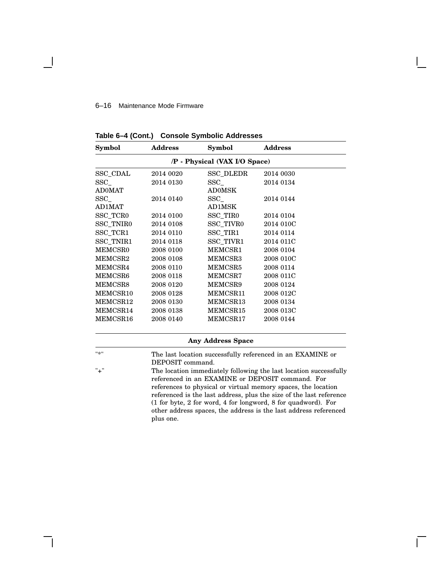#### 6–16 Maintenance Mode Firmware

| Symbol                        | <b>Address</b> | Symbol                   | <b>Address</b> |  |
|-------------------------------|----------------|--------------------------|----------------|--|
| /P - Physical (VAX I/O Space) |                |                          |                |  |
| SSC_CDAL                      | 2014 0020      | SSC_DLEDR                | 2014 0030      |  |
| $\mathrm{SSC}_{-}$            | 2014 0130      | $\operatorname{SSC}$     | 2014 0134      |  |
| <b>AD0MAT</b>                 |                | AD0MSK                   |                |  |
| $\rm SSC\_$                   | 2014 0140      | SSC                      | 2014 0144      |  |
| AD1MAT                        |                | AD1MSK                   |                |  |
| SSC_TCR0                      | 2014 0100      | SSC_TIR0                 | 2014 0104      |  |
| SSC_TNIR0                     | 2014 0108      | SSC_TIVR0                | 2014 010C      |  |
| SSC_TCR1                      | 2014 0110      | SSC_TIR1                 | 2014 0114      |  |
| SSC_TNIR1                     | 2014 0118      | SSC_TIVR1                | 2014 011C      |  |
| <b>MEMCSR0</b>                | 2008 0100      | MEMCSR1                  | 2008 0104      |  |
| MEMCSR2                       | 2008 0108      | MEMCSR3                  | 2008 010C      |  |
| MEMCSR4                       | 2008 0110      | MEMCSR5                  | 2008 0114      |  |
| MEMCSR6                       | 2008 0118      | MEMCSR7                  | 2008 011C      |  |
| MEMCSR8                       | 2008 0120      | MEMCSR9                  | 2008 0124      |  |
| MEMCSR10                      | 2008 0128      | MEMCSR11                 | 2008 012C      |  |
| MEMCSR12                      | 2008 0130      | MEMCSR13                 | 2008 0134      |  |
| MEMCSR14                      | 2008 0138      | MEMCSR15                 | 2008 013C      |  |
| MEMCSR16                      | 2008 0140      | MEMCSR17                 | 2008 0144      |  |
|                               |                | <b>Any Address Space</b> |                |  |

**Table 6–4 (Cont.) Console Symbolic Addresses**

|  | P. | × |  |
|--|----|---|--|
|  |    |   |  |
|  |    |   |  |

The last location successfully referenced in an EXAMINE or DEPOSIT command.

"+" The location immediately following the last location successfully referenced in an EXAMINE or DEPOSIT command. For references to physical or virtual memory spaces, the location referenced is the last address, plus the size of the last reference (1 for byte, 2 for word, 4 for longword, 8 for quadword). For other address spaces, the address is the last address referenced plus one.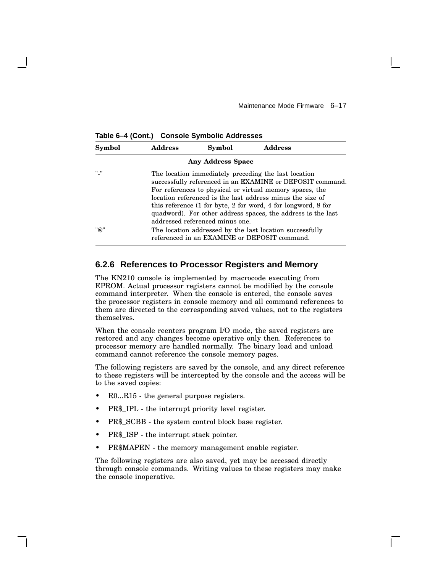| Symbol    | <b>Address</b> | Symbol                          | <b>Address</b>                                                                                                                                                                                                                                                                                                                                                                                                 |
|-----------|----------------|---------------------------------|----------------------------------------------------------------------------------------------------------------------------------------------------------------------------------------------------------------------------------------------------------------------------------------------------------------------------------------------------------------------------------------------------------------|
|           |                | <b>Any Address Space</b>        |                                                                                                                                                                                                                                                                                                                                                                                                                |
| $11 - 11$ |                | addressed referenced minus one. | The location immediately preceding the last location<br>successfully referenced in an EXAMINE or DEPOSIT command.<br>For references to physical or virtual memory spaces, the<br>location referenced is the last address minus the size of<br>this reference $(1 \text{ for byte}, 2 \text{ for word}, 4 \text{ for longword}, 8 \text{ for})$<br>quadword). For other address spaces, the address is the last |
| "@"       |                |                                 | The location addressed by the last location successfully<br>referenced in an EXAMINE or DEPOSIT command.                                                                                                                                                                                                                                                                                                       |

**Table 6–4 (Cont.) Console Symbolic Addresses**

# **6.2.6 References to Processor Registers and Memory**

The KN210 console is implemented by macrocode executing from EPROM. Actual processor registers cannot be modified by the console command interpreter. When the console is entered, the console saves the processor registers in console memory and all command references to them are directed to the corresponding saved values, not to the registers themselves.

When the console reenters program I/O mode, the saved registers are restored and any changes become operative only then. References to processor memory are handled normally. The binary load and unload command cannot reference the console memory pages.

The following registers are saved by the console, and any direct reference to these registers will be intercepted by the console and the access will be to the saved copies:

- R0...R15 the general purpose registers.
- PR\$\_IPL the interrupt priority level register.
- PR\$ SCBB the system control block base register.
- PR\$\_ISP the interrupt stack pointer.
- PR\$MAPEN the memory management enable register.

The following registers are also saved, yet may be accessed directly through console commands. Writing values to these registers may make the console inoperative.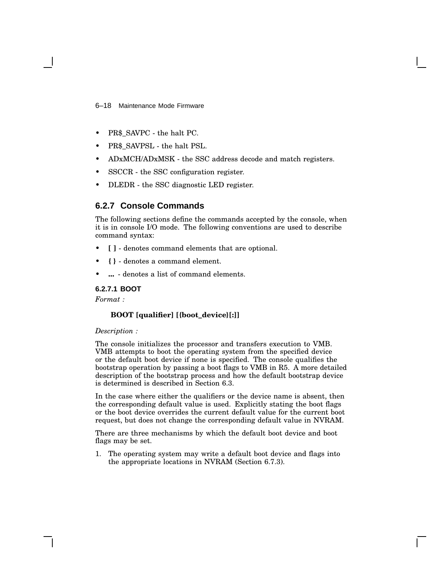6–18 Maintenance Mode Firmware

- PR\$ SAVPC the halt PC.
- PR\$\_SAVPSL the halt PSL.
- ADxMCH/ADxMSK the SSC address decode and match registers.
- SSCCR the SSC configuration register.
- DLEDR the SSC diagnostic LED register.

# **6.2.7 Console Commands**

The following sections define the commands accepted by the console, when it is in console I/O mode. The following conventions are used to describe command syntax:

- **[ ]** denotes command elements that are optional.
- **{ }** denotes a command element.
- **...** denotes a list of command elements.

### **6.2.7.1 BOOT**

*Format :*

### **BOOT [qualifier] [{boot\_device}[:]]**

#### *Description :*

The console initializes the processor and transfers execution to VMB. VMB attempts to boot the operating system from the specified device or the default boot device if none is specified. The console qualifies the bootstrap operation by passing a boot flags to VMB in R5. A more detailed description of the bootstrap process and how the default bootstrap device is determined is described in Section 6.3.

In the case where either the qualifiers or the device name is absent, then the corresponding default value is used. Explicitly stating the boot flags or the boot device overrides the current default value for the current boot request, but does not change the corresponding default value in NVRAM.

There are three mechanisms by which the default boot device and boot flags may be set.

1. The operating system may write a default boot device and flags into the appropriate locations in NVRAM (Section 6.7.3).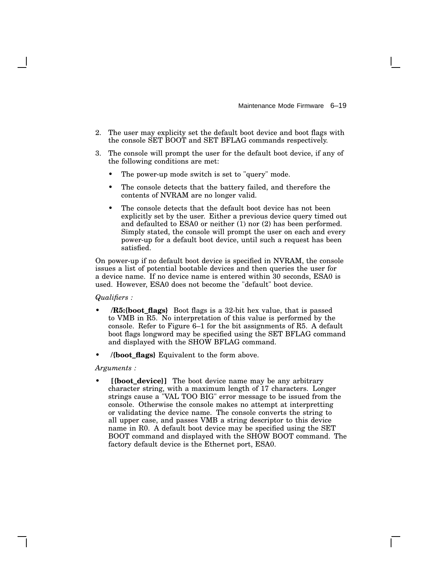Maintenance Mode Firmware 6–19

- 2. The user may explicity set the default boot device and boot flags with the console SET BOOT and SET BFLAG commands respectively.
- 3. The console will prompt the user for the default boot device, if any of the following conditions are met:
	- The power-up mode switch is set to "query" mode.
	- The console detects that the battery failed, and therefore the contents of NVRAM are no longer valid.
	- The console detects that the default boot device has not been explicitly set by the user. Either a previous device query timed out and defaulted to ESA0 or neither (1) nor (2) has been performed. Simply stated, the console will prompt the user on each and every power-up for a default boot device, until such a request has been satisfied.

On power-up if no default boot device is specified in NVRAM, the console issues a list of potential bootable devices and then queries the user for a device name. If no device name is entered within 30 seconds, ESA0 is used. However, ESA0 does not become the "default" boot device.

*Qualifiers :*

- **/R5:{boot\_flags}** Boot flags is a 32-bit hex value, that is passed to VMB in R5. No interpretation of this value is performed by the console. Refer to Figure 6–1 for the bit assignments of R5. A default boot flags longword may be specified using the SET BFLAG command and displayed with the SHOW BFLAG command.
- **/{boot\_flags}** Equivalent to the form above.

*Arguments :*

[{boot\_device}] The boot device name may be any arbitrary character string, with a maximum length of 17 characters. Longer strings cause a "VAL TOO BIG" error message to be issued from the console. Otherwise the console makes no attempt at interpretting or validating the device name. The console converts the string to all upper case, and passes VMB a string descriptor to this device name in R0. A default boot device may be specified using the SET BOOT command and displayed with the SHOW BOOT command. The factory default device is the Ethernet port, ESA0.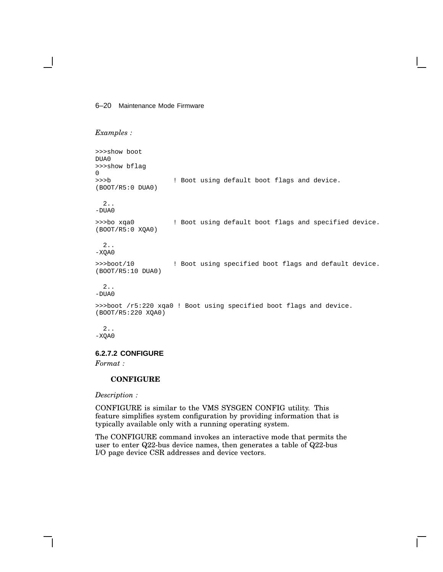### 6–20 Maintenance Mode Firmware

```
Examples :
```

```
>>>show boot
DUA0
>>>show bflag
0
>>>b ! Boot using default boot flags and device.
(BOOT/R5:0 DUA0)
  2..
-DUA0
>>>bo xqa0 ! Boot using default boot flags and specified device.
(BOOT/R5:0 XQA0)
  2..
-XQA0
>>>boot/10 ! Boot using specified boot flags and default device.
(BOOT/R5:10 DUA0)
  2..
-DUA0
>>>boot /r5:220 xqa0 ! Boot using specified boot flags and device.
(BOOT/R5:220 XQA0)
 2..
-XQA0
```
# **6.2.7.2 CONFIGURE**

*Format :*

### **CONFIGURE**

*Description :*

CONFIGURE is similar to the VMS SYSGEN CONFIG utility. This feature simplifies system configuration by providing information that is typically available only with a running operating system.

The CONFIGURE command invokes an interactive mode that permits the user to enter Q22-bus device names, then generates a table of Q22-bus I/O page device CSR addresses and device vectors.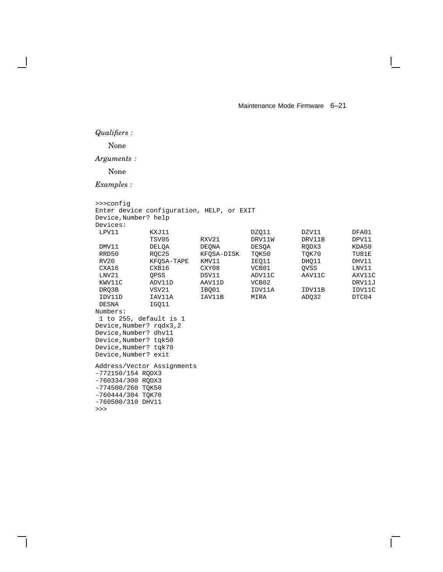## *Qualifiers :*

### None

*Arguments :*

None

```
>>>config
Enter device configuration, HELP, or EXIT
Device,Number? help
Devices:
 LPV11 KXJ11 DZQ11 DZV11 DFA01
          TSV05 RXV21 DRV11W DRV11B DPV11<br>DELQA DEQNA DESQA RQDX3 KDA50
 DMV11 DELQA DEQNA DESQA RQDX3 KDA50
RRD50 RQC25 KFQSA-DISK TQK50 TQK70 TU81E<br>RV20 KFQSA-TAPE KMV11 IEQ11 DHQ11 DHV11
          KFQSA-TAPE
 CXA16 CXB16 CXY08 VCB01 QVSS LNV11
 LNV21 QPSS DSV11 ADV11C AAV11C AXV11C
 KWV11C ADV11D AAV11D VCB02 DRV11J
 DRQ3B VSV21 IBQ01 IDV11A IDV11B IDV11C
 IDV11D IAV11A IAV11B MIRA ADQ32 DTC04
DESNA IGQ11
Numbers:
1 to 255, default is 1
Device,Number? rqdx3,2
Device,Number? dhv11
Device,Number? tqk50
Device,Number? tqk70
Device,Number? exit
Address/Vector Assignments
-772150/154 RQDX3
-760334/300 RQDX3
-774500/260 TQK50
-760444/304 TQK70
-760500/310 DHV11
>>>
```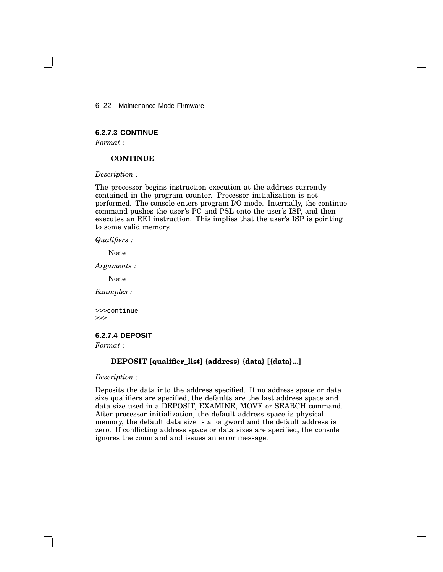6–22 Maintenance Mode Firmware

# **6.2.7.3 CONTINUE**

*Format :*

### **CONTINUE**

*Description :*

The processor begins instruction execution at the address currently contained in the program counter. Processor initialization is not performed. The console enters program I/O mode. Internally, the continue command pushes the user's PC and PSL onto the user's ISP, and then executes an REI instruction. This implies that the user's ISP is pointing to some valid memory.

*Qualifiers :*

None

*Arguments :*

None

*Examples :*

>>>continue >>>

# **6.2.7.4 DEPOSIT**

*Format :*

### **DEPOSIT [qualifier\_list] {address} {data} [{data}...]**

*Description :*

Deposits the data into the address specified. If no address space or data size qualifiers are specified, the defaults are the last address space and data size used in a DEPOSIT, EXAMINE, MOVE or SEARCH command. After processor initialization, the default address space is physical memory, the default data size is a longword and the default address is zero. If conflicting address space or data sizes are specified, the console ignores the command and issues an error message.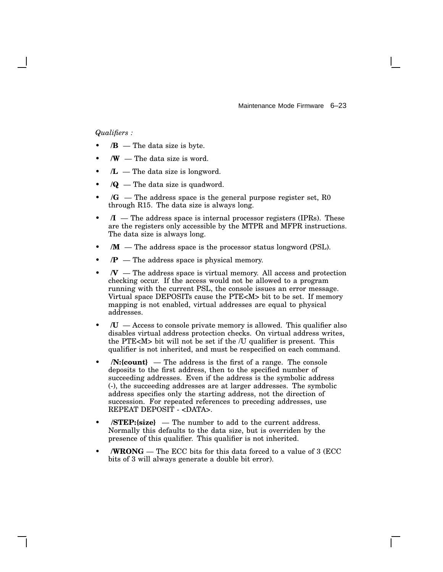Maintenance Mode Firmware 6–23

## *Qualifiers :*

- $\mathbf{B}$  The data size is byte.
- $\mathbf{W}$  The data size is word.
- $/L$  The data size is longword.
- $\sqrt{Q}$  The data size is quadword.
- $\sqrt{G}$  The address space is the general purpose register set, R<sub>0</sub> through R15. The data size is always long.
- $\mathcal{I}$  The address space is internal processor registers (IPRs). These are the registers only accessible by the MTPR and MFPR instructions. The data size is always long.
- $/M$  The address space is the processor status longword (PSL).
- $\mathbf{P}$  The address space is physical memory.
- $\mathcal{N}$  The address space is virtual memory. All access and protection checking occur. If the access would not be allowed to a program running with the current PSL, the console issues an error message. Virtual space DEPOSITs cause the PTE<M> bit to be set. If memory mapping is not enabled, virtual addresses are equal to physical addresses.
- **/U** Access to console private memory is allowed. This qualifier also disables virtual address protection checks. On virtual address writes, the PTE<M> bit will not be set if the /U qualifier is present. This qualifier is not inherited, and must be respecified on each command.
- **/N:{count}** The address is the first of a range. The console deposits to the first address, then to the specified number of succeeding addresses. Even if the address is the symbolic address (-), the succeeding addresses are at larger addresses. The symbolic address specifies only the starting address, not the direction of succession. For repeated references to preceding addresses, use REPEAT DEPOSIT - <DATA>.
- **/STEP:{size}** The number to add to the current address. Normally this defaults to the data size, but is overriden by the presence of this qualifier. This qualifier is not inherited.
- **/WRONG** The ECC bits for this data forced to a value of 3 (ECC bits of 3 will always generate a double bit error).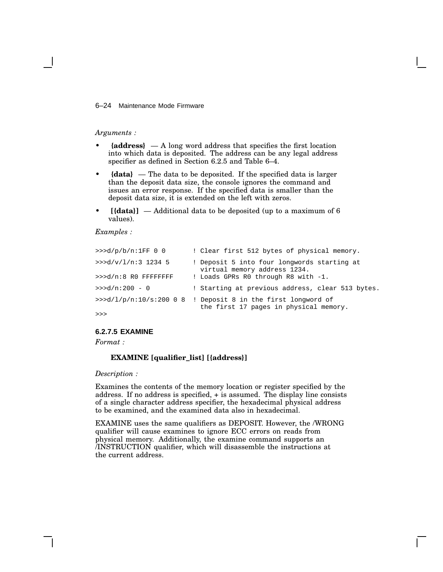### 6–24 Maintenance Mode Firmware

#### *Arguments :*

- **{address}** A long word address that specifies the first location into which data is deposited. The address can be any legal address specifier as defined in Section 6.2.5 and Table 6–4.
- **{data}** The data to be deposited. If the specified data is larger than the deposit data size, the console ignores the command and issues an error response. If the specified data is smaller than the deposit data size, it is extended on the left with zeros.
- **[{data}]** Additional data to be deposited (up to a maximum of 6 values).

### *Examples :*

| >>d/p/b/n:1FF 0 0     | ! Clear first 512 bytes of physical memory.                                                             |
|-----------------------|---------------------------------------------------------------------------------------------------------|
| >>d/v/l/n:3 1234 5    | ! Deposit 5 into four longwords starting at<br>virtual memory address 1234.                             |
| >>>d/n:8 R0 FFFFFFFFF | ! Loads GPRs R0 through R8 with -1.                                                                     |
| $>>d/n:200 - 0$       | ! Starting at previous address, clear 513 bytes.                                                        |
|                       | >>> $d/l/p/n:10/s:20008$ ! Deposit 8 in the first longword of<br>the first 17 pages in physical memory. |
| >>                    |                                                                                                         |

### **6.2.7.5 EXAMINE**

*Format :*

### **EXAMINE [qualifier\_list] [{address}]**

### *Description :*

Examines the contents of the memory location or register specified by the address. If no address is specified, + is assumed. The display line consists of a single character address specifier, the hexadecimal physical address to be examined, and the examined data also in hexadecimal.

EXAMINE uses the same qualifiers as DEPOSIT. However, the /WRONG qualifier will cause examines to ignore ECC errors on reads from physical memory. Additionally, the examine command supports an /INSTRUCTION qualifier, which will disassemble the instructions at the current address.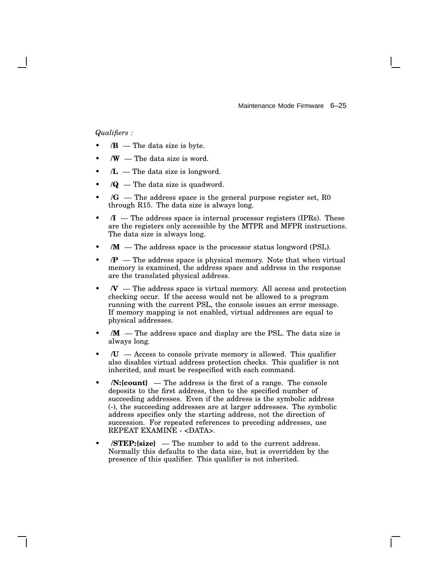Maintenance Mode Firmware 6–25

### *Qualifiers :*

- $\mathbf{B}$  The data size is byte.
- $\mathbf{W}$  The data size is word.
- $/L$  The data size is longword.
- $\sqrt{Q}$  The data size is quadword.
- **/G** The address space is the general purpose register set, R0 through R15. The data size is always long.
- $\mathcal{I}$  The address space is internal processor registers (IPRs). These are the registers only accessible by the MTPR and MFPR instructions. The data size is always long.
- $/M$  The address space is the processor status longword (PSL).
- $\mathcal{P}$  The address space is physical memory. Note that when virtual memory is examined, the address space and address in the response are the translated physical address.
- $\mathcal{N}$  The address space is virtual memory. All access and protection checking occur. If the access would not be allowed to a program running with the current PSL, the console issues an error message. If memory mapping is not enabled, virtual addresses are equal to physical addresses.
- *M* The address space and display are the PSL. The data size is always long.
- $\mathcal{U}$  Access to console private memory is allowed. This qualifier also disables virtual address protection checks. This qualifier is not inherited, and must be respecified with each command.
- **/N:{count}** The address is the first of a range. The console deposits to the first address, then to the specified number of succeeding addresses. Even if the address is the symbolic address (-), the succeeding addresses are at larger addresses. The symbolic address specifies only the starting address, not the direction of succession. For repeated references to preceding addresses, use REPEAT EXAMINE - <DATA>.
- **/STEP:{size}** The number to add to the current address. Normally this defaults to the data size, but is overridden by the presence of this qualifier. This qualifier is not inherited.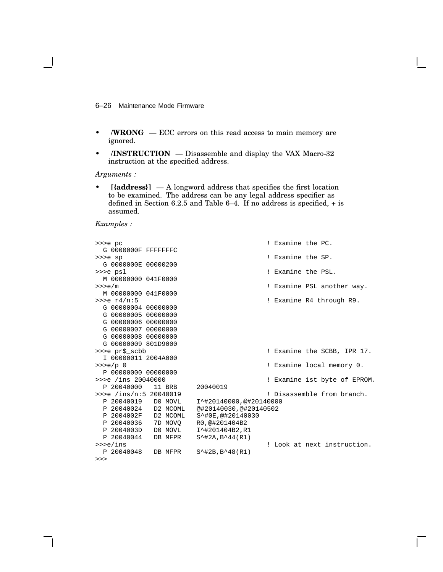6–26 Maintenance Mode Firmware

- **/WRONG** ECC errors on this read access to main memory are ignored.
- **/INSTRUCTION** Disassemble and display the VAX Macro-32 instruction at the specified address.

*Arguments :*

• **[{address}]** — A longword address that specifies the first location to be examined. The address can be any legal address specifier as defined in Section 6.2.5 and Table 6–4. If no address is specified, + is assumed.

| >>>e pc                         | ! Examine the PC.            |
|---------------------------------|------------------------------|
| G 0000000F FFFFFFFC             |                              |
| >>>e sp                         | ! Examine the SP.            |
| G 0000000E 00000200             |                              |
| >>>e psl                        | ! Examine the PSL.           |
| M 00000000 041F0000             |                              |
| >>e/m                           | ! Examine PSL another way.   |
| M 00000000 041F0000             |                              |
| $>>e$ $r4/n:5$                  | ! Examine R4 through R9.     |
| G 00000004 00000000             |                              |
| G 00000005 00000000             |                              |
| G 00000006 00000000             |                              |
| G 00000007 00000000             |                              |
| G 00000008 00000000             |                              |
| G 00000009 801D9000             |                              |
| >>>e pr\$_scbb                  | ! Examine the SCBB, IPR 17.  |
| I 00000011 2004A000             |                              |
| $>>e/p = 0$                     | ! Examine local memory 0.    |
| P 00000000 00000000             |                              |
| >>>e /ins 20040000              | ! Examine 1st byte of EPROM. |
| P 20040000 11 BRB               | 20040019                     |
| $\frac{1}{2}$ /ins/n:5 20040019 | ! Disassemble from branch.   |
| P 20040019 DO MOVL              | I^#20140000,@#20140000       |
| P 20040024 D2 MCOML             | @#20140030,@#20140502        |
| P 2004002F D2 MCOML             | S^#0E,@#20140030             |
| P 20040036 7D MOVO              | R0,@#201404B2                |
| P 2004003D<br>DO MOVL           | I^#201404B2,R1               |
| P 20040044<br>DB MFPR           | $S^{\text{+12A,B44(R1)}$     |
| $\gg$ >e/ins                    | ! Look at next instruction.  |
| P 20040048<br>DB MFPR           | $S^{\text{+2B,B-48(R1)}$     |
| >>>                             |                              |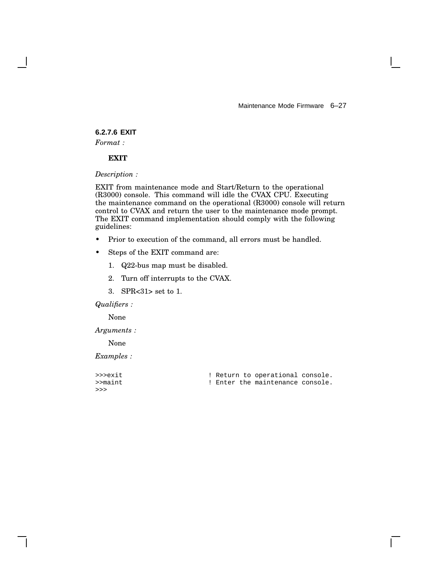Maintenance Mode Firmware 6–27

 $\mathbf{I}$ 

# **6.2.7.6 EXIT**

*Format :*

### **EXIT**

*Description :*

EXIT from maintenance mode and Start/Return to the operational (R3000) console. This command will idle the CVAX CPU. Executing the maintenance command on the operational (R3000) console will return control to CVAX and return the user to the maintenance mode prompt. The EXIT command implementation should comply with the following guidelines:

- Prior to execution of the command, all errors must be handled.
- Steps of the EXIT command are:
	- 1. Q22-bus map must be disabled.
	- 2. Turn off interrupts to the CVAX.
	- 3. SPR<31> set to 1.

## *Qualifiers :*

None

*Arguments :*

None

| >>>exit |  | ! Return to operational console. |  |
|---------|--|----------------------------------|--|
| >>maint |  | ! Enter the maintenance console. |  |
| >>      |  |                                  |  |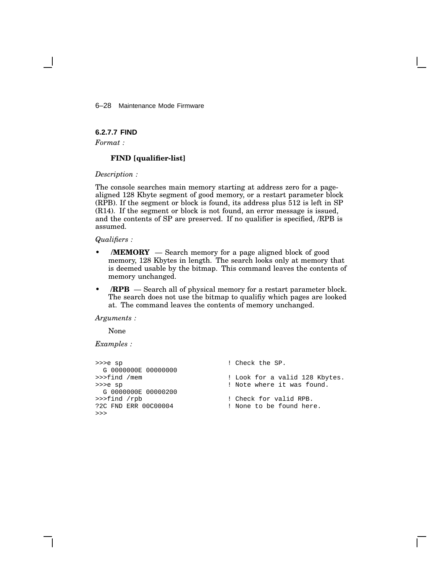6–28 Maintenance Mode Firmware

**6.2.7.7 FIND**

*Format :*

### **FIND [qualifier-list]**

*Description :*

The console searches main memory starting at address zero for a pagealigned 128 Kbyte segment of good memory, or a restart parameter block (RPB). If the segment or block is found, its address plus 512 is left in SP (R14). If the segment or block is not found, an error message is issued, and the contents of SP are preserved. If no qualifier is specified, /RPB is assumed.

*Qualifiers :*

- **/MEMORY** Search memory for a page aligned block of good memory, 128 Kbytes in length. The search looks only at memory that is deemed usable by the bitmap. This command leaves the contents of memory unchanged.
- *RPB* Search all of physical memory for a restart parameter block. The search does not use the bitmap to qualifiy which pages are looked at. The command leaves the contents of memory unchanged.

*Arguments :*

None

```
>>>e sp ! Check the SP.
G 0000000E 00000000<br>>>>find /mem
                                ! Look for a valid 128 Kbytes.
>>>e sp \qquad \qquad ! Note where it was found.
 G 0000000E 00000200
>>>find /rpb <br>
?2C FND ERR 00C00004 <br>
! None to be found her
                                ! None to be found here.
>>>
```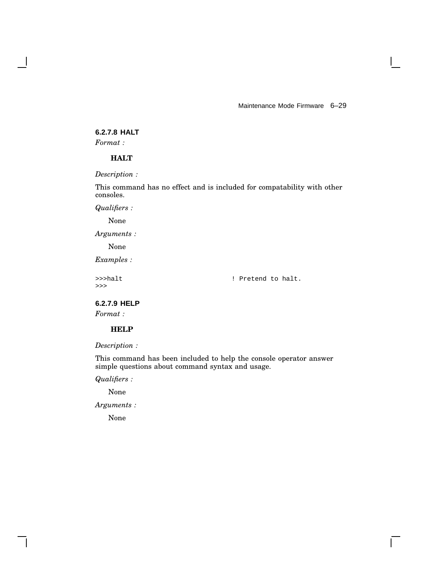Maintenance Mode Firmware 6–29

# **6.2.7.8 HALT**

*Format :*

### **HALT**

*Description :*

This command has no effect and is included for compatability with other consoles.

*Qualifiers :*

None

*Arguments :*

None

*Examples :*

>>>

>>>halt ! Pretend to halt.

 $\mathbf{L}$ 

**6.2.7.9 HELP**

*Format :*

# **HELP**

*Description :*

This command has been included to help the console operator answer simple questions about command syntax and usage.

*Qualifiers :*

None

*Arguments :*

None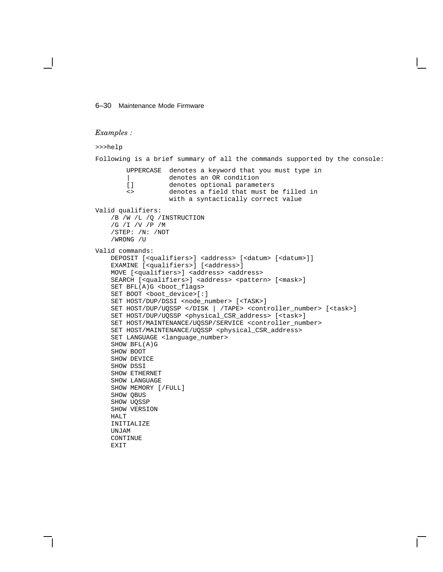#### 6–30 Maintenance Mode Firmware

```
Examples :
```

```
>>>help
Following is a brief summary of all the commands supported by the console:
       UPPERCASE denotes a keyword that you must type in
        | denotes an OR condition
        [] denotes optional parameters
        <> denotes a field that must be filled in
                  with a syntactically correct value
Valid qualifiers:
    /B /W /L /Q /INSTRUCTION
    /G /I /V /P /M
    /STEP: /N: /NOT
    /WRONG /U
Valid commands:
   DEPOSIT [<qualifiers>] <address> [<datum> [<datum>]]
    EXAMINE [<qualifiers>] [<address>]
   MOVE [<qualifiers>] <address> <address>
    SEARCH [<qualifiers>] <address> <pattern> [<mask>]
    SET BFL(A)G <boot_flags>
    SET BOOT <boot_device>[:]
    SET HOST/DUP/DSSI <node_number> [<TASK>]
    SET HOST/DUP/UQSSP </DISK | /TAPE> <controller_number> [<task>]
    SET HOST/DUP/UQSSP <physical_CSR_address> [<task>]
    SET HOST/MAINTENANCE/UQSSP/SERVICE <controller_number>
    SET HOST/MAINTENANCE/UQSSP <physical_CSR_address>
    SET LANGUAGE <language_number>
    SHOW BFL(A)G
    SHOW BOOT
    SHOW DEVICE
    SHOW DSSI
    SHOW ETHERNET
    SHOW LANGUAGE
    SHOW MEMORY [/FULL]
    SHOW QBUS
    SHOW UQSSP
    SHOW VERSION
    HALT
    INITIALIZE
    UNJAM
    CONTINUE
    EXIT
```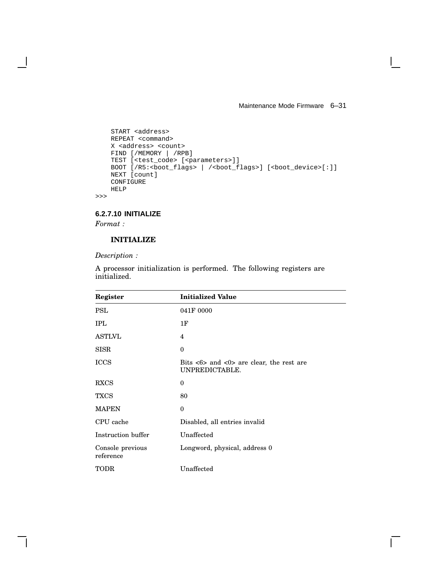Maintenance Mode Firmware 6–31

 $\mathbf{I}$ 

```
START <address>
    REPEAT <command>
    X <address> <count>
    FIND [/MEMORY | /RPB]
    TEST [<test_code> [<parameters>]]
    BOOT [/R5:<boot_flags> | /<boot_flags>] [<br/>boot_device>[:]]
   NEXT [count]
    CONFIGURE
   HELP
>>>
```
**6.2.7.10 INITIALIZE**

*Format :*

# **INITIALIZE**

*Description :*

| Register                      | <b>Initialized Value</b>                                                                   |
|-------------------------------|--------------------------------------------------------------------------------------------|
| <b>PSL</b>                    | 041F 0000                                                                                  |
| <b>IPL</b>                    | 1F                                                                                         |
| <b>ASTLVL</b>                 | 4                                                                                          |
| <b>SISR</b>                   | $\theta$                                                                                   |
| <b>ICCS</b>                   | Bits $\langle 6 \rangle$ and $\langle 0 \rangle$ are clear, the rest are<br>UNPREDICTABLE. |
| <b>RXCS</b>                   | $\theta$                                                                                   |
| <b>TXCS</b>                   | 80                                                                                         |
| <b>MAPEN</b>                  | $\theta$                                                                                   |
| CPU cache                     | Disabled, all entries invalid                                                              |
| Instruction buffer            | Unaffected                                                                                 |
| Console previous<br>reference | Longword, physical, address 0                                                              |
| <b>TODR</b>                   | Unaffected                                                                                 |

A processor initialization is performed. The following registers are initialized.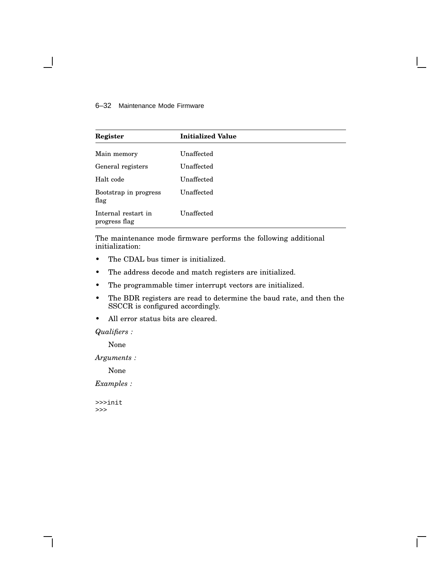### 6–32 Maintenance Mode Firmware

| Register                             | <b>Initialized Value</b> |
|--------------------------------------|--------------------------|
| Main memory                          | Unaffected               |
| General registers                    | Unaffected               |
| Halt code                            | Unaffected               |
| Bootstrap in progress<br>flag        | Unaffected               |
| Internal restart in<br>progress flag | Unaffected               |

The maintenance mode firmware performs the following additional initialization:

- The CDAL bus timer is initialized.
- The address decode and match registers are initialized.
- The programmable timer interrupt vectors are initialized.
- The BDR registers are read to determine the baud rate, and then the SSCCR is configured accordingly.
- All error status bits are cleared.

### *Qualifiers :*

None

*Arguments :*

None

*Examples :*

>>>init >>>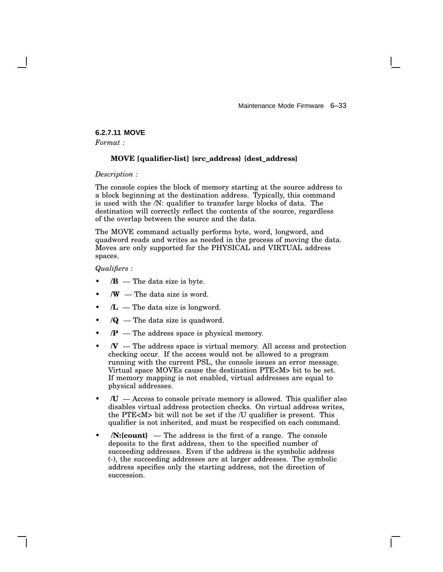# **6.2.7.11 MOVE**

*Format :*

### **MOVE [qualifier-list] {src\_address} {dest\_address}**

*Description :*

The console copies the block of memory starting at the source address to a block beginning at the destination address. Typically, this command is used with the /N: qualifier to transfer large blocks of data. The destination will correctly reflect the contents of the source, regardless of the overlap between the source and the data.

The MOVE command actually performs byte, word, longword, and quadword reads and writes as needed in the process of moving the data. Moves are only supported for the PHYSICAL and VIRTUAL address spaces.

*Qualifiers :*

- $/B$  The data size is byte.
- $\mathbf{W}$  The data size is word.
- $/L$  The data size is longword.
- $\sqrt{Q}$  The data size is quadword.
- */P* The address space is physical memory.
- $\mathcal{N}$  The address space is virtual memory. All access and protection checking occur. If the access would not be allowed to a program running with the current PSL, the console issues an error message. Virtual space MOVEs cause the destination PTE<M> bit to be set. If memory mapping is not enabled, virtual addresses are equal to physical addresses.
- $\mathcal{U}$  Access to console private memory is allowed. This qualifier also disables virtual address protection checks. On virtual address writes, the PTE<M> bit will not be set if the /U qualifier is present. This qualifier is not inherited, and must be respecified on each command.
- **/N:{count}** The address is the first of a range. The console deposits to the first address, then to the specified number of succeeding addresses. Even if the address is the symbolic address (-), the succeeding addresses are at larger addresses. The symbolic address specifies only the starting address, not the direction of succession.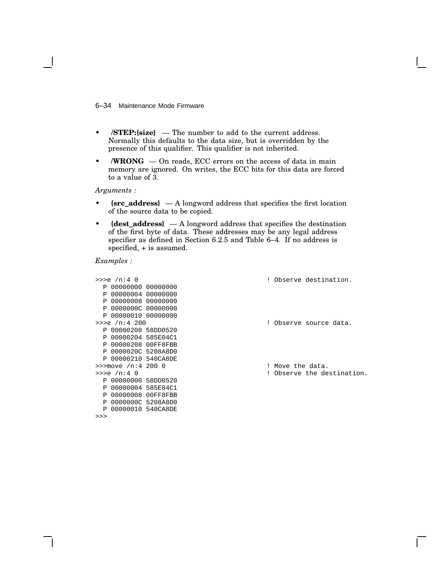6–34 Maintenance Mode Firmware

- **/STEP:{size}** The number to add to the current address. Normally this defaults to the data size, but is overridden by the presence of this qualifier. This qualifier is not inherited.
- **/WRONG** On reads, ECC errors on the access of data in main memory are ignored. On writes, the ECC bits for this data are forced to a value of 3.

*Arguments :*

- **{src\_address}** A longword address that specifies the first location of the source data to be copied.
- **{dest\_address}** A longword address that specifies the destination of the first byte of data. These addresses may be any legal address specifier as defined in Section 6.2.5 and Table 6–4. If no address is specified, + is assumed.

| $>>e$ /n:4 0           |  | ! Observe destination.     |
|------------------------|--|----------------------------|
| $P$ 000000000 00000000 |  |                            |
| P 00000004 00000000    |  |                            |
| P 00000008 00000000    |  |                            |
| P 0000000C 00000000    |  |                            |
| P 00000010 00000000    |  |                            |
| $>>e$ /n:4 200         |  | ! Observe source data.     |
| P 00000200 58DD0520    |  |                            |
| P 00000204 585E04C1    |  |                            |
| P 00000208 00FF8FBB    |  |                            |
| P 0000020C 5208A8D0    |  |                            |
| P 00000210 540CA8DE    |  |                            |
| $\gg$ move /n:4 200 0  |  | ! Move the data.           |
| $>>e$ /n:4 0           |  | ! Observe the destination. |
| P 00000000 58DD0520    |  |                            |
| P 00000004 585E04C1    |  |                            |
| P 00000008 00FF8FBB    |  |                            |
| P 0000000C 5208A8D0    |  |                            |
| P 00000010 540CA8DE    |  |                            |
| >>                     |  |                            |
|                        |  |                            |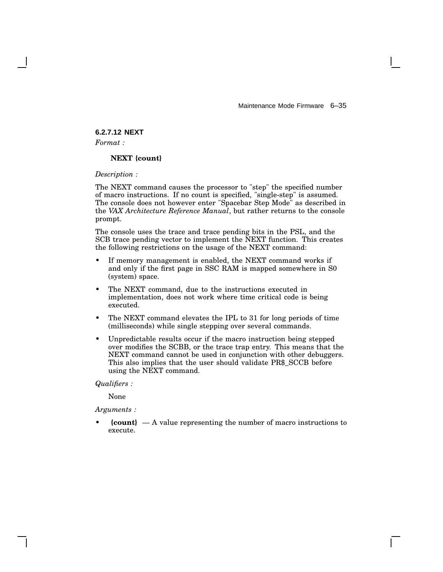# **6.2.7.12 NEXT**

*Format :*

### **NEXT {count}**

*Description :*

The NEXT command causes the processor to "step" the specified number of macro instructions. If no count is specified, "single-step" is assumed. The console does not however enter "Spacebar Step Mode" as described in the *VAX Architecture Reference Manual*, but rather returns to the console prompt.

The console uses the trace and trace pending bits in the PSL, and the SCB trace pending vector to implement the NEXT function. This creates the following restrictions on the usage of the NEXT command:

- If memory management is enabled, the NEXT command works if and only if the first page in SSC RAM is mapped somewhere in S0 (system) space.
- The NEXT command, due to the instructions executed in implementation, does not work where time critical code is being executed.
- The NEXT command elevates the IPL to 31 for long periods of time (milliseconds) while single stepping over several commands.
- Unpredictable results occur if the macro instruction being stepped over modifies the SCBB, or the trace trap entry. This means that the NEXT command cannot be used in conjunction with other debuggers. This also implies that the user should validate PR\$\_SCCB before using the NEXT command.

*Qualifiers :*

None

*Arguments :*

• **{count}** — A value representing the number of macro instructions to execute.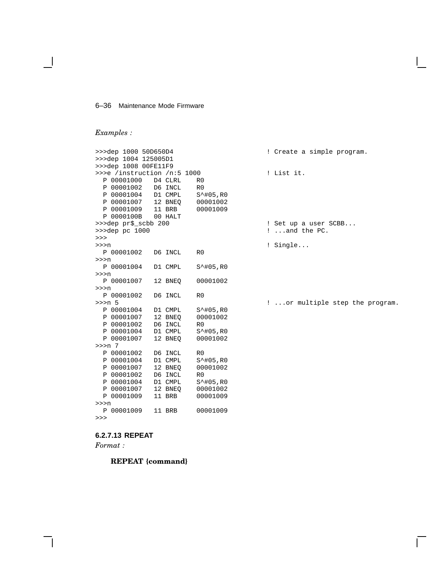#### 6–36 Maintenance Mode Firmware

## *Examples :*

```
>>>dep 1000 50D650D4 ! Create a simple program.
>>>dep 1004 125005D1
>>>dep 1008 00FE11F9
>>>e /instruction /n:5 1000 ! List it.
 P 00001000 D4 CLRL R0<br>P 00001002 D6 INCL R0
 P 00001002 D6 INCL R0<br>P 00001004 D1 CMPL S^#05,R0
  P 00001004 D1 CMPL S<sup>^</sup>#05,R0<br>P 00001007 12 BNEQ 00001002
  P 00001007
 P 00001009 11 BRB 00001009
 P 0000100B
>>>dep pr$_scbb 200 <br>>>>dep pc 1000 <br>2...and the PC.
>>>
>>>n <br>P 00001002 D6 INCL R0 <br>P 00001002 D6 INCL R0
 P 00001002 D6 INCL R0
>>>n
 P 00001004 D1 CMPL S^#05,R0
>>>n
 P 00001007 12 BNEQ 00001002
>>>n
 P 00001002 D6 INCL R0
>>>n 5 ! ...or multiple step the program.
 P 00001004 D1 CMPL S<sup>^</sup>#05,R0<br>P 00001007 12 BNEQ 00001002
 P 00001007 12 BNEQ<br>P 00001002 D6 INCL
  P 00001002 D6 INCL R0
  P 00001004 D1 CMPL S^#05,R0
 P 00001007 12 BNEQ 00001002
>>>n 7
 P 00001002 D6 INCL R0<br>P 00001004 D1 CMPL S<sup>^</sup>
 P 00001004 D1 CMPL S^#05,R0
 P 00001007 12 BNEQ 00001002
  P 00001002 D6 INCL R0<br>P 00001004 D1 CMPL S<sup>^</sup>#05,R0
  P 00001004 D1 CMPL S<sup>^</sup>#05,R0<br>P 00001007 12 BNEO 00001002
  P 00001007 12 BNEQ 00001002
  P 00001009
>>>n
 P 00001009 11 BRB 00001009
>>>
```
! ...and the PC.

### **6.2.7.13 REPEAT**

*Format :*

**REPEAT {command}**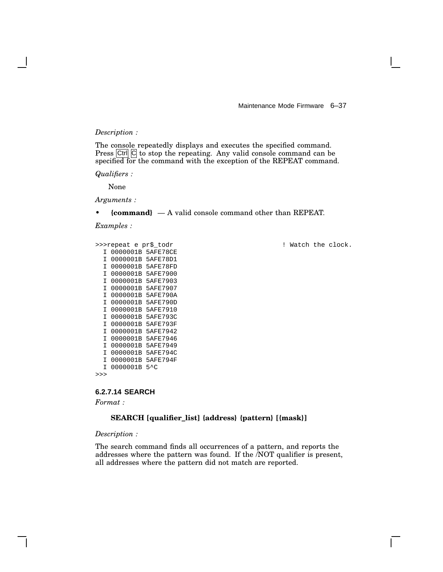### *Description :*

The console repeatedly displays and executes the specified command. Press  $\vert$ Ctrl $\vert$   $\vert$ C $\vert$  to stop the repeating. Any valid console command can be specified for the command with the exception of the REPEAT command.

*Qualifiers :*

None

*Arguments :*

• **{command}** — A valid console command other than REPEAT.

*Examples :*

```
I 0000001B 5AFE78CE
I 0000001B 5AFE78D1
I 0000001B 5AFE78FD
I 0000001B 5AFE7900
I 0000001B 5AFE7903
I 0000001B 5AFE7907
I 0000001B 5AFE790A
I 0000001B 5AFE790D
I 0000001B 5AFE7910
I 0000001B 5AFE793C
I 0000001B 5AFE793F
I 0000001B 5AFE7942
I 0000001B 5AFE7946
I 0000001B 5AFE7949
I 0000001B 5AFE794C
I 0000001B 5AFE794F
I 0000001B 5^C
```
>>>

### **6.2.7.14 SEARCH**

*Format :*

### **SEARCH [qualifier\_list] {address} {pattern} [{mask}]**

*Description :*

The search command finds all occurrences of a pattern, and reports the addresses where the pattern was found. If the /NOT qualifier is present, all addresses where the pattern did not match are reported.

>>>repeat e pr\$\_todr ! Watch the clock.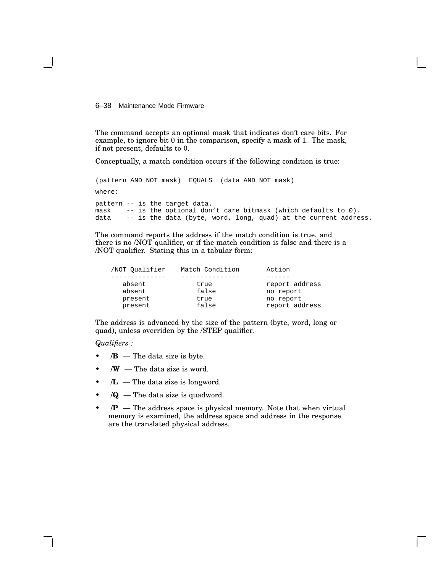6–38 Maintenance Mode Firmware

The command accepts an optional mask that indicates don't care bits. For example, to ignore bit 0 in the comparison, specify a mask of 1. The mask, if not present, defaults to 0.

Conceptually, a match condition occurs if the following condition is true:

(pattern AND NOT mask) EQUALS (data AND NOT mask) where: pattern -- is the target data. mask -- is the optional don't care bitmask (which defaults to 0).<br>data -- is the data (byte, word, long, quad) at the current addre -- is the data (byte, word, long, quad) at the current address.

The command reports the address if the match condition is true, and there is no /NOT qualifier, or if the match condition is false and there is a /NOT qualifier. Stating this in a tabular form:

| /NOT Oualifier | Match Condition | Action         |
|----------------|-----------------|----------------|
|                |                 |                |
| absent         | true            | report address |
| absent         | false           | no report      |
| present        | true            | no report      |
| present        | false           | report address |
|                |                 |                |

The address is advanced by the size of the pattern (byte, word, long or quad), unless overriden by the /STEP qualifier.

*Qualifiers :*

- $\mathbf{B}$  The data size is byte.
- $\mathbf{W}$  The data size is word.
- $/L$  The data size is longword.
- $\sqrt{Q}$  The data size is quadword.
- */P* The address space is physical memory. Note that when virtual memory is examined, the address space and address in the response are the translated physical address.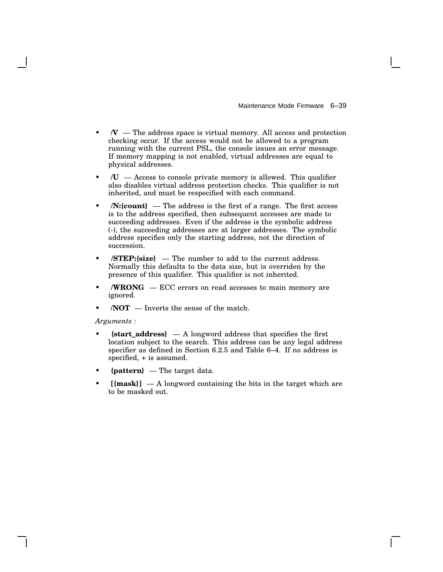- $N -$  The address space is virtual memory. All access and protection checking occur. If the access would not be allowed to a program running with the current PSL, the console issues an error message. If memory mapping is not enabled, virtual addresses are equal to physical addresses.
- $\mathcal{U}$  Access to console private memory is allowed. This qualifier also disables virtual address protection checks. This qualifier is not inherited, and must be respecified with each command.
- **/N:{count}** The address is the first of a range. The first access is to the address specified, then subsequent accesses are made to succeeding addresses. Even if the address is the symbolic address (-), the succeeding addresses are at larger addresses. The symbolic address specifies only the starting address, not the direction of succession.
- **/STEP:{size}** The number to add to the current address. Normally this defaults to the data size, but is overriden by the presence of this qualifier. This qualifier is not inherited.
- **/WRONG** ECC errors on read accesses to main memory are ignored.
- $\overline{NOT}$  Inverts the sense of the match.

*Arguments :*

- **{start\_address}** A longword address that specifies the first location subject to the search. This address can be any legal address specifier as defined in Section 6.2.5 and Table 6–4. If no address is specified, + is assumed.
- **{pattern}** The target data.
- $[{mask}]$  A longword containing the bits in the target which are to be masked out.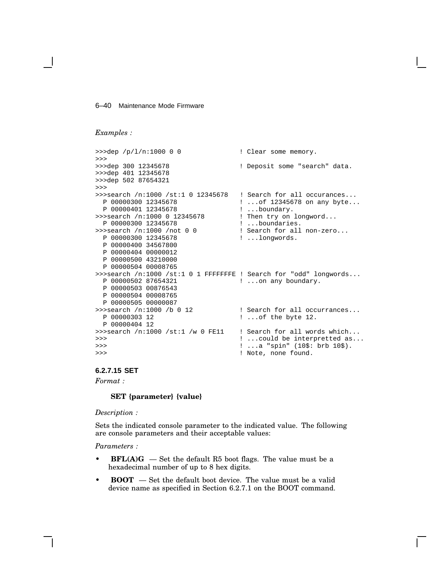#### 6–40 Maintenance Mode Firmware

### *Examples :*

```
>>>dep /p/l/n:1000 0 0 0 <br>! Clear some memory.
>>><br>>>>dep 300 12345678
                                  ! Deposit some "search" data.
>>>dep 401 12345678
>>>dep 502 87654321
>>>
>>>search /n:1000 /st:1 0 12345678 ! Search for all occurances...<br>P 00000300 12345678 ...of 12345678 on any byte..
                                  ! ...of 12345678 on any byte...
P 00000401 12345678 <br>>>>search /n:1000 0 12345678 ! Then try on
                                  ! Then try on longword...
 P 00000300 12345678 ! ...boundaries.
>>>search /n:1000 /not 0 0 ! Search for all non-zero...
 P 00000300 12345678 ! ...longwords.
 P 00000400 34567800
 P 00000404 00000012
 P 00000500 43210000
 P 00000504 00008765
>>>search /n:1000 /st:1 0 1 FFFFFFFE ! Search for "odd" longwords...
 P 00000502 87654321 | ...on any boundary.
 P 00000503 00876543
 P 00000504 00008765
 P 00000505 00000087
\frac{3}{2}>>search /n:1000 /b 0 12 <br>
P 00000303 12 <br>
! ... of the byte 12.
                                  ! ...of the byte 12.
 P 00000404 12
>>>search /n:1000 /st:1 /w 0 FE11 ! Search for all words which...
>>> ! ...could be interpretted as...
>>> ! ...a "spin" (10$: brb 10$).
>>> ! Note, none found.
```
## **6.2.7.15 SET**

*Format :*

### **SET {parameter} {value}**

*Description :*

Sets the indicated console parameter to the indicated value. The following are console parameters and their acceptable values:

*Parameters :*

- **BFL(A)G** Set the default R5 boot flags. The value must be a hexadecimal number of up to 8 hex digits.
- **BOOT** Set the default boot device. The value must be a valid device name as specified in Section 6.2.7.1 on the BOOT command.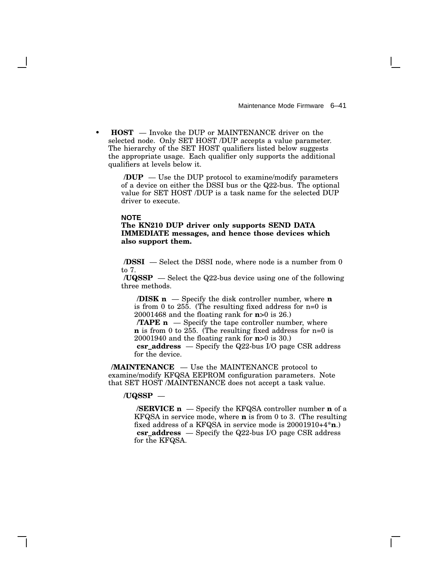• **HOST** — Invoke the DUP or MAINTENANCE driver on the selected node. Only SET HOST /DUP accepts a value parameter. The hierarchy of the SET HOST qualifiers listed below suggests the appropriate usage. Each qualifier only supports the additional qualifiers at levels below it.

> **/DUP** — Use the DUP protocol to examine/modify parameters of a device on either the DSSI bus or the Q22-bus. The optional value for SET HOST /DUP is a task name for the selected DUP driver to execute.

#### **NOTE**

### **The KN210 DUP driver only supports SEND DATA IMMEDIATE messages, and hence those devices which also support them.**

**/DSSI** — Select the DSSI node, where node is a number from 0 to 7.

**/UQSSP** — Select the Q22-bus device using one of the following three methods.

**/DISK n** — Specify the disk controller number, where **n** is from 0 to 255. (The resulting fixed address for n=0 is 20001468 and the floating rank for **n**>0 is 26.)

**/TAPE n** — Specify the tape controller number, where **n** is from 0 to 255. (The resulting fixed address for n=0 is 20001940 and the floating rank for **n**>0 is 30.) **csr\_address** — Specify the Q22-bus I/O page CSR address

for the device.

**/MAINTENANCE** — Use the MAINTENANCE protocol to examine/modify KFQSA EEPROM configuration parameters. Note that SET HOST /MAINTENANCE does not accept a task value.

#### **/UQSSP** —

**/SERVICE n** — Specify the KFQSA controller number **n** of a KFQSA in service mode, where **n** is from 0 to 3. (The resulting fixed address of a KFQSA in service mode is 20001910+4\***n**.) **csr\_address** — Specify the Q22-bus I/O page CSR address for the KFQSA.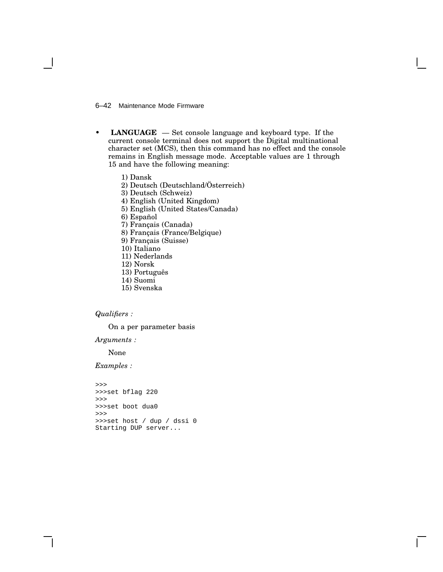6–42 Maintenance Mode Firmware

- **LANGUAGE** Set console language and keyboard type. If the current console terminal does not support the Digital multinational character set (MCS), then this command has no effect and the console remains in English message mode. Acceptable values are 1 through 15 and have the following meaning:
	- 1) Dansk
	- 2) Deutsch (Deutschland/Österreich)
	- 3) Deutsch (Schweiz)
	- 4) English (United Kingdom)
	- 5) English (United States/Canada)
	- 6) Español
	- 7) Français (Canada)
	- 8) Français (France/Belgique)
	- 9) Français (Suisse)
	- 10) Italiano
	- 11) Nederlands
	- 12) Norsk
	- 13) Português
	- 14) Suomi
	- 15) Svenska

### *Qualifiers :*

On a per parameter basis

*Arguments :*

None

*Examples :*

```
>>>
>>>set bflag 220
>>>
>>>set boot dua0
>>>>>set host / dup / dssi 0
Starting DUP server...
```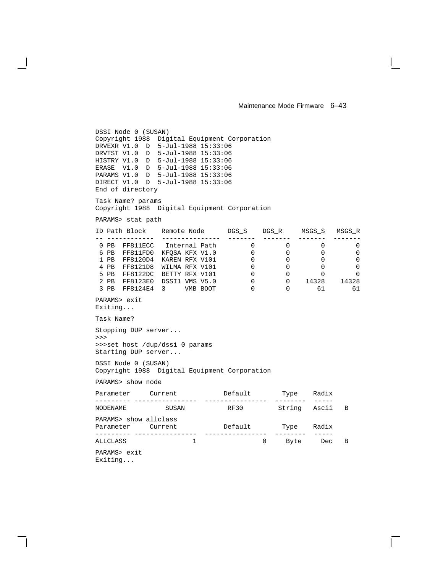```
DSSI Node 0 (SUSAN)
Copyright 1988 Digital Equipment Corporation
DRVEXR V1.0 D 5-Jul-1988 15:33:06
DRVTST V1.0 D 5-Jul-1988 15:33:06
HISTRY V1.0 D 5-Jul-1988 15:33:06
ERASE V1.0 D 5-Jul-1988 15:33:06
PARAMS V1.0 D 5-Jul-1988 15:33:06
DIRECT V1.0 D 5-Jul-1988 15:33:06
End of directory
Task Name? params
Copyright 1988 Digital Equipment Corporation
PARAMS> stat path
ID Path Block Remote Node DGS_S DGS_R MSGS_S MSGS_R
-- ------------ --------------- ------- ------- ------- -------
 0 PB FF811ECC Internal Path 0 0 0 0 0 0
 6 PB FF811FD0 KFQSA KFX V1.0 0 0 0 0
 1 PB FF8120D4 KAREN RFX V101 0 0 0 0 0
 4 PB FF8121D8 WILMA RFX V101 0 0 0 0 0
 5 PB FF8122DC BETTY RFX V101 0 0 0 0 0
 2 PB FF8123E0 DSSI1 VMS V5.0 0 0 14328 14328
 3 PB FF8124E4 3 VMB BOOT 0 0 61 61
PARAMS> exit
Exiting...
Task Name?
Stopping DUP server...
>>>
>>>set host /dup/dssi 0 params
Starting DUP server...
DSSI Node 0 (SUSAN)
Copyright 1988 Digital Equipment Corporation
PARAMS> show node
Parameter Current Default Type Radix
--------- ---------------- ---------------- -------- -----
NODENAME SUSAN RF30 String Ascii B
PARAMS> show allclass
Parameter Current Default Type Radix
--------- ---------------- ---------------- -------- -----
ALLCLASS 1 0 Byte
PARAMS> exit
```
Exiting...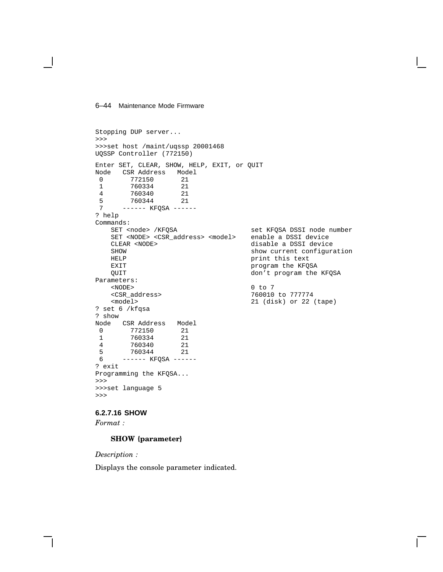#### 6–44 Maintenance Mode Firmware

```
Stopping DUP server...
>>>
>>>set host /maint/uqssp 20001468
UQSSP Controller (772150)
Enter SET, CLEAR, SHOW, HELP, EXIT, or QUIT
Node CSR Address Model<br>0 772150 21
 0 772150 21<br>1 760334 21
           760334 21<br>760340 21
 4 760340
 5 760344 21<br>7 ----- KFOSA ----
         ------ KFOSA ------
? help
Commands:
     SET <node> /KFQSA set KFQSA DSSI node number<br>SET <NODE> <CSR_address> <model> enable a DSSI device
     SET <NODE> <CSR_address> <model> CLEAR <NODE>
                                                  disable a DSSI device
     SHOW show current configuration
     HELP print this text<br>EXIT program the KFQ
     EXIT program the KFQSA event of the MET of the STAGE of the MET of the STAGE of the MET of the STAGE of the ME<br>Bridge of the MET of the MET of the MET of the MET of the MET of the MET of the MET of the MET of the MET of t
                                                  don't program the KFQSA
Parameters:
     <NODE> 0 to 7
     <CSR_address> 760010 to 777774
                                                  21 (disk) or 22 (tape)
? set 6 /kfqsa
? show
Node CSR Address Model<br>0 772150 21
 \begin{array}{cccc} 0 & 772150 & 21 \\ 1 & 760334 & 21 \end{array}1 760334 21<br>4 760340 21
          760340
 5 760344 21<br>6 ----- KFOSA ----
        ------ KFQSA ------
? exit
Programming the KFQSA...
>>>
>>>set language 5
>>>
```
# **6.2.7.16 SHOW**

*Format :*

### **SHOW {parameter}**

*Description :*

Displays the console parameter indicated.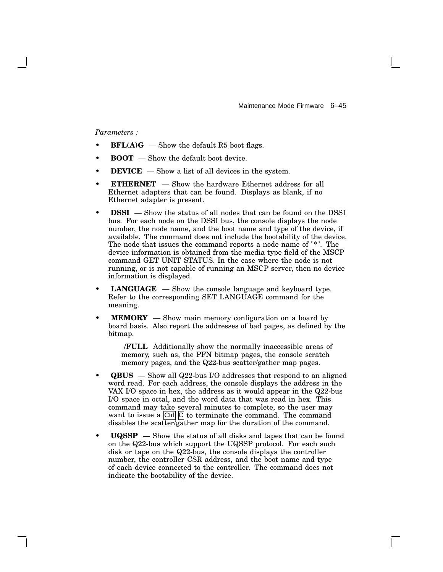*Parameters :*

- $BFL(A)G$  Show the default R5 boot flags.
- **BOOT** Show the default boot device.
- **DEVICE** Show a list of all devices in the system.
- **ETHERNET** Show the hardware Ethernet address for all Ethernet adapters that can be found. Displays as blank, if no Ethernet adapter is present.
- **DSSI** Show the status of all nodes that can be found on the DSSI bus. For each node on the DSSI bus, the console displays the node number, the node name, and the boot name and type of the device, if available. The command does not include the bootability of the device. The node that issues the command reports a node name of "\*". The device information is obtained from the media type field of the MSCP command GET UNIT STATUS. In the case where the node is not running, or is not capable of running an MSCP server, then no device information is displayed.
- **LANGUAGE** Show the console language and keyboard type. Refer to the corresponding SET LANGUAGE command for the meaning.
- **MEMORY** Show main memory configuration on a board by board basis. Also report the addresses of bad pages, as defined by the bitmap.

**/FULL** Additionally show the normally inaccessible areas of memory, such as, the PFN bitmap pages, the console scratch memory pages, and the Q22-bus scatter/gather map pages.

- **QBUS** Show all Q22-bus I/O addresses that respond to an aligned word read. For each address, the console displays the address in the VAX I/O space in hex, the address as it would appear in the Q22-bus I/O space in octal, and the word data that was read in hex. This command may take several minutes to complete, so the user may want to issue a  $\overline{C}$ trl $\overline{C}$  to terminate the command. The command disables the scatter/gather map for the duration of the command.
- **UQSSP** Show the status of all disks and tapes that can be found on the Q22-bus which support the UQSSP protocol. For each such disk or tape on the Q22-bus, the console displays the controller number, the controller CSR address, and the boot name and type of each device connected to the controller. The command does not indicate the bootability of the device.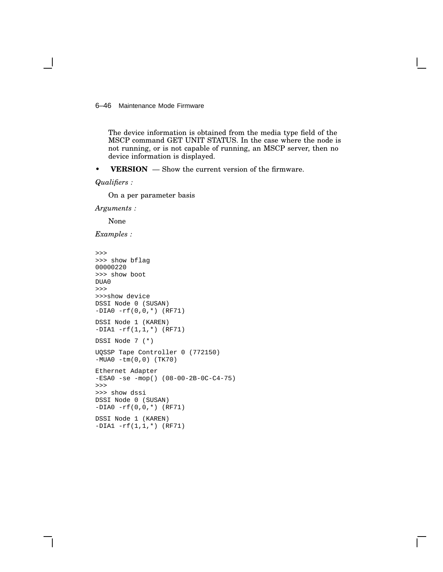6–46 Maintenance Mode Firmware

The device information is obtained from the media type field of the MSCP command GET UNIT STATUS. In the case where the node is not running, or is not capable of running, an MSCP server, then no device information is displayed.

• **VERSION** — Show the current version of the firmware.

*Qualifiers :*

On a per parameter basis

*Arguments :*

None

*Examples :*

```
>>>
>>> show bflag
00000220
>>> show boot
DUA0
>>>
>>>show device
DSSI Node 0 (SUSAN)
-DIA0 -rf(0,0,*) (RF71)
DSSI Node 1 (KAREN)
-DIA1 -rf(1,1,*) (RF71)
DSSI Node 7 (*)
UQSSP Tape Controller 0 (772150)
-MUA0 -tm(0,0) (TK70)
Ethernet Adapter
-ESA0 -se -mop() (08-00-2B-0C-C4-75)
>>>
>>> show dssi
DSSI Node 0 (SUSAN)
-DIA0 -rf(0,0,*) (RF71)
DSSI Node 1 (KAREN)
-DIA1 -rf(1,1,*) (RF71)
```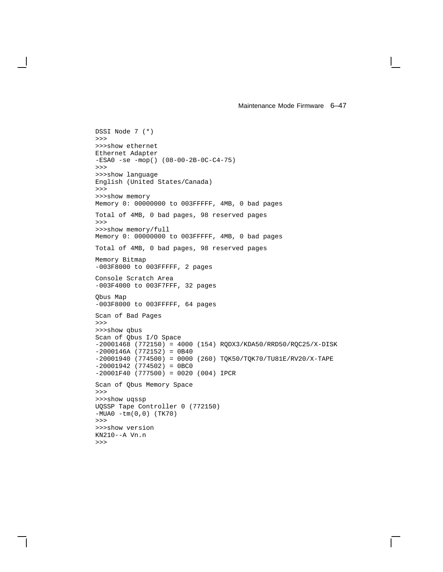```
DSSI Node 7 (*)
>>>
>>>show ethernet
Ethernet Adapter
-ESA0 -se -mop() (08-00-2B-0C-C4-75)
>>>
>>>show language
English (United States/Canada)
>>>
>>>show memory
Memory 0: 00000000 to 003FFFFF, 4MB, 0 bad pages
Total of 4MB, 0 bad pages, 98 reserved pages
>>>
>>>show memory/full
Memory 0: 00000000 to 003FFFFF, 4MB, 0 bad pages
Total of 4MB, 0 bad pages, 98 reserved pages
Memory Bitmap
-003F8000 to 003FFFFF, 2 pages
Console Scratch Area
-003F4000 to 003F7FFF, 32 pages
Qbus Map
-003F8000 to 003FFFFF, 64 pages
Scan of Bad Pages
>>>
>>>show qbus
Scan of Qbus I/O Space
-20001468 (772150) = 4000 (154) RQDX3/KDA50/RRD50/RQC25/X-DISK
-2000146A (772152) = 0B40
-20001940 (774500) = 0000 (260) TQK50/TQK70/TU81E/RV20/X-TAPE
-20001942 (774502) = 0BC0
-20001F40 (777500) = 0020 (004) IPCR
Scan of Qbus Memory Space
>>>
>>>show uqssp
UQSSP Tape Controller 0 (772150)
-MUA0 -tm(0,0) (TK70)
>>>
>>>show version
KN210--A Vn.n
>>>
```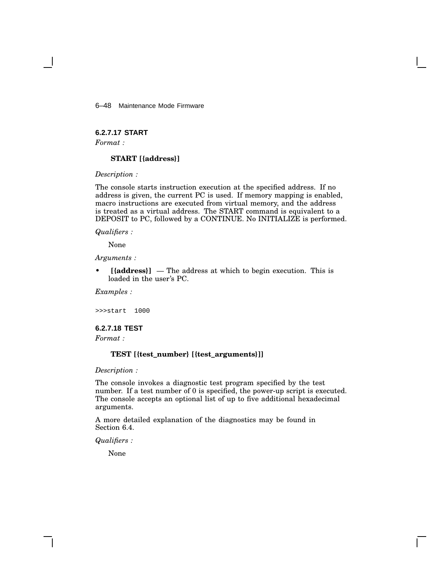6–48 Maintenance Mode Firmware

# **6.2.7.17 START**

*Format :*

### **START [{address}]**

*Description :*

The console starts instruction execution at the specified address. If no address is given, the current PC is used. If memory mapping is enabled, macro instructions are executed from virtual memory, and the address is treated as a virtual address. The START command is equivalent to a DEPOSIT to PC, followed by a CONTINUE. No INITIALIZE is performed.

*Qualifiers :*

None

*Arguments :*

• **[{address}]** — The address at which to begin execution. This is loaded in the user's PC.

*Examples :*

>>>start 1000

### **6.2.7.18 TEST**

*Format :*

### **TEST [{test\_number} [{test\_arguments}]]**

*Description :*

The console invokes a diagnostic test program specified by the test number. If a test number of 0 is specified, the power-up script is executed. The console accepts an optional list of up to five additional hexadecimal arguments.

A more detailed explanation of the diagnostics may be found in Section 6.4.

*Qualifiers :*

None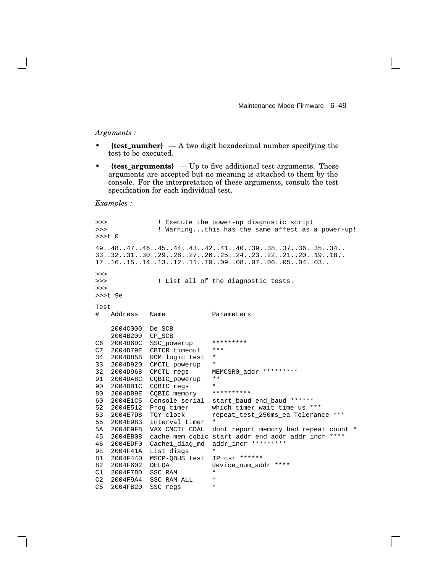#### *Arguments :*

- **{test\_number}** A two digit hexadecimal number specifying the test to be executed.
- **{test\_arguments}** Up to five additional test arguments. These arguments are accepted but no meaning is attached to them by the console. For the interpretation of these arguments, consult the test specification for each individual test.

*Examples :*

```
>>> ! Execute the power-up diagnostic script
>>> ! Warning...this has the same affect as a power-up!
>>>t 0
49..48..47..46..45..44..43..42..41..40..39..38..37..36..35..34..
33..32..31..30..29..28..27..26..25..24..23..22..21..20..19..18..
17..16..15..14..13..12..11..10..09..08..07..06..05..04..03..
>>>
>>> ! List all of the diagnostic tests.
>>>
>>>t 9e
Test
# Address Name Parameters
___________________________________________________________________________
    2004C000 De_SCB
    2004B200 CP_SCB
C6 2004D6DC SSC_powerup *********
C7 2004D79E CBTCR timeout ***
34 2004D858 ROM logic test *
33 2004D920 CMCTL_powerup *
32 2004D968 CMCTL regs MEMCSR0_addr *********
91 2004DA8C CQBIC_powerup **<br>90 2004DB1C COBIC reas
90 2004DB1C CQBIC regs *<br>80 2004DB9E COBIC memory **********
80 2004DB9E CQBIC_memory<br>60 2004E1C5 Console serial
                             start_baud end_baud ******
52 2004E512 Prog timer which_timer wait_time_us ***
53 2004E7D8 TOY clock repeat_test_250ms_ea Tolerance ***
55 2004E983 Interval timer *
5A 2004E9F8 VAX CMCTL CDAL dont_report_memory_bad repeat_count *
45 2004EB08 cache_mem_cqbic start_addr end_addr addr_incr ****
46 2004EDF0 Cache1_diag_md addr_incr *********
9E 2004F41A List diags *
81 2004F440 MSCP-QBUS test IP_csr ******
82 2004F602 DELQA device_num_addr ****
C1 2004F7DD SSC RAM
C2 2004F9A4 SSC RAM ALL *
C5 2004FB20 SSC regs
```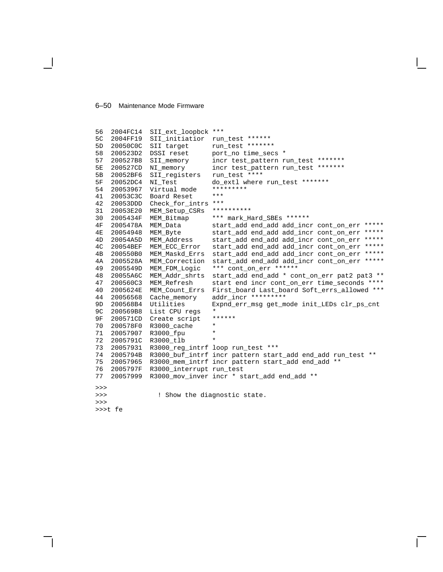#### 6–50 Maintenance Mode Firmware

```
56 2004FC14 SII_ext_loopbck ***
5C 2004FF19 SII_initiatior run_test *******<br>5D 20050C0C SII target run_test *******
5D 20050C0C SII target
58 200523D2 DSSI reset port_no time_secs *
57 200527B8 SII_memory incr test_pattern run_test *******
5E 200527CD NI_memory incr test_pattern run_test *******
5B 20052BF6 SII_registers run_test ****<br>5F 20052DC4 NI_Test do_extl where
5F 20052DC4 NI_Test do_extl where run_test *******
54 20053967 Virtual mode *********
41 20053C3C Board Reset ***
42 20053DDD Check_for_intrs ***
31 20053E20 MEM_Setup_CSRs **********
30 2005434F MEM_Bitmap *** mark_Hard_SBEs ******
                                  start_add end_add add_incr cont_on_err *****
4E 20054948 MEM_Byte start_add end_add add_incr cont_on_err *****<br>4D 20054A5D MEM Address start add end add add incr cont on err *****
4D 20054A5D MEM_Address start_add end_add add_incr cont_on_err *****<br>4C 20054BEF MEM_ECC_Error start_add end_add add_incr cont_on_err *****
                                  start_add end_add add_incr cont_on_err *****
4B 200550B0 MEM_Maskd_Errs start_add end_add add_incr cont_on_err *****
4A 2005528A MEM_Correction start_add end_add add_incr cont_on_err *****
49 2005549D MEM_FDM_Logic *** cont_on_err ******
48 20055A6C MEM_Addr_shrts start_add end_add * cont_on_err pat2 pat3 **<br>47 200560C3 MEM_Refresh start end incr cont_on_err time_seconds ****
47 200560C3 MEM_Refresh start end incr cont_on_err time_seconds ****
40 2005624E MEM_Count_Errs First_board Last_board Soft_errs_allowed ***<br>44 20056568 Cache_memory addr_incr *********
44 20056568 Cache_memory addr_incr *********
9D 200568B4 Utilities Expnd_err_msg get_mode init_LEDs clr_ps_cnt
9C 200569B8 List CPU regs *<br>9F 200571CD Create script ******
9F 200571CD Create script *
70 200578F0 R3000_cache *
71 20057907 R3000_fpu *
72 2005791C R3000_tlb *
73 20057931 R3000_reg_intrf loop run_test ***
74 2005794B R3000_buf_intrf incr pattern start_add end_add run_test **
75 20057965 R3000_mem_intrf incr pattern start_add end_add **
76 2005797F R3000_interrupt run_test
77 20057999 R3000_mov_inver incr * start_add end_add **
\rightarrow>>> ! Show the diagnostic state.
>>>
>>>t fe
```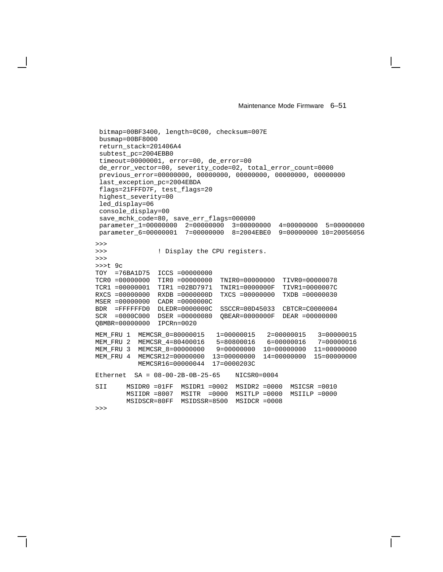bitmap=00BF3400, length=0C00, checksum=007E busmap=00BF8000 return\_stack=201406A4 subtest\_pc=2004EBB0 timeout=00000001, error=00, de\_error=00 de\_error\_vector=00, severity\_code=02, total\_error\_count=0000 previous\_error=00000000, 00000000, 00000000, 00000000, 00000000 last\_exception\_pc=2004EBDA flags=21FFFD7F, test\_flags=20 highest\_severity=00 led\_display=06 console\_display=00 save\_mchk\_code=80, save\_err\_flags=000000 parameter\_1=00000000 2=00000000 3=00000000 4=00000000 5=00000000 parameter\_6=00000001 7=00000000 8=2004EBE0 9=00000000 10=20056056 >>> >>> ! Display the CPU registers. >>> >>>t 9c TOY =76BA1D75 ICCS =00000000 TCR0 =00000000 TIR0 =00000000 TNIR0=00000000 TIVR0=00000078 TCR1 =00000001 TIR1 =02BD7971 TNIR1=0000000F TIVR1=0000007C RXCS =00000000 RXDB =0000000D TXCS =00000000 TXDB =00000030 MSER =00000000 CADR =0000000C BDR =FFFFFFD0 DLEDR=0000000C SSCCR=00D45033 CBTCR=C0000004 SCR =0000C000 DSER =00000080 QBEAR=0000000F DEAR =00000000 QBMBR=00000000 IPCRn=0020 MEM\_FRU 1 MEMCSR\_0=80000015 1=00000015 2=00000015 3=00000015<br>MEM FRU 2 MEMCSR 4=80400016 5=80800016 6=00000016 7=00000016 MEM\_FRU 2 MEMCSR\_4=80400016<br>MEM\_FRU 3 MEMCSR\_8=00000000 9 = 00000000 10 = 00000000 11 = 00000000 MEM\_FRU 4 MEMCSR12=00000000 13=00000000 14=00000000 15=00000000 MEMCSR16=00000044 17=0000203C Ethernet SA = 08-00-2B-0B-25-65 NICSR0=0004 SII MSIDR0 =01FF MSIDR1 =0002 MSIDR2 =0000 MSICSR =0010 MSIIDR =8007 MSITR =0000 MSITLP =0000 MSIILP =0000 MSIDSCR=80FF MSIDSSR=8500 MSIDCR =0008 >>>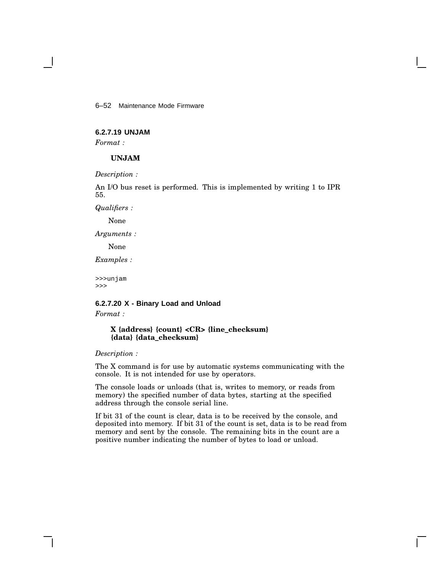6–52 Maintenance Mode Firmware

# **6.2.7.19 UNJAM**

*Format :*

### **UNJAM**

*Description :*

An I/O bus reset is performed. This is implemented by writing 1 to IPR 55.

*Qualifiers :*

None

*Arguments :*

None

*Examples :*

>>>unjam >>>

# **6.2.7.20 X - Binary Load and Unload** *Format :*

### **X {address} {count} <CR> {line\_checksum} {data} {data\_checksum}**

*Description :*

The X command is for use by automatic systems communicating with the console. It is not intended for use by operators.

The console loads or unloads (that is, writes to memory, or reads from memory) the specified number of data bytes, starting at the specified address through the console serial line.

If bit 31 of the count is clear, data is to be received by the console, and deposited into memory. If bit 31 of the count is set, data is to be read from memory and sent by the console. The remaining bits in the count are a positive number indicating the number of bytes to load or unload.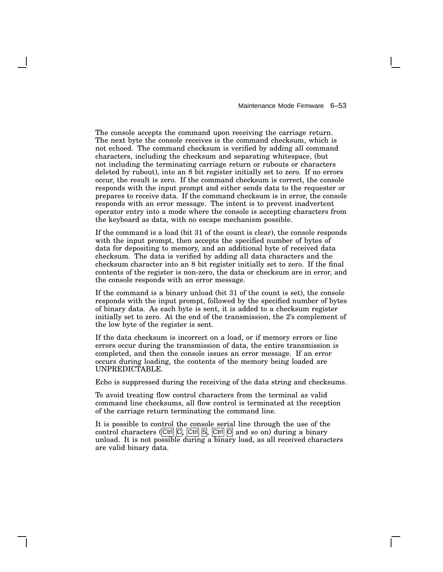The console accepts the command upon receiving the carriage return. The next byte the console receives is the command checksum, which is not echoed. The command checksum is verified by adding all command characters, including the checksum and separating whitespace, (but not including the terminating carriage return or rubouts or characters deleted by rubout), into an 8 bit register initially set to zero. If no errors occur, the result is zero. If the command checksum is correct, the console responds with the input prompt and either sends data to the requester or prepares to receive data. If the command checksum is in error, the console responds with an error message. The intent is to prevent inadvertent operator entry into a mode where the console is accepting characters from the keyboard as data, with no escape mechanism possible.

If the command is a load (bit 31 of the count is clear), the console responds with the input prompt, then accepts the specified number of bytes of data for depositing to memory, and an additional byte of received data checksum. The data is verified by adding all data characters and the checksum character into an 8 bit register initially set to zero. If the final contents of the register is non-zero, the data or checksum are in error, and the console responds with an error message.

If the command is a binary unload (bit 31 of the count is set), the console responds with the input prompt, followed by the specified number of bytes of binary data. As each byte is sent, it is added to a checksum register initially set to zero. At the end of the transmission, the 2's complement of the low byte of the register is sent.

If the data checksum is incorrect on a load, or if memory errors or line errors occur during the transmission of data, the entire transmission is completed, and then the console issues an error message. If an error occurs during loading, the contents of the memory being loaded are UNPREDICTABLE.

Echo is suppressed during the receiving of the data string and checksums.

To avoid treating flow control characters from the terminal as valid command line checksums, all flow control is terminated at the reception of the carriage return terminating the command line.

It is possible to control the console serial line through the use of the control characters (Ctrl  $\boxed{C}$ , Ctrl  $\boxed{S}$ , Ctrl  $\boxed{O}$  and so on) during a binary unload. It is not possible during a binary load, as all received characters are valid binary data.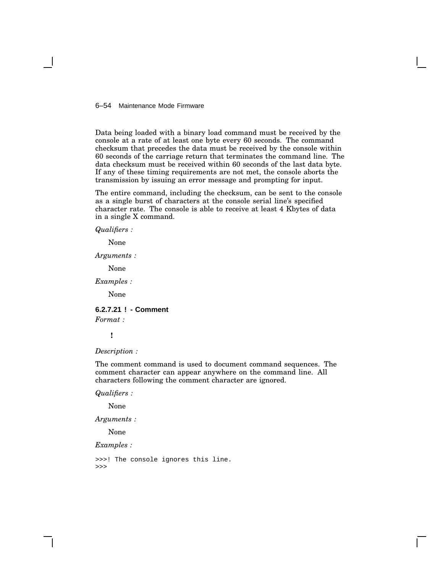### 6–54 Maintenance Mode Firmware

Data being loaded with a binary load command must be received by the console at a rate of at least one byte every 60 seconds. The command checksum that precedes the data must be received by the console within 60 seconds of the carriage return that terminates the command line. The data checksum must be received within 60 seconds of the last data byte. If any of these timing requirements are not met, the console aborts the transmission by issuing an error message and prompting for input.

The entire command, including the checksum, can be sent to the console as a single burst of characters at the console serial line's specified character rate. The console is able to receive at least 4 Kbytes of data in a single X command.

*Qualifiers :*

None

*Arguments :*

None

*Examples :*

None

**6.2.7.21 ! - Comment**

*Format :*

**!**

*Description :*

The comment command is used to document command sequences. The comment character can appear anywhere on the command line. All characters following the comment character are ignored.

*Qualifiers :*

None

*Arguments :*

None

*Examples :*

>>>! The console ignores this line. >>>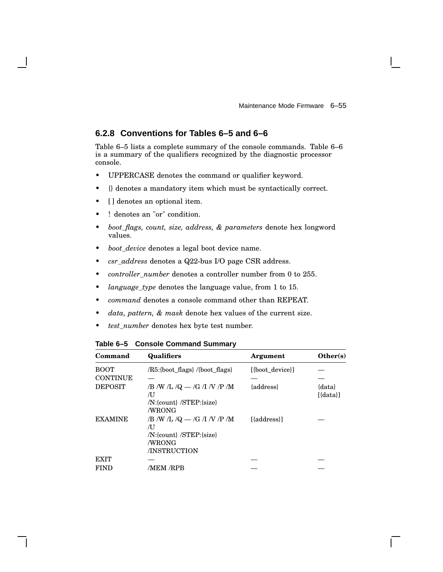# **6.2.8 Conventions for Tables 6–5 and 6–6**

Table 6–5 lists a complete summary of the console commands. Table 6–6 is a summary of the qualifiers recognized by the diagnostic processor console.

- UPPERCASE denotes the command or qualifier keyword.
- {} denotes a mandatory item which must be syntactically correct.
- [] denotes an optional item.
- ! denotes an "or" condition.
- *boot\_flags, count, size, address, & parameters* denote hex longword values.
- *boot\_device* denotes a legal boot device name.
- *csr\_address* denotes a Q22-bus I/O page CSR address.
- *controller\_number* denotes a controller number from 0 to 255.
- *language\_type* denotes the language value, from 1 to 15.
- *command* denotes a console command other than REPEAT.
- *data, pattern, & mask* denote hex values of the current size.
- *test\_number* denotes hex byte test number.

| Command         | <b>Qualifiers</b>                                                                         | Argument        | Other(s)                        |
|-----------------|-------------------------------------------------------------------------------------------|-----------------|---------------------------------|
| <b>BOOT</b>     | /R5:{boot flags} /{boot flags}                                                            | [{boot device}] |                                 |
| <b>CONTINUE</b> |                                                                                           |                 |                                 |
| <b>DEPOSIT</b>  | /B /W /L /Q $-$ /G /I /V /P /M<br>ÆΙ<br>/N:{count} /STEP:{size}<br>/WRONG                 | {address}       | $\{data\}$<br>$[{\text{data}}]$ |
| <b>EXAMINE</b>  | /B /W /L /Q $-$ /G /I /V /P /M<br>ÆΙ<br>/N:{count} /STEP:{size}<br>/WRONG<br>/INSTRUCTION | [{address}]     |                                 |
| <b>EXIT</b>     |                                                                                           |                 |                                 |
| FIND            | <b>MEM RPB</b>                                                                            |                 |                                 |

**Table 6–5 Console Command Summary**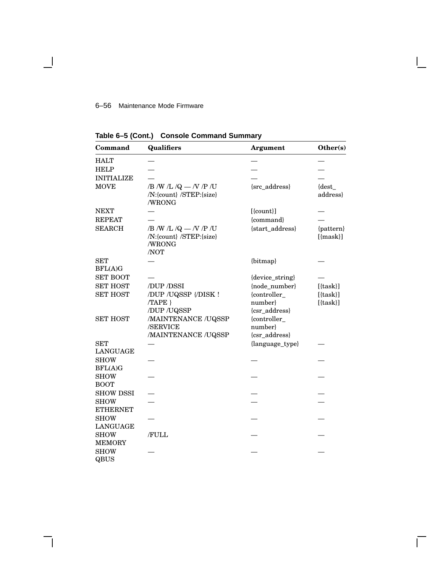# 6–56 Maintenance Mode Firmware

 $\blacksquare$ 

| Command                      | <b>Qualifiers</b>                                                     | <b>Argument</b>                          | Other(s)                          |
|------------------------------|-----------------------------------------------------------------------|------------------------------------------|-----------------------------------|
| <b>HALT</b>                  |                                                                       |                                          |                                   |
| <b>HELP</b>                  |                                                                       |                                          |                                   |
| <b>INITIALIZE</b>            |                                                                       |                                          |                                   |
| <b>MOVE</b>                  | /B /W /L /Q $-$ /V /P /U<br>/N:{count} /STEP:{size}<br>/WRONG         | {src_address}                            | {dest_<br>address}                |
| <b>NEXT</b>                  |                                                                       | $[$ {count} $]$                          |                                   |
| <b>REPEAT</b>                |                                                                       | {command}                                |                                   |
| <b>SEARCH</b>                | /B /W /L /Q $-$ /V /P /U<br>/N:{count} /STEP:{size}<br>/WRONG<br>/NOT | {start_address}                          | {pattern}<br>$[{mask}]$           |
| <b>SET</b><br>BFL(A)G        |                                                                       | {bitmap}                                 |                                   |
| <b>SET BOOT</b>              |                                                                       | {device_string}                          |                                   |
| <b>SET HOST</b>              | /DUP /DSSI                                                            | {node_number}                            | $[{\{task\}}]$                    |
| <b>SET HOST</b>              | /DUP /UQSSP {/DISK !<br>/TAPE }<br>/DUP /UQSSP                        | {controller_<br>number}<br>{csr_address} | $[{\rm{task}}]$<br>$[{\{task\}}]$ |
| <b>SET HOST</b>              | /MAINTENANCE /UQSSP<br>/SERVICE<br>/MAINTENANCE /UQSSP                | {controller_<br>number}<br>{csr_address} |                                   |
| <b>SET</b>                   |                                                                       | {language_type}                          |                                   |
| LANGUAGE                     |                                                                       |                                          |                                   |
| <b>SHOW</b><br>BFL(A)G       |                                                                       |                                          |                                   |
| <b>SHOW</b><br><b>BOOT</b>   |                                                                       |                                          |                                   |
| <b>SHOW DSSI</b>             |                                                                       |                                          |                                   |
| <b>SHOW</b>                  |                                                                       |                                          |                                   |
| <b>ETHERNET</b>              |                                                                       |                                          |                                   |
| <b>SHOW</b>                  |                                                                       |                                          |                                   |
| LANGUAGE                     |                                                                       |                                          |                                   |
| <b>SHOW</b><br><b>MEMORY</b> | /FULL                                                                 |                                          |                                   |
| <b>SHOW</b><br>QBUS          |                                                                       |                                          |                                   |

 $\mathbf{I}$ 

**Table 6–5 (Cont.) Console Command Summary**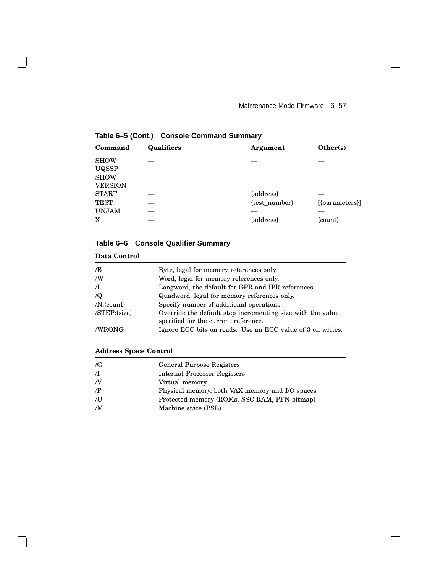$\mathsf{I}$ 

 $\overline{\Gamma}$ 

| Command        | <b>Qualifiers</b> | Argument      | Other(s)       |
|----------------|-------------------|---------------|----------------|
| <b>SHOW</b>    |                   |               |                |
| <b>UQSSP</b>   |                   |               |                |
| <b>SHOW</b>    |                   |               |                |
| <b>VERSION</b> |                   |               |                |
| <b>START</b>   |                   | {address}     |                |
| <b>TEST</b>    |                   | {test_number} | [{parameters}] |
| <b>UNJAM</b>   |                   |               |                |
| X              |                   | {address}     | ${count}$      |

**Table 6–5 (Cont.) Console Command Summary**

 $\overline{\phantom{a}}$ 

# **Table 6–6 Console Qualifier Summary**

| Data Control     |                                                                                                    |
|------------------|----------------------------------------------------------------------------------------------------|
| /B               | Byte, legal for memory references only.                                                            |
| /W               | Word, legal for memory references only.                                                            |
| $\pi$ .          | Longword, the default for GPR and IPR references.                                                  |
| $\sqrt{Q}$       | Quadword, legal for memory references only.                                                        |
| $/N$ :{count}    | Specify number of additional operations.                                                           |
| $/STEP:\{size\}$ | Override the default step incrementing size with the value<br>specified for the current reference. |
| /WRONG           | Ignore ECC bits on reads. Use an ECC value of 3 on writes.                                         |

### **Address Space Control**

| $\sqrt{G}$ | General Purpose Registers                       |
|------------|-------------------------------------------------|
| $\pi$      | <b>Internal Processor Registers</b>             |
| N          | Virtual memory                                  |
| $\sqrt{P}$ | Physical memory, both VAX memory and I/O spaces |
| ЛJ         | Protected memory (ROMs, SSC RAM, PFN bitmap)    |
| /M         | Machine state (PSL)                             |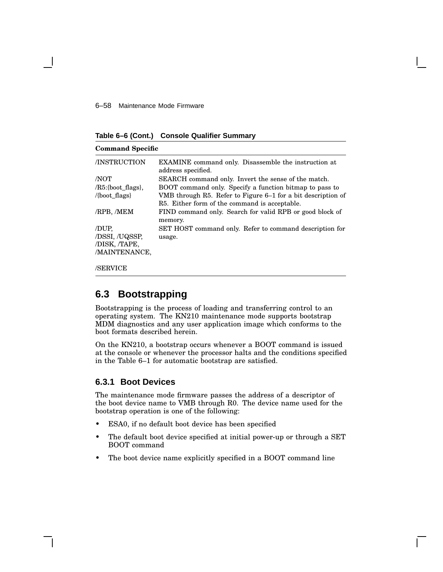#### 6–58 Maintenance Mode Firmware

**Table 6–6 (Cont.) Console Qualifier Summary**

| <b>Command Specific</b>                                     |                                                                                                                                                                          |
|-------------------------------------------------------------|--------------------------------------------------------------------------------------------------------------------------------------------------------------------------|
| /INSTRUCTION                                                | <b>EXAMINE</b> command only. Disassemble the instruction at<br>address specified.                                                                                        |
| /NOT                                                        | SEARCH command only. Invert the sense of the match.                                                                                                                      |
| $/R5$ :{boot flags},<br>$\langle \text{boot flags} \rangle$ | BOOT command only. Specify a function bitmap to pass to<br>VMB through R5. Refer to Figure 6–1 for a bit description of<br>R5. Either form of the command is acceptable. |
| /RPB, /MEM                                                  | FIND command only. Search for valid RPB or good block of<br>memory.                                                                                                      |
| /DUP,<br>/DSSI, /UQSSP,<br>/DISK, /TAPE,<br>/MAINTENANCE,   | SET HOST command only. Refer to command description for<br>usage.                                                                                                        |
| /SERVICE                                                    |                                                                                                                                                                          |

# **6.3 Bootstrapping**

Bootstrapping is the process of loading and transferring control to an operating system. The KN210 maintenance mode supports bootstrap MDM diagnostics and any user application image which conforms to the boot formats described herein.

On the KN210, a bootstrap occurs whenever a BOOT command is issued at the console or whenever the processor halts and the conditions specified in the Table 6–1 for automatic bootstrap are satisfied.

## **6.3.1 Boot Devices**

The maintenance mode firmware passes the address of a descriptor of the boot device name to VMB through R0. The device name used for the bootstrap operation is one of the following:

- ESA0, if no default boot device has been specified
- The default boot device specified at initial power-up or through a SET BOOT command
- The boot device name explicitly specified in a BOOT command line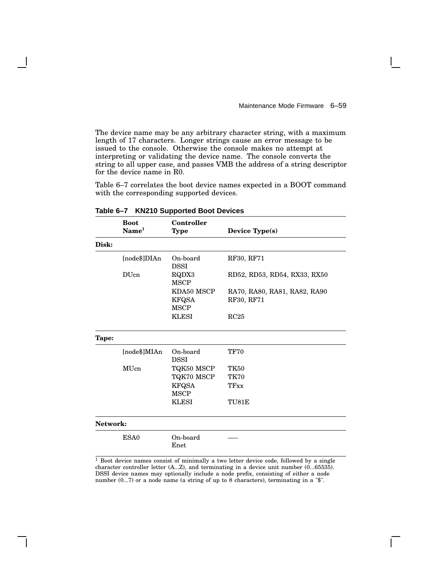The device name may be any arbitrary character string, with a maximum length of 17 characters. Longer strings cause an error message to be issued to the console. Otherwise the console makes no attempt at interpreting or validating the device name. The console converts the string to all upper case, and passes VMB the address of a string descriptor for the device name in R0.

Table 6–7 correlates the boot device names expected in a BOOT command with the corresponding supported devices.

|          | <b>Boot</b><br>$\mathbf{Name}^1$ | Controller<br><b>Type</b>                 | Device Type(s)                             |
|----------|----------------------------------|-------------------------------------------|--------------------------------------------|
| Disk:    |                                  |                                           |                                            |
|          | [node\$]DIAn                     | On-board<br><b>DSSI</b>                   | RF30, RF71                                 |
|          | <b>DU</b> cn                     | RQDX3<br><b>MSCP</b>                      | RD52, RD53, RD54, RX33, RX50               |
|          |                                  | KDA50 MSCP<br><b>KFQSA</b><br><b>MSCP</b> | RA70, RA80, RA81, RA82, RA90<br>RF30, RF71 |
|          |                                  | <b>KLESI</b>                              | RC25                                       |
| Tape:    |                                  |                                           |                                            |
|          | [node\$]MIAn                     | On-board<br><b>DSSI</b>                   | <b>TF70</b>                                |
|          | MUcn                             | TQK50 MSCP                                | <b>TK50</b>                                |
|          |                                  | TQK70 MSCP                                | <b>TK70</b>                                |
|          |                                  | <b>KFQSA</b><br><b>MSCP</b>               | TFxx                                       |
|          |                                  | <b>KLESI</b>                              | TU81E                                      |
| Network: |                                  |                                           |                                            |
|          | ESA0                             | On-board<br>Enet                          |                                            |

**Table 6–7 KN210 Supported Boot Devices**

 $\frac{1}{1}$  Boot device names consist of minimally a two letter device code, followed by a single character controller letter (A...Z), and terminating in a device unit number (0...65535). DSSI device names may optionally include a node prefix, consisting of either a node number (0...7) or a node name (a string of up to 8 characters), terminating in a "\$".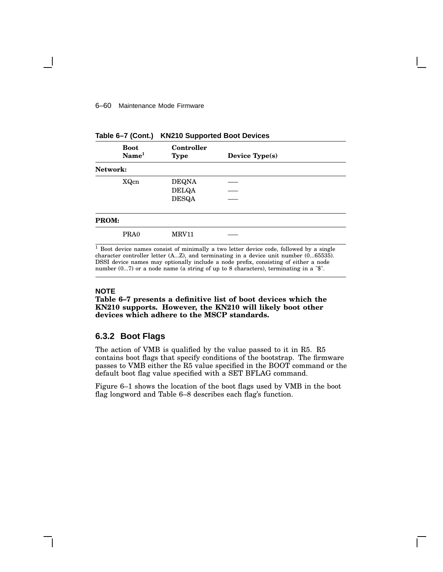#### 6–60 Maintenance Mode Firmware

|              | $\sim$ $\sim$ $\sim$ $\sim$ $\sim$ $\sim$ $\sim$ | . <b>.</b>                |                |  |
|--------------|--------------------------------------------------|---------------------------|----------------|--|
|              | <b>Boot</b><br>Name <sup>1</sup>                 | Controller<br><b>Type</b> | Device Type(s) |  |
| Network:     |                                                  |                           |                |  |
|              | XQcn                                             | <b>DEQNA</b>              |                |  |
|              |                                                  | <b>DELQA</b>              |                |  |
|              |                                                  | <b>DESQA</b>              |                |  |
| <b>PROM:</b> |                                                  |                           |                |  |
|              | PRA0                                             | <b>MRV11</b>              |                |  |

|  |  |  | Table 6-7 (Cont.) KN210 Supported Boot Devices |
|--|--|--|------------------------------------------------|
|--|--|--|------------------------------------------------|

<sup>1</sup> Boot device names consist of minimally a two letter device code, followed by a single character controller letter (A...Z), and terminating in a device unit number (0...65535). DSSI device names may optionally include a node prefix, consisting of either a node number (0...7) or a node name (a string of up to 8 characters), terminating in a "\$".

#### **NOTE**

**Table 6–7 presents a definitive list of boot devices which the KN210 supports. However, the KN210 will likely boot other devices which adhere to the MSCP standards.**

# **6.3.2 Boot Flags**

The action of VMB is qualified by the value passed to it in R5. R5 contains boot flags that specify conditions of the bootstrap. The firmware passes to VMB either the R5 value specified in the BOOT command or the default boot flag value specified with a SET BFLAG command.

Figure 6–1 shows the location of the boot flags used by VMB in the boot flag longword and Table 6–8 describes each flag's function.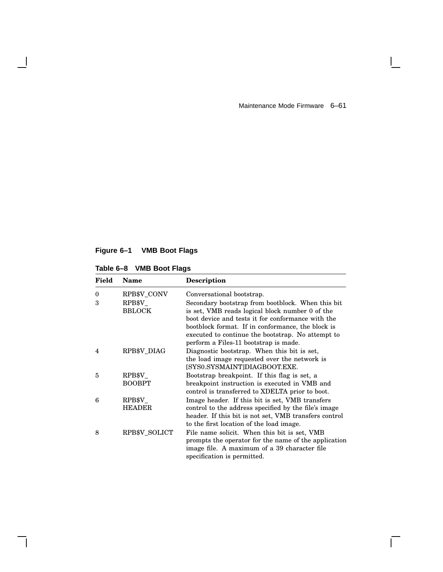$\mathbf{L}$ 

 $\overline{\Gamma}$ 

# **Figure 6–1 VMB Boot Flags**

| Table 6-8 VMB Boot Flags |  |  |  |  |  |
|--------------------------|--|--|--|--|--|
|--------------------------|--|--|--|--|--|

 $\overline{\phantom{a}}$ 

 $\mathsf{l}$ 

| Field          | <b>Name</b>                                  | <b>Description</b>                                                                                                                                                                                                                                                                                                                        |
|----------------|----------------------------------------------|-------------------------------------------------------------------------------------------------------------------------------------------------------------------------------------------------------------------------------------------------------------------------------------------------------------------------------------------|
| $\theta$<br>3  | RPB\$V CONV<br>$\rm RPB\$ V<br><b>BBLOCK</b> | Conversational bootstrap.<br>Secondary bootstrap from bootblock. When this bit<br>is set, VMB reads logical block number 0 of the<br>boot device and tests it for conformance with the<br>bootblock format. If in conformance, the block is<br>executed to continue the bootstrap. No attempt to<br>perform a Files-11 bootstrap is made. |
| $\overline{4}$ | RPB\$V_DIAG                                  | Diagnostic bootstrap. When this bit is set,<br>the load image requested over the network is<br>[SYS0.SYSMAINT]DIAGBOOT.EXE.                                                                                                                                                                                                               |
| 5              | $\rm RPB\$ V<br><b>BOOBPT</b>                | Bootstrap breakpoint. If this flag is set, a<br>breakpoint instruction is executed in VMB and<br>control is transferred to XDELTA prior to boot.                                                                                                                                                                                          |
| 6              | $\rm RPB\$ V<br><b>HEADER</b>                | Image header. If this bit is set, VMB transfers<br>control to the address specified by the file's image<br>header. If this bit is not set, VMB transfers control<br>to the first location of the load image.                                                                                                                              |
| 8              | RPB\$V_SOLICT                                | File name solicit. When this bit is set, VMB<br>prompts the operator for the name of the application<br>image file. A maximum of a 39 character file<br>specification is permitted.                                                                                                                                                       |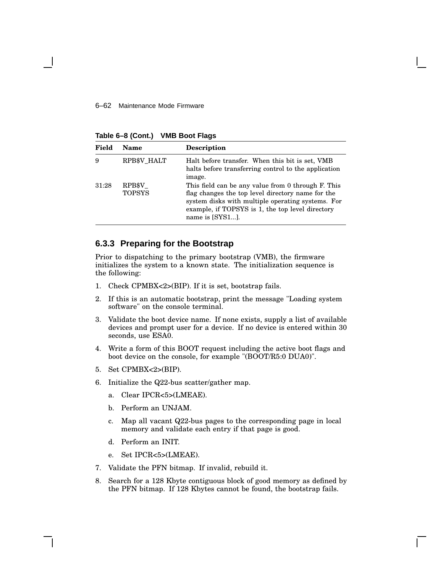**Table 6–8 (Cont.) VMB Boot Flags**

| Field | Name                    | <b>Description</b>                                                                                                                                                                                                                  |
|-------|-------------------------|-------------------------------------------------------------------------------------------------------------------------------------------------------------------------------------------------------------------------------------|
| 9     | RPB\$V_HALT             | Halt before transfer. When this bit is set, VMB<br>halts before transferring control to the application<br>image.                                                                                                                   |
| 31:28 | RPB\$V<br><b>TOPSYS</b> | This field can be any value from 0 through F. This<br>flag changes the top level directory name for the<br>system disks with multiple operating systems. For<br>example, if TOPSYS is 1, the top level directory<br>name is [SYS1]. |

## **6.3.3 Preparing for the Bootstrap**

Prior to dispatching to the primary bootstrap (VMB), the firmware initializes the system to a known state. The initialization sequence is the following:

- 1. Check CPMBX<2>(BIP). If it is set, bootstrap fails.
- 2. If this is an automatic bootstrap, print the message "Loading system software" on the console terminal.
- 3. Validate the boot device name. If none exists, supply a list of available devices and prompt user for a device. If no device is entered within 30 seconds, use ESA0.
- 4. Write a form of this BOOT request including the active boot flags and boot device on the console, for example "(BOOT/R5:0 DUA0)".
- 5. Set CPMBX<2>(BIP).
- 6. Initialize the Q22-bus scatter/gather map.
	- a. Clear IPCR<5>(LMEAE).
	- b. Perform an UNJAM.
	- c. Map all vacant Q22-bus pages to the corresponding page in local memory and validate each entry if that page is good.
	- d. Perform an INIT.
	- e. Set IPCR<5>(LMEAE).
- 7. Validate the PFN bitmap. If invalid, rebuild it.
- 8. Search for a 128 Kbyte contiguous block of good memory as defined by the PFN bitmap. If 128 Kbytes cannot be found, the bootstrap fails.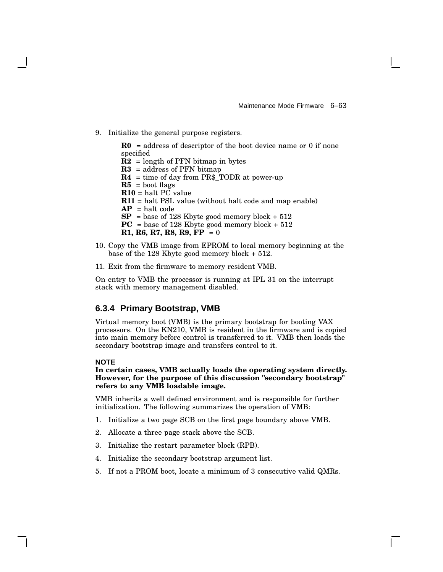9. Initialize the general purpose registers.

 $R0 =$  address of descriptor of the boot device name or 0 if none specified  $\mathbf{R2}$  = length of PFN bitmap in bytes **R3** = address of PFN bitmap **R4** = time of day from PR\$\_TODR at power-up  $R5 =$ boot flags **R10** = halt PC value **R11** = halt PSL value (without halt code and map enable)  $AP = halt code$ **SP** = base of 128 Kbyte good memory block + 512 **PC** = base of 128 Kbyte good memory block + 512 **R1, R6, R7, R8, R9, FP** = 0

- 10. Copy the VMB image from EPROM to local memory beginning at the base of the 128 Kbyte good memory block + 512.
- 11. Exit from the firmware to memory resident VMB.

On entry to VMB the processor is running at IPL 31 on the interrupt stack with memory management disabled.

## **6.3.4 Primary Bootstrap, VMB**

Virtual memory boot (VMB) is the primary bootstrap for booting VAX processors. On the KN210, VMB is resident in the firmware and is copied into main memory before control is transferred to it. VMB then loads the secondary bootstrap image and transfers control to it.

### **NOTE**

**In certain cases, VMB actually loads the operating system directly. However, for the purpose of this discussion "secondary bootstrap" refers to any VMB loadable image.**

VMB inherits a well defined environment and is responsible for further initialization. The following summarizes the operation of VMB:

- 1. Initialize a two page SCB on the first page boundary above VMB.
- 2. Allocate a three page stack above the SCB.
- 3. Initialize the restart parameter block (RPB).
- 4. Initialize the secondary bootstrap argument list.
- 5. If not a PROM boot, locate a minimum of 3 consecutive valid QMRs.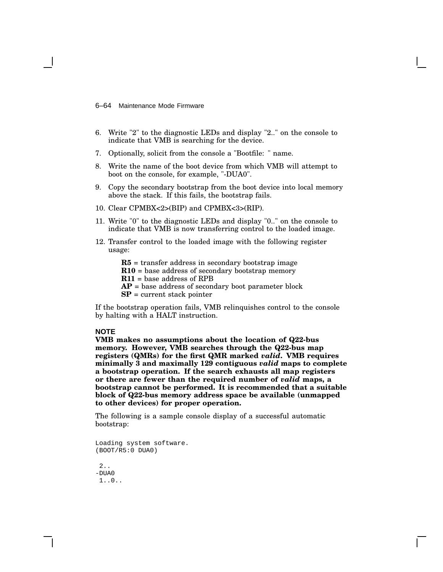6–64 Maintenance Mode Firmware

- 6. Write "2" to the diagnostic LEDs and display "2.." on the console to indicate that VMB is searching for the device.
- 7. Optionally, solicit from the console a "Bootfile: " name.
- 8. Write the name of the boot device from which VMB will attempt to boot on the console, for example, "-DUA0".
- 9. Copy the secondary bootstrap from the boot device into local memory above the stack. If this fails, the bootstrap fails.
- 10. Clear CPMBX<2>(BIP) and CPMBX<3>(RIP).
- 11. Write "0" to the diagnostic LEDs and display "0.." on the console to indicate that VMB is now transferring control to the loaded image.
- 12. Transfer control to the loaded image with the following register usage:

**R5** = transfer address in secondary bootstrap image

- **R10** = base address of secondary bootstrap memory
- **R11** = base address of RPB
- $AP =$  base address of secondary boot parameter block
- **SP** = current stack pointer

If the bootstrap operation fails, VMB relinquishes control to the console by halting with a HALT instruction.

#### **NOTE**

**VMB makes no assumptions about the location of Q22-bus memory. However, VMB searches through the Q22-bus map registers (QMRs) for the first QMR marked** *valid***. VMB requires minimally 3 and maximally 129 contiguous** *valid* **maps to complete a bootstrap operation. If the search exhausts all map registers or there are fewer than the required number of** *valid* **maps, a bootstrap cannot be performed. It is recommended that a suitable block of Q22-bus memory address space be available (unmapped to other devices) for proper operation.**

The following is a sample console display of a successful automatic bootstrap:

```
Loading system software.
(BOOT/R5:0 DUA0)
 2..
-DUA0
 1..0..
```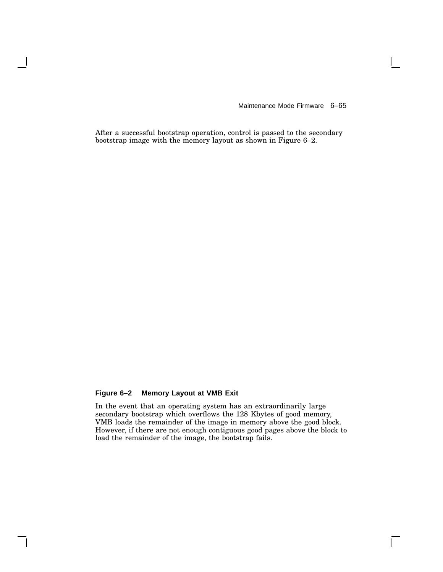$\mathbf{I}$ 

After a successful bootstrap operation, control is passed to the secondary bootstrap image with the memory layout as shown in Figure 6–2.

# **Figure 6–2 Memory Layout at VMB Exit**

In the event that an operating system has an extraordinarily large secondary bootstrap which overflows the 128 Kbytes of good memory, VMB loads the remainder of the image in memory above the good block. However, if there are not enough contiguous good pages above the block to load the remainder of the image, the bootstrap fails.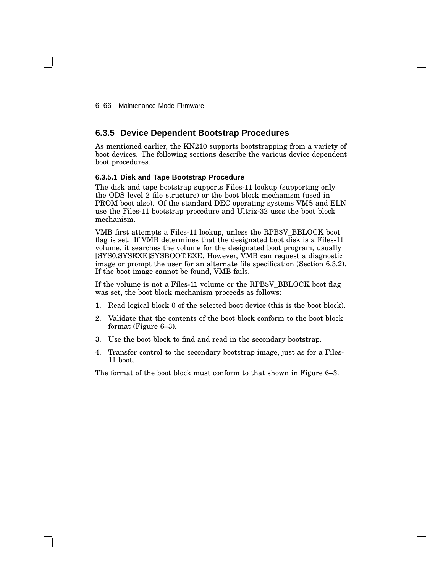6–66 Maintenance Mode Firmware

# **6.3.5 Device Dependent Bootstrap Procedures**

As mentioned earlier, the KN210 supports bootstrapping from a variety of boot devices. The following sections describe the various device dependent boot procedures.

### **6.3.5.1 Disk and Tape Bootstrap Procedure**

The disk and tape bootstrap supports Files-11 lookup (supporting only the ODS level 2 file structure) or the boot block mechanism (used in PROM boot also). Of the standard DEC operating systems VMS and ELN use the Files-11 bootstrap procedure and Ultrix-32 uses the boot block mechanism.

VMB first attempts a Files-11 lookup, unless the RPB\$V\_BBLOCK boot flag is set. If VMB determines that the designated boot disk is a Files-11 volume, it searches the volume for the designated boot program, usually [SYS0.SYSEXE]SYSBOOT.EXE. However, VMB can request a diagnostic image or prompt the user for an alternate file specification (Section 6.3.2). If the boot image cannot be found, VMB fails.

If the volume is not a Files-11 volume or the RPB\$V\_BBLOCK boot flag was set, the boot block mechanism proceeds as follows:

- 1. Read logical block 0 of the selected boot device (this is the boot block).
- 2. Validate that the contents of the boot block conform to the boot block format (Figure 6–3).
- 3. Use the boot block to find and read in the secondary bootstrap.
- 4. Transfer control to the secondary bootstrap image, just as for a Files-11 boot.

The format of the boot block must conform to that shown in Figure 6–3.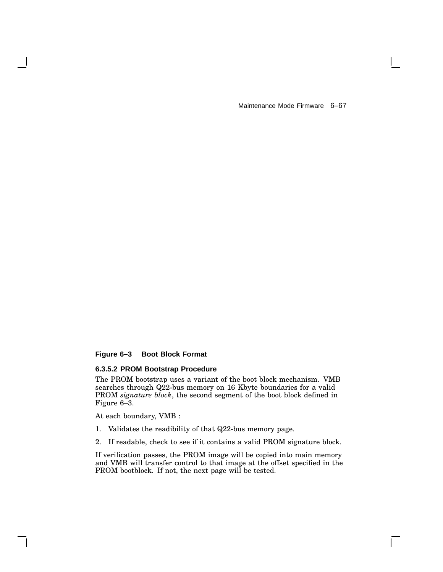$\mathbf{I}$ 

# **Figure 6–3 Boot Block Format**

# **6.3.5.2 PROM Bootstrap Procedure**

The PROM bootstrap uses a variant of the boot block mechanism. VMB searches through Q22-bus memory on 16 Kbyte boundaries for a valid PROM *signature block*, the second segment of the boot block defined in Figure 6–3.

At each boundary, VMB :

- 1. Validates the readibility of that Q22-bus memory page.
- 2. If readable, check to see if it contains a valid PROM signature block.

If verification passes, the PROM image will be copied into main memory and VMB will transfer control to that image at the offset specified in the PROM bootblock. If not, the next page will be tested.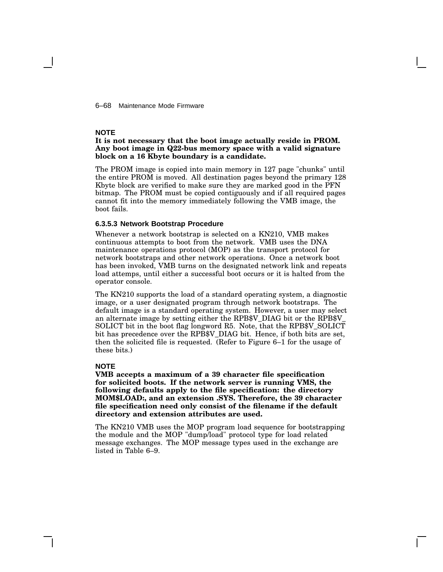6–68 Maintenance Mode Firmware

#### **NOTE**

### **It is not necessary that the boot image actually reside in PROM. Any boot image in Q22-bus memory space with a valid signature block on a 16 Kbyte boundary is a candidate.**

The PROM image is copied into main memory in 127 page "chunks" until the entire PROM is moved. All destination pages beyond the primary 128 Kbyte block are verified to make sure they are marked good in the PFN bitmap. The PROM must be copied contiguously and if all required pages cannot fit into the memory immediately following the VMB image, the boot fails.

#### **6.3.5.3 Network Bootstrap Procedure**

Whenever a network bootstrap is selected on a KN210, VMB makes continuous attempts to boot from the network. VMB uses the DNA maintenance operations protocol (MOP) as the transport protocol for network bootstraps and other network operations. Once a network boot has been invoked, VMB turns on the designated network link and repeats load attemps, until either a successful boot occurs or it is halted from the operator console.

The KN210 supports the load of a standard operating system, a diagnostic image, or a user designated program through network bootstraps. The default image is a standard operating system. However, a user may select an alternate image by setting either the RPB\$V\_DIAG bit or the RPB\$V\_ SOLICT bit in the boot flag longword R5. Note, that the RPB\$V\_SOLICT bit has precedence over the RPB\$V\_DIAG bit. Hence, if both bits are set, then the solicited file is requested. (Refer to Figure 6–1 for the usage of these bits.)

#### **NOTE**

**VMB accepts a maximum of a 39 character file specification for solicited boots. If the network server is running VMS, the following defaults apply to the file specification: the directory MOM\$LOAD:, and an extension .SYS. Therefore, the 39 character file specification need only consist of the filename if the default directory and extension attributes are used.**

The KN210 VMB uses the MOP program load sequence for bootstrapping the module and the MOP "dump/load" protocol type for load related message exchanges. The MOP message types used in the exchange are listed in Table 6–9.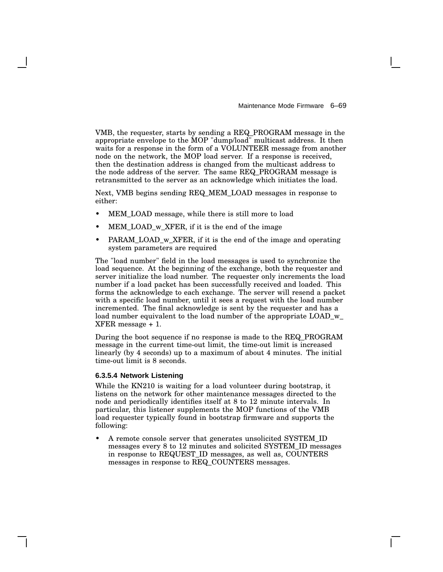VMB, the requester, starts by sending a REQ\_PROGRAM message in the appropriate envelope to the MOP "dump/load" multicast address. It then waits for a response in the form of a VOLUNTEER message from another node on the network, the MOP load server. If a response is received, then the destination address is changed from the multicast address to the node address of the server. The same REQ\_PROGRAM message is retransmitted to the server as an acknowledge which initiates the load.

Next, VMB begins sending REQ\_MEM\_LOAD messages in response to either:

- MEM\_LOAD message, while there is still more to load
- MEM\_LOAD\_w\_XFER, if it is the end of the image
- PARAM\_LOAD\_w\_XFER, if it is the end of the image and operating system parameters are required

The "load number" field in the load messages is used to synchronize the load sequence. At the beginning of the exchange, both the requester and server initialize the load number. The requester only increments the load number if a load packet has been successfully received and loaded. This forms the acknowledge to each exchange. The server will resend a packet with a specific load number, until it sees a request with the load number incremented. The final acknowledge is sent by the requester and has a load number equivalent to the load number of the appropriate LOAD w XFER message + 1.

During the boot sequence if no response is made to the REQ\_PROGRAM message in the current time-out limit, the time-out limit is increased linearly (by 4 seconds) up to a maximum of about 4 minutes. The initial time-out limit is 8 seconds.

#### **6.3.5.4 Network Listening**

While the KN210 is waiting for a load volunteer during bootstrap, it listens on the network for other maintenance messages directed to the node and periodically identifies itself at 8 to 12 minute intervals. In particular, this listener supplements the MOP functions of the VMB load requester typically found in bootstrap firmware and supports the following:

• A remote console server that generates unsolicited SYSTEM\_ID messages every 8 to 12 minutes and solicited SYSTEM\_ID messages in response to REQUEST\_ID messages, as well as, COUNTERS messages in response to REQ\_COUNTERS messages.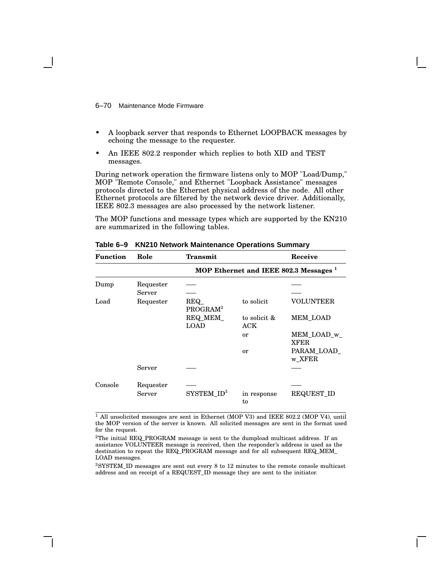6–70 Maintenance Mode Firmware

- A loopback server that responds to Ethernet LOOPBACK messages by echoing the message to the requester.
- An IEEE 802.2 responder which replies to both XID and TEST messages.

During network operation the firmware listens only to MOP "Load/Dump," MOP "Remote Console," and Ethernet "Loopback Assistance" messages protocols directed to the Ethernet physical address of the node. All other Ethernet protocols are filtered by the network device driver. Additionally, IEEE 802.3 messages are also processed by the network listener.

The MOP functions and message types which are supported by the KN210 are summarized in the following tables.

| <b>Function</b> | Role                | Transmit                                          |                     | Receive                    |  |
|-----------------|---------------------|---------------------------------------------------|---------------------|----------------------------|--|
|                 |                     | MOP Ethernet and IEEE 802.3 Messages <sup>1</sup> |                     |                            |  |
| Dump            | Requester<br>Server |                                                   |                     |                            |  |
| Load            | Requester           | <b>REQ</b><br>PROGRAM <sup>2</sup>                | to solicit          | <b>VOLUNTEER</b>           |  |
|                 |                     | REQ_MEM_<br><b>LOAD</b>                           | to solicit &<br>ACK | MEM_LOAD                   |  |
|                 |                     |                                                   | or                  | MEM_LOAD_w_<br><b>XFER</b> |  |
|                 |                     |                                                   | or                  | PARAM LOAD<br>w_XFER       |  |
|                 | Server              |                                                   |                     |                            |  |
| Console         | Requester<br>Server | $SYSTEM$ $ID3$                                    | in response<br>to   | <b>REQUEST_ID</b>          |  |

**Table 6–9 KN210 Network Maintenance Operations Summary**

<sup>1</sup> All unsolicited messages are sent in Ethernet (MOP V3) and IEEE 802.2 (MOP V4), until the MOP version of the server is known. All solicited messages are sent in the format used for the request.

<sup>2</sup>The initial REQ\_PROGRAM message is sent to the dumpload multicast address. If an assistance VOLUNTEER message is received, then the responder's address is used as the destination to repeat the REQ\_PROGRAM message and for all subsequent REQ\_MEM\_ LOAD messages.

<sup>3</sup>SYSTEM\_ID messages are sent out every 8 to 12 minutes to the remote console multicast address and on receipt of a REQUEST\_ID message they are sent to the initiator.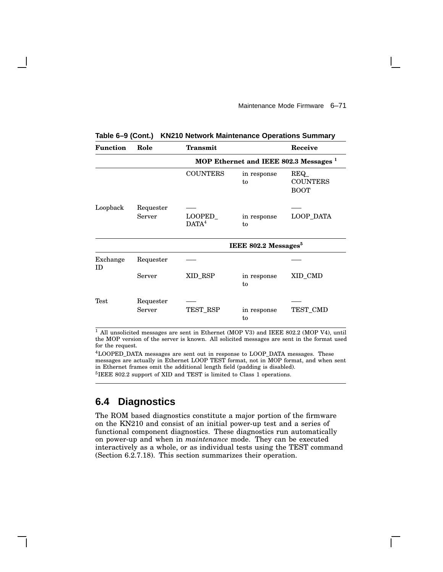| <b>Function</b> | Role                | <b>Transmit</b>                                   |                   | Receive                               |  |
|-----------------|---------------------|---------------------------------------------------|-------------------|---------------------------------------|--|
|                 |                     | MOP Ethernet and IEEE 802.3 Messages <sup>1</sup> |                   |                                       |  |
|                 |                     | <b>COUNTERS</b>                                   | in response<br>to | REQ<br><b>COUNTERS</b><br><b>BOOT</b> |  |
| Loopback        | Requester<br>Server | LOOPED<br>DATA <sup>4</sup>                       | in response<br>to | LOOP_DATA                             |  |
|                 |                     | IEEE 802.2 Messages <sup>5</sup>                  |                   |                                       |  |
| Exchange<br>ID  | Requester           |                                                   |                   |                                       |  |
|                 | Server              | XID_RSP                                           | in response<br>to | XID_CMD                               |  |
| Test            | Requester<br>Server | TEST_RSP                                          | in response<br>to | TEST_CMD                              |  |

**Table 6–9 (Cont.) KN210 Network Maintenance Operations Summary**

<sup>1</sup> All unsolicited messages are sent in Ethernet (MOP V3) and IEEE 802.2 (MOP V4), until the MOP version of the server is known. All solicited messages are sent in the format used for the request.

<sup>4</sup>LOOPED\_DATA messages are sent out in response to LOOP\_DATA messages. These messages are actually in Ethernet LOOP TEST format, not in MOP format, and when sent in Ethernet frames omit the additional length field (padding is disabled). <sup>5</sup>IEEE 802.2 support of XID and TEST is limited to Class 1 operations.

# **6.4 Diagnostics**

The ROM based diagnostics constitute a major portion of the firmware on the KN210 and consist of an initial power-up test and a series of functional component diagnostics. These diagnostics run automatically on power-up and when in *maintenance* mode. They can be executed interactively as a whole, or as individual tests using the TEST command (Section 6.2.7.18). This section summarizes their operation.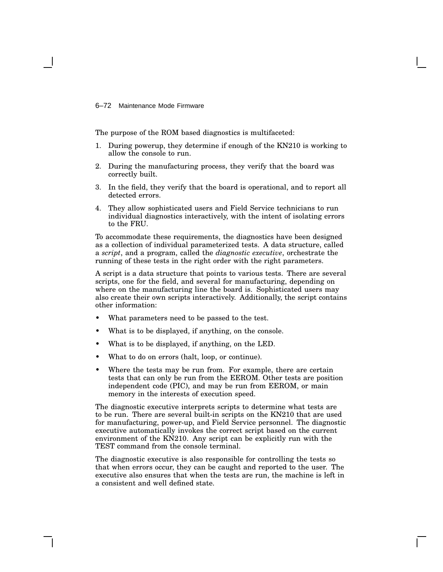6–72 Maintenance Mode Firmware

The purpose of the ROM based diagnostics is multifaceted:

- 1. During powerup, they determine if enough of the KN210 is working to allow the console to run.
- 2. During the manufacturing process, they verify that the board was correctly built.
- 3. In the field, they verify that the board is operational, and to report all detected errors.
- 4. They allow sophisticated users and Field Service technicians to run individual diagnostics interactively, with the intent of isolating errors to the FRU.

To accommodate these requirements, the diagnostics have been designed as a collection of individual parameterized tests. A data structure, called a *script*, and a program, called the *diagnostic executive*, orchestrate the running of these tests in the right order with the right parameters.

A script is a data structure that points to various tests. There are several scripts, one for the field, and several for manufacturing, depending on where on the manufacturing line the board is. Sophisticated users may also create their own scripts interactively. Additionally, the script contains other information:

- What parameters need to be passed to the test.
- What is to be displayed, if anything, on the console.
- What is to be displayed, if anything, on the LED.
- What to do on errors (halt, loop, or continue).
- Where the tests may be run from. For example, there are certain tests that can only be run from the EEROM. Other tests are position independent code (PIC), and may be run from EEROM, or main memory in the interests of execution speed.

The diagnostic executive interprets scripts to determine what tests are to be run. There are several built-in scripts on the KN210 that are used for manufacturing, power-up, and Field Service personnel. The diagnostic executive automatically invokes the correct script based on the current environment of the KN210. Any script can be explicitly run with the TEST command from the console terminal.

The diagnostic executive is also responsible for controlling the tests so that when errors occur, they can be caught and reported to the user. The executive also ensures that when the tests are run, the machine is left in a consistent and well defined state.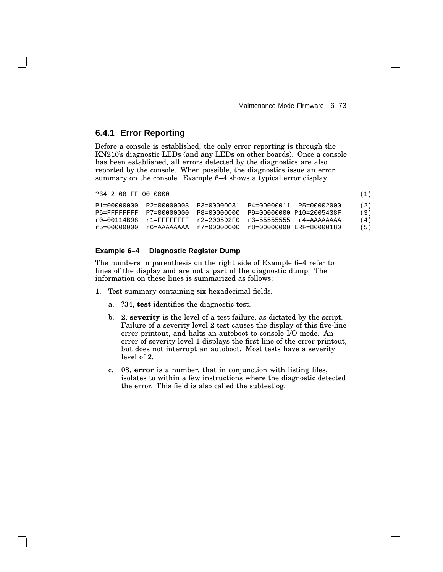# **6.4.1 Error Reporting**

Before a console is established, the only error reporting is through the KN210's diagnostic LEDs (and any LEDs on other boards). Once a console has been established, all errors detected by the diagnostics are also reported by the console. When possible, the diagnostics issue an error summary on the console. Example 6–4 shows a typical error display.

```
?34 2 08 FF 00 0000 (1)
```

| P1=00000000 | P2=00000003 P3=00000031 P4=00000011 P5=00002000               |                                                  |  | (2) |
|-------------|---------------------------------------------------------------|--------------------------------------------------|--|-----|
|             | P6=FFFFFFFFF P7=00000000 P8=00000000 P9=00000000 P10=2005438F |                                                  |  | (3) |
|             | r0=00114B98 r1=FFFFFFFF r2=2005D2F0 r3=55555555 r4=AAAAAAAA   |                                                  |  | (4) |
| r5=00000000 |                                                               | r6=AAAAAAAA r7=00000000 r8=00000000 ERF=80000180 |  | (5) |

### **Example 6–4 Diagnostic Register Dump**

The numbers in parenthesis on the right side of Example 6–4 refer to lines of the display and are not a part of the diagnostic dump. The information on these lines is summarized as follows:

- 1. Test summary containing six hexadecimal fields.
	- a. ?34, **test** identifies the diagnostic test.
	- b. 2, **severity** is the level of a test failure, as dictated by the script. Failure of a severity level 2 test causes the display of this five-line error printout, and halts an autoboot to console I/O mode. An error of severity level 1 displays the first line of the error printout, but does not interrupt an autoboot. Most tests have a severity level of 2.
	- c. 08, **error** is a number, that in conjunction with listing files, isolates to within a few instructions where the diagnostic detected the error. This field is also called the subtestlog.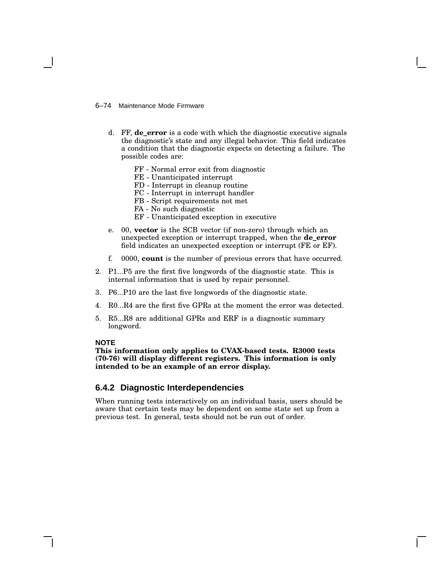### 6–74 Maintenance Mode Firmware

- d. FF, **de\_error** is a code with which the diagnostic executive signals the diagnostic's state and any illegal behavior. This field indicates a condition that the diagnostic expects on detecting a failure. The possible codes are:
	- FF Normal error exit from diagnostic
	- FE Unanticipated interrupt
	- FD Interrupt in cleanup routine
	- FC Interrupt in interrupt handler
	- FB Script requirements not met
	- FA No such diagnostic
	- EF Unanticipated exception in executive
- e. 00, **vector** is the SCB vector (if non-zero) through which an unexpected exception or interrupt trapped, when the **de\_error** field indicates an unexpected exception or interrupt (FE or EF).
- f. 0000, **count** is the number of previous errors that have occurred.
- 2. P1...P5 are the first five longwords of the diagnostic state. This is internal information that is used by repair personnel.
- 3. P6...P10 are the last five longwords of the diagnostic state.
- 4. R0...R4 are the first five GPRs at the moment the error was detected.
- 5. R5...R8 are additional GPRs and ERF is a diagnostic summary longword.

### **NOTE**

**This information only applies to CVAX-based tests. R3000 tests (70-76) will display different registers. This information is only intended to be an example of an error display.**

# **6.4.2 Diagnostic Interdependencies**

When running tests interactively on an individual basis, users should be aware that certain tests may be dependent on some state set up from a previous test. In general, tests should not be run out of order.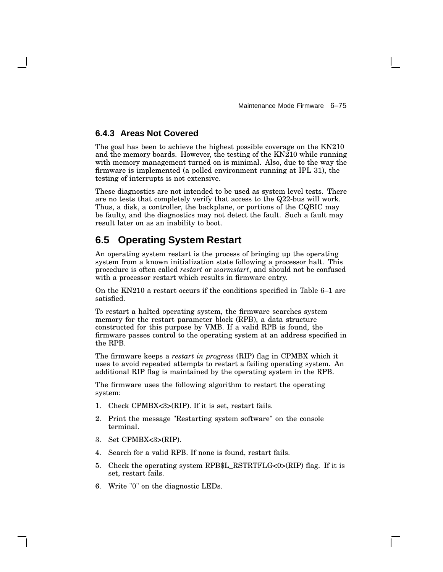# **6.4.3 Areas Not Covered**

The goal has been to achieve the highest possible coverage on the KN210 and the memory boards. However, the testing of the KN210 while running with memory management turned on is minimal. Also, due to the way the firmware is implemented (a polled environment running at IPL 31), the testing of interrupts is not extensive.

These diagnostics are not intended to be used as system level tests. There are no tests that completely verify that access to the Q22-bus will work. Thus, a disk, a controller, the backplane, or portions of the CQBIC may be faulty, and the diagnostics may not detect the fault. Such a fault may result later on as an inability to boot.

# **6.5 Operating System Restart**

An operating system restart is the process of bringing up the operating system from a known initialization state following a processor halt. This procedure is often called *restart* or *warmstart*, and should not be confused with a processor restart which results in firmware entry.

On the KN210 a restart occurs if the conditions specified in Table 6–1 are satisfied.

To restart a halted operating system, the firmware searches system memory for the restart parameter block (RPB), a data structure constructed for this purpose by VMB. If a valid RPB is found, the firmware passes control to the operating system at an address specified in the RPB.

The firmware keeps a *restart in progress* (RIP) flag in CPMBX which it uses to avoid repeated attempts to restart a failing operating system. An additional RIP flag is maintained by the operating system in the RPB.

The firmware uses the following algorithm to restart the operating system:

- 1. Check CPMBX<3>(RIP). If it is set, restart fails.
- 2. Print the message "Restarting system software" on the console terminal.
- 3. Set CPMBX<3>(RIP).
- 4. Search for a valid RPB. If none is found, restart fails.
- 5. Check the operating system RPB\$L\_RSTRTFLG<0>(RIP) flag. If it is set, restart fails.
- 6. Write "0" on the diagnostic LEDs.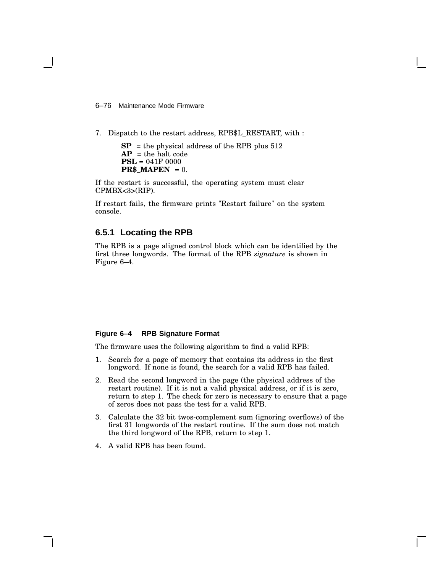6–76 Maintenance Mode Firmware

7. Dispatch to the restart address, RPB\$L\_RESTART, with :

 $SP$  = the physical address of the RPB plus 512  $AP =$  the halt code **PSL** = 041F 0000 **PR\$\_MAPEN** =  $0$ .

If the restart is successful, the operating system must clear CPMBX<3>(RIP).

If restart fails, the firmware prints "Restart failure" on the system console.

## **6.5.1 Locating the RPB**

The RPB is a page aligned control block which can be identified by the first three longwords. The format of the RPB *signature* is shown in Figure 6–4.

### **Figure 6–4 RPB Signature Format**

The firmware uses the following algorithm to find a valid RPB:

- 1. Search for a page of memory that contains its address in the first longword. If none is found, the search for a valid RPB has failed.
- 2. Read the second longword in the page (the physical address of the restart routine). If it is not a valid physical address, or if it is zero, return to step 1. The check for zero is necessary to ensure that a page of zeros does not pass the test for a valid RPB.
- 3. Calculate the 32 bit twos-complement sum (ignoring overflows) of the first 31 longwords of the restart routine. If the sum does not match the third longword of the RPB, return to step 1.
- 4. A valid RPB has been found.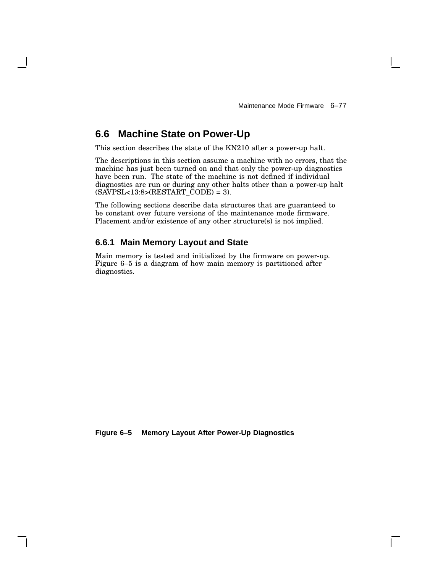# **6.6 Machine State on Power-Up**

This section describes the state of the KN210 after a power-up halt.

The descriptions in this section assume a machine with no errors, that the machine has just been turned on and that only the power-up diagnostics have been run. The state of the machine is not defined if individual diagnostics are run or during any other halts other than a power-up halt  $(SAVPSL < 13:8 > (RESTART\_CODE) = 3).$ 

The following sections describe data structures that are guaranteed to be constant over future versions of the maintenance mode firmware. Placement and/or existence of any other structure(s) is not implied.

## **6.6.1 Main Memory Layout and State**

Main memory is tested and initialized by the firmware on power-up. Figure 6–5 is a diagram of how main memory is partitioned after diagnostics.

**Figure 6–5 Memory Layout After Power-Up Diagnostics**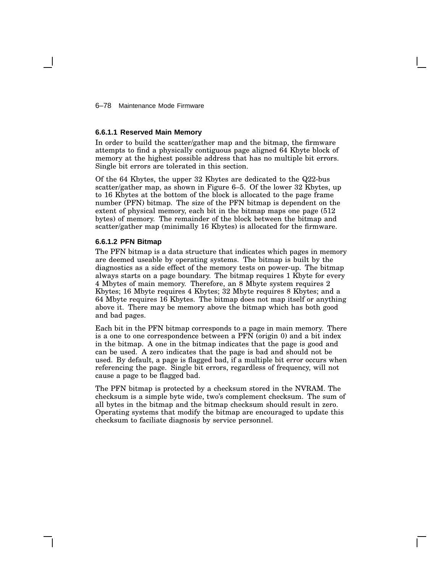6–78 Maintenance Mode Firmware

#### **6.6.1.1 Reserved Main Memory**

In order to build the scatter/gather map and the bitmap, the firmware attempts to find a physically contiguous page aligned 64 Kbyte block of memory at the highest possible address that has no multiple bit errors. Single bit errors are tolerated in this section.

Of the 64 Kbytes, the upper 32 Kbytes are dedicated to the Q22-bus scatter/gather map, as shown in Figure 6–5. Of the lower 32 Kbytes, up to 16 Kbytes at the bottom of the block is allocated to the page frame number (PFN) bitmap. The size of the PFN bitmap is dependent on the extent of physical memory, each bit in the bitmap maps one page (512 bytes) of memory. The remainder of the block between the bitmap and scatter/gather map (minimally 16 Kbytes) is allocated for the firmware.

### **6.6.1.2 PFN Bitmap**

The PFN bitmap is a data structure that indicates which pages in memory are deemed useable by operating systems. The bitmap is built by the diagnostics as a side effect of the memory tests on power-up. The bitmap always starts on a page boundary. The bitmap requires 1 Kbyte for every 4 Mbytes of main memory. Therefore, an 8 Mbyte system requires 2 Kbytes; 16 Mbyte requires 4 Kbytes; 32 Mbyte requires 8 Kbytes; and a 64 Mbyte requires 16 Kbytes. The bitmap does not map itself or anything above it. There may be memory above the bitmap which has both good and bad pages.

Each bit in the PFN bitmap corresponds to a page in main memory. There is a one to one correspondence between a PFN (origin 0) and a bit index in the bitmap. A one in the bitmap indicates that the page is good and can be used. A zero indicates that the page is bad and should not be used. By default, a page is flagged bad, if a multiple bit error occurs when referencing the page. Single bit errors, regardless of frequency, will not cause a page to be flagged bad.

The PFN bitmap is protected by a checksum stored in the NVRAM. The checksum is a simple byte wide, two's complement checksum. The sum of all bytes in the bitmap and the bitmap checksum should result in zero. Operating systems that modify the bitmap are encouraged to update this checksum to faciliate diagnosis by service personnel.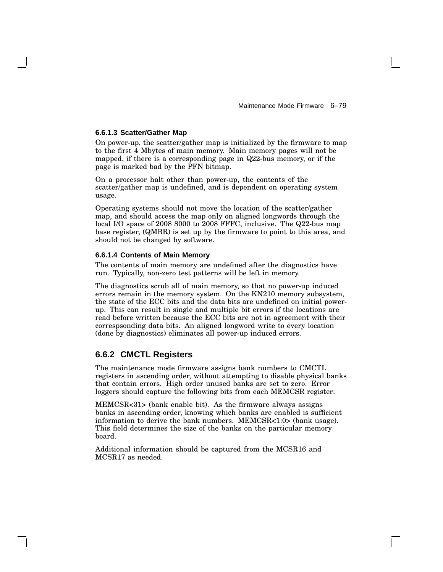### **6.6.1.3 Scatter/Gather Map**

On power-up, the scatter/gather map is initialized by the firmware to map to the first 4 Mbytes of main memory. Main memory pages will not be mapped, if there is a corresponding page in Q22-bus memory, or if the page is marked bad by the PFN bitmap.

On a processor halt other than power-up, the contents of the scatter/gather map is undefined, and is dependent on operating system usage.

Operating systems should not move the location of the scatter/gather map, and should access the map only on aligned longwords through the local I/O space of 2008 8000 to 2008 FFFC, inclusive. The Q22-bus map base register, (QMBR) is set up by the firmware to point to this area, and should not be changed by software.

### **6.6.1.4 Contents of Main Memory**

The contents of main memory are undefined after the diagnostics have run. Typically, non-zero test patterns will be left in memory.

The diagnostics scrub all of main memory, so that no power-up induced errors remain in the memory system. On the KN210 memory subsystem, the state of the ECC bits and the data bits are undefined on initial powerup. This can result in single and multiple bit errors if the locations are read before written because the ECC bits are not in agreement with their correspsonding data bits. An aligned longword write to every location (done by diagnostics) eliminates all power-up induced errors.

# **6.6.2 CMCTL Registers**

The maintenance mode firmware assigns bank numbers to CMCTL registers in ascending order, without attempting to disable physical banks that contain errors. High order unused banks are set to zero. Error loggers should capture the following bits from each MEMCSR register:

MEMCSR<31> (bank enable bit). As the firmware always assigns banks in ascending order, knowing which banks are enabled is sufficient information to derive the bank numbers. MEMCSR<1:0> (bank usage). This field determines the size of the banks on the particular memory board.

Additional information should be captured from the MCSR16 and MCSR17 as needed.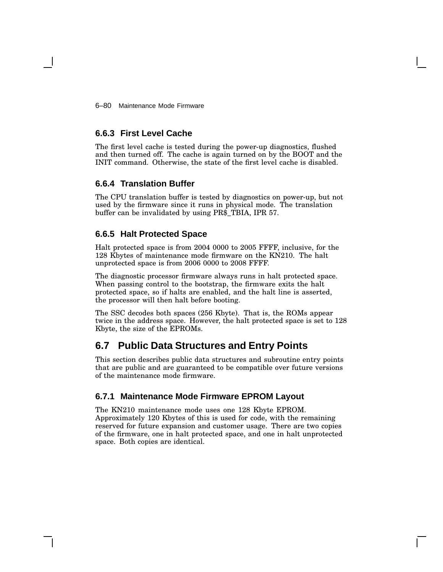6–80 Maintenance Mode Firmware

# **6.6.3 First Level Cache**

The first level cache is tested during the power-up diagnostics, flushed and then turned off. The cache is again turned on by the BOOT and the INIT command. Otherwise, the state of the first level cache is disabled.

# **6.6.4 Translation Buffer**

The CPU translation buffer is tested by diagnostics on power-up, but not used by the firmware since it runs in physical mode. The translation buffer can be invalidated by using PR\$\_TBIA, IPR 57.

# **6.6.5 Halt Protected Space**

Halt protected space is from 2004 0000 to 2005 FFFF, inclusive, for the 128 Kbytes of maintenance mode firmware on the KN210. The halt unprotected space is from 2006 0000 to 2008 FFFF.

The diagnostic processor firmware always runs in halt protected space. When passing control to the bootstrap, the firmware exits the halt protected space, so if halts are enabled, and the halt line is asserted, the processor will then halt before booting.

The SSC decodes both spaces (256 Kbyte). That is, the ROMs appear twice in the address space. However, the halt protected space is set to 128 Kbyte, the size of the EPROMs.

# **6.7 Public Data Structures and Entry Points**

This section describes public data structures and subroutine entry points that are public and are guaranteed to be compatible over future versions of the maintenance mode firmware.

# **6.7.1 Maintenance Mode Firmware EPROM Layout**

The KN210 maintenance mode uses one 128 Kbyte EPROM. Approximately 120 Kbytes of this is used for code, with the remaining reserved for future expansion and customer usage. There are two copies of the firmware, one in halt protected space, and one in halt unprotected space. Both copies are identical.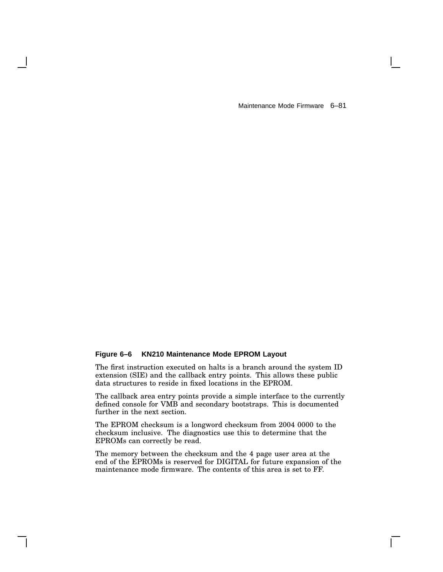Maintenance Mode Firmware 6–81

### **Figure 6–6 KN210 Maintenance Mode EPROM Layout**

The first instruction executed on halts is a branch around the system ID extension (SIE) and the callback entry points. This allows these public data structures to reside in fixed locations in the EPROM.

The callback area entry points provide a simple interface to the currently defined console for VMB and secondary bootstraps. This is documented further in the next section.

The EPROM checksum is a longword checksum from 2004 0000 to the checksum inclusive. The diagnostics use this to determine that the EPROMs can correctly be read.

The memory between the checksum and the 4 page user area at the end of the EPROMs is reserved for DIGITAL for future expansion of the maintenance mode firmware. The contents of this area is set to FF.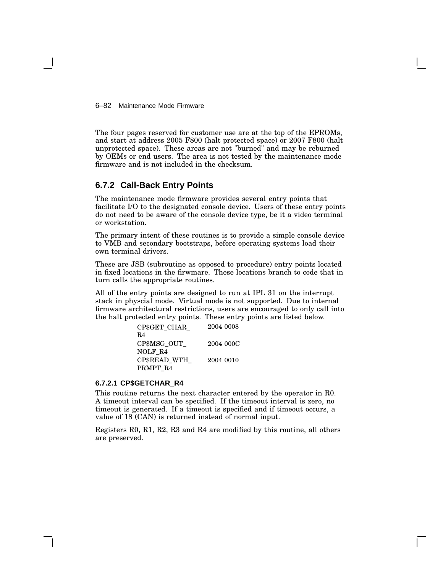6–82 Maintenance Mode Firmware

The four pages reserved for customer use are at the top of the EPROMs, and start at address 2005 F800 (halt protected space) or 2007 F800 (halt unprotected space). These areas are not "burned" and may be reburned by OEMs or end users. The area is not tested by the maintenance mode firmware and is not included in the checksum.

# **6.7.2 Call-Back Entry Points**

The maintenance mode firmware provides several entry points that facilitate I/O to the designated console device. Users of these entry points do not need to be aware of the console device type, be it a video terminal or workstation.

The primary intent of these routines is to provide a simple console device to VMB and secondary bootstraps, before operating systems load their own terminal drivers.

These are JSB (subroutine as opposed to procedure) entry points located in fixed locations in the firwmare. These locations branch to code that in turn calls the appropriate routines.

All of the entry points are designed to run at IPL 31 on the interrupt stack in physcial mode. Virtual mode is not supported. Due to internal firmware architectural restrictions, users are encouraged to only call into the halt protected entry points. These entry points are listed below.

| CP\$GET CHAR   | 2004 0008 |
|----------------|-----------|
| R <sub>4</sub> |           |
| CP\$MSG OUT    | 2004 000C |
| NOLF R4        |           |
| CP\$READ WTH   | 2004 0010 |
| PRMPT R4       |           |
|                |           |

#### **6.7.2.1 CP\$GETCHAR\_R4**

This routine returns the next character entered by the operator in R0. A timeout interval can be specified. If the timeout interval is zero, no timeout is generated. If a timeout is specified and if timeout occurs, a value of 18 (CAN) is returned instead of normal input.

Registers R0, R1, R2, R3 and R4 are modified by this routine, all others are preserved.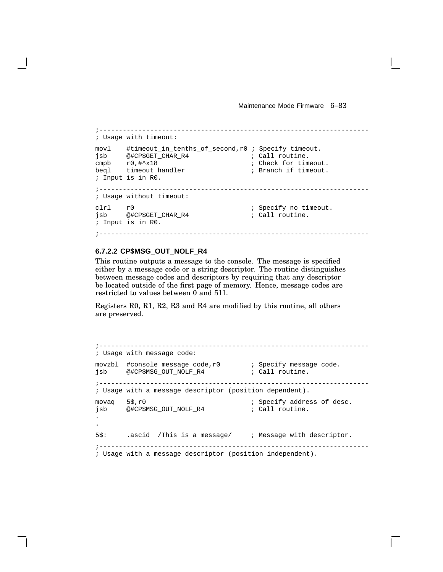Maintenance Mode Firmware 6–83

```
;---------------------------------------------------------------------
; Usage with timeout:
movl #timeout_in_tenths_of_second,r0 ; Specify timeout.
jsb @#CP$GET_CHAR_R4 <br>
; Call routine.
cmpb r0, #^2x18 ; Check for timeout.
beql timeout_handler ; Branch if timeout.
; Input is in R0.
;---------------------------------------------------------------------
; Usage without timeout:
clrl r0 \qquad \qquad ; Specify no timeout.
jsb @#CP$GET_CHAR_R4 ; Call routine.
; Input is in R0.
```
;---------------------------------------------------------------------

### **6.7.2.2 CP\$MSG\_OUT\_NOLF\_R4**

This routine outputs a message to the console. The message is specified either by a message code or a string descriptor. The routine distinguishes between message codes and descriptors by requiring that any descriptor be located outside of the first page of memory. Hence, message codes are restricted to values between 0 and 511.

Registers R0, R1, R2, R3 and R4 are modified by this routine, all others are preserved.

```
;---------------------------------------------------------------------
; Usage with message code:
movzbl #console_message_code,r0 ; Specify message code.
jsb @#CP$MSG_OUT_NOLF_R4 \qquad ; Call routine.
;---------------------------------------------------------------------
; Usage with a message descriptor (position dependent).
movaq 5$, r0 \qquad \qquad ; Specify address of desc.
jsb @#CP$MSG_OUT_NOLF_R4 ; Call routine.
.
.
5$: .ascid /This is a message/ ; Message with descriptor.
;---------------------------------------------------------------------
```
; Usage with a message descriptor (position independent).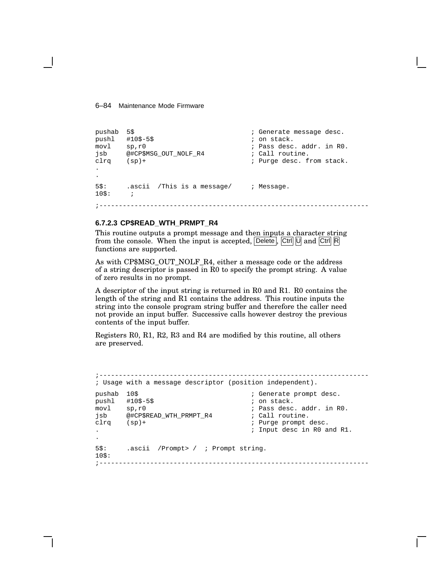6–84 Maintenance Mode Firmware

```
pushab 5$ ; Generate message desc.
pushl #10$-5$ ; on stack.
movl sp,r0 ; Pass desc. addr. in R0.
jsb @#CP$MSG_OUT_NOLF_R4 ; Call routine.
clrq (sp)+ \qquad \qquad ; Purge desc. from stack.
.
.
5$: .ascii /This is a message/ ; Message.
10\: ;
;---------------------------------------------------------------------
```
### **6.7.2.3 CP\$READ\_WTH\_PRMPT\_R4**

This routine outputs a prompt message and then inputs a character string from the console. When the input is accepted,  $\boxed{\text{Delete}}$ ,  $\boxed{\text{Ctrl}}$   $\boxed{\text{U}}$  and  $\boxed{\text{Ctrl}}$   $\boxed{\text{R}}$ functions are supported.

As with CP\$MSG\_OUT\_NOLF\_R4, either a message code or the address of a string descriptor is passed in R0 to specify the prompt string. A value of zero results in no prompt.

A descriptor of the input string is returned in R0 and R1. R0 contains the length of the string and R1 contains the address. This routine inputs the string into the console program string buffer and therefore the caller need not provide an input buffer. Successive calls however destroy the previous contents of the input buffer.

Registers R0, R1, R2, R3 and R4 are modified by this routine, all others are preserved.

```
;---------------------------------------------------------------------
; Usage with a message descriptor (position independent).
pushab 10$<br>push1 #10$-5$<br>i on stack.
pushl #10$-5$<br>movl sp, r0; Pass desc. addr. in R0.
jsb @#CP$READ_WTH_PRMPT_R4 ; Call routine.
clrq (sp)+ ; Purge prompt desc.
                                   . ; Input desc in R0 and R1.
.
5$: .ascii /Prompt> / ; Prompt string.
10$:
;---------------------------------------------------------------------
```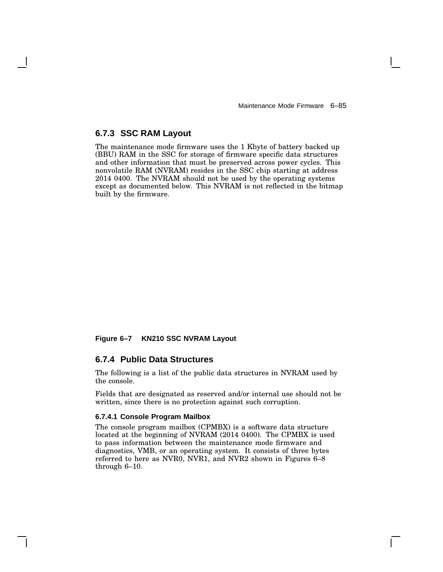Maintenance Mode Firmware 6–85

## **6.7.3 SSC RAM Layout**

The maintenance mode firmware uses the 1 Kbyte of battery backed up (BBU) RAM in the SSC for storage of firmware specific data structures and other information that must be preserved across power cycles. This nonvolatile RAM (NVRAM) resides in the SSC chip starting at address 2014 0400. The NVRAM should not be used by the operating systems except as documented below. This NVRAM is not reflected in the bitmap built by the firmware.

### **Figure 6–7 KN210 SSC NVRAM Layout**

### **6.7.4 Public Data Structures**

The following is a list of the public data structures in NVRAM used by the console.

Fields that are designated as reserved and/or internal use should not be written, since there is no protection against such corruption.

# **6.7.4.1 Console Program Mailbox**

The console program mailbox (CPMBX) is a software data structure located at the beginning of NVRAM (2014 0400). The CPMBX is used to pass information between the maintenance mode firmware and diagnostics, VMB, or an operating system. It consists of three bytes referred to here as NVR0, NVR1, and NVR2 shown in Figures 6–8 through 6–10.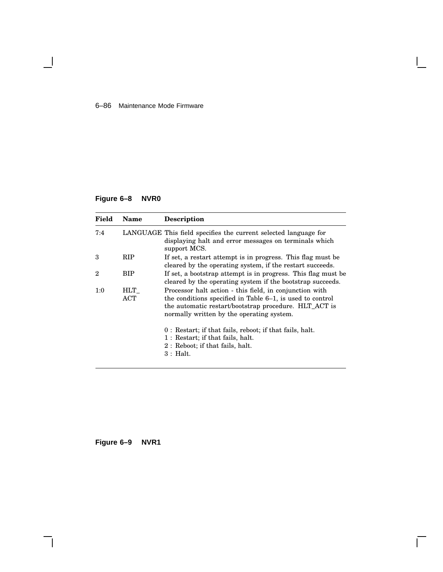### 6–86 Maintenance Mode Firmware

# **Figure 6–8 NVR0**

 $\blacksquare$ 

| Field | <b>Name</b> | <b>Description</b>                                                                                                                                                                                                         |
|-------|-------------|----------------------------------------------------------------------------------------------------------------------------------------------------------------------------------------------------------------------------|
| 7:4   |             | LANGUAGE This field specifies the current selected language for<br>displaying halt and error messages on terminals which<br>support MCS.                                                                                   |
| 3     | <b>RIP</b>  | If set, a restart attempt is in progress. This flag must be<br>cleared by the operating system, if the restart succeeds.                                                                                                   |
| 2     | BIP         | If set, a bootstrap attempt is in progress. This flag must be<br>cleared by the operating system if the bootstrap succeeds.                                                                                                |
| 1:0   | HLT<br>ACT  | Processor halt action - this field, in conjunction with<br>the conditions specified in Table 6–1, is used to control<br>the automatic restart/bootstrap procedure. HLT_ACT is<br>normally written by the operating system. |
|       |             | 0: Restart; if that fails, reboot; if that fails, halt.<br>1: Restart; if that fails, halt.<br>2: Reboot; if that fails, halt.<br>$3:$ Halt.                                                                               |

Г

**Figure 6–9 NVR1**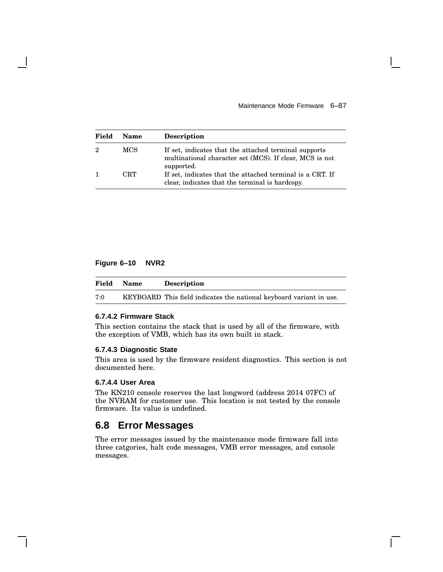Maintenance Mode Firmware 6–87

| Field        | <b>Name</b> | <b>Description</b>                                                                                                             |
|--------------|-------------|--------------------------------------------------------------------------------------------------------------------------------|
| 2            | <b>MCS</b>  | If set, indicates that the attached terminal supports<br>multinational character set (MCS). If clear, MCS is not<br>supported. |
| $\mathbf{1}$ | CRT         | If set, indicates that the attached terminal is a CRT. If<br>clear, indicates that the terminal is hardcopy.                   |

### **Figure 6–10 NVR2**

| Field | Name | <b>Description</b>                                                  |
|-------|------|---------------------------------------------------------------------|
| 7:0   |      | KEYBOARD This field indicates the national keyboard variant in use. |

#### **6.7.4.2 Firmware Stack**

This section contains the stack that is used by all of the firmware, with the exception of VMB, which has its own built in stack.

# **6.7.4.3 Diagnostic State**

This area is used by the firmware resident diagnostics. This section is not documented here.

### **6.7.4.4 User Area**

The KN210 console reserves the last longword (address 2014 07FC) of the NVRAM for customer use. This location is not tested by the console firmware. Its value is undefined.

# **6.8 Error Messages**

The error messages issued by the maintenance mode firmware fall into three catgories, halt code messages, VMB error messages, and console messages.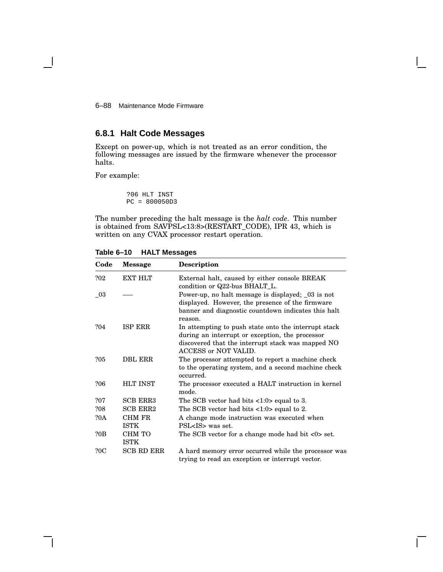6–88 Maintenance Mode Firmware

# **6.8.1 Halt Code Messages**

Except on power-up, which is not treated as an error condition, the following messages are issued by the firmware whenever the processor halts.

For example:

?06 HLT INST PC = 800050D3

The number preceding the halt message is the *halt code*. This number is obtained from SAVPSL<13:8>(RESTART\_CODE), IPR 43, which is written on any CVAX processor restart operation.

**Table 6–10 HALT Messages**

| Code   | <b>Message</b>               | <b>Description</b>                                                                                                                                                                   |
|--------|------------------------------|--------------------------------------------------------------------------------------------------------------------------------------------------------------------------------------|
| ?02    | <b>EXT HLT</b>               | External halt, caused by either console BREAK<br>condition or Q22-bus BHALT_L.                                                                                                       |
| $\_03$ |                              | Power-up, no halt message is displayed; 03 is not<br>displayed. However, the presence of the firmware<br>banner and diagnostic countdown indicates this halt<br>reason.              |
| ?04    | <b>ISP ERR</b>               | In attempting to push state onto the interrupt stack<br>during an interrupt or exception, the processor<br>discovered that the interrupt stack was mapped NO<br>ACCESS or NOT VALID. |
| ?05    | <b>DBL ERR</b>               | The processor attempted to report a machine check<br>to the operating system, and a second machine check<br>occurred.                                                                |
| ?06    | <b>HLT INST</b>              | The processor executed a HALT instruction in kernel<br>mode.                                                                                                                         |
| ?07    | <b>SCB ERR3</b>              | The SCB vector had bits $\langle 1:0 \rangle$ equal to 3.                                                                                                                            |
| ?08    | <b>SCB ERR2</b>              | The SCB vector had bits $\langle 1:0 \rangle$ equal to 2.                                                                                                                            |
| ?0A    | <b>CHM FR</b><br><b>ISTK</b> | A change mode instruction was executed when<br>PSL <is> was set.</is>                                                                                                                |
| ?0B    | CHM TO<br><b>ISTK</b>        | The SCB vector for a change mode had bit $\langle 0 \rangle$ set.                                                                                                                    |
| ?0C    | <b>SCB RD ERR</b>            | A hard memory error occurred while the processor was<br>trying to read an exception or interrupt vector.                                                                             |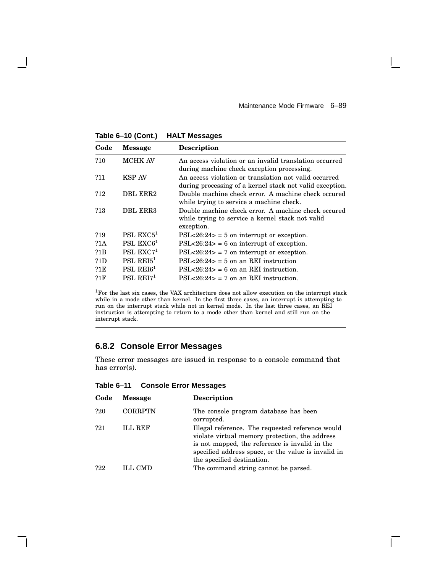$\mathbf{I}$ 

**Table 6–10 (Cont.) HALT Messages**

| Code | <b>Message</b>        | <b>Description</b>                                                                                                    |
|------|-----------------------|-----------------------------------------------------------------------------------------------------------------------|
| ?10  | <b>MCHK AV</b>        | An access violation or an invalid translation occurred<br>during machine check exception processing.                  |
| ?11  | <b>KSP AV</b>         | An access violation or translation not valid occurred<br>during processing of a kernel stack not valid exception.     |
| ?12  | DBL ERR2              | Double machine check error. A machine check occured<br>while trying to service a machine check.                       |
| ?13  | <b>DBL ERR3</b>       | Double machine check error. A machine check occured<br>while trying to service a kernel stack not valid<br>exception. |
| ?19  | PSL $EXC51$           | $PSL < 26:24$ = 5 on interrupt or exception.                                                                          |
| ?1A  | PSL $EXC61$           | $PSL < 26:24$ = 6 on interrupt of exception.                                                                          |
| ?1B  | PSL $EXC71$           | $PSL < 26:24$ = 7 on interrupt or exception.                                                                          |
| ?1D  | PSL REI5 <sup>1</sup> | $PSL < 26:24$ = 5 on an REI instruction                                                                               |
| ?1E  | PSL REI $61$          | $PSL < 26:24 > 6$ on an REI instruction.                                                                              |
| ?1F  | $PSL$ REI $71$        | $PSL < 26:24 > 7$ on an REI instruction.                                                                              |

<sup>1</sup>For the last six cases, the VAX architecture does not allow execution on the interrupt stack while in a mode other than kernel. In the first three cases, an interrupt is attempting to run on the interrupt stack while not in kernel mode. In the last three cases, an REI instruction is attempting to return to a mode other than kernel and still run on the interrupt stack.

# **6.8.2 Console Error Messages**

These error messages are issued in response to a console command that has error(s).

| Code | <b>Message</b> | <b>Description</b>                                                                                                                                                                                                                        |
|------|----------------|-------------------------------------------------------------------------------------------------------------------------------------------------------------------------------------------------------------------------------------------|
| ?20  | <b>CORRPTN</b> | The console program database has been<br>corrupted.                                                                                                                                                                                       |
| ?21  | <b>ILL REF</b> | Illegal reference. The requested reference would<br>violate virtual memory protection, the address<br>is not mapped, the reference is invalid in the<br>specified address space, or the value is invalid in<br>the specified destination. |
| ?22  | ILL CMD        | The command string cannot be parsed.                                                                                                                                                                                                      |

**Table 6–11 Console Error Messages**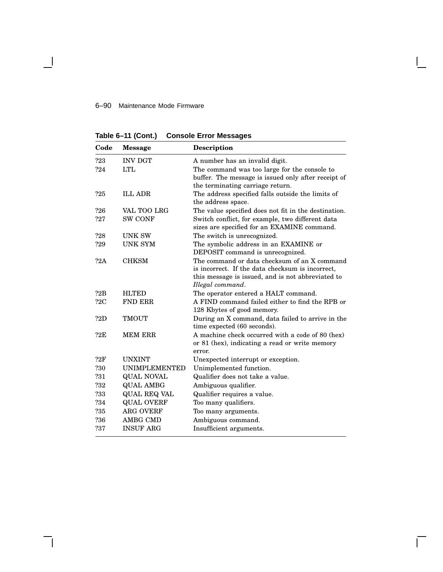# 6–90 Maintenance Mode Firmware

 $\overline{\phantom{a}}$ 

**Table 6–11 (Cont.) Console Error Messages**

| Code | Message              | <b>Description</b>                                                                                                                                                        |
|------|----------------------|---------------------------------------------------------------------------------------------------------------------------------------------------------------------------|
| ?23  | <b>INV DGT</b>       | A number has an invalid digit.                                                                                                                                            |
| ?24  | <b>LTL</b>           | The command was too large for the console to<br>buffer. The message is issued only after receipt of<br>the terminating carriage return.                                   |
| ?25  | <b>ILL ADR</b>       | The address specified falls outside the limits of<br>the address space.                                                                                                   |
| ?26  | VAL TOO LRG          | The value specified does not fit in the destination.                                                                                                                      |
| ?27  | <b>SW CONF</b>       | Switch conflict, for example, two different data<br>sizes are specified for an EXAMINE command.                                                                           |
| ?28  | <b>UNK SW</b>        | The switch is unrecognized.                                                                                                                                               |
| ?29  | <b>UNK SYM</b>       | The symbolic address in an EXAMINE or<br>DEPOSIT command is unrecognized.                                                                                                 |
| ?2A  | <b>CHKSM</b>         | The command or data checksum of an X command<br>is incorrect. If the data checksum is incorrect,<br>this message is issued, and is not abbreviated to<br>Illegal command. |
| 22B  | <b>HLTED</b>         | The operator entered a HALT command.                                                                                                                                      |
| 22C  | <b>FND ERR</b>       | A FIND command failed either to find the RPB or<br>128 Kbytes of good memory.                                                                                             |
| ?2D  | <b>TMOUT</b>         | During an X command, data failed to arrive in the<br>time expected (60 seconds).                                                                                          |
| ?2E  | <b>MEM ERR</b>       | A machine check occurred with a code of 80 (hex)<br>or 81 (hex), indicating a read or write memory<br>error.                                                              |
| 22F  | <b>UNXINT</b>        | Unexpected interrupt or exception.                                                                                                                                        |
| ?30  | <b>UNIMPLEMENTED</b> | Unimplemented function.                                                                                                                                                   |
| ?31  | QUAL NOVAL           | Qualifier does not take a value.                                                                                                                                          |
| ?32  | <b>QUAL AMBG</b>     | Ambiguous qualifier.                                                                                                                                                      |
| ?33  | <b>QUAL REQ VAL</b>  | Qualifier requires a value.                                                                                                                                               |
| ?34  | <b>QUAL OVERF</b>    | Too many qualifiers.                                                                                                                                                      |
| ?35  | <b>ARG OVERF</b>     | Too many arguments.                                                                                                                                                       |
| ?36  | AMBG CMD             | Ambiguous command.                                                                                                                                                        |
| ?37  | <b>INSUF ARG</b>     | Insufficient arguments.                                                                                                                                                   |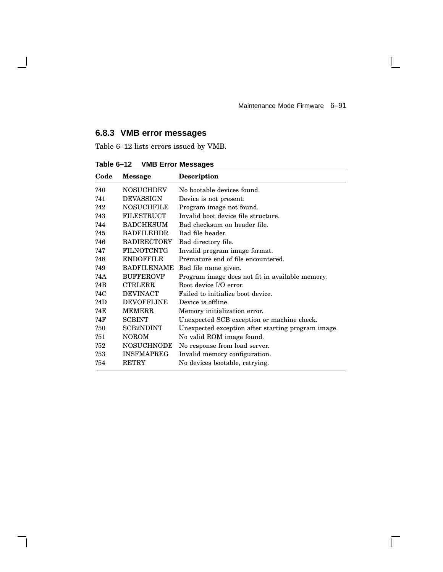$\mathsf{I}$ 

 $\overline{\Gamma}$ 

# **6.8.3 VMB error messages**

 $\overline{\phantom{a}}$ 

Table 6–12 lists errors issued by VMB.

**Table 6–12 VMB Error Messages**

| Code | Message            | <b>Description</b>                                 |
|------|--------------------|----------------------------------------------------|
| ?40  | <b>NOSUCHDEV</b>   | No bootable devices found.                         |
| ?41  | <b>DEVASSIGN</b>   | Device is not present.                             |
| ?42  | <b>NOSUCHFILE</b>  | Program image not found.                           |
| ?43  | <b>FILESTRUCT</b>  | Invalid boot device file structure.                |
| ?44  | <b>BADCHKSUM</b>   | Bad checksum on header file.                       |
| ?45  | <b>BADFILEHDR</b>  | Bad file header.                                   |
| ?46  | <b>BADIRECTORY</b> | Bad directory file.                                |
| ?47  | <b>FILNOTCNTG</b>  | Invalid program image format.                      |
| ?48  | <b>ENDOFFILE</b>   | Premature end of file encountered.                 |
| ?49  | <b>BADFILENAME</b> | Bad file name given.                               |
| ?4A  | <b>BUFFEROVF</b>   | Program image does not fit in available memory.    |
| ?4B  | <b>CTRLERR</b>     | Boot device I/O error.                             |
| ?4C  | <b>DEVINACT</b>    | Failed to initialize boot device.                  |
| ?4D  | <b>DEVOFFLINE</b>  | Device is offline.                                 |
| ?4E  | <b>MEMERR</b>      | Memory initialization error.                       |
| ?4F  | <b>SCBINT</b>      | Unexpected SCB exception or machine check.         |
| ?50  | <b>SCB2NDINT</b>   | Unexpected exception after starting program image. |
| ?51  | <b>NOROM</b>       | No valid ROM image found.                          |
| ?52  | <b>NOSUCHNODE</b>  | No response from load server.                      |
| ?53  | <b>INSFMAPREG</b>  | Invalid memory configuration.                      |
| ?54  | <b>RETRY</b>       | No devices bootable, retrying.                     |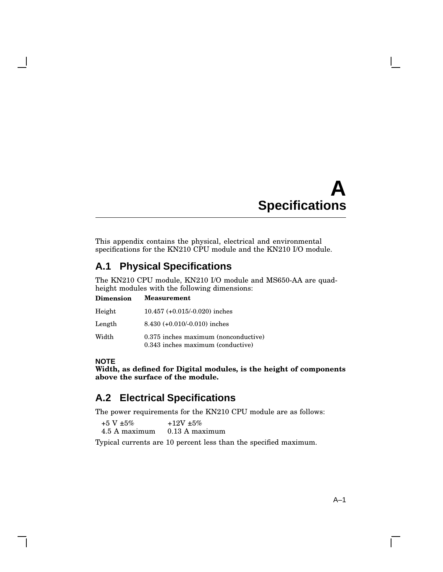# **A Specifications**

This appendix contains the physical, electrical and environmental specifications for the KN210 CPU module and the KN210 I/O module.

# **A.1 Physical Specifications**

The KN210 CPU module, KN210 I/O module and MS650-AA are quadheight modules with the following dimensions:

| <b>Dimension</b> | <b>Measurement</b>                                                        |
|------------------|---------------------------------------------------------------------------|
| Height           | $10.457 (+0.015/-0.020)$ inches                                           |
| Length           | $8.430 (+0.010/-0.010)$ inches                                            |
| Width            | 0.375 inches maximum (nonconductive)<br>0.343 inches maximum (conductive) |

# **NOTE**

**Width, as defined for Digital modules, is the height of components above the surface of the module.**

# **A.2 Electrical Specifications**

The power requirements for the KN210 CPU module are as follows:

| $+5$ V $\pm 5\%$ | $+12V + 5\%$     |
|------------------|------------------|
| 4.5 A maximum    | $0.13$ A maximum |

Typical currents are 10 percent less than the specified maximum.

 $\mathbf{I}$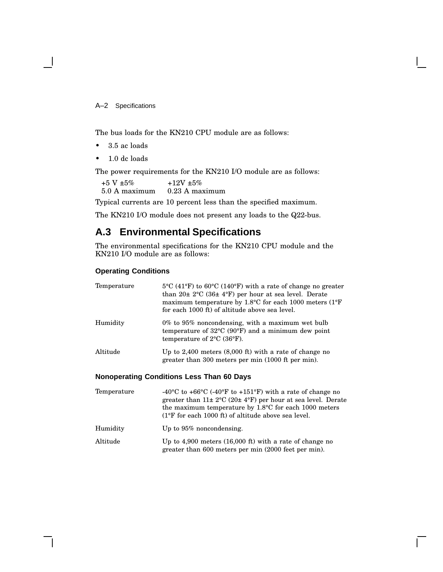A–2 Specifications

The bus loads for the KN210 CPU module are as follows:

- 3.5 ac loads
- 1.0 dc loads

The power requirements for the KN210 I/O module are as follows:

+5 V  $\pm 5\%$ 5.0 A maximum  $+12V +5%$ 0.23 A maximum

Typical currents are 10 percent less than the specified maximum.

The KN210 I/O module does not present any loads to the Q22-bus.

# **A.3 Environmental Specifications**

The environmental specifications for the KN210 CPU module and the KN210 I/O module are as follows:

### **Operating Conditions**

| Temperature | $5^{\circ}$ C (41 <sup>o</sup> F) to 60 <sup>o</sup> C (140 <sup>o</sup> F) with a rate of change no greater<br>than $20\pm 2^{\circ}$ C (36 $\pm 4^{\circ}$ F) per hour at sea level. Derate<br>maximum temperature by $1.8^{\circ}$ C for each 1000 meters (1 <sup>o</sup> F)<br>for each 1000 ft) of altitude above sea level. |
|-------------|-----------------------------------------------------------------------------------------------------------------------------------------------------------------------------------------------------------------------------------------------------------------------------------------------------------------------------------|
| Humidity    | $0\%$ to $95\%$ noncondensing, with a maximum wet bulb<br>temperature of $32^{\circ}C$ (90 $^{\circ}F$ ) and a minimum dew point<br>temperature of $2^{\circ}C$ (36 $^{\circ}F$ ).                                                                                                                                                |
| Altitude    | Up to 2,400 meters $(8,000 \text{ ft})$ with a rate of change no<br>greater than 300 meters per min (1000 ft per min).                                                                                                                                                                                                            |
|             | <b>Nonoperating Conditions Less Than 60 Days</b>                                                                                                                                                                                                                                                                                  |

| Temperature | -40 <sup>o</sup> C to +66 <sup>o</sup> C (-40 <sup>o</sup> F to +151 <sup>o</sup> F) with a rate of change no<br>greater than $11 \pm 2$ °C (20 $\pm 4$ °F) per hour at sea level. Derate<br>the maximum temperature by $1.8^{\circ}$ C for each 1000 meters<br>$(1^{\circ}$ F for each 1000 ft) of altitude above sea level. |
|-------------|-------------------------------------------------------------------------------------------------------------------------------------------------------------------------------------------------------------------------------------------------------------------------------------------------------------------------------|
| Humidity    | Up to $95\%$ noncondensing.                                                                                                                                                                                                                                                                                                   |

```
Altitude Up to 4,900 meters (16,000 ft) with a rate of change no
                   greater than 600 meters per min (2000 feet per min).
```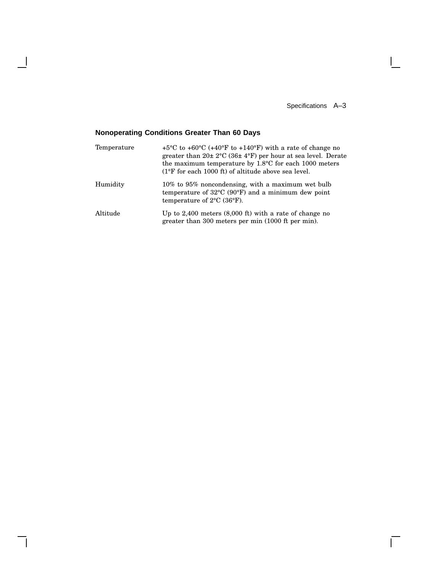Specifications A–3

 $\Box$ 

# **Nonoperating Conditions Greater Than 60 Days**

 $\mathbf{I}$ 

| Temperature | $+5^{\circ}$ C to $+60^{\circ}$ C ( $+40^{\circ}$ F to $+140^{\circ}$ F) with a rate of change no<br>greater than $20 \pm 2^{\circ}$ C (36 $\pm 4^{\circ}$ F) per hour at sea level. Derate<br>the maximum temperature by 1.8°C for each 1000 meters<br>$(1^{\circ}F$ for each 1000 ft) of altitude above sea level. |
|-------------|----------------------------------------------------------------------------------------------------------------------------------------------------------------------------------------------------------------------------------------------------------------------------------------------------------------------|
| Humidity    | 10% to 95% noncondensing, with a maximum wet bulb<br>temperature of $32^{\circ}$ C (90 $^{\circ}$ F) and a minimum dew point<br>temperature of $2^{\circ}$ C (36 $^{\circ}$ F).                                                                                                                                      |
| Altitude    | Up to $2,400$ meters $(8,000 \text{ ft})$ with a rate of change no<br>greater than 300 meters per min (1000 ft per min).                                                                                                                                                                                             |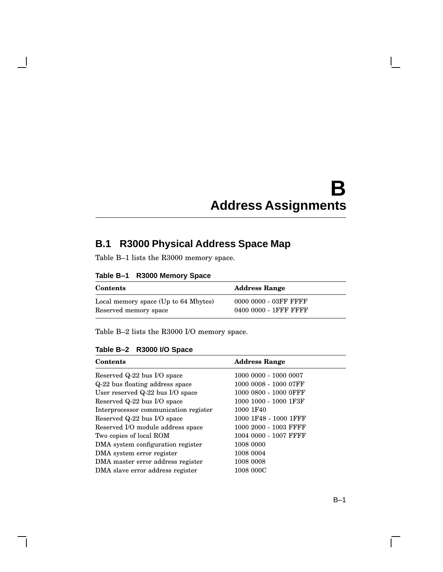# **B Address Assignments**

# **B.1 R3000 Physical Address Space Map**

Table B–1 lists the R3000 memory space.

| Table B–1 |  | R3000 Memory Space |  |
|-----------|--|--------------------|--|
|-----------|--|--------------------|--|

| <b>Contents</b>                      | <b>Address Range</b>  |
|--------------------------------------|-----------------------|
| Local memory space (Up to 64 Mbytes) | 0000 0000 - 03FF FFFF |
| Reserved memory space                | 0400 0000 - 1FFF FFFF |

Table B–2 lists the R3000 I/O memory space.

# **Table B–2 R3000 I/O Space**

| <b>Contents</b>                       | <b>Address Range</b>  |
|---------------------------------------|-----------------------|
| Reserved Q-22 bus I/O space           | 1000 0000 - 1000 0007 |
| Q-22 bus floating address space       | 1000 0008 - 1000 07FF |
| User reserved Q-22 bus I/O space      | 1000 0800 - 1000 OFFF |
| Reserved Q-22 bus I/O space           | 1000 1000 - 1000 1F3F |
| Interprocessor communication register | 1000 1F40             |
| Reserved Q-22 bus I/O space           | 1000 1F48 - 1000 1FFF |
| Reserved I/O module address space     | 1000 2000 - 1003 FFFF |
| Two copies of local ROM               | 1004 0000 - 1007 FFFF |
| DMA system configuration register     | 1008 0000             |
| DMA system error register             | 1008 0004             |
| DMA master error address register     | 1008 0008             |
| DMA slave error address register      | 1008 000C             |

 $\mathbf{I}$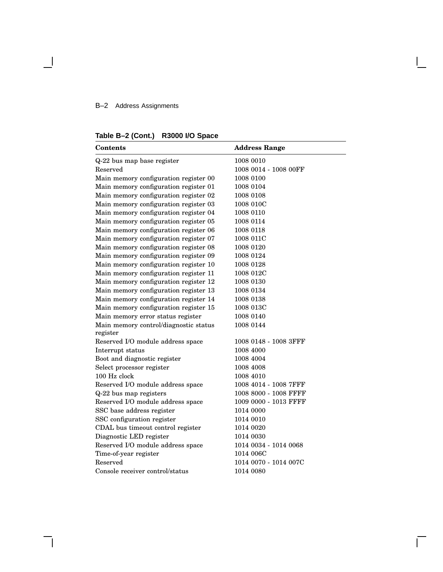# B–2 Address Assignments

# **Table B–2 (Cont.) R3000 I/O Space**

| <b>Contents</b>                                   | <b>Address Range</b>  |
|---------------------------------------------------|-----------------------|
| Q-22 bus map base register                        | 1008 0010             |
| Reserved                                          | 1008 0014 - 1008 00FF |
| Main memory configuration register 00             | 1008 0100             |
| Main memory configuration register 01             | 1008 0104             |
| Main memory configuration register 02             | 1008 0108             |
| Main memory configuration register 03             | 1008 010C             |
| Main memory configuration register 04             | 1008 0110             |
| Main memory configuration register 05             | 1008 0114             |
| Main memory configuration register 06             | 1008 0118             |
| Main memory configuration register 07             | 1008 011C             |
| Main memory configuration register 08             | 1008 0120             |
| Main memory configuration register 09             | 1008 0124             |
| Main memory configuration register 10             | 1008 0128             |
| Main memory configuration register 11             | 1008 012C             |
| Main memory configuration register 12             | 1008 0130             |
| Main memory configuration register 13             | 1008 0134             |
| Main memory configuration register 14             | 1008 0138             |
| Main memory configuration register 15             | 1008 013C             |
| Main memory error status register                 | 1008 0140             |
| Main memory control/diagnostic status<br>register | 1008 0144             |
| Reserved I/O module address space                 | 1008 0148 - 1008 3FFF |
| Interrupt status                                  | 1008 4000             |
| Boot and diagnostic register                      | 1008 4004             |
| Select processor register                         | 1008 4008             |
| 100 Hz clock                                      | 1008 4010             |
| Reserved I/O module address space                 | 1008 4014 - 1008 7FFF |
| Q-22 bus map registers                            | 1008 8000 - 1008 FFFF |
| Reserved I/O module address space                 | 1009 0000 - 1013 FFFF |
| SSC base address register                         | 1014 0000             |
| SSC configuration register                        | 1014 0010             |
| CDAL bus timeout control register                 | 1014 0020             |
| Diagnostic LED register                           | 1014 0030             |
| Reserved I/O module address space                 | 1014 0034 - 1014 0068 |
| Time-of-year register                             | 1014 006C             |
| Reserved                                          | 1014 0070 - 1014 007C |
| Console receiver control/status                   | 1014 0080             |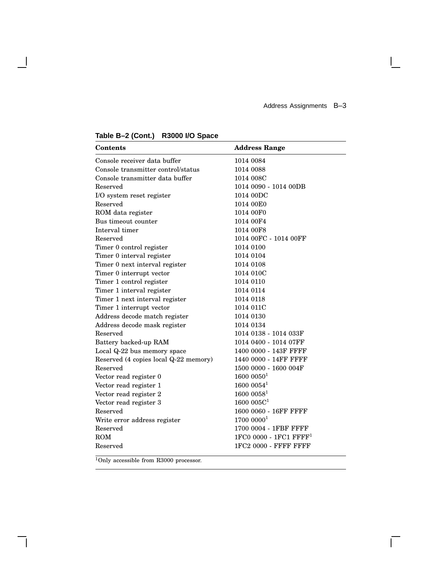$\mathbb{R}^n$ 

 $\overline{\Gamma}$ 

| <b>Contents</b>                       | <b>Address Range</b>      |
|---------------------------------------|---------------------------|
| Console receiver data buffer          | 1014 0084                 |
| Console transmitter control/status    | 1014 0088                 |
| Console transmitter data buffer       | 1014 008C                 |
| Reserved                              | 1014 0090 - 1014 00DB     |
| I/O system reset register             | 1014 00DC                 |
| Reserved                              | 1014 00E0                 |
| ROM data register                     | 1014 00F0                 |
| Bus timeout counter                   | 1014 00F4                 |
| Interval timer                        | 1014 00F8                 |
| Reserved                              | 1014 00FC - 1014 00FF     |
| Timer 0 control register              | 1014 0100                 |
| Timer 0 interval register             | 1014 0104                 |
| Timer 0 next interval register        | 1014 0108                 |
| Timer 0 interrupt vector              | 1014 010C                 |
| Timer 1 control register              | 1014 0110                 |
| Timer 1 interval register             | 1014 0114                 |
| Timer 1 next interval register        | 1014 0118                 |
| Timer 1 interrupt vector              | 1014 011C                 |
| Address decode match register         | 1014 0130                 |
| Address decode mask register          | 1014 0134                 |
| Reserved                              | 1014 0138 - 1014 033F     |
| Battery backed-up RAM                 | 1014 0400 - 1014 07FF     |
| Local Q-22 bus memory space           | 1400 0000 - 143F FFFF     |
| Reserved (4 copies local Q-22 memory) | 1440 0000 - 14FF FFFF     |
| Reserved                              | 1500 0000 - 1600 004F     |
| Vector read register 0                | $1600~0050$ <sup>1</sup>  |
| Vector read register 1                | 16000054 <sup>1</sup>     |
| Vector read register 2                | 16000058 <sup>1</sup>     |
| Vector read register 3                | 1600005C <sup>1</sup>     |
| Reserved                              | 1600 0060 - 16FF FFFF     |
| Write error address register          | 1700 00001                |
| Reserved                              | 1700 0004 - 1FBF FFFF     |
| <b>ROM</b>                            | $1FC00000 - 1FC1$ $FFFF1$ |
| Reserved                              | 1FC2 0000 - FFFF FFFF     |

# **Table B–2 (Cont.) R3000 I/O Space**

 $\overline{\phantom{a}}$ 

 $\mathsf{l}$ 

 $^1\mathrm{Only}$  accessible from R3000 processor.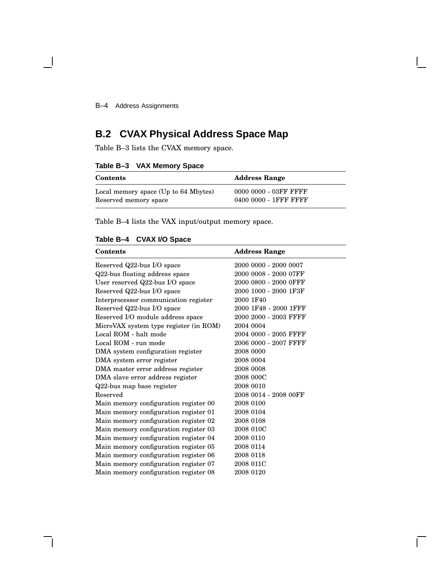B–4 Address Assignments

# **B.2 CVAX Physical Address Space Map**

Table B–3 lists the CVAX memory space.

# **Table B–3 VAX Memory Space**

| <b>Contents</b>                      | <b>Address Range</b>  |
|--------------------------------------|-----------------------|
| Local memory space (Up to 64 Mbytes) | 0000 0000 - 03FF FFFF |
| Reserved memory space                | 0400 0000 - 1FFF FFFF |

Table B–4 lists the VAX input/output memory space.

# **Table B–4 CVAX I/O Space**

| <b>Contents</b>                        | <b>Address Range</b>  |
|----------------------------------------|-----------------------|
| Reserved Q22-bus I/O space             | 2000 0000 - 2000 0007 |
| Q22-bus floating address space         | 2000 0008 - 2000 07FF |
| User reserved Q22-bus I/O space        | 2000 0800 - 2000 OFFF |
| Reserved Q22-bus I/O space             | 2000 1000 - 2000 1F3F |
| Interprocessor communication register  | 2000 1F40             |
| Reserved Q22-bus I/O space             | 2000 1F48 - 2000 1FFF |
| Reserved I/O module address space      | 2000 2000 - 2003 FFFF |
| MicroVAX system type register (in ROM) | 2004 0004             |
| Local ROM - halt mode                  | 2004 0000 - 2005 FFFF |
| Local ROM - run mode                   | 2006 0000 - 2007 FFFF |
| DMA system configuration register      | 2008 0000             |
| DMA system error register              | 2008 0004             |
| DMA master error address register      | 2008 0008             |
| DMA slave error address register       | 2008 000C             |
| Q22-bus map base register              | 2008 0010             |
| Reserved                               | 2008 0014 - 2008 00FF |
| Main memory configuration register 00  | 2008 0100             |
| Main memory configuration register 01  | 2008 0104             |
| Main memory configuration register 02  | 2008 0108             |
| Main memory configuration register 03  | 2008 010C             |
| Main memory configuration register 04  | 2008 0110             |
| Main memory configuration register 05  | 2008 0114             |
| Main memory configuration register 06  | 2008 0118             |
| Main memory configuration register 07  | 2008 011C             |
| Main memory configuration register 08  | 2008 0120             |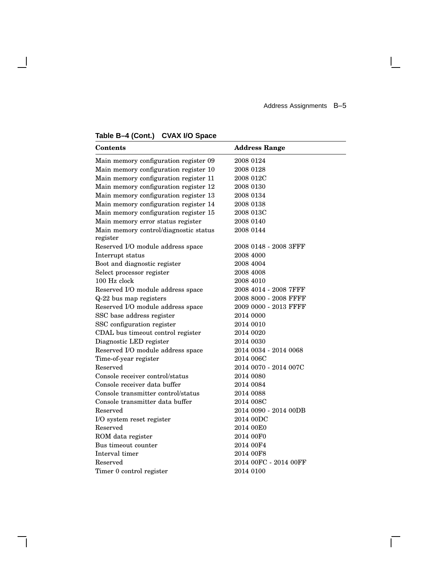$\overline{\Gamma}$ 

# **Table B–4 (Cont.) CVAX I/O Space**

 $\overline{\phantom{a}}$ 

| <b>Contents</b>                       | <b>Address Range</b>  |
|---------------------------------------|-----------------------|
| Main memory configuration register 09 | 2008 0124             |
| Main memory configuration register 10 | 2008 0128             |
| Main memory configuration register 11 | 2008 012C             |
| Main memory configuration register 12 | 2008 0130             |
| Main memory configuration register 13 | 2008 0134             |
| Main memory configuration register 14 | 2008 0138             |
| Main memory configuration register 15 | 2008 013C             |
| Main memory error status register     | 2008 0140             |
| Main memory control/diagnostic status | 2008 0144             |
| register                              |                       |
| Reserved I/O module address space     | 2008 0148 - 2008 3FFF |
| Interrupt status                      | 2008 4000             |
| Boot and diagnostic register          | 2008 4004             |
| Select processor register             | 2008 4008             |
| 100 Hz clock                          | 2008 4010             |
| Reserved I/O module address space     | 2008 4014 - 2008 7FFF |
| Q-22 bus map registers                | 2008 8000 - 2008 FFFF |
| Reserved I/O module address space     | 2009 0000 - 2013 FFFF |
| SSC base address register             | 2014 0000             |
| SSC configuration register            | 2014 0010             |
| CDAL bus timeout control register     | 2014 0020             |
| Diagnostic LED register               | 2014 0030             |
| Reserved I/O module address space     | 2014 0034 - 2014 0068 |
| Time-of-year register                 | 2014 006C             |
| Reserved                              | 2014 0070 - 2014 007C |
| Console receiver control/status       | 2014 0080             |
| Console receiver data buffer          | 2014 0084             |
| Console transmitter control/status    | 2014 0088             |
| Console transmitter data buffer       | 2014 008C             |
| Reserved                              | 2014 0090 - 2014 00DB |
| I/O system reset register             | 2014 00DC             |
| Reserved                              | 2014 00E0             |
| ROM data register                     | 2014 00F0             |
| Bus timeout counter                   | 2014 00F4             |
| Interval timer                        | 2014 00F8             |
| Reserved                              | 2014 00FC - 2014 00FF |
| Timer 0 control register              | 2014 0100             |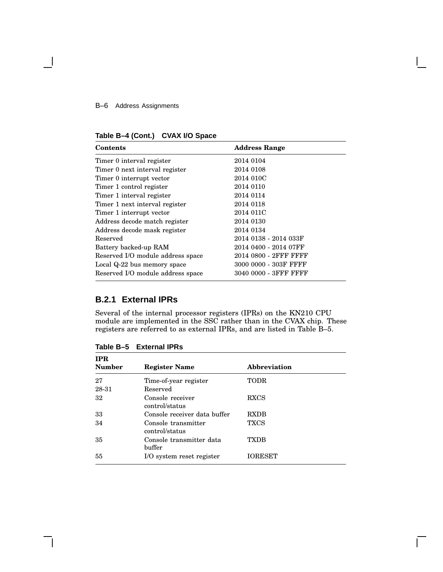### B–6 Address Assignments

**Table B–4 (Cont.) CVAX I/O Space**

| <b>Contents</b>                   | <b>Address Range</b>  |
|-----------------------------------|-----------------------|
| Timer 0 interval register         | 2014 0104             |
| Timer 0 next interval register    | 2014 0108             |
| Timer 0 interrupt vector          | 2014 010C             |
| Timer 1 control register          | 2014 0110             |
| Timer 1 interval register         | 2014 0114             |
| Timer 1 next interval register    | 2014 0118             |
| Timer 1 interrupt vector          | 2014 011C             |
| Address decode match register     | 2014 0130             |
| Address decode mask register      | 2014 0134             |
| Reserved                          | 2014 0138 - 2014 033F |
| Battery backed-up RAM             | 2014 0400 - 2014 07FF |
| Reserved I/O module address space | 2014 0800 - 2FFF FFFF |
| Local Q-22 bus memory space       | 3000 0000 - 303F FFFF |
| Reserved I/O module address space | 3040 0000 - 3FFF FFFF |

# **B.2.1 External IPRs**

Several of the internal processor registers (IPRs) on the KN210 CPU module are implemented in the SSC rather than in the CVAX chip. These registers are referred to as external IPRs, and are listed in Table B–5.

| <b>Abbreviation</b> |
|---------------------|
| TODR                |
|                     |
| <b>RXCS</b>         |
| <b>RXDB</b>         |
| <b>TXCS</b>         |
| <b>TXDB</b>         |
| <b>IORESET</b>      |
|                     |

**Table B–5 External IPRs**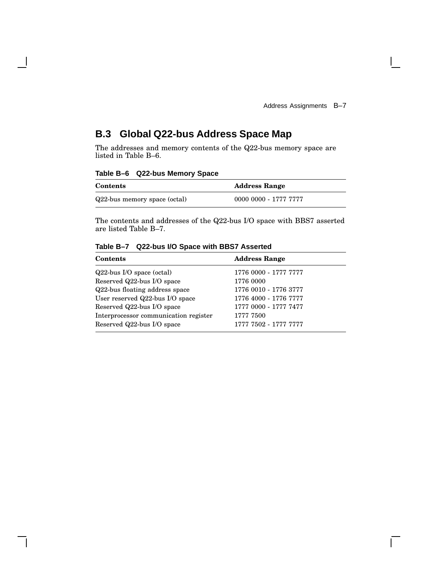$\mathbf{I}$ 

# **B.3 Global Q22-bus Address Space Map**

The addresses and memory contents of the Q22-bus memory space are listed in Table B–6.

**Table B–6 Q22-bus Memory Space**

| <b>Contents</b>              | <b>Address Range</b>  |
|------------------------------|-----------------------|
| Q22-bus memory space (octal) | 0000 0000 - 1777 7777 |

The contents and addresses of the Q22-bus I/O space with BBS7 asserted are listed Table B–7.

| Contents                              | <b>Address Range</b>  |
|---------------------------------------|-----------------------|
| $Q22$ -bus I/O space (octal)          | 1776 0000 - 1777 7777 |
| Reserved Q22-bus I/O space            | 1776 0000             |
| Q22-bus floating address space        | 1776 0010 - 1776 3777 |
| User reserved Q22-bus I/O space       | 1776 4000 - 1776 7777 |
| Reserved Q22-bus I/O space            | 1777 0000 - 1777 7477 |
| Interprocessor communication register | 1777 7500             |
| Reserved Q22-bus I/O space            | 1777 7502 - 1777 7777 |

**Table B–7 Q22-bus I/O Space with BBS7 Asserted**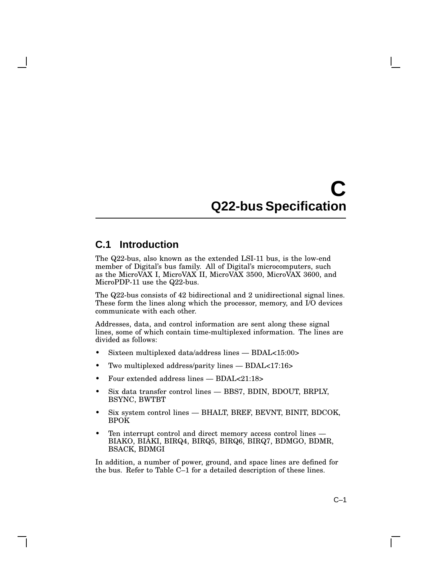# **C Q22-bus Specification**

# **C.1 Introduction**

The Q22-bus, also known as the extended LSI-11 bus, is the low-end member of Digital's bus family. All of Digital's microcomputers, such as the MicroVAX I, MicroVAX II, MicroVAX 3500, MicroVAX 3600, and MicroPDP-11 use the Q22-bus.

The Q22-bus consists of 42 bidirectional and 2 unidirectional signal lines. These form the lines along which the processor, memory, and I/O devices communicate with each other.

Addresses, data, and control information are sent along these signal lines, some of which contain time-multiplexed information. The lines are divided as follows:

- Sixteen multiplexed data/address lines BDAL<15:00>
- Two multiplexed address/parity lines BDAL<17:16>
- Four extended address lines BDAL<21:18>
- Six data transfer control lines BBS7, BDIN, BDOUT, BRPLY, BSYNC, BWTBT
- Six system control lines BHALT, BREF, BEVNT, BINIT, BDCOK, BPOK
- Ten interrupt control and direct memory access control lines  $-$ BIAKO, BIAKI, BIRQ4, BIRQ5, BIRQ6, BIRQ7, BDMGO, BDMR, BSACK, BDMGI

In addition, a number of power, ground, and space lines are defined for the bus. Refer to Table C–1 for a detailed description of these lines.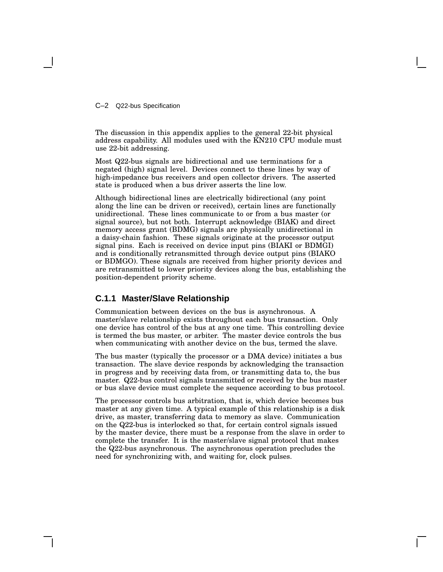C–2 Q22-bus Specification

The discussion in this appendix applies to the general 22-bit physical address capability. All modules used with the KN210 CPU module must use 22-bit addressing.

Most Q22-bus signals are bidirectional and use terminations for a negated (high) signal level. Devices connect to these lines by way of high-impedance bus receivers and open collector drivers. The asserted state is produced when a bus driver asserts the line low.

Although bidirectional lines are electrically bidirectional (any point along the line can be driven or received), certain lines are functionally unidirectional. These lines communicate to or from a bus master (or signal source), but not both. Interrupt acknowledge (BIAK) and direct memory access grant (BDMG) signals are physically unidirectional in a daisy-chain fashion. These signals originate at the processor output signal pins. Each is received on device input pins (BIAKI or BDMGI) and is conditionally retransmitted through device output pins (BIAKO or BDMGO). These signals are received from higher priority devices and are retransmitted to lower priority devices along the bus, establishing the position-dependent priority scheme.

# **C.1.1 Master/Slave Relationship**

Communication between devices on the bus is asynchronous. A master/slave relationship exists throughout each bus transaction. Only one device has control of the bus at any one time. This controlling device is termed the bus master, or arbiter. The master device controls the bus when communicating with another device on the bus, termed the slave.

The bus master (typically the processor or a DMA device) initiates a bus transaction. The slave device responds by acknowledging the transaction in progress and by receiving data from, or transmitting data to, the bus master. Q22-bus control signals transmitted or received by the bus master or bus slave device must complete the sequence according to bus protocol.

The processor controls bus arbitration, that is, which device becomes bus master at any given time. A typical example of this relationship is a disk drive, as master, transferring data to memory as slave. Communication on the Q22-bus is interlocked so that, for certain control signals issued by the master device, there must be a response from the slave in order to complete the transfer. It is the master/slave signal protocol that makes the Q22-bus asynchronous. The asynchronous operation precludes the need for synchronizing with, and waiting for, clock pulses.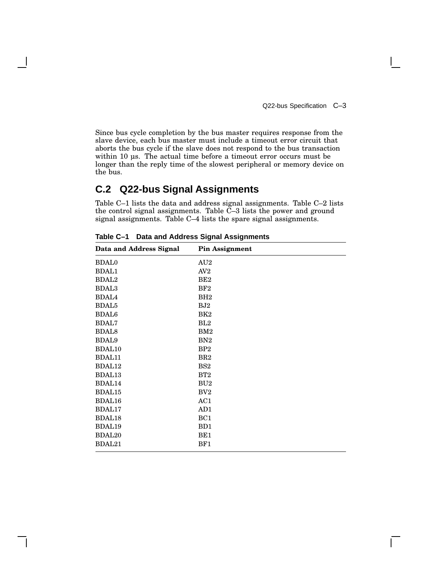Q22-bus Specification C–3

 $\mathbf{I}$ 

Since bus cycle completion by the bus master requires response from the slave device, each bus master must include a timeout error circuit that aborts the bus cycle if the slave does not respond to the bus transaction within 10 µs. The actual time before a timeout error occurs must be longer than the reply time of the slowest peripheral or memory device on the bus.

# **C.2 Q22-bus Signal Assignments**

Table C–1 lists the data and address signal assignments. Table C–2 lists the control signal assignments. Table  $\check{C}-3$  lists the power and ground signal assignments. Table C–4 lists the spare signal assignments.

| <b>Data and Address Signal</b> | <b>Pin Assignment</b> |
|--------------------------------|-----------------------|
| <b>BDAL0</b>                   | AU2                   |
| <b>BDAL1</b>                   | AV <sub>2</sub>       |
| <b>BDAL2</b>                   | BE <sub>2</sub>       |
| <b>BDAL3</b>                   | BF2                   |
| <b>BDAL4</b>                   | BH <sub>2</sub>       |
| <b>BDAL5</b>                   | BJ2                   |
| <b>BDAL6</b>                   | BK <sub>2</sub>       |
| <b>BDAL7</b>                   | BL2                   |
| <b>BDAL8</b>                   | BM2                   |
| <b>BDAL9</b>                   | BN <sub>2</sub>       |
| <b>BDAL10</b>                  | BP <sub>2</sub>       |
| BDAL11                         | BR2                   |
| BDAL12                         | BS <sub>2</sub>       |
| BDAL13                         | BT2                   |
| BDAL14                         | BU2                   |
| BDAL15                         | BV2                   |
| BDAL16                         | AC1                   |
| BDAL17                         | AD1                   |
| <b>BDAL18</b>                  | BC <sub>1</sub>       |
| BDAL19                         | B <sub>D</sub> 1      |
| <b>BDAL20</b>                  | BE1                   |
| BDAL21                         | BF1                   |
|                                |                       |

**Table C–1 Data and Address Signal Assignments**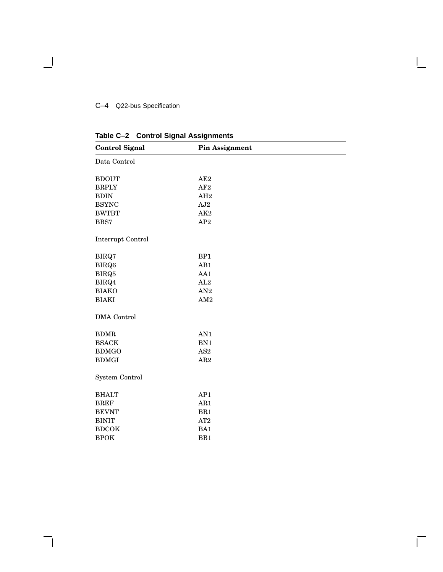# C–4 Q22-bus Specification

 $\overline{\phantom{0}}$ 

| <b>Control Signal</b> | <b>Pin Assignment</b> |  |
|-----------------------|-----------------------|--|
| Data Control          |                       |  |
| <b>BDOUT</b>          | AE2                   |  |
| <b>BRPLY</b>          | AF <sub>2</sub>       |  |
| <b>BDIN</b>           | AH <sub>2</sub>       |  |
| <b>BSYNC</b>          | AJ2                   |  |
| <b>BWTBT</b>          | AK <sub>2</sub>       |  |
| BBS7                  | AP2                   |  |
| Interrupt Control     |                       |  |
| BIRQ7                 | BP1                   |  |
| BIRQ6                 | AB1                   |  |
| BIRQ5                 | AA1                   |  |
| BIRQ4                 | AL2                   |  |
| <b>BIAKO</b>          | AN2                   |  |
| <b>BIAKI</b>          | AM2                   |  |
| <b>DMA</b> Control    |                       |  |
| <b>BDMR</b>           | AN1                   |  |
| <b>BSACK</b>          | BN1                   |  |
| <b>BDMGO</b>          | AS <sub>2</sub>       |  |
| <b>BDMGI</b>          | AR <sub>2</sub>       |  |
| System Control        |                       |  |
| <b>BHALT</b>          | AP1                   |  |
| <b>BREF</b>           | AR1                   |  |
| <b>BEVNT</b>          | BR1                   |  |
| <b>BINIT</b>          | AT2                   |  |
| <b>BDCOK</b>          | BA1                   |  |
| <b>BPOK</b>           | BB1                   |  |

 $\bar{\Gamma}$ 

**Table C–2 Control Signal Assignments**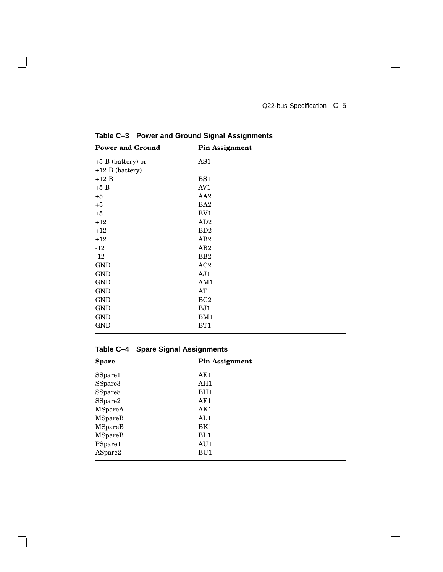$\mathbf{I}$ 

 $\overline{\Gamma}$ 

| <b>Power and Ground</b> | <b>Pin Assignment</b> |
|-------------------------|-----------------------|
| +5 B (battery) or       | AS1                   |
| $+12 B$ (battery)       |                       |
| $+12B$                  | BS1                   |
| $+5B$                   | AV <sub>1</sub>       |
| $+5$                    | AA2                   |
| $+5$                    | BA <sub>2</sub>       |
| $+5$                    | BV1                   |
| $+12$                   | AD2                   |
| $+12$                   | B <sub>D</sub>        |
| $+12$                   | AB <sub>2</sub>       |
| $-12$                   | AB <sub>2</sub>       |
| $-12$                   | B <sub>B2</sub>       |
| <b>GND</b>              | AC2                   |
| <b>GND</b>              | AJ1                   |
| <b>GND</b>              | AM1                   |
| <b>GND</b>              | AT1                   |
| <b>GND</b>              | BC2                   |
| <b>GND</b>              | BJ1                   |
| <b>GND</b>              | BM1                   |
| <b>GND</b>              | BT1                   |

**Table C–3 Power and Ground Signal Assignments**

 $\overline{\phantom{a}}$ 

# **Table C–4 Spare Signal Assignments**

| <b>Spare</b> | <b>Pin Assignment</b> |  |
|--------------|-----------------------|--|
| SSpare1      | AE1                   |  |
| SSpare3      | AH1                   |  |
| SSpare8      | BH <sub>1</sub>       |  |
| SSpare2      | AF1                   |  |
| MSpareA      | AK1                   |  |
| MSpareB      | AL1                   |  |
| MSpareB      | BK1                   |  |
| MSpareB      | BL1                   |  |
| PSpare1      | AU1                   |  |
| ASpare2      | BU1                   |  |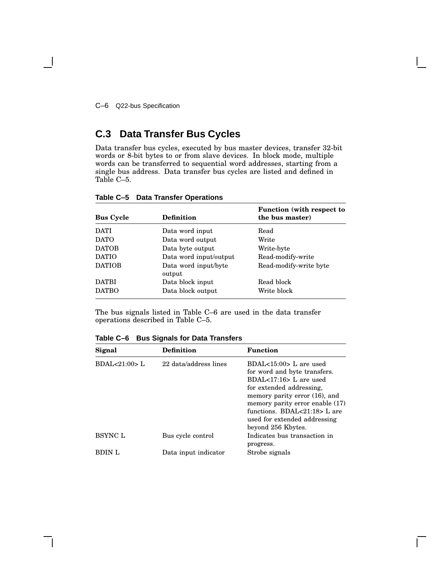C–6 Q22-bus Specification

# **C.3 Data Transfer Bus Cycles**

Data transfer bus cycles, executed by bus master devices, transfer 32-bit words or 8-bit bytes to or from slave devices. In block mode, multiple words can be transferred to sequential word addresses, starting from a single bus address. Data transfer bus cycles are listed and defined in Table C–5.

| <b>Bus Cycle</b> | <b>Definition</b>              | <b>Function</b> (with respect to<br>the bus master) |
|------------------|--------------------------------|-----------------------------------------------------|
| <b>DATI</b>      | Data word input                | Read                                                |
| <b>DATO</b>      | Data word output               | Write                                               |
| <b>DATOB</b>     | Data byte output               | Write-byte                                          |
| <b>DATIO</b>     | Data word input/output         | Read-modify-write                                   |
| <b>DATIOB</b>    | Data word input/byte<br>output | Read-modify-write byte                              |
| <b>DATBI</b>     | Data block input               | Read block                                          |
| <b>DATBO</b>     | Data block output              | Write block                                         |

### **Table C–5 Data Transfer Operations**

The bus signals listed in Table C–6 are used in the data transfer operations described in Table C–5.

**Table C–6 Bus Signals for Data Transfers**

| Signal         | <b>Definition</b>     | <b>Function</b>                                                                                                                                                                                                                                                          |
|----------------|-----------------------|--------------------------------------------------------------------------------------------------------------------------------------------------------------------------------------------------------------------------------------------------------------------------|
| BDAL<21:00>L   | 22 data/address lines | $BDAL<15:00>L$ are used<br>for word and byte transfers.<br>$BDAL<17:16$ L are used<br>for extended addressing,<br>memory parity error (16), and<br>memory parity error enable (17)<br>functions. BDAL<21:18> L are<br>used for extended addressing<br>beyond 256 Kbytes. |
| <b>BSYNC L</b> | Bus cycle control     | Indicates bus transaction in<br>progress.                                                                                                                                                                                                                                |
| <b>BDIN</b> L  | Data input indicator  | Strobe signals                                                                                                                                                                                                                                                           |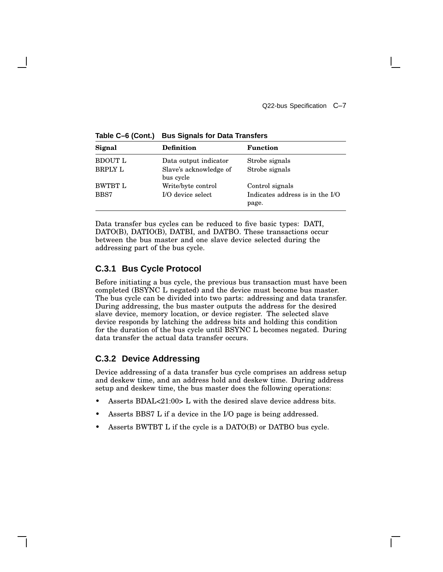**Signal Definition Function** BDOUT L Data output indicator Strobe signals BRPLY L Slave's acknowledge of bus cycle Strobe signals BWTBT L Write/byte control Control signals BBS7 I/O device select Indicates address is in the I/O page.

**Table C–6 (Cont.) Bus Signals for Data Transfers**

Data transfer bus cycles can be reduced to five basic types: DATI, DATO(B), DATIO(B), DATBI, and DATBO. These transactions occur between the bus master and one slave device selected during the addressing part of the bus cycle.

# **C.3.1 Bus Cycle Protocol**

Before initiating a bus cycle, the previous bus transaction must have been completed (BSYNC L negated) and the device must become bus master. The bus cycle can be divided into two parts: addressing and data transfer. During addressing, the bus master outputs the address for the desired slave device, memory location, or device register. The selected slave device responds by latching the address bits and holding this condition for the duration of the bus cycle until BSYNC L becomes negated. During data transfer the actual data transfer occurs.

## **C.3.2 Device Addressing**

Device addressing of a data transfer bus cycle comprises an address setup and deskew time, and an address hold and deskew time. During address setup and deskew time, the bus master does the following operations:

- Asserts BDAL<21:00> L with the desired slave device address bits.
- Asserts BBS7 L if a device in the I/O page is being addressed.
- Asserts BWTBT L if the cycle is a DATO(B) or DATBO bus cycle.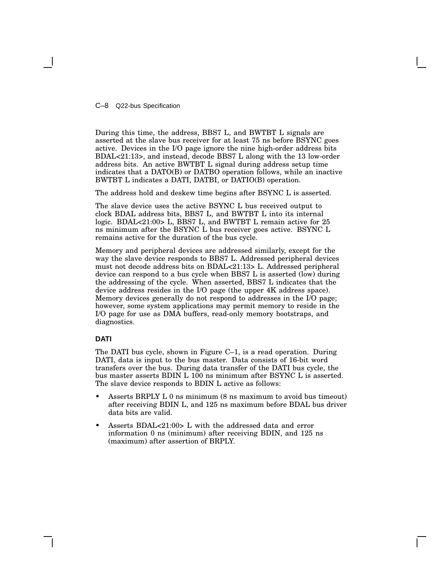C–8 Q22-bus Specification

During this time, the address, BBS7 L, and BWTBT L signals are asserted at the slave bus receiver for at least 75 ns before BSYNC goes active. Devices in the I/O page ignore the nine high-order address bits BDAL<21:13>, and instead, decode BBS7 L along with the 13 low-order address bits. An active BWTBT L signal during address setup time indicates that a DATO(B) or DATBO operation follows, while an inactive BWTBT L indicates a DATI, DATBI, or DATIO(B) operation.

The address hold and deskew time begins after BSYNC L is asserted.

The slave device uses the active BSYNC L bus received output to clock BDAL address bits, BBS7 L, and BWTBT L into its internal logic. BDAL<21:00> L, BBS7 L, and BWTBT L remain active for 25 ns minimum after the BSYNC L bus receiver goes active. BSYNC L remains active for the duration of the bus cycle.

Memory and peripheral devices are addressed similarly, except for the way the slave device responds to BBS7 L. Addressed peripheral devices must not decode address bits on BDAL<21:13> L. Addressed peripheral device can respond to a bus cycle when BBS7 L is asserted (low) during the addressing of the cycle. When asserted, BBS7 L indicates that the device address resides in the I/O page (the upper 4K address space). Memory devices generally do not respond to addresses in the I/O page; however, some system applications may permit memory to reside in the I/O page for use as DMA buffers, read-only memory bootstraps, and diagnostics.

### **DATI**

The DATI bus cycle, shown in Figure C–1, is a read operation. During DATI, data is input to the bus master. Data consists of 16-bit word transfers over the bus. During data transfer of the DATI bus cycle, the bus master asserts BDIN L 100 ns minimum after BSYNC L is asserted. The slave device responds to BDIN L active as follows:

- Asserts BRPLY L 0 ns minimum (8 ns maximum to avoid bus timeout) after receiving BDIN L, and 125 ns maximum before BDAL bus driver data bits are valid.
- Asserts BDAL<21:00> L with the addressed data and error information 0 ns (minimum) after receiving BDIN, and 125 ns (maximum) after assertion of BRPLY.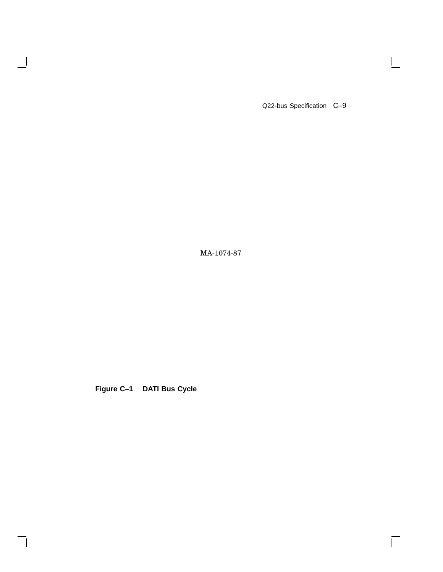Q22-bus Specification C–9

 $\mathbf{I}$ 

 $\overline{\Gamma}$ 

MA-1074-87

**Figure C–1 DATI Bus Cycle**

 $\overline{\phantom{a}}$ 

H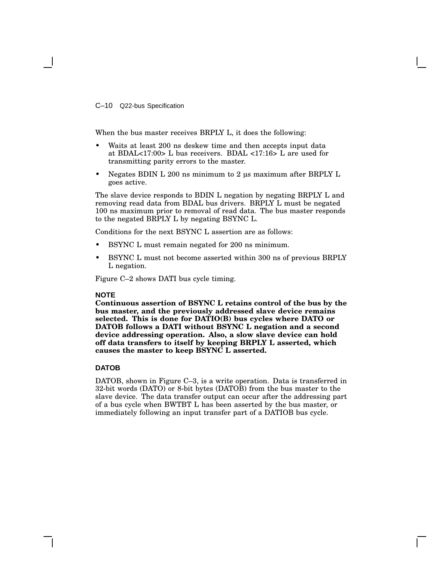C–10 Q22-bus Specification

When the bus master receives BRPLY L, it does the following:

- Waits at least 200 ns deskew time and then accepts input data at BDAL<17:00> L bus receivers. BDAL <17:16> L are used for transmitting parity errors to the master.
- Negates BDIN L 200 ns minimum to 2 µs maximum after BRPLY L goes active.

The slave device responds to BDIN L negation by negating BRPLY L and removing read data from BDAL bus drivers. BRPLY L must be negated 100 ns maximum prior to removal of read data. The bus master responds to the negated BRPLY L by negating BSYNC L.

Conditions for the next BSYNC L assertion are as follows:

- BSYNC L must remain negated for 200 ns minimum.
- BSYNC L must not become asserted within 300 ns of previous BRPLY L negation.

Figure C–2 shows DATI bus cycle timing.

#### **NOTE**

**Continuous assertion of BSYNC L retains control of the bus by the bus master, and the previously addressed slave device remains selected. This is done for DATIO(B) bus cycles where DATO or DATOB follows a DATI without BSYNC L negation and a second device addressing operation. Also, a slow slave device can hold off data transfers to itself by keeping BRPLY L asserted, which causes the master to keep BSYNC L asserted.**

#### **DATOB**

DATOB, shown in Figure C–3, is a write operation. Data is transferred in 32-bit words (DATO) or 8-bit bytes (DATOB) from the bus master to the slave device. The data transfer output can occur after the addressing part of a bus cycle when BWTBT L has been asserted by the bus master, or immediately following an input transfer part of a DATIOB bus cycle.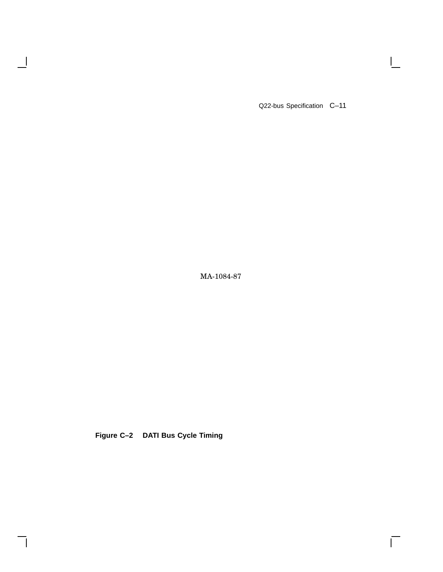Q22-bus Specification C–11

 $\mathbf{L}$ 

 $\overline{\Gamma}$ 

MA-1084-87

**Figure C–2 DATI Bus Cycle Timing**

 $\overline{\phantom{a}}$ 

 $\mathsf{l}$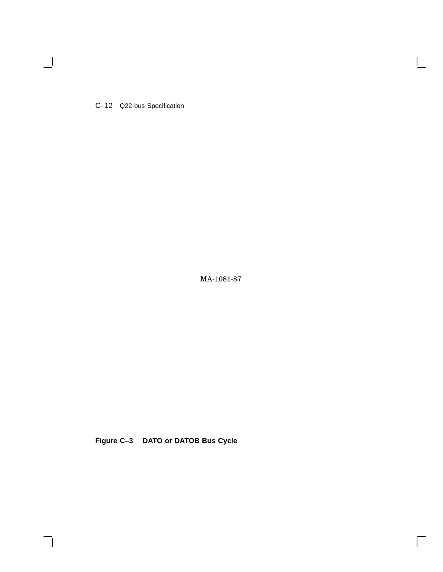C–12 Q22-bus Specification

 $\blacksquare$ 

MA-1081-87

Г

**Figure C–3 DATO or DATOB Bus Cycle**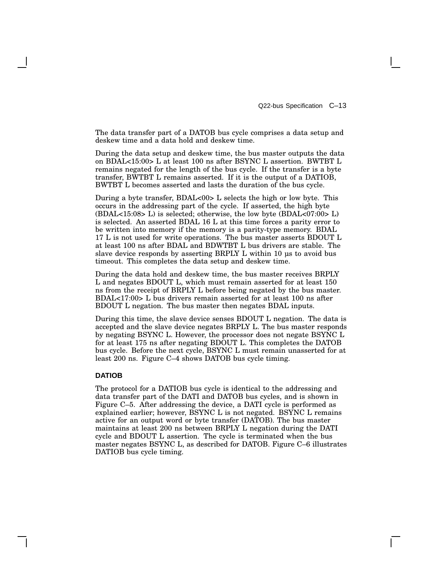The data transfer part of a DATOB bus cycle comprises a data setup and deskew time and a data hold and deskew time.

During the data setup and deskew time, the bus master outputs the data on BDAL<15:00> L at least 100 ns after BSYNC L assertion. BWTBT L remains negated for the length of the bus cycle. If the transfer is a byte transfer, BWTBT L remains asserted. If it is the output of a DATIOB, BWTBT L becomes asserted and lasts the duration of the bus cycle.

During a byte transfer, BDAL<00> L selects the high or low byte. This occurs in the addressing part of the cycle. If asserted, the high byte (BDAL<15:08> L) is selected; otherwise, the low byte (BDAL<07:00> L) is selected. An asserted BDAL 16 L at this time forces a parity error to be written into memory if the memory is a parity-type memory. BDAL 17 L is not used for write operations. The bus master asserts BDOUT L at least 100 ns after BDAL and BDWTBT L bus drivers are stable. The slave device responds by asserting BRPLY L within 10 us to avoid bus timeout. This completes the data setup and deskew time.

During the data hold and deskew time, the bus master receives BRPLY L and negates BDOUT L, which must remain asserted for at least 150 ns from the receipt of BRPLY L before being negated by the bus master. BDAL<17:00> L bus drivers remain asserted for at least 100 ns after BDOUT L negation. The bus master then negates BDAL inputs.

During this time, the slave device senses BDOUT L negation. The data is accepted and the slave device negates BRPLY L. The bus master responds by negating BSYNC L. However, the processor does not negate BSYNC L for at least 175 ns after negating BDOUT L. This completes the DATOB bus cycle. Before the next cycle, BSYNC L must remain unasserted for at least 200 ns. Figure C–4 shows DATOB bus cycle timing.

#### **DATIOB**

The protocol for a DATIOB bus cycle is identical to the addressing and data transfer part of the DATI and DATOB bus cycles, and is shown in Figure C–5. After addressing the device, a DATI cycle is performed as explained earlier; however, BSYNC L is not negated. BSYNC L remains active for an output word or byte transfer (DATOB). The bus master maintains at least 200 ns between BRPLY L negation during the DATI cycle and BDOUT L assertion. The cycle is terminated when the bus master negates BSYNC L, as described for DATOB. Figure C–6 illustrates DATIOB bus cycle timing.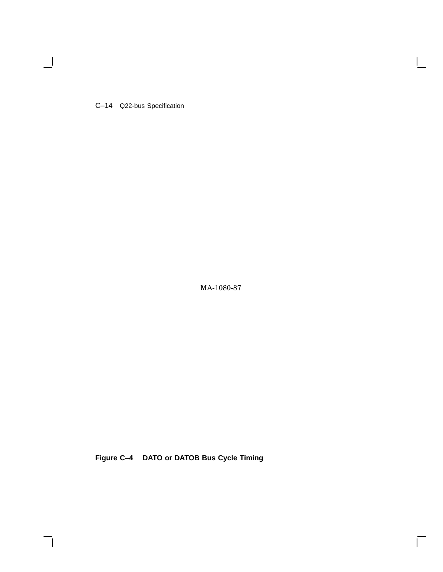C–14 Q22-bus Specification

 $\blacksquare$ 

MA-1080-87

 $\bar{\Gamma}$ 

**Figure C–4 DATO or DATOB Bus Cycle Timing**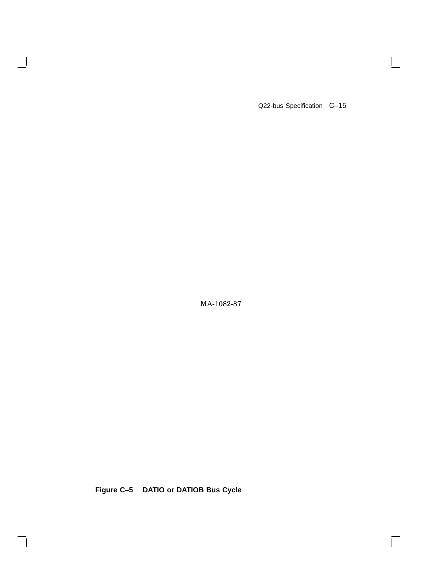Q22-bus Specification C-15

 $\mathbf{I}$ 

 $\overline{\Gamma}$ 

MA-1082-87

**Figure C–5 DATIO or DATIOB Bus Cycle**

 $\overline{\phantom{a}}$ 

 $\mathsf{l}$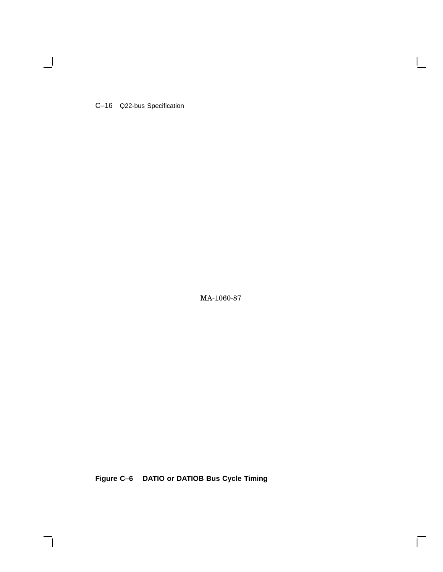C–16 Q22-bus Specification

 $\blacksquare$ 

MA-1060-87

 $\mathsf{I}$ 

 $\Box$ 

**Figure C–6 DATIO or DATIOB Bus Cycle Timing**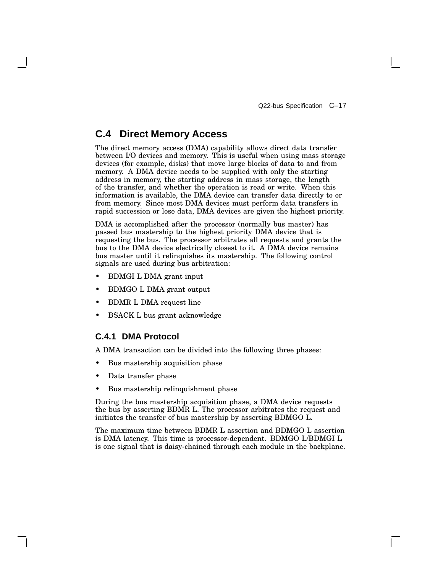# **C.4 Direct Memory Access**

The direct memory access (DMA) capability allows direct data transfer between I/O devices and memory. This is useful when using mass storage devices (for example, disks) that move large blocks of data to and from memory. A DMA device needs to be supplied with only the starting address in memory, the starting address in mass storage, the length of the transfer, and whether the operation is read or write. When this information is available, the DMA device can transfer data directly to or from memory. Since most DMA devices must perform data transfers in rapid succession or lose data, DMA devices are given the highest priority.

DMA is accomplished after the processor (normally bus master) has passed bus mastership to the highest priority DMA device that is requesting the bus. The processor arbitrates all requests and grants the bus to the DMA device electrically closest to it. A DMA device remains bus master until it relinquishes its mastership. The following control signals are used during bus arbitration:

- BDMGI L DMA grant input
- BDMGO L DMA grant output
- BDMR L DMA request line
- BSACK L bus grant acknowledge

### **C.4.1 DMA Protocol**

A DMA transaction can be divided into the following three phases:

- Bus mastership acquisition phase
- Data transfer phase
- Bus mastership relinquishment phase

During the bus mastership acquisition phase, a DMA device requests the bus by asserting BDMR L. The processor arbitrates the request and initiates the transfer of bus mastership by asserting BDMGO L.

The maximum time between BDMR L assertion and BDMGO L assertion is DMA latency. This time is processor-dependent. BDMGO L/BDMGI L is one signal that is daisy-chained through each module in the backplane.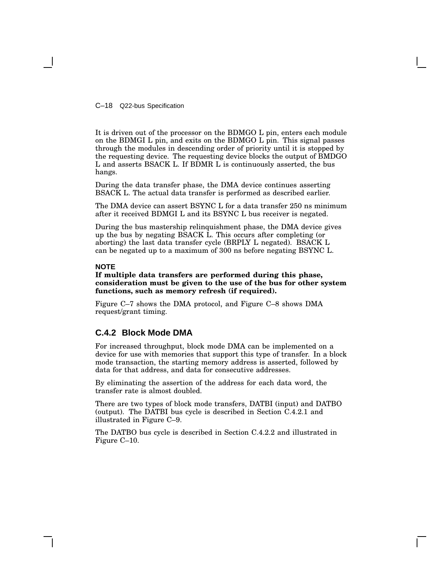C–18 Q22-bus Specification

It is driven out of the processor on the BDMGO L pin, enters each module on the BDMGI L pin, and exits on the BDMGO L pin. This signal passes through the modules in descending order of priority until it is stopped by the requesting device. The requesting device blocks the output of BMDGO L and asserts BSACK L. If BDMR L is continuously asserted, the bus hangs.

During the data transfer phase, the DMA device continues asserting BSACK L. The actual data transfer is performed as described earlier.

The DMA device can assert BSYNC L for a data transfer 250 ns minimum after it received BDMGI L and its BSYNC L bus receiver is negated.

During the bus mastership relinquishment phase, the DMA device gives up the bus by negating BSACK L. This occurs after completing (or aborting) the last data transfer cycle (BRPLY L negated). BSACK L can be negated up to a maximum of 300 ns before negating BSYNC L.

### **NOTE**

### **If multiple data transfers are performed during this phase, consideration must be given to the use of the bus for other system functions, such as memory refresh (if required).**

Figure C–7 shows the DMA protocol, and Figure C–8 shows DMA request/grant timing.

### **C.4.2 Block Mode DMA**

For increased throughput, block mode DMA can be implemented on a device for use with memories that support this type of transfer. In a block mode transaction, the starting memory address is asserted, followed by data for that address, and data for consecutive addresses.

By eliminating the assertion of the address for each data word, the transfer rate is almost doubled.

There are two types of block mode transfers, DATBI (input) and DATBO (output). The DATBI bus cycle is described in Section C.4.2.1 and illustrated in Figure C–9.

The DATBO bus cycle is described in Section C.4.2.2 and illustrated in Figure C–10.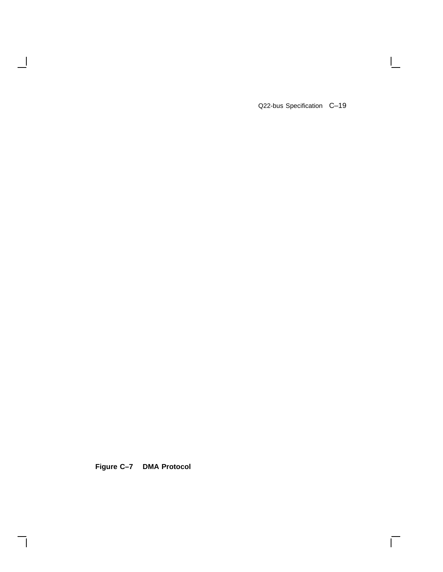Q22-bus Specification C-19

 $\mathbf{I}$ 

 $\Box$ 

**Figure C–7 DMA Protocol**

 $\overline{\phantom{a}}$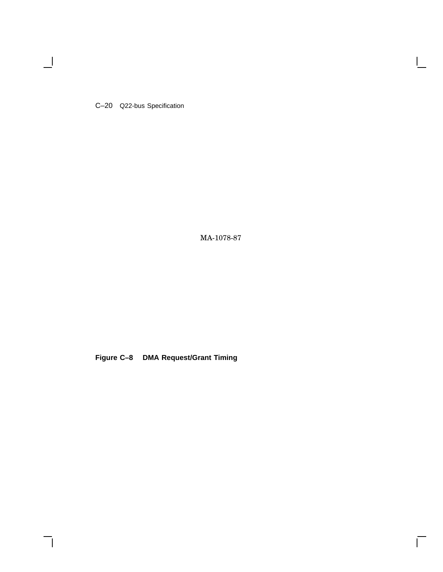C–20 Q22-bus Specification

 $\blacksquare$ 

MA-1078-87

 $\mathsf{I}$ 

 $\overline{\Gamma}$ 

**Figure C–8 DMA Request/Grant Timing**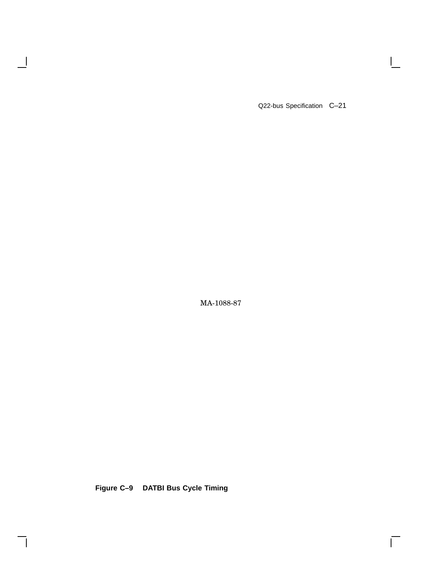Q22-bus Specification C–21

 $\mathbf{I}$ 

 $\overline{\Gamma}$ 

MA-1088-87

**Figure C–9 DATBI Bus Cycle Timing**

 $\overline{\phantom{a}}$ 

 $\mathsf{l}$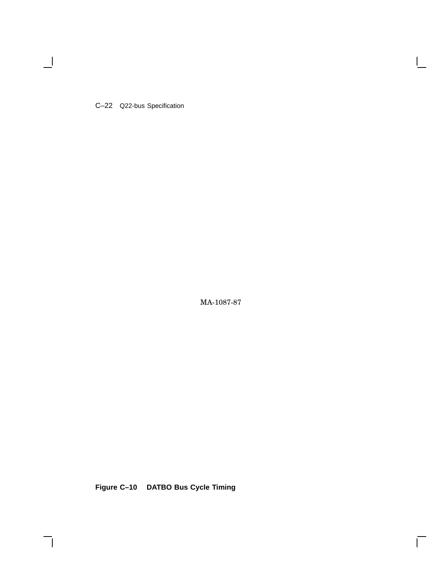C–22 Q22-bus Specification

 $\overline{\phantom{a}}$ 

MA-1087-87

 $\bar{\Gamma}$ 

**Figure C–10 DATBO Bus Cycle Timing**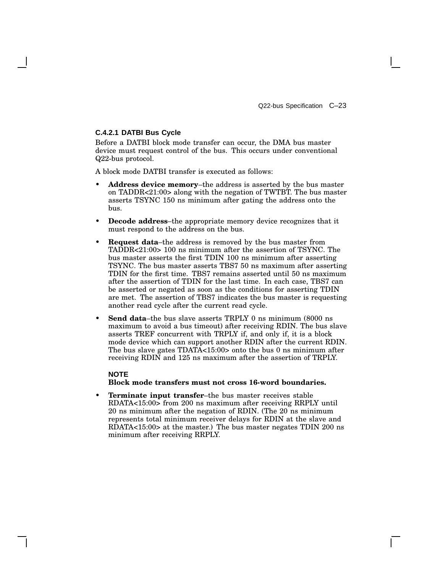### **C.4.2.1 DATBI Bus Cycle**

Before a DATBI block mode transfer can occur, the DMA bus master device must request control of the bus. This occurs under conventional Q22-bus protocol.

A block mode DATBI transfer is executed as follows:

- **Address device memory**–the address is asserted by the bus master on TADDR<21:00> along with the negation of TWTBT. The bus master asserts TSYNC 150 ns minimum after gating the address onto the bus.
- **Decode address**–the appropriate memory device recognizes that it must respond to the address on the bus.
- **Request data**–the address is removed by the bus master from TADDR<21:00> 100 ns minimum after the assertion of TSYNC. The bus master asserts the first TDIN 100 ns minimum after asserting TSYNC. The bus master asserts TBS7 50 ns maximum after asserting TDIN for the first time. TBS7 remains asserted until 50 ns maximum after the assertion of TDIN for the last time. In each case, TBS7 can be asserted or negated as soon as the conditions for asserting TDIN are met. The assertion of TBS7 indicates the bus master is requesting another read cycle after the current read cycle.
- **Send data**–the bus slave asserts TRPLY 0 ns minimum (8000 ns maximum to avoid a bus timeout) after receiving RDIN. The bus slave asserts TREF concurrent with TRPLY if, and only if, it is a block mode device which can support another RDIN after the current RDIN. The bus slave gates TDATA<15:00> onto the bus 0 ns minimum after receiving RDIN and 125 ns maximum after the assertion of TRPLY.

### **NOTE Block mode transfers must not cross 16-word boundaries.**

• **Terminate input transfer**–the bus master receives stable RDATA<15:00> from 200 ns maximum after receiving RRPLY until 20 ns minimum after the negation of RDIN. (The 20 ns minimum represents total minimum receiver delays for RDIN at the slave and RDATA<15:00> at the master.) The bus master negates TDIN 200 ns minimum after receiving RRPLY.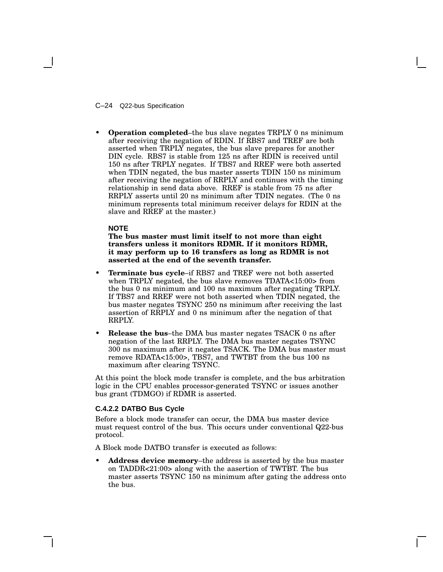C–24 Q22-bus Specification

• **Operation completed**–the bus slave negates TRPLY 0 ns minimum after receiving the negation of RDIN. If RBS7 and TREF are both asserted when TRPLY negates, the bus slave prepares for another DIN cycle. RBS7 is stable from 125 ns after RDIN is received until 150 ns after TRPLY negates. If TBS7 and RREF were both asserted when TDIN negated, the bus master asserts TDIN 150 ns minimum after receiving the negation of RRPLY and continues with the timing relationship in send data above. RREF is stable from 75 ns after RRPLY asserts until 20 ns minimum after TDIN negates. (The 0 ns minimum represents total minimum receiver delays for RDIN at the slave and RREF at the master.)

### **NOTE**

**The bus master must limit itself to not more than eight transfers unless it monitors RDMR. If it monitors RDMR, it may perform up to 16 transfers as long as RDMR is not asserted at the end of the seventh transfer.**

- **Terminate bus cycle**–if RBS7 and TREF were not both asserted when TRPLY negated, the bus slave removes TDATA<15:00> from the bus 0 ns minimum and 100 ns maximum after negating TRPLY. If TBS7 and RREF were not both asserted when TDIN negated, the bus master negates TSYNC 250 ns minimum after receiving the last assertion of RRPLY and 0 ns minimum after the negation of that RRPLY.
- **Release the bus**–the DMA bus master negates TSACK 0 ns after negation of the last RRPLY. The DMA bus master negates TSYNC 300 ns maximum after it negates TSACK. The DMA bus master must remove RDATA<15:00>, TBS7, and TWTBT from the bus 100 ns maximum after clearing TSYNC.

At this point the block mode transfer is complete, and the bus arbitration logic in the CPU enables processor-generated TSYNC or issues another bus grant (TDMGO) if RDMR is asserted.

### **C.4.2.2 DATBO Bus Cycle**

Before a block mode transfer can occur, the DMA bus master device must request control of the bus. This occurs under conventional Q22-bus protocol.

A Block mode DATBO transfer is executed as follows:

• **Address device memory**–the address is asserted by the bus master on TADDR<21:00> along with the aasertion of TWTBT. The bus master asserts TSYNC 150 ns minimum after gating the address onto the bus.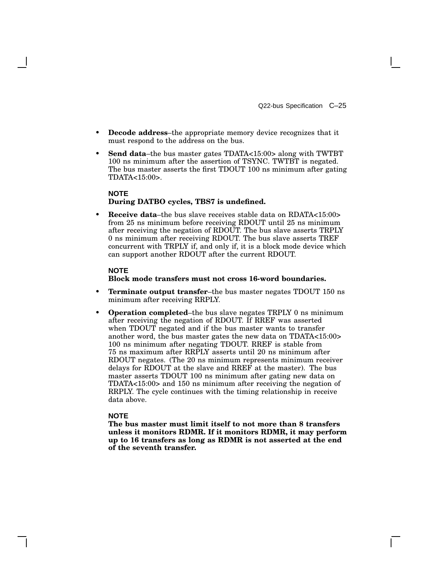- **Decode address**–the appropriate memory device recognizes that it must respond to the address on the bus.
- **Send data**–the bus master gates TDATA<15:00> along with TWTBT 100 ns minimum after the assertion of TSYNC. TWTBT is negated. The bus master asserts the first TDOUT 100 ns minimum after gating TDATA<15:00>.

### **NOTE During DATBO cycles, TBS7 is undefined.**

• **Receive data**–the bus slave receives stable data on RDATA<15:00> from 25 ns minimum before receiving RDOUT until 25 ns minimum after receiving the negation of RDOUT. The bus slave asserts TRPLY 0 ns minimum after receiving RDOUT. The bus slave asserts TREF concurrent with TRPLY if, and only if, it is a block mode device which can support another RDOUT after the current RDOUT.

### **NOTE**

### **Block mode transfers must not cross 16-word boundaries.**

- **Terminate output transfer**–the bus master negates TDOUT 150 ns minimum after receiving RRPLY.
- **Operation completed**–the bus slave negates TRPLY 0 ns minimum after receiving the negation of RDOUT. If RREF was asserted when TDOUT negated and if the bus master wants to transfer another word, the bus master gates the new data on TDATA<15:00> 100 ns minimum after negating TDOUT. RREF is stable from 75 ns maximum after RRPLY asserts until 20 ns minimum after RDOUT negates. (The 20 ns minimum represents minimum receiver delays for RDOUT at the slave and RREF at the master). The bus master asserts TDOUT 100 ns minimum after gating new data on TDATA<15:00> and 150 ns minimum after receiving the negation of RRPLY. The cycle continues with the timing relationship in receive data above.

### **NOTE**

**The bus master must limit itself to not more than 8 transfers unless it monitors RDMR. If it monitors RDMR, it may perform up to 16 transfers as long as RDMR is not asserted at the end of the seventh transfer.**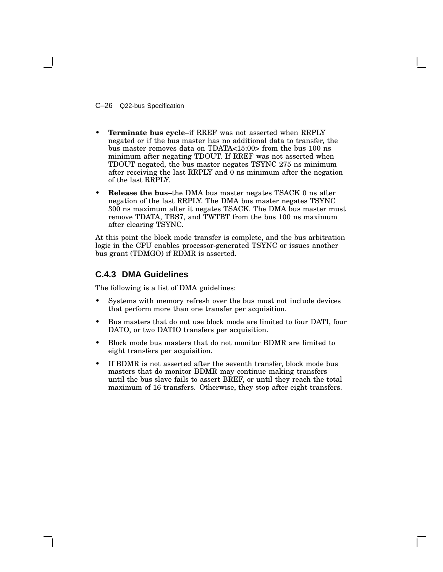C–26 Q22-bus Specification

- **Terminate bus cycle**–if RREF was not asserted when RRPLY negated or if the bus master has no additional data to transfer, the bus master removes data on TDATA<15:00> from the bus 100 ns minimum after negating TDOUT. If RREF was not asserted when TDOUT negated, the bus master negates TSYNC 275 ns minimum after receiving the last RRPLY and 0 ns minimum after the negation of the last RRPLY.
- **Release the bus**–the DMA bus master negates TSACK 0 ns after negation of the last RRPLY. The DMA bus master negates TSYNC 300 ns maximum after it negates TSACK. The DMA bus master must remove TDATA, TBS7, and TWTBT from the bus 100 ns maximum after clearing TSYNC.

At this point the block mode transfer is complete, and the bus arbitration logic in the CPU enables processor-generated TSYNC or issues another bus grant (TDMGO) if RDMR is asserted.

## **C.4.3 DMA Guidelines**

The following is a list of DMA guidelines:

- Systems with memory refresh over the bus must not include devices that perform more than one transfer per acquisition.
- Bus masters that do not use block mode are limited to four DATI, four DATO, or two DATIO transfers per acquisition.
- Block mode bus masters that do not monitor BDMR are limited to eight transfers per acquisition.
- If BDMR is not asserted after the seventh transfer, block mode bus masters that do monitor BDMR may continue making transfers until the bus slave fails to assert BREF, or until they reach the total maximum of 16 transfers. Otherwise, they stop after eight transfers.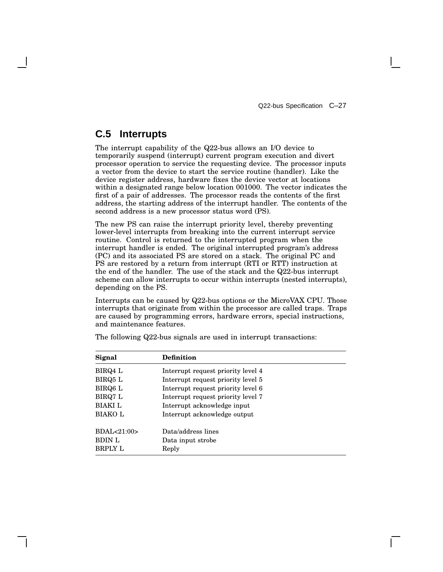# **C.5 Interrupts**

The interrupt capability of the Q22-bus allows an I/O device to temporarily suspend (interrupt) current program execution and divert processor operation to service the requesting device. The processor inputs a vector from the device to start the service routine (handler). Like the device register address, hardware fixes the device vector at locations within a designated range below location 001000. The vector indicates the first of a pair of addresses. The processor reads the contents of the first address, the starting address of the interrupt handler. The contents of the second address is a new processor status word (PS).

The new PS can raise the interrupt priority level, thereby preventing lower-level interrupts from breaking into the current interrupt service routine. Control is returned to the interrupted program when the interrupt handler is ended. The original interrupted program's address (PC) and its associated PS are stored on a stack. The original PC and PS are restored by a return from interrupt (RTI or RTT) instruction at the end of the handler. The use of the stack and the Q22-bus interrupt scheme can allow interrupts to occur within interrupts (nested interrupts), depending on the PS.

Interrupts can be caused by Q22-bus options or the MicroVAX CPU. Those interrupts that originate from within the processor are called traps. Traps are caused by programming errors, hardware errors, special instructions, and maintenance features.

| Signal         | Definition                         |
|----------------|------------------------------------|
| BIRQ4 L        | Interrupt request priority level 4 |
| BIRQ5 L        | Interrupt request priority level 5 |
| BIRQ6 L        | Interrupt request priority level 6 |
| BIRQ7 L        | Interrupt request priority level 7 |
| <b>BIAKI</b> L | Interrupt acknowledge input        |
| <b>BIAKOL</b>  | Interrupt acknowledge output       |
| BDAL<21:00>    | Data/address lines                 |
| <b>BDIN L</b>  | Data input strobe                  |
| <b>BRPLY L</b> | Reply                              |

The following Q22-bus signals are used in interrupt transactions: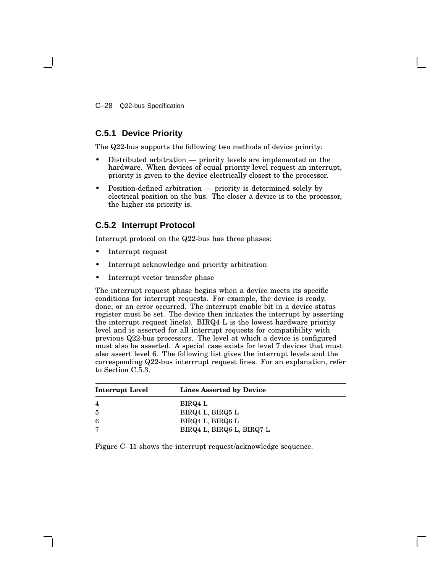C–28 Q22-bus Specification

## **C.5.1 Device Priority**

The Q22-bus supports the following two methods of device priority:

- Distributed arbitration priority levels are implemented on the hardware. When devices of equal priority level request an interrupt, priority is given to the device electrically closest to the processor.
- Position-defined arbitration priority is determined solely by electrical position on the bus. The closer a device is to the processor, the higher its priority is.

# **C.5.2 Interrupt Protocol**

Interrupt protocol on the Q22-bus has three phases:

- Interrupt request
- Interrupt acknowledge and priority arbitration
- Interrupt vector transfer phase

The interrupt request phase begins when a device meets its specific conditions for interrupt requests. For example, the device is ready, done, or an error occurred. The interrupt enable bit in a device status register must be set. The device then initiates the interrupt by asserting the interrupt request line(s). BIRQ4 L is the lowest hardware priority level and is asserted for all interrupt requests for compatibility with previous Q22-bus processors. The level at which a device is configured must also be asserted. A special case exists for level 7 devices that must also assert level 6. The following list gives the interrupt levels and the corresponding Q22-bus interrrupt request lines. For an explanation, refer to Section C.5.3.

| Interrupt Level | Lines Asserted by Device  |
|-----------------|---------------------------|
| 4               | BIRQ4 L                   |
| 5               | BIRQ4 L, BIRQ5 L          |
| 6               | BIRQ4 L, BIRQ6 L          |
| 7               | BIRQ4 L, BIRQ6 L, BIRQ7 L |

Figure C–11 shows the interrupt request/acknowledge sequence.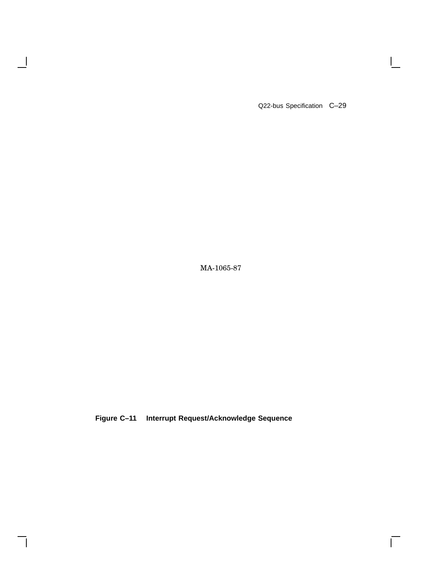Q22-bus Specification C-29

 $\vert$ 

 $\overline{\Gamma}$ 

MA-1065-87

 $\overline{\phantom{a}}$ 

 $\mathsf{l}$ 

**Figure C–11 Interrupt Request/Acknowledge Sequence**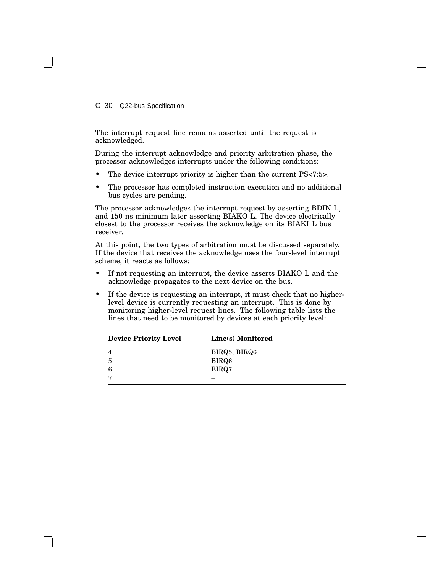C–30 Q22-bus Specification

The interrupt request line remains asserted until the request is acknowledged.

During the interrupt acknowledge and priority arbitration phase, the processor acknowledges interrupts under the following conditions:

- The device interrupt priority is higher than the current PS<7:5>.
- The processor has completed instruction execution and no additional bus cycles are pending.

The processor acknowledges the interrupt request by asserting BDIN L, and 150 ns minimum later asserting BIAKO L. The device electrically closest to the processor receives the acknowledge on its BIAKI L bus receiver.

At this point, the two types of arbitration must be discussed separately. If the device that receives the acknowledge uses the four-level interrupt scheme, it reacts as follows:

- If not requesting an interrupt, the device asserts BIAKO L and the acknowledge propagates to the next device on the bus.
- If the device is requesting an interrupt, it must check that no higherlevel device is currently requesting an interrupt. This is done by monitoring higher-level request lines. The following table lists the lines that need to be monitored by devices at each priority level:

| <b>Device Priority Level</b> | Line(s) Monitored |
|------------------------------|-------------------|
|                              | BIRQ5, BIRQ6      |
| 5                            | BIRQ6             |
| 6                            | BIRQ7             |
| ┍                            |                   |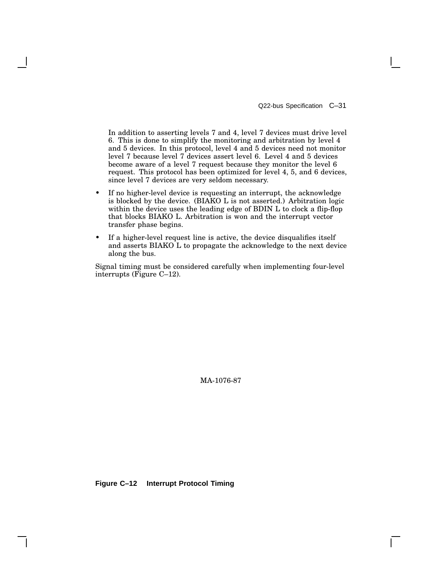Q22-bus Specification C–31

In addition to asserting levels 7 and 4, level 7 devices must drive level 6. This is done to simplify the monitoring and arbitration by level 4 and 5 devices. In this protocol, level 4 and 5 devices need not monitor level 7 because level 7 devices assert level 6. Level 4 and 5 devices become aware of a level 7 request because they monitor the level 6 request. This protocol has been optimized for level 4, 5, and 6 devices, since level 7 devices are very seldom necessary.

- If no higher-level device is requesting an interrupt, the acknowledge is blocked by the device. (BIAKO L is not asserted.) Arbitration logic within the device uses the leading edge of BDIN L to clock a flip-flop that blocks BIAKO L. Arbitration is won and the interrupt vector transfer phase begins.
- If a higher-level request line is active, the device disqualifies itself and asserts BIAKO L to propagate the acknowledge to the next device along the bus.

Signal timing must be considered carefully when implementing four-level interrupts (Figure C–12).

MA-1076-87

**Figure C–12 Interrupt Protocol Timing**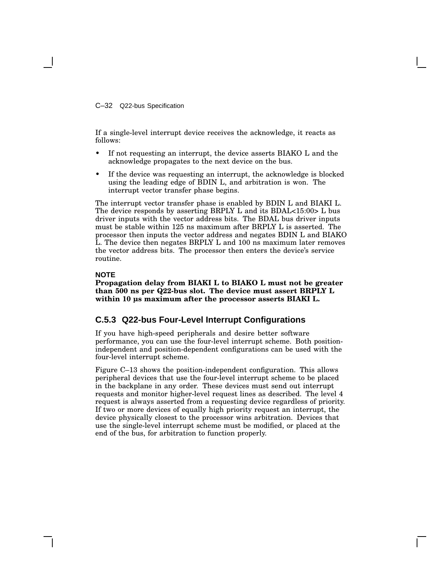C–32 Q22-bus Specification

If a single-level interrupt device receives the acknowledge, it reacts as follows:

- If not requesting an interrupt, the device asserts BIAKO L and the acknowledge propagates to the next device on the bus.
- If the device was requesting an interrupt, the acknowledge is blocked using the leading edge of BDIN L, and arbitration is won. The interrupt vector transfer phase begins.

The interrupt vector transfer phase is enabled by BDIN L and BIAKI L. The device responds by asserting BRPLY L and its BDAL<15:00> L bus driver inputs with the vector address bits. The BDAL bus driver inputs must be stable within 125 ns maximum after BRPLY L is asserted. The processor then inputs the vector address and negates BDIN L and BIAKO L. The device then negates BRPLY L and 100 ns maximum later removes the vector address bits. The processor then enters the device's service routine.

#### **NOTE**

**Propagation delay from BIAKI L to BIAKO L must not be greater than 500 ns per Q22-bus slot. The device must assert BRPLY L within 10 µs maximum after the processor asserts BIAKI L.**

### **C.5.3 Q22-bus Four-Level Interrupt Configurations**

If you have high-speed peripherals and desire better software performance, you can use the four-level interrupt scheme. Both positionindependent and position-dependent configurations can be used with the four-level interrupt scheme.

Figure C–13 shows the position-independent configuration. This allows peripheral devices that use the four-level interrupt scheme to be placed in the backplane in any order. These devices must send out interrupt requests and monitor higher-level request lines as described. The level 4 request is always asserted from a requesting device regardless of priority. If two or more devices of equally high priority request an interrupt, the device physically closest to the processor wins arbitration. Devices that use the single-level interrupt scheme must be modified, or placed at the end of the bus, for arbitration to function properly.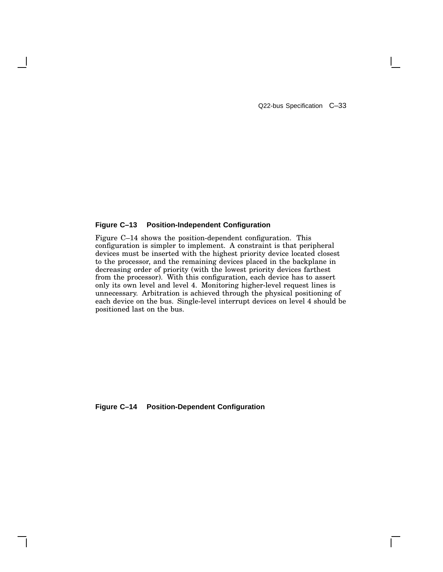Q22-bus Specification C–33

### **Figure C–13 Position-Independent Configuration**

Figure C–14 shows the position-dependent configuration. This configuration is simpler to implement. A constraint is that peripheral devices must be inserted with the highest priority device located closest to the processor, and the remaining devices placed in the backplane in decreasing order of priority (with the lowest priority devices farthest from the processor). With this configuration, each device has to assert only its own level and level 4. Monitoring higher-level request lines is unnecessary. Arbitration is achieved through the physical positioning of each device on the bus. Single-level interrupt devices on level 4 should be positioned last on the bus.

**Figure C–14 Position-Dependent Configuration**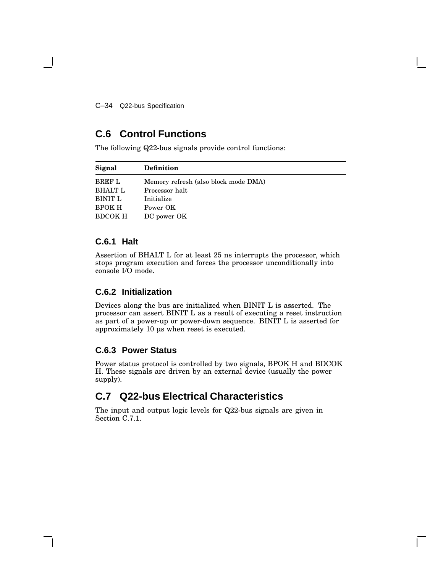C–34 Q22-bus Specification

# **C.6 Control Functions**

The following Q22-bus signals provide control functions:

| Signal         | <b>Definition</b>                    |
|----------------|--------------------------------------|
| <b>BREF L</b>  | Memory refresh (also block mode DMA) |
| <b>BHALT L</b> | Processor halt                       |
| BINIT L        | Initialize                           |
| <b>BPOK H</b>  | Power OK                             |
| <b>BDCOK H</b> | DC power OK                          |

# **C.6.1 Halt**

Assertion of BHALT L for at least 25 ns interrupts the processor, which stops program execution and forces the processor unconditionally into console I/O mode.

## **C.6.2 Initialization**

Devices along the bus are initialized when BINIT L is asserted. The processor can assert BINIT L as a result of executing a reset instruction as part of a power-up or power-down sequence. BINIT L is asserted for approximately 10 µs when reset is executed.

# **C.6.3 Power Status**

Power status protocol is controlled by two signals, BPOK H and BDCOK H. These signals are driven by an external device (usually the power supply).

# **C.7 Q22-bus Electrical Characteristics**

The input and output logic levels for Q22-bus signals are given in Section C.7.1.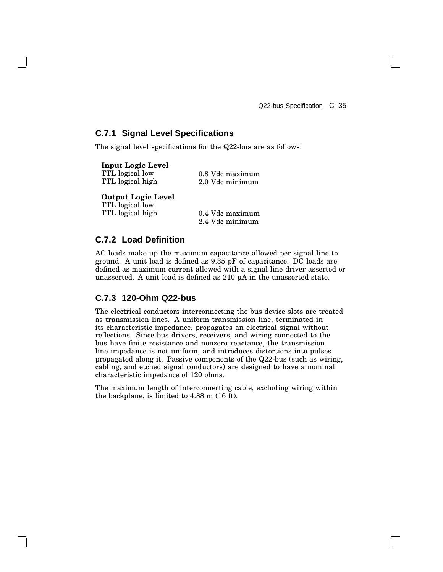## **C.7.1 Signal Level Specifications**

The signal level specifications for the Q22-bus are as follows:

| <b>Input Logic Level</b> |           |
|--------------------------|-----------|
| TTL logical low          | $0.8$ Vdc |
| TTL logical high         | $2.0$ Vdc |

**Output Logic Level**

TTL logical low TTL logical high

0.4 Vdc maximum 2.4 Vdc minimum

maximum minimum

# **C.7.2 Load Definition**

AC loads make up the maximum capacitance allowed per signal line to ground. A unit load is defined as 9.35 pF of capacitance. DC loads are defined as maximum current allowed with a signal line driver asserted or unasserted. A unit load is defined as 210 µA in the unasserted state.

## **C.7.3 120-Ohm Q22-bus**

The electrical conductors interconnecting the bus device slots are treated as transmission lines. A uniform transmission line, terminated in its characteristic impedance, propagates an electrical signal without reflections. Since bus drivers, receivers, and wiring connected to the bus have finite resistance and nonzero reactance, the transmission line impedance is not uniform, and introduces distortions into pulses propagated along it. Passive components of the Q22-bus (such as wiring, cabling, and etched signal conductors) are designed to have a nominal characteristic impedance of 120 ohms.

The maximum length of interconnecting cable, excluding wiring within the backplane, is limited to 4.88 m (16 ft).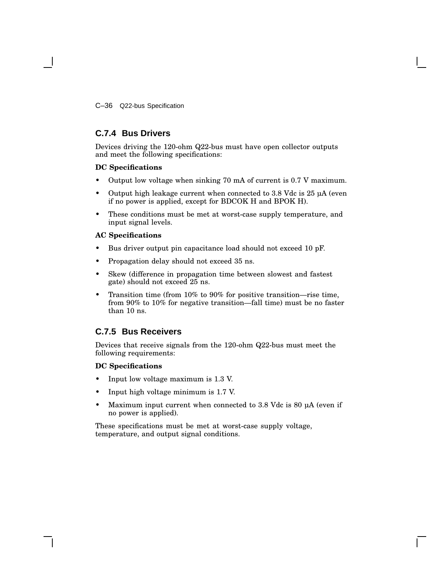C–36 Q22-bus Specification

# **C.7.4 Bus Drivers**

Devices driving the 120-ohm Q22-bus must have open collector outputs and meet the following specifications:

### **DC Specifications**

- Output low voltage when sinking 70 mA of current is 0.7 V maximum.
- Output high leakage current when connected to 3.8 Vdc is 25 µA (even if no power is applied, except for BDCOK H and BPOK H).
- These conditions must be met at worst-case supply temperature, and input signal levels.

### **AC Specifications**

- Bus driver output pin capacitance load should not exceed 10 pF.
- Propagation delay should not exceed 35 ns.
- Skew (difference in propagation time between slowest and fastest gate) should not exceed 25 ns.
- Transition time (from 10% to 90% for positive transition—rise time, from 90% to 10% for negative transition—fall time) must be no faster than 10 ns.

# **C.7.5 Bus Receivers**

Devices that receive signals from the 120-ohm Q22-bus must meet the following requirements:

### **DC Specifications**

- Input low voltage maximum is 1.3 V.
- Input high voltage minimum is 1.7 V.
- Maximum input current when connected to 3.8 Vdc is 80 µA (even if no power is applied).

These specifications must be met at worst-case supply voltage, temperature, and output signal conditions.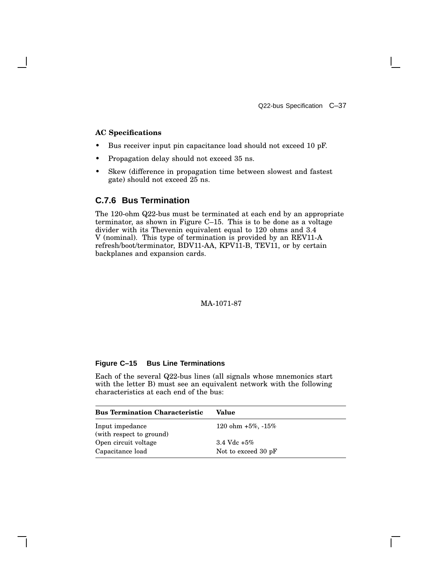Q22-bus Specification C–37

### **AC Specifications**

- Bus receiver input pin capacitance load should not exceed 10 pF.
- Propagation delay should not exceed 35 ns.
- Skew (difference in propagation time between slowest and fastest gate) should not exceed 25 ns.

## **C.7.6 Bus Termination**

The 120-ohm Q22-bus must be terminated at each end by an appropriate terminator, as shown in Figure C–15. This is to be done as a voltage divider with its Thevenin equivalent equal to 120 ohms and 3.4 V (nominal). This type of termination is provided by an REV11-A refresh/boot/terminator, BDV11-AA, KPV11-B, TEV11, or by certain backplanes and expansion cards.

### MA-1071-87

### **Figure C–15 Bus Line Terminations**

Each of the several Q22-bus lines (all signals whose mnemonics start with the letter B) must see an equivalent network with the following characteristics at each end of the bus:

| <b>Bus Termination Characteristic</b>       | Value                    |
|---------------------------------------------|--------------------------|
| Input impedance<br>(with respect to ground) | 120 ohm $+5\%$ , $-15\%$ |
| Open circuit voltage                        | 3.4 Vdc $+5\%$           |
| Capacitance load                            | Not to exceed 30 pF      |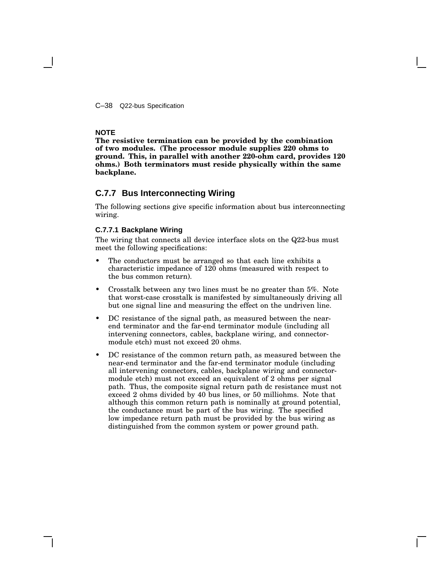C–38 Q22-bus Specification

### **NOTE**

**The resistive termination can be provided by the combination of two modules. (The processor module supplies 220 ohms to ground. This, in parallel with another 220-ohm card, provides 120 ohms.) Both terminators must reside physically within the same backplane.**

### **C.7.7 Bus Interconnecting Wiring**

The following sections give specific information about bus interconnecting wiring.

#### **C.7.7.1 Backplane Wiring**

The wiring that connects all device interface slots on the Q22-bus must meet the following specifications:

- The conductors must be arranged so that each line exhibits a characteristic impedance of 120 ohms (measured with respect to the bus common return).
- Crosstalk between any two lines must be no greater than 5%. Note that worst-case crosstalk is manifested by simultaneously driving all but one signal line and measuring the effect on the undriven line.
- DC resistance of the signal path, as measured between the nearend terminator and the far-end terminator module (including all intervening connectors, cables, backplane wiring, and connectormodule etch) must not exceed 20 ohms.
- DC resistance of the common return path, as measured between the near-end terminator and the far-end terminator module (including all intervening connectors, cables, backplane wiring and connectormodule etch) must not exceed an equivalent of 2 ohms per signal path. Thus, the composite signal return path dc resistance must not exceed 2 ohms divided by 40 bus lines, or 50 milliohms. Note that although this common return path is nominally at ground potential, the conductance must be part of the bus wiring. The specified low impedance return path must be provided by the bus wiring as distinguished from the common system or power ground path.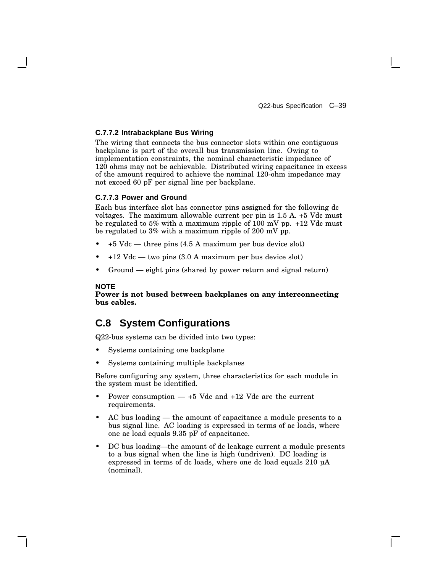#### **C.7.7.2 Intrabackplane Bus Wiring**

The wiring that connects the bus connector slots within one contiguous backplane is part of the overall bus transmission line. Owing to implementation constraints, the nominal characteristic impedance of 120 ohms may not be achievable. Distributed wiring capacitance in excess of the amount required to achieve the nominal 120-ohm impedance may not exceed 60 pF per signal line per backplane.

#### **C.7.7.3 Power and Ground**

Each bus interface slot has connector pins assigned for the following dc voltages. The maximum allowable current per pin is 1.5 A. +5 Vdc must be regulated to 5% with a maximum ripple of 100 mV pp. +12 Vdc must be regulated to 3% with a maximum ripple of 200 mV pp.

- +5 Vdc three pins (4.5 A maximum per bus device slot)
- $\bullet$  +12 Vdc two pins (3.0 A maximum per bus device slot)
- Ground eight pins (shared by power return and signal return)

#### **NOTE**

**Power is not bused between backplanes on any interconnecting bus cables.**

# **C.8 System Configurations**

Q22-bus systems can be divided into two types:

- Systems containing one backplane
- Systems containing multiple backplanes

Before configuring any system, three characteristics for each module in the system must be identified.

- Power consumption  $-$  +5 Vdc and +12 Vdc are the current requirements.
- AC bus loading the amount of capacitance a module presents to a bus signal line. AC loading is expressed in terms of ac loads, where one ac load equals 9.35 pF of capacitance.
- DC bus loading—the amount of dc leakage current a module presents to a bus signal when the line is high (undriven). DC loading is expressed in terms of dc loads, where one dc load equals 210 µA (nominal).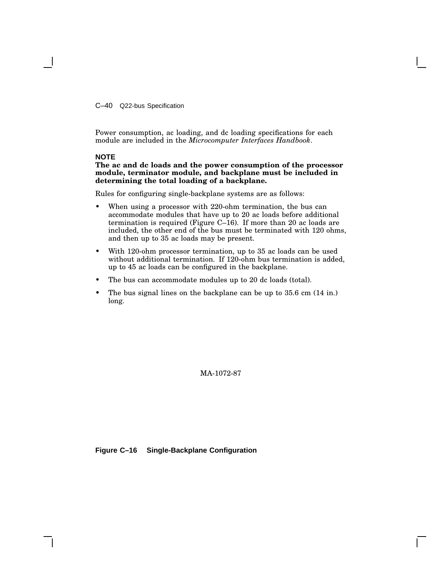C–40 Q22-bus Specification

Power consumption, ac loading, and dc loading specifications for each module are included in the *Microcomputer Interfaces Handbook*.

### **NOTE**

**The ac and dc loads and the power consumption of the processor module, terminator module, and backplane must be included in determining the total loading of a backplane.**

Rules for configuring single-backplane systems are as follows:

- When using a processor with 220-ohm termination, the bus can accommodate modules that have up to 20 ac loads before additional termination is required (Figure C–16). If more than 20 ac loads are included, the other end of the bus must be terminated with 120 ohms, and then up to 35 ac loads may be present.
- With 120-ohm processor termination, up to 35 ac loads can be used without additional termination. If 120-ohm bus termination is added, up to 45 ac loads can be configured in the backplane.
- The bus can accommodate modules up to 20 dc loads (total).
- The bus signal lines on the backplane can be up to 35.6 cm (14 in.) long.

MA-1072-87

**Figure C–16 Single-Backplane Configuration**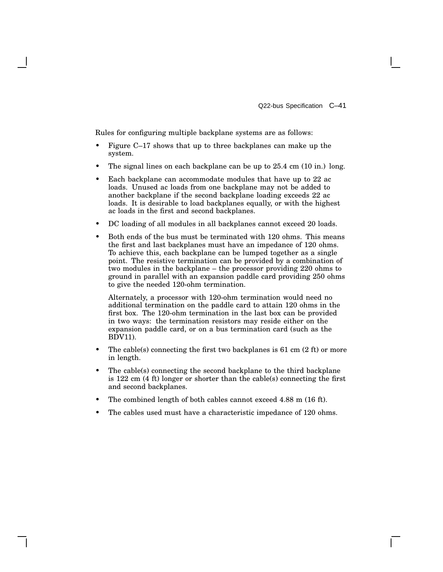Rules for configuring multiple backplane systems are as follows:

- Figure C–17 shows that up to three backplanes can make up the system.
- The signal lines on each backplane can be up to 25.4 cm (10 in.) long.
- Each backplane can accommodate modules that have up to 22 ac loads. Unused ac loads from one backplane may not be added to another backplane if the second backplane loading exceeds 22 ac loads. It is desirable to load backplanes equally, or with the highest ac loads in the first and second backplanes.
- DC loading of all modules in all backplanes cannot exceed 20 loads.
- Both ends of the bus must be terminated with 120 ohms. This means the first and last backplanes must have an impedance of 120 ohms. To achieve this, each backplane can be lumped together as a single point. The resistive termination can be provided by a combination of two modules in the backplane – the processor providing 220 ohms to ground in parallel with an expansion paddle card providing 250 ohms to give the needed 120-ohm termination.

Alternately, a processor with 120-ohm termination would need no additional termination on the paddle card to attain 120 ohms in the first box. The 120-ohm termination in the last box can be provided in two ways: the termination resistors may reside either on the expansion paddle card, or on a bus termination card (such as the BDV11).

- The cable(s) connecting the first two backplanes is  $61 \text{ cm } (2 \text{ ft})$  or more in length.
- The cable(s) connecting the second backplane to the third backplane is 122 cm (4 ft) longer or shorter than the cable(s) connecting the first and second backplanes.
- The combined length of both cables cannot exceed 4.88 m (16 ft).
- The cables used must have a characteristic impedance of 120 ohms.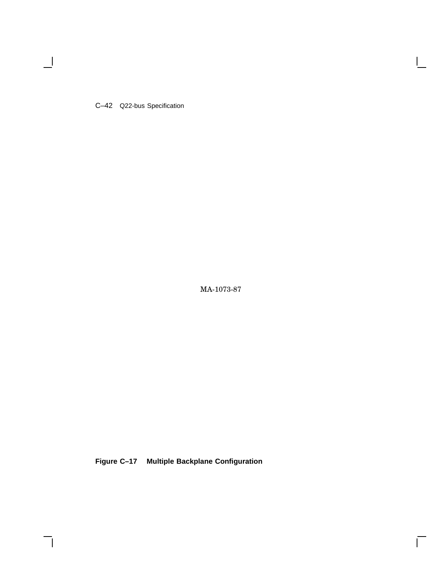C–42 Q22-bus Specification

 $\blacksquare$ 

MA-1073-87

 $\bar{\Gamma}$ 

**Figure C–17 Multiple Backplane Configuration**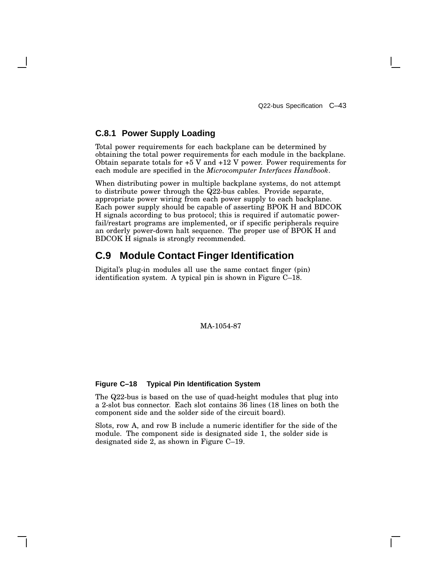### **C.8.1 Power Supply Loading**

Total power requirements for each backplane can be determined by obtaining the total power requirements for each module in the backplane. Obtain separate totals for  $+5$  V and  $+12$  V power. Power requirements for each module are specified in the *Microcomputer Interfaces Handbook*.

When distributing power in multiple backplane systems, do not attempt to distribute power through the Q22-bus cables. Provide separate, appropriate power wiring from each power supply to each backplane. Each power supply should be capable of asserting BPOK H and BDCOK H signals according to bus protocol; this is required if automatic powerfail/restart programs are implemented, or if specific peripherals require an orderly power-down halt sequence. The proper use of BPOK H and BDCOK H signals is strongly recommended.

# **C.9 Module Contact Finger Identification**

Digital's plug-in modules all use the same contact finger (pin) identification system. A typical pin is shown in Figure C–18.

### MA-1054-87

#### **Figure C–18 Typical Pin Identification System**

The Q22-bus is based on the use of quad-height modules that plug into a 2-slot bus connector. Each slot contains 36 lines (18 lines on both the component side and the solder side of the circuit board).

Slots, row A, and row B include a numeric identifier for the side of the module. The component side is designated side 1, the solder side is designated side 2, as shown in Figure C–19.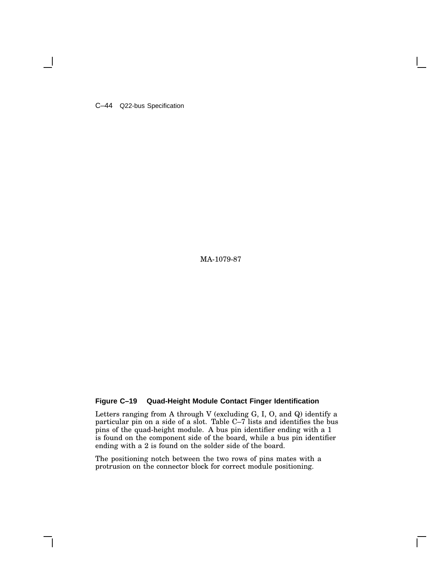C–44 Q22-bus Specification

MA-1079-87

### **Figure C–19 Quad-Height Module Contact Finger Identification**

Letters ranging from A through V (excluding G, I, O, and Q) identify a particular pin on a side of a slot. Table C–7 lists and identifies the bus pins of the quad-height module. A bus pin identifier ending with a 1 is found on the component side of the board, while a bus pin identifier ending with a 2 is found on the solder side of the board.

The positioning notch between the two rows of pins mates with a protrusion on the connector block for correct module positioning.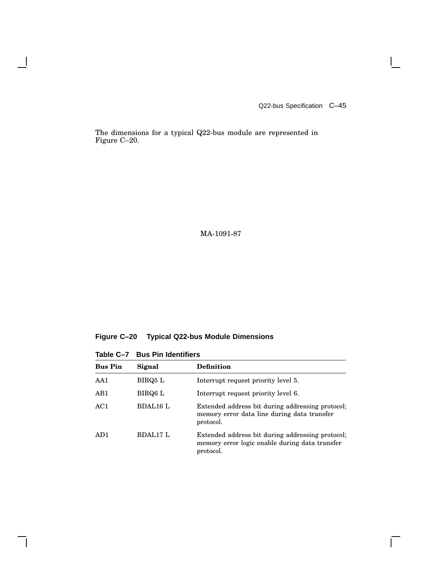Q22-bus Specification C–45

 $\mathbb{R}^n$ 

 $\overline{\Gamma}$ 

The dimensions for a typical Q22-bus module are represented in Figure C–20.

### MA-1091-87

**Figure C–20 Typical Q22-bus Module Dimensions**

|  |  |  |  | Table C-7 Bus Pin Identifiers |
|--|--|--|--|-------------------------------|
|--|--|--|--|-------------------------------|

 $\overline{\phantom{a}}$ 

 $\mathsf{l}$ 

| <b>Bus Pin</b>  | Signal          | <b>Definition</b>                                                                                               |
|-----------------|-----------------|-----------------------------------------------------------------------------------------------------------------|
| AA1             | BIRQ5 L         | Interrupt request priority level 5.                                                                             |
| AB1             | BIRQ6 L         | Interrupt request priority level 6.                                                                             |
| AC1             | <b>BDAL16 L</b> | Extended address bit during addressing protocol;<br>memory error data line during data transfer<br>protocol.    |
| AD <sub>1</sub> | BDAL17 L        | Extended address bit during addressing protocol;<br>memory error logic enable during data transfer<br>protocol. |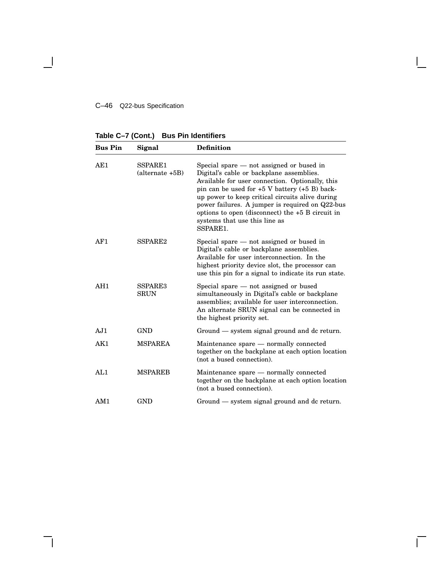#### C–46 Q22-bus Specification

 $\blacksquare$ 

**Table C–7 (Cont.) Bus Pin Identifiers**

| <b>Bus Pin</b> | Signal                       | <b>Definition</b>                                                                                                                                                                                                                                                                                                                                                                                       |
|----------------|------------------------------|---------------------------------------------------------------------------------------------------------------------------------------------------------------------------------------------------------------------------------------------------------------------------------------------------------------------------------------------------------------------------------------------------------|
| AE1            | SSPARE1<br>$(alternate +5B)$ | Special spare $-$ not assigned or bused in<br>Digital's cable or backplane assemblies.<br>Available for user connection. Optionally, this<br>pin can be used for $+5$ V battery $(+5 B)$ back-<br>up power to keep critical circuits alive during<br>power failures. A jumper is required on Q22-bus<br>options to open (disconnect) the $+5$ B circuit in<br>systems that use this line as<br>SSPARE1. |
| AF1            | SSPARE <sub>2</sub>          | Special spare $-$ not assigned or bused in<br>Digital's cable or backplane assemblies.<br>Available for user interconnection. In the<br>highest priority device slot, the processor can<br>use this pin for a signal to indicate its run state.                                                                                                                                                         |
| AH1            | SSPARE3<br><b>SRUN</b>       | Special spare $-$ not assigned or bused<br>simultaneously in Digital's cable or backplane<br>assemblies; available for user interconnection.<br>An alternate SRUN signal can be connected in<br>the highest priority set.                                                                                                                                                                               |
| AJ1            | <b>GND</b>                   | Ground — system signal ground and de return.                                                                                                                                                                                                                                                                                                                                                            |
| AK1            | <b>MSPAREA</b>               | Maintenance spare - normally connected<br>together on the backplane at each option location<br>(not a bused connection).                                                                                                                                                                                                                                                                                |
| AL1            | <b>MSPAREB</b>               | Maintenance spare - normally connected<br>together on the backplane at each option location<br>(not a bused connection).                                                                                                                                                                                                                                                                                |
| AM1            | <b>GND</b>                   | Ground - system signal ground and dc return.                                                                                                                                                                                                                                                                                                                                                            |

 $\Box$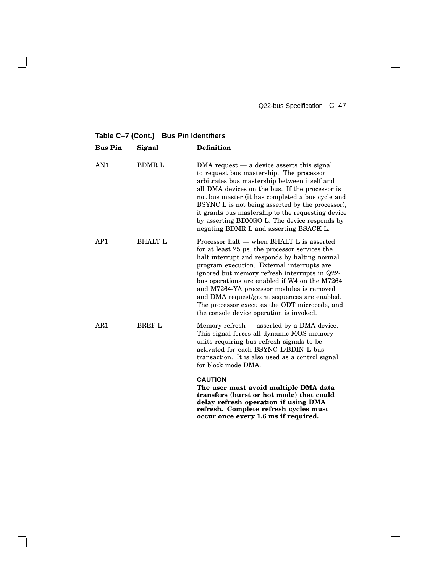Q22-bus Specification C–47

**Table C–7 (Cont.) Bus Pin Identifiers**

 $\mathbf l$ 

| <b>Bus Pin</b>  | Signal         | <b>Definition</b>                                                                                                                                                                                                                                                                                                                                                                                                                                                                      |
|-----------------|----------------|----------------------------------------------------------------------------------------------------------------------------------------------------------------------------------------------------------------------------------------------------------------------------------------------------------------------------------------------------------------------------------------------------------------------------------------------------------------------------------------|
| AN <sub>1</sub> | <b>BDMRL</b>   | $DMA$ request $-$ a device asserts this signal<br>to request bus mastership. The processor<br>arbitrates bus mastership between itself and<br>all DMA devices on the bus. If the processor is<br>not bus master (it has completed a bus cycle and<br>BSYNC L is not being asserted by the processor),<br>it grants bus mastership to the requesting device<br>by asserting BDMGO L. The device responds by<br>negating BDMR L and asserting BSACK L.                                   |
| AP1             | <b>BHALT L</b> | Processor halt — when BHALT L is asserted<br>for at least 25 us, the processor services the<br>halt interrupt and responds by halting normal<br>program execution. External interrupts are<br>ignored but memory refresh interrupts in Q22-<br>bus operations are enabled if W4 on the M7264<br>and M7264-YA processor modules is removed<br>and DMA request/grant sequences are enabled.<br>The processor executes the ODT microcode, and<br>the console device operation is invoked. |
| AR1             | <b>BREF L</b>  | Memory refresh — asserted by a DMA device.<br>This signal forces all dynamic MOS memory<br>units requiring bus refresh signals to be<br>activated for each BSYNC L/BDIN L bus<br>transaction. It is also used as a control signal<br>for block mode DMA.                                                                                                                                                                                                                               |
|                 |                | <b>CAUTION</b><br>The user must avoid multiple DMA data<br>transfers (burst or hot mode) that could<br>delay refresh operation if using DMA<br>refresh. Complete refresh cycles must                                                                                                                                                                                                                                                                                                   |

**occur once every 1.6 ms if required.**

 $\mathbf{L}$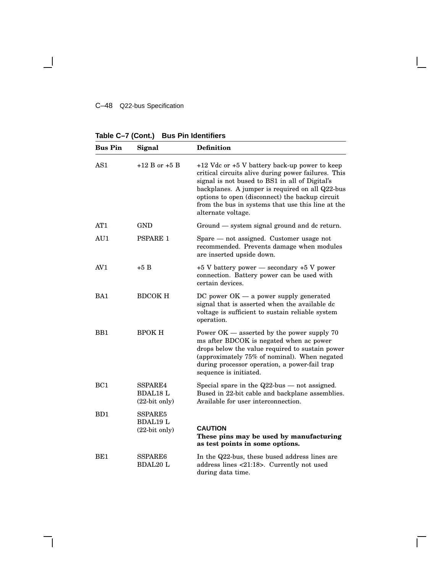#### C–48 Q22-bus Specification

 $\blacksquare$ 

**Table C–7 (Cont.) Bus Pin Identifiers**

| <b>Bus Pin</b>  | Signal                                        | <b>Definition</b>                                                                                                                                                                                                                                                                                                                           |
|-----------------|-----------------------------------------------|---------------------------------------------------------------------------------------------------------------------------------------------------------------------------------------------------------------------------------------------------------------------------------------------------------------------------------------------|
| AS1             | $+12 B$ or $+5 B$                             | $+12$ Vdc or $+5$ V battery back-up power to keep<br>critical circuits alive during power failures. This<br>signal is not bused to BS1 in all of Digital's<br>backplanes. A jumper is required on all Q22-bus<br>options to open (disconnect) the backup circuit<br>from the bus in systems that use this line at the<br>alternate voltage. |
| AT1             | GND                                           | Ground — system signal ground and dc return.                                                                                                                                                                                                                                                                                                |
| AU1             | <b>PSPARE 1</b>                               | Spare - not assigned. Customer usage not<br>recommended. Prevents damage when modules<br>are inserted upside down.                                                                                                                                                                                                                          |
| AV <sub>1</sub> | $+5B$                                         | $+5$ V battery power $-$ secondary $+5$ V power<br>connection. Battery power can be used with<br>certain devices.                                                                                                                                                                                                                           |
| BA1             | <b>BDCOK H</b>                                | $DC$ power $OK - a$ power supply generated<br>signal that is asserted when the available dc<br>voltage is sufficient to sustain reliable system<br>operation.                                                                                                                                                                               |
| B <sub>B1</sub> | <b>BPOKH</b>                                  | Power $OK$ — asserted by the power supply 70<br>ms after BDCOK is negated when ac power<br>drops below the value required to sustain power<br>(approximately 75% of nominal). When negated<br>during processor operation, a power-fail trap<br>sequence is initiated.                                                                       |
| BC1             | SSPARE4<br><b>BDAL18 L</b><br>$(22-bit only)$ | Special spare in the $Q22$ -bus — not assigned.<br>Bused in 22-bit cable and backplane assemblies.<br>Available for user interconnection.                                                                                                                                                                                                   |
| BD <sub>1</sub> | SSPARE5<br><b>BDAL19 L</b><br>$(22-bit only)$ | <b>CAUTION</b><br>These pins may be used by manufacturing<br>as test points in some options.                                                                                                                                                                                                                                                |
| BE <sub>1</sub> | SSPARE6<br><b>BDAL20 L</b>                    | In the Q22-bus, these bused address lines are<br>address lines <21:18>. Currently not used<br>during data time.                                                                                                                                                                                                                             |

Г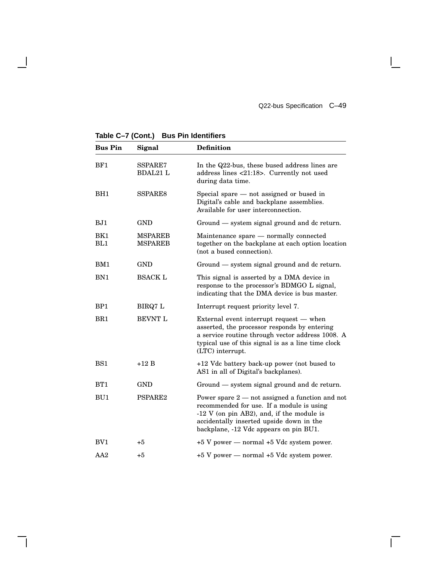$\mathsf{I}$ 

 $\overline{\Gamma}$ 

**Table C–7 (Cont.) Bus Pin Identifiers**

 $\overline{\phantom{a}}$ 

| <b>Bus Pin</b>  | Signal                           | <b>Definition</b>                                                                                                                                                                                                                   |
|-----------------|----------------------------------|-------------------------------------------------------------------------------------------------------------------------------------------------------------------------------------------------------------------------------------|
| BF1             | SSPARE7<br><b>BDAL21 L</b>       | In the Q22-bus, these bused address lines are<br>address lines <21:18>. Currently not used<br>during data time.                                                                                                                     |
| BH <sub>1</sub> | SSPARE8                          | Special spare - not assigned or bused in<br>Digital's cable and backplane assemblies.<br>Available for user interconnection.                                                                                                        |
| BJ1             | <b>GND</b>                       | Ground — system signal ground and dc return.                                                                                                                                                                                        |
| BK1<br>BL1      | <b>MSPAREB</b><br><b>MSPAREB</b> | Maintenance spare - normally connected<br>together on the backplane at each option location<br>(not a bused connection).                                                                                                            |
| BM1             | <b>GND</b>                       | Ground — system signal ground and de return.                                                                                                                                                                                        |
| BN1             | <b>BSACK L</b>                   | This signal is asserted by a DMA device in<br>response to the processor's BDMGO L signal,<br>indicating that the DMA device is bus master.                                                                                          |
| BP <sub>1</sub> | BIRQ7 L                          | Interrupt request priority level 7.                                                                                                                                                                                                 |
| BR <sub>1</sub> | <b>BEVNT L</b>                   | External event interrupt request $-$ when<br>asserted, the processor responds by entering<br>a service routine through vector address 1008. A<br>typical use of this signal is as a line time clock<br>(LTC) interrupt.             |
| BS1             | $+12B$                           | +12 Vdc battery back-up power (not bused to<br>AS1 in all of Digital's backplanes).                                                                                                                                                 |
| BT1             | GND                              | Ground — system signal ground and de return.                                                                                                                                                                                        |
| BU1             | PSPARE <sub>2</sub>              | Power spare $2$ — not assigned a function and not<br>recommended for use. If a module is using<br>$-12$ V (on pin AB2), and, if the module is<br>accidentally inserted upside down in the<br>backplane, -12 Vdc appears on pin BU1. |
| BV <sub>1</sub> | $+5$                             | $+5$ V power — normal $+5$ Vdc system power.                                                                                                                                                                                        |
| AA2             | +5                               | +5 V power - normal +5 Vdc system power.                                                                                                                                                                                            |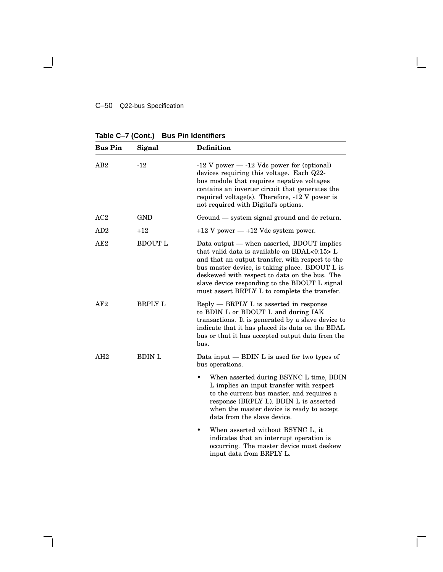#### C–50 Q22-bus Specification

**Table C–7 (Cont.) Bus Pin Identifiers**

| <b>Bus Pin</b> | Signal         | Definition                                                                                                                                                                                                                                                                                                                                           |
|----------------|----------------|------------------------------------------------------------------------------------------------------------------------------------------------------------------------------------------------------------------------------------------------------------------------------------------------------------------------------------------------------|
| AB2            | $-12$          | $-12$ V power $-12$ Vdc power for (optional)<br>devices requiring this voltage. Each Q22-<br>bus module that requires negative voltages<br>contains an inverter circuit that generates the<br>required voltage(s). Therefore, $-12$ V power is<br>not required with Digital's options.                                                               |
| AC2            | <b>GND</b>     | Ground — system signal ground and de return.                                                                                                                                                                                                                                                                                                         |
| AD2            | $+12$          | $+12$ V power $-12$ Vdc system power.                                                                                                                                                                                                                                                                                                                |
| AE2            | <b>BDOUT L</b> | Data output — when asserted, BDOUT implies<br>that valid data is available on $BDAL<0:15>L$<br>and that an output transfer, with respect to the<br>bus master device, is taking place. BDOUT L is<br>deskewed with respect to data on the bus. The<br>slave device responding to the BDOUT L signal<br>must assert BRPLY L to complete the transfer. |
| AF2            | <b>BRPLY L</b> | $\text{Reply}$ $-$ BRPLY L is asserted in response<br>to BDIN L or BDOUT L and during IAK<br>transactions. It is generated by a slave device to<br>indicate that it has placed its data on the BDAL<br>bus or that it has accepted output data from the<br>bus.                                                                                      |
| AH2            | <b>BDIN L</b>  | Data input $-$ BDIN L is used for two types of<br>bus operations.                                                                                                                                                                                                                                                                                    |
|                |                | When asserted during BSYNC L time, BDIN<br>L implies an input transfer with respect<br>to the current bus master, and requires a<br>response (BRPLY L). BDIN L is asserted<br>when the master device is ready to accept<br>data from the slave device.                                                                                               |
|                |                | When asserted without BSYNC L, it<br>٠<br>indicates that an interrupt operation is<br>occurring. The master device must deskew<br>input data from BRPLY L.                                                                                                                                                                                           |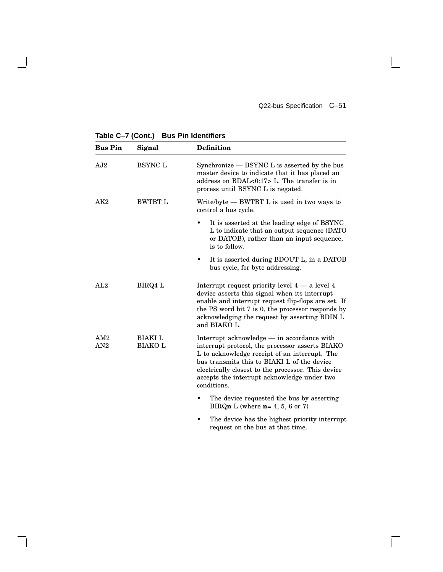$\mathsf{I}$ 

 $\overline{\Gamma}$ 

**Table C–7 (Cont.) Bus Pin Identifiers**

 $\overline{\phantom{a}}$ 

| <b>Bus Pin</b> | Signal                           | <b>Definition</b>                                                                                                                                                                                                                                                                                                 |
|----------------|----------------------------------|-------------------------------------------------------------------------------------------------------------------------------------------------------------------------------------------------------------------------------------------------------------------------------------------------------------------|
| AJ2            | <b>BSYNC L</b>                   | Synchronize — BSYNC L is asserted by the bus<br>master device to indicate that it has placed an<br>address on BDAL< $0:17$ > L. The transfer is in<br>process until BSYNC L is negated.                                                                                                                           |
| AK2            | <b>BWTBT L</b>                   | Write/byte — BWTBT L is used in two ways to<br>control a bus cycle.                                                                                                                                                                                                                                               |
|                |                                  | It is asserted at the leading edge of BSYNC<br>L to indicate that an output sequence (DATO<br>or DATOB), rather than an input sequence,<br>is to follow.                                                                                                                                                          |
|                |                                  | It is asserted during BDOUT L, in a DATOB<br>bus cycle, for byte addressing.                                                                                                                                                                                                                                      |
| AL2            | BIRQ4 L                          | Interrupt request priority level $4 - a$ level $4$<br>device asserts this signal when its interrupt<br>enable and interrupt request flip-flops are set. If<br>the PS word bit 7 is 0, the processor responds by<br>acknowledging the request by asserting BDIN L<br>and BIAKO L.                                  |
| AM2<br>AN2     | <b>BIAKI</b> L<br><b>BIAKO L</b> | Interrupt acknowledge — in accordance with<br>interrupt protocol, the processor asserts BIAKO<br>L to acknowledge receipt of an interrupt. The<br>bus transmits this to BIAKI L of the device<br>electrically closest to the processor. This device<br>accepts the interrupt acknowledge under two<br>conditions. |
|                |                                  | The device requested the bus by asserting<br>BIRQn L (where $n=4, 5, 6$ or 7)                                                                                                                                                                                                                                     |
|                |                                  | .                                                                                                                                                                                                                                                                                                                 |

• The device has the highest priority interrupt request on the bus at that time.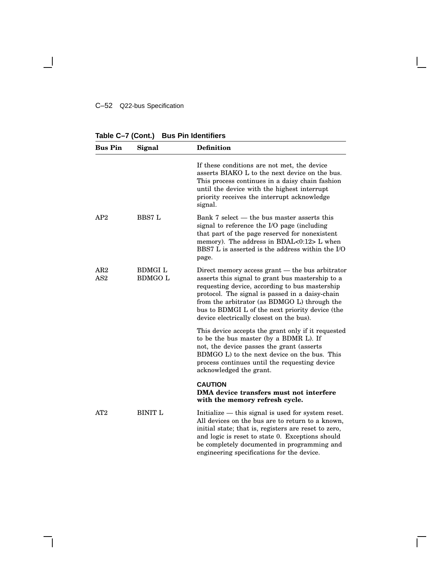#### C–52 Q22-bus Specification

 $\overline{\phantom{a}}$ 

**Table C–7 (Cont.) Bus Pin Identifiers**

| <b>Bus Pin</b>         | Signal                          | <b>Definition</b>                                                                                                                                                                                                                                                                                                                                         |
|------------------------|---------------------------------|-----------------------------------------------------------------------------------------------------------------------------------------------------------------------------------------------------------------------------------------------------------------------------------------------------------------------------------------------------------|
|                        |                                 | If these conditions are not met, the device<br>asserts BIAKO L to the next device on the bus.<br>This process continues in a daisy chain fashion<br>until the device with the highest interrupt<br>priority receives the interrupt acknowledge<br>signal.                                                                                                 |
| AP2                    | <b>BBS7 L</b>                   | Bank 7 select — the bus master asserts this<br>signal to reference the I/O page (including<br>that part of the page reserved for nonexistent<br>memory). The address in BDAL<0:12> L when<br>BBS7 L is asserted is the address within the I/O<br>page.                                                                                                    |
| AR2<br>AS <sub>2</sub> | <b>BDMGIL</b><br><b>BDMGO L</b> | Direct memory access grant $-$ the bus arbitrator<br>asserts this signal to grant bus mastership to a<br>requesting device, according to bus mastership<br>protocol. The signal is passed in a daisy-chain<br>from the arbitrator (as BDMGO L) through the<br>bus to BDMGI L of the next priority device (the<br>device electrically closest on the bus). |
|                        |                                 | This device accepts the grant only if it requested<br>to be the bus master (by a BDMR L). If<br>not, the device passes the grant (asserts<br>BDMGO L) to the next device on the bus. This<br>process continues until the requesting device<br>acknowledged the grant.                                                                                     |
|                        |                                 | <b>CAUTION</b><br>DMA device transfers must not interfere<br>with the memory refresh cycle.                                                                                                                                                                                                                                                               |
| AT2                    | <b>BINIT L</b>                  | Initialize — this signal is used for system reset.<br>All devices on the bus are to return to a known,<br>initial state; that is, registers are reset to zero,<br>and logic is reset to state 0. Exceptions should<br>be completely documented in programming and<br>engineering specifications for the device.                                           |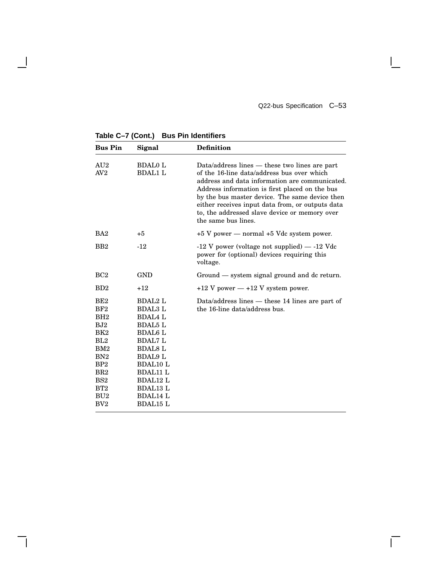$\mathbf{I}$ 

 $\overline{\Gamma}$ 

**Table C–7 (Cont.) Bus Pin Identifiers**

 $\overline{\phantom{a}}$ 

| <b>Bus Pin</b>                                                                                                                                                                     | Signal                                                                                                                                                                                                                                                  | <b>Definition</b>                                                                                                                                                                                                                                                                                                                                                             |
|------------------------------------------------------------------------------------------------------------------------------------------------------------------------------------|---------------------------------------------------------------------------------------------------------------------------------------------------------------------------------------------------------------------------------------------------------|-------------------------------------------------------------------------------------------------------------------------------------------------------------------------------------------------------------------------------------------------------------------------------------------------------------------------------------------------------------------------------|
| AU2<br>AV2                                                                                                                                                                         | <b>BDAL0 L</b><br><b>BDAL1 L</b>                                                                                                                                                                                                                        | Data/address lines — these two lines are part<br>of the 16-line data/address bus over which<br>address and data information are communicated.<br>Address information is first placed on the bus<br>by the bus master device. The same device then<br>either receives input data from, or outputs data<br>to, the addressed slave device or memory over<br>the same bus lines. |
| BA <sub>2</sub>                                                                                                                                                                    | $+5$                                                                                                                                                                                                                                                    | $+5$ V power — normal $+5$ Vdc system power.                                                                                                                                                                                                                                                                                                                                  |
| B <sub>B2</sub>                                                                                                                                                                    | $-12$                                                                                                                                                                                                                                                   | $-12$ V power (voltage not supplied) $-12$ Vdc<br>power for (optional) devices requiring this<br>voltage.                                                                                                                                                                                                                                                                     |
| BC2                                                                                                                                                                                | <b>GND</b>                                                                                                                                                                                                                                              | Ground — system signal ground and dc return.                                                                                                                                                                                                                                                                                                                                  |
| BD2                                                                                                                                                                                | $+12$                                                                                                                                                                                                                                                   | $+12$ V power $-12$ V system power.                                                                                                                                                                                                                                                                                                                                           |
| BE <sub>2</sub><br>BF2<br>BH2<br>BJ2<br>BK2<br>BL2<br>BM2<br>BN <sub>2</sub><br>BP <sub>2</sub><br>BR2<br>BS <sub>2</sub><br>BT <sub>2</sub><br>BU <sub>2</sub><br>BV <sub>2</sub> | <b>BDAL2 L</b><br><b>BDAL3 L</b><br><b>BDAL4 L</b><br><b>BDAL5 L</b><br><b>BDAL6 L</b><br><b>BDAL7 L</b><br><b>BDAL8 L</b><br><b>BDAL9 L</b><br><b>BDAL10 L</b><br><b>BDAL11 L</b><br><b>BDAL12 L</b><br>BDAL13 L<br><b>BDAL14 L</b><br><b>BDAL15 L</b> | Data/address lines $-$ these 14 lines are part of<br>the 16-line data/address bus.                                                                                                                                                                                                                                                                                            |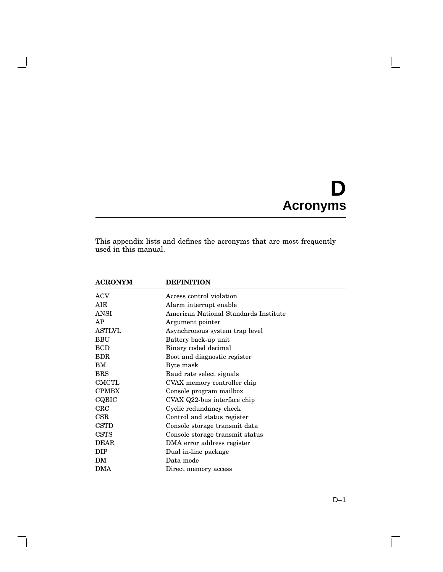# **D Acronyms**

 $\mathbf{I}$ 

This appendix lists and defines the acronyms that are most frequently used in this manual.

 $\overline{\phantom{a}}$ 

 $\mathsf{l}$ 

| <b>ACRONYM</b> | <b>DEFINITION</b>                     |
|----------------|---------------------------------------|
| <b>ACV</b>     | Access control violation              |
| AIE            | Alarm interrupt enable                |
| ANSI           | American National Standards Institute |
| AP             | Argument pointer                      |
| <b>ASTLVL</b>  | Asynchronous system trap level        |
| <b>BBU</b>     | Battery back-up unit                  |
| <b>BCD</b>     | Binary coded decimal                  |
| BDR.           | Boot and diagnostic register          |
| BM             | Byte mask                             |
| <b>BRS</b>     | Baud rate select signals              |
| <b>CMCTL</b>   | CVAX memory controller chip           |
| <b>CPMBX</b>   | Console program mailbox               |
| CQBIC          | CVAX Q22-bus interface chip           |
| CRC            | Cyclic redundancy check               |
| CSR            | Control and status register           |
| <b>CSTD</b>    | Console storage transmit data         |
| <b>CSTS</b>    | Console storage transmit status       |
| <b>DEAR</b>    | DMA error address register            |
| DIP            | Dual in-line package                  |
| DM             | Data mode                             |
| DMA            | Direct memory access                  |

 $\Gamma$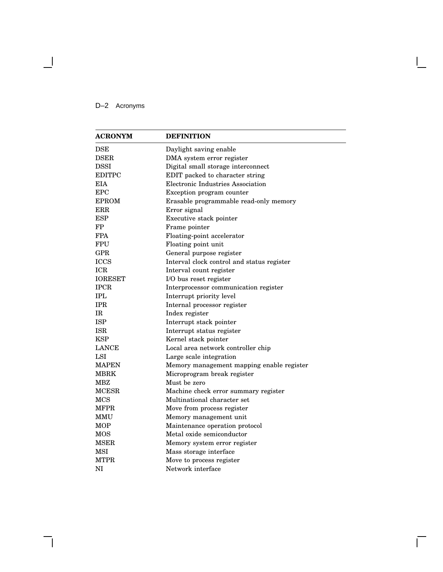# D–2 Acronyms

 $\overline{\phantom{a}}$ 

| <b>ACRONYM</b> | <b>DEFINITION</b>                          |
|----------------|--------------------------------------------|
| $_{\rm{DSE}}$  | Daylight saving enable                     |
| <b>DSER</b>    | DMA system error register                  |
| <b>DSSI</b>    | Digital small storage interconnect         |
| <b>EDITPC</b>  | EDIT packed to character string            |
| <b>EIA</b>     | Electronic Industries Association          |
| <b>EPC</b>     | Exception program counter                  |
| <b>EPROM</b>   | Erasable programmable read-only memory     |
| ERR            | Error signal                               |
| <b>ESP</b>     | Executive stack pointer                    |
| FP             | Frame pointer                              |
| <b>FPA</b>     | Floating-point accelerator                 |
| <b>FPU</b>     | Floating point unit                        |
| <b>GPR</b>     | General purpose register                   |
| <b>ICCS</b>    | Interval clock control and status register |
| <b>ICR</b>     | Interval count register                    |
| <b>IORESET</b> | I/O bus reset register                     |
| <b>IPCR</b>    | Interprocessor communication register      |
| <b>IPL</b>     | Interrupt priority level                   |
| <b>IPR</b>     | Internal processor register                |
| IR             | Index register                             |
| <b>ISP</b>     | Interrupt stack pointer                    |
| <b>ISR</b>     | Interrupt status register                  |
| <b>KSP</b>     | Kernel stack pointer                       |
| <b>LANCE</b>   | Local area network controller chip         |
| LSI            | Large scale integration                    |
| <b>MAPEN</b>   | Memory management mapping enable register  |
| <b>MBRK</b>    | Microprogram break register                |
| MBZ            | Must be zero                               |
| <b>MCESR</b>   | Machine check error summary register       |
| MCS            | Multinational character set                |
| <b>MFPR</b>    | Move from process register                 |
| MMU            | Memory management unit                     |
| MOP            | Maintenance operation protocol             |
| MOS            | Metal oxide semiconductor                  |
| MSER           | Memory system error register               |
| <b>MSI</b>     | Mass storage interface                     |
| <b>MTPR</b>    | Move to process register                   |
| NI             | Network interface                          |

Ē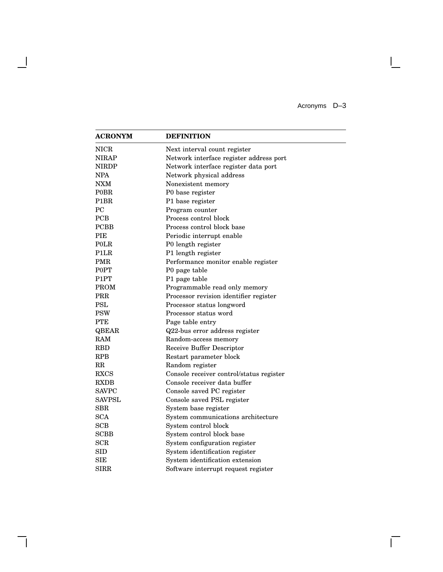Acronyms D–3

 $\overline{\Gamma}$ 

| <b>ACRONYM</b>    | <b>DEFINITION</b>                        |
|-------------------|------------------------------------------|
| <b>NICR</b>       | Next interval count register             |
| <b>NIRAP</b>      | Network interface register address port  |
| <b>NIRDP</b>      | Network interface register data port     |
| NPA               | Network physical address                 |
| NXM               | Nonexistent memory                       |
| <b>POBR</b>       | P0 base register                         |
| P <sub>1</sub> BR | P1 base register                         |
| <b>PC</b>         | Program counter                          |
| <b>PCB</b>        | Process control block                    |
| <b>PCBB</b>       | Process control block base               |
| PIE               | Periodic interrupt enable                |
| <b>POLR</b>       | P0 length register                       |
| P1LR              | P1 length register                       |
| <b>PMR</b>        | Performance monitor enable register      |
| P0PT              | P0 page table                            |
| P <sub>1</sub> PT | P1 page table                            |
| <b>PROM</b>       | Programmable read only memory            |
| PRR               | Processor revision identifier register   |
| <b>PSL</b>        | Processor status longword                |
| <b>PSW</b>        | Processor status word                    |
| <b>PTE</b>        | Page table entry                         |
| QBEAR             | Q22-bus error address register           |
| <b>RAM</b>        | Random-access memory                     |
| <b>RBD</b>        | Receive Buffer Descriptor                |
| <b>RPB</b>        | Restart parameter block                  |
| RR                | Random register                          |
| <b>RXCS</b>       | Console receiver control/status register |
| <b>RXDB</b>       | Console receiver data buffer             |
| <b>SAVPC</b>      | Console saved PC register                |
| <b>SAVPSL</b>     | Console saved PSL register               |
| $_{\rm SBR}$      | System base register                     |
| <b>SCA</b>        | System communications architecture       |
| SCB               | System control block                     |
| <b>SCBB</b>       | System control block base                |
| <b>SCR</b>        | System configuration register            |
| <b>SID</b>        | System identification register           |
| <b>SIE</b>        | System identification extension          |
| SIRR              | Software interrupt request register      |

- 1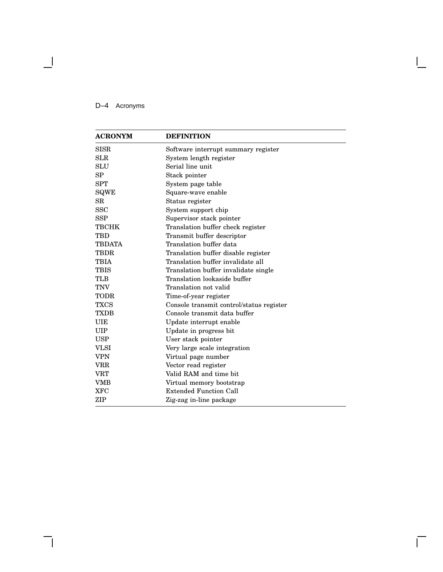# D–4 Acronyms

 $\overline{\phantom{a}}$ 

| <b>ACRONYM</b> | <b>DEFINITION</b>                        |
|----------------|------------------------------------------|
| <b>SISR</b>    | Software interrupt summary register      |
| <b>SLR</b>     | System length register                   |
| SLU            | Serial line unit                         |
| SP             | Stack pointer                            |
| <b>SPT</b>     | System page table                        |
| SQWE           | Square-wave enable                       |
| SR             | Status register                          |
| <b>SSC</b>     | System support chip                      |
| <b>SSP</b>     | Supervisor stack pointer                 |
| <b>TBCHK</b>   | Translation buffer check register        |
| <b>TBD</b>     | Transmit buffer descriptor               |
| <b>TBDATA</b>  | Translation buffer data                  |
| <b>TBDR</b>    | Translation buffer disable register      |
| <b>TBIA</b>    | Translation buffer invalidate all        |
| <b>TBIS</b>    | Translation buffer invalidate single     |
| TLB            | Translation lookaside buffer             |
| <b>TNV</b>     | Translation not valid                    |
| TODR           | Time-of-year register                    |
| <b>TXCS</b>    | Console transmit control/status register |
| <b>TXDB</b>    | Console transmit data buffer             |
| <b>UIE</b>     | Update interrupt enable                  |
| UIP            | Update in progress bit                   |
| <b>USP</b>     | User stack pointer                       |
| <b>VLSI</b>    | Very large scale integration             |
| <b>VPN</b>     | Virtual page number                      |
| VRR            | Vector read register                     |
| VRT            | Valid RAM and time bit                   |
| VMB            | Virtual memory bootstrap                 |
| <b>XFC</b>     | <b>Extended Function Call</b>            |
| ZIP            | Zig-zag in-line package                  |

Ē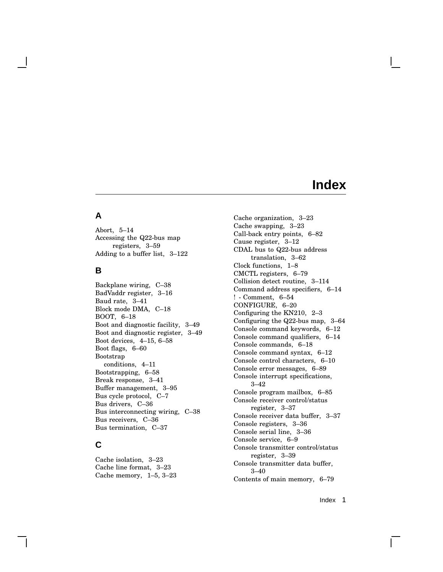# **A**

Abort, 5–14 Accessing the Q22-bus map registers, 3–59 Adding to a buffer list, 3–122

## **B**

Backplane wiring, C–38 BadVaddr register, 3–16 Baud rate, 3–41 Block mode DMA, C–18 BOOT, 6–18 Boot and diagnostic facility, 3–49 Boot and diagnostic register, 3–49 Boot devices, 4–15, 6–58 Boot flags, 6–60 Bootstrap conditions, 4–11 Bootstrapping, 6–58 Break response, 3–41 Buffer management, 3–95 Bus cycle protocol, C–7 Bus drivers, C–36 Bus interconnecting wiring, C–38 Bus receivers, C–36 Bus termination, C–37

# **C**

Cache isolation, 3–23 Cache line format, 3–23 Cache memory, 1–5, 3–23 Cache organization, 3–23 Cache swapping, 3–23 Call-back entry points, 6–82 Cause register, 3–12 CDAL bus to Q22-bus address translation, 3–62 Clock functions, 1–8 CMCTL registers, 6–79 Collision detect routine, 3–114 Command address specifiers, 6–14 ! - Comment, 6–54 CONFIGURE, 6–20 Configuring the KN210, 2–3 Configuring the Q22-bus map, 3–64 Console command keywords, 6–12 Console command qualifiers, 6–14 Console commands, 6–18 Console command syntax, 6–12 Console control characters, 6–10 Console error messages, 6–89 Console interrupt specifications, 3–42 Console program mailbox, 6–85 Console receiver control/status register, 3–37 Console receiver data buffer, 3–37 Console registers, 3–36 Console serial line, 3–36 Console service, 6–9 Console transmitter control/status register, 3–39 Console transmitter data buffer, 3–40 Contents of main memory, 6–79

Index 1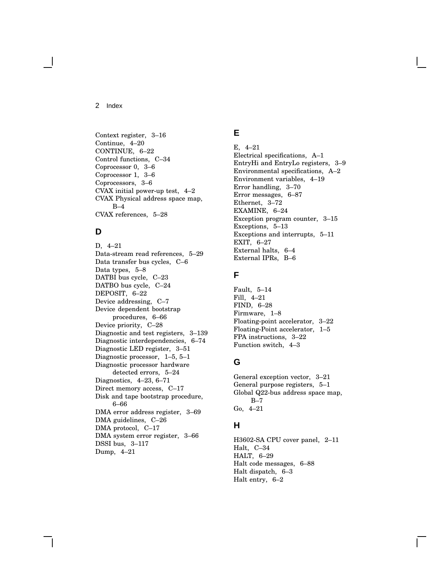Context register, 3–16 Continue, 4–20 CONTINUE, 6–22 Control functions, C–34 Coprocessor 0, 3–6 Coprocessor 1, 3–6 Coprocessors, 3–6 CVAX initial power-up test, 4–2 CVAX Physical address space map, B–4 CVAX references, 5–28

# **D**

D, 4–21 Data-stream read references, 5–29 Data transfer bus cycles, C–6 Data types, 5–8 DATBI bus cycle, C–23 DATBO bus cycle, C–24 DEPOSIT, 6–22 Device addressing, C–7 Device dependent bootstrap procedures, 6–66 Device priority, C–28 Diagnostic and test registers, 3–139 Diagnostic interdependencies, 6–74 Diagnostic LED register, 3–51 Diagnostic processor, 1–5, 5–1 Diagnostic processor hardware detected errors, 5–24 Diagnostics, 4–23, 6–71 Direct memory access, C–17 Disk and tape bootstrap procedure, 6–66 DMA error address register, 3–69 DMA guidelines, C–26 DMA protocol, C–17 DMA system error register, 3–66 DSSI bus, 3–117 Dump, 4–21

# **E**

E, 4–21 Electrical specifications, A–1 EntryHi and EntryLo registers, 3–9 Environmental specifications, A–2 Environment variables, 4–19 Error handling, 3–70 Error messages, 6–87 Ethernet, 3–72 EXAMINE, 6–24 Exception program counter, 3–15 Exceptions, 5–13 Exceptions and interrupts, 5–11 EXIT, 6–27 External halts, 6–4 External IPRs, B–6

# **F**

Fault, 5–14 Fill, 4–21 FIND, 6–28 Firmware, 1–8 Floating-point accelerator, 3–22 Floating-Point accelerator, 1–5 FPA instructions, 3–22 Function switch, 4–3

# **G**

General exception vector, 3–21 General purpose registers, 5–1 Global Q22-bus address space map, B–7 Go, 4–21

# **H**

H3602-SA CPU cover panel, 2–11 Halt, C–34 HALT, 6–29 Halt code messages, 6–88 Halt dispatch, 6–3 Halt entry, 6–2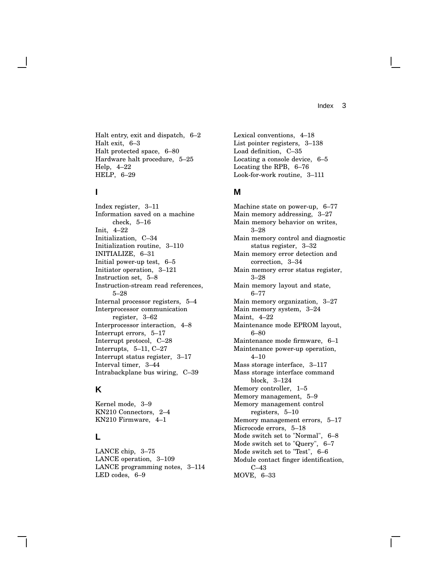Halt entry, exit and dispatch, 6–2 Halt exit, 6–3 Halt protected space, 6–80 Hardware halt procedure, 5–25 Help, 4–22 HELP, 6–29

## **I**

Index register, 3–11 Information saved on a machine check, 5–16 Init, 4–22 Initialization, C–34 Initialization routine, 3–110 INITIALIZE, 6–31 Initial power-up test, 6–5 Initiator operation, 3–121 Instruction set, 5–8 Instruction-stream read references, 5–28 Internal processor registers, 5–4 Interprocessor communication register, 3–62 Interprocessor interaction, 4–8 Interrupt errors, 5–17 Interrupt protocol, C–28 Interrupts, 5–11, C–27 Interrupt status register, 3–17 Interval timer, 3–44 Intrabackplane bus wiring, C–39

# **K**

Kernel mode, 3–9 KN210 Connectors, 2–4 KN210 Firmware, 4–1

## **L**

LANCE chip, 3–75 LANCE operation, 3–109 LANCE programming notes, 3–114 LED codes, 6–9

Lexical conventions, 4–18 List pointer registers, 3–138 Load definition, C–35 Locating a console device, 6–5 Locating the RPB, 6–76 Look-for-work routine, 3–111

#### **M**

Machine state on power-up, 6–77 Main memory addressing, 3–27 Main memory behavior on writes, 3–28 Main memory control and diagnostic status register, 3–32 Main memory error detection and correction, 3–34 Main memory error status register, 3–28 Main memory layout and state, 6–77 Main memory organization, 3–27 Main memory system, 3–24 Maint, 4–22 Maintenance mode EPROM layout, 6–80 Maintenance mode firmware, 6–1 Maintenance power-up operation, 4–10 Mass storage interface, 3–117 Mass storage interface command block, 3–124 Memory controller, 1–5 Memory management, 5–9 Memory management control registers, 5–10 Memory management errors, 5–17 Microcode errors, 5–18 Mode switch set to "Normal", 6–8 Mode switch set to "Query", 6–7 Mode switch set to "Test", 6–6 Module contact finger identification, C–43 MOVE, 6–33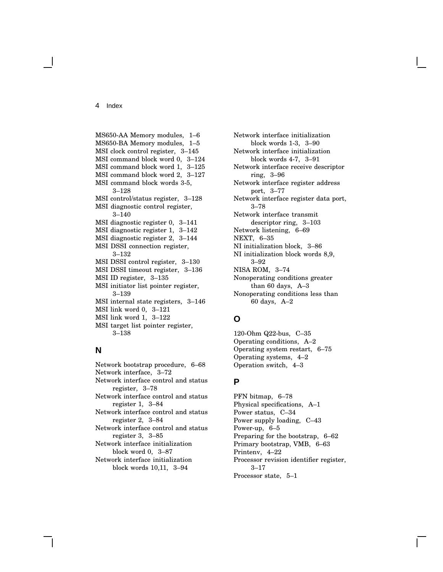MS650-AA Memory modules, 1–6 MS650-BA Memory modules, 1–5 MSI clock control register, 3–145 MSI command block word 0, 3–124 MSI command block word 1, 3–125 MSI command block word 2, 3–127 MSI command block words 3-5, 3–128 MSI control/status register, 3–128 MSI diagnostic control register, 3–140 MSI diagnostic register 0, 3–141 MSI diagnostic register 1, 3–142 MSI diagnostic register 2, 3–144 MSI DSSI connection register, 3–132 MSI DSSI control register, 3–130 MSI DSSI timeout register, 3–136 MSI ID register, 3–135 MSI initiator list pointer register, 3–139 MSI internal state registers, 3–146 MSI link word 0, 3–121 MSI link word 1, 3–122 MSI target list pointer register,

# **N**

3–138

Network bootstrap procedure, 6–68 Network interface, 3–72 Network interface control and status register, 3–78 Network interface control and status register 1, 3–84 Network interface control and status register 2, 3–84 Network interface control and status register 3, 3–85 Network interface initialization block word 0, 3–87 Network interface initialization block words 10,11, 3–94

Network interface initialization block words 1-3, 3–90 Network interface initialization block words 4-7, 3–91 Network interface receive descriptor ring, 3–96 Network interface register address port, 3–77 Network interface register data port, 3–78 Network interface transmit descriptor ring, 3–103 Network listening, 6–69 NEXT, 6–35 NI initialization block, 3–86 NI initialization block words 8,9, 3–92 NISA ROM, 3–74 Nonoperating conditions greater than 60 days, A–3 Nonoperating conditions less than 60 days, A–2

# **O**

120-Ohm Q22-bus, C–35 Operating conditions, A–2 Operating system restart, 6–75 Operating systems, 4–2 Operation switch, 4–3

## **P**

PFN bitmap, 6–78 Physical specifications, A–1 Power status, C–34 Power supply loading, C–43 Power-up, 6–5 Preparing for the bootstrap, 6–62 Primary bootstrap, VMB, 6–63 Printenv, 4–22 Processor revision identifier register, 3–17 Processor state, 5–1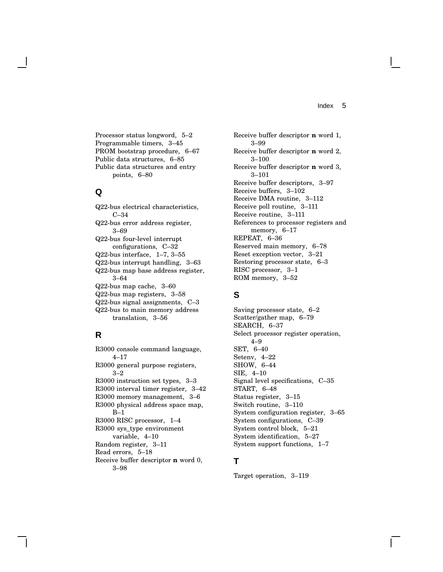Processor status longword, 5–2 Programmable timers, 3–45 PROM bootstrap procedure, 6–67 Public data structures, 6–85 Public data structures and entry points, 6–80

## **Q**

Q22-bus electrical characteristics, C–34 Q22-bus error address register, 3–69 Q22-bus four-level interrupt configurations, C–32 Q22-bus interface, 1–7, 3–55 Q22-bus interrupt handling, 3–63 Q22-bus map base address register, 3–64 Q22-bus map cache, 3–60 Q22-bus map registers, 3–58 Q22-bus signal assignments, C–3 Q22-bus to main memory address translation, 3–56

# **R**

R3000 console command language, 4–17 R3000 general purpose registers, 3–2 R3000 instruction set types, 3–3 R3000 interval timer register, 3–42 R3000 memory management, 3–6 R3000 physical address space map, B–1 R3000 RISC processor, 1–4 R3000 sys\_type environment variable, 4–10 Random register, 3–11 Read errors, 5–18 Receive buffer descriptor **n** word 0, 3–98

Receive buffer descriptor **n** word 1, 3–99 Receive buffer descriptor **n** word 2, 3–100 Receive buffer descriptor **n** word 3, 3–101 Receive buffer descriptors, 3–97 Receive buffers, 3–102 Receive DMA routine, 3–112 Receive poll routine, 3–111 Receive routine, 3–111 References to processor registers and memory, 6–17 REPEAT, 6–36 Reserved main memory, 6–78 Reset exception vector, 3–21 Restoring processor state, 6–3 RISC processor, 3–1 ROM memory, 3–52

# **S**

Saving processor state, 6–2 Scatter/gather map, 6–79 SEARCH, 6–37 Select processor register operation, 4–9 SET, 6–40 Setenv, 4–22 SHOW, 6–44 SIE, 4–10 Signal level specifications, C–35 START, 6–48 Status register, 3–15 Switch routine, 3–110 System configuration register, 3–65 System configurations, C–39 System control block, 5–21 System identification, 5–27 System support functions, 1–7

## **T**

Target operation, 3–119